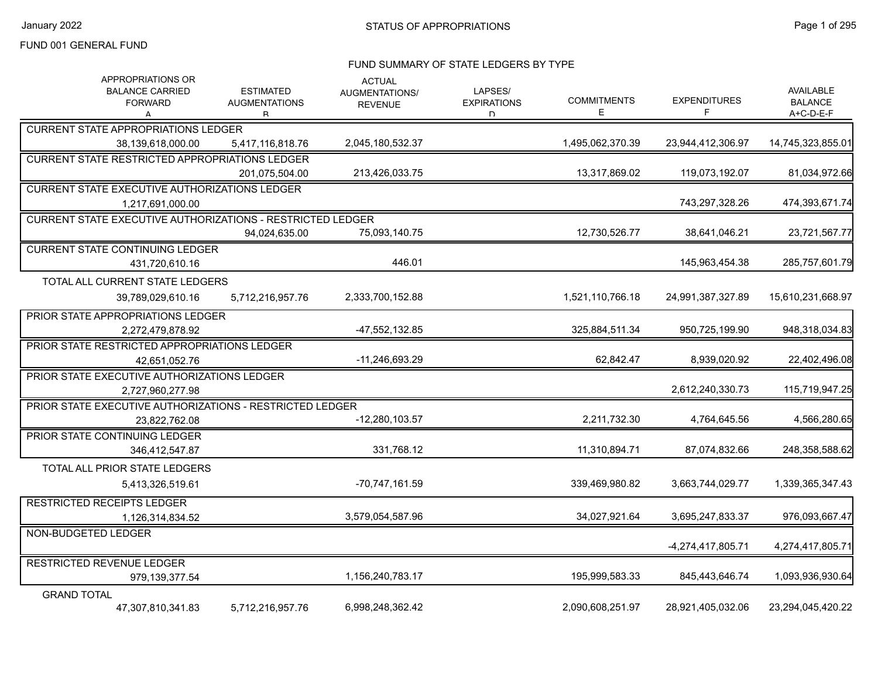#### FUND SUMMARY OF STATE LEDGERS BY TYPE

| APPROPRIATIONS OR<br><b>BALANCE CARRIED</b><br><b>FORWARD</b><br>А | <b>ESTIMATED</b><br><b>AUGMENTATIONS</b><br>R | <b>ACTUAL</b><br>AUGMENTATIONS/<br><b>REVENUE</b> | LAPSES/<br><b>EXPIRATIONS</b><br>D. | <b>COMMITMENTS</b><br>Е | <b>EXPENDITURES</b><br>F | AVAILABLE<br><b>BALANCE</b><br>A+C-D-E-F |
|--------------------------------------------------------------------|-----------------------------------------------|---------------------------------------------------|-------------------------------------|-------------------------|--------------------------|------------------------------------------|
| <b>CURRENT STATE APPROPRIATIONS LEDGER</b>                         |                                               |                                                   |                                     |                         |                          |                                          |
| 38,139,618,000.00                                                  | 5,417,116,818.76                              | 2,045,180,532.37                                  |                                     | 1,495,062,370.39        | 23,944,412,306.97        | 14,745,323,855.01                        |
| <b>CURRENT STATE RESTRICTED APPROPRIATIONS LEDGER</b>              |                                               |                                                   |                                     |                         |                          |                                          |
|                                                                    | 201.075.504.00                                | 213.426.033.75                                    |                                     | 13,317,869.02           | 119.073.192.07           | 81,034,972.66                            |
| <b>CURRENT STATE EXECUTIVE AUTHORIZATIONS LEDGER</b>               |                                               |                                                   |                                     |                         |                          |                                          |
| 1,217,691,000.00                                                   |                                               |                                                   |                                     |                         | 743,297,328.26           | 474,393,671.74                           |
| <b>CURRENT STATE EXECUTIVE AUTHORIZATIONS - RESTRICTED LEDGER</b>  |                                               |                                                   |                                     |                         |                          |                                          |
|                                                                    | 94,024,635.00                                 | 75,093,140.75                                     |                                     | 12,730,526.77           | 38,641,046.21            | 23,721,567.77                            |
| <b>CURRENT STATE CONTINUING LEDGER</b>                             |                                               |                                                   |                                     |                         |                          |                                          |
| 431,720,610.16                                                     |                                               | 446.01                                            |                                     |                         | 145,963,454.38           | 285,757,601.79                           |
| TOTAL ALL CURRENT STATE LEDGERS                                    |                                               |                                                   |                                     |                         |                          |                                          |
| 39,789,029,610.16                                                  | 5,712,216,957.76                              | 2,333,700,152.88                                  |                                     | 1,521,110,766.18        | 24,991,387,327.89        | 15,610,231,668.97                        |
| PRIOR STATE APPROPRIATIONS LEDGER                                  |                                               |                                                   |                                     |                         |                          |                                          |
| 2,272,479,878.92                                                   |                                               | -47,552,132.85                                    |                                     | 325,884,511.34          | 950,725,199.90           | 948,318,034.83                           |
| PRIOR STATE RESTRICTED APPROPRIATIONS LEDGER                       |                                               |                                                   |                                     |                         |                          |                                          |
| 42,651,052.76                                                      |                                               | -11,246,693.29                                    |                                     | 62,842.47               | 8,939,020.92             | 22,402,496.08                            |
| PRIOR STATE EXECUTIVE AUTHORIZATIONS LEDGER                        |                                               |                                                   |                                     |                         |                          |                                          |
| 2,727,960,277.98                                                   |                                               |                                                   |                                     |                         | 2,612,240,330.73         | 115,719,947.25                           |
| PRIOR STATE EXECUTIVE AUTHORIZATIONS - RESTRICTED LEDGER           |                                               |                                                   |                                     |                         |                          |                                          |
| 23.822.762.08                                                      |                                               | $-12,280,103.57$                                  |                                     | 2,211,732.30            | 4,764,645.56             | 4,566,280.65                             |
| PRIOR STATE CONTINUING LEDGER                                      |                                               |                                                   |                                     |                         |                          |                                          |
| 346,412,547.87                                                     |                                               | 331,768.12                                        |                                     | 11,310,894.71           | 87,074,832.66            | 248,358,588.62                           |
| TOTAL ALL PRIOR STATE LEDGERS                                      |                                               |                                                   |                                     |                         |                          |                                          |
| 5,413,326,519.61                                                   |                                               | -70,747,161.59                                    |                                     | 339,469,980.82          | 3,663,744,029.77         | 1,339,365,347.43                         |
| <b>RESTRICTED RECEIPTS LEDGER</b>                                  |                                               |                                                   |                                     |                         |                          |                                          |
| 1,126,314,834.52                                                   |                                               | 3,579,054,587.96                                  |                                     | 34,027,921.64           | 3,695,247,833.37         | 976,093,667.47                           |
| NON-BUDGETED LEDGER                                                |                                               |                                                   |                                     |                         | -4,274,417,805.71        | 4,274,417,805.71                         |
| <b>RESTRICTED REVENUE LEDGER</b>                                   |                                               |                                                   |                                     |                         |                          |                                          |
| 979,139,377.54                                                     |                                               | 1,156,240,783.17                                  |                                     | 195,999,583.33          | 845,443,646.74           | 1,093,936,930.64                         |
| <b>GRAND TOTAL</b>                                                 |                                               |                                                   |                                     |                         |                          |                                          |
| 47,307,810,341.83                                                  | 5,712,216,957.76                              | 6,998,248,362.42                                  |                                     | 2,090,608,251.97        | 28,921,405,032.06        | 23,294,045,420.22                        |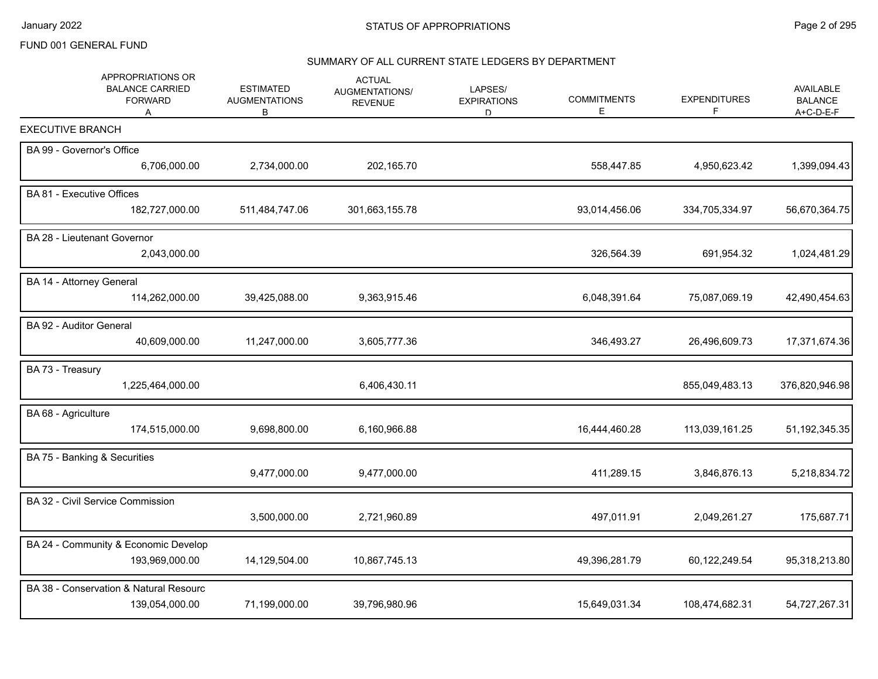# SUMMARY OF ALL CURRENT STATE LEDGERS BY DEPARTMENT

| APPROPRIATIONS OR<br><b>BALANCE CARRIED</b><br><b>FORWARD</b><br>Α | <b>ESTIMATED</b><br><b>AUGMENTATIONS</b><br>В | <b>ACTUAL</b><br>AUGMENTATIONS/<br><b>REVENUE</b> | LAPSES/<br><b>EXPIRATIONS</b><br>D. | <b>COMMITMENTS</b><br>Е | <b>EXPENDITURES</b><br>F. | <b>AVAILABLE</b><br><b>BALANCE</b><br>A+C-D-E-F |
|--------------------------------------------------------------------|-----------------------------------------------|---------------------------------------------------|-------------------------------------|-------------------------|---------------------------|-------------------------------------------------|
| <b>EXECUTIVE BRANCH</b>                                            |                                               |                                                   |                                     |                         |                           |                                                 |
| BA 99 - Governor's Office                                          |                                               |                                                   |                                     |                         |                           |                                                 |
| 6,706,000.00                                                       | 2,734,000.00                                  | 202,165.70                                        |                                     | 558,447.85              | 4,950,623.42              | 1,399,094.43                                    |
| BA 81 - Executive Offices                                          |                                               |                                                   |                                     |                         |                           |                                                 |
| 182,727,000.00                                                     | 511,484,747.06                                | 301,663,155.78                                    |                                     | 93,014,456.06           | 334,705,334.97            | 56,670,364.75                                   |
| BA 28 - Lieutenant Governor                                        |                                               |                                                   |                                     |                         |                           |                                                 |
| 2,043,000.00                                                       |                                               |                                                   |                                     | 326,564.39              | 691,954.32                | 1,024,481.29                                    |
| BA 14 - Attorney General                                           |                                               |                                                   |                                     |                         |                           |                                                 |
| 114,262,000.00                                                     | 39,425,088.00                                 | 9,363,915.46                                      |                                     | 6,048,391.64            | 75,087,069.19             | 42,490,454.63                                   |
| BA 92 - Auditor General                                            |                                               |                                                   |                                     |                         |                           |                                                 |
| 40,609,000.00                                                      | 11,247,000.00                                 | 3,605,777.36                                      |                                     | 346,493.27              | 26,496,609.73             | 17,371,674.36                                   |
| BA 73 - Treasury                                                   |                                               |                                                   |                                     |                         |                           |                                                 |
| 1,225,464,000.00                                                   |                                               | 6,406,430.11                                      |                                     |                         | 855,049,483.13            | 376,820,946.98                                  |
| BA 68 - Agriculture                                                |                                               |                                                   |                                     |                         |                           |                                                 |
| 174,515,000.00                                                     | 9,698,800.00                                  | 6,160,966.88                                      |                                     | 16,444,460.28           | 113,039,161.25            | 51, 192, 345. 35                                |
| BA 75 - Banking & Securities                                       |                                               |                                                   |                                     |                         |                           |                                                 |
|                                                                    | 9,477,000.00                                  | 9,477,000.00                                      |                                     | 411,289.15              | 3,846,876.13              | 5,218,834.72                                    |
| BA 32 - Civil Service Commission                                   |                                               |                                                   |                                     |                         |                           |                                                 |
|                                                                    | 3,500,000.00                                  | 2,721,960.89                                      |                                     | 497,011.91              | 2,049,261.27              | 175,687.71                                      |
| BA 24 - Community & Economic Develop                               |                                               |                                                   |                                     |                         |                           |                                                 |
| 193,969,000.00                                                     | 14,129,504.00                                 | 10,867,745.13                                     |                                     | 49,396,281.79           | 60,122,249.54             | 95,318,213.80                                   |
| BA 38 - Conservation & Natural Resourc                             |                                               |                                                   |                                     |                         |                           |                                                 |
| 139,054,000.00                                                     | 71,199,000.00                                 | 39,796,980.96                                     |                                     | 15,649,031.34           | 108,474,682.31            | 54,727,267.31                                   |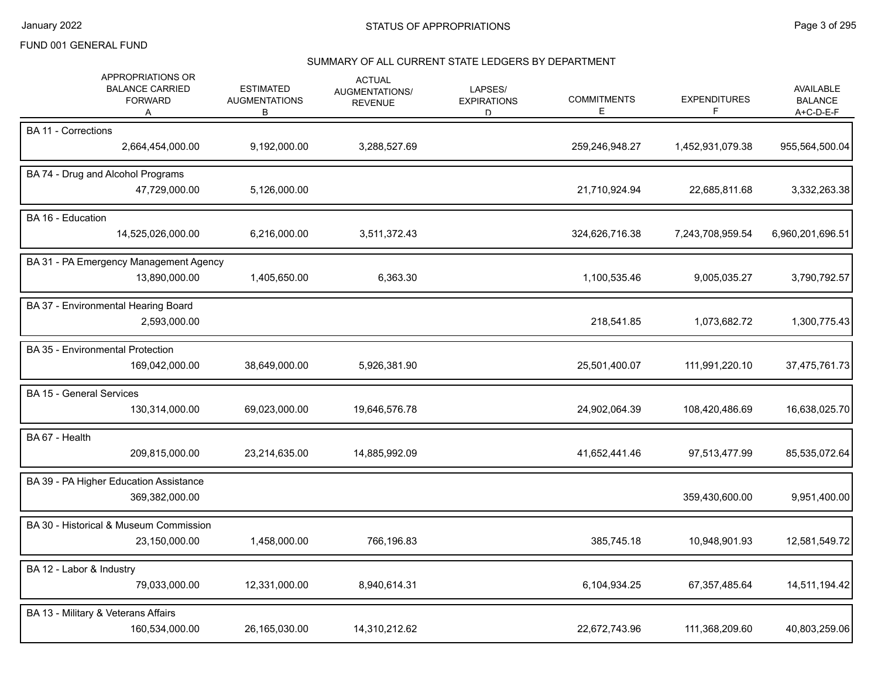# SUMMARY OF ALL CURRENT STATE LEDGERS BY DEPARTMENT

| APPROPRIATIONS OR<br><b>BALANCE CARRIED</b><br><b>FORWARD</b><br>A | <b>ESTIMATED</b><br><b>AUGMENTATIONS</b><br>В | <b>ACTUAL</b><br><b>AUGMENTATIONS/</b><br><b>REVENUE</b> | LAPSES/<br><b>EXPIRATIONS</b><br>D | <b>COMMITMENTS</b><br>Е | <b>EXPENDITURES</b><br>F | AVAILABLE<br><b>BALANCE</b><br>A+C-D-E-F |
|--------------------------------------------------------------------|-----------------------------------------------|----------------------------------------------------------|------------------------------------|-------------------------|--------------------------|------------------------------------------|
| <b>BA 11 - Corrections</b><br>2,664,454,000.00                     | 9,192,000.00                                  | 3,288,527.69                                             |                                    | 259,246,948.27          | 1,452,931,079.38         | 955,564,500.04                           |
| BA 74 - Drug and Alcohol Programs<br>47,729,000.00                 | 5,126,000.00                                  |                                                          |                                    | 21,710,924.94           | 22,685,811.68            | 3,332,263.38                             |
| BA 16 - Education<br>14,525,026,000.00                             | 6,216,000.00                                  | 3,511,372.43                                             |                                    | 324,626,716.38          | 7,243,708,959.54         | 6,960,201,696.51                         |
| BA 31 - PA Emergency Management Agency<br>13,890,000.00            | 1,405,650.00                                  | 6,363.30                                                 |                                    | 1,100,535.46            | 9,005,035.27             | 3,790,792.57                             |
| BA 37 - Environmental Hearing Board<br>2,593,000.00                |                                               |                                                          |                                    | 218,541.85              | 1,073,682.72             | 1,300,775.43                             |
| BA 35 - Environmental Protection<br>169,042,000.00                 | 38,649,000.00                                 | 5,926,381.90                                             |                                    | 25,501,400.07           | 111,991,220.10           | 37,475,761.73                            |
| <b>BA 15 - General Services</b><br>130,314,000.00                  | 69,023,000.00                                 | 19,646,576.78                                            |                                    | 24,902,064.39           | 108,420,486.69           | 16,638,025.70                            |
| BA 67 - Health<br>209,815,000.00                                   | 23,214,635.00                                 | 14,885,992.09                                            |                                    | 41,652,441.46           | 97,513,477.99            | 85,535,072.64                            |
| BA 39 - PA Higher Education Assistance<br>369,382,000.00           |                                               |                                                          |                                    |                         | 359,430,600.00           | 9,951,400.00                             |
| BA 30 - Historical & Museum Commission<br>23,150,000.00            | 1,458,000.00                                  | 766,196.83                                               |                                    | 385,745.18              | 10,948,901.93            | 12,581,549.72                            |
| BA 12 - Labor & Industry<br>79,033,000.00                          | 12,331,000.00                                 | 8,940,614.31                                             |                                    | 6,104,934.25            | 67,357,485.64            | 14,511,194.42                            |
| BA 13 - Military & Veterans Affairs<br>160,534,000.00              | 26,165,030.00                                 | 14,310,212.62                                            |                                    | 22,672,743.96           | 111,368,209.60           | 40,803,259.06                            |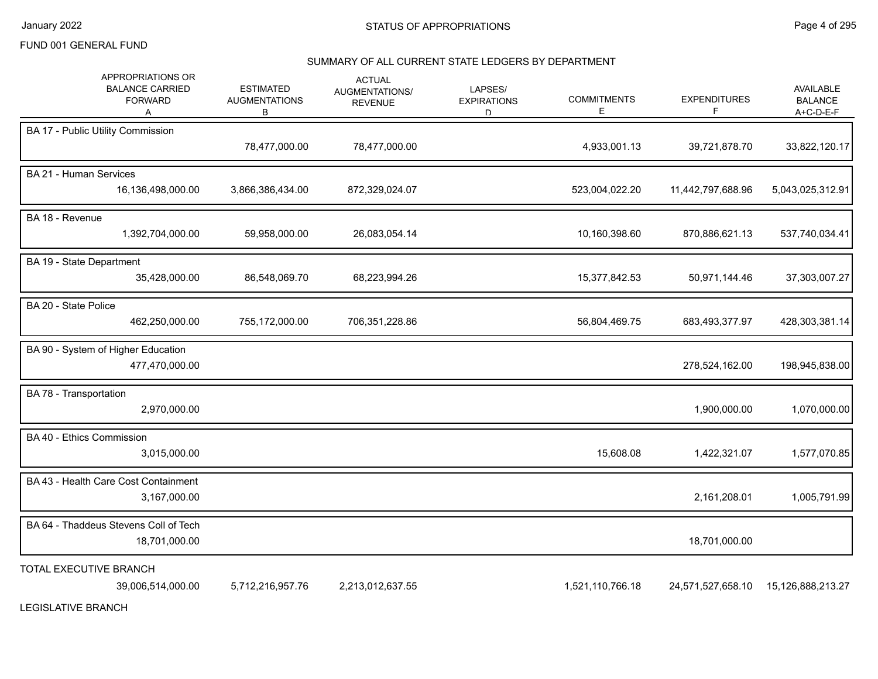January 2022 **STATUS OF APPROPRIATIONS** STATUS OF APPROPRIATIONS

#### FUND 001 GENERAL FUND

#### SUMMARY OF ALL CURRENT STATE LEDGERS BY DEPARTMENT

| APPROPRIATIONS OR<br><b>BALANCE CARRIED</b><br><b>FORWARD</b><br>A | <b>ESTIMATED</b><br><b>AUGMENTATIONS</b><br>В | <b>ACTUAL</b><br>AUGMENTATIONS/<br><b>REVENUE</b> | LAPSES/<br><b>EXPIRATIONS</b><br>D | <b>COMMITMENTS</b><br>E | <b>EXPENDITURES</b><br>F | <b>AVAILABLE</b><br><b>BALANCE</b><br>A+C-D-E-F |
|--------------------------------------------------------------------|-----------------------------------------------|---------------------------------------------------|------------------------------------|-------------------------|--------------------------|-------------------------------------------------|
| BA 17 - Public Utility Commission                                  | 78,477,000.00                                 | 78,477,000.00                                     |                                    | 4,933,001.13            | 39,721,878.70            | 33,822,120.17                                   |
| BA 21 - Human Services<br>16,136,498,000.00                        | 3,866,386,434.00                              | 872,329,024.07                                    |                                    | 523,004,022.20          | 11,442,797,688.96        | 5,043,025,312.91                                |
| BA 18 - Revenue<br>1,392,704,000.00                                | 59,958,000.00                                 | 26,083,054.14                                     |                                    | 10,160,398.60           | 870,886,621.13           | 537,740,034.41                                  |
| BA 19 - State Department<br>35,428,000.00                          | 86,548,069.70                                 | 68,223,994.26                                     |                                    | 15,377,842.53           | 50,971,144.46            | 37,303,007.27                                   |
| BA 20 - State Police<br>462,250,000.00                             | 755,172,000.00                                | 706,351,228.86                                    |                                    | 56,804,469.75           | 683,493,377.97           | 428,303,381.14                                  |
| BA 90 - System of Higher Education<br>477,470,000.00               |                                               |                                                   |                                    |                         | 278,524,162.00           | 198,945,838.00                                  |
| BA 78 - Transportation<br>2,970,000.00                             |                                               |                                                   |                                    |                         | 1,900,000.00             | 1,070,000.00                                    |
| BA 40 - Ethics Commission<br>3,015,000.00                          |                                               |                                                   |                                    | 15,608.08               | 1,422,321.07             | 1,577,070.85                                    |
| BA 43 - Health Care Cost Containment<br>3,167,000.00               |                                               |                                                   |                                    |                         | 2,161,208.01             | 1,005,791.99                                    |
| BA 64 - Thaddeus Stevens Coll of Tech<br>18,701,000.00             |                                               |                                                   |                                    |                         | 18,701,000.00            |                                                 |
| TOTAL EXECUTIVE BRANCH<br>39,006,514,000.00                        | 5,712,216,957.76                              | 2,213,012,637.55                                  |                                    | 1,521,110,766.18        | 24,571,527,658.10        | 15,126,888,213.27                               |

LEGISLATIVE BRANCH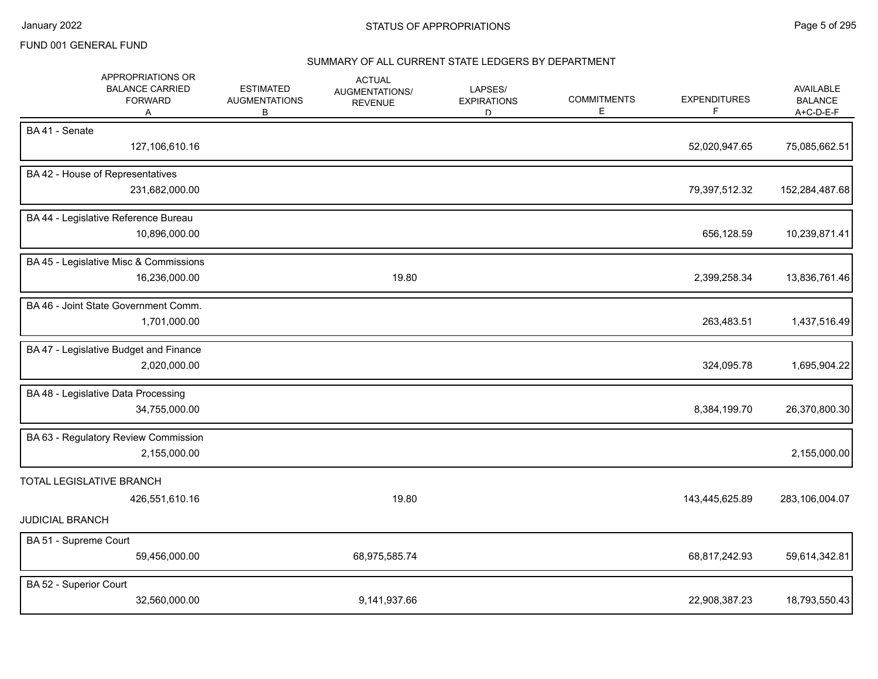#### SUMMARY OF ALL CURRENT STATE LEDGERS BY DEPARTMENT

| APPROPRIATIONS OR<br><b>BALANCE CARRIED</b><br><b>FORWARD</b><br>A | <b>ESTIMATED</b><br><b>AUGMENTATIONS</b><br>В | <b>ACTUAL</b><br>AUGMENTATIONS/<br><b>REVENUE</b> | LAPSES/<br><b>EXPIRATIONS</b><br>D. | <b>COMMITMENTS</b><br>Е | <b>EXPENDITURES</b><br>F | AVAILABLE<br><b>BALANCE</b><br>A+C-D-E-F |
|--------------------------------------------------------------------|-----------------------------------------------|---------------------------------------------------|-------------------------------------|-------------------------|--------------------------|------------------------------------------|
| BA 41 - Senate<br>127,106,610.16                                   |                                               |                                                   |                                     |                         | 52,020,947.65            | 75,085,662.51                            |
| BA 42 - House of Representatives<br>231,682,000.00                 |                                               |                                                   |                                     |                         | 79,397,512.32            | 152,284,487.68                           |
| BA 44 - Legislative Reference Bureau<br>10,896,000.00              |                                               |                                                   |                                     |                         | 656,128.59               | 10,239,871.41                            |
| BA 45 - Legislative Misc & Commissions<br>16,236,000.00            |                                               | 19.80                                             |                                     |                         | 2,399,258.34             | 13,836,761.46                            |
| BA 46 - Joint State Government Comm.<br>1,701,000.00               |                                               |                                                   |                                     |                         | 263,483.51               | 1,437,516.49                             |
| BA 47 - Legislative Budget and Finance<br>2,020,000.00             |                                               |                                                   |                                     |                         | 324,095.78               | 1,695,904.22                             |
| BA 48 - Legislative Data Processing<br>34,755,000.00               |                                               |                                                   |                                     |                         | 8,384,199.70             | 26,370,800.30                            |
| BA 63 - Regulatory Review Commission<br>2,155,000.00               |                                               |                                                   |                                     |                         |                          | 2,155,000.00                             |
| TOTAL LEGISLATIVE BRANCH<br>426,551,610.16                         |                                               | 19.80                                             |                                     |                         | 143,445,625.89           | 283,106,004.07                           |
| <b>JUDICIAL BRANCH</b><br>BA 51 - Supreme Court<br>59,456,000.00   |                                               | 68,975,585.74                                     |                                     |                         | 68,817,242.93            | 59,614,342.81                            |
| BA 52 - Superior Court<br>32,560,000.00                            |                                               | 9,141,937.66                                      |                                     |                         | 22,908,387.23            | 18,793,550.43                            |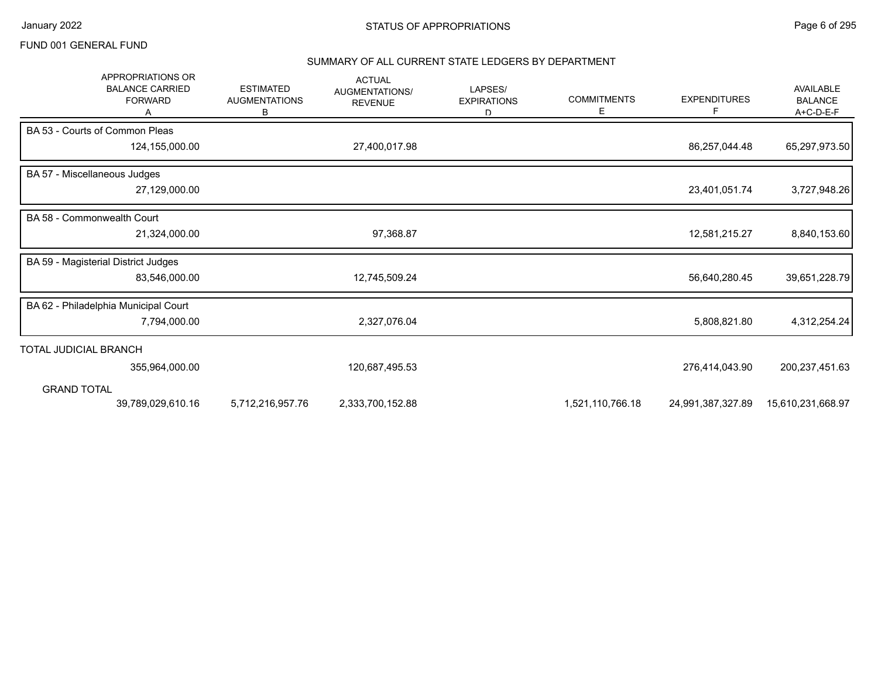#### SUMMARY OF ALL CURRENT STATE LEDGERS BY DEPARTMENT

| <b>APPROPRIATIONS OR</b><br><b>BALANCE CARRIED</b><br><b>FORWARD</b> | <b>ESTIMATED</b><br><b>AUGMENTATIONS</b><br>В | <b>ACTUAL</b><br>AUGMENTATIONS/<br><b>REVENUE</b> | LAPSES/<br><b>EXPIRATIONS</b><br>D | <b>COMMITMENTS</b><br>Е | <b>EXPENDITURES</b><br>F | AVAILABLE<br><b>BALANCE</b><br>A+C-D-E-F |
|----------------------------------------------------------------------|-----------------------------------------------|---------------------------------------------------|------------------------------------|-------------------------|--------------------------|------------------------------------------|
| BA 53 - Courts of Common Pleas                                       |                                               |                                                   |                                    |                         |                          |                                          |
| 124,155,000.00                                                       |                                               | 27,400,017.98                                     |                                    |                         | 86,257,044.48            | 65,297,973.50                            |
| BA 57 - Miscellaneous Judges                                         |                                               |                                                   |                                    |                         |                          |                                          |
| 27,129,000.00                                                        |                                               |                                                   |                                    |                         | 23,401,051.74            | 3,727,948.26                             |
| BA 58 - Commonwealth Court                                           |                                               |                                                   |                                    |                         |                          |                                          |
| 21,324,000.00                                                        |                                               | 97,368.87                                         |                                    |                         | 12,581,215.27            | 8,840,153.60                             |
| BA 59 - Magisterial District Judges                                  |                                               |                                                   |                                    |                         |                          |                                          |
| 83,546,000.00                                                        |                                               | 12,745,509.24                                     |                                    |                         | 56,640,280.45            | 39,651,228.79                            |
| BA 62 - Philadelphia Municipal Court                                 |                                               |                                                   |                                    |                         |                          |                                          |
| 7,794,000.00                                                         |                                               | 2,327,076.04                                      |                                    |                         | 5,808,821.80             | 4,312,254.24                             |
| TOTAL JUDICIAL BRANCH                                                |                                               |                                                   |                                    |                         |                          |                                          |
| 355,964,000.00                                                       |                                               | 120,687,495.53                                    |                                    |                         | 276,414,043.90           | 200, 237, 451.63                         |
| <b>GRAND TOTAL</b>                                                   |                                               |                                                   |                                    |                         |                          |                                          |
| 39,789,029,610.16                                                    | 5,712,216,957.76                              | 2,333,700,152.88                                  |                                    | 1,521,110,766.18        | 24,991,387,327.89        | 15,610,231,668.97                        |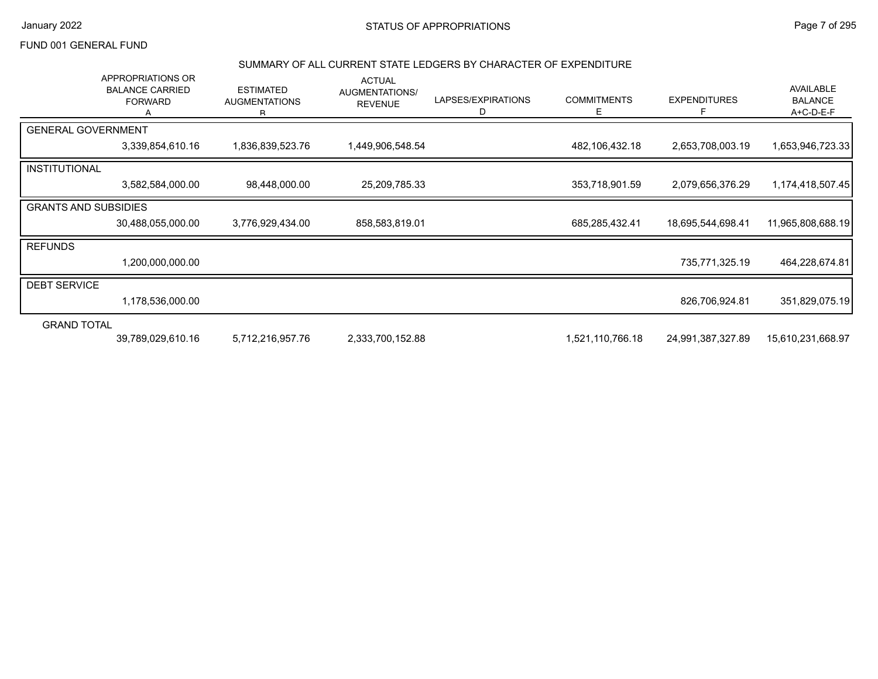# January 2022 **STATUS OF APPROPRIATIONS** STATUS OF APPROPRIATIONS

#### FUND 001 GENERAL FUND

#### SUMMARY OF ALL CURRENT STATE LEDGERS BY CHARACTER OF EXPENDITURE

|                             | APPROPRIATIONS OR<br><b>BALANCE CARRIED</b><br><b>FORWARD</b> | <b>ESTIMATED</b><br><b>AUGMENTATIONS</b><br>R. | <b>ACTUAL</b><br>AUGMENTATIONS/<br><b>REVENUE</b> | LAPSES/EXPIRATIONS<br>D | <b>COMMITMENTS</b><br>E. | <b>EXPENDITURES</b> | AVAILABLE<br><b>BALANCE</b><br>$A+C-D-E-F$ |
|-----------------------------|---------------------------------------------------------------|------------------------------------------------|---------------------------------------------------|-------------------------|--------------------------|---------------------|--------------------------------------------|
| <b>GENERAL GOVERNMENT</b>   |                                                               |                                                |                                                   |                         |                          |                     |                                            |
|                             | 3,339,854,610.16                                              | 1,836,839,523.76                               | 1,449,906,548.54                                  |                         | 482,106,432.18           | 2,653,708,003.19    | 1,653,946,723.33                           |
| INSTITUTIONAL               |                                                               |                                                |                                                   |                         |                          |                     |                                            |
|                             | 3,582,584,000.00                                              | 98,448,000.00                                  | 25,209,785.33                                     |                         | 353,718,901.59           | 2,079,656,376.29    | 1,174,418,507.45                           |
| <b>GRANTS AND SUBSIDIES</b> |                                                               |                                                |                                                   |                         |                          |                     |                                            |
|                             | 30,488,055,000.00                                             | 3,776,929,434.00                               | 858,583,819.01                                    |                         | 685,285,432.41           | 18,695,544,698.41   | 11,965,808,688.19                          |
| <b>REFUNDS</b>              |                                                               |                                                |                                                   |                         |                          |                     |                                            |
|                             | 1,200,000,000.00                                              |                                                |                                                   |                         |                          | 735,771,325.19      | 464,228,674.81                             |
| <b>DEBT SERVICE</b>         |                                                               |                                                |                                                   |                         |                          |                     |                                            |
|                             | 1,178,536,000.00                                              |                                                |                                                   |                         |                          | 826,706,924.81      | 351,829,075.19                             |
| <b>GRAND TOTAL</b>          |                                                               |                                                |                                                   |                         |                          |                     |                                            |
|                             | 39,789,029,610.16                                             | 5,712,216,957.76                               | 2,333,700,152.88                                  |                         | 1,521,110,766.18         | 24,991,387,327.89   | 15,610,231,668.97                          |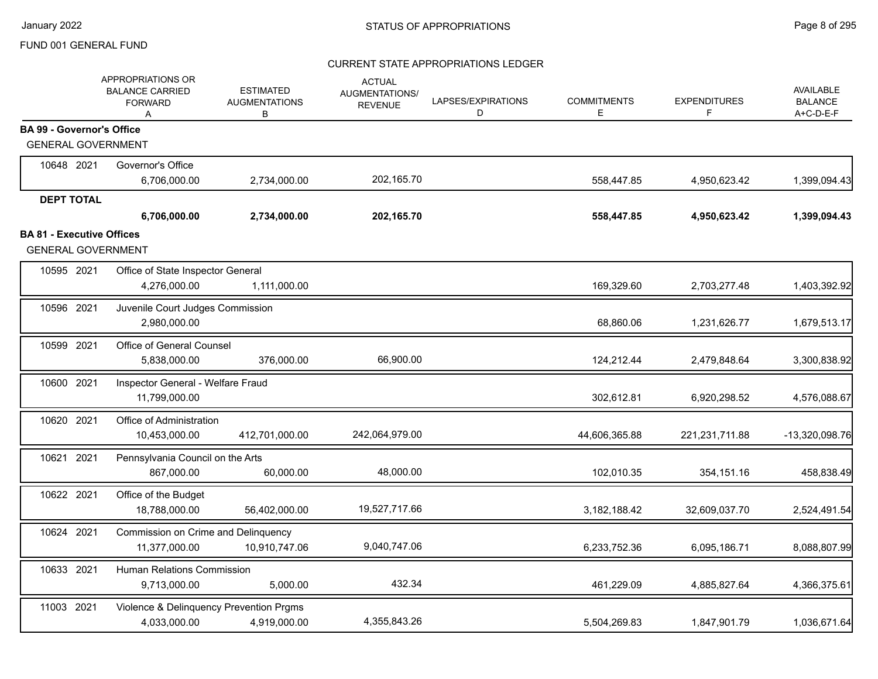|                                  | APPROPRIATIONS OR<br><b>BALANCE CARRIED</b><br><b>FORWARD</b><br>A | <b>ESTIMATED</b><br><b>AUGMENTATIONS</b><br>В | <b>ACTUAL</b><br><b>AUGMENTATIONS/</b><br><b>REVENUE</b> | LAPSES/EXPIRATIONS<br>D | <b>COMMITMENTS</b><br>E | <b>EXPENDITURES</b><br>F | AVAILABLE<br><b>BALANCE</b><br>A+C-D-E-F |
|----------------------------------|--------------------------------------------------------------------|-----------------------------------------------|----------------------------------------------------------|-------------------------|-------------------------|--------------------------|------------------------------------------|
| <b>BA 99 - Governor's Office</b> |                                                                    |                                               |                                                          |                         |                         |                          |                                          |
| <b>GENERAL GOVERNMENT</b>        |                                                                    |                                               |                                                          |                         |                         |                          |                                          |
| 10648 2021                       | Governor's Office                                                  |                                               |                                                          |                         |                         |                          |                                          |
|                                  | 6,706,000.00                                                       | 2,734,000.00                                  | 202,165.70                                               |                         | 558,447.85              | 4,950,623.42             | 1,399,094.43                             |
| <b>DEPT TOTAL</b>                |                                                                    |                                               |                                                          |                         |                         |                          |                                          |
|                                  | 6,706,000.00                                                       | 2,734,000.00                                  | 202,165.70                                               |                         | 558,447.85              | 4,950,623.42             | 1,399,094.43                             |
| <b>BA 81 - Executive Offices</b> |                                                                    |                                               |                                                          |                         |                         |                          |                                          |
| <b>GENERAL GOVERNMENT</b>        |                                                                    |                                               |                                                          |                         |                         |                          |                                          |
| 10595 2021                       | Office of State Inspector General                                  |                                               |                                                          |                         |                         |                          |                                          |
|                                  | 4,276,000.00                                                       | 1,111,000.00                                  |                                                          |                         | 169,329.60              | 2,703,277.48             | 1,403,392.92                             |
| 10596 2021                       | Juvenile Court Judges Commission                                   |                                               |                                                          |                         |                         |                          |                                          |
|                                  | 2,980,000.00                                                       |                                               |                                                          |                         | 68,860.06               | 1,231,626.77             | 1,679,513.17                             |
| 10599 2021                       | Office of General Counsel                                          |                                               |                                                          |                         |                         |                          |                                          |
|                                  | 5,838,000.00                                                       | 376,000.00                                    | 66,900.00                                                |                         | 124,212.44              | 2,479,848.64             | 3,300,838.92                             |
| 10600 2021                       | Inspector General - Welfare Fraud                                  |                                               |                                                          |                         |                         |                          |                                          |
|                                  | 11,799,000.00                                                      |                                               |                                                          |                         | 302,612.81              | 6,920,298.52             | 4,576,088.67                             |
| 10620 2021                       | Office of Administration                                           |                                               |                                                          |                         |                         |                          |                                          |
|                                  | 10,453,000.00                                                      | 412,701,000.00                                | 242,064,979.00                                           |                         | 44,606,365.88           | 221,231,711.88           | -13,320,098.76                           |
| 10621 2021                       | Pennsylvania Council on the Arts                                   |                                               |                                                          |                         |                         |                          |                                          |
|                                  | 867,000.00                                                         | 60,000.00                                     | 48,000.00                                                |                         | 102,010.35              | 354,151.16               | 458,838.49                               |
| 10622 2021                       | Office of the Budget                                               |                                               |                                                          |                         |                         |                          |                                          |
|                                  | 18,788,000.00                                                      | 56,402,000.00                                 | 19,527,717.66                                            |                         | 3,182,188.42            | 32,609,037.70            | 2,524,491.54                             |
| 10624 2021                       | Commission on Crime and Delinquency                                |                                               |                                                          |                         |                         |                          |                                          |
|                                  | 11,377,000.00                                                      | 10,910,747.06                                 | 9,040,747.06                                             |                         | 6,233,752.36            | 6,095,186.71             | 8,088,807.99                             |
| 10633 2021                       | Human Relations Commission                                         |                                               |                                                          |                         |                         |                          |                                          |
|                                  | 9,713,000.00                                                       | 5,000.00                                      | 432.34                                                   |                         | 461,229.09              | 4,885,827.64             | 4,366,375.61                             |
| 11003 2021                       | Violence & Delinquency Prevention Prgms                            |                                               |                                                          |                         |                         |                          |                                          |
|                                  | 4,033,000.00                                                       | 4,919,000.00                                  | 4,355,843.26                                             |                         | 5,504,269.83            | 1,847,901.79             | 1,036,671.64                             |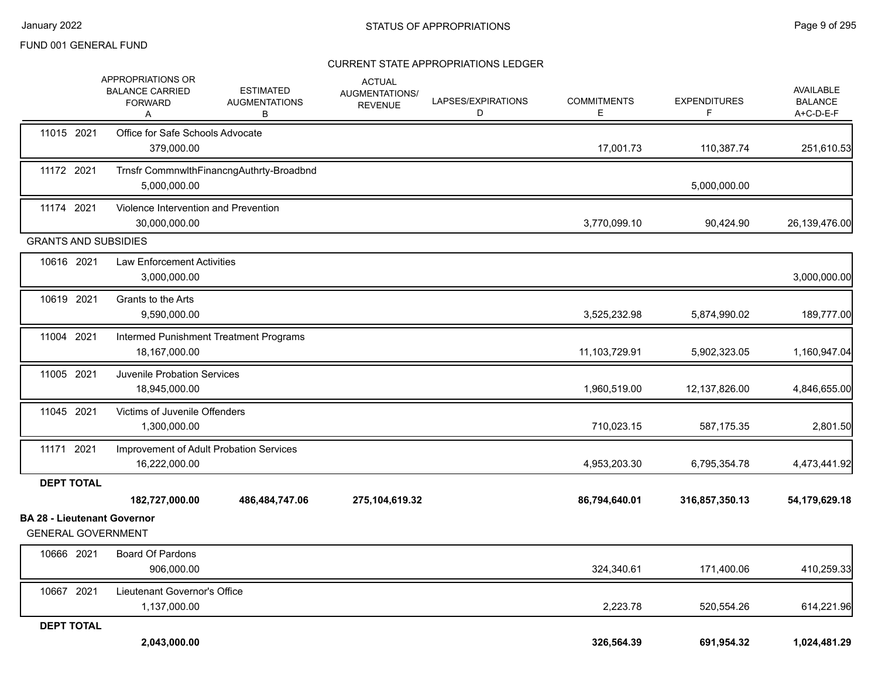|                                                                 | APPROPRIATIONS OR<br><b>BALANCE CARRIED</b><br><b>FORWARD</b><br>A | <b>ESTIMATED</b><br><b>AUGMENTATIONS</b><br>В | <b>ACTUAL</b><br>AUGMENTATIONS/<br><b>REVENUE</b> | LAPSES/EXPIRATIONS<br>D | <b>COMMITMENTS</b><br>E | <b>EXPENDITURES</b><br>F. | AVAILABLE<br><b>BALANCE</b><br>A+C-D-E-F |
|-----------------------------------------------------------------|--------------------------------------------------------------------|-----------------------------------------------|---------------------------------------------------|-------------------------|-------------------------|---------------------------|------------------------------------------|
| 11015 2021                                                      | Office for Safe Schools Advocate<br>379.000.00                     |                                               |                                                   |                         | 17,001.73               | 110,387.74                | 251,610.53                               |
| 11172 2021                                                      | 5,000,000.00                                                       | Trnsfr CommnwlthFinancngAuthrty-Broadbnd      |                                                   |                         |                         | 5,000,000.00              |                                          |
| 11174 2021                                                      | Violence Intervention and Prevention<br>30,000,000.00              |                                               |                                                   |                         | 3,770,099.10            | 90,424.90                 | 26,139,476.00                            |
| <b>GRANTS AND SUBSIDIES</b>                                     |                                                                    |                                               |                                                   |                         |                         |                           |                                          |
| 10616 2021                                                      | <b>Law Enforcement Activities</b><br>3,000,000.00                  |                                               |                                                   |                         |                         |                           | 3,000,000.00                             |
| 10619 2021                                                      | Grants to the Arts<br>9,590,000.00                                 |                                               |                                                   |                         | 3,525,232.98            | 5,874,990.02              | 189,777.00                               |
| 11004 2021                                                      | 18,167,000.00                                                      | Intermed Punishment Treatment Programs        |                                                   |                         | 11,103,729.91           | 5,902,323.05              | 1,160,947.04                             |
| 11005 2021                                                      | Juvenile Probation Services<br>18,945,000.00                       |                                               |                                                   |                         | 1,960,519.00            | 12,137,826.00             | 4,846,655.00                             |
| 11045 2021                                                      | Victims of Juvenile Offenders<br>1,300,000.00                      |                                               |                                                   |                         | 710,023.15              | 587,175.35                | 2,801.50                                 |
| 11171 2021                                                      | 16,222,000.00                                                      | Improvement of Adult Probation Services       |                                                   |                         | 4,953,203.30            | 6,795,354.78              | 4,473,441.92                             |
| <b>DEPT TOTAL</b>                                               |                                                                    |                                               |                                                   |                         |                         |                           |                                          |
|                                                                 | 182,727,000.00                                                     | 486,484,747.06                                | 275,104,619.32                                    |                         | 86,794,640.01           | 316,857,350.13            | 54,179,629.18                            |
| <b>BA 28 - Lieutenant Governor</b><br><b>GENERAL GOVERNMENT</b> |                                                                    |                                               |                                                   |                         |                         |                           |                                          |
| 10666 2021                                                      | Board Of Pardons<br>906,000.00                                     |                                               |                                                   |                         | 324,340.61              | 171,400.06                | 410,259.33                               |
| 10667 2021                                                      | Lieutenant Governor's Office<br>1,137,000.00                       |                                               |                                                   |                         | 2,223.78                | 520,554.26                | 614,221.96                               |
| <b>DEPT TOTAL</b>                                               |                                                                    |                                               |                                                   |                         |                         |                           |                                          |
|                                                                 | 2,043,000.00                                                       |                                               |                                                   |                         | 326,564.39              | 691,954.32                | 1,024,481.29                             |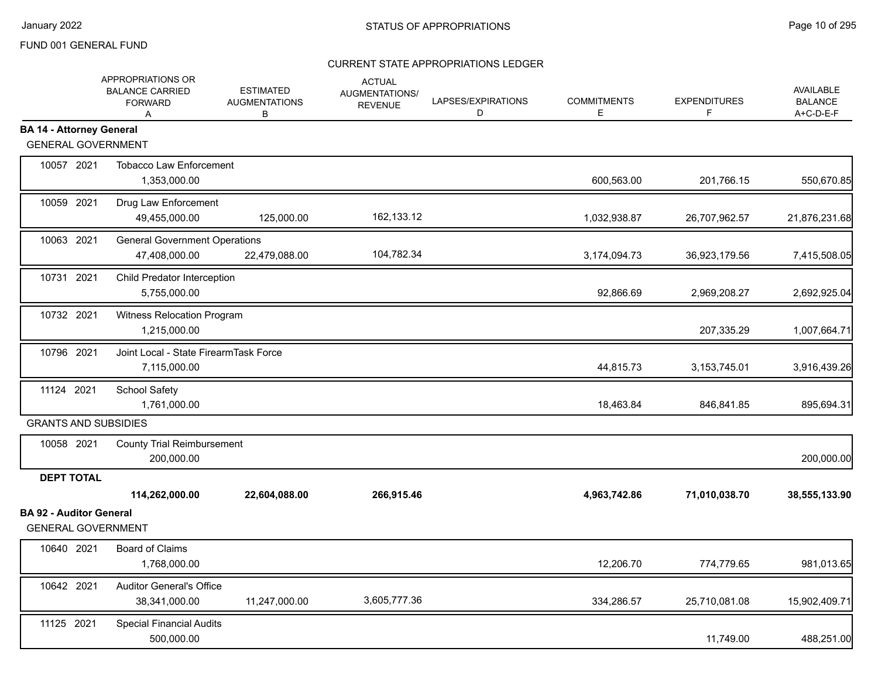|                                                             | APPROPRIATIONS OR<br><b>BALANCE CARRIED</b><br><b>FORWARD</b><br>A | <b>ESTIMATED</b><br><b>AUGMENTATIONS</b><br>B | <b>ACTUAL</b><br>AUGMENTATIONS/<br><b>REVENUE</b> | LAPSES/EXPIRATIONS<br>D | <b>COMMITMENTS</b><br>Е | <b>EXPENDITURES</b><br>F. | AVAILABLE<br><b>BALANCE</b><br>A+C-D-E-F |
|-------------------------------------------------------------|--------------------------------------------------------------------|-----------------------------------------------|---------------------------------------------------|-------------------------|-------------------------|---------------------------|------------------------------------------|
| <b>BA 14 - Attorney General</b>                             |                                                                    |                                               |                                                   |                         |                         |                           |                                          |
| <b>GENERAL GOVERNMENT</b>                                   |                                                                    |                                               |                                                   |                         |                         |                           |                                          |
| 10057 2021                                                  | <b>Tobacco Law Enforcement</b><br>1,353,000.00                     |                                               |                                                   |                         | 600,563.00              | 201,766.15                | 550,670.85                               |
| 10059 2021                                                  | Drug Law Enforcement<br>49,455,000.00                              | 125,000.00                                    | 162,133.12                                        |                         | 1,032,938.87            | 26,707,962.57             | 21,876,231.68                            |
| 10063 2021                                                  | <b>General Government Operations</b><br>47,408,000.00              | 22,479,088.00                                 | 104,782.34                                        |                         | 3,174,094.73            | 36,923,179.56             | 7,415,508.05                             |
| 10731 2021                                                  | Child Predator Interception<br>5,755,000.00                        |                                               |                                                   |                         | 92,866.69               | 2,969,208.27              | 2,692,925.04                             |
| 10732 2021                                                  | Witness Relocation Program<br>1,215,000.00                         |                                               |                                                   |                         |                         | 207,335.29                | 1,007,664.71                             |
| 10796 2021                                                  | Joint Local - State FirearmTask Force<br>7,115,000.00              |                                               |                                                   |                         | 44,815.73               | 3, 153, 745.01            | 3,916,439.26                             |
| 11124 2021                                                  | School Safety<br>1,761,000.00                                      |                                               |                                                   |                         | 18,463.84               | 846,841.85                | 895,694.31                               |
| <b>GRANTS AND SUBSIDIES</b>                                 |                                                                    |                                               |                                                   |                         |                         |                           |                                          |
| 10058 2021                                                  | <b>County Trial Reimbursement</b><br>200,000.00                    |                                               |                                                   |                         |                         |                           | 200,000.00                               |
| <b>DEPT TOTAL</b>                                           |                                                                    |                                               |                                                   |                         |                         |                           |                                          |
|                                                             | 114,262,000.00                                                     | 22,604,088.00                                 | 266,915.46                                        |                         | 4,963,742.86            | 71,010,038.70             | 38,555,133.90                            |
| <b>BA 92 - Auditor General</b><br><b>GENERAL GOVERNMENT</b> |                                                                    |                                               |                                                   |                         |                         |                           |                                          |
| 10640 2021                                                  | <b>Board of Claims</b><br>1,768,000.00                             |                                               |                                                   |                         | 12,206.70               | 774,779.65                | 981,013.65                               |
| 10642 2021                                                  | <b>Auditor General's Office</b><br>38,341,000.00                   | 11,247,000.00                                 | 3,605,777.36                                      |                         | 334,286.57              | 25,710,081.08             | 15,902,409.71                            |
| 11125 2021                                                  | <b>Special Financial Audits</b><br>500,000.00                      |                                               |                                                   |                         |                         | 11,749.00                 | 488,251.00                               |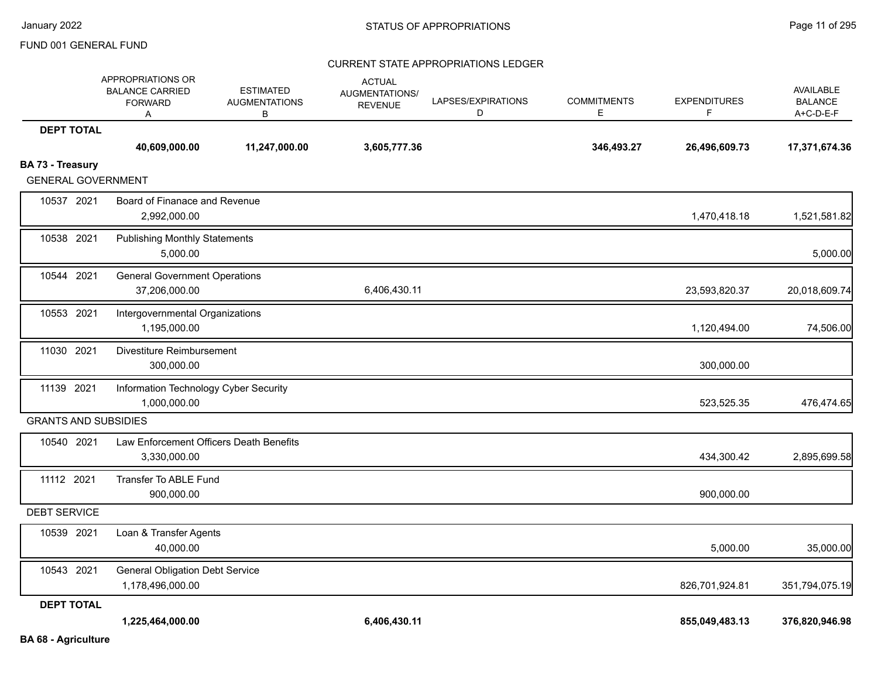|                             | APPROPRIATIONS OR<br><b>BALANCE CARRIED</b><br><b>FORWARD</b><br>Α | <b>ESTIMATED</b><br><b>AUGMENTATIONS</b><br>в | <b>ACTUAL</b><br>AUGMENTATIONS/<br><b>REVENUE</b> | LAPSES/EXPIRATIONS<br>D | <b>COMMITMENTS</b><br>E. | <b>EXPENDITURES</b><br>F. | <b>AVAILABLE</b><br><b>BALANCE</b><br>A+C-D-E-F |
|-----------------------------|--------------------------------------------------------------------|-----------------------------------------------|---------------------------------------------------|-------------------------|--------------------------|---------------------------|-------------------------------------------------|
| <b>DEPT TOTAL</b>           |                                                                    |                                               |                                                   |                         |                          |                           |                                                 |
|                             | 40,609,000.00                                                      | 11,247,000.00                                 | 3,605,777.36                                      |                         | 346,493.27               | 26,496,609.73             | 17,371,674.36                                   |
| BA 73 - Treasury            |                                                                    |                                               |                                                   |                         |                          |                           |                                                 |
| <b>GENERAL GOVERNMENT</b>   |                                                                    |                                               |                                                   |                         |                          |                           |                                                 |
| 10537 2021                  | Board of Finanace and Revenue<br>2,992,000.00                      |                                               |                                                   |                         |                          | 1,470,418.18              | 1,521,581.82                                    |
| 10538 2021                  | <b>Publishing Monthly Statements</b><br>5,000.00                   |                                               |                                                   |                         |                          |                           | 5,000.00                                        |
|                             |                                                                    |                                               |                                                   |                         |                          |                           |                                                 |
| 10544 2021                  | <b>General Government Operations</b><br>37,206,000.00              |                                               | 6,406,430.11                                      |                         |                          | 23,593,820.37             | 20,018,609.74                                   |
| 10553 2021                  | Intergovernmental Organizations<br>1,195,000.00                    |                                               |                                                   |                         |                          | 1,120,494.00              | 74,506.00                                       |
| 11030 2021                  | Divestiture Reimbursement<br>300,000.00                            |                                               |                                                   |                         |                          | 300,000.00                |                                                 |
| 11139 2021                  | Information Technology Cyber Security<br>1,000,000.00              |                                               |                                                   |                         |                          | 523,525.35                | 476,474.65                                      |
| <b>GRANTS AND SUBSIDIES</b> |                                                                    |                                               |                                                   |                         |                          |                           |                                                 |
| 10540 2021                  | Law Enforcement Officers Death Benefits<br>3,330,000.00            |                                               |                                                   |                         |                          | 434,300.42                | 2,895,699.58                                    |
| 11112 2021                  | Transfer To ABLE Fund<br>900,000.00                                |                                               |                                                   |                         |                          | 900,000.00                |                                                 |
| <b>DEBT SERVICE</b>         |                                                                    |                                               |                                                   |                         |                          |                           |                                                 |
| 10539 2021                  | Loan & Transfer Agents<br>40,000.00                                |                                               |                                                   |                         |                          | 5,000.00                  | 35,000.00                                       |
| 10543 2021                  | <b>General Obligation Debt Service</b><br>1,178,496,000.00         |                                               |                                                   |                         |                          | 826,701,924.81            | 351,794,075.19                                  |
| <b>DEPT TOTAL</b>           |                                                                    |                                               |                                                   |                         |                          |                           |                                                 |
|                             | 1,225,464,000.00                                                   |                                               | 6,406,430.11                                      |                         |                          | 855,049,483.13            | 376,820,946.98                                  |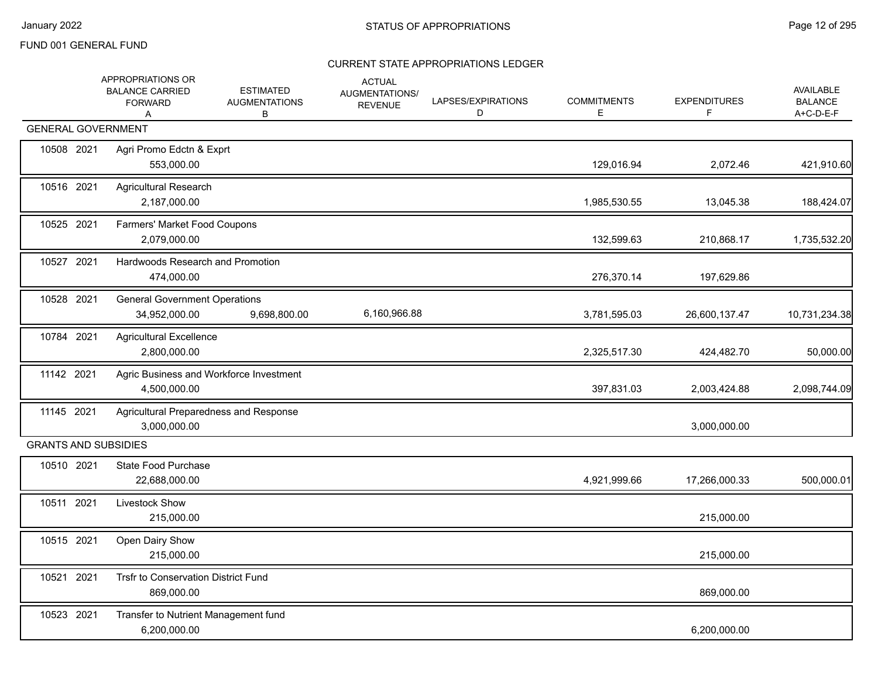|                             | APPROPRIATIONS OR<br><b>BALANCE CARRIED</b><br><b>FORWARD</b><br>A | <b>ESTIMATED</b><br><b>AUGMENTATIONS</b><br>В | <b>ACTUAL</b><br><b>AUGMENTATIONS/</b><br><b>REVENUE</b> | LAPSES/EXPIRATIONS<br>D | <b>COMMITMENTS</b><br>E. | <b>EXPENDITURES</b><br>F | <b>AVAILABLE</b><br><b>BALANCE</b><br>A+C-D-E-F |
|-----------------------------|--------------------------------------------------------------------|-----------------------------------------------|----------------------------------------------------------|-------------------------|--------------------------|--------------------------|-------------------------------------------------|
| <b>GENERAL GOVERNMENT</b>   |                                                                    |                                               |                                                          |                         |                          |                          |                                                 |
| 10508 2021                  | Agri Promo Edctn & Exprt<br>553,000.00                             |                                               |                                                          |                         | 129,016.94               | 2,072.46                 | 421,910.60                                      |
| 10516 2021                  | <b>Agricultural Research</b><br>2,187,000.00                       |                                               |                                                          |                         | 1,985,530.55             | 13,045.38                | 188,424.07                                      |
| 10525 2021                  | Farmers' Market Food Coupons<br>2,079,000.00                       |                                               |                                                          |                         | 132,599.63               | 210,868.17               | 1,735,532.20                                    |
| 10527 2021                  | Hardwoods Research and Promotion<br>474,000.00                     |                                               |                                                          |                         | 276,370.14               | 197,629.86               |                                                 |
| 10528 2021                  | <b>General Government Operations</b><br>34,952,000.00              | 9,698,800.00                                  | 6,160,966.88                                             |                         | 3,781,595.03             | 26,600,137.47            | 10,731,234.38                                   |
| 10784 2021                  | <b>Agricultural Excellence</b><br>2,800,000.00                     |                                               |                                                          |                         | 2,325,517.30             | 424,482.70               | 50,000.00                                       |
| 11142 2021                  | Agric Business and Workforce Investment<br>4,500,000.00            |                                               |                                                          |                         | 397,831.03               | 2,003,424.88             | 2,098,744.09                                    |
| 11145 2021                  | Agricultural Preparedness and Response<br>3,000,000.00             |                                               |                                                          |                         |                          | 3,000,000.00             |                                                 |
| <b>GRANTS AND SUBSIDIES</b> |                                                                    |                                               |                                                          |                         |                          |                          |                                                 |
| 10510 2021                  | <b>State Food Purchase</b><br>22,688,000.00                        |                                               |                                                          |                         | 4,921,999.66             | 17,266,000.33            | 500,000.01                                      |
| 10511 2021                  | Livestock Show<br>215,000.00                                       |                                               |                                                          |                         |                          | 215,000.00               |                                                 |
| 10515 2021                  | Open Dairy Show<br>215,000.00                                      |                                               |                                                          |                         |                          | 215,000.00               |                                                 |
| 10521 2021                  | Trsfr to Conservation District Fund<br>869,000.00                  |                                               |                                                          |                         |                          | 869,000.00               |                                                 |
| 10523 2021                  | Transfer to Nutrient Management fund<br>6,200,000.00               |                                               |                                                          |                         |                          | 6,200,000.00             |                                                 |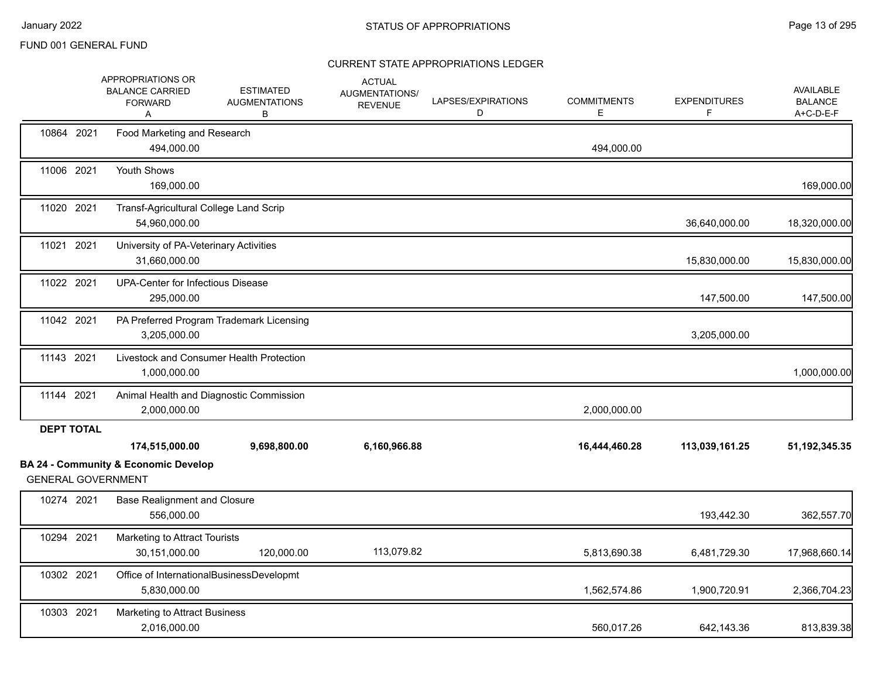|                           | APPROPRIATIONS OR<br><b>BALANCE CARRIED</b><br><b>FORWARD</b><br>A | <b>ESTIMATED</b><br><b>AUGMENTATIONS</b><br>В | <b>ACTUAL</b><br>AUGMENTATIONS/<br><b>REVENUE</b> | LAPSES/EXPIRATIONS<br>D | <b>COMMITMENTS</b><br>Е | <b>EXPENDITURES</b><br>F | <b>AVAILABLE</b><br><b>BALANCE</b><br>A+C-D-E-F |
|---------------------------|--------------------------------------------------------------------|-----------------------------------------------|---------------------------------------------------|-------------------------|-------------------------|--------------------------|-------------------------------------------------|
| 10864 2021                | Food Marketing and Research<br>494,000.00                          |                                               |                                                   |                         | 494,000.00              |                          |                                                 |
| 11006 2021                | Youth Shows<br>169,000.00                                          |                                               |                                                   |                         |                         |                          | 169,000.00                                      |
| 11020 2021                | Transf-Agricultural College Land Scrip<br>54,960,000.00            |                                               |                                                   |                         |                         | 36,640,000.00            | 18,320,000.00                                   |
| 11021 2021                | University of PA-Veterinary Activities<br>31,660,000.00            |                                               |                                                   |                         |                         | 15,830,000.00            | 15,830,000.00                                   |
| 11022 2021                | UPA-Center for Infectious Disease<br>295,000.00                    |                                               |                                                   |                         |                         | 147,500.00               | 147,500.00                                      |
| 11042 2021                | 3,205,000.00                                                       | PA Preferred Program Trademark Licensing      |                                                   |                         |                         | 3,205,000.00             |                                                 |
| 11143 2021                | 1,000,000.00                                                       | Livestock and Consumer Health Protection      |                                                   |                         |                         |                          | 1,000,000.00                                    |
| 11144 2021                | 2,000,000.00                                                       | Animal Health and Diagnostic Commission       |                                                   |                         | 2,000,000.00            |                          |                                                 |
| <b>DEPT TOTAL</b>         | 174,515,000.00                                                     | 9,698,800.00                                  | 6,160,966.88                                      |                         | 16,444,460.28           | 113,039,161.25           | 51, 192, 345. 35                                |
| <b>GENERAL GOVERNMENT</b> | <b>BA 24 - Community &amp; Economic Develop</b>                    |                                               |                                                   |                         |                         |                          |                                                 |
| 10274 2021                | <b>Base Realignment and Closure</b><br>556,000.00                  |                                               |                                                   |                         |                         | 193,442.30               | 362,557.70                                      |
| 10294 2021                | Marketing to Attract Tourists<br>30,151,000.00                     | 120,000.00                                    | 113,079.82                                        |                         | 5,813,690.38            | 6,481,729.30             | 17,968,660.14                                   |
| 10302 2021                | Office of InternationalBusinessDevelopmt<br>5,830,000.00           |                                               |                                                   |                         | 1,562,574.86            | 1,900,720.91             | 2,366,704.23                                    |
| 10303 2021                | Marketing to Attract Business<br>2,016,000.00                      |                                               |                                                   |                         | 560.017.26              | 642,143.36               | 813,839.38                                      |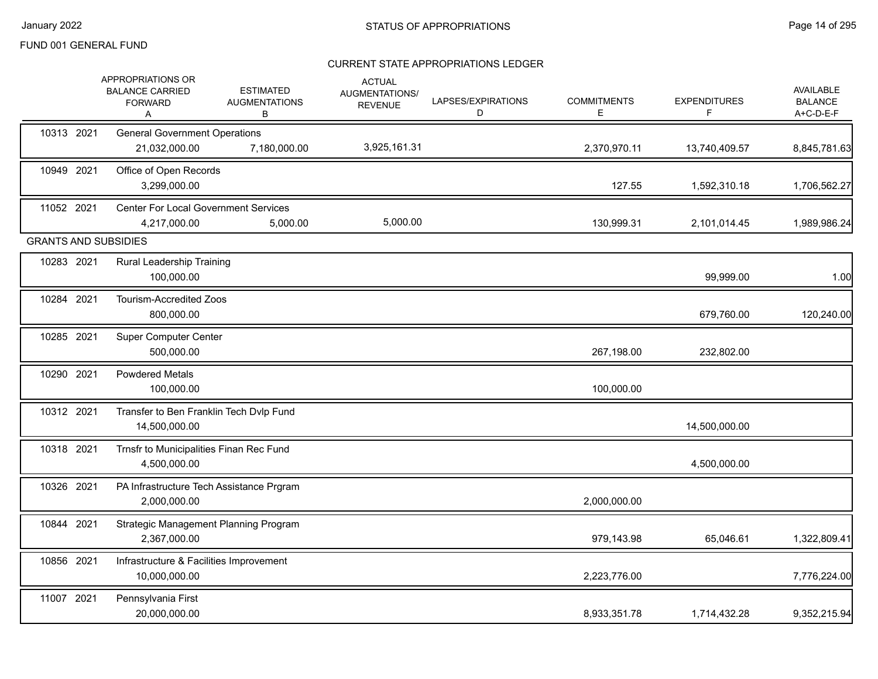|            | APPROPRIATIONS OR<br><b>BALANCE CARRIED</b><br><b>FORWARD</b><br>A | <b>ESTIMATED</b><br><b>AUGMENTATIONS</b><br>В | <b>ACTUAL</b><br>AUGMENTATIONS/<br><b>REVENUE</b> | LAPSES/EXPIRATIONS<br>D | <b>COMMITMENTS</b><br>Е | <b>EXPENDITURES</b><br>F | AVAILABLE<br><b>BALANCE</b><br>A+C-D-E-F |
|------------|--------------------------------------------------------------------|-----------------------------------------------|---------------------------------------------------|-------------------------|-------------------------|--------------------------|------------------------------------------|
| 10313 2021 | <b>General Government Operations</b><br>21,032,000.00              | 7,180,000.00                                  | 3,925,161.31                                      |                         | 2,370,970.11            | 13,740,409.57            | 8,845,781.63                             |
| 10949 2021 | Office of Open Records<br>3,299,000.00                             |                                               |                                                   |                         | 127.55                  | 1,592,310.18             | 1,706,562.27                             |
| 11052 2021 | <b>Center For Local Government Services</b><br>4,217,000.00        | 5,000.00                                      | 5,000.00                                          |                         | 130,999.31              | 2,101,014.45             | 1,989,986.24                             |
|            | <b>GRANTS AND SUBSIDIES</b>                                        |                                               |                                                   |                         |                         |                          |                                          |
| 10283 2021 | Rural Leadership Training<br>100,000.00                            |                                               |                                                   |                         |                         | 99,999.00                | 1.00                                     |
| 10284 2021 | <b>Tourism-Accredited Zoos</b><br>800,000.00                       |                                               |                                                   |                         |                         | 679,760.00               | 120,240.00                               |
| 10285 2021 | <b>Super Computer Center</b><br>500,000.00                         |                                               |                                                   |                         | 267,198.00              | 232,802.00               |                                          |
| 10290 2021 | <b>Powdered Metals</b><br>100,000.00                               |                                               |                                                   |                         | 100,000.00              |                          |                                          |
| 10312 2021 | Transfer to Ben Franklin Tech Dvlp Fund<br>14,500,000.00           |                                               |                                                   |                         |                         | 14,500,000.00            |                                          |
| 10318 2021 | Trnsfr to Municipalities Finan Rec Fund<br>4,500,000.00            |                                               |                                                   |                         |                         | 4,500,000.00             |                                          |
| 10326 2021 | PA Infrastructure Tech Assistance Prgram<br>2,000,000.00           |                                               |                                                   |                         | 2,000,000.00            |                          |                                          |
| 10844 2021 | Strategic Management Planning Program<br>2,367,000.00              |                                               |                                                   |                         | 979,143.98              | 65,046.61                | 1,322,809.41                             |
| 10856 2021 | Infrastructure & Facilities Improvement<br>10,000,000.00           |                                               |                                                   |                         | 2,223,776.00            |                          | 7,776,224.00                             |
| 11007 2021 | Pennsylvania First<br>20,000,000.00                                |                                               |                                                   |                         | 8,933,351.78            | 1,714,432.28             | 9,352,215.94                             |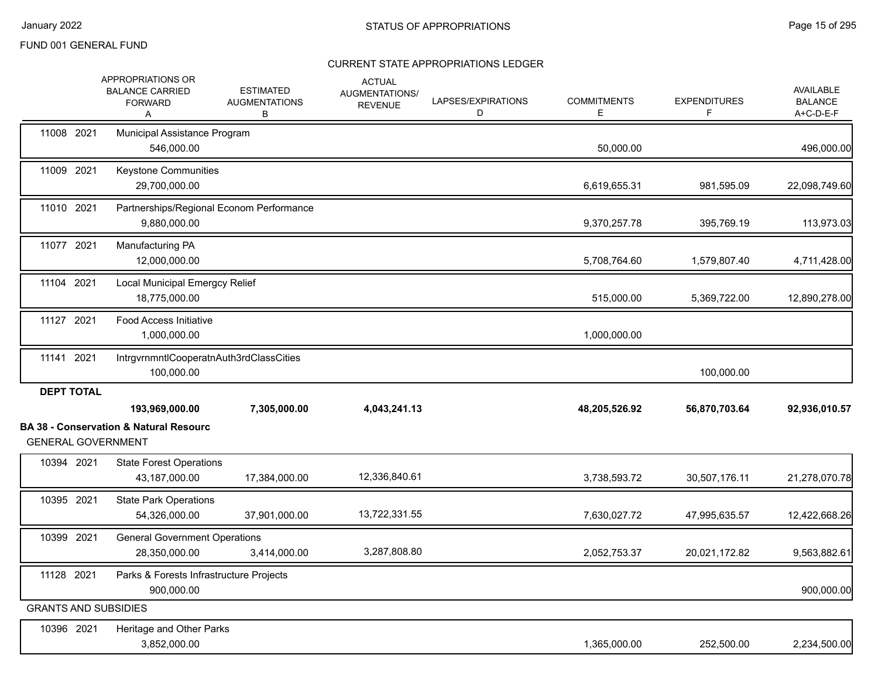|                   | APPROPRIATIONS OR<br><b>BALANCE CARRIED</b><br><b>FORWARD</b><br>A                               | <b>ESTIMATED</b><br><b>AUGMENTATIONS</b><br>В | <b>ACTUAL</b><br>AUGMENTATIONS/<br><b>REVENUE</b> | LAPSES/EXPIRATIONS<br>D | <b>COMMITMENTS</b><br>Е | <b>EXPENDITURES</b><br>F | AVAILABLE<br><b>BALANCE</b><br>A+C-D-E-F |
|-------------------|--------------------------------------------------------------------------------------------------|-----------------------------------------------|---------------------------------------------------|-------------------------|-------------------------|--------------------------|------------------------------------------|
| 11008 2021        | Municipal Assistance Program<br>546,000.00                                                       |                                               |                                                   |                         | 50,000.00               |                          | 496,000.00                               |
| 11009 2021        | Keystone Communities<br>29,700,000.00                                                            |                                               |                                                   |                         | 6,619,655.31            | 981,595.09               | 22,098,749.60                            |
| 11010 2021        | Partnerships/Regional Econom Performance<br>9,880,000.00                                         |                                               |                                                   |                         | 9,370,257.78            | 395,769.19               | 113,973.03                               |
| 11077 2021        | Manufacturing PA<br>12,000,000.00                                                                |                                               |                                                   |                         | 5,708,764.60            | 1,579,807.40             | 4,711,428.00                             |
| 11104 2021        | Local Municipal Emergcy Relief<br>18,775,000.00                                                  |                                               |                                                   |                         | 515,000.00              | 5,369,722.00             | 12,890,278.00                            |
| 11127 2021        | <b>Food Access Initiative</b><br>1,000,000.00                                                    |                                               |                                                   |                         | 1,000,000.00            |                          |                                          |
| 11141 2021        | IntrgvrnmntlCooperatnAuth3rdClassCities<br>100,000.00                                            |                                               |                                                   |                         |                         | 100,000.00               |                                          |
| <b>DEPT TOTAL</b> | 193,969,000.00<br><b>BA 38 - Conservation &amp; Natural Resourc</b><br><b>GENERAL GOVERNMENT</b> | 7,305,000.00                                  | 4,043,241.13                                      |                         | 48,205,526.92           | 56,870,703.64            | 92,936,010.57                            |
| 10394 2021        | <b>State Forest Operations</b><br>43,187,000.00                                                  | 17,384,000.00                                 | 12,336,840.61                                     |                         | 3,738,593.72            | 30,507,176.11            | 21,278,070.78                            |
| 10395 2021        | <b>State Park Operations</b><br>54,326,000.00                                                    | 37,901,000.00                                 | 13,722,331.55                                     |                         | 7,630,027.72            | 47,995,635.57            | 12,422,668.26                            |
| 10399 2021        | <b>General Government Operations</b><br>28,350,000.00                                            | 3,414,000.00                                  | 3,287,808.80                                      |                         | 2,052,753.37            | 20,021,172.82            | 9,563,882.61                             |
| 11128 2021        | Parks & Forests Infrastructure Projects<br>900,000.00                                            |                                               |                                                   |                         |                         |                          | 900,000.00                               |
|                   | <b>GRANTS AND SUBSIDIES</b>                                                                      |                                               |                                                   |                         |                         |                          |                                          |
| 10396 2021        | Heritage and Other Parks<br>3,852,000.00                                                         |                                               |                                                   |                         | 1,365,000.00            | 252,500.00               | 2,234,500.00                             |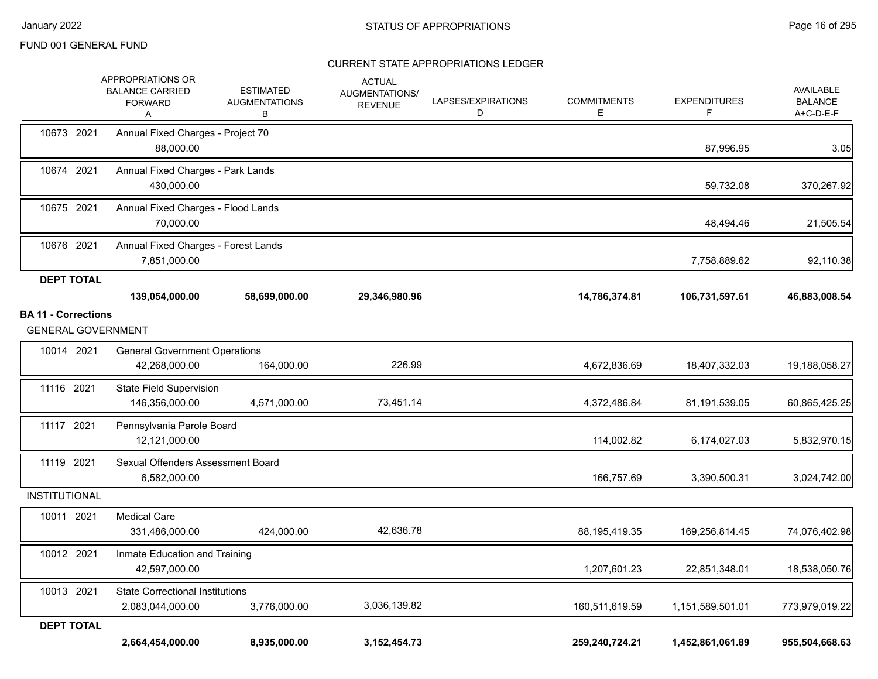|                            | <b>APPROPRIATIONS OR</b><br><b>BALANCE CARRIED</b><br><b>FORWARD</b><br>Α | <b>ESTIMATED</b><br><b>AUGMENTATIONS</b><br>В | <b>ACTUAL</b><br>AUGMENTATIONS/<br><b>REVENUE</b> | LAPSES/EXPIRATIONS<br>D | <b>COMMITMENTS</b><br>Е | <b>EXPENDITURES</b><br>F | <b>AVAILABLE</b><br><b>BALANCE</b><br>A+C-D-E-F |
|----------------------------|---------------------------------------------------------------------------|-----------------------------------------------|---------------------------------------------------|-------------------------|-------------------------|--------------------------|-------------------------------------------------|
| 10673 2021                 | Annual Fixed Charges - Project 70<br>88,000.00                            |                                               |                                                   |                         |                         | 87,996.95                | 3.05                                            |
| 10674 2021                 | Annual Fixed Charges - Park Lands<br>430,000.00                           |                                               |                                                   |                         |                         | 59,732.08                | 370,267.92                                      |
| 10675 2021                 | Annual Fixed Charges - Flood Lands<br>70,000.00                           |                                               |                                                   |                         |                         | 48,494.46                | 21,505.54                                       |
| 10676 2021                 | Annual Fixed Charges - Forest Lands<br>7,851,000.00                       |                                               |                                                   |                         |                         | 7,758,889.62             | 92,110.38                                       |
| <b>DEPT TOTAL</b>          |                                                                           |                                               |                                                   |                         |                         |                          |                                                 |
|                            | 139,054,000.00                                                            | 58,699,000.00                                 | 29,346,980.96                                     |                         | 14,786,374.81           | 106,731,597.61           | 46,883,008.54                                   |
| <b>BA 11 - Corrections</b> |                                                                           |                                               |                                                   |                         |                         |                          |                                                 |
| <b>GENERAL GOVERNMENT</b>  |                                                                           |                                               |                                                   |                         |                         |                          |                                                 |
| 10014 2021                 | <b>General Government Operations</b><br>42,268,000.00                     | 164,000.00                                    | 226.99                                            |                         | 4,672,836.69            | 18,407,332.03            | 19,188,058.27                                   |
| 11116 2021                 | <b>State Field Supervision</b><br>146,356,000.00                          | 4,571,000.00                                  | 73,451.14                                         |                         | 4,372,486.84            | 81,191,539.05            | 60,865,425.25                                   |
| 11117 2021                 | Pennsylvania Parole Board<br>12,121,000.00                                |                                               |                                                   |                         | 114,002.82              | 6,174,027.03             | 5,832,970.15                                    |
| 11119 2021                 | Sexual Offenders Assessment Board<br>6,582,000.00                         |                                               |                                                   |                         | 166,757.69              | 3,390,500.31             | 3,024,742.00                                    |
| <b>INSTITUTIONAL</b>       |                                                                           |                                               |                                                   |                         |                         |                          |                                                 |
| 10011 2021                 | <b>Medical Care</b><br>331,486,000.00                                     | 424,000.00                                    | 42,636.78                                         |                         | 88,195,419.35           | 169,256,814.45           | 74,076,402.98                                   |
| 10012 2021                 | Inmate Education and Training<br>42,597,000.00                            |                                               |                                                   |                         | 1,207,601.23            | 22,851,348.01            | 18,538,050.76                                   |
| 10013 2021                 | <b>State Correctional Institutions</b><br>2,083,044,000.00                | 3,776,000.00                                  | 3,036,139.82                                      |                         | 160,511,619.59          | 1,151,589,501.01         | 773,979,019.22                                  |
| <b>DEPT TOTAL</b>          | 2,664,454,000.00                                                          | 8,935,000.00                                  | 3, 152, 454. 73                                   |                         | 259,240,724.21          | 1,452,861,061.89         | 955,504,668.63                                  |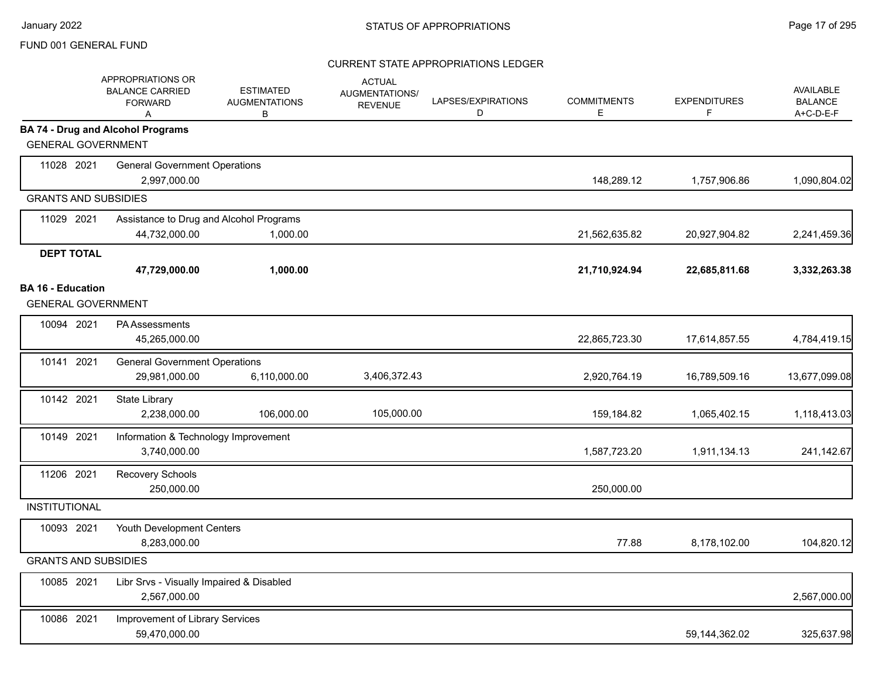|                             | APPROPRIATIONS OR<br><b>BALANCE CARRIED</b><br><b>FORWARD</b><br>Α | <b>ESTIMATED</b><br><b>AUGMENTATIONS</b><br>В | <b>ACTUAL</b><br>AUGMENTATIONS/<br><b>REVENUE</b> | LAPSES/EXPIRATIONS<br>D | <b>COMMITMENTS</b><br>Е | <b>EXPENDITURES</b><br>F. | AVAILABLE<br><b>BALANCE</b><br>A+C-D-E-F |
|-----------------------------|--------------------------------------------------------------------|-----------------------------------------------|---------------------------------------------------|-------------------------|-------------------------|---------------------------|------------------------------------------|
| <b>GENERAL GOVERNMENT</b>   | <b>BA 74 - Drug and Alcohol Programs</b>                           |                                               |                                                   |                         |                         |                           |                                          |
| 11028 2021                  | <b>General Government Operations</b>                               |                                               |                                                   |                         |                         |                           |                                          |
|                             | 2,997,000.00                                                       |                                               |                                                   |                         | 148,289.12              | 1,757,906.86              | 1,090,804.02                             |
| <b>GRANTS AND SUBSIDIES</b> |                                                                    |                                               |                                                   |                         |                         |                           |                                          |
| 11029 2021                  | Assistance to Drug and Alcohol Programs                            |                                               |                                                   |                         |                         |                           |                                          |
|                             | 44,732,000.00                                                      | 1,000.00                                      |                                                   |                         | 21,562,635.82           | 20,927,904.82             | 2,241,459.36                             |
| <b>DEPT TOTAL</b>           |                                                                    |                                               |                                                   |                         |                         |                           |                                          |
|                             | 47,729,000.00                                                      | 1,000.00                                      |                                                   |                         | 21,710,924.94           | 22,685,811.68             | 3,332,263.38                             |
| <b>BA 16 - Education</b>    |                                                                    |                                               |                                                   |                         |                         |                           |                                          |
| <b>GENERAL GOVERNMENT</b>   |                                                                    |                                               |                                                   |                         |                         |                           |                                          |
| 10094 2021                  | <b>PA Assessments</b><br>45,265,000.00                             |                                               |                                                   |                         | 22,865,723.30           | 17,614,857.55             | 4,784,419.15                             |
| 10141 2021                  | <b>General Government Operations</b><br>29,981,000.00              | 6,110,000.00                                  | 3,406,372.43                                      |                         | 2,920,764.19            | 16,789,509.16             | 13,677,099.08                            |
| 10142 2021                  | <b>State Library</b><br>2,238,000.00                               | 106,000.00                                    | 105,000.00                                        |                         | 159,184.82              | 1,065,402.15              | 1,118,413.03                             |
| 10149 2021                  | Information & Technology Improvement<br>3,740,000.00               |                                               |                                                   |                         | 1,587,723.20            | 1,911,134.13              | 241,142.67                               |
| 11206 2021                  | Recovery Schools<br>250,000.00                                     |                                               |                                                   |                         | 250,000.00              |                           |                                          |
| <b>INSTITUTIONAL</b>        |                                                                    |                                               |                                                   |                         |                         |                           |                                          |
| 10093 2021                  | Youth Development Centers<br>8,283,000.00                          |                                               |                                                   |                         | 77.88                   | 8,178,102.00              | 104,820.12                               |
| <b>GRANTS AND SUBSIDIES</b> |                                                                    |                                               |                                                   |                         |                         |                           |                                          |
| 10085 2021                  | Libr Srvs - Visually Impaired & Disabled<br>2,567,000.00           |                                               |                                                   |                         |                         |                           | 2,567,000.00                             |
| 10086 2021                  | Improvement of Library Services<br>59,470,000.00                   |                                               |                                                   |                         |                         | 59,144,362.02             | 325,637.98                               |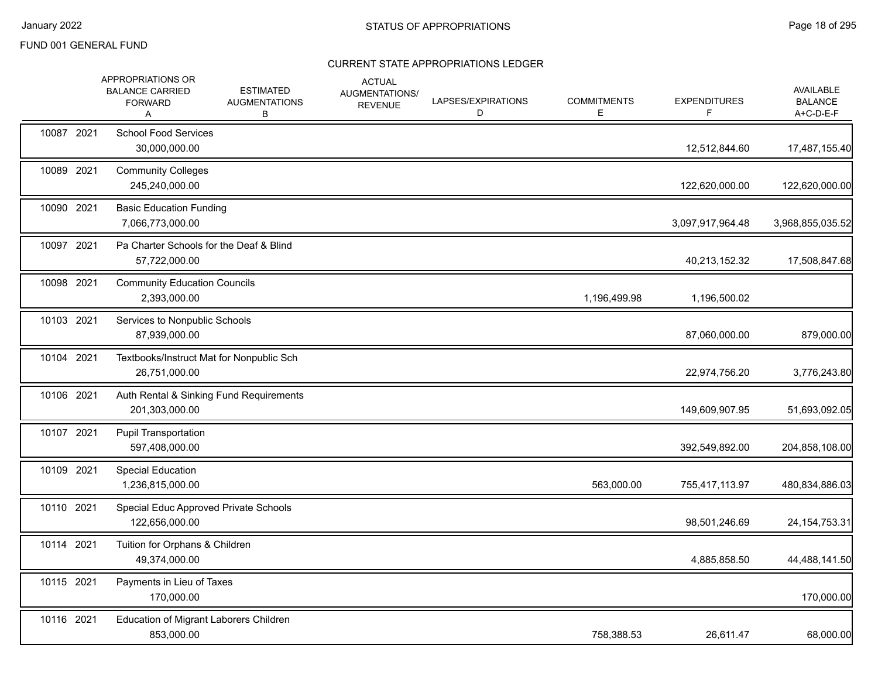|            | APPROPRIATIONS OR<br><b>BALANCE CARRIED</b><br><b>FORWARD</b><br>A | <b>ESTIMATED</b><br><b>AUGMENTATIONS</b><br>В | <b>ACTUAL</b><br>AUGMENTATIONS/<br><b>REVENUE</b> | LAPSES/EXPIRATIONS<br>D | <b>COMMITMENTS</b><br>Е | <b>EXPENDITURES</b><br>F | <b>AVAILABLE</b><br><b>BALANCE</b><br>A+C-D-E-F |
|------------|--------------------------------------------------------------------|-----------------------------------------------|---------------------------------------------------|-------------------------|-------------------------|--------------------------|-------------------------------------------------|
| 10087 2021 | <b>School Food Services</b><br>30,000,000.00                       |                                               |                                                   |                         |                         | 12,512,844.60            | 17,487,155.40                                   |
| 10089 2021 | <b>Community Colleges</b><br>245,240,000.00                        |                                               |                                                   |                         |                         | 122,620,000.00           | 122,620,000.00                                  |
| 10090 2021 | <b>Basic Education Funding</b><br>7,066,773,000.00                 |                                               |                                                   |                         |                         | 3,097,917,964.48         | 3,968,855,035.52                                |
| 10097 2021 | Pa Charter Schools for the Deaf & Blind<br>57,722,000.00           |                                               |                                                   |                         |                         | 40,213,152.32            | 17,508,847.68                                   |
| 10098 2021 | <b>Community Education Councils</b><br>2,393,000.00                |                                               |                                                   |                         | 1,196,499.98            | 1,196,500.02             |                                                 |
| 10103 2021 | Services to Nonpublic Schools<br>87,939,000.00                     |                                               |                                                   |                         |                         | 87,060,000.00            | 879,000.00                                      |
| 10104 2021 | Textbooks/Instruct Mat for Nonpublic Sch<br>26,751,000.00          |                                               |                                                   |                         |                         | 22,974,756.20            | 3,776,243.80                                    |
| 10106 2021 | Auth Rental & Sinking Fund Requirements<br>201,303,000.00          |                                               |                                                   |                         |                         | 149,609,907.95           | 51,693,092.05                                   |
| 10107 2021 | <b>Pupil Transportation</b><br>597,408,000.00                      |                                               |                                                   |                         |                         | 392,549,892.00           | 204,858,108.00                                  |
| 10109 2021 | Special Education<br>1,236,815,000.00                              |                                               |                                                   |                         | 563,000.00              | 755,417,113.97           | 480,834,886.03                                  |
| 10110 2021 | Special Educ Approved Private Schools<br>122,656,000.00            |                                               |                                                   |                         |                         | 98,501,246.69            | 24, 154, 753. 31                                |
| 10114 2021 | Tuition for Orphans & Children<br>49,374,000.00                    |                                               |                                                   |                         |                         | 4,885,858.50             | 44,488,141.50                                   |
| 10115 2021 | Payments in Lieu of Taxes<br>170,000.00                            |                                               |                                                   |                         |                         |                          | 170,000.00                                      |
| 10116 2021 | Education of Migrant Laborers Children<br>853,000.00               |                                               |                                                   |                         | 758,388.53              | 26,611.47                | 68,000.00                                       |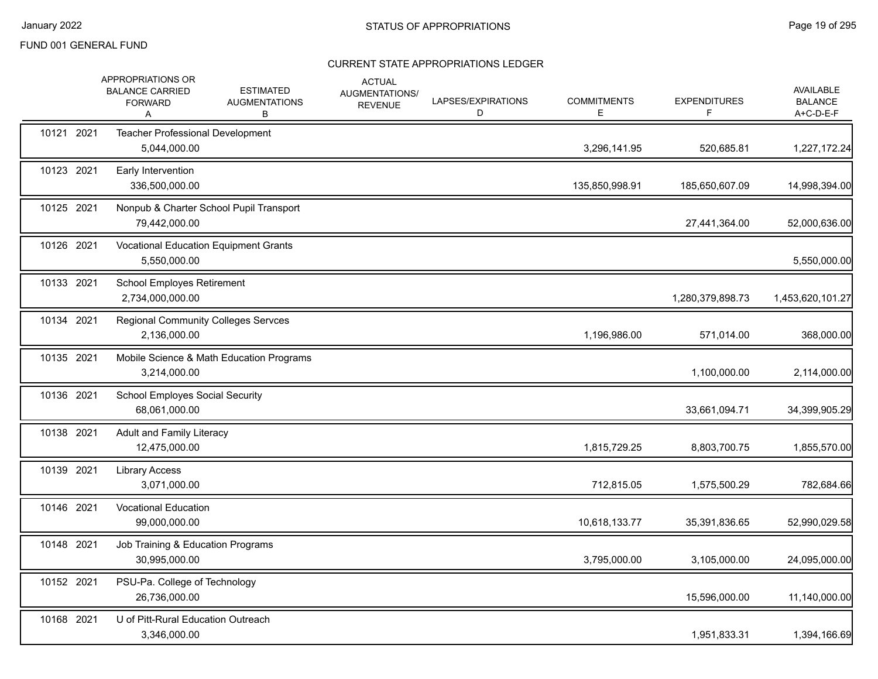|            | APPROPRIATIONS OR<br><b>BALANCE CARRIED</b><br><b>FORWARD</b><br>A | <b>ESTIMATED</b><br><b>AUGMENTATIONS</b><br>В | <b>ACTUAL</b><br>AUGMENTATIONS/<br><b>REVENUE</b> | LAPSES/EXPIRATIONS<br>D | <b>COMMITMENTS</b><br>Е | <b>EXPENDITURES</b><br>F. | AVAILABLE<br><b>BALANCE</b><br>A+C-D-E-F |
|------------|--------------------------------------------------------------------|-----------------------------------------------|---------------------------------------------------|-------------------------|-------------------------|---------------------------|------------------------------------------|
| 10121 2021 | Teacher Professional Development<br>5,044,000.00                   |                                               |                                                   |                         | 3,296,141.95            | 520,685.81                | 1,227,172.24                             |
| 10123 2021 | Early Intervention<br>336,500,000.00                               |                                               |                                                   |                         | 135,850,998.91          | 185,650,607.09            | 14,998,394.00                            |
| 10125 2021 | 79,442,000.00                                                      | Nonpub & Charter School Pupil Transport       |                                                   |                         |                         | 27,441,364.00             | 52,000,636.00                            |
| 10126 2021 | 5,550,000.00                                                       | <b>Vocational Education Equipment Grants</b>  |                                                   |                         |                         |                           | 5,550,000.00                             |
| 10133 2021 | School Employes Retirement<br>2,734,000,000.00                     |                                               |                                                   |                         |                         | 1,280,379,898.73          | 1,453,620,101.27                         |
| 10134 2021 | 2,136,000.00                                                       | <b>Regional Community Colleges Servces</b>    |                                                   |                         | 1,196,986.00            | 571,014.00                | 368,000.00                               |
| 10135 2021 | 3,214,000.00                                                       | Mobile Science & Math Education Programs      |                                                   |                         |                         | 1,100,000.00              | 2,114,000.00                             |
| 10136 2021 | <b>School Employes Social Security</b><br>68,061,000.00            |                                               |                                                   |                         |                         | 33,661,094.71             | 34,399,905.29                            |
| 10138 2021 | <b>Adult and Family Literacy</b><br>12,475,000.00                  |                                               |                                                   |                         | 1,815,729.25            | 8,803,700.75              | 1,855,570.00                             |
| 10139 2021 | <b>Library Access</b><br>3,071,000.00                              |                                               |                                                   |                         | 712,815.05              | 1,575,500.29              | 782,684.66                               |
| 10146 2021 | <b>Vocational Education</b><br>99,000,000.00                       |                                               |                                                   |                         | 10,618,133.77           | 35,391,836.65             | 52,990,029.58                            |
| 10148 2021 | Job Training & Education Programs<br>30,995,000.00                 |                                               |                                                   |                         | 3,795,000.00            | 3,105,000.00              | 24,095,000.00                            |
| 10152 2021 | PSU-Pa. College of Technology<br>26,736,000.00                     |                                               |                                                   |                         |                         | 15,596,000.00             | 11,140,000.00                            |
| 10168 2021 | U of Pitt-Rural Education Outreach<br>3,346,000.00                 |                                               |                                                   |                         |                         | 1,951,833.31              | 1,394,166.69                             |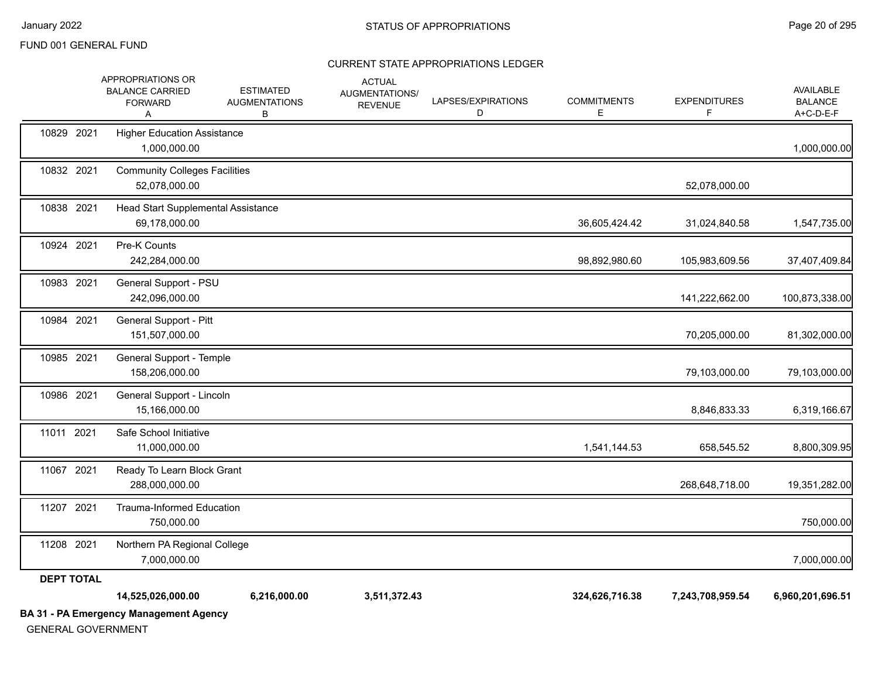| <b>GENERAL GOVERNMENT</b> | <b>BA 31 - PA Emergency Management Agency</b>                                  |                                               |                                                   |                         |                         |                          |                                          |
|---------------------------|--------------------------------------------------------------------------------|-----------------------------------------------|---------------------------------------------------|-------------------------|-------------------------|--------------------------|------------------------------------------|
|                           | 14,525,026,000.00                                                              | 6,216,000.00                                  | 3,511,372.43                                      |                         | 324,626,716.38          | 7,243,708,959.54         | 6,960,201,696.51                         |
| <b>DEPT TOTAL</b>         | 7,000,000.00                                                                   |                                               |                                                   |                         |                         |                          | 7,000,000.00                             |
| 11207 2021<br>11208 2021  | <b>Trauma-Informed Education</b><br>750,000.00<br>Northern PA Regional College |                                               |                                                   |                         |                         |                          | 750,000.00                               |
| 11067 2021                | Ready To Learn Block Grant<br>288,000,000.00                                   |                                               |                                                   |                         |                         | 268,648,718.00           | 19,351,282.00                            |
| 11011 2021                | Safe School Initiative<br>11,000,000.00                                        |                                               |                                                   |                         | 1,541,144.53            | 658,545.52               | 8,800,309.95                             |
| 10986 2021                | General Support - Lincoln<br>15,166,000.00                                     |                                               |                                                   |                         |                         | 8,846,833.33             | 6,319,166.67                             |
| 10985 2021                | General Support - Temple<br>158,206,000.00                                     |                                               |                                                   |                         |                         | 79,103,000.00            | 79,103,000.00                            |
| 10984 2021                | General Support - Pitt<br>151,507,000.00                                       |                                               |                                                   |                         |                         | 70,205,000.00            | 81,302,000.00                            |
| 10983 2021                | General Support - PSU<br>242,096,000.00                                        |                                               |                                                   |                         |                         | 141,222,662.00           | 100,873,338.00                           |
| 10924 2021                | Pre-K Counts<br>242,284,000.00                                                 |                                               |                                                   |                         | 98,892,980.60           | 105,983,609.56           | 37,407,409.84                            |
| 10838 2021                | Head Start Supplemental Assistance<br>69,178,000.00                            |                                               |                                                   |                         | 36,605,424.42           | 31,024,840.58            | 1,547,735.00                             |
| 10832 2021                | <b>Community Colleges Facilities</b><br>52,078,000.00                          |                                               |                                                   |                         |                         | 52,078,000.00            |                                          |
| 10829 2021                | <b>Higher Education Assistance</b><br>1,000,000.00                             |                                               |                                                   |                         |                         |                          | 1,000,000.00                             |
|                           | APPROPRIATIONS OR<br><b>BALANCE CARRIED</b><br><b>FORWARD</b><br>A             | <b>ESTIMATED</b><br><b>AUGMENTATIONS</b><br>В | <b>ACTUAL</b><br>AUGMENTATIONS/<br><b>REVENUE</b> | LAPSES/EXPIRATIONS<br>D | <b>COMMITMENTS</b><br>Е | <b>EXPENDITURES</b><br>F | AVAILABLE<br><b>BALANCE</b><br>A+C-D-E-F |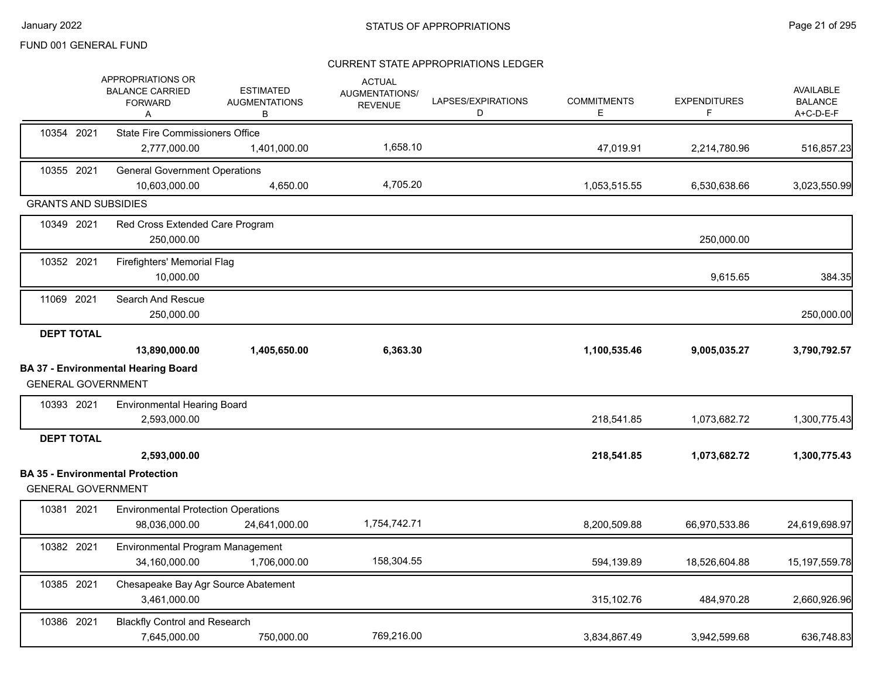|                             | APPROPRIATIONS OR<br><b>BALANCE CARRIED</b><br><b>FORWARD</b><br>Α | <b>ESTIMATED</b><br><b>AUGMENTATIONS</b><br>В | <b>ACTUAL</b><br>AUGMENTATIONS/<br><b>REVENUE</b> | LAPSES/EXPIRATIONS<br>D | <b>COMMITMENTS</b><br>E. | <b>EXPENDITURES</b><br>F | <b>AVAILABLE</b><br><b>BALANCE</b><br>A+C-D-E-F |
|-----------------------------|--------------------------------------------------------------------|-----------------------------------------------|---------------------------------------------------|-------------------------|--------------------------|--------------------------|-------------------------------------------------|
| 10354 2021                  | <b>State Fire Commissioners Office</b>                             |                                               |                                                   |                         |                          |                          |                                                 |
|                             | 2,777,000.00                                                       | 1,401,000.00                                  | 1,658.10                                          |                         | 47,019.91                | 2,214,780.96             | 516,857.23                                      |
| 10355 2021                  | <b>General Government Operations</b><br>10.603.000.00              | 4.650.00                                      | 4,705.20                                          |                         | 1,053,515.55             | 6,530,638.66             | 3,023,550.99                                    |
| <b>GRANTS AND SUBSIDIES</b> |                                                                    |                                               |                                                   |                         |                          |                          |                                                 |
| 10349 2021                  | Red Cross Extended Care Program<br>250,000.00                      |                                               |                                                   |                         |                          | 250,000.00               |                                                 |
| 10352 2021                  | Firefighters' Memorial Flag<br>10,000.00                           |                                               |                                                   |                         |                          | 9,615.65                 | 384.35                                          |
| 11069 2021                  | Search And Rescue<br>250,000.00                                    |                                               |                                                   |                         |                          |                          | 250,000.00                                      |
| <b>DEPT TOTAL</b>           | 13,890,000.00                                                      | 1,405,650.00                                  | 6,363.30                                          |                         | 1,100,535.46             | 9,005,035.27             | 3,790,792.57                                    |
| <b>GENERAL GOVERNMENT</b>   | <b>BA 37 - Environmental Hearing Board</b>                         |                                               |                                                   |                         |                          |                          |                                                 |
| 10393 2021                  | <b>Environmental Hearing Board</b><br>2,593,000.00                 |                                               |                                                   |                         | 218,541.85               | 1,073,682.72             | 1,300,775.43                                    |
| <b>DEPT TOTAL</b>           | 2,593,000.00                                                       |                                               |                                                   |                         | 218,541.85               | 1,073,682.72             | 1,300,775.43                                    |
| <b>GENERAL GOVERNMENT</b>   | <b>BA 35 - Environmental Protection</b>                            |                                               |                                                   |                         |                          |                          |                                                 |
| 10381 2021                  | <b>Environmental Protection Operations</b><br>98,036,000.00        | 24,641,000.00                                 | 1,754,742.71                                      |                         | 8,200,509.88             | 66,970,533.86            | 24,619,698.97                                   |
| 10382 2021                  | Environmental Program Management<br>34,160,000.00                  | 1,706,000.00                                  | 158,304.55                                        |                         | 594,139.89               | 18,526,604.88            | 15, 197, 559. 78                                |
| 10385 2021                  | Chesapeake Bay Agr Source Abatement<br>3,461,000.00                |                                               |                                                   |                         | 315,102.76               | 484,970.28               | 2,660,926.96                                    |
| 10386 2021                  | <b>Blackfly Control and Research</b><br>7,645,000.00               | 750,000.00                                    | 769,216.00                                        |                         | 3,834,867.49             | 3,942,599.68             | 636,748.83                                      |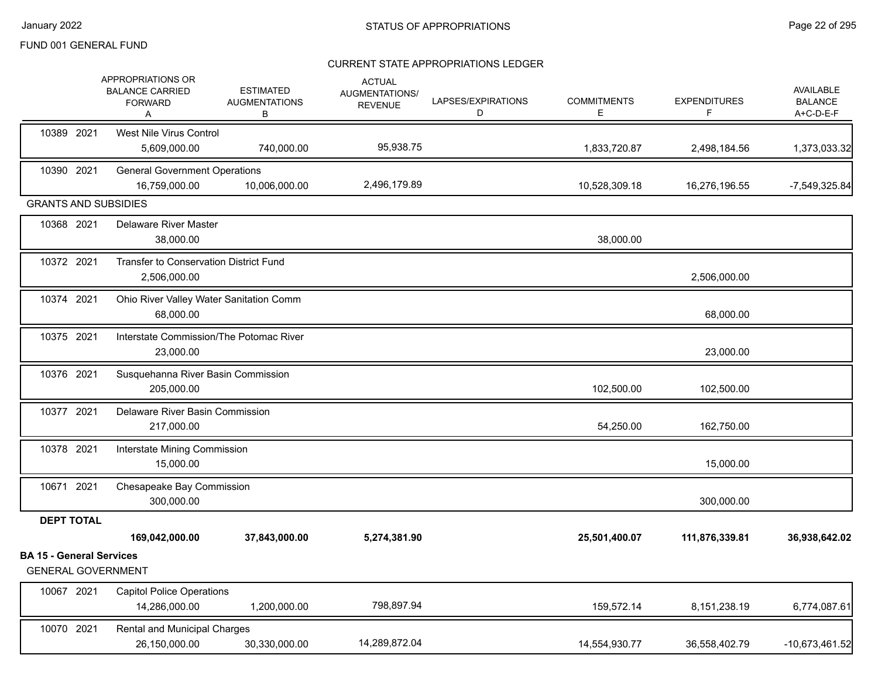|                                                              | APPROPRIATIONS OR<br><b>BALANCE CARRIED</b><br><b>FORWARD</b><br>Α | <b>ESTIMATED</b><br><b>AUGMENTATIONS</b><br>В | <b>ACTUAL</b><br>AUGMENTATIONS/<br><b>REVENUE</b> | LAPSES/EXPIRATIONS<br>D | <b>COMMITMENTS</b><br>Е | <b>EXPENDITURES</b><br>F | AVAILABLE<br><b>BALANCE</b><br>A+C-D-E-F |
|--------------------------------------------------------------|--------------------------------------------------------------------|-----------------------------------------------|---------------------------------------------------|-------------------------|-------------------------|--------------------------|------------------------------------------|
| 10389 2021                                                   | West Nile Virus Control<br>5,609,000.00                            | 740,000.00                                    | 95,938.75                                         |                         | 1,833,720.87            | 2,498,184.56             | 1,373,033.32                             |
| 10390 2021                                                   | <b>General Government Operations</b><br>16,759,000.00              | 10,006,000.00                                 | 2,496,179.89                                      |                         | 10,528,309.18           | 16,276,196.55            | $-7,549,325.84$                          |
| <b>GRANTS AND SUBSIDIES</b>                                  |                                                                    |                                               |                                                   |                         |                         |                          |                                          |
| 10368 2021                                                   | <b>Delaware River Master</b><br>38,000.00                          |                                               |                                                   |                         | 38,000.00               |                          |                                          |
| 10372 2021                                                   | Transfer to Conservation District Fund<br>2,506,000.00             |                                               |                                                   |                         |                         | 2,506,000.00             |                                          |
| 10374 2021                                                   | Ohio River Valley Water Sanitation Comm<br>68,000.00               |                                               |                                                   |                         |                         | 68,000.00                |                                          |
| 10375 2021                                                   | Interstate Commission/The Potomac River<br>23,000.00               |                                               |                                                   |                         |                         | 23,000.00                |                                          |
| 10376 2021                                                   | Susquehanna River Basin Commission<br>205,000.00                   |                                               |                                                   |                         | 102,500.00              | 102,500.00               |                                          |
| 10377 2021                                                   | Delaware River Basin Commission<br>217,000.00                      |                                               |                                                   |                         | 54,250.00               | 162,750.00               |                                          |
| 10378 2021                                                   | Interstate Mining Commission<br>15,000.00                          |                                               |                                                   |                         |                         | 15,000.00                |                                          |
| 10671 2021                                                   | Chesapeake Bay Commission<br>300,000.00                            |                                               |                                                   |                         |                         | 300,000.00               |                                          |
| <b>DEPT TOTAL</b>                                            |                                                                    |                                               |                                                   |                         |                         |                          |                                          |
|                                                              | 169,042,000.00                                                     | 37,843,000.00                                 | 5,274,381.90                                      |                         | 25,501,400.07           | 111,876,339.81           | 36,938,642.02                            |
| <b>BA 15 - General Services</b><br><b>GENERAL GOVERNMENT</b> |                                                                    |                                               |                                                   |                         |                         |                          |                                          |
| 10067 2021                                                   | <b>Capitol Police Operations</b><br>14,286,000.00                  | 1,200,000.00                                  | 798,897.94                                        |                         | 159,572.14              | 8,151,238.19             | 6,774,087.61                             |
| 10070 2021                                                   | <b>Rental and Municipal Charges</b><br>26,150,000.00               | 30,330,000.00                                 | 14,289,872.04                                     |                         | 14,554,930.77           | 36,558,402.79            | $-10,673,461.52$                         |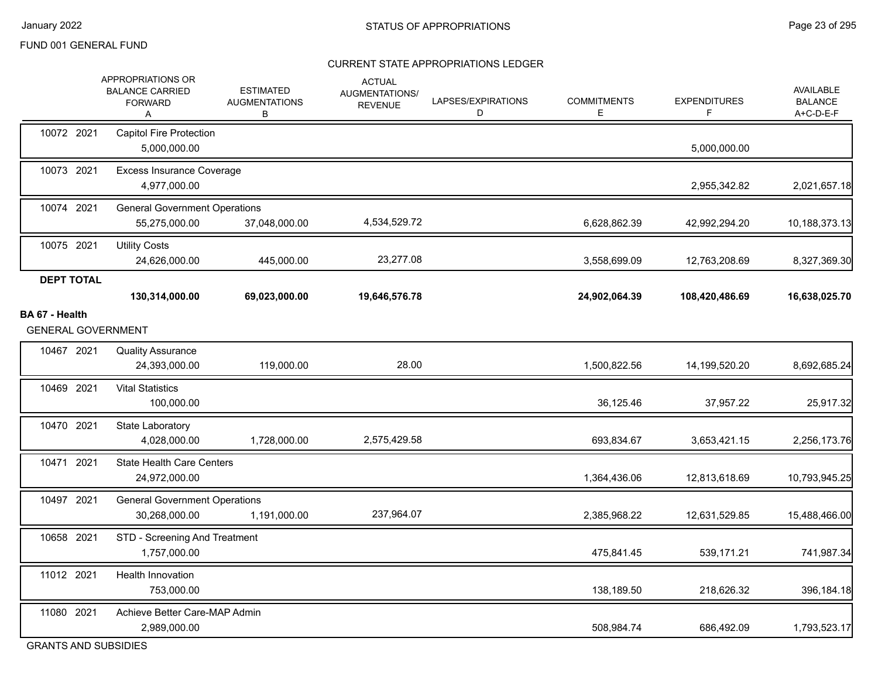#### CURRENT STATE APPROPRIATIONS LEDGER

| 10072 2021<br><b>Capitol Fire Protection</b><br>5,000,000.00<br>5,000,000.00<br>10073 2021<br><b>Excess Insurance Coverage</b><br>4,977,000.00<br>2,955,342.82<br>10074 2021<br><b>General Government Operations</b><br>4,534,529.72<br>55,275,000.00<br>37,048,000.00<br>6,628,862.39<br>42,992,294.20<br>10075 2021<br><b>Utility Costs</b><br>23,277.08<br>445,000.00<br>24,626,000.00<br>3,558,699.09<br>12,763,208.69<br><b>DEPT TOTAL</b><br>130,314,000.00<br>69,023,000.00<br>19,646,576.78<br>24,902,064.39<br>108,420,486.69<br>BA 67 - Health<br><b>GENERAL GOVERNMENT</b><br>10467 2021<br><b>Quality Assurance</b><br>28.00<br>24,393,000.00<br>119,000.00<br>1,500,822.56<br>14,199,520.20<br>10469 2021<br><b>Vital Statistics</b><br>100,000.00<br>36,125.46<br>37,957.22<br>10470 2021<br>State Laboratory<br>2,575,429.58<br>4,028,000.00<br>1,728,000.00<br>693,834.67<br>3,653,421.15<br>10471 2021<br><b>State Health Care Centers</b><br>24,972,000.00<br>1,364,436.06<br>12,813,618.69<br>10497 2021<br><b>General Government Operations</b><br>237,964.07<br>30,268,000.00<br>1,191,000.00<br>12,631,529.85<br>2,385,968.22<br>10658 2021<br>STD - Screening And Treatment<br>1,757,000.00<br>475,841.45<br>539,171.21<br>11012 2021<br>Health Innovation<br>753,000.00<br>138,189.50<br>218,626.32<br>11080 2021<br>Achieve Better Care-MAP Admin<br>2,989,000.00<br>508,984.74<br>686,492.09 |  | APPROPRIATIONS OR<br><b>BALANCE CARRIED</b><br><b>FORWARD</b><br>Α | <b>ESTIMATED</b><br><b>AUGMENTATIONS</b><br>В | <b>ACTUAL</b><br>AUGMENTATIONS/<br><b>REVENUE</b> | LAPSES/EXPIRATIONS<br>D | <b>COMMITMENTS</b><br>E. | <b>EXPENDITURES</b><br>F | AVAILABLE<br><b>BALANCE</b><br>A+C-D-E-F |
|------------------------------------------------------------------------------------------------------------------------------------------------------------------------------------------------------------------------------------------------------------------------------------------------------------------------------------------------------------------------------------------------------------------------------------------------------------------------------------------------------------------------------------------------------------------------------------------------------------------------------------------------------------------------------------------------------------------------------------------------------------------------------------------------------------------------------------------------------------------------------------------------------------------------------------------------------------------------------------------------------------------------------------------------------------------------------------------------------------------------------------------------------------------------------------------------------------------------------------------------------------------------------------------------------------------------------------------------------------------------------------------------------------------------|--|--------------------------------------------------------------------|-----------------------------------------------|---------------------------------------------------|-------------------------|--------------------------|--------------------------|------------------------------------------|
|                                                                                                                                                                                                                                                                                                                                                                                                                                                                                                                                                                                                                                                                                                                                                                                                                                                                                                                                                                                                                                                                                                                                                                                                                                                                                                                                                                                                                        |  |                                                                    |                                               |                                                   |                         |                          |                          |                                          |
|                                                                                                                                                                                                                                                                                                                                                                                                                                                                                                                                                                                                                                                                                                                                                                                                                                                                                                                                                                                                                                                                                                                                                                                                                                                                                                                                                                                                                        |  |                                                                    |                                               |                                                   |                         |                          |                          | 2,021,657.18                             |
|                                                                                                                                                                                                                                                                                                                                                                                                                                                                                                                                                                                                                                                                                                                                                                                                                                                                                                                                                                                                                                                                                                                                                                                                                                                                                                                                                                                                                        |  |                                                                    |                                               |                                                   |                         |                          |                          | 10,188,373.13                            |
|                                                                                                                                                                                                                                                                                                                                                                                                                                                                                                                                                                                                                                                                                                                                                                                                                                                                                                                                                                                                                                                                                                                                                                                                                                                                                                                                                                                                                        |  |                                                                    |                                               |                                                   |                         |                          |                          | 8,327,369.30                             |
|                                                                                                                                                                                                                                                                                                                                                                                                                                                                                                                                                                                                                                                                                                                                                                                                                                                                                                                                                                                                                                                                                                                                                                                                                                                                                                                                                                                                                        |  |                                                                    |                                               |                                                   |                         |                          |                          | 16,638,025.70                            |
|                                                                                                                                                                                                                                                                                                                                                                                                                                                                                                                                                                                                                                                                                                                                                                                                                                                                                                                                                                                                                                                                                                                                                                                                                                                                                                                                                                                                                        |  |                                                                    |                                               |                                                   |                         |                          |                          |                                          |
|                                                                                                                                                                                                                                                                                                                                                                                                                                                                                                                                                                                                                                                                                                                                                                                                                                                                                                                                                                                                                                                                                                                                                                                                                                                                                                                                                                                                                        |  |                                                                    |                                               |                                                   |                         |                          |                          |                                          |
|                                                                                                                                                                                                                                                                                                                                                                                                                                                                                                                                                                                                                                                                                                                                                                                                                                                                                                                                                                                                                                                                                                                                                                                                                                                                                                                                                                                                                        |  |                                                                    |                                               |                                                   |                         |                          |                          | 8,692,685.24                             |
|                                                                                                                                                                                                                                                                                                                                                                                                                                                                                                                                                                                                                                                                                                                                                                                                                                                                                                                                                                                                                                                                                                                                                                                                                                                                                                                                                                                                                        |  |                                                                    |                                               |                                                   |                         |                          |                          | 25,917.32                                |
|                                                                                                                                                                                                                                                                                                                                                                                                                                                                                                                                                                                                                                                                                                                                                                                                                                                                                                                                                                                                                                                                                                                                                                                                                                                                                                                                                                                                                        |  |                                                                    |                                               |                                                   |                         |                          |                          | 2,256,173.76                             |
|                                                                                                                                                                                                                                                                                                                                                                                                                                                                                                                                                                                                                                                                                                                                                                                                                                                                                                                                                                                                                                                                                                                                                                                                                                                                                                                                                                                                                        |  |                                                                    |                                               |                                                   |                         |                          |                          | 10,793,945.25                            |
|                                                                                                                                                                                                                                                                                                                                                                                                                                                                                                                                                                                                                                                                                                                                                                                                                                                                                                                                                                                                                                                                                                                                                                                                                                                                                                                                                                                                                        |  |                                                                    |                                               |                                                   |                         |                          |                          | 15,488,466.00                            |
|                                                                                                                                                                                                                                                                                                                                                                                                                                                                                                                                                                                                                                                                                                                                                                                                                                                                                                                                                                                                                                                                                                                                                                                                                                                                                                                                                                                                                        |  |                                                                    |                                               |                                                   |                         |                          |                          | 741,987.34                               |
|                                                                                                                                                                                                                                                                                                                                                                                                                                                                                                                                                                                                                                                                                                                                                                                                                                                                                                                                                                                                                                                                                                                                                                                                                                                                                                                                                                                                                        |  |                                                                    |                                               |                                                   |                         |                          |                          | 396,184.18                               |
|                                                                                                                                                                                                                                                                                                                                                                                                                                                                                                                                                                                                                                                                                                                                                                                                                                                                                                                                                                                                                                                                                                                                                                                                                                                                                                                                                                                                                        |  |                                                                    |                                               |                                                   |                         |                          |                          | 1,793,523.17                             |

GRANTS AND SUBSIDIES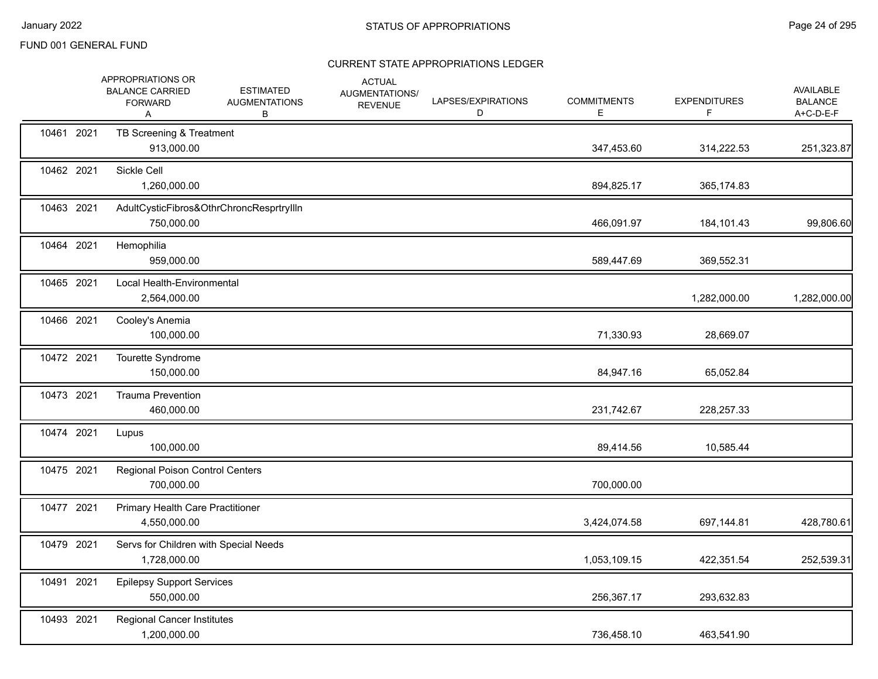|            | APPROPRIATIONS OR<br><b>BALANCE CARRIED</b><br><b>FORWARD</b><br>A | <b>ESTIMATED</b><br><b>AUGMENTATIONS</b><br>В | <b>ACTUAL</b><br>AUGMENTATIONS/<br><b>REVENUE</b> | LAPSES/EXPIRATIONS<br>D | <b>COMMITMENTS</b><br>Е | <b>EXPENDITURES</b><br>F. | <b>AVAILABLE</b><br><b>BALANCE</b><br>A+C-D-E-F |
|------------|--------------------------------------------------------------------|-----------------------------------------------|---------------------------------------------------|-------------------------|-------------------------|---------------------------|-------------------------------------------------|
| 10461 2021 | TB Screening & Treatment<br>913,000.00                             |                                               |                                                   |                         | 347,453.60              | 314,222.53                | 251,323.87                                      |
| 10462 2021 | Sickle Cell<br>1,260,000.00                                        |                                               |                                                   |                         | 894,825.17              | 365,174.83                |                                                 |
| 10463 2021 | 750,000.00                                                         | AdultCysticFibros&OthrChroncResprtryllln      |                                                   |                         | 466,091.97              | 184,101.43                | 99,806.60                                       |
| 10464 2021 | Hemophilia<br>959,000.00                                           |                                               |                                                   |                         | 589,447.69              | 369,552.31                |                                                 |
| 10465 2021 | Local Health-Environmental<br>2,564,000.00                         |                                               |                                                   |                         |                         | 1,282,000.00              | 1,282,000.00                                    |
| 10466 2021 | Cooley's Anemia<br>100,000.00                                      |                                               |                                                   |                         | 71,330.93               | 28,669.07                 |                                                 |
| 10472 2021 | Tourette Syndrome<br>150,000.00                                    |                                               |                                                   |                         | 84,947.16               | 65,052.84                 |                                                 |
| 10473 2021 | <b>Trauma Prevention</b><br>460,000.00                             |                                               |                                                   |                         | 231,742.67              | 228,257.33                |                                                 |
| 10474 2021 | Lupus<br>100,000.00                                                |                                               |                                                   |                         | 89,414.56               | 10,585.44                 |                                                 |
| 10475 2021 | Regional Poison Control Centers<br>700,000.00                      |                                               |                                                   |                         | 700,000.00              |                           |                                                 |
| 10477 2021 | Primary Health Care Practitioner<br>4,550,000.00                   |                                               |                                                   |                         | 3,424,074.58            | 697,144.81                | 428,780.61                                      |
| 10479 2021 | Servs for Children with Special Needs<br>1,728,000.00              |                                               |                                                   |                         | 1,053,109.15            | 422,351.54                | 252,539.31                                      |
| 10491 2021 | <b>Epilepsy Support Services</b><br>550,000.00                     |                                               |                                                   |                         | 256,367.17              | 293,632.83                |                                                 |
| 10493 2021 | <b>Regional Cancer Institutes</b><br>1,200,000.00                  |                                               |                                                   |                         | 736,458.10              | 463,541.90                |                                                 |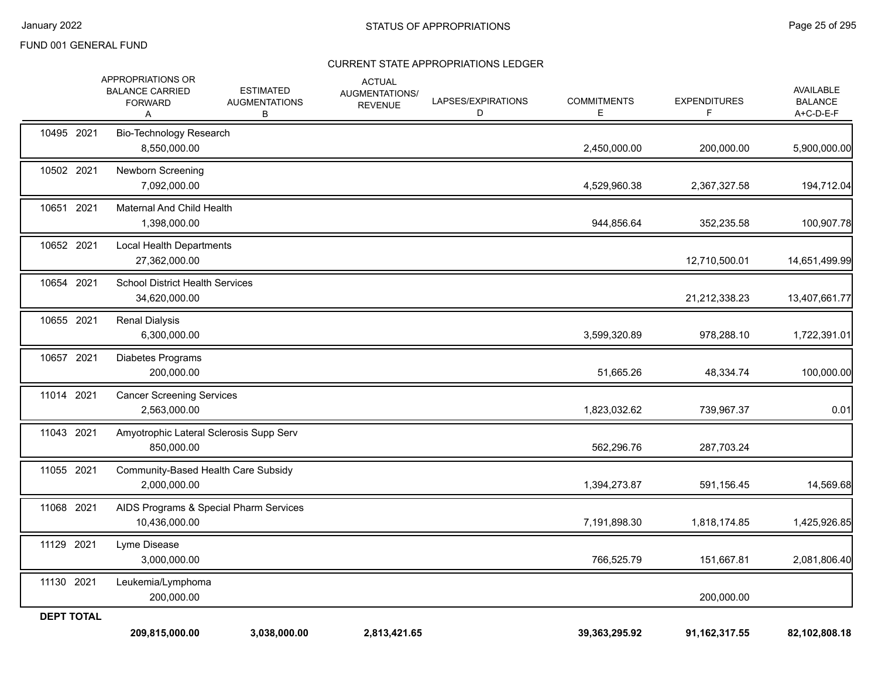| <b>DEPT TOTAL</b> | 209,815,000.00                                                     | 3,038,000.00                                  | 2,813,421.65                                             |                         | 39,363,295.92           | 91, 162, 317.55           | 82,102,808.18                            |
|-------------------|--------------------------------------------------------------------|-----------------------------------------------|----------------------------------------------------------|-------------------------|-------------------------|---------------------------|------------------------------------------|
| 11130 2021        | Leukemia/Lymphoma<br>200,000.00                                    |                                               |                                                          |                         |                         | 200,000.00                |                                          |
| 11129 2021        | Lyme Disease<br>3,000,000.00                                       |                                               |                                                          |                         | 766,525.79              | 151,667.81                | 2,081,806.40                             |
| 11068 2021        | 10,436,000.00                                                      | AIDS Programs & Special Pharm Services        |                                                          |                         | 7,191,898.30            | 1,818,174.85              | 1,425,926.85                             |
| 11055 2021        | Community-Based Health Care Subsidy<br>2,000,000.00                |                                               |                                                          |                         | 1,394,273.87            | 591,156.45                | 14,569.68                                |
| 11043 2021        | Amyotrophic Lateral Sclerosis Supp Serv<br>850,000.00              |                                               |                                                          |                         | 562,296.76              | 287,703.24                |                                          |
| 11014 2021        | <b>Cancer Screening Services</b><br>2,563,000.00                   |                                               |                                                          |                         | 1,823,032.62            | 739,967.37                | 0.01                                     |
| 10657 2021        | Diabetes Programs<br>200,000.00                                    |                                               |                                                          |                         | 51,665.26               | 48,334.74                 | 100,000.00                               |
| 10655 2021        | <b>Renal Dialysis</b><br>6,300,000.00                              |                                               |                                                          |                         | 3,599,320.89            | 978,288.10                | 1,722,391.01                             |
| 10654 2021        | <b>School District Health Services</b><br>34,620,000.00            |                                               |                                                          |                         |                         | 21,212,338.23             | 13,407,661.77                            |
| 10652 2021        | Local Health Departments<br>27,362,000.00                          |                                               |                                                          |                         |                         | 12,710,500.01             | 14,651,499.99                            |
| 10651 2021        | Maternal And Child Health<br>1,398,000.00                          |                                               |                                                          |                         | 944,856.64              | 352,235.58                | 100,907.78                               |
| 10502 2021        | <b>Newborn Screening</b><br>7,092,000.00                           |                                               |                                                          |                         | 4,529,960.38            | 2,367,327.58              | 194,712.04                               |
| 10495 2021        | <b>Bio-Technology Research</b><br>8,550,000.00                     |                                               |                                                          |                         | 2,450,000.00            | 200,000.00                | 5,900,000.00                             |
|                   | APPROPRIATIONS OR<br><b>BALANCE CARRIED</b><br><b>FORWARD</b><br>A | <b>ESTIMATED</b><br><b>AUGMENTATIONS</b><br>В | <b>ACTUAL</b><br><b>AUGMENTATIONS/</b><br><b>REVENUE</b> | LAPSES/EXPIRATIONS<br>D | <b>COMMITMENTS</b><br>E | <b>EXPENDITURES</b><br>F. | AVAILABLE<br><b>BALANCE</b><br>A+C-D-E-F |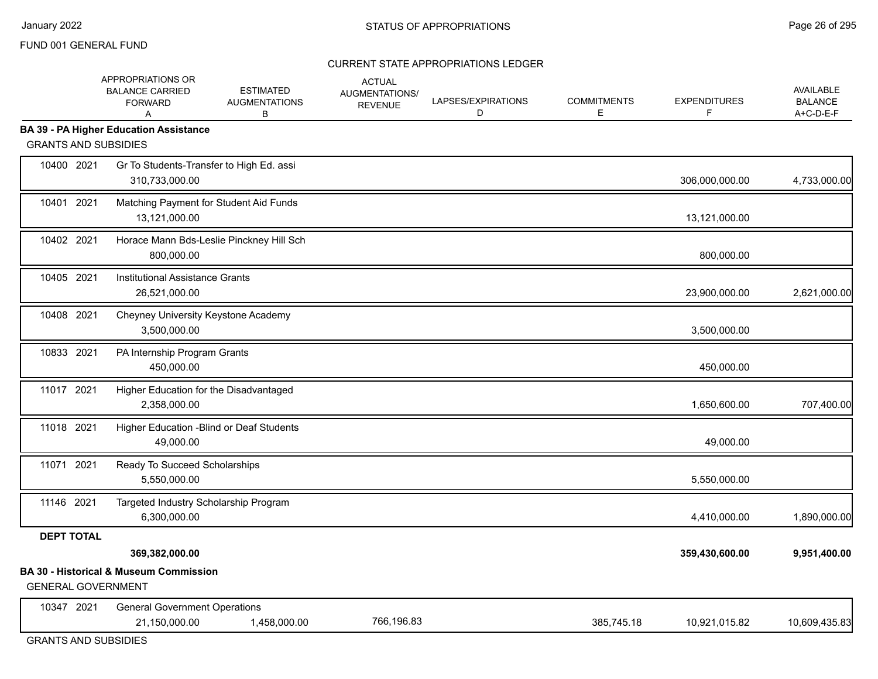|                             | APPROPRIATIONS OR<br><b>BALANCE CARRIED</b><br><b>FORWARD</b><br>A | <b>ESTIMATED</b><br><b>AUGMENTATIONS</b><br>В | <b>ACTUAL</b><br>AUGMENTATIONS/<br><b>REVENUE</b> | LAPSES/EXPIRATIONS<br>D | <b>COMMITMENTS</b><br>Е | <b>EXPENDITURES</b><br>F | <b>AVAILABLE</b><br><b>BALANCE</b><br>A+C-D-E-F |
|-----------------------------|--------------------------------------------------------------------|-----------------------------------------------|---------------------------------------------------|-------------------------|-------------------------|--------------------------|-------------------------------------------------|
|                             | <b>BA 39 - PA Higher Education Assistance</b>                      |                                               |                                                   |                         |                         |                          |                                                 |
| <b>GRANTS AND SUBSIDIES</b> |                                                                    |                                               |                                                   |                         |                         |                          |                                                 |
| 10400 2021                  | Gr To Students-Transfer to High Ed. assi<br>310,733,000.00         |                                               |                                                   |                         |                         | 306,000,000.00           | 4,733,000.00                                    |
| 10401 2021                  | Matching Payment for Student Aid Funds<br>13,121,000.00            |                                               |                                                   |                         |                         | 13,121,000.00            |                                                 |
| 10402 2021                  | Horace Mann Bds-Leslie Pinckney Hill Sch<br>800,000.00             |                                               |                                                   |                         |                         | 800,000.00               |                                                 |
| 10405 2021                  | Institutional Assistance Grants<br>26,521,000.00                   |                                               |                                                   |                         |                         | 23,900,000.00            | 2,621,000.00                                    |
| 10408 2021                  | Cheyney University Keystone Academy<br>3,500,000.00                |                                               |                                                   |                         |                         | 3,500,000.00             |                                                 |
| 10833 2021                  | PA Internship Program Grants<br>450,000.00                         |                                               |                                                   |                         |                         | 450,000.00               |                                                 |
| 11017 2021                  | Higher Education for the Disadvantaged<br>2,358,000.00             |                                               |                                                   |                         |                         | 1,650,600.00             | 707,400.00                                      |
| 11018 2021                  | Higher Education - Blind or Deaf Students<br>49,000.00             |                                               |                                                   |                         |                         | 49,000.00                |                                                 |
| 11071 2021                  | Ready To Succeed Scholarships<br>5,550,000.00                      |                                               |                                                   |                         |                         | 5,550,000.00             |                                                 |
| 11146 2021                  | Targeted Industry Scholarship Program<br>6,300,000.00              |                                               |                                                   |                         |                         | 4,410,000.00             | 1,890,000.00                                    |
| <b>DEPT TOTAL</b>           |                                                                    |                                               |                                                   |                         |                         |                          |                                                 |
|                             | 369,382,000.00                                                     |                                               |                                                   |                         |                         | 359,430,600.00           | 9,951,400.00                                    |
| <b>GENERAL GOVERNMENT</b>   | <b>BA 30 - Historical &amp; Museum Commission</b>                  |                                               |                                                   |                         |                         |                          |                                                 |
| 10347 2021                  | <b>General Government Operations</b><br>21,150,000.00              | 1,458,000.00                                  | 766,196.83                                        |                         | 385,745.18              | 10,921,015.82            | 10,609,435.83                                   |
|                             |                                                                    |                                               |                                                   |                         |                         |                          |                                                 |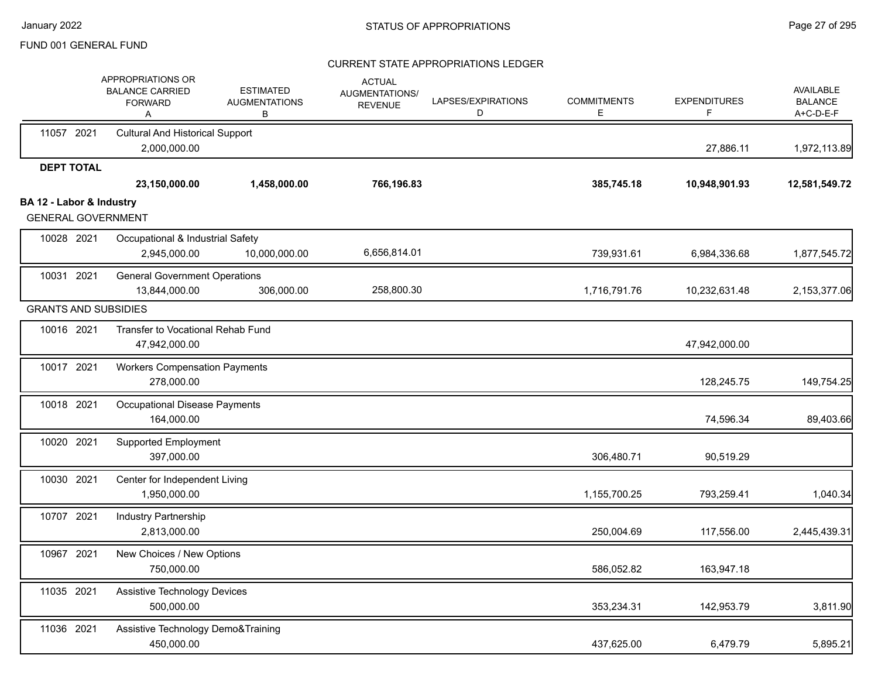|                                                       | APPROPRIATIONS OR<br><b>BALANCE CARRIED</b><br><b>FORWARD</b><br>Α | <b>ESTIMATED</b><br><b>AUGMENTATIONS</b><br>В | <b>ACTUAL</b><br>AUGMENTATIONS/<br><b>REVENUE</b> | LAPSES/EXPIRATIONS<br>D | <b>COMMITMENTS</b><br>Е | <b>EXPENDITURES</b><br>F | <b>AVAILABLE</b><br><b>BALANCE</b><br>A+C-D-E-F |
|-------------------------------------------------------|--------------------------------------------------------------------|-----------------------------------------------|---------------------------------------------------|-------------------------|-------------------------|--------------------------|-------------------------------------------------|
| 11057 2021                                            | <b>Cultural And Historical Support</b><br>2,000,000.00             |                                               |                                                   |                         |                         | 27,886.11                | 1,972,113.89                                    |
| <b>DEPT TOTAL</b>                                     | 23,150,000.00                                                      | 1,458,000.00                                  | 766,196.83                                        |                         | 385,745.18              | 10,948,901.93            | 12,581,549.72                                   |
| BA 12 - Labor & Industry<br><b>GENERAL GOVERNMENT</b> |                                                                    |                                               |                                                   |                         |                         |                          |                                                 |
| 10028 2021                                            | Occupational & Industrial Safety<br>2,945,000.00                   | 10,000,000.00                                 | 6,656,814.01                                      |                         | 739,931.61              | 6,984,336.68             | 1,877,545.72                                    |
| 10031 2021                                            | <b>General Government Operations</b><br>13,844,000.00              | 306,000.00                                    | 258,800.30                                        |                         | 1,716,791.76            | 10,232,631.48            | 2,153,377.06                                    |
| <b>GRANTS AND SUBSIDIES</b>                           |                                                                    |                                               |                                                   |                         |                         |                          |                                                 |
| 10016 2021                                            | Transfer to Vocational Rehab Fund<br>47,942,000.00                 |                                               |                                                   |                         |                         | 47,942,000.00            |                                                 |
| 10017 2021                                            | <b>Workers Compensation Payments</b><br>278,000.00                 |                                               |                                                   |                         |                         | 128,245.75               | 149,754.25                                      |
| 10018 2021                                            | Occupational Disease Payments<br>164,000.00                        |                                               |                                                   |                         |                         | 74,596.34                | 89,403.66                                       |
| 10020 2021                                            | Supported Employment<br>397,000.00                                 |                                               |                                                   |                         | 306,480.71              | 90,519.29                |                                                 |
| 10030 2021                                            | Center for Independent Living<br>1,950,000.00                      |                                               |                                                   |                         | 1,155,700.25            | 793,259.41               | 1,040.34                                        |
| 10707 2021                                            | Industry Partnership<br>2,813,000.00                               |                                               |                                                   |                         | 250,004.69              | 117,556.00               | 2,445,439.31                                    |
| 10967 2021                                            | New Choices / New Options<br>750,000.00                            |                                               |                                                   |                         | 586,052.82              | 163,947.18               |                                                 |
| 11035 2021                                            | <b>Assistive Technology Devices</b><br>500,000.00                  |                                               |                                                   |                         | 353,234.31              | 142,953.79               | 3,811.90                                        |
| 11036 2021                                            | Assistive Technology Demo&Training<br>450,000.00                   |                                               |                                                   |                         | 437,625.00              | 6,479.79                 | 5,895.21                                        |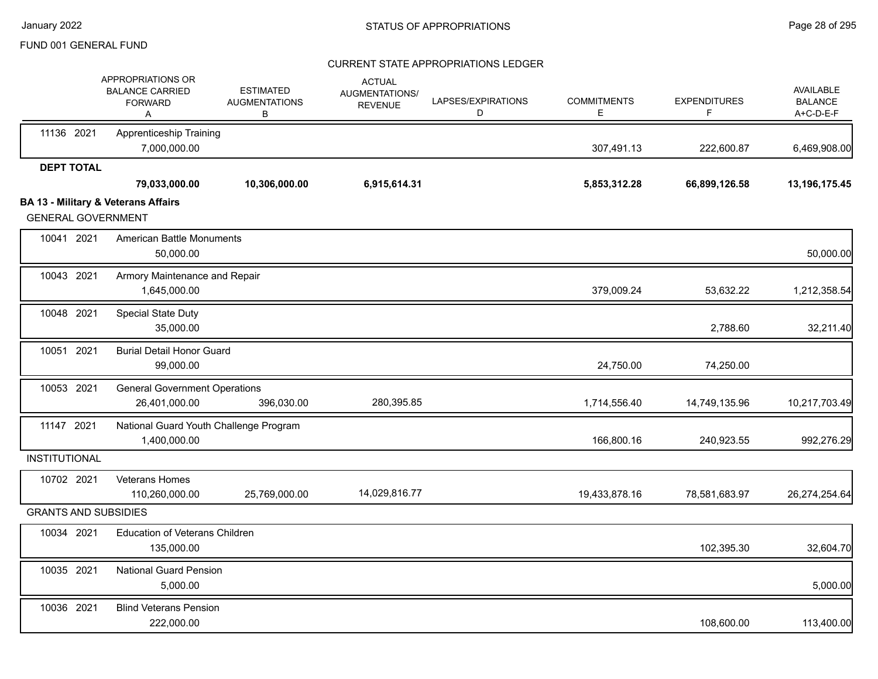|                             | APPROPRIATIONS OR<br><b>BALANCE CARRIED</b><br><b>FORWARD</b><br>A | <b>ESTIMATED</b><br><b>AUGMENTATIONS</b><br>В | <b>ACTUAL</b><br><b>AUGMENTATIONS/</b><br><b>REVENUE</b> | LAPSES/EXPIRATIONS<br>D | <b>COMMITMENTS</b><br>Е | <b>EXPENDITURES</b><br>F | <b>AVAILABLE</b><br><b>BALANCE</b><br>A+C-D-E-F |
|-----------------------------|--------------------------------------------------------------------|-----------------------------------------------|----------------------------------------------------------|-------------------------|-------------------------|--------------------------|-------------------------------------------------|
| 11136 2021                  | <b>Apprenticeship Training</b><br>7,000,000.00                     |                                               |                                                          |                         | 307,491.13              | 222,600.87               | 6,469,908.00                                    |
| <b>DEPT TOTAL</b>           |                                                                    |                                               |                                                          |                         |                         |                          |                                                 |
|                             | 79,033,000.00                                                      | 10,306,000.00                                 | 6,915,614.31                                             |                         | 5,853,312.28            | 66,899,126.58            | 13,196,175.45                                   |
| <b>GENERAL GOVERNMENT</b>   | <b>BA 13 - Military &amp; Veterans Affairs</b>                     |                                               |                                                          |                         |                         |                          |                                                 |
| 10041 2021                  | <b>American Battle Monuments</b><br>50,000.00                      |                                               |                                                          |                         |                         |                          | 50,000.00                                       |
| 10043 2021                  | Armory Maintenance and Repair<br>1,645,000.00                      |                                               |                                                          |                         | 379,009.24              | 53,632.22                | 1,212,358.54                                    |
| 10048 2021                  | Special State Duty<br>35,000.00                                    |                                               |                                                          |                         |                         | 2,788.60                 | 32,211.40                                       |
| 10051 2021                  | <b>Burial Detail Honor Guard</b><br>99,000.00                      |                                               |                                                          |                         | 24,750.00               | 74,250.00                |                                                 |
| 10053 2021                  | <b>General Government Operations</b><br>26,401,000.00              | 396,030.00                                    | 280,395.85                                               |                         | 1,714,556.40            | 14,749,135.96            | 10,217,703.49                                   |
| 11147 2021                  | National Guard Youth Challenge Program<br>1,400,000.00             |                                               |                                                          |                         | 166,800.16              | 240,923.55               | 992,276.29                                      |
| <b>INSTITUTIONAL</b>        |                                                                    |                                               |                                                          |                         |                         |                          |                                                 |
| 10702 2021                  | Veterans Homes<br>110,260,000.00                                   | 25,769,000.00                                 | 14,029,816.77                                            |                         | 19,433,878.16           | 78,581,683.97            | 26,274,254.64                                   |
| <b>GRANTS AND SUBSIDIES</b> |                                                                    |                                               |                                                          |                         |                         |                          |                                                 |
| 10034 2021                  | <b>Education of Veterans Children</b><br>135,000.00                |                                               |                                                          |                         |                         | 102,395.30               | 32,604.70                                       |
| 10035 2021                  | <b>National Guard Pension</b><br>5,000.00                          |                                               |                                                          |                         |                         |                          | 5,000.00                                        |
| 10036 2021                  | <b>Blind Veterans Pension</b><br>222,000.00                        |                                               |                                                          |                         |                         | 108,600.00               | 113,400.00                                      |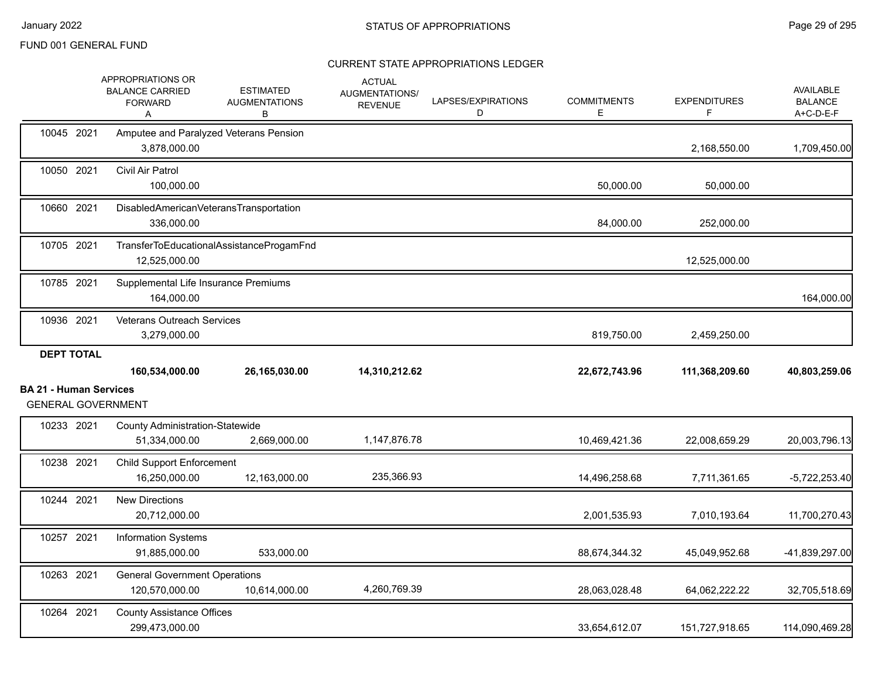|                               | APPROPRIATIONS OR<br><b>BALANCE CARRIED</b><br><b>FORWARD</b><br>Α | <b>ESTIMATED</b><br><b>AUGMENTATIONS</b><br>В | <b>ACTUAL</b><br><b>AUGMENTATIONS/</b><br><b>REVENUE</b> | LAPSES/EXPIRATIONS<br>D | <b>COMMITMENTS</b><br>Е | <b>EXPENDITURES</b><br>F | AVAILABLE<br><b>BALANCE</b><br>A+C-D-E-F |
|-------------------------------|--------------------------------------------------------------------|-----------------------------------------------|----------------------------------------------------------|-------------------------|-------------------------|--------------------------|------------------------------------------|
| 10045 2021                    | Amputee and Paralyzed Veterans Pension<br>3,878,000.00             |                                               |                                                          |                         |                         | 2,168,550.00             | 1,709,450.00                             |
| 10050 2021                    | Civil Air Patrol<br>100,000.00                                     |                                               |                                                          |                         | 50,000.00               | 50,000.00                |                                          |
| 10660 2021                    | DisabledAmericanVeteransTransportation<br>336,000.00               |                                               |                                                          |                         | 84,000.00               | 252,000.00               |                                          |
| 10705 2021                    | 12,525,000.00                                                      | TransferToEducationalAssistanceProgamFnd      |                                                          |                         |                         | 12,525,000.00            |                                          |
| 10785 2021                    | Supplemental Life Insurance Premiums<br>164,000.00                 |                                               |                                                          |                         |                         |                          | 164,000.00                               |
| 10936 2021                    | <b>Veterans Outreach Services</b><br>3,279,000.00                  |                                               |                                                          |                         | 819,750.00              | 2,459,250.00             |                                          |
| <b>DEPT TOTAL</b>             | 160,534,000.00                                                     | 26,165,030.00                                 | 14,310,212.62                                            |                         | 22,672,743.96           | 111,368,209.60           | 40,803,259.06                            |
| <b>BA 21 - Human Services</b> |                                                                    |                                               |                                                          |                         |                         |                          |                                          |
|                               | <b>GENERAL GOVERNMENT</b>                                          |                                               |                                                          |                         |                         |                          |                                          |
| 10233 2021                    | <b>County Administration-Statewide</b><br>51,334,000.00            | 2,669,000.00                                  | 1,147,876.78                                             |                         | 10,469,421.36           | 22,008,659.29            | 20,003,796.13                            |
| 10238 2021                    | <b>Child Support Enforcement</b><br>16,250,000.00                  | 12,163,000.00                                 | 235,366.93                                               |                         | 14,496,258.68           | 7,711,361.65             | $-5,722,253.40$                          |
| 10244 2021                    | <b>New Directions</b><br>20,712,000.00                             |                                               |                                                          |                         | 2,001,535.93            | 7,010,193.64             | 11,700,270.43                            |
| 10257 2021                    | Information Systems<br>91,885,000.00                               | 533,000.00                                    |                                                          |                         | 88,674,344.32           | 45,049,952.68            | -41,839,297.00                           |
| 10263 2021                    | <b>General Government Operations</b><br>120,570,000.00             | 10,614,000.00                                 | 4,260,769.39                                             |                         | 28,063,028.48           | 64,062,222.22            | 32,705,518.69                            |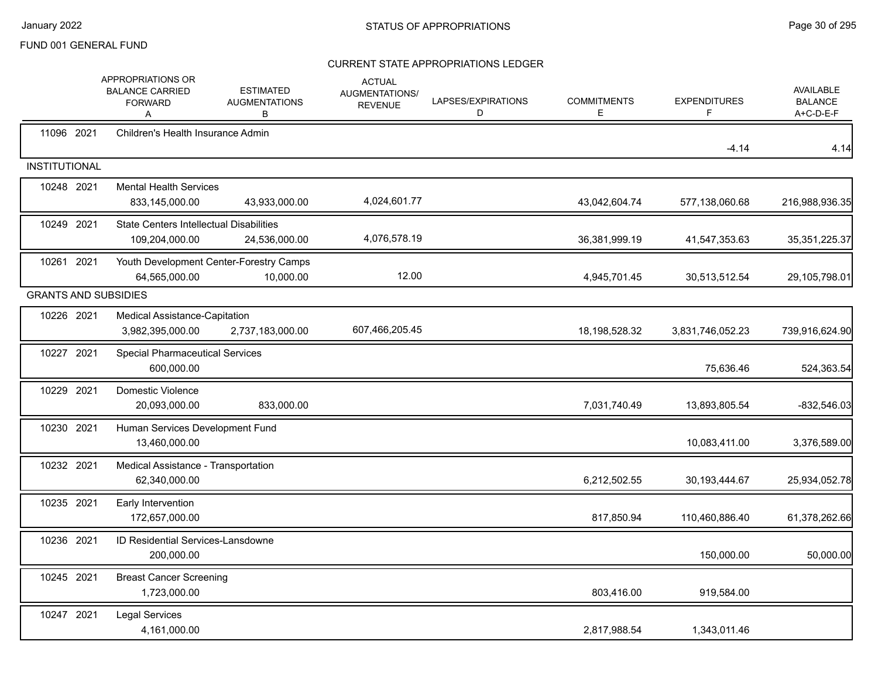|                      | APPROPRIATIONS OR<br><b>BALANCE CARRIED</b><br><b>FORWARD</b><br>Α | <b>ESTIMATED</b><br><b>AUGMENTATIONS</b><br>В        | <b>ACTUAL</b><br>AUGMENTATIONS/<br><b>REVENUE</b> | LAPSES/EXPIRATIONS<br>D | <b>COMMITMENTS</b><br>E | <b>EXPENDITURES</b><br>F | <b>AVAILABLE</b><br><b>BALANCE</b><br>A+C-D-E-F |
|----------------------|--------------------------------------------------------------------|------------------------------------------------------|---------------------------------------------------|-------------------------|-------------------------|--------------------------|-------------------------------------------------|
| 11096 2021           | Children's Health Insurance Admin                                  |                                                      |                                                   |                         |                         | $-4.14$                  | 4.14                                            |
| <b>INSTITUTIONAL</b> |                                                                    |                                                      |                                                   |                         |                         |                          |                                                 |
| 10248 2021           | <b>Mental Health Services</b><br>833,145,000.00                    | 43,933,000.00                                        | 4,024,601.77                                      |                         | 43,042,604.74           | 577,138,060.68           | 216,988,936.35                                  |
| 10249 2021           | <b>State Centers Intellectual Disabilities</b><br>109,204,000.00   | 24,536,000.00                                        | 4,076,578.19                                      |                         | 36,381,999.19           | 41,547,353.63            | 35, 351, 225. 37                                |
| 10261 2021           | 64,565,000.00                                                      | Youth Development Center-Forestry Camps<br>10,000.00 | 12.00                                             |                         | 4,945,701.45            | 30,513,512.54            | 29,105,798.01                                   |
|                      | <b>GRANTS AND SUBSIDIES</b>                                        |                                                      |                                                   |                         |                         |                          |                                                 |
| 10226 2021           | Medical Assistance-Capitation<br>3,982,395,000.00                  | 2,737,183,000.00                                     | 607,466,205.45                                    |                         | 18,198,528.32           | 3,831,746,052.23         | 739,916,624.90                                  |
| 10227 2021           | <b>Special Pharmaceutical Services</b><br>600,000.00               |                                                      |                                                   |                         |                         | 75,636.46                | 524,363.54                                      |
| 10229 2021           | Domestic Violence<br>20,093,000.00                                 | 833,000.00                                           |                                                   |                         | 7,031,740.49            | 13,893,805.54            | $-832,546.03$                                   |
| 10230 2021           | Human Services Development Fund<br>13,460,000.00                   |                                                      |                                                   |                         |                         | 10,083,411.00            | 3,376,589.00                                    |
| 10232 2021           | Medical Assistance - Transportation<br>62,340,000.00               |                                                      |                                                   |                         | 6,212,502.55            | 30, 193, 444. 67         | 25,934,052.78                                   |
| 10235 2021           | Early Intervention<br>172,657,000.00                               |                                                      |                                                   |                         | 817,850.94              | 110,460,886.40           | 61,378,262.66                                   |
| 10236 2021           | <b>ID Residential Services-Lansdowne</b><br>200,000.00             |                                                      |                                                   |                         |                         | 150,000.00               | 50,000.00                                       |
| 10245 2021           | <b>Breast Cancer Screening</b><br>1,723,000.00                     |                                                      |                                                   |                         | 803,416.00              | 919,584.00               |                                                 |
| 10247 2021           | <b>Legal Services</b><br>4,161,000.00                              |                                                      |                                                   |                         | 2,817,988.54            | 1,343,011.46             |                                                 |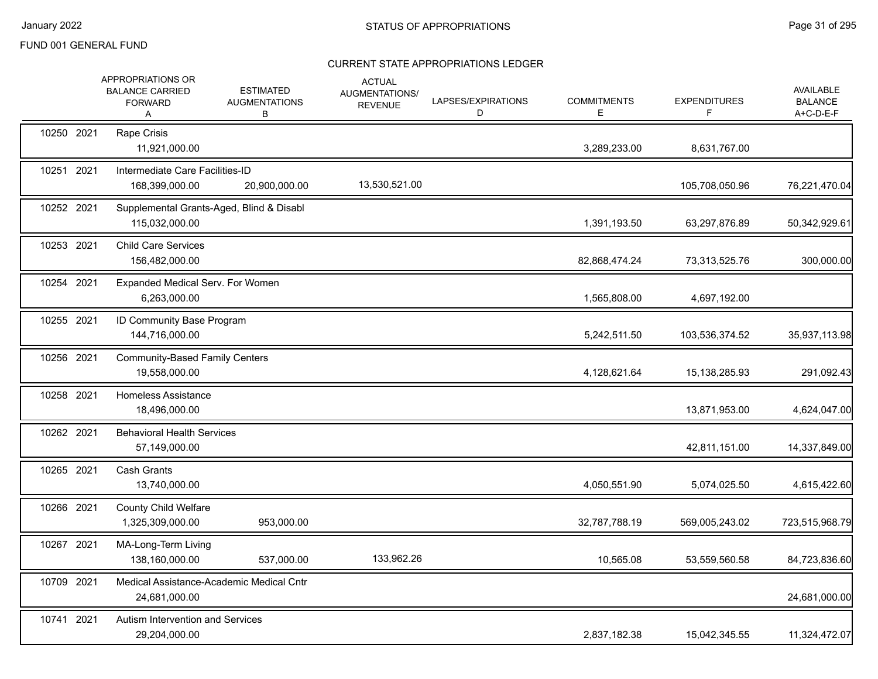|            | APPROPRIATIONS OR<br><b>BALANCE CARRIED</b><br><b>FORWARD</b><br>A | <b>ESTIMATED</b><br><b>AUGMENTATIONS</b><br>В | <b>ACTUAL</b><br>AUGMENTATIONS/<br><b>REVENUE</b> | LAPSES/EXPIRATIONS<br>D | <b>COMMITMENTS</b><br>Е | <b>EXPENDITURES</b><br>F | <b>AVAILABLE</b><br><b>BALANCE</b><br>A+C-D-E-F |
|------------|--------------------------------------------------------------------|-----------------------------------------------|---------------------------------------------------|-------------------------|-------------------------|--------------------------|-------------------------------------------------|
| 10250 2021 | Rape Crisis<br>11,921,000.00                                       |                                               |                                                   |                         | 3,289,233.00            | 8,631,767.00             |                                                 |
| 10251 2021 | Intermediate Care Facilities-ID<br>168,399,000.00                  | 20,900,000.00                                 | 13,530,521.00                                     |                         |                         | 105,708,050.96           | 76,221,470.04                                   |
| 10252 2021 | Supplemental Grants-Aged, Blind & Disabl<br>115,032,000.00         |                                               |                                                   |                         | 1,391,193.50            | 63,297,876.89            | 50,342,929.61                                   |
| 10253 2021 | <b>Child Care Services</b><br>156,482,000.00                       |                                               |                                                   |                         | 82,868,474.24           | 73,313,525.76            | 300,000.00                                      |
| 10254 2021 | Expanded Medical Serv. For Women<br>6,263,000.00                   |                                               |                                                   |                         | 1,565,808.00            | 4,697,192.00             |                                                 |
| 10255 2021 | ID Community Base Program<br>144,716,000.00                        |                                               |                                                   |                         | 5,242,511.50            | 103,536,374.52           | 35,937,113.98                                   |
| 10256 2021 | <b>Community-Based Family Centers</b><br>19,558,000.00             |                                               |                                                   |                         | 4,128,621.64            | 15, 138, 285. 93         | 291,092.43                                      |
| 10258 2021 | Homeless Assistance<br>18,496,000.00                               |                                               |                                                   |                         |                         | 13,871,953.00            | 4,624,047.00                                    |
| 10262 2021 | <b>Behavioral Health Services</b><br>57,149,000.00                 |                                               |                                                   |                         |                         | 42,811,151.00            | 14,337,849.00                                   |
| 10265 2021 | Cash Grants<br>13,740,000.00                                       |                                               |                                                   |                         | 4,050,551.90            | 5,074,025.50             | 4,615,422.60                                    |
| 10266 2021 | <b>County Child Welfare</b><br>1,325,309,000.00                    | 953,000.00                                    |                                                   |                         | 32,787,788.19           | 569,005,243.02           | 723,515,968.79                                  |
| 10267 2021 | MA-Long-Term Living<br>138,160,000.00                              | 537,000.00                                    | 133,962.26                                        |                         | 10,565.08               | 53,559,560.58            | 84,723,836.60                                   |
| 10709 2021 | Medical Assistance-Academic Medical Cntr<br>24,681,000.00          |                                               |                                                   |                         |                         |                          | 24,681,000.00                                   |
| 10741 2021 | Autism Intervention and Services<br>29,204,000.00                  |                                               |                                                   |                         | 2,837,182.38            | 15,042,345.55            | 11,324,472.07                                   |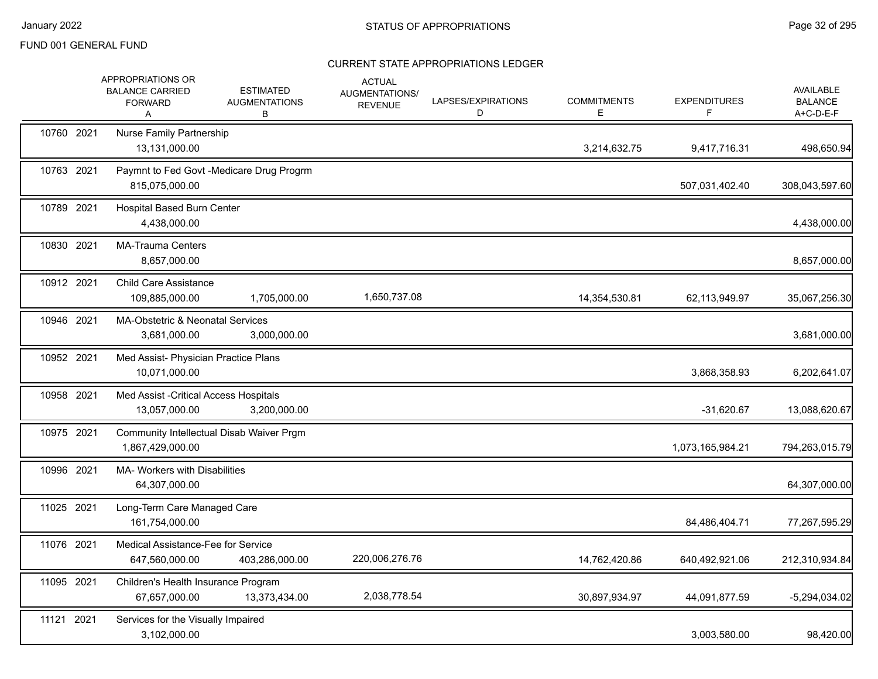|            | APPROPRIATIONS OR<br><b>BALANCE CARRIED</b><br><b>FORWARD</b><br>Α | <b>ESTIMATED</b><br><b>AUGMENTATIONS</b><br>В | <b>ACTUAL</b><br>AUGMENTATIONS/<br><b>REVENUE</b> | LAPSES/EXPIRATIONS<br>D | <b>COMMITMENTS</b><br>Ε | <b>EXPENDITURES</b><br>F. | AVAILABLE<br><b>BALANCE</b><br>A+C-D-E-F |
|------------|--------------------------------------------------------------------|-----------------------------------------------|---------------------------------------------------|-------------------------|-------------------------|---------------------------|------------------------------------------|
| 10760 2021 | <b>Nurse Family Partnership</b><br>13,131,000.00                   |                                               |                                                   |                         | 3,214,632.75            | 9,417,716.31              | 498,650.94                               |
| 10763 2021 | 815,075,000.00                                                     | Paymnt to Fed Govt -Medicare Drug Progrm      |                                                   |                         |                         | 507,031,402.40            | 308,043,597.60                           |
| 10789 2021 | <b>Hospital Based Burn Center</b><br>4,438,000.00                  |                                               |                                                   |                         |                         |                           | 4,438,000.00                             |
| 10830 2021 | <b>MA-Trauma Centers</b><br>8,657,000.00                           |                                               |                                                   |                         |                         |                           | 8,657,000.00                             |
| 10912 2021 | <b>Child Care Assistance</b><br>109,885,000.00                     | 1,705,000.00                                  | 1,650,737.08                                      |                         | 14,354,530.81           | 62,113,949.97             | 35,067,256.30                            |
| 10946 2021 | MA-Obstetric & Neonatal Services<br>3,681,000.00                   | 3,000,000.00                                  |                                                   |                         |                         |                           | 3,681,000.00                             |
| 10952 2021 | Med Assist- Physician Practice Plans<br>10,071,000.00              |                                               |                                                   |                         |                         | 3,868,358.93              | 6,202,641.07                             |
| 10958 2021 | Med Assist - Critical Access Hospitals<br>13,057,000.00            | 3,200,000.00                                  |                                                   |                         |                         | $-31,620.67$              | 13,088,620.67                            |
| 10975 2021 | 1,867,429,000.00                                                   | Community Intellectual Disab Waiver Prgm      |                                                   |                         |                         | 1,073,165,984.21          | 794,263,015.79                           |
| 10996 2021 | MA- Workers with Disabilities<br>64,307,000.00                     |                                               |                                                   |                         |                         |                           | 64,307,000.00                            |
| 11025 2021 | Long-Term Care Managed Care<br>161,754,000.00                      |                                               |                                                   |                         |                         | 84,486,404.71             | 77,267,595.29                            |
| 11076 2021 | Medical Assistance-Fee for Service<br>647,560,000.00               | 403,286,000.00                                | 220,006,276.76                                    |                         | 14,762,420.86           | 640,492,921.06            | 212,310,934.84                           |
| 11095 2021 | Children's Health Insurance Program<br>67,657,000.00               | 13,373,434.00                                 | 2,038,778.54                                      |                         | 30,897,934.97           | 44,091,877.59             | $-5,294,034.02$                          |
| 11121 2021 | Services for the Visually Impaired<br>3,102,000.00                 |                                               |                                                   |                         |                         | 3,003,580.00              | 98,420.00                                |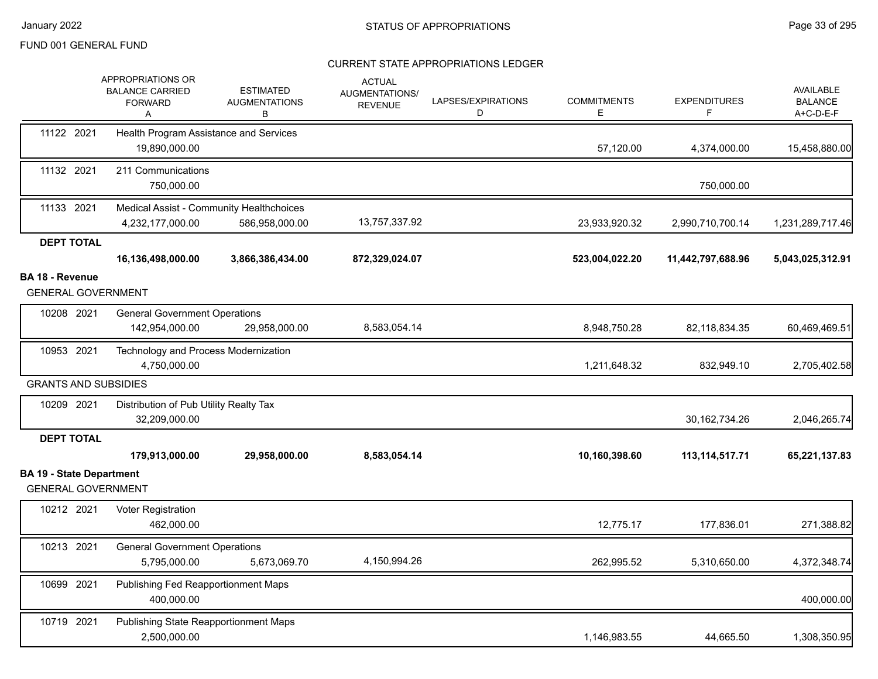|                                                              | APPROPRIATIONS OR<br><b>BALANCE CARRIED</b><br><b>FORWARD</b><br>Α | <b>ESTIMATED</b><br><b>AUGMENTATIONS</b><br>В              | <b>ACTUAL</b><br>AUGMENTATIONS/<br><b>REVENUE</b> | LAPSES/EXPIRATIONS<br>D | <b>COMMITMENTS</b><br>E | <b>EXPENDITURES</b><br>F | <b>AVAILABLE</b><br><b>BALANCE</b><br>A+C-D-E-F |
|--------------------------------------------------------------|--------------------------------------------------------------------|------------------------------------------------------------|---------------------------------------------------|-------------------------|-------------------------|--------------------------|-------------------------------------------------|
| 11122 2021                                                   | Health Program Assistance and Services<br>19,890,000.00            |                                                            |                                                   |                         | 57,120.00               | 4,374,000.00             | 15,458,880.00                                   |
| 11132 2021                                                   | 211 Communications<br>750,000.00                                   |                                                            |                                                   |                         |                         | 750,000.00               |                                                 |
| 11133 2021                                                   | 4,232,177,000.00                                                   | Medical Assist - Community Healthchoices<br>586,958,000.00 | 13,757,337.92                                     |                         | 23,933,920.32           | 2,990,710,700.14         | 1,231,289,717.46                                |
| <b>DEPT TOTAL</b>                                            |                                                                    |                                                            |                                                   |                         |                         |                          |                                                 |
|                                                              | 16,136,498,000.00                                                  | 3,866,386,434.00                                           | 872,329,024.07                                    |                         | 523,004,022.20          | 11,442,797,688.96        | 5,043,025,312.91                                |
| <b>BA 18 - Revenue</b><br><b>GENERAL GOVERNMENT</b>          |                                                                    |                                                            |                                                   |                         |                         |                          |                                                 |
| 10208 2021                                                   | <b>General Government Operations</b><br>142,954,000.00             | 29,958,000.00                                              | 8,583,054.14                                      |                         | 8,948,750.28            | 82,118,834.35            | 60,469,469.51                                   |
| 10953 2021                                                   | Technology and Process Modernization<br>4,750,000.00               |                                                            |                                                   |                         | 1,211,648.32            | 832,949.10               | 2,705,402.58                                    |
| <b>GRANTS AND SUBSIDIES</b>                                  |                                                                    |                                                            |                                                   |                         |                         |                          |                                                 |
| 10209 2021                                                   | Distribution of Pub Utility Realty Tax<br>32,209,000.00            |                                                            |                                                   |                         |                         | 30, 162, 734. 26         | 2,046,265.74                                    |
| <b>DEPT TOTAL</b>                                            |                                                                    |                                                            |                                                   |                         |                         |                          |                                                 |
|                                                              | 179,913,000.00                                                     | 29,958,000.00                                              | 8,583,054.14                                      |                         | 10,160,398.60           | 113, 114, 517. 71        | 65,221,137.83                                   |
| <b>BA 19 - State Department</b><br><b>GENERAL GOVERNMENT</b> |                                                                    |                                                            |                                                   |                         |                         |                          |                                                 |
| 10212 2021                                                   | Voter Registration<br>462,000.00                                   |                                                            |                                                   |                         | 12,775.17               | 177,836.01               | 271,388.82                                      |
| 10213 2021                                                   | <b>General Government Operations</b><br>5,795,000.00               | 5,673,069.70                                               | 4,150,994.26                                      |                         | 262,995.52              | 5,310,650.00             | 4,372,348.74                                    |
| 10699 2021                                                   | Publishing Fed Reapportionment Maps<br>400,000.00                  |                                                            |                                                   |                         |                         |                          | 400,000.00                                      |
| 10719 2021                                                   | Publishing State Reapportionment Maps<br>2,500,000.00              |                                                            |                                                   |                         | 1,146,983.55            | 44,665.50                | 1,308,350.95                                    |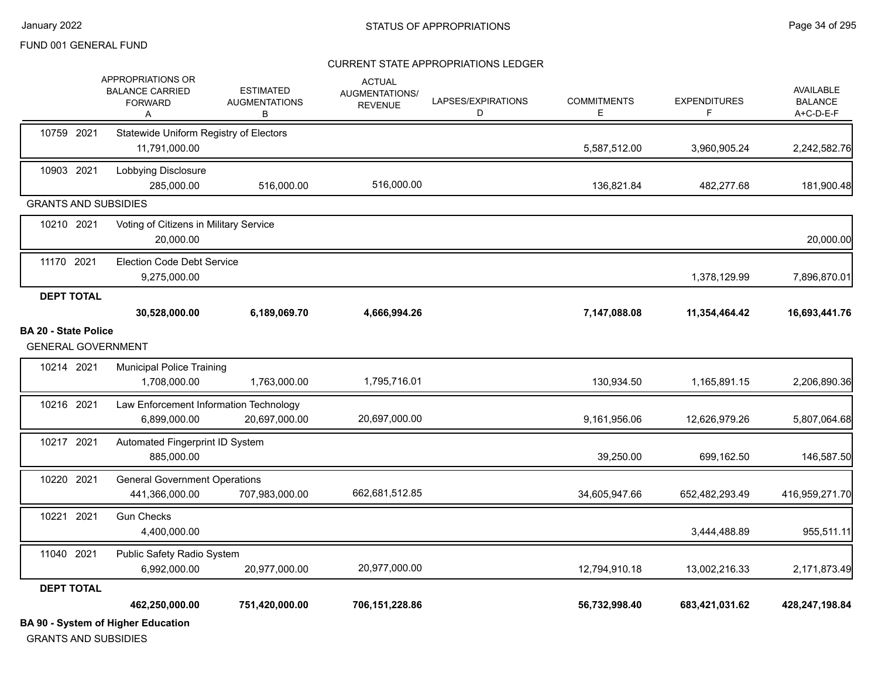#### CURRENT STATE APPROPRIATIONS LEDGER

|                                                          | <b>BA 90 - System of Higher Education</b>                          |                                               |                                                          |                         |                         |                          |                                                 |
|----------------------------------------------------------|--------------------------------------------------------------------|-----------------------------------------------|----------------------------------------------------------|-------------------------|-------------------------|--------------------------|-------------------------------------------------|
|                                                          | 462,250,000.00                                                     | 751,420,000.00                                | 706,151,228.86                                           |                         | 56,732,998.40           | 683,421,031.62           | 428,247,198.84                                  |
| <b>DEPT TOTAL</b>                                        |                                                                    |                                               |                                                          |                         |                         |                          |                                                 |
| 11040 2021                                               | Public Safety Radio System<br>6,992,000.00                         | 20,977,000.00                                 | 20,977,000.00                                            |                         | 12,794,910.18           | 13,002,216.33            | 2,171,873.49                                    |
| 10221 2021                                               | <b>Gun Checks</b><br>4,400,000.00                                  |                                               |                                                          |                         |                         | 3,444,488.89             | 955,511.11                                      |
| 10220 2021                                               | <b>General Government Operations</b><br>441,366,000.00             | 707,983,000.00                                | 662,681,512.85                                           |                         | 34,605,947.66           | 652,482,293.49           | 416,959,271.70                                  |
| 10217 2021                                               | Automated Fingerprint ID System<br>885,000.00                      |                                               |                                                          |                         | 39,250.00               | 699,162.50               | 146,587.50                                      |
| 10216 2021                                               | Law Enforcement Information Technology<br>6,899,000.00             | 20,697,000.00                                 | 20,697,000.00                                            |                         | 9,161,956.06            | 12,626,979.26            | 5,807,064.68                                    |
| 10214 2021                                               | <b>Municipal Police Training</b><br>1,708,000.00                   | 1,763,000.00                                  | 1,795,716.01                                             |                         | 130,934.50              | 1,165,891.15             | 2,206,890.36                                    |
| <b>BA 20 - State Police</b><br><b>GENERAL GOVERNMENT</b> |                                                                    |                                               |                                                          |                         |                         |                          |                                                 |
|                                                          | 30,528,000.00                                                      | 6,189,069.70                                  | 4,666,994.26                                             |                         | 7,147,088.08            | 11,354,464.42            | 16,693,441.76                                   |
| <b>DEPT TOTAL</b>                                        | 9,275,000.00                                                       |                                               |                                                          |                         |                         | 1,378,129.99             | 7,896,870.01                                    |
| 11170 2021                                               | <b>Election Code Debt Service</b>                                  |                                               |                                                          |                         |                         |                          |                                                 |
| 10210 2021                                               | Voting of Citizens in Military Service<br>20,000.00                |                                               |                                                          |                         |                         |                          | 20,000.00                                       |
| <b>GRANTS AND SUBSIDIES</b>                              | 285,000.00                                                         | 516,000.00                                    |                                                          |                         | 136,821.84              | 482,277.68               | 181,900.48                                      |
| 10903 2021                                               | Lobbying Disclosure                                                |                                               | 516,000.00                                               |                         |                         |                          |                                                 |
| 10759 2021                                               | Statewide Uniform Registry of Electors<br>11,791,000.00            |                                               |                                                          |                         | 5,587,512.00            | 3,960,905.24             | 2,242,582.76                                    |
|                                                          | APPROPRIATIONS OR<br><b>BALANCE CARRIED</b><br><b>FORWARD</b><br>A | <b>ESTIMATED</b><br><b>AUGMENTATIONS</b><br>В | <b>ACTUAL</b><br><b>AUGMENTATIONS/</b><br><b>REVENUE</b> | LAPSES/EXPIRATIONS<br>D | <b>COMMITMENTS</b><br>E | <b>EXPENDITURES</b><br>F | <b>AVAILABLE</b><br><b>BALANCE</b><br>A+C-D-E-F |

GRANTS AND SUBSIDIES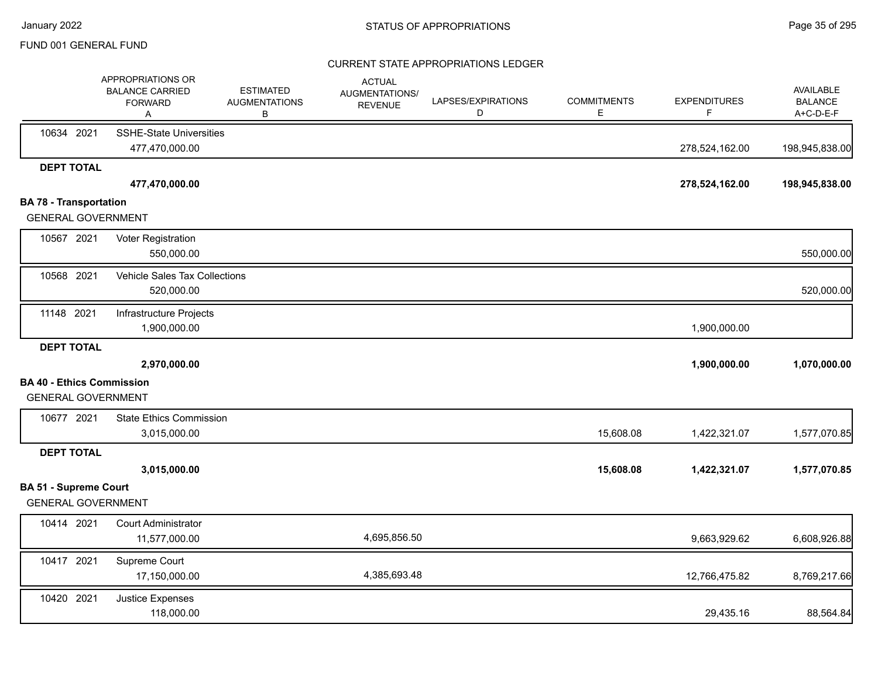|                                  | APPROPRIATIONS OR<br><b>BALANCE CARRIED</b><br><b>FORWARD</b><br>Α | <b>ESTIMATED</b><br><b>AUGMENTATIONS</b><br>В | <b>ACTUAL</b><br>AUGMENTATIONS/<br><b>REVENUE</b> | LAPSES/EXPIRATIONS<br>D | <b>COMMITMENTS</b><br>Е | <b>EXPENDITURES</b><br>F | <b>AVAILABLE</b><br><b>BALANCE</b><br>A+C-D-E-F |
|----------------------------------|--------------------------------------------------------------------|-----------------------------------------------|---------------------------------------------------|-------------------------|-------------------------|--------------------------|-------------------------------------------------|
| 10634 2021                       | <b>SSHE-State Universities</b><br>477,470,000.00                   |                                               |                                                   |                         |                         | 278,524,162.00           | 198,945,838.00                                  |
| <b>DEPT TOTAL</b>                |                                                                    |                                               |                                                   |                         |                         |                          |                                                 |
|                                  | 477,470,000.00                                                     |                                               |                                                   |                         |                         | 278,524,162.00           | 198,945,838.00                                  |
| <b>BA 78 - Transportation</b>    |                                                                    |                                               |                                                   |                         |                         |                          |                                                 |
| <b>GENERAL GOVERNMENT</b>        |                                                                    |                                               |                                                   |                         |                         |                          |                                                 |
| 10567 2021                       | Voter Registration                                                 |                                               |                                                   |                         |                         |                          |                                                 |
|                                  | 550,000.00                                                         |                                               |                                                   |                         |                         |                          | 550,000.00                                      |
| 10568 2021                       | Vehicle Sales Tax Collections                                      |                                               |                                                   |                         |                         |                          |                                                 |
|                                  | 520,000.00                                                         |                                               |                                                   |                         |                         |                          | 520,000.00                                      |
| 11148 2021                       | Infrastructure Projects                                            |                                               |                                                   |                         |                         |                          |                                                 |
|                                  | 1,900,000.00                                                       |                                               |                                                   |                         |                         | 1,900,000.00             |                                                 |
| <b>DEPT TOTAL</b>                |                                                                    |                                               |                                                   |                         |                         |                          |                                                 |
|                                  | 2,970,000.00                                                       |                                               |                                                   |                         |                         | 1,900,000.00             | 1,070,000.00                                    |
| <b>BA 40 - Ethics Commission</b> |                                                                    |                                               |                                                   |                         |                         |                          |                                                 |
| <b>GENERAL GOVERNMENT</b>        |                                                                    |                                               |                                                   |                         |                         |                          |                                                 |
| 10677 2021                       | <b>State Ethics Commission</b>                                     |                                               |                                                   |                         |                         |                          |                                                 |
|                                  | 3,015,000.00                                                       |                                               |                                                   |                         | 15,608.08               | 1,422,321.07             | 1,577,070.85                                    |
| <b>DEPT TOTAL</b>                |                                                                    |                                               |                                                   |                         |                         |                          |                                                 |
|                                  | 3,015,000.00                                                       |                                               |                                                   |                         | 15,608.08               | 1,422,321.07             | 1,577,070.85                                    |
| <b>BA 51 - Supreme Court</b>     |                                                                    |                                               |                                                   |                         |                         |                          |                                                 |
| <b>GENERAL GOVERNMENT</b>        |                                                                    |                                               |                                                   |                         |                         |                          |                                                 |
| 10414 2021                       | <b>Court Administrator</b>                                         |                                               |                                                   |                         |                         |                          |                                                 |
|                                  | 11,577,000.00                                                      |                                               | 4,695,856.50                                      |                         |                         | 9,663,929.62             | 6,608,926.88                                    |
| 10417 2021                       | Supreme Court                                                      |                                               |                                                   |                         |                         |                          |                                                 |
|                                  | 17,150,000.00                                                      |                                               | 4,385,693.48                                      |                         |                         | 12,766,475.82            | 8,769,217.66                                    |
| 10420 2021                       | Justice Expenses                                                   |                                               |                                                   |                         |                         |                          |                                                 |
|                                  | 118,000.00                                                         |                                               |                                                   |                         |                         | 29,435.16                | 88,564.84                                       |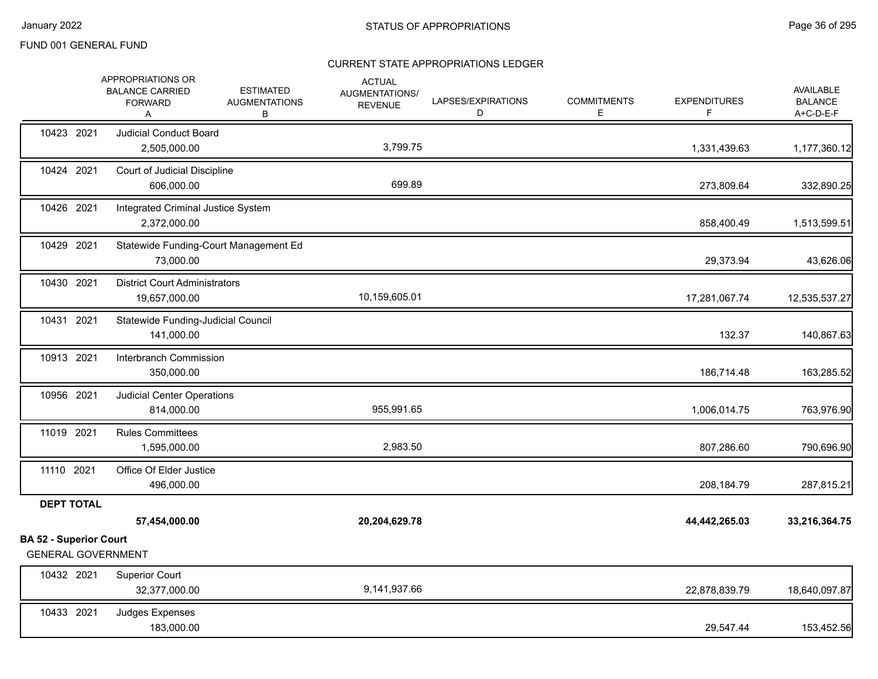|                                                            | APPROPRIATIONS OR<br><b>BALANCE CARRIED</b><br><b>FORWARD</b><br>Α | <b>ESTIMATED</b><br><b>AUGMENTATIONS</b><br>В | <b>ACTUAL</b><br>AUGMENTATIONS/<br><b>REVENUE</b> | LAPSES/EXPIRATIONS<br>D | <b>COMMITMENTS</b><br>Е | <b>EXPENDITURES</b><br>F. | AVAILABLE<br><b>BALANCE</b><br>A+C-D-E-F |
|------------------------------------------------------------|--------------------------------------------------------------------|-----------------------------------------------|---------------------------------------------------|-------------------------|-------------------------|---------------------------|------------------------------------------|
| 10423 2021                                                 | <b>Judicial Conduct Board</b><br>2,505,000.00                      |                                               | 3,799.75                                          |                         |                         | 1,331,439.63              | 1,177,360.12                             |
| 10424 2021                                                 | Court of Judicial Discipline<br>606,000.00                         |                                               | 699.89                                            |                         |                         | 273,809.64                | 332,890.25                               |
| 10426 2021                                                 | Integrated Criminal Justice System<br>2,372,000.00                 |                                               |                                                   |                         |                         | 858,400.49                | 1,513,599.51                             |
| 10429 2021                                                 | 73,000.00                                                          | Statewide Funding-Court Management Ed         |                                                   |                         |                         | 29,373.94                 | 43,626.06                                |
| 10430 2021                                                 | <b>District Court Administrators</b><br>19,657,000.00              |                                               | 10,159,605.01                                     |                         |                         | 17,281,067.74             | 12,535,537.27                            |
| 10431 2021                                                 | Statewide Funding-Judicial Council<br>141,000.00                   |                                               |                                                   |                         |                         | 132.37                    | 140,867.63                               |
| 10913 2021                                                 | Interbranch Commission<br>350,000.00                               |                                               |                                                   |                         |                         | 186,714.48                | 163,285.52                               |
| 10956 2021                                                 | <b>Judicial Center Operations</b><br>814,000.00                    |                                               | 955,991.65                                        |                         |                         | 1,006,014.75              | 763,976.90                               |
| 11019 2021                                                 | <b>Rules Committees</b><br>1,595,000.00                            |                                               | 2,983.50                                          |                         |                         | 807,286.60                | 790,696.90                               |
| 11110 2021                                                 | Office Of Elder Justice<br>496,000.00                              |                                               |                                                   |                         |                         | 208,184.79                | 287,815.21                               |
| <b>DEPT TOTAL</b>                                          |                                                                    |                                               |                                                   |                         |                         |                           |                                          |
|                                                            | 57,454,000.00                                                      |                                               | 20,204,629.78                                     |                         |                         | 44,442,265.03             | 33,216,364.75                            |
| <b>BA 52 - Superior Court</b><br><b>GENERAL GOVERNMENT</b> |                                                                    |                                               |                                                   |                         |                         |                           |                                          |
| 10432 2021                                                 | <b>Superior Court</b><br>32,377,000.00                             |                                               | 9,141,937.66                                      |                         |                         | 22,878,839.79             | 18,640,097.87                            |
| 10433 2021                                                 | Judges Expenses<br>183,000.00                                      |                                               |                                                   |                         |                         | 29,547.44                 | 153,452.56                               |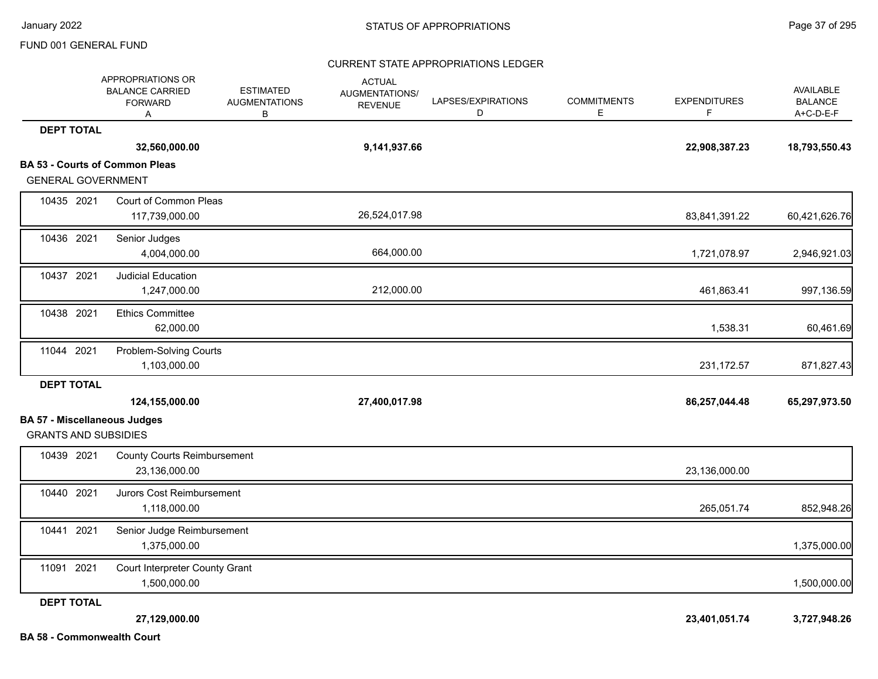# CURRENT STATE APPROPRIATIONS LEDGER

|                                                                    | APPROPRIATIONS OR<br><b>BALANCE CARRIED</b><br><b>FORWARD</b><br>A | <b>ESTIMATED</b><br><b>AUGMENTATIONS</b><br>В | <b>ACTUAL</b><br>AUGMENTATIONS/<br><b>REVENUE</b> | LAPSES/EXPIRATIONS<br>D | <b>COMMITMENTS</b><br>Е | <b>EXPENDITURES</b><br>F. | AVAILABLE<br><b>BALANCE</b><br>A+C-D-E-F |
|--------------------------------------------------------------------|--------------------------------------------------------------------|-----------------------------------------------|---------------------------------------------------|-------------------------|-------------------------|---------------------------|------------------------------------------|
| <b>DEPT TOTAL</b>                                                  |                                                                    |                                               |                                                   |                         |                         |                           |                                          |
|                                                                    | 32,560,000.00                                                      |                                               | 9,141,937.66                                      |                         |                         | 22,908,387.23             | 18,793,550.43                            |
| <b>GENERAL GOVERNMENT</b>                                          | <b>BA 53 - Courts of Common Pleas</b>                              |                                               |                                                   |                         |                         |                           |                                          |
| 10435 2021                                                         | Court of Common Pleas<br>117,739,000.00                            |                                               | 26,524,017.98                                     |                         |                         | 83,841,391.22             | 60,421,626.76                            |
| 10436 2021                                                         | Senior Judges<br>4,004,000.00                                      |                                               | 664,000.00                                        |                         |                         | 1,721,078.97              | 2,946,921.03                             |
| 10437 2021                                                         | <b>Judicial Education</b><br>1,247,000.00                          |                                               | 212,000.00                                        |                         |                         | 461,863.41                | 997,136.59                               |
| 10438 2021                                                         | <b>Ethics Committee</b><br>62,000.00                               |                                               |                                                   |                         |                         | 1,538.31                  | 60,461.69                                |
| 11044 2021                                                         | Problem-Solving Courts<br>1,103,000.00                             |                                               |                                                   |                         |                         | 231, 172.57               | 871,827.43                               |
| <b>DEPT TOTAL</b>                                                  | 124,155,000.00                                                     |                                               | 27,400,017.98                                     |                         |                         | 86,257,044.48             | 65,297,973.50                            |
| <b>BA 57 - Miscellaneous Judges</b><br><b>GRANTS AND SUBSIDIES</b> |                                                                    |                                               |                                                   |                         |                         |                           |                                          |
| 10439 2021                                                         | <b>County Courts Reimbursement</b><br>23,136,000.00                |                                               |                                                   |                         |                         | 23,136,000.00             |                                          |
| 10440 2021                                                         | Jurors Cost Reimbursement<br>1,118,000.00                          |                                               |                                                   |                         |                         | 265,051.74                | 852,948.26                               |
| 10441 2021                                                         | Senior Judge Reimbursement<br>1,375,000.00                         |                                               |                                                   |                         |                         |                           | 1,375,000.00                             |
| 11091 2021                                                         | Court Interpreter County Grant<br>1,500,000.00                     |                                               |                                                   |                         |                         |                           | 1,500,000.00                             |
| <b>DEPT TOTAL</b>                                                  |                                                                    |                                               |                                                   |                         |                         |                           |                                          |
| <b>BA 58 - Commonwealth Court</b>                                  | 27,129,000.00                                                      |                                               |                                                   |                         |                         | 23,401,051.74             | 3,727,948.26                             |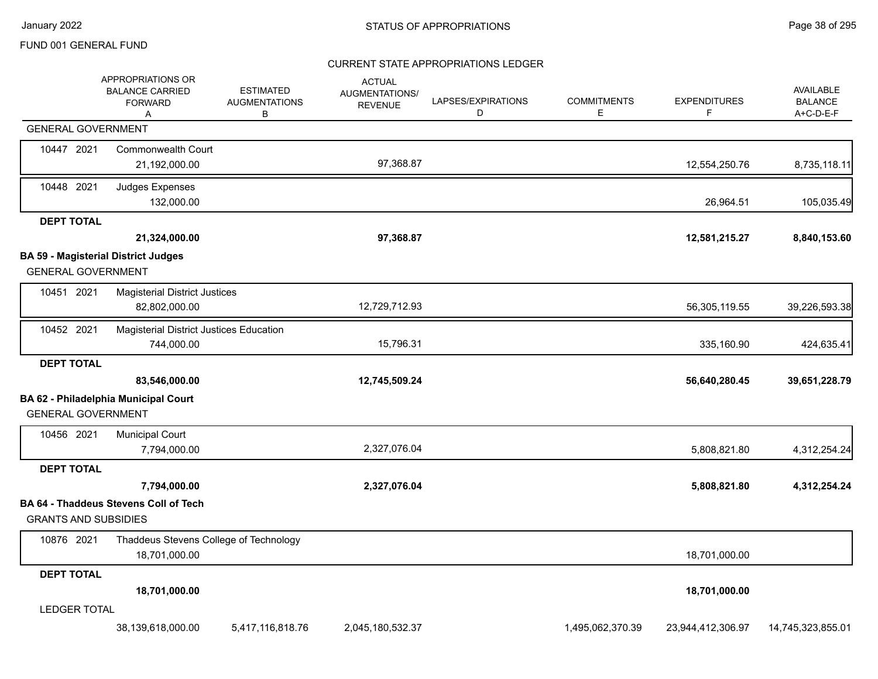### CURRENT STATE APPROPRIATIONS LEDGER

|                             | APPROPRIATIONS OR<br><b>BALANCE CARRIED</b><br><b>FORWARD</b><br>A | <b>ESTIMATED</b><br><b>AUGMENTATIONS</b><br>В | <b>ACTUAL</b><br><b>AUGMENTATIONS/</b><br><b>REVENUE</b> | LAPSES/EXPIRATIONS<br>D | <b>COMMITMENTS</b><br>Е | <b>EXPENDITURES</b><br>F | <b>AVAILABLE</b><br><b>BALANCE</b><br>A+C-D-E-F |
|-----------------------------|--------------------------------------------------------------------|-----------------------------------------------|----------------------------------------------------------|-------------------------|-------------------------|--------------------------|-------------------------------------------------|
| <b>GENERAL GOVERNMENT</b>   |                                                                    |                                               |                                                          |                         |                         |                          |                                                 |
| 10447 2021                  | <b>Commonwealth Court</b><br>21,192,000.00                         |                                               | 97,368.87                                                |                         |                         | 12,554,250.76            | 8,735,118.11                                    |
| 10448 2021                  | Judges Expenses<br>132,000.00                                      |                                               |                                                          |                         |                         | 26,964.51                | 105,035.49                                      |
| <b>DEPT TOTAL</b>           |                                                                    |                                               |                                                          |                         |                         |                          |                                                 |
|                             | 21,324,000.00                                                      |                                               | 97,368.87                                                |                         |                         | 12,581,215.27            | 8,840,153.60                                    |
|                             | <b>BA 59 - Magisterial District Judges</b>                         |                                               |                                                          |                         |                         |                          |                                                 |
| <b>GENERAL GOVERNMENT</b>   |                                                                    |                                               |                                                          |                         |                         |                          |                                                 |
| 10451 2021                  | <b>Magisterial District Justices</b><br>82,802,000.00              |                                               | 12,729,712.93                                            |                         |                         | 56,305,119.55            | 39,226,593.38                                   |
| 10452 2021                  | <b>Magisterial District Justices Education</b>                     |                                               |                                                          |                         |                         |                          |                                                 |
|                             | 744,000.00                                                         |                                               | 15,796.31                                                |                         |                         | 335,160.90               | 424,635.41                                      |
| <b>DEPT TOTAL</b>           |                                                                    |                                               |                                                          |                         |                         |                          |                                                 |
|                             | 83,546,000.00                                                      |                                               | 12,745,509.24                                            |                         |                         | 56,640,280.45            | 39,651,228.79                                   |
| <b>GENERAL GOVERNMENT</b>   | BA 62 - Philadelphia Municipal Court                               |                                               |                                                          |                         |                         |                          |                                                 |
| 10456 2021                  | <b>Municipal Court</b>                                             |                                               |                                                          |                         |                         |                          |                                                 |
|                             | 7,794,000.00                                                       |                                               | 2,327,076.04                                             |                         |                         | 5,808,821.80             | 4,312,254.24                                    |
| <b>DEPT TOTAL</b>           |                                                                    |                                               |                                                          |                         |                         |                          |                                                 |
|                             | 7,794,000.00                                                       |                                               | 2,327,076.04                                             |                         |                         | 5,808,821.80             | 4,312,254.24                                    |
| <b>GRANTS AND SUBSIDIES</b> | <b>BA 64 - Thaddeus Stevens Coll of Tech</b>                       |                                               |                                                          |                         |                         |                          |                                                 |
| 10876 2021                  | Thaddeus Stevens College of Technology<br>18,701,000.00            |                                               |                                                          |                         |                         | 18,701,000.00            |                                                 |
| <b>DEPT TOTAL</b>           |                                                                    |                                               |                                                          |                         |                         |                          |                                                 |
|                             | 18,701,000.00                                                      |                                               |                                                          |                         |                         | 18,701,000.00            |                                                 |
| <b>LEDGER TOTAL</b>         |                                                                    |                                               |                                                          |                         |                         |                          |                                                 |
|                             | 38,139,618,000.00                                                  | 5,417,116,818.76                              | 2,045,180,532.37                                         |                         | 1,495,062,370.39        | 23,944,412,306.97        | 14,745,323,855.01                               |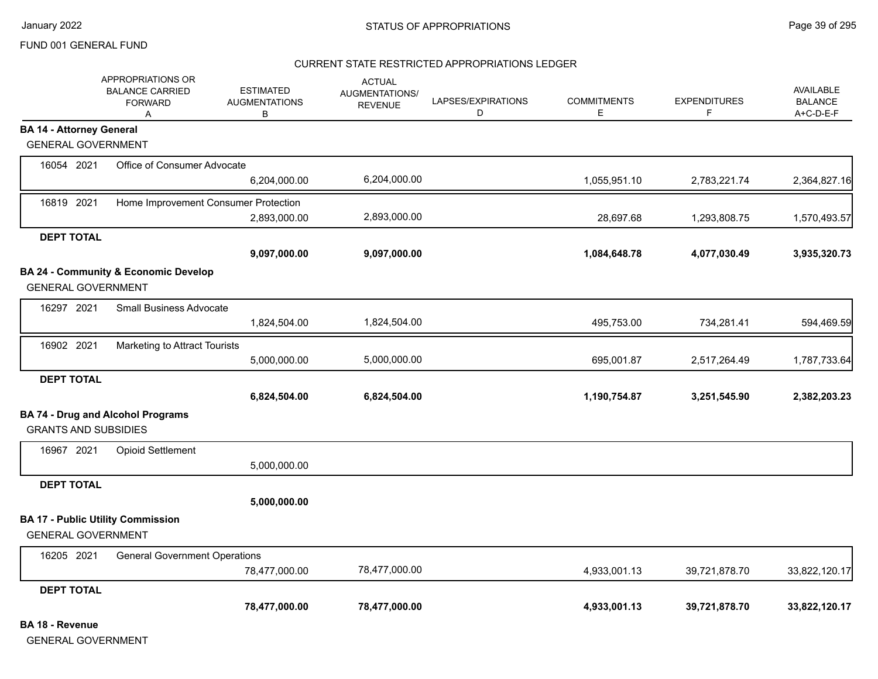### CURRENT STATE RESTRICTED APPROPRIATIONS LEDGER

|                                 | APPROPRIATIONS OR<br><b>BALANCE CARRIED</b><br><b>FORWARD</b><br>A | <b>ESTIMATED</b><br><b>AUGMENTATIONS</b><br>В | <b>ACTUAL</b><br>AUGMENTATIONS/<br><b>REVENUE</b> | LAPSES/EXPIRATIONS<br>D | <b>COMMITMENTS</b><br>Е | <b>EXPENDITURES</b><br>F | <b>AVAILABLE</b><br><b>BALANCE</b><br>A+C-D-E-F |
|---------------------------------|--------------------------------------------------------------------|-----------------------------------------------|---------------------------------------------------|-------------------------|-------------------------|--------------------------|-------------------------------------------------|
| <b>BA 14 - Attorney General</b> |                                                                    |                                               |                                                   |                         |                         |                          |                                                 |
| <b>GENERAL GOVERNMENT</b>       |                                                                    |                                               |                                                   |                         |                         |                          |                                                 |
| 16054 2021                      | Office of Consumer Advocate                                        |                                               |                                                   |                         |                         |                          |                                                 |
|                                 |                                                                    | 6,204,000.00                                  | 6,204,000.00                                      |                         | 1,055,951.10            | 2,783,221.74             | 2,364,827.16                                    |
| 16819 2021                      | Home Improvement Consumer Protection                               |                                               |                                                   |                         |                         |                          |                                                 |
|                                 |                                                                    | 2,893,000.00                                  | 2,893,000.00                                      |                         | 28,697.68               | 1,293,808.75             | 1,570,493.57                                    |
| <b>DEPT TOTAL</b>               |                                                                    |                                               |                                                   |                         |                         |                          |                                                 |
|                                 |                                                                    | 9,097,000.00                                  | 9,097,000.00                                      |                         | 1,084,648.78            | 4,077,030.49             | 3,935,320.73                                    |
|                                 | BA 24 - Community & Economic Develop                               |                                               |                                                   |                         |                         |                          |                                                 |
| <b>GENERAL GOVERNMENT</b>       |                                                                    |                                               |                                                   |                         |                         |                          |                                                 |
| 16297 2021                      | <b>Small Business Advocate</b>                                     |                                               |                                                   |                         |                         |                          |                                                 |
|                                 |                                                                    | 1,824,504.00                                  | 1,824,504.00                                      |                         | 495,753.00              | 734,281.41               | 594,469.59                                      |
| 16902 2021                      | Marketing to Attract Tourists                                      |                                               |                                                   |                         |                         |                          |                                                 |
|                                 |                                                                    | 5,000,000.00                                  | 5,000,000.00                                      |                         | 695,001.87              | 2,517,264.49             | 1,787,733.64                                    |
| <b>DEPT TOTAL</b>               |                                                                    |                                               |                                                   |                         |                         |                          |                                                 |
|                                 |                                                                    | 6,824,504.00                                  | 6,824,504.00                                      |                         | 1,190,754.87            | 3,251,545.90             | 2,382,203.23                                    |
|                                 | <b>BA 74 - Drug and Alcohol Programs</b>                           |                                               |                                                   |                         |                         |                          |                                                 |
| <b>GRANTS AND SUBSIDIES</b>     |                                                                    |                                               |                                                   |                         |                         |                          |                                                 |
| 16967 2021                      | <b>Opioid Settlement</b>                                           |                                               |                                                   |                         |                         |                          |                                                 |
|                                 |                                                                    | 5,000,000.00                                  |                                                   |                         |                         |                          |                                                 |
| <b>DEPT TOTAL</b>               |                                                                    |                                               |                                                   |                         |                         |                          |                                                 |
|                                 |                                                                    | 5,000,000.00                                  |                                                   |                         |                         |                          |                                                 |
|                                 | <b>BA 17 - Public Utility Commission</b>                           |                                               |                                                   |                         |                         |                          |                                                 |
| <b>GENERAL GOVERNMENT</b>       |                                                                    |                                               |                                                   |                         |                         |                          |                                                 |
| 16205 2021                      | <b>General Government Operations</b>                               |                                               |                                                   |                         |                         |                          |                                                 |
|                                 |                                                                    | 78,477,000.00                                 | 78,477,000.00                                     |                         | 4,933,001.13            | 39,721,878.70            | 33,822,120.17                                   |
| <b>DEPT TOTAL</b>               |                                                                    |                                               |                                                   |                         |                         |                          |                                                 |
|                                 |                                                                    | 78,477,000.00                                 | 78,477,000.00                                     |                         | 4,933,001.13            | 39,721,878.70            | 33,822,120.17                                   |

**BA 18 - Revenue**

GENERAL GOVERNMENT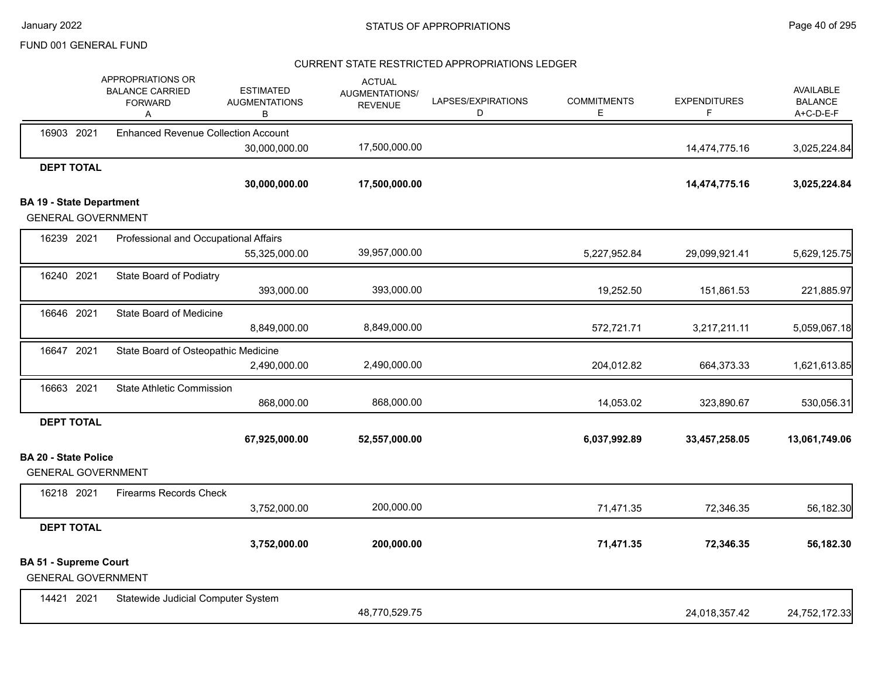# CURRENT STATE RESTRICTED APPROPRIATIONS LEDGER

|                                 |            | APPROPRIATIONS OR<br><b>BALANCE CARRIED</b><br><b>FORWARD</b><br>Α | <b>ESTIMATED</b><br><b>AUGMENTATIONS</b><br>B | <b>ACTUAL</b><br><b>AUGMENTATIONS/</b><br><b>REVENUE</b> | LAPSES/EXPIRATIONS<br>D | <b>COMMITMENTS</b><br>E | <b>EXPENDITURES</b><br>F | <b>AVAILABLE</b><br><b>BALANCE</b><br>A+C-D-E-F |
|---------------------------------|------------|--------------------------------------------------------------------|-----------------------------------------------|----------------------------------------------------------|-------------------------|-------------------------|--------------------------|-------------------------------------------------|
| 16903 2021                      |            | <b>Enhanced Revenue Collection Account</b>                         |                                               |                                                          |                         |                         |                          |                                                 |
|                                 |            |                                                                    | 30,000,000.00                                 | 17,500,000.00                                            |                         |                         | 14,474,775.16            | 3,025,224.84                                    |
| <b>DEPT TOTAL</b>               |            |                                                                    |                                               |                                                          |                         |                         |                          |                                                 |
|                                 |            |                                                                    | 30,000,000.00                                 | 17,500,000.00                                            |                         |                         | 14,474,775.16            | 3,025,224.84                                    |
| <b>BA 19 - State Department</b> |            |                                                                    |                                               |                                                          |                         |                         |                          |                                                 |
|                                 |            | <b>GENERAL GOVERNMENT</b>                                          |                                               |                                                          |                         |                         |                          |                                                 |
|                                 | 16239 2021 | Professional and Occupational Affairs                              |                                               |                                                          |                         |                         |                          |                                                 |
|                                 |            |                                                                    | 55,325,000.00                                 | 39,957,000.00                                            |                         | 5,227,952.84            | 29,099,921.41            | 5,629,125.75                                    |
|                                 | 16240 2021 | State Board of Podiatry                                            |                                               |                                                          |                         |                         |                          |                                                 |
|                                 |            |                                                                    | 393,000.00                                    | 393,000.00                                               |                         | 19,252.50               | 151,861.53               | 221,885.97                                      |
| 16646 2021                      |            | State Board of Medicine                                            |                                               |                                                          |                         |                         |                          |                                                 |
|                                 |            |                                                                    | 8,849,000.00                                  | 8,849,000.00                                             |                         | 572,721.71              | 3,217,211.11             | 5,059,067.18                                    |
| 16647 2021                      |            | State Board of Osteopathic Medicine                                |                                               |                                                          |                         |                         |                          |                                                 |
|                                 |            |                                                                    | 2,490,000.00                                  | 2,490,000.00                                             |                         | 204,012.82              | 664,373.33               | 1,621,613.85                                    |
| 16663 2021                      |            | <b>State Athletic Commission</b>                                   |                                               |                                                          |                         |                         |                          |                                                 |
|                                 |            |                                                                    | 868,000.00                                    | 868,000.00                                               |                         | 14,053.02               | 323,890.67               | 530,056.31                                      |
| <b>DEPT TOTAL</b>               |            |                                                                    |                                               |                                                          |                         |                         |                          |                                                 |
|                                 |            |                                                                    | 67,925,000.00                                 | 52,557,000.00                                            |                         | 6,037,992.89            | 33,457,258.05            | 13,061,749.06                                   |
| <b>BA 20 - State Police</b>     |            | <b>GENERAL GOVERNMENT</b>                                          |                                               |                                                          |                         |                         |                          |                                                 |
| 16218 2021                      |            | <b>Firearms Records Check</b>                                      |                                               |                                                          |                         |                         |                          |                                                 |
|                                 |            |                                                                    | 3,752,000.00                                  | 200,000.00                                               |                         | 71,471.35               | 72,346.35                | 56,182.30                                       |
| <b>DEPT TOTAL</b>               |            |                                                                    |                                               |                                                          |                         |                         |                          |                                                 |
|                                 |            |                                                                    | 3,752,000.00                                  | 200,000.00                                               |                         | 71,471.35               | 72,346.35                | 56,182.30                                       |
| <b>BA 51 - Supreme Court</b>    |            | <b>GENERAL GOVERNMENT</b>                                          |                                               |                                                          |                         |                         |                          |                                                 |
| 14421 2021                      |            | Statewide Judicial Computer System                                 |                                               |                                                          |                         |                         |                          |                                                 |
|                                 |            |                                                                    |                                               | 48,770,529.75                                            |                         |                         | 24,018,357.42            | 24,752,172.33                                   |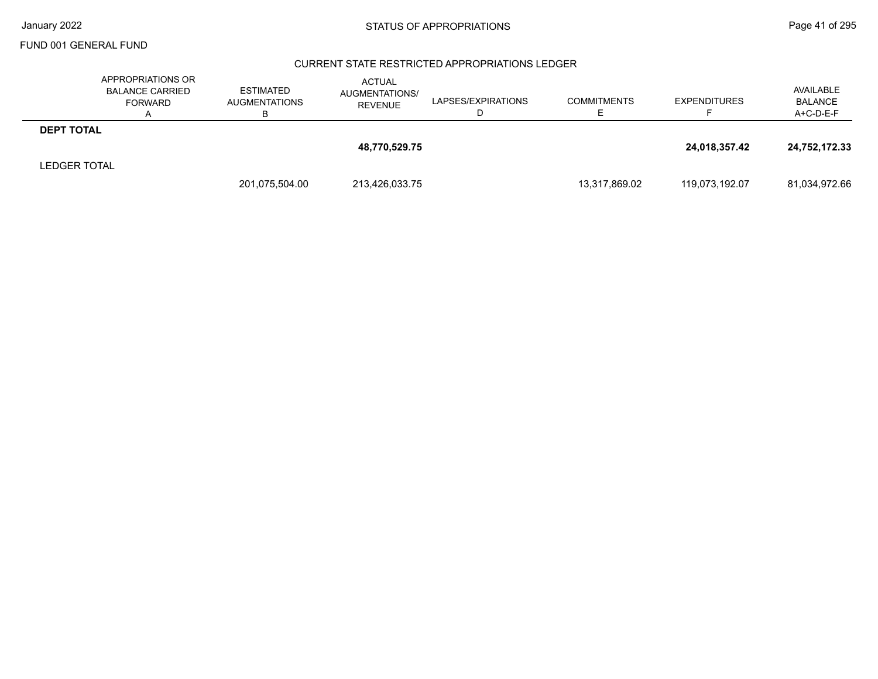### CURRENT STATE RESTRICTED APPROPRIATIONS LEDGER

|                     | APPROPRIATIONS OR<br><b>BALANCE CARRIED</b><br><b>FORWARD</b> | <b>ESTIMATED</b><br><b>AUGMENTATIONS</b><br>в | <b>ACTUAL</b><br>AUGMENTATIONS/<br><b>REVENUE</b> | LAPSES/EXPIRATIONS | <b>COMMITMENTS</b> | <b>EXPENDITURES</b> | AVAILABLE<br><b>BALANCE</b><br>A+C-D-E-F |
|---------------------|---------------------------------------------------------------|-----------------------------------------------|---------------------------------------------------|--------------------|--------------------|---------------------|------------------------------------------|
| <b>DEPT TOTAL</b>   |                                                               |                                               |                                                   |                    |                    |                     |                                          |
|                     |                                                               |                                               | 48,770,529.75                                     |                    |                    | 24,018,357.42       | 24,752,172.33                            |
| <b>LEDGER TOTAL</b> |                                                               |                                               |                                                   |                    |                    |                     |                                          |
|                     |                                                               | 201,075,504.00                                | 213,426,033.75                                    |                    | 13,317,869.02      | 119,073,192.07      | 81,034,972.66                            |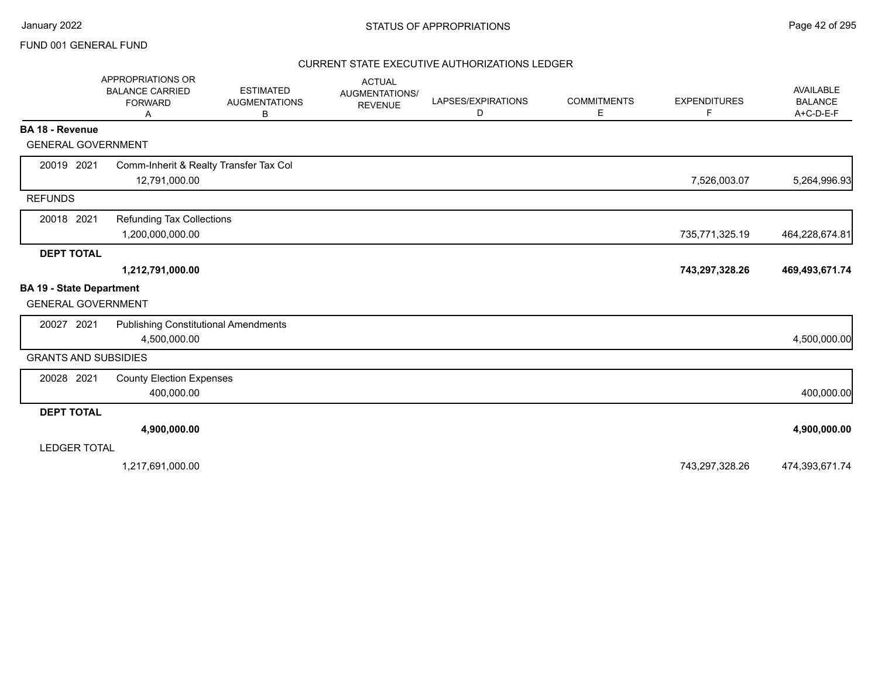### CURRENT STATE EXECUTIVE AUTHORIZATIONS LEDGER

|                                 | APPROPRIATIONS OR<br><b>BALANCE CARRIED</b><br><b>FORWARD</b><br>Α | <b>ESTIMATED</b><br><b>AUGMENTATIONS</b><br>в | <b>ACTUAL</b><br>AUGMENTATIONS/<br><b>REVENUE</b> | LAPSES/EXPIRATIONS<br>D | <b>COMMITMENTS</b><br>Е | <b>EXPENDITURES</b><br>F | AVAILABLE<br><b>BALANCE</b><br>$A+C-D-E-F$ |
|---------------------------------|--------------------------------------------------------------------|-----------------------------------------------|---------------------------------------------------|-------------------------|-------------------------|--------------------------|--------------------------------------------|
| <b>BA 18 - Revenue</b>          |                                                                    |                                               |                                                   |                         |                         |                          |                                            |
| <b>GENERAL GOVERNMENT</b>       |                                                                    |                                               |                                                   |                         |                         |                          |                                            |
| 20019 2021                      | Comm-Inherit & Realty Transfer Tax Col                             |                                               |                                                   |                         |                         |                          |                                            |
|                                 | 12,791,000.00                                                      |                                               |                                                   |                         |                         | 7,526,003.07             | 5,264,996.93                               |
| <b>REFUNDS</b>                  |                                                                    |                                               |                                                   |                         |                         |                          |                                            |
| 20018 2021                      | <b>Refunding Tax Collections</b>                                   |                                               |                                                   |                         |                         |                          |                                            |
|                                 | 1,200,000,000.00                                                   |                                               |                                                   |                         |                         | 735,771,325.19           | 464,228,674.81                             |
| <b>DEPT TOTAL</b>               |                                                                    |                                               |                                                   |                         |                         |                          |                                            |
|                                 | 1,212,791,000.00                                                   |                                               |                                                   |                         |                         | 743,297,328.26           | 469,493,671.74                             |
| <b>BA 19 - State Department</b> |                                                                    |                                               |                                                   |                         |                         |                          |                                            |
| <b>GENERAL GOVERNMENT</b>       |                                                                    |                                               |                                                   |                         |                         |                          |                                            |
| 20027 2021                      | <b>Publishing Constitutional Amendments</b>                        |                                               |                                                   |                         |                         |                          |                                            |
|                                 | 4,500,000.00                                                       |                                               |                                                   |                         |                         |                          | 4,500,000.00                               |
| <b>GRANTS AND SUBSIDIES</b>     |                                                                    |                                               |                                                   |                         |                         |                          |                                            |
| 20028 2021                      | <b>County Election Expenses</b>                                    |                                               |                                                   |                         |                         |                          |                                            |
|                                 | 400,000.00                                                         |                                               |                                                   |                         |                         |                          | 400,000.00                                 |
| <b>DEPT TOTAL</b>               |                                                                    |                                               |                                                   |                         |                         |                          |                                            |
|                                 | 4,900,000.00                                                       |                                               |                                                   |                         |                         |                          | 4,900,000.00                               |
| <b>LEDGER TOTAL</b>             |                                                                    |                                               |                                                   |                         |                         |                          |                                            |
|                                 | 1,217,691,000.00                                                   |                                               |                                                   |                         |                         | 743,297,328.26           | 474,393,671.74                             |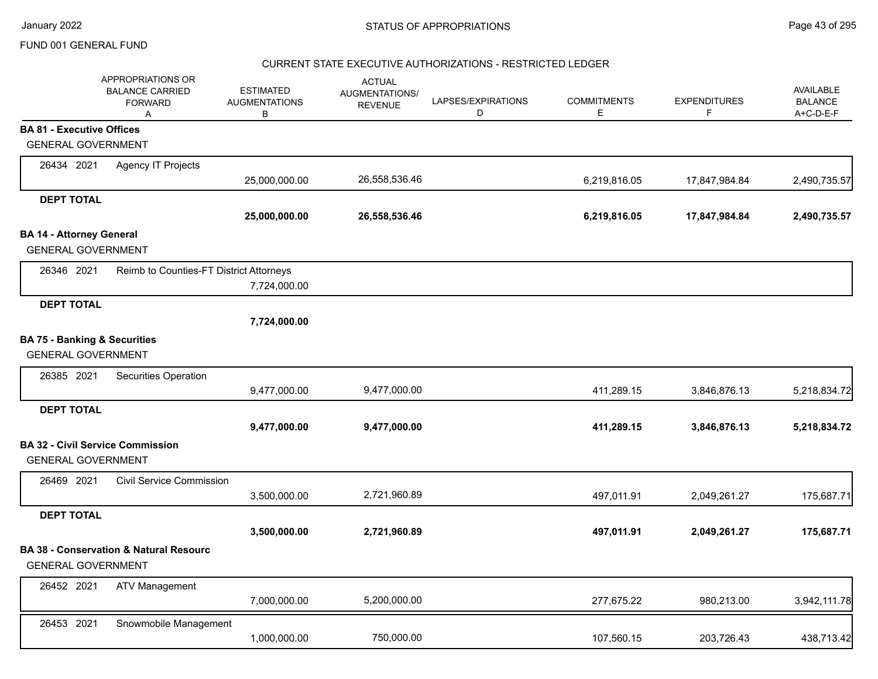### CURRENT STATE EXECUTIVE AUTHORIZATIONS - RESTRICTED LEDGER

|                                                                      | APPROPRIATIONS OR<br><b>BALANCE CARRIED</b><br><b>FORWARD</b><br>Α | <b>ESTIMATED</b><br><b>AUGMENTATIONS</b><br>B | <b>ACTUAL</b><br>AUGMENTATIONS/<br><b>REVENUE</b> | LAPSES/EXPIRATIONS<br>D | <b>COMMITMENTS</b><br>Е | <b>EXPENDITURES</b><br>F | <b>AVAILABLE</b><br><b>BALANCE</b><br>A+C-D-E-F |
|----------------------------------------------------------------------|--------------------------------------------------------------------|-----------------------------------------------|---------------------------------------------------|-------------------------|-------------------------|--------------------------|-------------------------------------------------|
| <b>BA 81 - Executive Offices</b>                                     |                                                                    |                                               |                                                   |                         |                         |                          |                                                 |
| <b>GENERAL GOVERNMENT</b>                                            |                                                                    |                                               |                                                   |                         |                         |                          |                                                 |
| 26434 2021                                                           | <b>Agency IT Projects</b>                                          |                                               |                                                   |                         |                         |                          |                                                 |
|                                                                      |                                                                    | 25,000,000.00                                 | 26,558,536.46                                     |                         | 6,219,816.05            | 17,847,984.84            | 2,490,735.57                                    |
| <b>DEPT TOTAL</b>                                                    |                                                                    |                                               |                                                   |                         |                         |                          |                                                 |
|                                                                      |                                                                    | 25,000,000.00                                 | 26,558,536.46                                     |                         | 6,219,816.05            | 17,847,984.84            | 2,490,735.57                                    |
| <b>BA 14 - Attorney General</b><br><b>GENERAL GOVERNMENT</b>         |                                                                    |                                               |                                                   |                         |                         |                          |                                                 |
| 26346 2021                                                           | Reimb to Counties-FT District Attorneys                            | 7,724,000.00                                  |                                                   |                         |                         |                          |                                                 |
| <b>DEPT TOTAL</b>                                                    |                                                                    |                                               |                                                   |                         |                         |                          |                                                 |
|                                                                      |                                                                    | 7,724,000.00                                  |                                                   |                         |                         |                          |                                                 |
| <b>BA 75 - Banking &amp; Securities</b><br><b>GENERAL GOVERNMENT</b> |                                                                    |                                               |                                                   |                         |                         |                          |                                                 |
| 26385 2021                                                           | Securities Operation                                               |                                               |                                                   |                         |                         |                          |                                                 |
|                                                                      |                                                                    | 9,477,000.00                                  | 9,477,000.00                                      |                         | 411,289.15              | 3,846,876.13             | 5,218,834.72                                    |
| <b>DEPT TOTAL</b>                                                    |                                                                    |                                               |                                                   |                         |                         |                          |                                                 |
|                                                                      |                                                                    | 9,477,000.00                                  | 9,477,000.00                                      |                         | 411,289.15              | 3,846,876.13             | 5,218,834.72                                    |
| <b>GENERAL GOVERNMENT</b>                                            | <b>BA 32 - Civil Service Commission</b>                            |                                               |                                                   |                         |                         |                          |                                                 |
| 26469 2021                                                           | <b>Civil Service Commission</b>                                    |                                               |                                                   |                         |                         |                          |                                                 |
|                                                                      |                                                                    | 3,500,000.00                                  | 2,721,960.89                                      |                         | 497,011.91              | 2,049,261.27             | 175,687.71                                      |
| <b>DEPT TOTAL</b>                                                    |                                                                    |                                               |                                                   |                         |                         |                          |                                                 |
|                                                                      |                                                                    | 3,500,000.00                                  | 2,721,960.89                                      |                         | 497,011.91              | 2,049,261.27             | 175,687.71                                      |
| <b>GENERAL GOVERNMENT</b>                                            | <b>BA 38 - Conservation &amp; Natural Resourc</b>                  |                                               |                                                   |                         |                         |                          |                                                 |
| 26452 2021                                                           | <b>ATV Management</b>                                              | 7,000,000.00                                  | 5,200,000.00                                      |                         | 277,675.22              | 980,213.00               | 3,942,111.78                                    |
| 26453 2021                                                           | Snowmobile Management                                              | 1,000,000.00                                  | 750,000.00                                        |                         | 107,560.15              | 203,726.43               | 438,713.42                                      |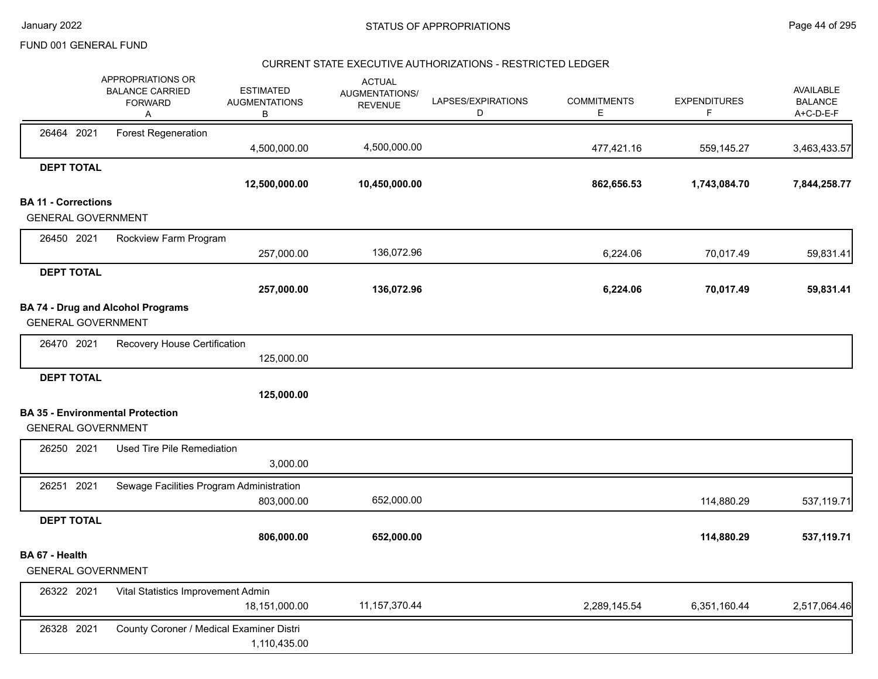### CURRENT STATE EXECUTIVE AUTHORIZATIONS - RESTRICTED LEDGER

|                            | APPROPRIATIONS OR<br><b>BALANCE CARRIED</b><br><b>FORWARD</b><br>Α | <b>ESTIMATED</b><br><b>AUGMENTATIONS</b><br>В | <b>ACTUAL</b><br>AUGMENTATIONS/<br><b>REVENUE</b> | LAPSES/EXPIRATIONS<br>D | <b>COMMITMENTS</b><br>Е | <b>EXPENDITURES</b><br>F | AVAILABLE<br><b>BALANCE</b><br>A+C-D-E-F |
|----------------------------|--------------------------------------------------------------------|-----------------------------------------------|---------------------------------------------------|-------------------------|-------------------------|--------------------------|------------------------------------------|
| 26464 2021                 | <b>Forest Regeneration</b>                                         | 4,500,000.00                                  | 4,500,000.00                                      |                         | 477,421.16              | 559,145.27               | 3,463,433.57                             |
| <b>DEPT TOTAL</b>          |                                                                    |                                               |                                                   |                         |                         |                          |                                          |
|                            |                                                                    | 12,500,000.00                                 | 10,450,000.00                                     |                         | 862,656.53              | 1,743,084.70             | 7,844,258.77                             |
| <b>BA 11 - Corrections</b> |                                                                    |                                               |                                                   |                         |                         |                          |                                          |
| <b>GENERAL GOVERNMENT</b>  |                                                                    |                                               |                                                   |                         |                         |                          |                                          |
| 26450 2021                 | Rockview Farm Program                                              |                                               |                                                   |                         |                         |                          |                                          |
|                            |                                                                    | 257,000.00                                    | 136,072.96                                        |                         | 6,224.06                | 70,017.49                | 59,831.41                                |
| <b>DEPT TOTAL</b>          |                                                                    |                                               |                                                   |                         |                         |                          |                                          |
|                            |                                                                    | 257,000.00                                    | 136,072.96                                        |                         | 6,224.06                | 70,017.49                | 59,831.41                                |
| <b>GENERAL GOVERNMENT</b>  | <b>BA 74 - Drug and Alcohol Programs</b>                           |                                               |                                                   |                         |                         |                          |                                          |
| 26470 2021                 | Recovery House Certification                                       |                                               |                                                   |                         |                         |                          |                                          |
|                            |                                                                    | 125,000.00                                    |                                                   |                         |                         |                          |                                          |
| <b>DEPT TOTAL</b>          |                                                                    |                                               |                                                   |                         |                         |                          |                                          |
|                            |                                                                    | 125,000.00                                    |                                                   |                         |                         |                          |                                          |
|                            | <b>BA 35 - Environmental Protection</b>                            |                                               |                                                   |                         |                         |                          |                                          |
| <b>GENERAL GOVERNMENT</b>  |                                                                    |                                               |                                                   |                         |                         |                          |                                          |
| 26250 2021                 | Used Tire Pile Remediation                                         |                                               |                                                   |                         |                         |                          |                                          |
|                            |                                                                    | 3,000.00                                      |                                                   |                         |                         |                          |                                          |
| 26251 2021                 | Sewage Facilities Program Administration                           | 803,000.00                                    | 652,000.00                                        |                         |                         | 114,880.29               | 537,119.71                               |
| <b>DEPT TOTAL</b>          |                                                                    |                                               |                                                   |                         |                         |                          |                                          |
|                            |                                                                    | 806,000.00                                    | 652,000.00                                        |                         |                         | 114,880.29               | 537,119.71                               |
| BA 67 - Health             |                                                                    |                                               |                                                   |                         |                         |                          |                                          |
| <b>GENERAL GOVERNMENT</b>  |                                                                    |                                               |                                                   |                         |                         |                          |                                          |
| 26322 2021                 | Vital Statistics Improvement Admin                                 |                                               |                                                   |                         |                         |                          |                                          |
|                            |                                                                    | 18,151,000.00                                 | 11, 157, 370. 44                                  |                         | 2,289,145.54            | 6,351,160.44             | 2,517,064.46                             |
| 26328 2021                 | County Coroner / Medical Examiner Distri                           |                                               |                                                   |                         |                         |                          |                                          |
|                            |                                                                    | 1,110,435.00                                  |                                                   |                         |                         |                          |                                          |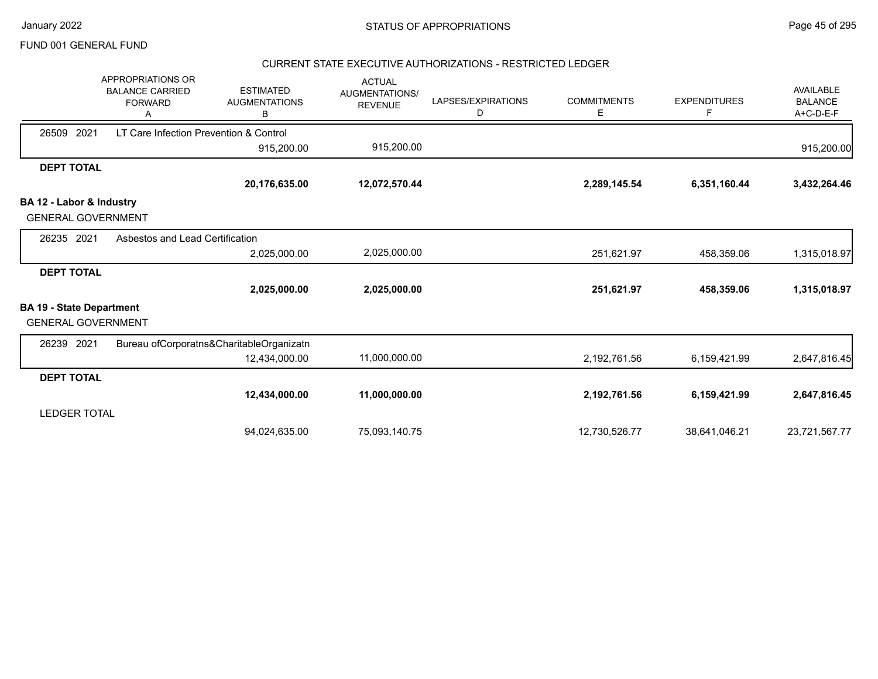### CURRENT STATE EXECUTIVE AUTHORIZATIONS - RESTRICTED LEDGER

|                                 | APPROPRIATIONS OR<br><b>BALANCE CARRIED</b><br><b>FORWARD</b> | <b>ESTIMATED</b><br><b>AUGMENTATIONS</b><br>в | <b>ACTUAL</b><br><b>AUGMENTATIONS/</b><br><b>REVENUE</b> | LAPSES/EXPIRATIONS<br>D | <b>COMMITMENTS</b><br>Е | <b>EXPENDITURES</b><br>F | <b>AVAILABLE</b><br><b>BALANCE</b><br>A+C-D-E-F |
|---------------------------------|---------------------------------------------------------------|-----------------------------------------------|----------------------------------------------------------|-------------------------|-------------------------|--------------------------|-------------------------------------------------|
| 2021<br>26509                   | LT Care Infection Prevention & Control                        |                                               |                                                          |                         |                         |                          |                                                 |
|                                 |                                                               | 915,200.00                                    | 915,200.00                                               |                         |                         |                          | 915,200.00                                      |
| <b>DEPT TOTAL</b>               |                                                               |                                               |                                                          |                         |                         |                          |                                                 |
|                                 |                                                               | 20,176,635.00                                 | 12,072,570.44                                            |                         | 2,289,145.54            | 6,351,160.44             | 3,432,264.46                                    |
| BA 12 - Labor & Industry        |                                                               |                                               |                                                          |                         |                         |                          |                                                 |
| <b>GENERAL GOVERNMENT</b>       |                                                               |                                               |                                                          |                         |                         |                          |                                                 |
| 26235 2021                      | Asbestos and Lead Certification                               |                                               |                                                          |                         |                         |                          |                                                 |
|                                 |                                                               | 2,025,000.00                                  | 2,025,000.00                                             |                         | 251,621.97              | 458,359.06               | 1,315,018.97                                    |
| <b>DEPT TOTAL</b>               |                                                               |                                               |                                                          |                         |                         |                          |                                                 |
|                                 |                                                               | 2,025,000.00                                  | 2,025,000.00                                             |                         | 251,621.97              | 458,359.06               | 1,315,018.97                                    |
| <b>BA 19 - State Department</b> |                                                               |                                               |                                                          |                         |                         |                          |                                                 |
| <b>GENERAL GOVERNMENT</b>       |                                                               |                                               |                                                          |                         |                         |                          |                                                 |
| 26239 2021                      |                                                               | Bureau ofCorporatns&CharitableOrganizatn      |                                                          |                         |                         |                          |                                                 |
|                                 |                                                               | 12,434,000.00                                 | 11,000,000.00                                            |                         | 2,192,761.56            | 6,159,421.99             | 2,647,816.45                                    |
| <b>DEPT TOTAL</b>               |                                                               |                                               |                                                          |                         |                         |                          |                                                 |
|                                 |                                                               | 12,434,000.00                                 | 11,000,000.00                                            |                         | 2,192,761.56            | 6,159,421.99             | 2,647,816.45                                    |
| <b>LEDGER TOTAL</b>             |                                                               |                                               |                                                          |                         |                         |                          |                                                 |
|                                 |                                                               | 94,024,635.00                                 | 75,093,140.75                                            |                         | 12,730,526.77           | 38,641,046.21            | 23,721,567.77                                   |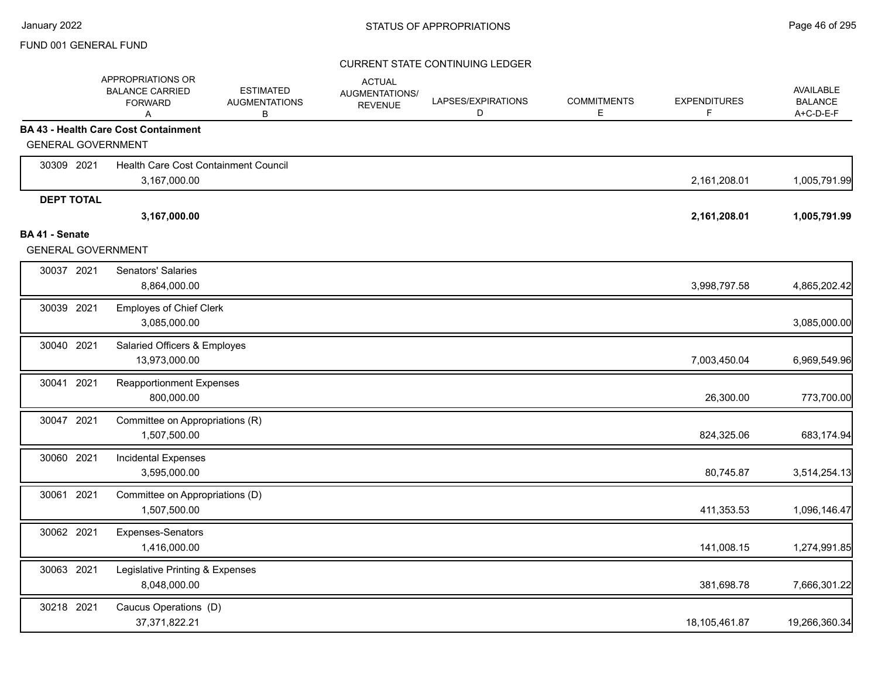|                                             | APPROPRIATIONS OR<br><b>BALANCE CARRIED</b><br><b>FORWARD</b><br>A | <b>ESTIMATED</b><br><b>AUGMENTATIONS</b><br>В | <b>ACTUAL</b><br>AUGMENTATIONS/<br><b>REVENUE</b> | LAPSES/EXPIRATIONS<br>D | <b>COMMITMENTS</b><br>Е | <b>EXPENDITURES</b><br>F | <b>AVAILABLE</b><br><b>BALANCE</b><br>A+C-D-E-F |
|---------------------------------------------|--------------------------------------------------------------------|-----------------------------------------------|---------------------------------------------------|-------------------------|-------------------------|--------------------------|-------------------------------------------------|
|                                             | <b>BA 43 - Health Care Cost Containment</b>                        |                                               |                                                   |                         |                         |                          |                                                 |
| <b>GENERAL GOVERNMENT</b>                   |                                                                    |                                               |                                                   |                         |                         |                          |                                                 |
| 30309 2021                                  | Health Care Cost Containment Council                               |                                               |                                                   |                         |                         |                          |                                                 |
|                                             | 3,167,000.00                                                       |                                               |                                                   |                         |                         | 2,161,208.01             | 1,005,791.99                                    |
| <b>DEPT TOTAL</b>                           |                                                                    |                                               |                                                   |                         |                         |                          |                                                 |
|                                             | 3,167,000.00                                                       |                                               |                                                   |                         |                         | 2,161,208.01             | 1,005,791.99                                    |
| BA 41 - Senate<br><b>GENERAL GOVERNMENT</b> |                                                                    |                                               |                                                   |                         |                         |                          |                                                 |
| 30037 2021                                  | Senators' Salaries                                                 |                                               |                                                   |                         |                         |                          |                                                 |
|                                             | 8,864,000.00                                                       |                                               |                                                   |                         |                         | 3,998,797.58             | 4,865,202.42                                    |
| 30039 2021                                  | <b>Employes of Chief Clerk</b>                                     |                                               |                                                   |                         |                         |                          |                                                 |
|                                             | 3,085,000.00                                                       |                                               |                                                   |                         |                         |                          | 3,085,000.00                                    |
| 30040 2021                                  | Salaried Officers & Employes                                       |                                               |                                                   |                         |                         |                          |                                                 |
|                                             | 13,973,000.00                                                      |                                               |                                                   |                         |                         | 7,003,450.04             | 6,969,549.96                                    |
| 2021<br>30041                               | <b>Reapportionment Expenses</b>                                    |                                               |                                                   |                         |                         |                          |                                                 |
|                                             | 800,000.00                                                         |                                               |                                                   |                         |                         | 26,300.00                | 773,700.00                                      |
| 30047 2021                                  | Committee on Appropriations (R)                                    |                                               |                                                   |                         |                         |                          |                                                 |
|                                             | 1,507,500.00                                                       |                                               |                                                   |                         |                         | 824,325.06               | 683,174.94                                      |
| 30060 2021                                  | <b>Incidental Expenses</b>                                         |                                               |                                                   |                         |                         |                          |                                                 |
|                                             | 3,595,000.00                                                       |                                               |                                                   |                         |                         | 80,745.87                | 3,514,254.13                                    |
| 30061 2021                                  | Committee on Appropriations (D)                                    |                                               |                                                   |                         |                         |                          |                                                 |
|                                             | 1,507,500.00                                                       |                                               |                                                   |                         |                         | 411,353.53               | 1,096,146.47                                    |
| 30062 2021                                  | Expenses-Senators                                                  |                                               |                                                   |                         |                         |                          |                                                 |
|                                             | 1,416,000.00                                                       |                                               |                                                   |                         |                         | 141,008.15               | 1,274,991.85                                    |
| 30063 2021                                  | Legislative Printing & Expenses                                    |                                               |                                                   |                         |                         |                          |                                                 |
|                                             | 8,048,000.00                                                       |                                               |                                                   |                         |                         | 381,698.78               | 7,666,301.22                                    |
| 30218 2021                                  | Caucus Operations (D)                                              |                                               |                                                   |                         |                         |                          |                                                 |
|                                             | 37,371,822.21                                                      |                                               |                                                   |                         |                         | 18,105,461.87            | 19,266,360.34                                   |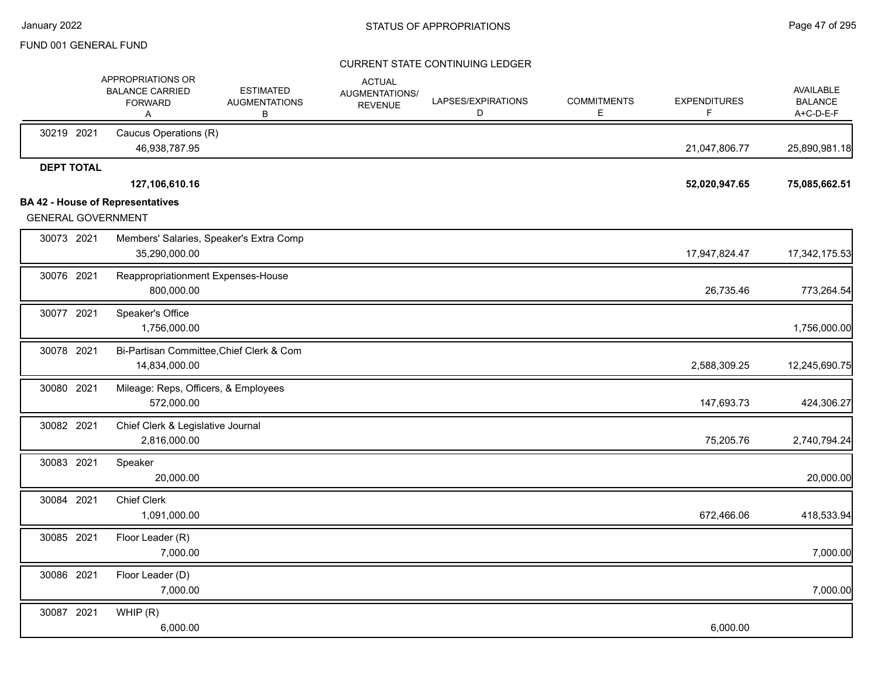|                           | APPROPRIATIONS OR<br><b>BALANCE CARRIED</b><br><b>FORWARD</b><br>A | <b>ESTIMATED</b><br><b>AUGMENTATIONS</b><br>В | <b>ACTUAL</b><br><b>AUGMENTATIONS/</b><br><b>REVENUE</b> | LAPSES/EXPIRATIONS<br>D | <b>COMMITMENTS</b><br>E | <b>EXPENDITURES</b><br>F | <b>AVAILABLE</b><br><b>BALANCE</b><br>A+C-D-E-F |
|---------------------------|--------------------------------------------------------------------|-----------------------------------------------|----------------------------------------------------------|-------------------------|-------------------------|--------------------------|-------------------------------------------------|
| 30219 2021                | Caucus Operations (R)<br>46,938,787.95                             |                                               |                                                          |                         |                         | 21,047,806.77            | 25,890,981.18                                   |
| <b>DEPT TOTAL</b>         | 127,106,610.16                                                     |                                               |                                                          |                         |                         | 52,020,947.65            | 75,085,662.51                                   |
|                           | <b>BA 42 - House of Representatives</b>                            |                                               |                                                          |                         |                         |                          |                                                 |
| <b>GENERAL GOVERNMENT</b> |                                                                    |                                               |                                                          |                         |                         |                          |                                                 |
| 30073 2021                | 35,290,000.00                                                      | Members' Salaries, Speaker's Extra Comp       |                                                          |                         |                         | 17,947,824.47            | 17,342,175.53                                   |
| 30076 2021                | Reappropriationment Expenses-House<br>800,000.00                   |                                               |                                                          |                         |                         | 26,735.46                | 773,264.54                                      |
| 30077 2021                | Speaker's Office<br>1,756,000.00                                   |                                               |                                                          |                         |                         |                          | 1,756,000.00                                    |
| 30078 2021                | 14,834,000.00                                                      | Bi-Partisan Committee, Chief Clerk & Com      |                                                          |                         |                         | 2,588,309.25             | 12,245,690.75                                   |
| 30080 2021                | Mileage: Reps, Officers, & Employees<br>572,000.00                 |                                               |                                                          |                         |                         | 147,693.73               | 424,306.27                                      |
| 30082 2021                | Chief Clerk & Legislative Journal<br>2,816,000.00                  |                                               |                                                          |                         |                         | 75,205.76                | 2,740,794.24                                    |
| 30083 2021                | Speaker<br>20,000.00                                               |                                               |                                                          |                         |                         |                          | 20,000.00                                       |
| 30084 2021                | <b>Chief Clerk</b><br>1,091,000.00                                 |                                               |                                                          |                         |                         | 672,466.06               | 418,533.94                                      |
| 30085 2021                | Floor Leader (R)<br>7,000.00                                       |                                               |                                                          |                         |                         |                          | 7,000.00                                        |
| 30086 2021                | Floor Leader (D)<br>7,000.00                                       |                                               |                                                          |                         |                         |                          | 7,000.00                                        |
| 30087 2021                | WHIP(R)<br>6,000.00                                                |                                               |                                                          |                         |                         | 6,000.00                 |                                                 |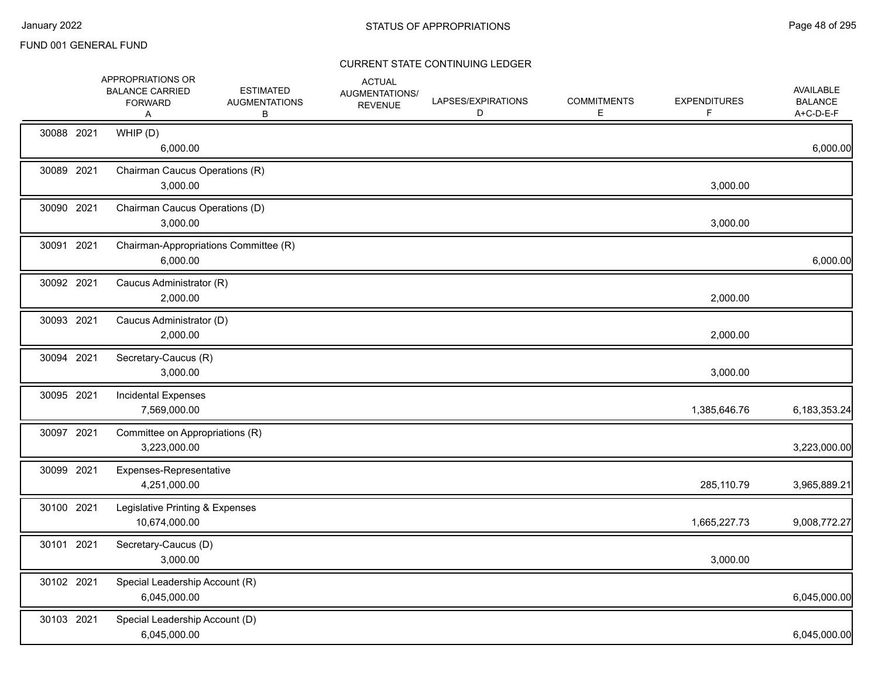|            | APPROPRIATIONS OR<br><b>BALANCE CARRIED</b><br><b>FORWARD</b><br>Α | <b>ESTIMATED</b><br><b>AUGMENTATIONS</b><br>В | <b>ACTUAL</b><br>AUGMENTATIONS/<br><b>REVENUE</b> | LAPSES/EXPIRATIONS<br>D | <b>COMMITMENTS</b><br>E. | <b>EXPENDITURES</b><br>F | <b>AVAILABLE</b><br><b>BALANCE</b><br>A+C-D-E-F |
|------------|--------------------------------------------------------------------|-----------------------------------------------|---------------------------------------------------|-------------------------|--------------------------|--------------------------|-------------------------------------------------|
| 30088 2021 | WHIP (D)<br>6,000.00                                               |                                               |                                                   |                         |                          |                          | 6,000.00                                        |
| 30089 2021 | Chairman Caucus Operations (R)<br>3,000.00                         |                                               |                                                   |                         |                          | 3,000.00                 |                                                 |
| 30090 2021 | Chairman Caucus Operations (D)<br>3,000.00                         |                                               |                                                   |                         |                          | 3,000.00                 |                                                 |
| 30091 2021 | Chairman-Appropriations Committee (R)<br>6,000.00                  |                                               |                                                   |                         |                          |                          | 6,000.00                                        |
| 30092 2021 | Caucus Administrator (R)<br>2,000.00                               |                                               |                                                   |                         |                          | 2,000.00                 |                                                 |
| 30093 2021 | Caucus Administrator (D)<br>2,000.00                               |                                               |                                                   |                         |                          | 2,000.00                 |                                                 |
| 30094 2021 | Secretary-Caucus (R)<br>3,000.00                                   |                                               |                                                   |                         |                          | 3,000.00                 |                                                 |
| 30095 2021 | <b>Incidental Expenses</b><br>7,569,000.00                         |                                               |                                                   |                         |                          | 1,385,646.76             | 6,183,353.24                                    |
| 30097 2021 | Committee on Appropriations (R)<br>3,223,000.00                    |                                               |                                                   |                         |                          |                          | 3,223,000.00                                    |
| 30099 2021 | Expenses-Representative<br>4,251,000.00                            |                                               |                                                   |                         |                          | 285,110.79               | 3,965,889.21                                    |
| 30100 2021 | Legislative Printing & Expenses<br>10,674,000.00                   |                                               |                                                   |                         |                          | 1,665,227.73             | 9,008,772.27                                    |
| 30101 2021 | Secretary-Caucus (D)<br>3,000.00                                   |                                               |                                                   |                         |                          | 3,000.00                 |                                                 |
| 30102 2021 | Special Leadership Account (R)<br>6,045,000.00                     |                                               |                                                   |                         |                          |                          | 6,045,000.00                                    |
| 30103 2021 | Special Leadership Account (D)<br>6,045,000.00                     |                                               |                                                   |                         |                          |                          | 6,045,000.00                                    |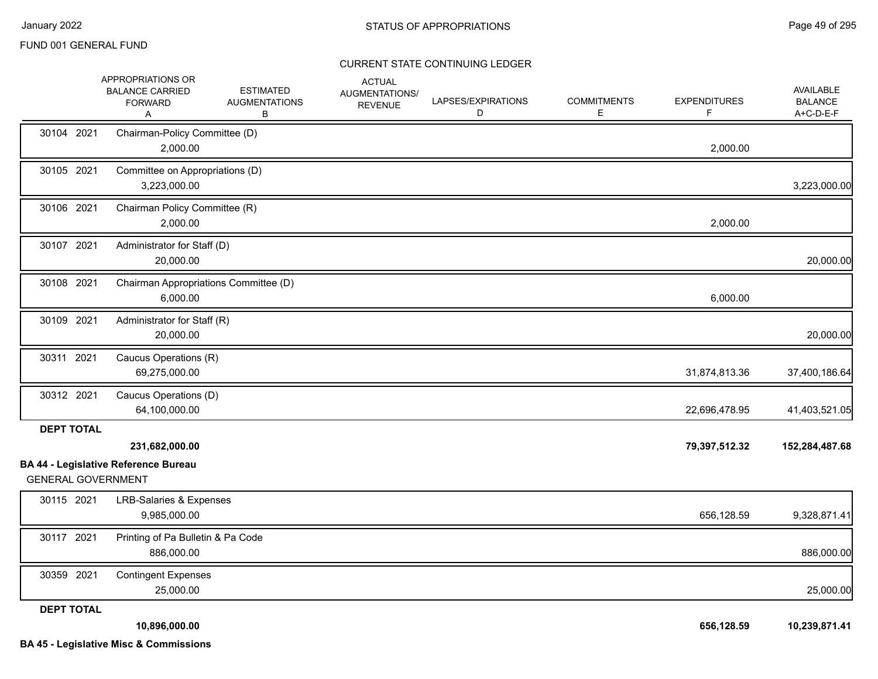|                           | APPROPRIATIONS OR<br><b>BALANCE CARRIED</b><br><b>FORWARD</b><br>A | <b>ESTIMATED</b><br><b>AUGMENTATIONS</b><br>В | <b>ACTUAL</b><br>AUGMENTATIONS/<br><b>REVENUE</b> | LAPSES/EXPIRATIONS<br>D | <b>COMMITMENTS</b><br>Е | <b>EXPENDITURES</b><br>F. | AVAILABLE<br><b>BALANCE</b><br>A+C-D-E-F |
|---------------------------|--------------------------------------------------------------------|-----------------------------------------------|---------------------------------------------------|-------------------------|-------------------------|---------------------------|------------------------------------------|
| 30104 2021                | Chairman-Policy Committee (D)<br>2,000.00                          |                                               |                                                   |                         |                         | 2,000.00                  |                                          |
| 30105 2021                | Committee on Appropriations (D)<br>3,223,000.00                    |                                               |                                                   |                         |                         |                           | 3,223,000.00                             |
| 30106 2021                | Chairman Policy Committee (R)<br>2,000.00                          |                                               |                                                   |                         |                         | 2,000.00                  |                                          |
| 30107 2021                | Administrator for Staff (D)<br>20,000.00                           |                                               |                                                   |                         |                         |                           | 20,000.00                                |
| 30108 2021                | Chairman Appropriations Committee (D)<br>6,000.00                  |                                               |                                                   |                         |                         | 6,000.00                  |                                          |
| 30109 2021                | Administrator for Staff (R)<br>20,000.00                           |                                               |                                                   |                         |                         |                           | 20,000.00                                |
| 30311 2021                | Caucus Operations (R)<br>69,275,000.00                             |                                               |                                                   |                         |                         | 31,874,813.36             | 37,400,186.64                            |
| 30312 2021                | Caucus Operations (D)<br>64,100,000.00                             |                                               |                                                   |                         |                         | 22,696,478.95             | 41,403,521.05                            |
| <b>DEPT TOTAL</b>         | 231,682,000.00<br><b>BA 44 - Legislative Reference Bureau</b>      |                                               |                                                   |                         |                         | 79,397,512.32             | 152,284,487.68                           |
| <b>GENERAL GOVERNMENT</b> |                                                                    |                                               |                                                   |                         |                         |                           |                                          |
| 30115 2021                | <b>LRB-Salaries &amp; Expenses</b><br>9,985,000.00                 |                                               |                                                   |                         |                         | 656,128.59                | 9,328,871.41                             |
| 30117 2021                | Printing of Pa Bulletin & Pa Code<br>886,000.00                    |                                               |                                                   |                         |                         |                           | 886,000.00                               |
| 30359 2021                | <b>Contingent Expenses</b><br>25,000.00                            |                                               |                                                   |                         |                         |                           | 25,000.00                                |
| <b>DEPT TOTAL</b>         | 10,896,000.00<br><b>BA 45 - Legislative Misc &amp; Commissions</b> |                                               |                                                   |                         |                         | 656,128.59                | 10,239,871.41                            |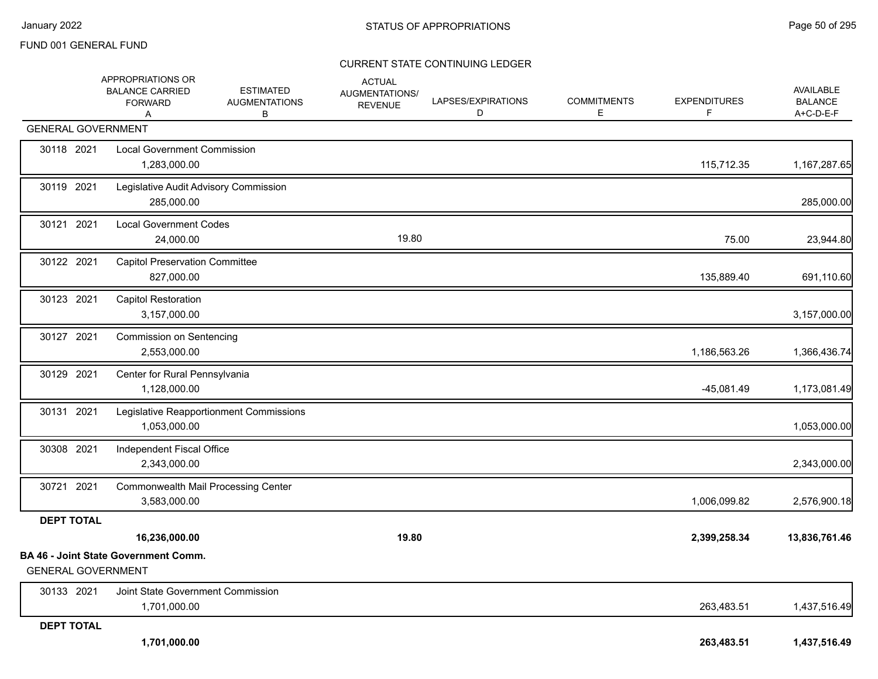|                           | APPROPRIATIONS OR<br><b>BALANCE CARRIED</b><br><b>FORWARD</b><br>A | <b>ESTIMATED</b><br><b>AUGMENTATIONS</b><br>B | <b>ACTUAL</b><br>AUGMENTATIONS/<br><b>REVENUE</b> | LAPSES/EXPIRATIONS<br>D | <b>COMMITMENTS</b><br>Е | <b>EXPENDITURES</b><br>F | AVAILABLE<br><b>BALANCE</b><br>A+C-D-E-F |
|---------------------------|--------------------------------------------------------------------|-----------------------------------------------|---------------------------------------------------|-------------------------|-------------------------|--------------------------|------------------------------------------|
| <b>GENERAL GOVERNMENT</b> |                                                                    |                                               |                                                   |                         |                         |                          |                                          |
| 30118 2021                | <b>Local Government Commission</b><br>1,283,000.00                 |                                               |                                                   |                         |                         | 115,712.35               | 1,167,287.65                             |
| 30119 2021                | Legislative Audit Advisory Commission<br>285,000.00                |                                               |                                                   |                         |                         |                          | 285,000.00                               |
| 30121 2021                | <b>Local Government Codes</b><br>24,000.00                         |                                               | 19.80                                             |                         |                         | 75.00                    | 23,944.80                                |
| 30122 2021                | <b>Capitol Preservation Committee</b><br>827,000.00                |                                               |                                                   |                         |                         | 135,889.40               | 691,110.60                               |
| 30123 2021                | <b>Capitol Restoration</b><br>3,157,000.00                         |                                               |                                                   |                         |                         |                          | 3,157,000.00                             |
| 30127 2021                | <b>Commission on Sentencing</b><br>2,553,000.00                    |                                               |                                                   |                         |                         | 1,186,563.26             | 1,366,436.74                             |
| 30129 2021                | Center for Rural Pennsylvania<br>1,128,000.00                      |                                               |                                                   |                         |                         | $-45,081.49$             | 1,173,081.49                             |
| 30131 2021                | 1,053,000.00                                                       | Legislative Reapportionment Commissions       |                                                   |                         |                         |                          | 1,053,000.00                             |
| 30308 2021                | Independent Fiscal Office<br>2,343,000.00                          |                                               |                                                   |                         |                         |                          | 2,343,000.00                             |
| 30721 2021                | <b>Commonwealth Mail Processing Center</b><br>3,583,000.00         |                                               |                                                   |                         |                         | 1,006,099.82             | 2,576,900.18                             |
| <b>DEPT TOTAL</b>         |                                                                    |                                               |                                                   |                         |                         |                          |                                          |
|                           | 16,236,000.00                                                      |                                               | 19.80                                             |                         |                         | 2,399,258.34             | 13,836,761.46                            |
| <b>GENERAL GOVERNMENT</b> | <b>BA 46 - Joint State Government Comm.</b>                        |                                               |                                                   |                         |                         |                          |                                          |
| 30133 2021                | Joint State Government Commission<br>1,701,000.00                  |                                               |                                                   |                         |                         | 263,483.51               | 1,437,516.49                             |
| <b>DEPT TOTAL</b>         | 1,701,000.00                                                       |                                               |                                                   |                         |                         | 263,483.51               | 1,437,516.49                             |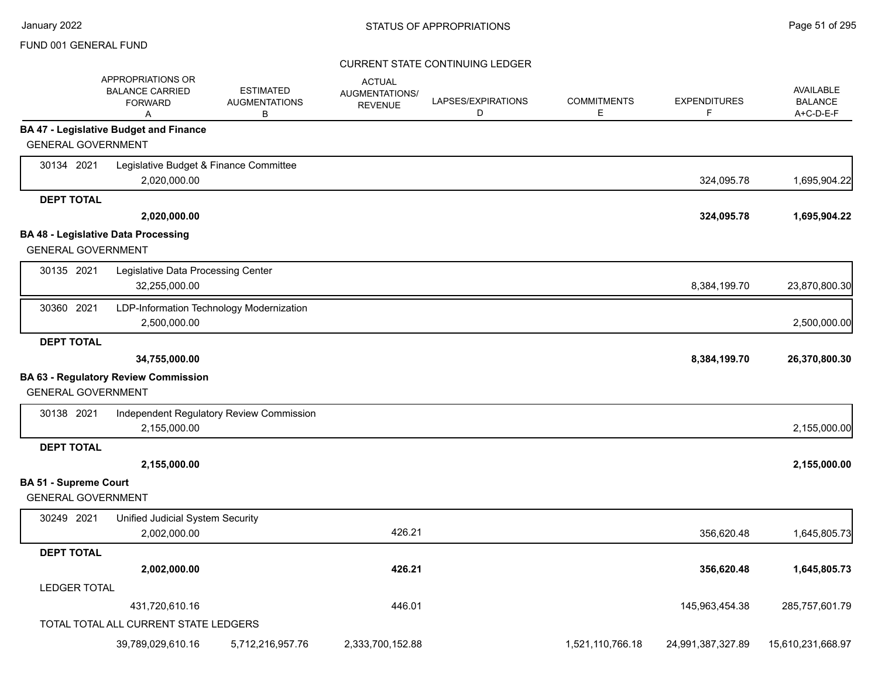|                              | <b>APPROPRIATIONS OR</b><br><b>BALANCE CARRIED</b><br><b>FORWARD</b><br>Α | <b>ESTIMATED</b><br><b>AUGMENTATIONS</b><br>В | <b>ACTUAL</b><br>AUGMENTATIONS/<br><b>REVENUE</b> | LAPSES/EXPIRATIONS<br>D | <b>COMMITMENTS</b><br>Е | <b>EXPENDITURES</b><br>F | <b>AVAILABLE</b><br><b>BALANCE</b><br>A+C-D-E-F |
|------------------------------|---------------------------------------------------------------------------|-----------------------------------------------|---------------------------------------------------|-------------------------|-------------------------|--------------------------|-------------------------------------------------|
|                              | <b>BA 47 - Legislative Budget and Finance</b>                             |                                               |                                                   |                         |                         |                          |                                                 |
| <b>GENERAL GOVERNMENT</b>    |                                                                           |                                               |                                                   |                         |                         |                          |                                                 |
| 30134 2021                   | Legislative Budget & Finance Committee                                    |                                               |                                                   |                         |                         |                          |                                                 |
|                              | 2,020,000.00                                                              |                                               |                                                   |                         |                         | 324,095.78               | 1,695,904.22                                    |
| <b>DEPT TOTAL</b>            |                                                                           |                                               |                                                   |                         |                         |                          |                                                 |
|                              | 2,020,000.00                                                              |                                               |                                                   |                         |                         | 324,095.78               | 1,695,904.22                                    |
|                              | <b>BA 48 - Legislative Data Processing</b>                                |                                               |                                                   |                         |                         |                          |                                                 |
| <b>GENERAL GOVERNMENT</b>    |                                                                           |                                               |                                                   |                         |                         |                          |                                                 |
| 30135 2021                   | Legislative Data Processing Center                                        |                                               |                                                   |                         |                         |                          |                                                 |
|                              | 32,255,000.00                                                             |                                               |                                                   |                         |                         | 8,384,199.70             | 23,870,800.30                                   |
| 30360 2021                   | LDP-Information Technology Modernization                                  |                                               |                                                   |                         |                         |                          |                                                 |
|                              | 2,500,000.00                                                              |                                               |                                                   |                         |                         |                          | 2,500,000.00                                    |
| <b>DEPT TOTAL</b>            |                                                                           |                                               |                                                   |                         |                         |                          |                                                 |
|                              | 34,755,000.00                                                             |                                               |                                                   |                         |                         | 8,384,199.70             | 26,370,800.30                                   |
|                              | <b>BA 63 - Regulatory Review Commission</b>                               |                                               |                                                   |                         |                         |                          |                                                 |
| <b>GENERAL GOVERNMENT</b>    |                                                                           |                                               |                                                   |                         |                         |                          |                                                 |
| 30138 2021                   |                                                                           | Independent Regulatory Review Commission      |                                                   |                         |                         |                          |                                                 |
|                              | 2,155,000.00                                                              |                                               |                                                   |                         |                         |                          | 2,155,000.00                                    |
| <b>DEPT TOTAL</b>            |                                                                           |                                               |                                                   |                         |                         |                          |                                                 |
|                              | 2,155,000.00                                                              |                                               |                                                   |                         |                         |                          | 2,155,000.00                                    |
| <b>BA 51 - Supreme Court</b> |                                                                           |                                               |                                                   |                         |                         |                          |                                                 |
| <b>GENERAL GOVERNMENT</b>    |                                                                           |                                               |                                                   |                         |                         |                          |                                                 |
| 30249 2021                   | <b>Unified Judicial System Security</b>                                   |                                               |                                                   |                         |                         |                          |                                                 |
|                              | 2,002,000.00                                                              |                                               | 426.21                                            |                         |                         | 356,620.48               | 1,645,805.73                                    |
| <b>DEPT TOTAL</b>            |                                                                           |                                               |                                                   |                         |                         |                          |                                                 |
|                              | 2,002,000.00                                                              |                                               | 426.21                                            |                         |                         | 356,620.48               | 1,645,805.73                                    |
| <b>LEDGER TOTAL</b>          |                                                                           |                                               |                                                   |                         |                         |                          |                                                 |
|                              | 431,720,610.16                                                            |                                               | 446.01                                            |                         |                         | 145,963,454.38           | 285,757,601.79                                  |
|                              | TOTAL TOTAL ALL CURRENT STATE LEDGERS                                     |                                               |                                                   |                         |                         |                          |                                                 |
|                              | 39,789,029,610.16                                                         | 5,712,216,957.76                              | 2,333,700,152.88                                  |                         | 1,521,110,766.18        | 24,991,387,327.89        | 15,610,231,668.97                               |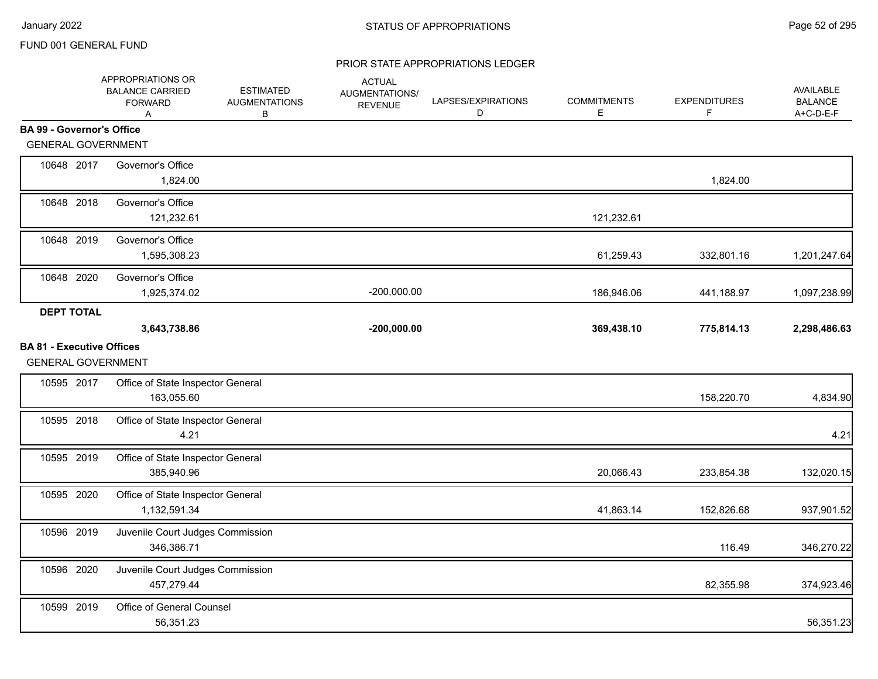|                                                               | APPROPRIATIONS OR<br><b>BALANCE CARRIED</b><br><b>FORWARD</b><br>A | <b>ESTIMATED</b><br><b>AUGMENTATIONS</b><br>В | <b>ACTUAL</b><br>AUGMENTATIONS/<br><b>REVENUE</b> | LAPSES/EXPIRATIONS<br>D | <b>COMMITMENTS</b><br>Е | <b>EXPENDITURES</b><br>F | AVAILABLE<br><b>BALANCE</b><br>A+C-D-E-F |
|---------------------------------------------------------------|--------------------------------------------------------------------|-----------------------------------------------|---------------------------------------------------|-------------------------|-------------------------|--------------------------|------------------------------------------|
| <b>BA 99 - Governor's Office</b>                              |                                                                    |                                               |                                                   |                         |                         |                          |                                          |
| <b>GENERAL GOVERNMENT</b>                                     |                                                                    |                                               |                                                   |                         |                         |                          |                                          |
| 10648 2017                                                    | Governor's Office<br>1,824.00                                      |                                               |                                                   |                         |                         | 1,824.00                 |                                          |
| 10648 2018                                                    | Governor's Office<br>121,232.61                                    |                                               |                                                   |                         | 121,232.61              |                          |                                          |
| 10648 2019                                                    | Governor's Office<br>1,595,308.23                                  |                                               |                                                   |                         | 61,259.43               | 332,801.16               | 1,201,247.64                             |
| 10648 2020                                                    | Governor's Office<br>1,925,374.02                                  |                                               | $-200,000.00$                                     |                         | 186,946.06              | 441,188.97               | 1,097,238.99                             |
| <b>DEPT TOTAL</b>                                             |                                                                    |                                               |                                                   |                         |                         |                          |                                          |
|                                                               | 3,643,738.86                                                       |                                               | $-200,000.00$                                     |                         | 369,438.10              | 775,814.13               | 2,298,486.63                             |
| <b>BA 81 - Executive Offices</b><br><b>GENERAL GOVERNMENT</b> |                                                                    |                                               |                                                   |                         |                         |                          |                                          |
| 10595 2017                                                    | Office of State Inspector General<br>163,055.60                    |                                               |                                                   |                         |                         | 158,220.70               | 4,834.90                                 |
| 10595 2018                                                    | Office of State Inspector General<br>4.21                          |                                               |                                                   |                         |                         |                          | 4.21                                     |
| 10595 2019                                                    | Office of State Inspector General<br>385,940.96                    |                                               |                                                   |                         | 20,066.43               | 233,854.38               | 132,020.15                               |
| 10595 2020                                                    | Office of State Inspector General<br>1,132,591.34                  |                                               |                                                   |                         | 41,863.14               | 152,826.68               | 937,901.52                               |
| 10596 2019                                                    | Juvenile Court Judges Commission<br>346,386.71                     |                                               |                                                   |                         |                         | 116.49                   | 346,270.22                               |
| 10596 2020                                                    | Juvenile Court Judges Commission<br>457,279.44                     |                                               |                                                   |                         |                         | 82,355.98                | 374,923.46                               |
| 10599 2019                                                    | Office of General Counsel<br>56,351.23                             |                                               |                                                   |                         |                         |                          | 56,351.23                                |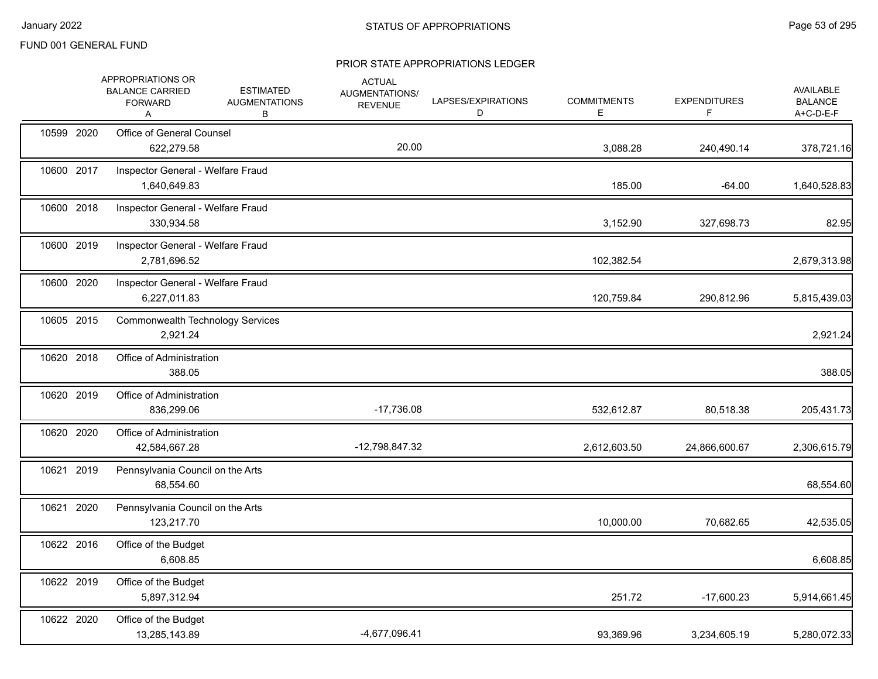|            | APPROPRIATIONS OR<br><b>BALANCE CARRIED</b><br><b>FORWARD</b><br>A | <b>ESTIMATED</b><br><b>AUGMENTATIONS</b><br>В | <b>ACTUAL</b><br>AUGMENTATIONS/<br><b>REVENUE</b> | LAPSES/EXPIRATIONS<br>D | <b>COMMITMENTS</b><br>Е | <b>EXPENDITURES</b><br>F. | AVAILABLE<br><b>BALANCE</b><br>A+C-D-E-F |
|------------|--------------------------------------------------------------------|-----------------------------------------------|---------------------------------------------------|-------------------------|-------------------------|---------------------------|------------------------------------------|
| 10599 2020 | Office of General Counsel<br>622,279.58                            |                                               | 20.00                                             |                         | 3,088.28                | 240,490.14                | 378,721.16                               |
| 10600 2017 | Inspector General - Welfare Fraud<br>1,640,649.83                  |                                               |                                                   |                         | 185.00                  | $-64.00$                  | 1,640,528.83                             |
| 10600 2018 | Inspector General - Welfare Fraud<br>330,934.58                    |                                               |                                                   |                         | 3,152.90                | 327,698.73                | 82.95                                    |
| 10600 2019 | Inspector General - Welfare Fraud<br>2,781,696.52                  |                                               |                                                   |                         | 102,382.54              |                           | 2,679,313.98                             |
| 10600 2020 | Inspector General - Welfare Fraud<br>6,227,011.83                  |                                               |                                                   |                         | 120,759.84              | 290,812.96                | 5,815,439.03                             |
| 10605 2015 | <b>Commonwealth Technology Services</b><br>2,921.24                |                                               |                                                   |                         |                         |                           | 2,921.24                                 |
| 10620 2018 | Office of Administration<br>388.05                                 |                                               |                                                   |                         |                         |                           | 388.05                                   |
| 10620 2019 | Office of Administration<br>836,299.06                             |                                               | $-17,736.08$                                      |                         | 532,612.87              | 80,518.38                 | 205,431.73                               |
| 10620 2020 | Office of Administration<br>42,584,667.28                          |                                               | -12,798,847.32                                    |                         | 2,612,603.50            | 24,866,600.67             | 2,306,615.79                             |
| 10621 2019 | Pennsylvania Council on the Arts<br>68,554.60                      |                                               |                                                   |                         |                         |                           | 68,554.60                                |
| 10621 2020 | Pennsylvania Council on the Arts<br>123,217.70                     |                                               |                                                   |                         | 10,000.00               | 70,682.65                 | 42,535.05                                |
| 10622 2016 | Office of the Budget<br>6,608.85                                   |                                               |                                                   |                         |                         |                           | 6,608.85                                 |
| 10622 2019 | Office of the Budget<br>5,897,312.94                               |                                               |                                                   |                         | 251.72                  | $-17,600.23$              | 5,914,661.45                             |
| 10622 2020 | Office of the Budget<br>13,285,143.89                              |                                               | -4,677,096.41                                     |                         | 93,369.96               | 3,234,605.19              | 5,280,072.33                             |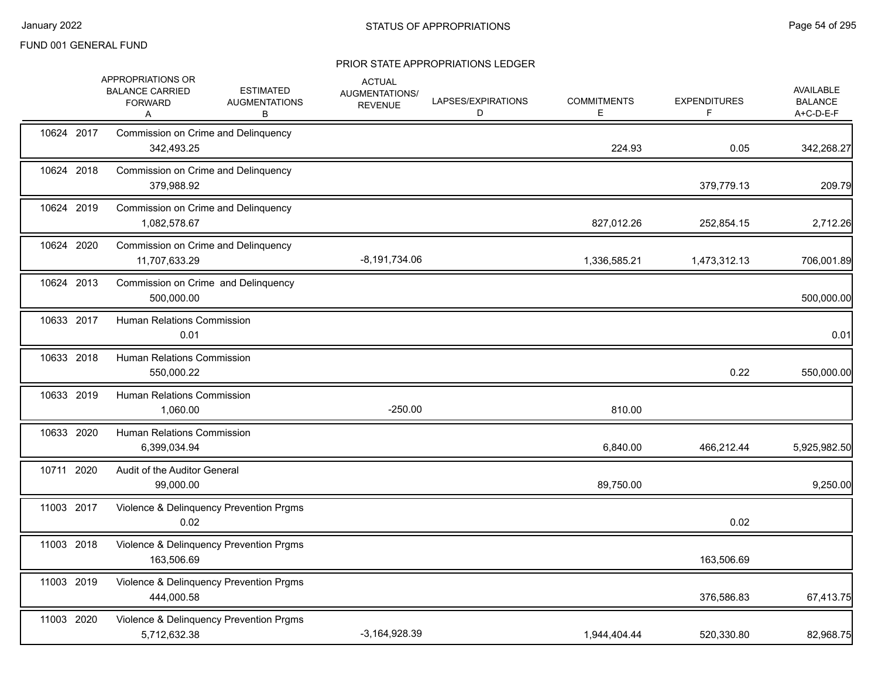|            | APPROPRIATIONS OR<br><b>ESTIMATED</b><br><b>BALANCE CARRIED</b><br><b>AUGMENTATIONS</b><br><b>FORWARD</b><br>в<br>Α | <b>ACTUAL</b><br>AUGMENTATIONS/<br><b>REVENUE</b> | LAPSES/EXPIRATIONS<br>D | <b>COMMITMENTS</b><br>Е | <b>EXPENDITURES</b><br>F | <b>AVAILABLE</b><br><b>BALANCE</b><br>A+C-D-E-F |
|------------|---------------------------------------------------------------------------------------------------------------------|---------------------------------------------------|-------------------------|-------------------------|--------------------------|-------------------------------------------------|
| 10624 2017 | Commission on Crime and Delinquency<br>342,493.25                                                                   |                                                   |                         | 224.93                  | 0.05                     | 342,268.27                                      |
| 10624 2018 | Commission on Crime and Delinquency<br>379,988.92                                                                   |                                                   |                         |                         | 379,779.13               | 209.79                                          |
| 10624 2019 | Commission on Crime and Delinquency<br>1,082,578.67                                                                 |                                                   |                         | 827,012.26              | 252,854.15               | 2,712.26                                        |
| 10624 2020 | Commission on Crime and Delinquency<br>11,707,633.29                                                                | $-8,191,734.06$                                   |                         | 1,336,585.21            | 1,473,312.13             | 706,001.89                                      |
| 10624 2013 | Commission on Crime and Delinquency<br>500,000.00                                                                   |                                                   |                         |                         |                          | 500,000.00                                      |
| 10633 2017 | <b>Human Relations Commission</b><br>0.01                                                                           |                                                   |                         |                         |                          | 0.01                                            |
| 10633 2018 | Human Relations Commission<br>550,000.22                                                                            |                                                   |                         |                         | 0.22                     | 550,000.00                                      |
| 10633 2019 | <b>Human Relations Commission</b><br>1,060.00                                                                       | $-250.00$                                         |                         | 810.00                  |                          |                                                 |
| 10633 2020 | <b>Human Relations Commission</b><br>6,399,034.94                                                                   |                                                   |                         | 6,840.00                | 466,212.44               | 5,925,982.50                                    |
| 10711 2020 | Audit of the Auditor General<br>99,000.00                                                                           |                                                   |                         | 89,750.00               |                          | 9,250.00                                        |
| 11003 2017 | Violence & Delinquency Prevention Prgms<br>0.02                                                                     |                                                   |                         |                         | 0.02                     |                                                 |
| 11003 2018 | Violence & Delinquency Prevention Prgms<br>163,506.69                                                               |                                                   |                         |                         | 163,506.69               |                                                 |
| 11003 2019 | Violence & Delinquency Prevention Prgms<br>444.000.58                                                               |                                                   |                         |                         | 376,586.83               | 67,413.75                                       |
| 11003 2020 | Violence & Delinquency Prevention Prgms<br>5,712,632.38                                                             | $-3,164,928.39$                                   |                         | 1,944,404.44            | 520,330.80               | 82,968.75                                       |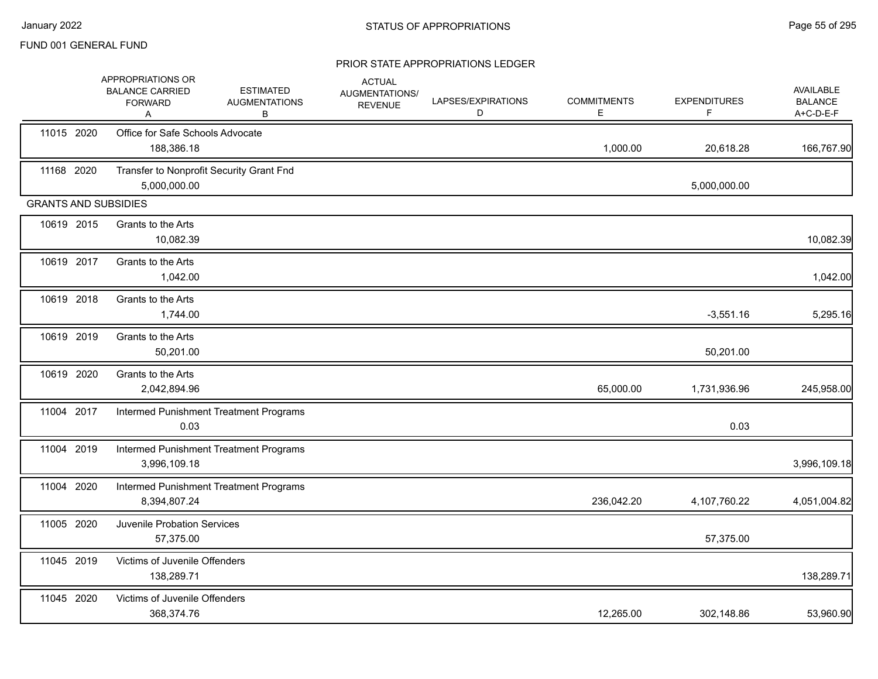|                             | APPROPRIATIONS OR<br><b>BALANCE CARRIED</b><br><b>FORWARD</b><br>Α | <b>ESTIMATED</b><br><b>AUGMENTATIONS</b><br>В | <b>ACTUAL</b><br>AUGMENTATIONS/<br><b>REVENUE</b> | LAPSES/EXPIRATIONS<br>D | <b>COMMITMENTS</b><br>Е | <b>EXPENDITURES</b><br>F. | AVAILABLE<br><b>BALANCE</b><br>A+C-D-E-F |
|-----------------------------|--------------------------------------------------------------------|-----------------------------------------------|---------------------------------------------------|-------------------------|-------------------------|---------------------------|------------------------------------------|
| 11015 2020                  | Office for Safe Schools Advocate<br>188,386.18                     |                                               |                                                   |                         | 1,000.00                | 20,618.28                 | 166,767.90                               |
| 11168 2020                  | Transfer to Nonprofit Security Grant Fnd<br>5,000,000.00           |                                               |                                                   |                         |                         | 5,000,000.00              |                                          |
| <b>GRANTS AND SUBSIDIES</b> |                                                                    |                                               |                                                   |                         |                         |                           |                                          |
| 10619 2015                  | Grants to the Arts<br>10,082.39                                    |                                               |                                                   |                         |                         |                           | 10,082.39                                |
| 10619 2017                  | Grants to the Arts<br>1,042.00                                     |                                               |                                                   |                         |                         |                           | 1,042.00                                 |
| 10619 2018                  | Grants to the Arts<br>1,744.00                                     |                                               |                                                   |                         |                         | $-3,551.16$               | 5,295.16                                 |
| 10619 2019                  | Grants to the Arts<br>50,201.00                                    |                                               |                                                   |                         |                         | 50,201.00                 |                                          |
| 10619 2020                  | Grants to the Arts<br>2,042,894.96                                 |                                               |                                                   |                         | 65,000.00               | 1,731,936.96              | 245,958.00                               |
| 11004 2017                  | 0.03                                                               | Intermed Punishment Treatment Programs        |                                                   |                         |                         | 0.03                      |                                          |
| 11004 2019                  | 3,996,109.18                                                       | Intermed Punishment Treatment Programs        |                                                   |                         |                         |                           | 3,996,109.18                             |
| 11004 2020                  | 8,394,807.24                                                       | Intermed Punishment Treatment Programs        |                                                   |                         | 236,042.20              | 4,107,760.22              | 4,051,004.82                             |
| 11005 2020                  | <b>Juvenile Probation Services</b><br>57,375.00                    |                                               |                                                   |                         |                         | 57,375.00                 |                                          |
| 11045 2019                  | Victims of Juvenile Offenders<br>138,289.71                        |                                               |                                                   |                         |                         |                           | 138,289.71                               |
| 11045 2020                  | Victims of Juvenile Offenders<br>368,374.76                        |                                               |                                                   |                         | 12,265.00               | 302,148.86                | 53,960.90                                |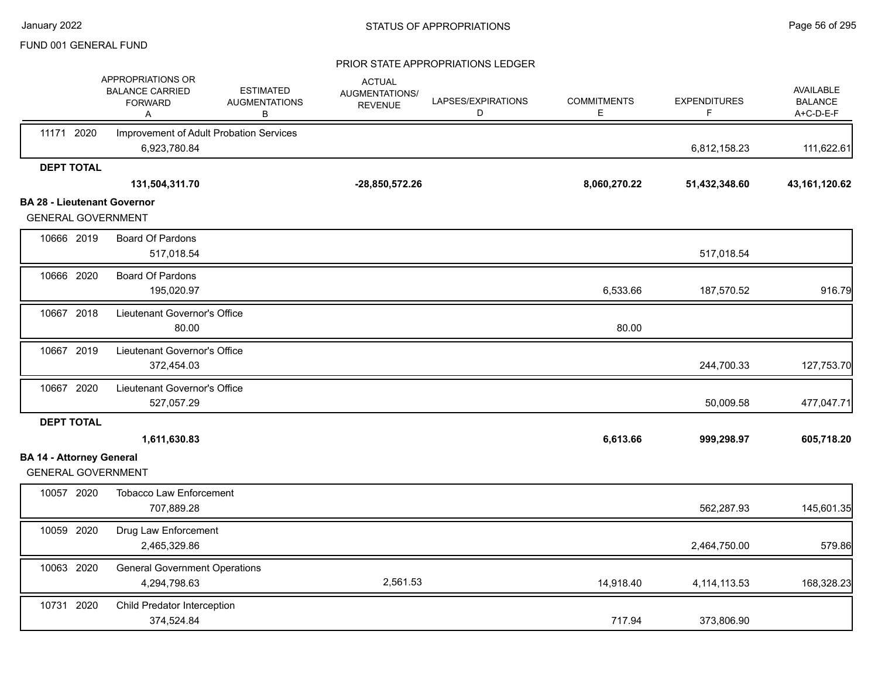|                                                                 | APPROPRIATIONS OR<br><b>BALANCE CARRIED</b><br><b>FORWARD</b><br>Α | <b>ESTIMATED</b><br><b>AUGMENTATIONS</b><br>B | <b>ACTUAL</b><br>AUGMENTATIONS/<br><b>REVENUE</b> | LAPSES/EXPIRATIONS<br>D | <b>COMMITMENTS</b><br>Е | <b>EXPENDITURES</b><br>F | AVAILABLE<br><b>BALANCE</b><br>A+C-D-E-F |
|-----------------------------------------------------------------|--------------------------------------------------------------------|-----------------------------------------------|---------------------------------------------------|-------------------------|-------------------------|--------------------------|------------------------------------------|
| 11171 2020                                                      | Improvement of Adult Probation Services<br>6,923,780.84            |                                               |                                                   |                         |                         | 6,812,158.23             | 111,622.61                               |
| <b>DEPT TOTAL</b>                                               |                                                                    |                                               |                                                   |                         |                         |                          |                                          |
|                                                                 | 131,504,311.70                                                     |                                               | $-28,850,572.26$                                  |                         | 8,060,270.22            | 51,432,348.60            | 43, 161, 120.62                          |
| <b>BA 28 - Lieutenant Governor</b><br><b>GENERAL GOVERNMENT</b> |                                                                    |                                               |                                                   |                         |                         |                          |                                          |
|                                                                 |                                                                    |                                               |                                                   |                         |                         |                          |                                          |
| 10666 2019                                                      | <b>Board Of Pardons</b><br>517,018.54                              |                                               |                                                   |                         |                         | 517,018.54               |                                          |
| 10666 2020                                                      | Board Of Pardons<br>195,020.97                                     |                                               |                                                   |                         | 6,533.66                | 187,570.52               | 916.79                                   |
| 10667 2018                                                      | Lieutenant Governor's Office<br>80.00                              |                                               |                                                   |                         | 80.00                   |                          |                                          |
| 10667 2019                                                      | Lieutenant Governor's Office<br>372,454.03                         |                                               |                                                   |                         |                         | 244,700.33               | 127,753.70                               |
| 10667 2020                                                      | Lieutenant Governor's Office<br>527,057.29                         |                                               |                                                   |                         |                         | 50,009.58                | 477,047.71                               |
| <b>DEPT TOTAL</b>                                               | 1,611,630.83                                                       |                                               |                                                   |                         | 6,613.66                | 999,298.97               | 605,718.20                               |
| <b>BA 14 - Attorney General</b><br><b>GENERAL GOVERNMENT</b>    |                                                                    |                                               |                                                   |                         |                         |                          |                                          |
| 10057 2020                                                      | <b>Tobacco Law Enforcement</b><br>707,889.28                       |                                               |                                                   |                         |                         | 562,287.93               | 145,601.35                               |
| 10059 2020                                                      | Drug Law Enforcement<br>2,465,329.86                               |                                               |                                                   |                         |                         | 2,464,750.00             | 579.86                                   |
| 10063 2020                                                      | <b>General Government Operations</b><br>4,294,798.63               |                                               | 2,561.53                                          |                         | 14,918.40               | 4, 114, 113.53           | 168,328.23                               |
| 10731 2020                                                      | Child Predator Interception<br>374,524.84                          |                                               |                                                   |                         | 717.94                  | 373,806.90               |                                          |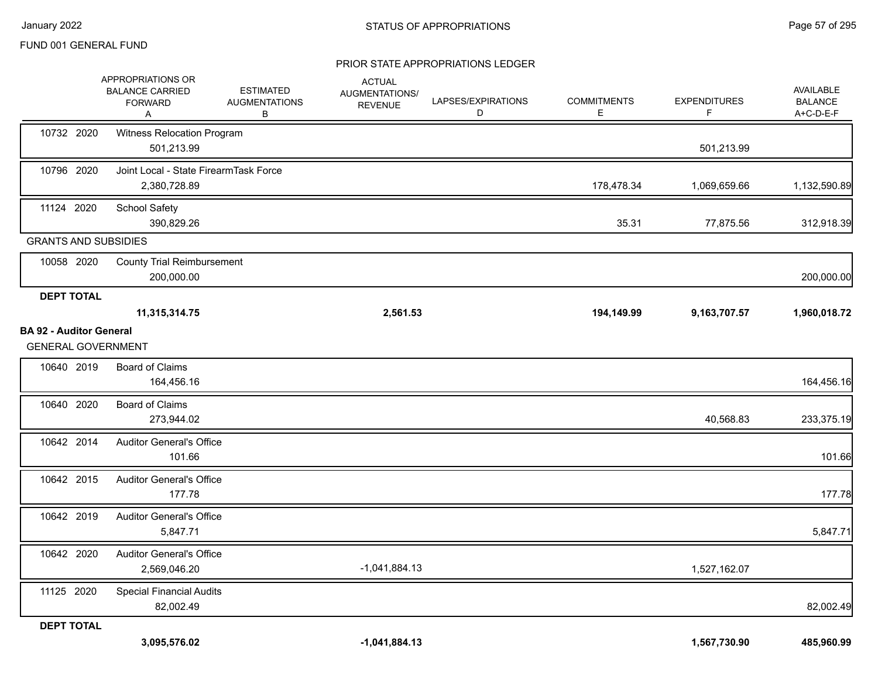|                                                             | APPROPRIATIONS OR<br><b>BALANCE CARRIED</b><br><b>FORWARD</b><br>A | <b>ESTIMATED</b><br><b>AUGMENTATIONS</b><br>В | <b>ACTUAL</b><br>AUGMENTATIONS/<br><b>REVENUE</b> | LAPSES/EXPIRATIONS<br>D | <b>COMMITMENTS</b><br>Е | <b>EXPENDITURES</b><br>F | AVAILABLE<br><b>BALANCE</b><br>A+C-D-E-F |
|-------------------------------------------------------------|--------------------------------------------------------------------|-----------------------------------------------|---------------------------------------------------|-------------------------|-------------------------|--------------------------|------------------------------------------|
| 10732 2020                                                  | Witness Relocation Program<br>501,213.99                           |                                               |                                                   |                         |                         | 501,213.99               |                                          |
| 10796 2020                                                  | Joint Local - State FirearmTask Force<br>2,380,728.89              |                                               |                                                   |                         | 178,478.34              | 1,069,659.66             | 1,132,590.89                             |
| 11124 2020                                                  | School Safety<br>390,829.26                                        |                                               |                                                   |                         | 35.31                   | 77,875.56                | 312,918.39                               |
| <b>GRANTS AND SUBSIDIES</b>                                 |                                                                    |                                               |                                                   |                         |                         |                          |                                          |
| 10058 2020                                                  | <b>County Trial Reimbursement</b><br>200,000.00                    |                                               |                                                   |                         |                         |                          | 200,000.00                               |
| <b>DEPT TOTAL</b>                                           |                                                                    |                                               |                                                   |                         |                         |                          |                                          |
|                                                             | 11,315,314.75                                                      |                                               | 2,561.53                                          |                         | 194,149.99              | 9,163,707.57             | 1,960,018.72                             |
| <b>BA 92 - Auditor General</b><br><b>GENERAL GOVERNMENT</b> |                                                                    |                                               |                                                   |                         |                         |                          |                                          |
| 10640 2019                                                  | <b>Board of Claims</b><br>164,456.16                               |                                               |                                                   |                         |                         |                          | 164,456.16                               |
| 10640 2020                                                  | <b>Board of Claims</b><br>273,944.02                               |                                               |                                                   |                         |                         | 40,568.83                | 233,375.19                               |
| 10642 2014                                                  | <b>Auditor General's Office</b><br>101.66                          |                                               |                                                   |                         |                         |                          | 101.66                                   |
| 10642 2015                                                  | <b>Auditor General's Office</b><br>177.78                          |                                               |                                                   |                         |                         |                          | 177.78                                   |
| 10642 2019                                                  | <b>Auditor General's Office</b><br>5,847.71                        |                                               |                                                   |                         |                         |                          | 5,847.71                                 |
| 10642 2020                                                  | <b>Auditor General's Office</b><br>2,569,046.20                    |                                               | $-1,041,884.13$                                   |                         |                         | 1,527,162.07             |                                          |
| 11125 2020                                                  | <b>Special Financial Audits</b><br>82,002.49                       |                                               |                                                   |                         |                         |                          | 82,002.49                                |
| <b>DEPT TOTAL</b>                                           |                                                                    |                                               |                                                   |                         |                         |                          |                                          |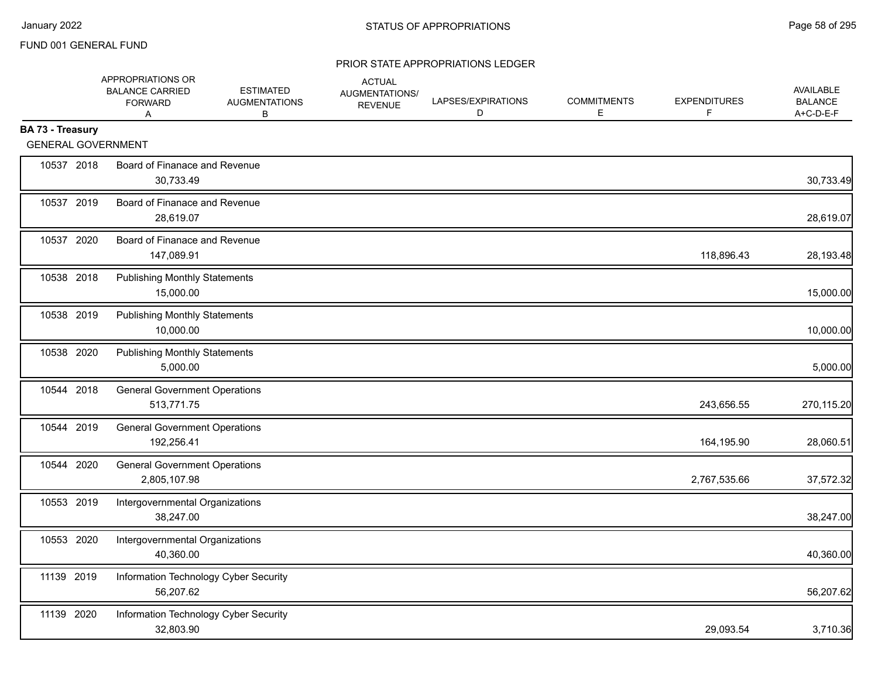|                  | APPROPRIATIONS OR<br><b>BALANCE CARRIED</b><br><b>FORWARD</b><br>A | <b>ESTIMATED</b><br><b>AUGMENTATIONS</b><br>В | <b>ACTUAL</b><br>AUGMENTATIONS/<br><b>REVENUE</b> | LAPSES/EXPIRATIONS<br>D | <b>COMMITMENTS</b><br>Е | <b>EXPENDITURES</b><br>F | <b>AVAILABLE</b><br><b>BALANCE</b><br>A+C-D-E-F |
|------------------|--------------------------------------------------------------------|-----------------------------------------------|---------------------------------------------------|-------------------------|-------------------------|--------------------------|-------------------------------------------------|
| BA 73 - Treasury |                                                                    |                                               |                                                   |                         |                         |                          |                                                 |
|                  | <b>GENERAL GOVERNMENT</b>                                          |                                               |                                                   |                         |                         |                          |                                                 |
| 10537 2018       | Board of Finanace and Revenue<br>30,733.49                         |                                               |                                                   |                         |                         |                          | 30,733.49                                       |
| 10537 2019       | Board of Finanace and Revenue<br>28.619.07                         |                                               |                                                   |                         |                         |                          | 28,619.07                                       |
| 10537 2020       | Board of Finanace and Revenue<br>147,089.91                        |                                               |                                                   |                         |                         | 118,896.43               | 28,193.48                                       |
| 10538 2018       | <b>Publishing Monthly Statements</b><br>15,000.00                  |                                               |                                                   |                         |                         |                          | 15,000.00                                       |
| 10538 2019       | <b>Publishing Monthly Statements</b><br>10,000.00                  |                                               |                                                   |                         |                         |                          | 10,000.00                                       |
| 10538 2020       | <b>Publishing Monthly Statements</b><br>5,000.00                   |                                               |                                                   |                         |                         |                          | 5,000.00                                        |
| 10544 2018       | <b>General Government Operations</b><br>513,771.75                 |                                               |                                                   |                         |                         | 243,656.55               | 270,115.20                                      |
| 10544 2019       | <b>General Government Operations</b><br>192,256.41                 |                                               |                                                   |                         |                         | 164,195.90               | 28,060.51                                       |
| 10544 2020       | <b>General Government Operations</b><br>2,805,107.98               |                                               |                                                   |                         |                         | 2,767,535.66             | 37,572.32                                       |
| 10553 2019       | Intergovernmental Organizations<br>38,247.00                       |                                               |                                                   |                         |                         |                          | 38,247.00                                       |
| 10553 2020       | Intergovernmental Organizations<br>40,360.00                       |                                               |                                                   |                         |                         |                          | 40,360.00                                       |
| 11139 2019       | Information Technology Cyber Security<br>56,207.62                 |                                               |                                                   |                         |                         |                          | 56,207.62                                       |
| 11139 2020       | Information Technology Cyber Security<br>32,803.90                 |                                               |                                                   |                         |                         | 29,093.54                | 3,710.36                                        |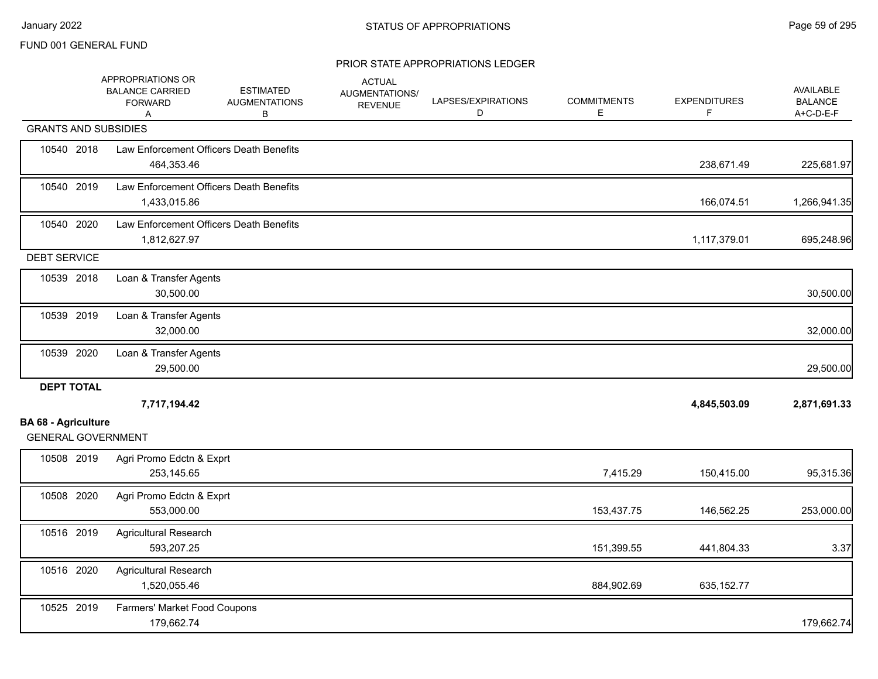|                             | APPROPRIATIONS OR<br><b>BALANCE CARRIED</b><br><b>FORWARD</b><br>Α | <b>ESTIMATED</b><br><b>AUGMENTATIONS</b><br>В | <b>ACTUAL</b><br>AUGMENTATIONS/<br><b>REVENUE</b> | LAPSES/EXPIRATIONS<br>D | <b>COMMITMENTS</b><br>E | <b>EXPENDITURES</b><br>F. | AVAILABLE<br><b>BALANCE</b><br>A+C-D-E-F |
|-----------------------------|--------------------------------------------------------------------|-----------------------------------------------|---------------------------------------------------|-------------------------|-------------------------|---------------------------|------------------------------------------|
| <b>GRANTS AND SUBSIDIES</b> |                                                                    |                                               |                                                   |                         |                         |                           |                                          |
| 10540 2018                  | Law Enforcement Officers Death Benefits<br>464,353.46              |                                               |                                                   |                         |                         | 238,671.49                | 225,681.97                               |
| 10540 2019                  | Law Enforcement Officers Death Benefits<br>1,433,015.86            |                                               |                                                   |                         |                         | 166,074.51                | 1,266,941.35                             |
| 10540 2020                  | Law Enforcement Officers Death Benefits<br>1,812,627.97            |                                               |                                                   |                         |                         | 1,117,379.01              | 695,248.96                               |
| <b>DEBT SERVICE</b>         |                                                                    |                                               |                                                   |                         |                         |                           |                                          |
| 10539 2018                  | Loan & Transfer Agents<br>30,500.00                                |                                               |                                                   |                         |                         |                           | 30,500.00                                |
| 10539 2019                  | Loan & Transfer Agents<br>32,000.00                                |                                               |                                                   |                         |                         |                           | 32,000.00                                |
| 10539 2020                  | Loan & Transfer Agents<br>29,500.00                                |                                               |                                                   |                         |                         |                           | 29,500.00                                |
| <b>DEPT TOTAL</b>           |                                                                    |                                               |                                                   |                         |                         |                           |                                          |
| <b>BA 68 - Agriculture</b>  | 7,717,194.42                                                       |                                               |                                                   |                         |                         | 4,845,503.09              | 2,871,691.33                             |
| <b>GENERAL GOVERNMENT</b>   |                                                                    |                                               |                                                   |                         |                         |                           |                                          |
| 10508 2019                  | Agri Promo Edctn & Exprt<br>253,145.65                             |                                               |                                                   |                         | 7,415.29                | 150,415.00                | 95,315.36                                |
| 10508 2020                  | Agri Promo Edctn & Exprt<br>553,000.00                             |                                               |                                                   |                         | 153,437.75              | 146,562.25                | 253,000.00                               |
| 10516 2019                  | <b>Agricultural Research</b><br>593,207.25                         |                                               |                                                   |                         | 151,399.55              | 441,804.33                | 3.37                                     |
| 10516 2020                  | <b>Agricultural Research</b><br>1,520,055.46                       |                                               |                                                   |                         | 884,902.69              | 635, 152.77               |                                          |
| 10525 2019                  | Farmers' Market Food Coupons<br>179,662.74                         |                                               |                                                   |                         |                         |                           | 179,662.74                               |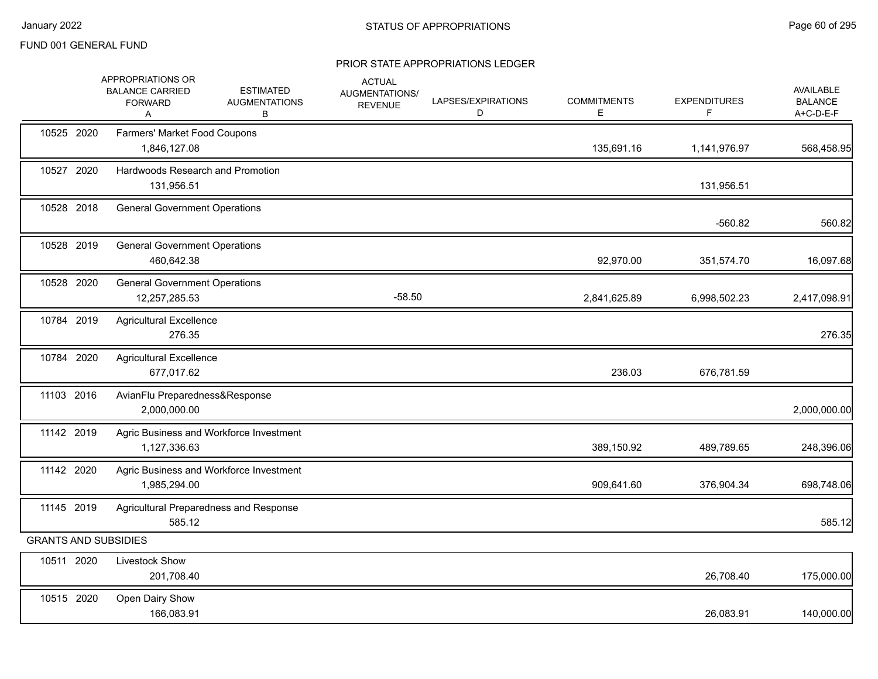|                             | APPROPRIATIONS OR<br><b>BALANCE CARRIED</b><br><b>FORWARD</b><br>A | <b>ESTIMATED</b><br><b>AUGMENTATIONS</b><br>B | <b>ACTUAL</b><br>AUGMENTATIONS/<br><b>REVENUE</b> | LAPSES/EXPIRATIONS<br>D | <b>COMMITMENTS</b><br>E. | <b>EXPENDITURES</b> | <b>AVAILABLE</b><br><b>BALANCE</b><br>A+C-D-E-F |
|-----------------------------|--------------------------------------------------------------------|-----------------------------------------------|---------------------------------------------------|-------------------------|--------------------------|---------------------|-------------------------------------------------|
| 10525 2020                  | Farmers' Market Food Coupons<br>1,846,127.08                       |                                               |                                                   |                         | 135,691.16               | 1,141,976.97        | 568,458.95                                      |
| 10527 2020                  | Hardwoods Research and Promotion<br>131,956.51                     |                                               |                                                   |                         |                          | 131,956.51          |                                                 |
| 10528 2018                  | <b>General Government Operations</b>                               |                                               |                                                   |                         |                          | $-560.82$           | 560.82                                          |
| 10528 2019                  | <b>General Government Operations</b><br>460,642.38                 |                                               |                                                   |                         | 92,970.00                | 351,574.70          | 16,097.68                                       |
| 10528 2020                  | <b>General Government Operations</b><br>12,257,285.53              |                                               | $-58.50$                                          |                         | 2,841,625.89             | 6,998,502.23        | 2,417,098.91                                    |
| 10784 2019                  | <b>Agricultural Excellence</b><br>276.35                           |                                               |                                                   |                         |                          |                     | 276.35                                          |
| 10784 2020                  | <b>Agricultural Excellence</b><br>677,017.62                       |                                               |                                                   |                         | 236.03                   | 676,781.59          |                                                 |
| 11103 2016                  | AvianFlu Preparedness&Response<br>2,000,000.00                     |                                               |                                                   |                         |                          |                     | 2,000,000.00                                    |
| 11142 2019                  | 1,127,336.63                                                       | Agric Business and Workforce Investment       |                                                   |                         | 389,150.92               | 489,789.65          | 248,396.06                                      |
| 11142 2020                  | 1,985,294.00                                                       | Agric Business and Workforce Investment       |                                                   |                         | 909,641.60               | 376,904.34          | 698,748.06                                      |
| 11145 2019                  | Agricultural Preparedness and Response<br>585.12                   |                                               |                                                   |                         |                          |                     | 585.12                                          |
| <b>GRANTS AND SUBSIDIES</b> |                                                                    |                                               |                                                   |                         |                          |                     |                                                 |
| 10511 2020                  | <b>Livestock Show</b><br>201,708.40                                |                                               |                                                   |                         |                          | 26,708.40           | 175,000.00                                      |
| 10515 2020                  | Open Dairy Show<br>166,083.91                                      |                                               |                                                   |                         |                          | 26,083.91           | 140,000.00                                      |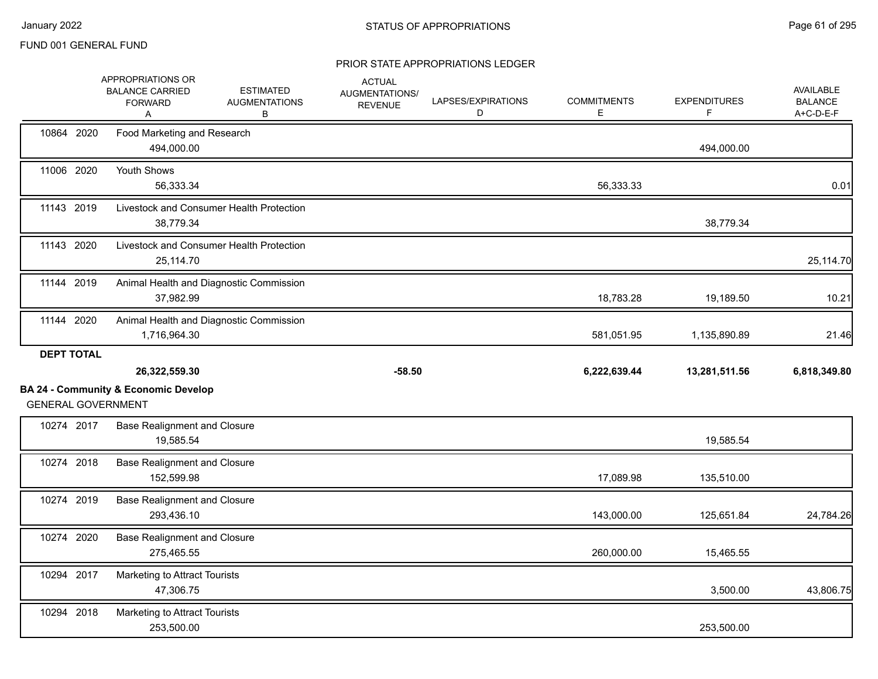|                   | APPROPRIATIONS OR<br><b>BALANCE CARRIED</b><br><b>FORWARD</b><br>A           | <b>ESTIMATED</b><br><b>AUGMENTATIONS</b><br>B | <b>ACTUAL</b><br>AUGMENTATIONS/<br><b>REVENUE</b> | LAPSES/EXPIRATIONS<br>D | <b>COMMITMENTS</b><br>Е | <b>EXPENDITURES</b><br>F | AVAILABLE<br><b>BALANCE</b><br>A+C-D-E-F |
|-------------------|------------------------------------------------------------------------------|-----------------------------------------------|---------------------------------------------------|-------------------------|-------------------------|--------------------------|------------------------------------------|
| 10864 2020        | Food Marketing and Research<br>494,000.00                                    |                                               |                                                   |                         |                         | 494,000.00               |                                          |
| 11006 2020        | Youth Shows<br>56,333.34                                                     |                                               |                                                   |                         | 56,333.33               |                          | 0.01                                     |
| 11143 2019        | 38,779.34                                                                    | Livestock and Consumer Health Protection      |                                                   |                         |                         | 38,779.34                |                                          |
| 11143 2020        | 25,114.70                                                                    | Livestock and Consumer Health Protection      |                                                   |                         |                         |                          | 25,114.70                                |
| 11144 2019        | 37,982.99                                                                    | Animal Health and Diagnostic Commission       |                                                   |                         | 18,783.28               | 19,189.50                | 10.21                                    |
| 11144 2020        | 1,716,964.30                                                                 | Animal Health and Diagnostic Commission       |                                                   |                         | 581,051.95              | 1,135,890.89             | 21.46                                    |
| <b>DEPT TOTAL</b> |                                                                              |                                               |                                                   |                         |                         |                          |                                          |
|                   | 26,322,559.30                                                                |                                               | $-58.50$                                          |                         | 6,222,639.44            | 13,281,511.56            | 6,818,349.80                             |
|                   | <b>BA 24 - Community &amp; Economic Develop</b><br><b>GENERAL GOVERNMENT</b> |                                               |                                                   |                         |                         |                          |                                          |
| 10274 2017        | <b>Base Realignment and Closure</b><br>19,585.54                             |                                               |                                                   |                         |                         | 19,585.54                |                                          |
| 10274 2018        | <b>Base Realignment and Closure</b><br>152,599.98                            |                                               |                                                   |                         | 17,089.98               | 135,510.00               |                                          |
| 10274 2019        | <b>Base Realignment and Closure</b><br>293,436.10                            |                                               |                                                   |                         | 143,000.00              | 125,651.84               | 24,784.26                                |
| 10274 2020        | <b>Base Realignment and Closure</b><br>275,465.55                            |                                               |                                                   |                         | 260,000.00              | 15,465.55                |                                          |
| 10294 2017        | Marketing to Attract Tourists<br>47,306.75                                   |                                               |                                                   |                         |                         | 3,500.00                 | 43,806.75                                |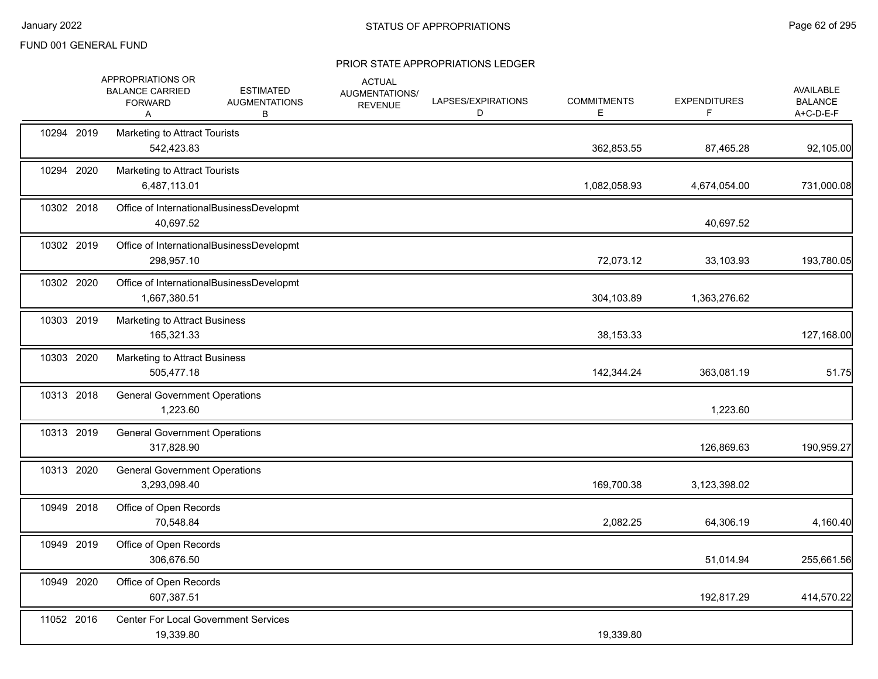|            | APPROPRIATIONS OR<br><b>BALANCE CARRIED</b><br><b>FORWARD</b><br>Α | <b>ESTIMATED</b><br><b>AUGMENTATIONS</b><br>В | <b>ACTUAL</b><br>AUGMENTATIONS/<br><b>REVENUE</b> | LAPSES/EXPIRATIONS<br>D | <b>COMMITMENTS</b><br>E | <b>EXPENDITURES</b><br>F | <b>AVAILABLE</b><br><b>BALANCE</b><br>A+C-D-E-F |
|------------|--------------------------------------------------------------------|-----------------------------------------------|---------------------------------------------------|-------------------------|-------------------------|--------------------------|-------------------------------------------------|
| 10294 2019 | Marketing to Attract Tourists<br>542,423.83                        |                                               |                                                   |                         | 362,853.55              | 87,465.28                | 92,105.00                                       |
| 10294 2020 | Marketing to Attract Tourists<br>6,487,113.01                      |                                               |                                                   |                         | 1,082,058.93            | 4,674,054.00             | 731,000.08                                      |
| 10302 2018 | 40,697.52                                                          | Office of InternationalBusinessDevelopmt      |                                                   |                         |                         | 40,697.52                |                                                 |
| 10302 2019 | 298,957.10                                                         | Office of InternationalBusinessDevelopmt      |                                                   |                         | 72,073.12               | 33,103.93                | 193,780.05                                      |
| 10302 2020 | 1,667,380.51                                                       | Office of InternationalBusinessDevelopmt      |                                                   |                         | 304,103.89              | 1,363,276.62             |                                                 |
| 10303 2019 | Marketing to Attract Business<br>165,321.33                        |                                               |                                                   |                         | 38,153.33               |                          | 127,168.00                                      |
| 10303 2020 | Marketing to Attract Business<br>505,477.18                        |                                               |                                                   |                         | 142,344.24              | 363,081.19               | 51.75                                           |
| 10313 2018 | <b>General Government Operations</b><br>1,223.60                   |                                               |                                                   |                         |                         | 1,223.60                 |                                                 |
| 10313 2019 | <b>General Government Operations</b><br>317,828.90                 |                                               |                                                   |                         |                         | 126,869.63               | 190,959.27                                      |
| 10313 2020 | <b>General Government Operations</b><br>3,293,098.40               |                                               |                                                   |                         | 169,700.38              | 3,123,398.02             |                                                 |
| 10949 2018 | Office of Open Records<br>70,548.84                                |                                               |                                                   |                         | 2,082.25                | 64,306.19                | 4,160.40                                        |
| 10949 2019 | Office of Open Records<br>306,676.50                               |                                               |                                                   |                         |                         | 51,014.94                | 255,661.56                                      |
| 10949 2020 | Office of Open Records<br>607,387.51                               |                                               |                                                   |                         |                         | 192,817.29               | 414,570.22                                      |
| 11052 2016 | 19,339.80                                                          | <b>Center For Local Government Services</b>   |                                                   |                         | 19,339.80               |                          |                                                 |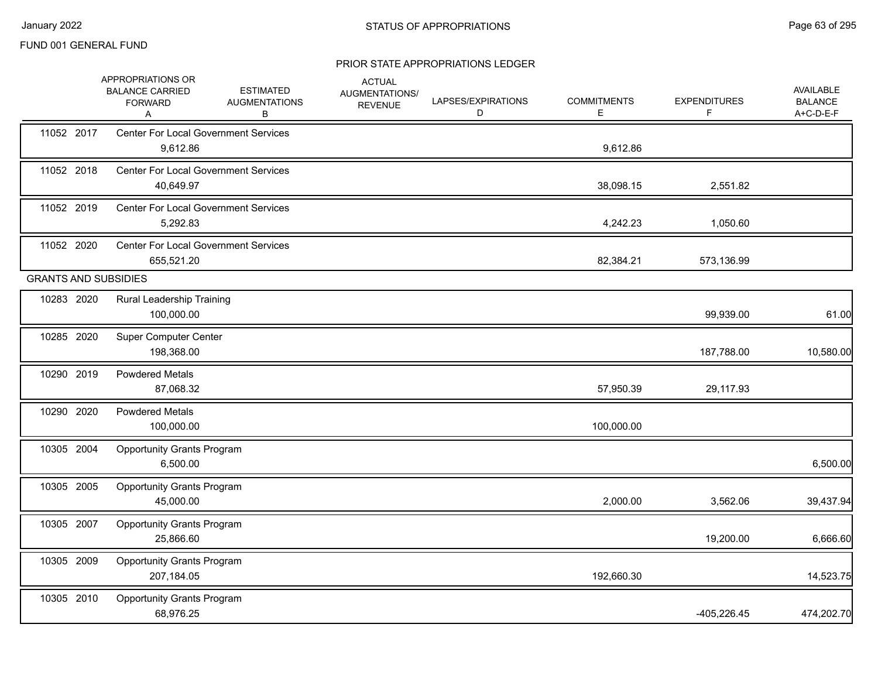|                             | APPROPRIATIONS OR<br><b>BALANCE CARRIED</b><br><b>FORWARD</b><br>Α | <b>ESTIMATED</b><br><b>AUGMENTATIONS</b><br>В | <b>ACTUAL</b><br>AUGMENTATIONS/<br><b>REVENUE</b> | LAPSES/EXPIRATIONS<br>D | <b>COMMITMENTS</b><br>Ε | <b>EXPENDITURES</b><br>F | AVAILABLE<br><b>BALANCE</b><br>A+C-D-E-F |
|-----------------------------|--------------------------------------------------------------------|-----------------------------------------------|---------------------------------------------------|-------------------------|-------------------------|--------------------------|------------------------------------------|
| 11052 2017                  | <b>Center For Local Government Services</b><br>9,612.86            |                                               |                                                   |                         | 9,612.86                |                          |                                          |
| 11052 2018                  | <b>Center For Local Government Services</b><br>40,649.97           |                                               |                                                   |                         | 38,098.15               | 2,551.82                 |                                          |
| 11052 2019                  | <b>Center For Local Government Services</b><br>5,292.83            |                                               |                                                   |                         | 4,242.23                | 1,050.60                 |                                          |
| 11052 2020                  | <b>Center For Local Government Services</b><br>655,521.20          |                                               |                                                   |                         | 82,384.21               | 573,136.99               |                                          |
| <b>GRANTS AND SUBSIDIES</b> |                                                                    |                                               |                                                   |                         |                         |                          |                                          |
| 10283 2020                  | Rural Leadership Training<br>100,000.00                            |                                               |                                                   |                         |                         | 99,939.00                | 61.00                                    |
| 10285 2020                  | <b>Super Computer Center</b><br>198,368.00                         |                                               |                                                   |                         |                         | 187,788.00               | 10,580.00                                |
| 10290 2019                  | <b>Powdered Metals</b><br>87,068.32                                |                                               |                                                   |                         | 57,950.39               | 29,117.93                |                                          |
| 10290 2020                  | <b>Powdered Metals</b><br>100,000.00                               |                                               |                                                   |                         | 100,000.00              |                          |                                          |
| 10305 2004                  | <b>Opportunity Grants Program</b><br>6,500.00                      |                                               |                                                   |                         |                         |                          | 6,500.00                                 |
| 10305 2005                  | <b>Opportunity Grants Program</b><br>45,000.00                     |                                               |                                                   |                         | 2,000.00                | 3,562.06                 | 39,437.94                                |
| 10305 2007                  | <b>Opportunity Grants Program</b><br>25,866.60                     |                                               |                                                   |                         |                         | 19,200.00                | 6,666.60                                 |
| 10305 2009                  | <b>Opportunity Grants Program</b><br>207,184.05                    |                                               |                                                   |                         | 192,660.30              |                          | 14,523.75                                |
| 10305 2010                  | <b>Opportunity Grants Program</b><br>68,976.25                     |                                               |                                                   |                         |                         | $-405,226.45$            | 474,202.70                               |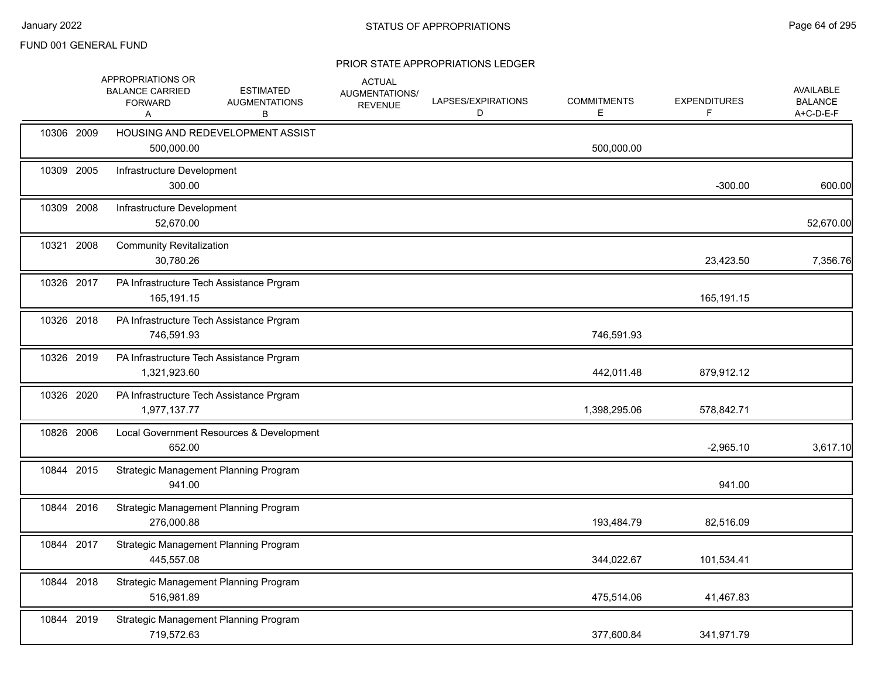|            | APPROPRIATIONS OR<br><b>BALANCE CARRIED</b><br><b>FORWARD</b><br>Α | <b>ESTIMATED</b><br><b>AUGMENTATIONS</b><br>В | <b>ACTUAL</b><br>AUGMENTATIONS/<br><b>REVENUE</b> | LAPSES/EXPIRATIONS<br>D | <b>COMMITMENTS</b><br>Е | <b>EXPENDITURES</b><br>F | <b>AVAILABLE</b><br><b>BALANCE</b><br>A+C-D-E-F |
|------------|--------------------------------------------------------------------|-----------------------------------------------|---------------------------------------------------|-------------------------|-------------------------|--------------------------|-------------------------------------------------|
| 10306 2009 | 500,000.00                                                         | HOUSING AND REDEVELOPMENT ASSIST              |                                                   |                         | 500,000.00              |                          |                                                 |
| 10309 2005 | Infrastructure Development<br>300.00                               |                                               |                                                   |                         |                         | $-300.00$                | 600.00                                          |
| 10309 2008 | Infrastructure Development<br>52,670.00                            |                                               |                                                   |                         |                         |                          | 52,670.00                                       |
| 10321 2008 | <b>Community Revitalization</b><br>30,780.26                       |                                               |                                                   |                         |                         | 23,423.50                | 7,356.76                                        |
| 10326 2017 | 165,191.15                                                         | PA Infrastructure Tech Assistance Prgram      |                                                   |                         |                         | 165,191.15               |                                                 |
| 10326 2018 | 746,591.93                                                         | PA Infrastructure Tech Assistance Prgram      |                                                   |                         | 746,591.93              |                          |                                                 |
| 10326 2019 | 1,321,923.60                                                       | PA Infrastructure Tech Assistance Prgram      |                                                   |                         | 442,011.48              | 879,912.12               |                                                 |
| 10326 2020 | 1,977,137.77                                                       | PA Infrastructure Tech Assistance Prgram      |                                                   |                         | 1,398,295.06            | 578,842.71               |                                                 |
| 10826 2006 | 652.00                                                             | Local Government Resources & Development      |                                                   |                         |                         | $-2,965.10$              | 3,617.10                                        |
| 10844 2015 | 941.00                                                             | Strategic Management Planning Program         |                                                   |                         |                         | 941.00                   |                                                 |
| 10844 2016 | 276,000.88                                                         | Strategic Management Planning Program         |                                                   |                         | 193,484.79              | 82,516.09                |                                                 |
| 10844 2017 | 445,557.08                                                         | Strategic Management Planning Program         |                                                   |                         | 344,022.67              | 101,534.41               |                                                 |
| 10844 2018 | 516,981.89                                                         | Strategic Management Planning Program         |                                                   |                         | 475,514.06              | 41,467.83                |                                                 |
| 10844 2019 | 719,572.63                                                         | Strategic Management Planning Program         |                                                   |                         | 377,600.84              | 341,971.79               |                                                 |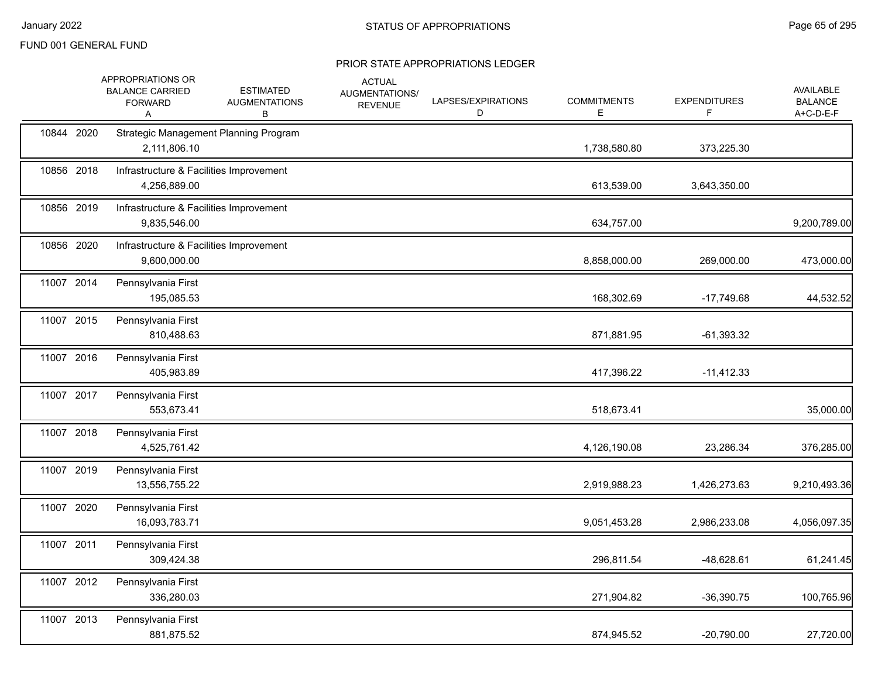|            | APPROPRIATIONS OR<br><b>BALANCE CARRIED</b><br><b>FORWARD</b><br>A | <b>ESTIMATED</b><br><b>AUGMENTATIONS</b><br>В | <b>ACTUAL</b><br>AUGMENTATIONS/<br><b>REVENUE</b> | LAPSES/EXPIRATIONS<br>D | <b>COMMITMENTS</b><br>E | <b>EXPENDITURES</b><br>F. | AVAILABLE<br><b>BALANCE</b><br>A+C-D-E-F |
|------------|--------------------------------------------------------------------|-----------------------------------------------|---------------------------------------------------|-------------------------|-------------------------|---------------------------|------------------------------------------|
| 10844 2020 | 2,111,806.10                                                       | Strategic Management Planning Program         |                                                   |                         | 1,738,580.80            | 373,225.30                |                                          |
| 10856 2018 | Infrastructure & Facilities Improvement<br>4,256,889.00            |                                               |                                                   |                         | 613,539.00              | 3,643,350.00              |                                          |
| 10856 2019 | Infrastructure & Facilities Improvement<br>9,835,546.00            |                                               |                                                   |                         | 634,757.00              |                           | 9,200,789.00                             |
| 10856 2020 | Infrastructure & Facilities Improvement<br>9,600,000.00            |                                               |                                                   |                         | 8,858,000.00            | 269,000.00                | 473,000.00                               |
| 11007 2014 | Pennsylvania First<br>195,085.53                                   |                                               |                                                   |                         | 168,302.69              | $-17,749.68$              | 44,532.52                                |
| 11007 2015 | Pennsylvania First<br>810,488.63                                   |                                               |                                                   |                         | 871,881.95              | $-61,393.32$              |                                          |
| 11007 2016 | Pennsylvania First<br>405,983.89                                   |                                               |                                                   |                         | 417,396.22              | $-11,412.33$              |                                          |
| 11007 2017 | Pennsylvania First<br>553,673.41                                   |                                               |                                                   |                         | 518,673.41              |                           | 35,000.00                                |
| 11007 2018 | Pennsylvania First<br>4,525,761.42                                 |                                               |                                                   |                         | 4,126,190.08            | 23,286.34                 | 376,285.00                               |
| 11007 2019 | Pennsylvania First<br>13,556,755.22                                |                                               |                                                   |                         | 2,919,988.23            | 1,426,273.63              | 9,210,493.36                             |
| 11007 2020 | Pennsylvania First<br>16,093,783.71                                |                                               |                                                   |                         | 9,051,453.28            | 2,986,233.08              | 4,056,097.35                             |
| 11007 2011 | Pennsylvania First<br>309,424.38                                   |                                               |                                                   |                         | 296,811.54              | -48,628.61                | 61,241.45                                |
| 11007 2012 | Pennsylvania First<br>336,280.03                                   |                                               |                                                   |                         | 271,904.82              | $-36,390.75$              | 100,765.96                               |
| 11007 2013 | Pennsylvania First<br>881,875.52                                   |                                               |                                                   |                         | 874,945.52              | $-20,790.00$              | 27,720.00                                |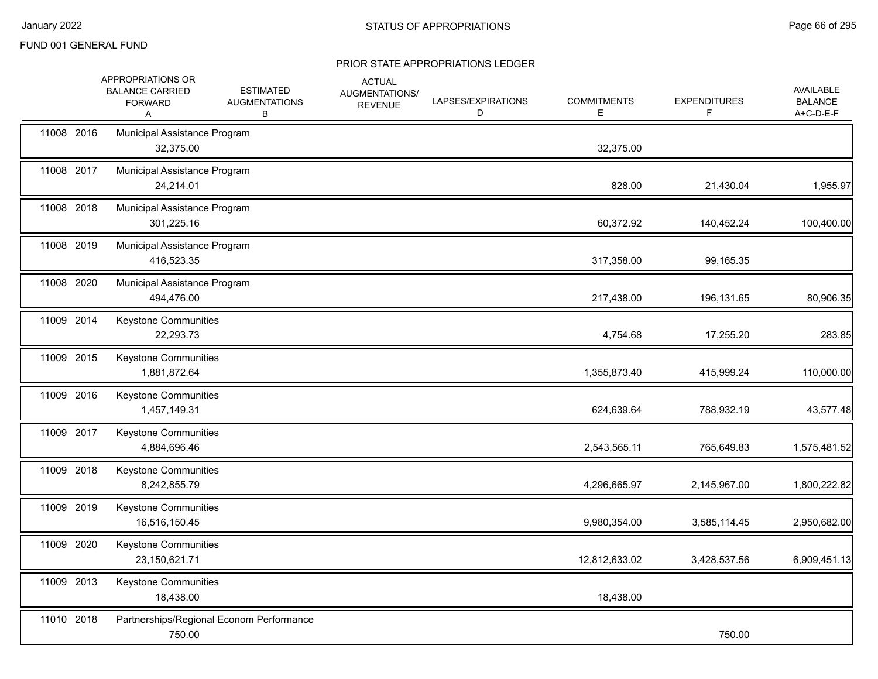| 11008 2016<br>Municipal Assistance Program<br>32,375.00<br>32,375.00<br>11008 2017<br>Municipal Assistance Program<br>828.00<br>21,430.04<br>24,214.01<br>11008 2018<br>Municipal Assistance Program<br>301,225.16<br>60,372.92<br>140,452.24<br>11008 2019<br>Municipal Assistance Program<br>416,523.35<br>317,358.00<br>99,165.35<br>11008 2020<br>Municipal Assistance Program<br>494,476.00<br>217,438.00<br>196,131.65<br>11009 2014<br>Keystone Communities<br>22,293.73<br>4,754.68<br>17,255.20<br>11009 2015<br><b>Keystone Communities</b><br>1,881,872.64<br>1,355,873.40<br>415,999.24<br>11009 2016<br>Keystone Communities<br>1,457,149.31<br>624,639.64<br>788,932.19<br>11009 2017<br>Keystone Communities<br>4,884,696.46<br>2,543,565.11<br>765,649.83<br>11009 2018<br>Keystone Communities<br>8,242,855.79<br>4,296,665.97<br>2,145,967.00<br>11009 2019<br>Keystone Communities<br>16,516,150.45<br>9,980,354.00<br>3,585,114.45<br>11009 2020<br><b>Keystone Communities</b><br>23,150,621.71<br>12,812,633.02<br>3,428,537.56 |            | APPROPRIATIONS OR<br><b>BALANCE CARRIED</b><br><b>FORWARD</b><br>A | <b>ESTIMATED</b><br><b>AUGMENTATIONS</b><br>В | <b>ACTUAL</b><br>AUGMENTATIONS/<br><b>REVENUE</b> | LAPSES/EXPIRATIONS<br>D | <b>COMMITMENTS</b><br>Е | <b>EXPENDITURES</b><br>F. | AVAILABLE<br><b>BALANCE</b><br>A+C-D-E-F |
|-------------------------------------------------------------------------------------------------------------------------------------------------------------------------------------------------------------------------------------------------------------------------------------------------------------------------------------------------------------------------------------------------------------------------------------------------------------------------------------------------------------------------------------------------------------------------------------------------------------------------------------------------------------------------------------------------------------------------------------------------------------------------------------------------------------------------------------------------------------------------------------------------------------------------------------------------------------------------------------------------------------------------------------------------------|------------|--------------------------------------------------------------------|-----------------------------------------------|---------------------------------------------------|-------------------------|-------------------------|---------------------------|------------------------------------------|
|                                                                                                                                                                                                                                                                                                                                                                                                                                                                                                                                                                                                                                                                                                                                                                                                                                                                                                                                                                                                                                                       |            |                                                                    |                                               |                                                   |                         |                         |                           |                                          |
|                                                                                                                                                                                                                                                                                                                                                                                                                                                                                                                                                                                                                                                                                                                                                                                                                                                                                                                                                                                                                                                       |            |                                                                    |                                               |                                                   |                         |                         |                           | 1,955.97                                 |
|                                                                                                                                                                                                                                                                                                                                                                                                                                                                                                                                                                                                                                                                                                                                                                                                                                                                                                                                                                                                                                                       |            |                                                                    |                                               |                                                   |                         |                         |                           | 100,400.00                               |
|                                                                                                                                                                                                                                                                                                                                                                                                                                                                                                                                                                                                                                                                                                                                                                                                                                                                                                                                                                                                                                                       |            |                                                                    |                                               |                                                   |                         |                         |                           |                                          |
|                                                                                                                                                                                                                                                                                                                                                                                                                                                                                                                                                                                                                                                                                                                                                                                                                                                                                                                                                                                                                                                       |            |                                                                    |                                               |                                                   |                         |                         |                           | 80,906.35                                |
|                                                                                                                                                                                                                                                                                                                                                                                                                                                                                                                                                                                                                                                                                                                                                                                                                                                                                                                                                                                                                                                       |            |                                                                    |                                               |                                                   |                         |                         |                           | 283.85                                   |
|                                                                                                                                                                                                                                                                                                                                                                                                                                                                                                                                                                                                                                                                                                                                                                                                                                                                                                                                                                                                                                                       |            |                                                                    |                                               |                                                   |                         |                         |                           | 110,000.00                               |
|                                                                                                                                                                                                                                                                                                                                                                                                                                                                                                                                                                                                                                                                                                                                                                                                                                                                                                                                                                                                                                                       |            |                                                                    |                                               |                                                   |                         |                         |                           | 43,577.48                                |
|                                                                                                                                                                                                                                                                                                                                                                                                                                                                                                                                                                                                                                                                                                                                                                                                                                                                                                                                                                                                                                                       |            |                                                                    |                                               |                                                   |                         |                         |                           | 1,575,481.52                             |
|                                                                                                                                                                                                                                                                                                                                                                                                                                                                                                                                                                                                                                                                                                                                                                                                                                                                                                                                                                                                                                                       |            |                                                                    |                                               |                                                   |                         |                         |                           | 1,800,222.82                             |
|                                                                                                                                                                                                                                                                                                                                                                                                                                                                                                                                                                                                                                                                                                                                                                                                                                                                                                                                                                                                                                                       |            |                                                                    |                                               |                                                   |                         |                         |                           | 2,950,682.00                             |
|                                                                                                                                                                                                                                                                                                                                                                                                                                                                                                                                                                                                                                                                                                                                                                                                                                                                                                                                                                                                                                                       |            |                                                                    |                                               |                                                   |                         |                         |                           | 6,909,451.13                             |
| 18,438.00<br>18,438.00                                                                                                                                                                                                                                                                                                                                                                                                                                                                                                                                                                                                                                                                                                                                                                                                                                                                                                                                                                                                                                | 11009 2013 | Keystone Communities                                               |                                               |                                                   |                         |                         |                           |                                          |
| 11010 2018<br>Partnerships/Regional Econom Performance<br>750.00<br>750.00                                                                                                                                                                                                                                                                                                                                                                                                                                                                                                                                                                                                                                                                                                                                                                                                                                                                                                                                                                            |            |                                                                    |                                               |                                                   |                         |                         |                           |                                          |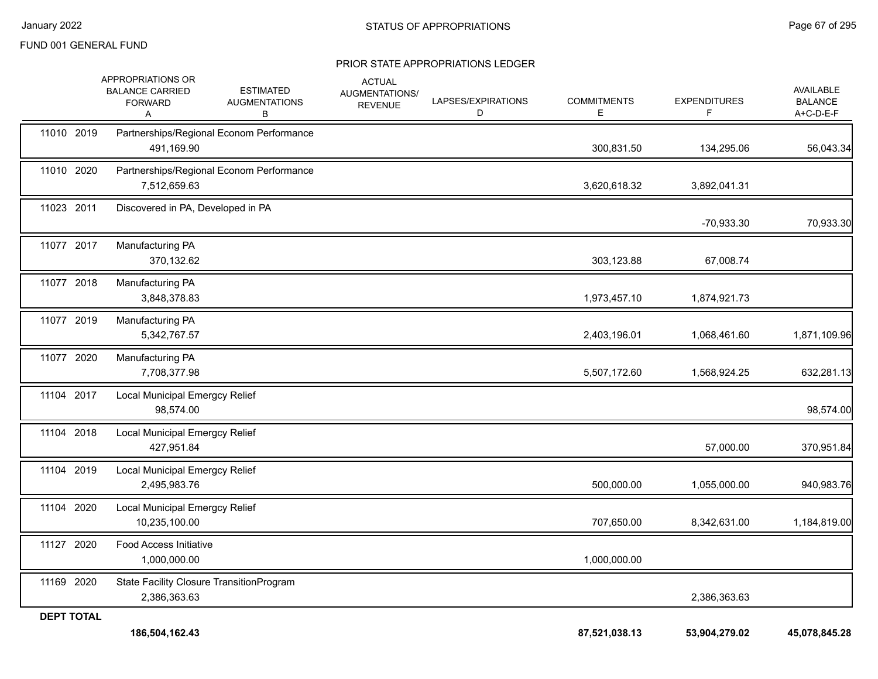| <b>DEPT TOTAL</b> | 186,504,162.43                                                     |                                               |                                                          |                         | 87,521,038.13            | 53,904,279.02             | 45,078,845.28                                   |
|-------------------|--------------------------------------------------------------------|-----------------------------------------------|----------------------------------------------------------|-------------------------|--------------------------|---------------------------|-------------------------------------------------|
| 11169 2020        | State Facility Closure TransitionProgram<br>2,386,363.63           |                                               |                                                          |                         |                          | 2,386,363.63              |                                                 |
| 11127 2020        | Food Access Initiative<br>1,000,000.00                             |                                               |                                                          |                         | 1,000,000.00             |                           |                                                 |
| 11104 2020        | Local Municipal Emergcy Relief<br>10,235,100.00                    |                                               |                                                          |                         | 707,650.00               | 8,342,631.00              | 1,184,819.00                                    |
| 11104 2019        | <b>Local Municipal Emergcy Relief</b><br>2,495,983.76              |                                               |                                                          |                         | 500,000.00               | 1,055,000.00              | 940,983.76                                      |
| 11104 2018        | <b>Local Municipal Emergcy Relief</b><br>427,951.84                |                                               |                                                          |                         |                          | 57,000.00                 | 370,951.84                                      |
| 11104 2017        | Local Municipal Emergcy Relief<br>98,574.00                        |                                               |                                                          |                         |                          |                           | 98,574.00                                       |
| 11077 2020        | Manufacturing PA<br>7,708,377.98                                   |                                               |                                                          |                         | 5,507,172.60             | 1,568,924.25              | 632,281.13                                      |
| 11077 2019        | Manufacturing PA<br>5,342,767.57                                   |                                               |                                                          |                         | 2,403,196.01             | 1,068,461.60              | 1,871,109.96                                    |
| 11077 2018        | Manufacturing PA<br>3,848,378.83                                   |                                               |                                                          |                         | 1,973,457.10             | 1,874,921.73              |                                                 |
| 11077 2017        | Manufacturing PA<br>370,132.62                                     |                                               |                                                          |                         | 303,123.88               | 67,008.74                 |                                                 |
| 11023 2011        | Discovered in PA, Developed in PA                                  |                                               |                                                          |                         |                          | -70,933.30                | 70,933.30                                       |
| 11010 2020        | 7,512,659.63                                                       | Partnerships/Regional Econom Performance      |                                                          |                         | 3,620,618.32             | 3,892,041.31              |                                                 |
| 11010 2019        | 491,169.90                                                         | Partnerships/Regional Econom Performance      |                                                          |                         | 300,831.50               | 134,295.06                | 56,043.34                                       |
|                   | APPROPRIATIONS OR<br><b>BALANCE CARRIED</b><br><b>FORWARD</b><br>Α | <b>ESTIMATED</b><br><b>AUGMENTATIONS</b><br>В | <b>ACTUAL</b><br><b>AUGMENTATIONS/</b><br><b>REVENUE</b> | LAPSES/EXPIRATIONS<br>D | <b>COMMITMENTS</b><br>E. | <b>EXPENDITURES</b><br>F. | <b>AVAILABLE</b><br><b>BALANCE</b><br>A+C-D-E-F |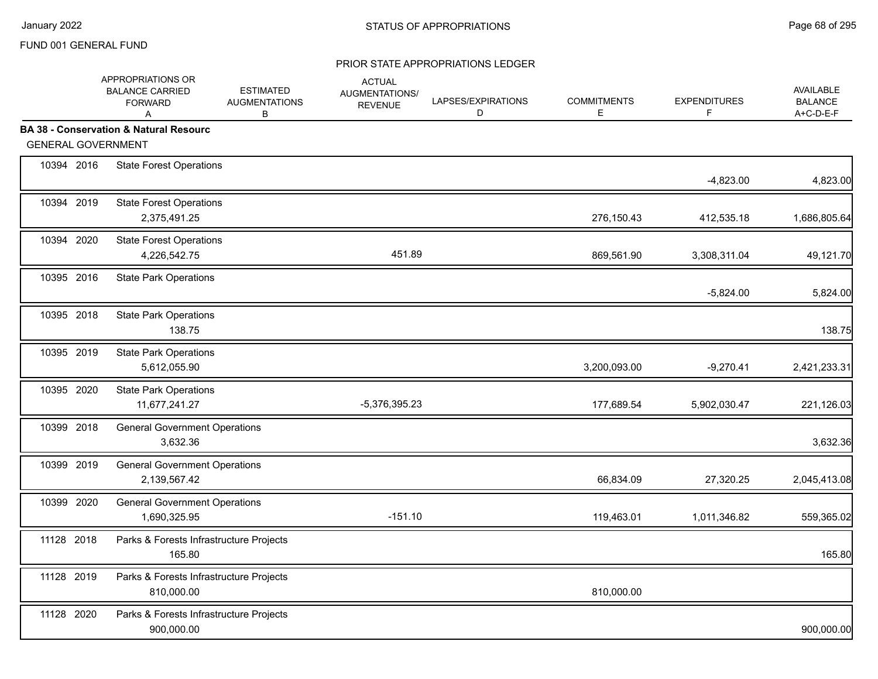|            | APPROPRIATIONS OR<br><b>BALANCE CARRIED</b><br><b>FORWARD</b><br>A | <b>ESTIMATED</b><br><b>AUGMENTATIONS</b><br>В | <b>ACTUAL</b><br><b>AUGMENTATIONS/</b><br><b>REVENUE</b> | LAPSES/EXPIRATIONS<br>D | <b>COMMITMENTS</b><br>Е | <b>EXPENDITURES</b><br>F. | <b>AVAILABLE</b><br><b>BALANCE</b><br>A+C-D-E-F |
|------------|--------------------------------------------------------------------|-----------------------------------------------|----------------------------------------------------------|-------------------------|-------------------------|---------------------------|-------------------------------------------------|
|            | <b>BA 38 - Conservation &amp; Natural Resourc</b>                  |                                               |                                                          |                         |                         |                           |                                                 |
|            | <b>GENERAL GOVERNMENT</b>                                          |                                               |                                                          |                         |                         |                           |                                                 |
| 10394 2016 | <b>State Forest Operations</b>                                     |                                               |                                                          |                         |                         | $-4,823.00$               | 4,823.00                                        |
| 10394 2019 | <b>State Forest Operations</b><br>2,375,491.25                     |                                               |                                                          |                         | 276,150.43              | 412,535.18                | 1,686,805.64                                    |
| 10394 2020 | <b>State Forest Operations</b><br>4,226,542.75                     |                                               | 451.89                                                   |                         | 869,561.90              | 3,308,311.04              | 49,121.70                                       |
| 10395 2016 | <b>State Park Operations</b>                                       |                                               |                                                          |                         |                         | $-5,824.00$               | 5,824.00                                        |
| 10395 2018 | <b>State Park Operations</b><br>138.75                             |                                               |                                                          |                         |                         |                           | 138.75                                          |
| 10395 2019 | <b>State Park Operations</b><br>5,612,055.90                       |                                               |                                                          |                         | 3,200,093.00            | $-9,270.41$               | 2,421,233.31                                    |
| 10395 2020 | <b>State Park Operations</b><br>11,677,241.27                      |                                               | $-5,376,395.23$                                          |                         | 177,689.54              | 5,902,030.47              | 221,126.03                                      |
| 10399 2018 | <b>General Government Operations</b><br>3,632.36                   |                                               |                                                          |                         |                         |                           | 3,632.36                                        |
| 10399 2019 | <b>General Government Operations</b><br>2,139,567.42               |                                               |                                                          |                         | 66,834.09               | 27,320.25                 | 2,045,413.08                                    |
| 10399 2020 | <b>General Government Operations</b><br>1,690,325.95               |                                               | $-151.10$                                                |                         | 119,463.01              | 1,011,346.82              | 559,365.02                                      |
| 11128 2018 | Parks & Forests Infrastructure Projects<br>165.80                  |                                               |                                                          |                         |                         |                           | 165.80                                          |
| 11128 2019 | Parks & Forests Infrastructure Projects<br>810,000.00              |                                               |                                                          |                         | 810,000.00              |                           |                                                 |
| 11128 2020 | Parks & Forests Infrastructure Projects<br>900,000.00              |                                               |                                                          |                         |                         |                           | 900,000.00                                      |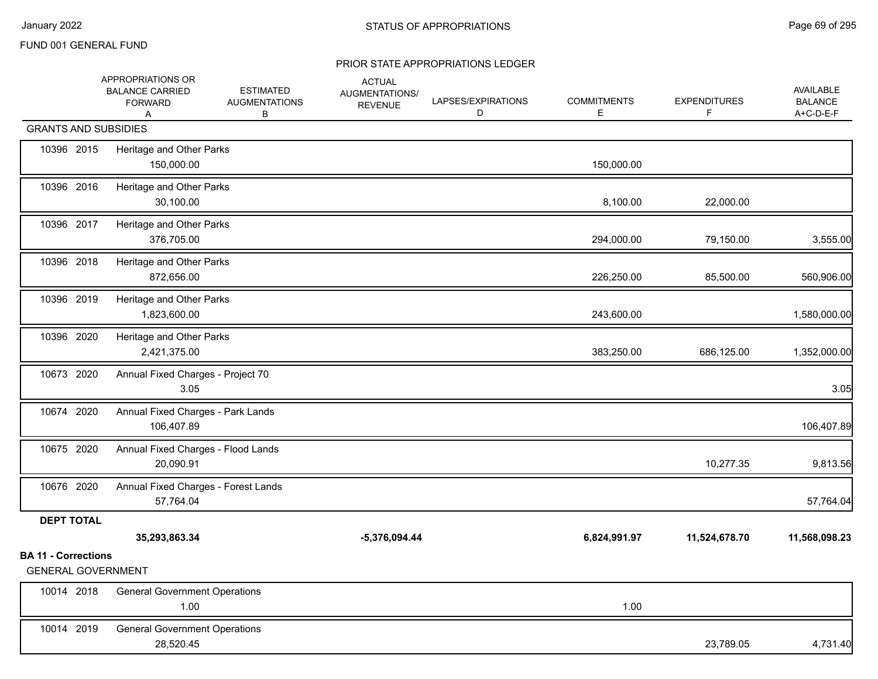|                                                         | APPROPRIATIONS OR<br><b>BALANCE CARRIED</b><br><b>FORWARD</b><br>Α | <b>ESTIMATED</b><br><b>AUGMENTATIONS</b><br>в | <b>ACTUAL</b><br>AUGMENTATIONS/<br><b>REVENUE</b> | LAPSES/EXPIRATIONS<br>D | <b>COMMITMENTS</b><br>Е | <b>EXPENDITURES</b><br>F. | <b>AVAILABLE</b><br><b>BALANCE</b><br>A+C-D-E-F |
|---------------------------------------------------------|--------------------------------------------------------------------|-----------------------------------------------|---------------------------------------------------|-------------------------|-------------------------|---------------------------|-------------------------------------------------|
| <b>GRANTS AND SUBSIDIES</b>                             |                                                                    |                                               |                                                   |                         |                         |                           |                                                 |
| 10396 2015                                              | Heritage and Other Parks<br>150,000.00                             |                                               |                                                   |                         | 150,000.00              |                           |                                                 |
| 10396 2016                                              | Heritage and Other Parks<br>30,100.00                              |                                               |                                                   |                         | 8,100.00                | 22,000.00                 |                                                 |
| 10396 2017                                              | Heritage and Other Parks<br>376,705.00                             |                                               |                                                   |                         | 294,000.00              | 79,150.00                 | 3,555.00                                        |
| 10396 2018                                              | Heritage and Other Parks<br>872,656.00                             |                                               |                                                   |                         | 226,250.00              | 85,500.00                 | 560,906.00                                      |
| 10396 2019                                              | Heritage and Other Parks<br>1,823,600.00                           |                                               |                                                   |                         | 243,600.00              |                           | 1,580,000.00                                    |
| 10396 2020                                              | Heritage and Other Parks<br>2,421,375.00                           |                                               |                                                   |                         | 383,250.00              | 686,125.00                | 1,352,000.00                                    |
| 10673 2020                                              | Annual Fixed Charges - Project 70<br>3.05                          |                                               |                                                   |                         |                         |                           | 3.05                                            |
| 10674 2020                                              | Annual Fixed Charges - Park Lands<br>106,407.89                    |                                               |                                                   |                         |                         |                           | 106,407.89                                      |
| 10675 2020                                              | Annual Fixed Charges - Flood Lands<br>20,090.91                    |                                               |                                                   |                         |                         | 10,277.35                 | 9,813.56                                        |
| 10676 2020                                              | Annual Fixed Charges - Forest Lands<br>57,764.04                   |                                               |                                                   |                         |                         |                           | 57,764.04                                       |
| <b>DEPT TOTAL</b>                                       |                                                                    |                                               |                                                   |                         |                         |                           |                                                 |
|                                                         | 35,293,863.34                                                      |                                               | $-5,376,094.44$                                   |                         | 6,824,991.97            | 11,524,678.70             | 11,568,098.23                                   |
| <b>BA 11 - Corrections</b><br><b>GENERAL GOVERNMENT</b> |                                                                    |                                               |                                                   |                         |                         |                           |                                                 |
| 10014 2018                                              | <b>General Government Operations</b><br>1.00                       |                                               |                                                   |                         | 1.00                    |                           |                                                 |
| 10014 2019                                              | <b>General Government Operations</b><br>28,520.45                  |                                               |                                                   |                         |                         | 23,789.05                 | 4,731.40                                        |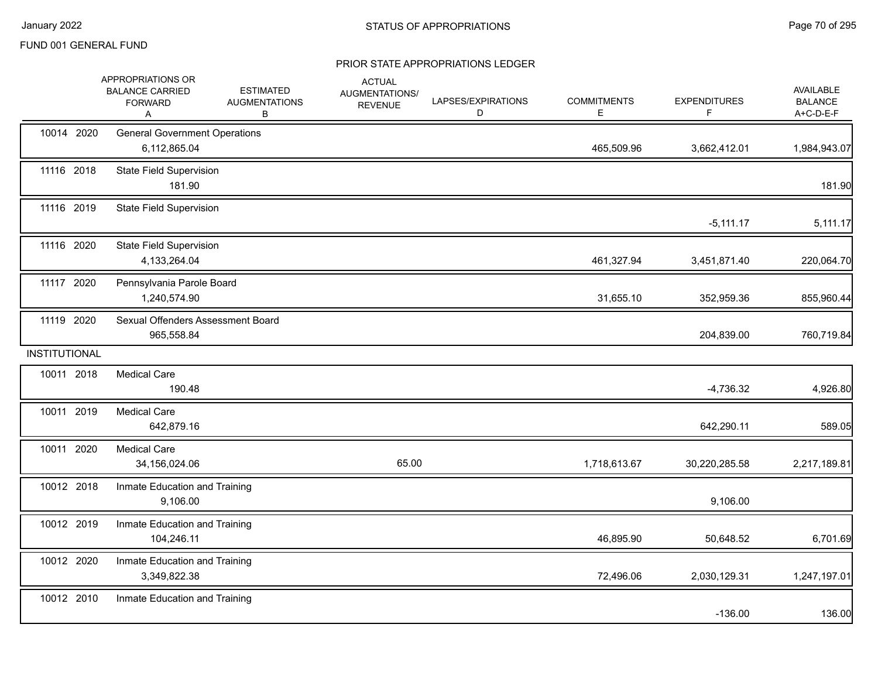|               | APPROPRIATIONS OR<br><b>BALANCE CARRIED</b><br><b>FORWARD</b><br>Α | <b>ESTIMATED</b><br><b>AUGMENTATIONS</b><br>В | <b>ACTUAL</b><br><b>AUGMENTATIONS/</b><br><b>REVENUE</b> | LAPSES/EXPIRATIONS<br>D | <b>COMMITMENTS</b><br>Е | <b>EXPENDITURES</b><br>F | AVAILABLE<br><b>BALANCE</b><br>A+C-D-E-F |
|---------------|--------------------------------------------------------------------|-----------------------------------------------|----------------------------------------------------------|-------------------------|-------------------------|--------------------------|------------------------------------------|
| 10014 2020    | <b>General Government Operations</b><br>6,112,865.04               |                                               |                                                          |                         | 465,509.96              | 3,662,412.01             | 1,984,943.07                             |
| 11116 2018    | <b>State Field Supervision</b><br>181.90                           |                                               |                                                          |                         |                         |                          | 181.90                                   |
| 11116 2019    | <b>State Field Supervision</b>                                     |                                               |                                                          |                         |                         | $-5,111.17$              | 5,111.17                                 |
| 11116 2020    | <b>State Field Supervision</b><br>4,133,264.04                     |                                               |                                                          |                         | 461,327.94              | 3,451,871.40             | 220,064.70                               |
| 11117 2020    | Pennsylvania Parole Board<br>1,240,574.90                          |                                               |                                                          |                         | 31,655.10               | 352,959.36               | 855,960.44                               |
| 11119 2020    | Sexual Offenders Assessment Board<br>965,558.84                    |                                               |                                                          |                         |                         | 204,839.00               | 760,719.84                               |
| INSTITUTIONAL |                                                                    |                                               |                                                          |                         |                         |                          |                                          |
| 10011 2018    | <b>Medical Care</b><br>190.48                                      |                                               |                                                          |                         |                         | $-4,736.32$              | 4,926.80                                 |
| 10011 2019    | <b>Medical Care</b><br>642,879.16                                  |                                               |                                                          |                         |                         | 642,290.11               | 589.05                                   |
| 10011 2020    | <b>Medical Care</b><br>34,156,024.06                               |                                               | 65.00                                                    |                         | 1,718,613.67            | 30,220,285.58            | 2,217,189.81                             |
| 10012 2018    | Inmate Education and Training<br>9,106.00                          |                                               |                                                          |                         |                         | 9,106.00                 |                                          |
| 10012 2019    | Inmate Education and Training<br>104,246.11                        |                                               |                                                          |                         | 46,895.90               | 50,648.52                | 6,701.69                                 |
| 10012 2020    | Inmate Education and Training<br>3,349,822.38                      |                                               |                                                          |                         | 72,496.06               | 2,030,129.31             | 1,247,197.01                             |
| 10012 2010    | Inmate Education and Training                                      |                                               |                                                          |                         |                         | $-136.00$                | 136.00                                   |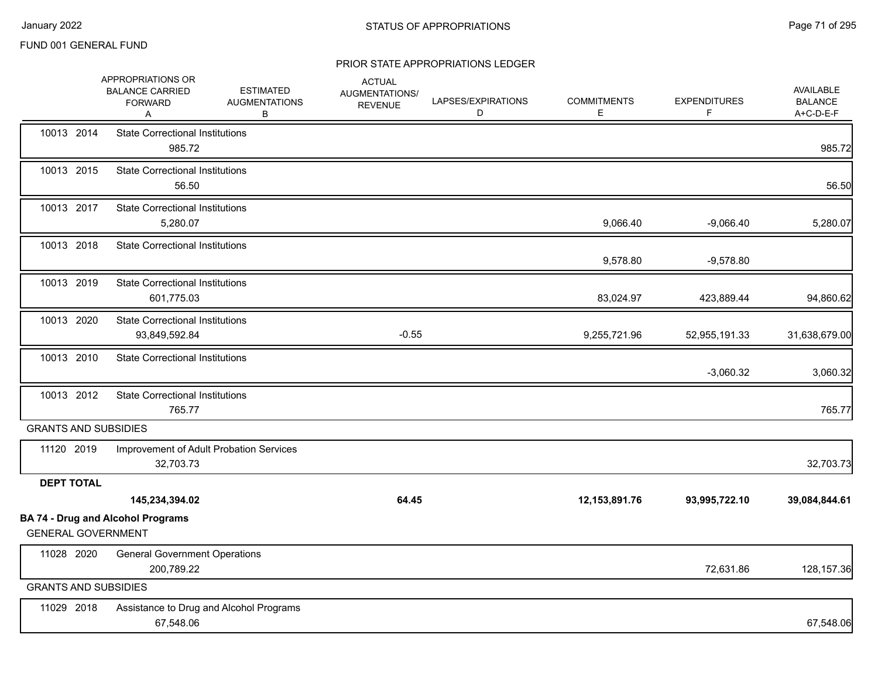|                             | APPROPRIATIONS OR<br><b>BALANCE CARRIED</b><br><b>FORWARD</b><br>A | <b>ESTIMATED</b><br><b>AUGMENTATIONS</b><br>В | <b>ACTUAL</b><br><b>AUGMENTATIONS/</b><br><b>REVENUE</b> | LAPSES/EXPIRATIONS<br>D | <b>COMMITMENTS</b><br>E. | <b>EXPENDITURES</b><br>F | <b>AVAILABLE</b><br><b>BALANCE</b><br>A+C-D-E-F |
|-----------------------------|--------------------------------------------------------------------|-----------------------------------------------|----------------------------------------------------------|-------------------------|--------------------------|--------------------------|-------------------------------------------------|
| 10013 2014                  | <b>State Correctional Institutions</b><br>985.72                   |                                               |                                                          |                         |                          |                          | 985.72                                          |
| 10013 2015                  | <b>State Correctional Institutions</b><br>56.50                    |                                               |                                                          |                         |                          |                          | 56.50                                           |
| 10013 2017                  | <b>State Correctional Institutions</b><br>5,280.07                 |                                               |                                                          |                         | 9,066.40                 | $-9,066.40$              | 5,280.07                                        |
| 10013 2018                  | <b>State Correctional Institutions</b>                             |                                               |                                                          |                         | 9,578.80                 | $-9,578.80$              |                                                 |
| 10013 2019                  | <b>State Correctional Institutions</b><br>601,775.03               |                                               |                                                          |                         | 83,024.97                | 423,889.44               | 94,860.62                                       |
| 10013 2020                  | <b>State Correctional Institutions</b><br>93,849,592.84            |                                               | $-0.55$                                                  |                         | 9,255,721.96             | 52,955,191.33            | 31,638,679.00                                   |
| 10013 2010                  | <b>State Correctional Institutions</b>                             |                                               |                                                          |                         |                          | $-3,060.32$              | 3,060.32                                        |
| 10013 2012                  | <b>State Correctional Institutions</b><br>765.77                   |                                               |                                                          |                         |                          |                          | 765.77                                          |
| <b>GRANTS AND SUBSIDIES</b> |                                                                    |                                               |                                                          |                         |                          |                          |                                                 |
| 11120 2019                  | 32,703.73                                                          | Improvement of Adult Probation Services       |                                                          |                         |                          |                          | 32,703.73                                       |
| <b>DEPT TOTAL</b>           |                                                                    |                                               |                                                          |                         |                          |                          |                                                 |
|                             | 145,234,394.02                                                     |                                               | 64.45                                                    |                         | 12,153,891.76            | 93,995,722.10            | 39,084,844.61                                   |
| <b>GENERAL GOVERNMENT</b>   | <b>BA 74 - Drug and Alcohol Programs</b>                           |                                               |                                                          |                         |                          |                          |                                                 |
| 11028 2020                  | <b>General Government Operations</b><br>200,789.22                 |                                               |                                                          |                         |                          | 72,631.86                | 128, 157.36                                     |
| <b>GRANTS AND SUBSIDIES</b> |                                                                    |                                               |                                                          |                         |                          |                          |                                                 |
| 11029 2018                  | 67,548.06                                                          | Assistance to Drug and Alcohol Programs       |                                                          |                         |                          |                          | 67,548.06                                       |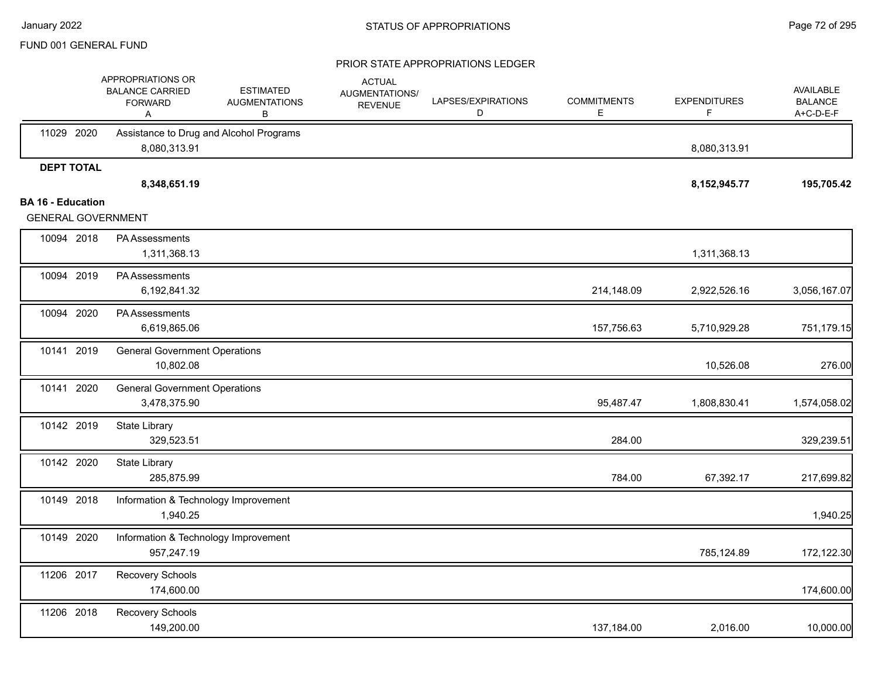|                                                       | APPROPRIATIONS OR<br><b>BALANCE CARRIED</b><br><b>FORWARD</b><br>Α | <b>ESTIMATED</b><br><b>AUGMENTATIONS</b><br>в | <b>ACTUAL</b><br>AUGMENTATIONS/<br><b>REVENUE</b> | LAPSES/EXPIRATIONS<br>D | <b>COMMITMENTS</b><br>E. | <b>EXPENDITURES</b><br>F | <b>AVAILABLE</b><br><b>BALANCE</b><br>A+C-D-E-F |
|-------------------------------------------------------|--------------------------------------------------------------------|-----------------------------------------------|---------------------------------------------------|-------------------------|--------------------------|--------------------------|-------------------------------------------------|
| 11029 2020                                            | Assistance to Drug and Alcohol Programs<br>8,080,313.91            |                                               |                                                   |                         |                          | 8,080,313.91             |                                                 |
| <b>DEPT TOTAL</b>                                     | 8,348,651.19                                                       |                                               |                                                   |                         |                          | 8,152,945.77             | 195,705.42                                      |
| <b>BA 16 - Education</b><br><b>GENERAL GOVERNMENT</b> |                                                                    |                                               |                                                   |                         |                          |                          |                                                 |
| 10094 2018                                            | PA Assessments<br>1,311,368.13                                     |                                               |                                                   |                         |                          | 1,311,368.13             |                                                 |
| 10094 2019                                            | <b>PA Assessments</b><br>6,192,841.32                              |                                               |                                                   |                         | 214,148.09               | 2,922,526.16             | 3,056,167.07                                    |
| 10094 2020                                            | PA Assessments<br>6,619,865.06                                     |                                               |                                                   |                         | 157,756.63               | 5,710,929.28             | 751,179.15                                      |
| 10141 2019                                            | <b>General Government Operations</b><br>10,802.08                  |                                               |                                                   |                         |                          | 10,526.08                | 276.00                                          |
| 10141 2020                                            | <b>General Government Operations</b><br>3,478,375.90               |                                               |                                                   |                         | 95,487.47                | 1,808,830.41             | 1,574,058.02                                    |
| 10142 2019                                            | State Library<br>329,523.51                                        |                                               |                                                   |                         | 284.00                   |                          | 329,239.51                                      |
| 10142 2020                                            | State Library<br>285,875.99                                        |                                               |                                                   |                         | 784.00                   | 67,392.17                | 217,699.82                                      |
| 10149 2018                                            | Information & Technology Improvement<br>1,940.25                   |                                               |                                                   |                         |                          |                          | 1,940.25                                        |
| 10149 2020                                            | Information & Technology Improvement<br>957,247.19                 |                                               |                                                   |                         |                          | 785,124.89               | 172,122.30                                      |
| 11206 2017                                            | Recovery Schools<br>174,600.00                                     |                                               |                                                   |                         |                          |                          | 174,600.00                                      |
| 11206 2018                                            | Recovery Schools<br>149,200.00                                     |                                               |                                                   |                         | 137,184.00               | 2,016.00                 | 10,000.00                                       |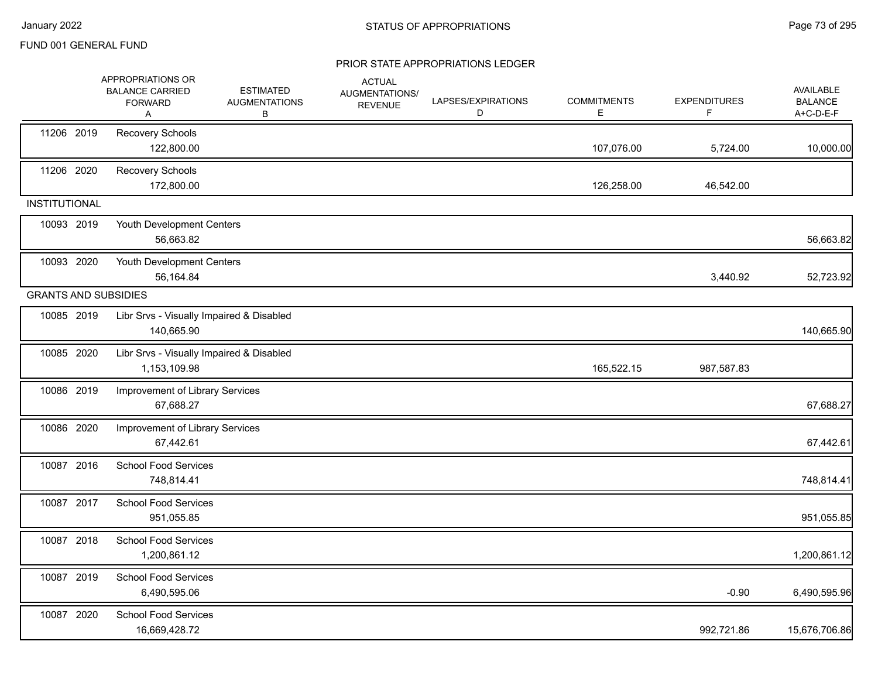|                             | APPROPRIATIONS OR<br><b>BALANCE CARRIED</b><br><b>FORWARD</b><br>Α | <b>ESTIMATED</b><br><b>AUGMENTATIONS</b><br>В | <b>ACTUAL</b><br><b>AUGMENTATIONS/</b><br><b>REVENUE</b> | LAPSES/EXPIRATIONS<br>D | <b>COMMITMENTS</b><br>Е | <b>EXPENDITURES</b><br>F. | AVAILABLE<br><b>BALANCE</b><br>A+C-D-E-F |
|-----------------------------|--------------------------------------------------------------------|-----------------------------------------------|----------------------------------------------------------|-------------------------|-------------------------|---------------------------|------------------------------------------|
| 11206 2019                  | Recovery Schools<br>122,800.00                                     |                                               |                                                          |                         | 107,076.00              | 5,724.00                  | 10,000.00                                |
| 11206 2020                  | Recovery Schools<br>172,800.00                                     |                                               |                                                          |                         | 126,258.00              | 46,542.00                 |                                          |
| <b>INSTITUTIONAL</b>        |                                                                    |                                               |                                                          |                         |                         |                           |                                          |
| 10093 2019                  | Youth Development Centers<br>56,663.82                             |                                               |                                                          |                         |                         |                           | 56,663.82                                |
| 10093 2020                  | Youth Development Centers<br>56,164.84                             |                                               |                                                          |                         |                         | 3,440.92                  | 52,723.92                                |
| <b>GRANTS AND SUBSIDIES</b> |                                                                    |                                               |                                                          |                         |                         |                           |                                          |
| 10085 2019                  | Libr Srvs - Visually Impaired & Disabled<br>140,665.90             |                                               |                                                          |                         |                         |                           | 140,665.90                               |
| 10085 2020                  | Libr Srvs - Visually Impaired & Disabled<br>1,153,109.98           |                                               |                                                          |                         | 165,522.15              | 987,587.83                |                                          |
| 10086 2019                  | Improvement of Library Services<br>67,688.27                       |                                               |                                                          |                         |                         |                           | 67,688.27                                |
| 10086 2020                  | Improvement of Library Services<br>67,442.61                       |                                               |                                                          |                         |                         |                           | 67,442.61                                |
| 10087 2016                  | <b>School Food Services</b><br>748,814.41                          |                                               |                                                          |                         |                         |                           | 748,814.41                               |
| 10087 2017                  | <b>School Food Services</b><br>951,055.85                          |                                               |                                                          |                         |                         |                           | 951,055.85                               |
| 10087 2018                  | School Food Services<br>1,200,861.12                               |                                               |                                                          |                         |                         |                           | 1,200,861.12                             |
| 10087 2019                  | <b>School Food Services</b><br>6,490,595.06                        |                                               |                                                          |                         |                         | $-0.90$                   | 6,490,595.96                             |
| 10087 2020                  | <b>School Food Services</b><br>16,669,428.72                       |                                               |                                                          |                         |                         | 992,721.86                | 15,676,706.86                            |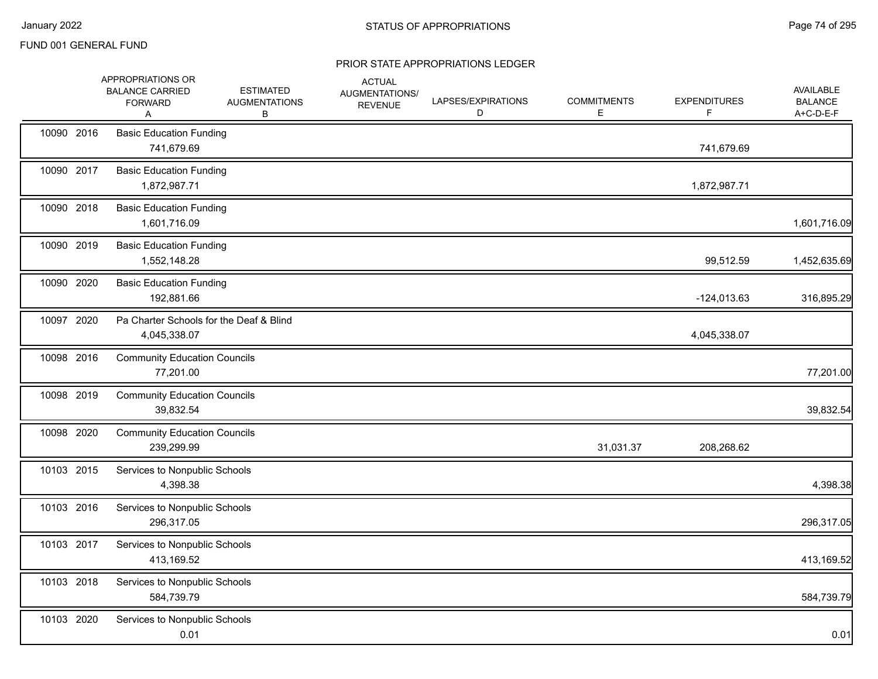|            | APPROPRIATIONS OR<br><b>BALANCE CARRIED</b><br><b>FORWARD</b><br>Α | <b>ESTIMATED</b><br><b>AUGMENTATIONS</b><br>В | <b>ACTUAL</b><br>AUGMENTATIONS/<br><b>REVENUE</b> | LAPSES/EXPIRATIONS<br>D | <b>COMMITMENTS</b><br>Е | <b>EXPENDITURES</b><br>F | <b>AVAILABLE</b><br><b>BALANCE</b><br>A+C-D-E-F |
|------------|--------------------------------------------------------------------|-----------------------------------------------|---------------------------------------------------|-------------------------|-------------------------|--------------------------|-------------------------------------------------|
| 10090 2016 | <b>Basic Education Funding</b><br>741,679.69                       |                                               |                                                   |                         |                         | 741,679.69               |                                                 |
| 10090 2017 | <b>Basic Education Funding</b><br>1,872,987.71                     |                                               |                                                   |                         |                         | 1,872,987.71             |                                                 |
| 10090 2018 | <b>Basic Education Funding</b><br>1,601,716.09                     |                                               |                                                   |                         |                         |                          | 1,601,716.09                                    |
| 10090 2019 | <b>Basic Education Funding</b><br>1,552,148.28                     |                                               |                                                   |                         |                         | 99,512.59                | 1,452,635.69                                    |
| 10090 2020 | <b>Basic Education Funding</b><br>192,881.66                       |                                               |                                                   |                         |                         | $-124,013.63$            | 316,895.29                                      |
| 10097 2020 | Pa Charter Schools for the Deaf & Blind<br>4,045,338.07            |                                               |                                                   |                         |                         | 4,045,338.07             |                                                 |
| 10098 2016 | <b>Community Education Councils</b><br>77,201.00                   |                                               |                                                   |                         |                         |                          | 77,201.00                                       |
| 10098 2019 | <b>Community Education Councils</b><br>39,832.54                   |                                               |                                                   |                         |                         |                          | 39,832.54                                       |
| 10098 2020 | <b>Community Education Councils</b><br>239,299.99                  |                                               |                                                   |                         | 31,031.37               | 208,268.62               |                                                 |
| 10103 2015 | Services to Nonpublic Schools<br>4,398.38                          |                                               |                                                   |                         |                         |                          | 4,398.38                                        |
| 10103 2016 | Services to Nonpublic Schools<br>296,317.05                        |                                               |                                                   |                         |                         |                          | 296,317.05                                      |
| 10103 2017 | Services to Nonpublic Schools<br>413,169.52                        |                                               |                                                   |                         |                         |                          | 413,169.52                                      |
| 10103 2018 | Services to Nonpublic Schools<br>584,739.79                        |                                               |                                                   |                         |                         |                          | 584,739.79                                      |
| 10103 2020 | Services to Nonpublic Schools<br>0.01                              |                                               |                                                   |                         |                         |                          | 0.01                                            |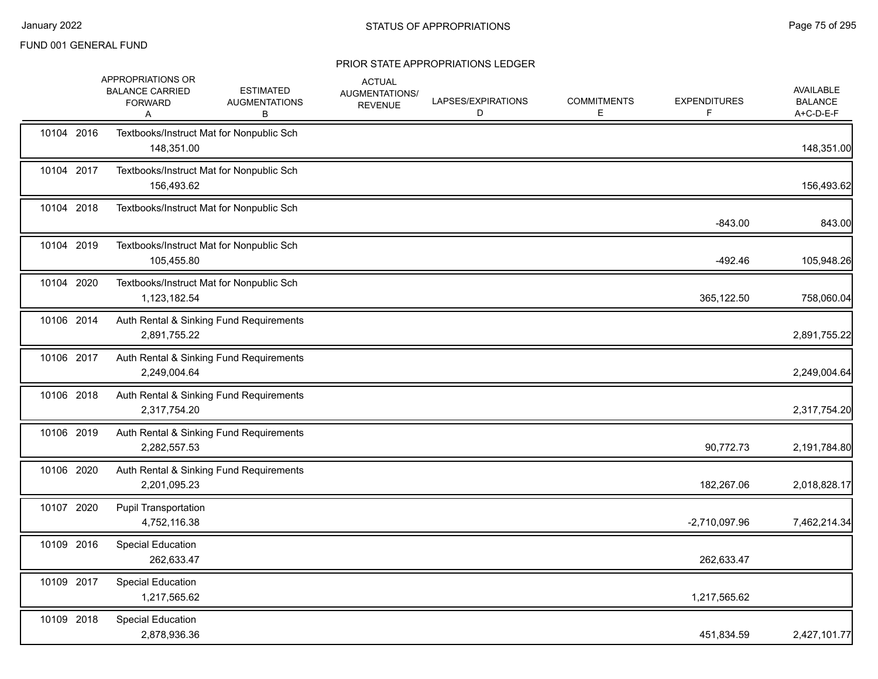|            | APPROPRIATIONS OR<br><b>BALANCE CARRIED</b><br><b>FORWARD</b><br>A | <b>ESTIMATED</b><br><b>AUGMENTATIONS</b><br>В | <b>ACTUAL</b><br>AUGMENTATIONS/<br><b>REVENUE</b> | LAPSES/EXPIRATIONS<br>D | <b>COMMITMENTS</b><br>Е | <b>EXPENDITURES</b> | <b>AVAILABLE</b><br><b>BALANCE</b><br>A+C-D-E-F |
|------------|--------------------------------------------------------------------|-----------------------------------------------|---------------------------------------------------|-------------------------|-------------------------|---------------------|-------------------------------------------------|
| 10104 2016 | 148,351.00                                                         | Textbooks/Instruct Mat for Nonpublic Sch      |                                                   |                         |                         |                     | 148,351.00                                      |
| 10104 2017 | 156,493.62                                                         | Textbooks/Instruct Mat for Nonpublic Sch      |                                                   |                         |                         |                     | 156,493.62                                      |
| 10104 2018 |                                                                    | Textbooks/Instruct Mat for Nonpublic Sch      |                                                   |                         |                         | $-843.00$           | 843.00                                          |
| 10104 2019 | 105,455.80                                                         | Textbooks/Instruct Mat for Nonpublic Sch      |                                                   |                         |                         | $-492.46$           | 105,948.26                                      |
| 10104 2020 | 1,123,182.54                                                       | Textbooks/Instruct Mat for Nonpublic Sch      |                                                   |                         |                         | 365,122.50          | 758,060.04                                      |
| 10106 2014 | 2,891,755.22                                                       | Auth Rental & Sinking Fund Requirements       |                                                   |                         |                         |                     | 2,891,755.22                                    |
| 10106 2017 | 2,249,004.64                                                       | Auth Rental & Sinking Fund Requirements       |                                                   |                         |                         |                     | 2,249,004.64                                    |
| 10106 2018 | 2,317,754.20                                                       | Auth Rental & Sinking Fund Requirements       |                                                   |                         |                         |                     | 2,317,754.20                                    |
| 10106 2019 | 2,282,557.53                                                       | Auth Rental & Sinking Fund Requirements       |                                                   |                         |                         | 90,772.73           | 2,191,784.80                                    |
| 10106 2020 | 2,201,095.23                                                       | Auth Rental & Sinking Fund Requirements       |                                                   |                         |                         | 182,267.06          | 2,018,828.17                                    |
| 10107 2020 | <b>Pupil Transportation</b><br>4,752,116.38                        |                                               |                                                   |                         |                         | $-2,710,097.96$     | 7,462,214.34                                    |
| 10109 2016 | <b>Special Education</b><br>262,633.47                             |                                               |                                                   |                         |                         | 262,633.47          |                                                 |
| 10109 2017 | <b>Special Education</b><br>1,217,565.62                           |                                               |                                                   |                         |                         | 1,217,565.62        |                                                 |
| 10109 2018 | <b>Special Education</b><br>2,878,936.36                           |                                               |                                                   |                         |                         | 451,834.59          | 2,427,101.77                                    |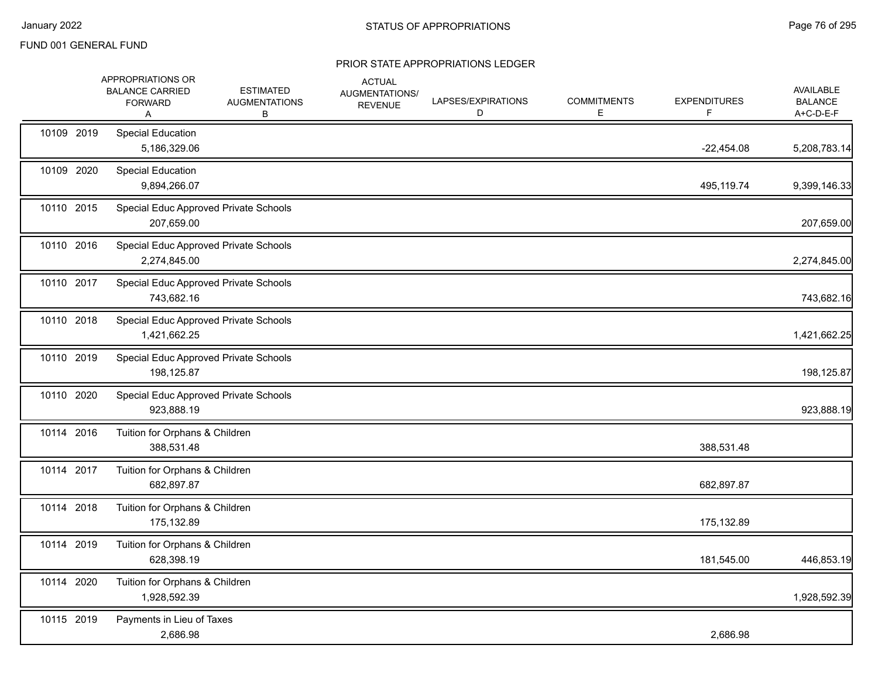|            | APPROPRIATIONS OR<br><b>BALANCE CARRIED</b><br><b>FORWARD</b><br>Α | <b>ESTIMATED</b><br><b>AUGMENTATIONS</b><br>В | <b>ACTUAL</b><br>AUGMENTATIONS/<br><b>REVENUE</b> | LAPSES/EXPIRATIONS<br>D | <b>COMMITMENTS</b><br>E. | <b>EXPENDITURES</b><br>F | AVAILABLE<br><b>BALANCE</b><br>A+C-D-E-F |
|------------|--------------------------------------------------------------------|-----------------------------------------------|---------------------------------------------------|-------------------------|--------------------------|--------------------------|------------------------------------------|
| 10109 2019 | <b>Special Education</b><br>5,186,329.06                           |                                               |                                                   |                         |                          | $-22,454.08$             | 5,208,783.14                             |
| 10109 2020 | <b>Special Education</b><br>9,894,266.07                           |                                               |                                                   |                         |                          | 495,119.74               | 9,399,146.33                             |
| 10110 2015 | Special Educ Approved Private Schools<br>207,659.00                |                                               |                                                   |                         |                          |                          | 207,659.00                               |
| 10110 2016 | Special Educ Approved Private Schools<br>2,274,845.00              |                                               |                                                   |                         |                          |                          | 2,274,845.00                             |
| 10110 2017 | Special Educ Approved Private Schools<br>743,682.16                |                                               |                                                   |                         |                          |                          | 743,682.16                               |
| 10110 2018 | Special Educ Approved Private Schools<br>1,421,662.25              |                                               |                                                   |                         |                          |                          | 1,421,662.25                             |
| 10110 2019 | Special Educ Approved Private Schools<br>198,125.87                |                                               |                                                   |                         |                          |                          | 198,125.87                               |
| 10110 2020 | Special Educ Approved Private Schools<br>923,888.19                |                                               |                                                   |                         |                          |                          | 923,888.19                               |
| 10114 2016 | Tuition for Orphans & Children<br>388,531.48                       |                                               |                                                   |                         |                          | 388,531.48               |                                          |
| 10114 2017 | Tuition for Orphans & Children<br>682,897.87                       |                                               |                                                   |                         |                          | 682,897.87               |                                          |
| 10114 2018 | Tuition for Orphans & Children<br>175,132.89                       |                                               |                                                   |                         |                          | 175,132.89               |                                          |
| 10114 2019 | Tuition for Orphans & Children<br>628,398.19                       |                                               |                                                   |                         |                          | 181,545.00               | 446,853.19                               |
| 10114 2020 | Tuition for Orphans & Children<br>1,928,592.39                     |                                               |                                                   |                         |                          |                          | 1,928,592.39                             |
| 10115 2019 | Payments in Lieu of Taxes<br>2,686.98                              |                                               |                                                   |                         |                          | 2,686.98                 |                                          |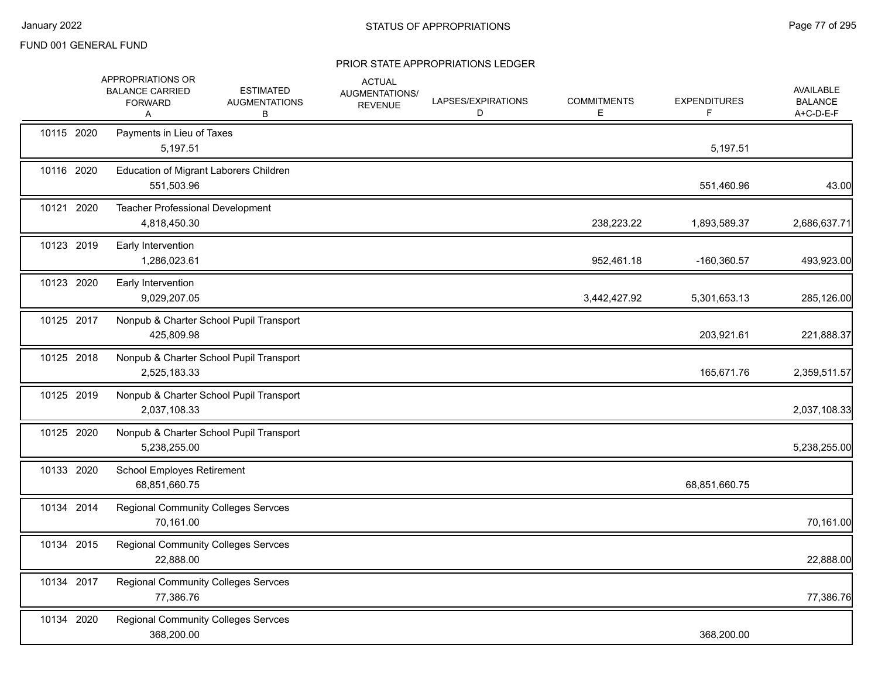|            | APPROPRIATIONS OR<br><b>BALANCE CARRIED</b><br><b>FORWARD</b><br>A | <b>ESTIMATED</b><br><b>AUGMENTATIONS</b><br>В | <b>ACTUAL</b><br>AUGMENTATIONS/<br><b>REVENUE</b> | LAPSES/EXPIRATIONS<br>D | <b>COMMITMENTS</b><br>Е | <b>EXPENDITURES</b><br>F. | AVAILABLE<br><b>BALANCE</b><br>A+C-D-E-F |
|------------|--------------------------------------------------------------------|-----------------------------------------------|---------------------------------------------------|-------------------------|-------------------------|---------------------------|------------------------------------------|
| 10115 2020 | Payments in Lieu of Taxes<br>5,197.51                              |                                               |                                                   |                         |                         | 5,197.51                  |                                          |
| 10116 2020 | Education of Migrant Laborers Children<br>551,503.96               |                                               |                                                   |                         |                         | 551,460.96                | 43.00                                    |
| 10121 2020 | Teacher Professional Development<br>4,818,450.30                   |                                               |                                                   |                         | 238,223.22              | 1,893,589.37              | 2,686,637.71                             |
| 10123 2019 | Early Intervention<br>1,286,023.61                                 |                                               |                                                   |                         | 952,461.18              | -160,360.57               | 493,923.00                               |
| 10123 2020 | Early Intervention<br>9,029,207.05                                 |                                               |                                                   |                         | 3,442,427.92            | 5,301,653.13              | 285,126.00                               |
| 10125 2017 | 425,809.98                                                         | Nonpub & Charter School Pupil Transport       |                                                   |                         |                         | 203,921.61                | 221,888.37                               |
| 10125 2018 | 2,525,183.33                                                       | Nonpub & Charter School Pupil Transport       |                                                   |                         |                         | 165,671.76                | 2,359,511.57                             |
| 10125 2019 | 2,037,108.33                                                       | Nonpub & Charter School Pupil Transport       |                                                   |                         |                         |                           | 2,037,108.33                             |
| 10125 2020 | 5,238,255.00                                                       | Nonpub & Charter School Pupil Transport       |                                                   |                         |                         |                           | 5,238,255.00                             |
| 10133 2020 | School Employes Retirement<br>68,851,660.75                        |                                               |                                                   |                         |                         | 68,851,660.75             |                                          |
| 10134 2014 | <b>Regional Community Colleges Servces</b><br>70,161.00            |                                               |                                                   |                         |                         |                           | 70,161.00                                |
| 10134 2015 | <b>Regional Community Colleges Servces</b><br>22,888.00            |                                               |                                                   |                         |                         |                           | 22,888.00                                |
| 10134 2017 | <b>Regional Community Colleges Servces</b><br>77,386.76            |                                               |                                                   |                         |                         |                           | 77,386.76                                |
| 10134 2020 | Regional Community Colleges Servces<br>368,200.00                  |                                               |                                                   |                         |                         | 368,200.00                |                                          |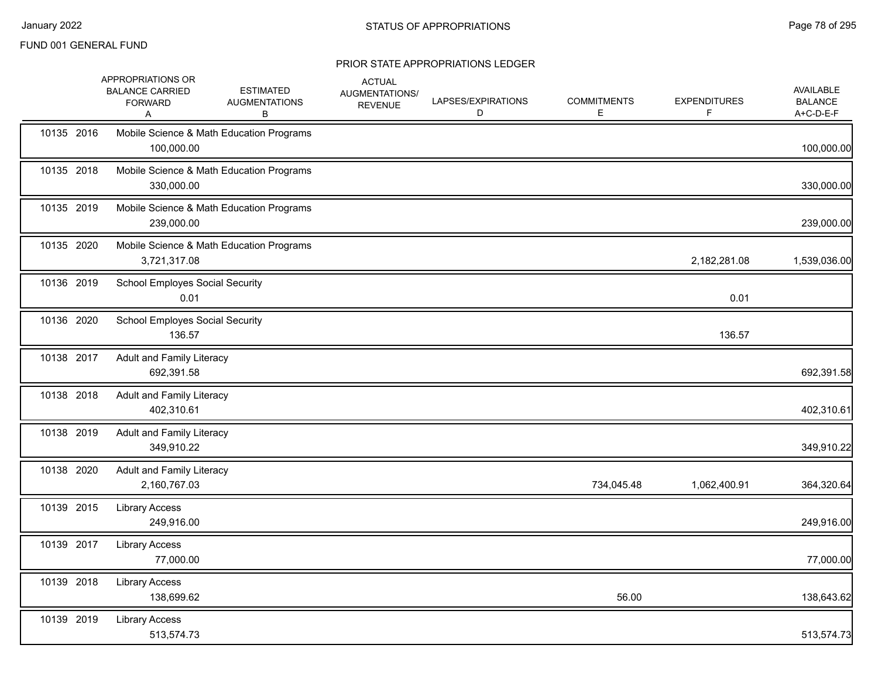|            | APPROPRIATIONS OR<br><b>BALANCE CARRIED</b><br><b>FORWARD</b><br>A | <b>ESTIMATED</b><br><b>AUGMENTATIONS</b><br>в | <b>ACTUAL</b><br>AUGMENTATIONS/<br><b>REVENUE</b> | LAPSES/EXPIRATIONS<br>D | <b>COMMITMENTS</b><br>Е | <b>EXPENDITURES</b><br>F | AVAILABLE<br><b>BALANCE</b><br>A+C-D-E-F |
|------------|--------------------------------------------------------------------|-----------------------------------------------|---------------------------------------------------|-------------------------|-------------------------|--------------------------|------------------------------------------|
| 10135 2016 | 100,000.00                                                         | Mobile Science & Math Education Programs      |                                                   |                         |                         |                          | 100,000.00                               |
| 10135 2018 | 330,000.00                                                         | Mobile Science & Math Education Programs      |                                                   |                         |                         |                          | 330,000.00                               |
| 10135 2019 | 239,000.00                                                         | Mobile Science & Math Education Programs      |                                                   |                         |                         |                          | 239,000.00                               |
| 10135 2020 | 3,721,317.08                                                       | Mobile Science & Math Education Programs      |                                                   |                         |                         | 2,182,281.08             | 1,539,036.00                             |
| 10136 2019 | <b>School Employes Social Security</b><br>0.01                     |                                               |                                                   |                         |                         | 0.01                     |                                          |
| 10136 2020 | <b>School Employes Social Security</b><br>136.57                   |                                               |                                                   |                         |                         | 136.57                   |                                          |
| 10138 2017 | <b>Adult and Family Literacy</b><br>692,391.58                     |                                               |                                                   |                         |                         |                          | 692,391.58                               |
| 10138 2018 | <b>Adult and Family Literacy</b><br>402,310.61                     |                                               |                                                   |                         |                         |                          | 402,310.61                               |
| 10138 2019 | <b>Adult and Family Literacy</b><br>349,910.22                     |                                               |                                                   |                         |                         |                          | 349,910.22                               |
| 10138 2020 | <b>Adult and Family Literacy</b><br>2,160,767.03                   |                                               |                                                   |                         | 734,045.48              | 1,062,400.91             | 364,320.64                               |
| 10139 2015 | <b>Library Access</b><br>249,916.00                                |                                               |                                                   |                         |                         |                          | 249,916.00                               |
| 10139 2017 | <b>Library Access</b><br>77,000.00                                 |                                               |                                                   |                         |                         |                          | 77,000.00                                |
| 10139 2018 | <b>Library Access</b><br>138,699.62                                |                                               |                                                   |                         | 56.00                   |                          | 138,643.62                               |
| 10139 2019 | <b>Library Access</b><br>513,574.73                                |                                               |                                                   |                         |                         |                          | 513,574.73                               |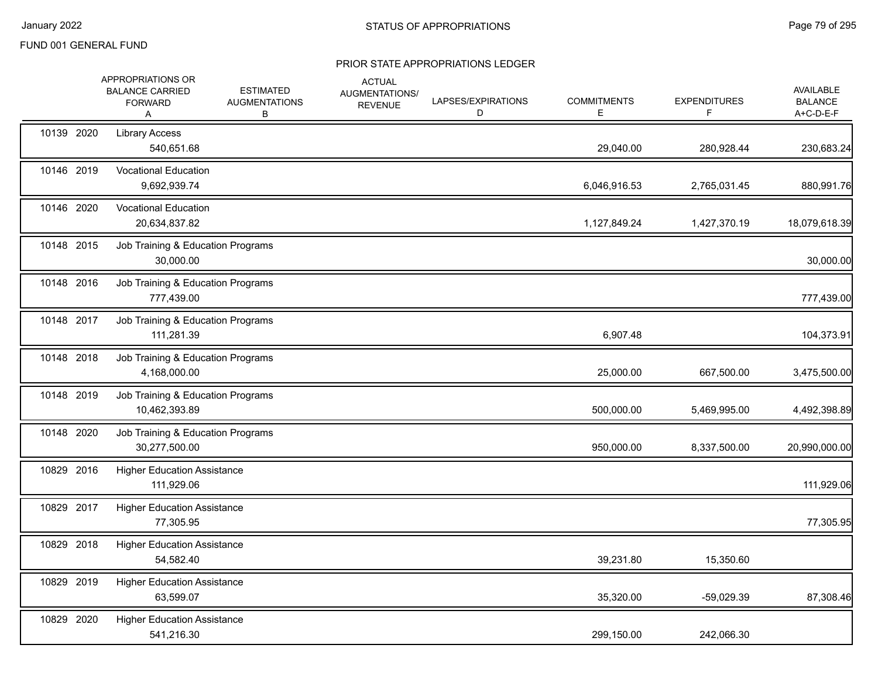|            | <b>APPROPRIATIONS OR</b><br><b>BALANCE CARRIED</b><br><b>FORWARD</b><br>Α | <b>ESTIMATED</b><br><b>AUGMENTATIONS</b><br>В | <b>ACTUAL</b><br><b>AUGMENTATIONS/</b><br><b>REVENUE</b> | LAPSES/EXPIRATIONS<br>D | <b>COMMITMENTS</b><br>E | <b>EXPENDITURES</b><br>F | AVAILABLE<br><b>BALANCE</b><br>A+C-D-E-F |
|------------|---------------------------------------------------------------------------|-----------------------------------------------|----------------------------------------------------------|-------------------------|-------------------------|--------------------------|------------------------------------------|
| 10139 2020 | <b>Library Access</b><br>540,651.68                                       |                                               |                                                          |                         | 29,040.00               | 280,928.44               | 230,683.24                               |
| 10146 2019 | <b>Vocational Education</b><br>9,692,939.74                               |                                               |                                                          |                         | 6,046,916.53            | 2,765,031.45             | 880,991.76                               |
| 10146 2020 | <b>Vocational Education</b><br>20,634,837.82                              |                                               |                                                          |                         | 1,127,849.24            | 1,427,370.19             | 18,079,618.39                            |
| 10148 2015 | Job Training & Education Programs<br>30,000.00                            |                                               |                                                          |                         |                         |                          | 30,000.00                                |
| 10148 2016 | Job Training & Education Programs<br>777,439.00                           |                                               |                                                          |                         |                         |                          | 777,439.00                               |
| 10148 2017 | Job Training & Education Programs<br>111,281.39                           |                                               |                                                          |                         | 6,907.48                |                          | 104,373.91                               |
| 10148 2018 | Job Training & Education Programs<br>4,168,000.00                         |                                               |                                                          |                         | 25,000.00               | 667,500.00               | 3,475,500.00                             |
| 10148 2019 | Job Training & Education Programs<br>10,462,393.89                        |                                               |                                                          |                         | 500,000.00              | 5,469,995.00             | 4,492,398.89                             |
| 10148 2020 | Job Training & Education Programs<br>30,277,500.00                        |                                               |                                                          |                         | 950,000.00              | 8,337,500.00             | 20,990,000.00                            |
| 10829 2016 | <b>Higher Education Assistance</b><br>111,929.06                          |                                               |                                                          |                         |                         |                          | 111,929.06                               |
| 10829 2017 | <b>Higher Education Assistance</b><br>77,305.95                           |                                               |                                                          |                         |                         |                          | 77,305.95                                |
| 10829 2018 | <b>Higher Education Assistance</b><br>54,582.40                           |                                               |                                                          |                         | 39,231.80               | 15,350.60                |                                          |
| 10829 2019 | <b>Higher Education Assistance</b><br>63,599.07                           |                                               |                                                          |                         | 35,320.00               | -59,029.39               | 87,308.46                                |
| 10829 2020 | <b>Higher Education Assistance</b><br>541,216.30                          |                                               |                                                          |                         | 299,150.00              | 242,066.30               |                                          |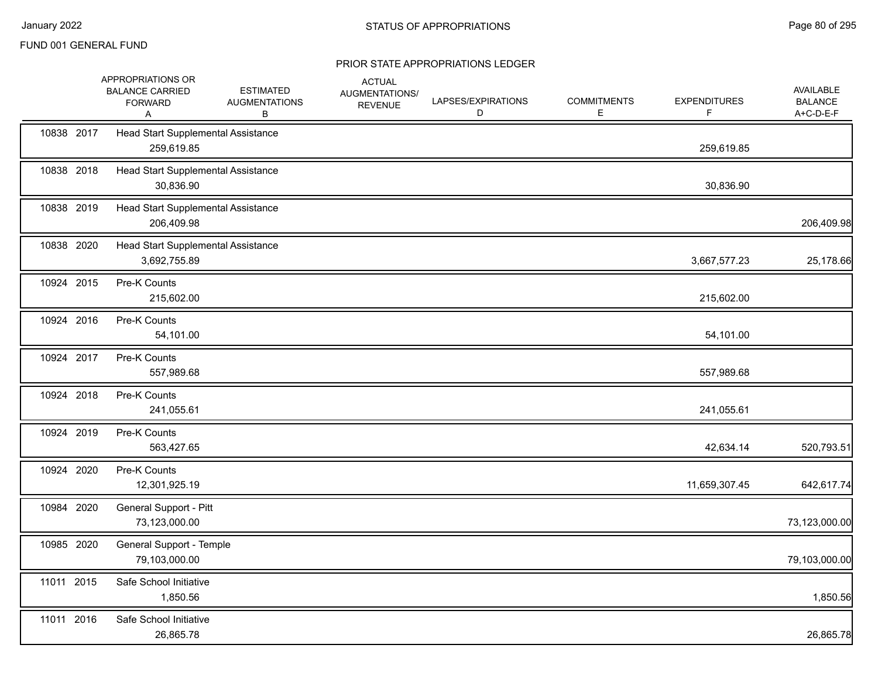|            | APPROPRIATIONS OR<br><b>BALANCE CARRIED</b><br><b>FORWARD</b><br>A | <b>ESTIMATED</b><br><b>AUGMENTATIONS</b><br>В | <b>ACTUAL</b><br>AUGMENTATIONS/<br><b>REVENUE</b> | LAPSES/EXPIRATIONS<br>D | <b>COMMITMENTS</b><br>E. | <b>EXPENDITURES</b><br>F. | <b>AVAILABLE</b><br><b>BALANCE</b><br>$A+C-D-E-F$ |
|------------|--------------------------------------------------------------------|-----------------------------------------------|---------------------------------------------------|-------------------------|--------------------------|---------------------------|---------------------------------------------------|
| 10838 2017 | Head Start Supplemental Assistance<br>259,619.85                   |                                               |                                                   |                         |                          | 259,619.85                |                                                   |
| 10838 2018 | Head Start Supplemental Assistance<br>30,836.90                    |                                               |                                                   |                         |                          | 30,836.90                 |                                                   |
| 10838 2019 | Head Start Supplemental Assistance<br>206,409.98                   |                                               |                                                   |                         |                          |                           | 206,409.98                                        |
| 10838 2020 | Head Start Supplemental Assistance<br>3,692,755.89                 |                                               |                                                   |                         |                          | 3,667,577.23              | 25,178.66                                         |
| 10924 2015 | Pre-K Counts<br>215,602.00                                         |                                               |                                                   |                         |                          | 215,602.00                |                                                   |
| 10924 2016 | Pre-K Counts<br>54,101.00                                          |                                               |                                                   |                         |                          | 54,101.00                 |                                                   |
| 10924 2017 | Pre-K Counts<br>557,989.68                                         |                                               |                                                   |                         |                          | 557,989.68                |                                                   |
| 10924 2018 | Pre-K Counts<br>241,055.61                                         |                                               |                                                   |                         |                          | 241,055.61                |                                                   |
| 10924 2019 | Pre-K Counts<br>563,427.65                                         |                                               |                                                   |                         |                          | 42,634.14                 | 520,793.51                                        |
| 10924 2020 | Pre-K Counts<br>12,301,925.19                                      |                                               |                                                   |                         |                          | 11,659,307.45             | 642,617.74                                        |
| 10984 2020 | General Support - Pitt<br>73,123,000.00                            |                                               |                                                   |                         |                          |                           | 73,123,000.00                                     |
| 10985 2020 | General Support - Temple<br>79,103,000.00                          |                                               |                                                   |                         |                          |                           | 79,103,000.00                                     |
| 11011 2015 | Safe School Initiative<br>1,850.56                                 |                                               |                                                   |                         |                          |                           | 1,850.56                                          |
| 11011 2016 | Safe School Initiative<br>26,865.78                                |                                               |                                                   |                         |                          |                           | 26,865.78                                         |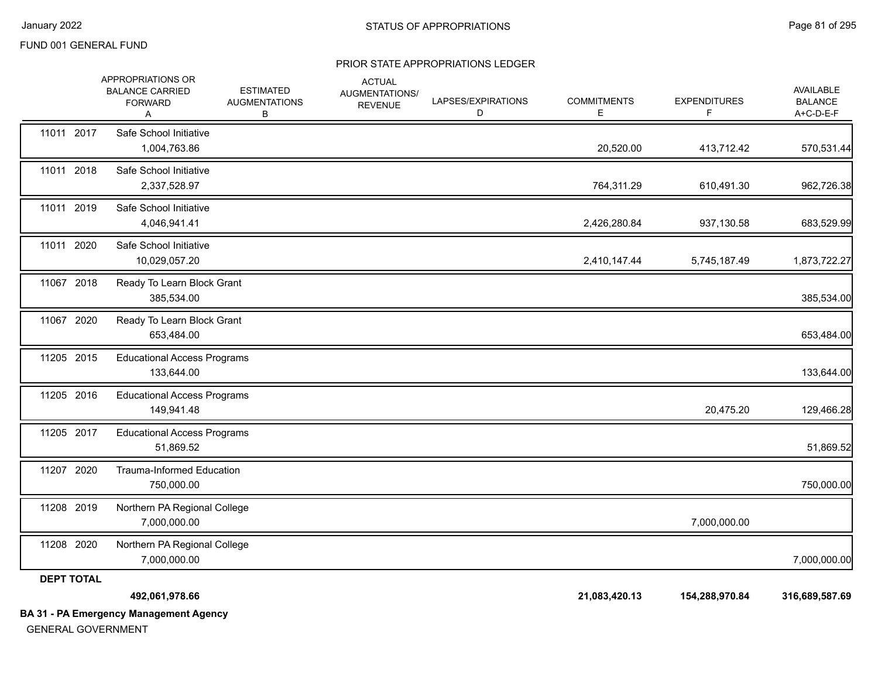#### PRIOR STATE APPROPRIATIONS LEDGER

|                   | APPROPRIATIONS OR<br><b>BALANCE CARRIED</b><br><b>FORWARD</b><br>A | <b>ESTIMATED</b><br><b>AUGMENTATIONS</b><br>В | <b>ACTUAL</b><br>AUGMENTATIONS/<br><b>REVENUE</b> | LAPSES/EXPIRATIONS<br>D | <b>COMMITMENTS</b><br>E | <b>EXPENDITURES</b><br>F | AVAILABLE<br><b>BALANCE</b><br>A+C-D-E-F |
|-------------------|--------------------------------------------------------------------|-----------------------------------------------|---------------------------------------------------|-------------------------|-------------------------|--------------------------|------------------------------------------|
| 11011 2017        | Safe School Initiative<br>1,004,763.86                             |                                               |                                                   |                         | 20,520.00               | 413,712.42               | 570,531.44                               |
| 11011 2018        | Safe School Initiative<br>2,337,528.97                             |                                               |                                                   |                         | 764,311.29              | 610,491.30               | 962,726.38                               |
| 11011 2019        | Safe School Initiative<br>4,046,941.41                             |                                               |                                                   |                         | 2,426,280.84            | 937,130.58               | 683,529.99                               |
| 11011 2020        | Safe School Initiative<br>10,029,057.20                            |                                               |                                                   |                         | 2,410,147.44            | 5,745,187.49             | 1,873,722.27                             |
| 11067 2018        | Ready To Learn Block Grant<br>385,534.00                           |                                               |                                                   |                         |                         |                          | 385,534.00                               |
| 11067 2020        | Ready To Learn Block Grant<br>653,484.00                           |                                               |                                                   |                         |                         |                          | 653,484.00                               |
| 11205 2015        | <b>Educational Access Programs</b><br>133,644.00                   |                                               |                                                   |                         |                         |                          | 133,644.00                               |
| 11205 2016        | <b>Educational Access Programs</b><br>149,941.48                   |                                               |                                                   |                         |                         | 20,475.20                | 129,466.28                               |
| 11205 2017        | <b>Educational Access Programs</b><br>51,869.52                    |                                               |                                                   |                         |                         |                          | 51,869.52                                |
| 11207 2020        | <b>Trauma-Informed Education</b><br>750,000.00                     |                                               |                                                   |                         |                         |                          | 750,000.00                               |
| 11208 2019        | Northern PA Regional College<br>7,000,000.00                       |                                               |                                                   |                         |                         | 7,000,000.00             |                                          |
| 11208 2020        | Northern PA Regional College<br>7,000,000.00                       |                                               |                                                   |                         |                         |                          | 7,000,000.00                             |
| <b>DEPT TOTAL</b> | 492,061,978.66<br><b>BA 31 - PA Emergency Management Agency</b>    |                                               |                                                   |                         | 21,083,420.13           | 154,288,970.84           | 316,689,587.69                           |

GENERAL GOVERNMENT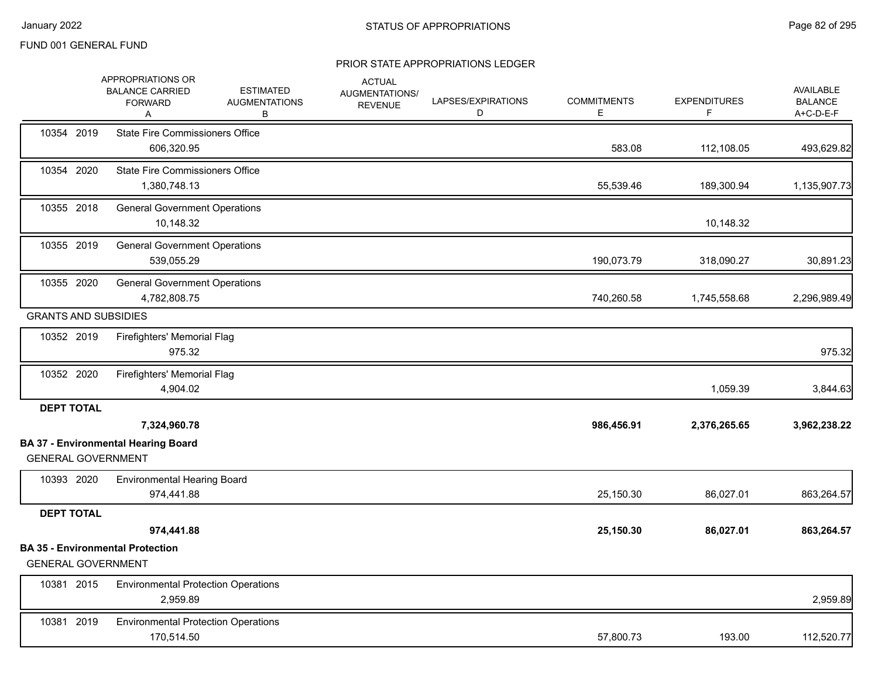|                             | APPROPRIATIONS OR<br><b>BALANCE CARRIED</b><br><b>FORWARD</b><br>Α | <b>ESTIMATED</b><br><b>AUGMENTATIONS</b><br>В | <b>ACTUAL</b><br>AUGMENTATIONS/<br><b>REVENUE</b> | LAPSES/EXPIRATIONS<br>D | <b>COMMITMENTS</b><br>E. | <b>EXPENDITURES</b><br>F | AVAILABLE<br><b>BALANCE</b><br>A+C-D-E-F |
|-----------------------------|--------------------------------------------------------------------|-----------------------------------------------|---------------------------------------------------|-------------------------|--------------------------|--------------------------|------------------------------------------|
| 10354 2019                  | <b>State Fire Commissioners Office</b><br>606,320.95               |                                               |                                                   |                         | 583.08                   | 112,108.05               | 493,629.82                               |
| 10354 2020                  | <b>State Fire Commissioners Office</b><br>1,380,748.13             |                                               |                                                   |                         | 55,539.46                | 189,300.94               | 1,135,907.73                             |
| 10355 2018                  | <b>General Government Operations</b><br>10,148.32                  |                                               |                                                   |                         |                          | 10,148.32                |                                          |
| 10355 2019                  | <b>General Government Operations</b><br>539,055.29                 |                                               |                                                   |                         | 190,073.79               | 318,090.27               | 30,891.23                                |
| 10355 2020                  | <b>General Government Operations</b><br>4,782,808.75               |                                               |                                                   |                         | 740,260.58               | 1,745,558.68             | 2,296,989.49                             |
| <b>GRANTS AND SUBSIDIES</b> |                                                                    |                                               |                                                   |                         |                          |                          |                                          |
| 10352 2019                  | Firefighters' Memorial Flag<br>975.32                              |                                               |                                                   |                         |                          |                          | 975.32                                   |
| 10352 2020                  | Firefighters' Memorial Flag<br>4,904.02                            |                                               |                                                   |                         |                          | 1,059.39                 | 3,844.63                                 |
| <b>DEPT TOTAL</b>           |                                                                    |                                               |                                                   |                         |                          |                          |                                          |
|                             | 7,324,960.78                                                       |                                               |                                                   |                         | 986,456.91               | 2,376,265.65             | 3,962,238.22                             |
| <b>GENERAL GOVERNMENT</b>   | <b>BA 37 - Environmental Hearing Board</b>                         |                                               |                                                   |                         |                          |                          |                                          |
| 10393 2020                  | <b>Environmental Hearing Board</b><br>974,441.88                   |                                               |                                                   |                         | 25,150.30                | 86,027.01                | 863,264.57                               |
| <b>DEPT TOTAL</b>           |                                                                    |                                               |                                                   |                         |                          |                          |                                          |
|                             | 974,441.88                                                         |                                               |                                                   |                         | 25,150.30                | 86,027.01                | 863,264.57                               |
| <b>GENERAL GOVERNMENT</b>   | <b>BA 35 - Environmental Protection</b>                            |                                               |                                                   |                         |                          |                          |                                          |
| 10381 2015                  | <b>Environmental Protection Operations</b><br>2,959.89             |                                               |                                                   |                         |                          |                          | 2,959.89                                 |
| 10381 2019                  | <b>Environmental Protection Operations</b><br>170,514.50           |                                               |                                                   |                         | 57,800.73                | 193.00                   | 112,520.77                               |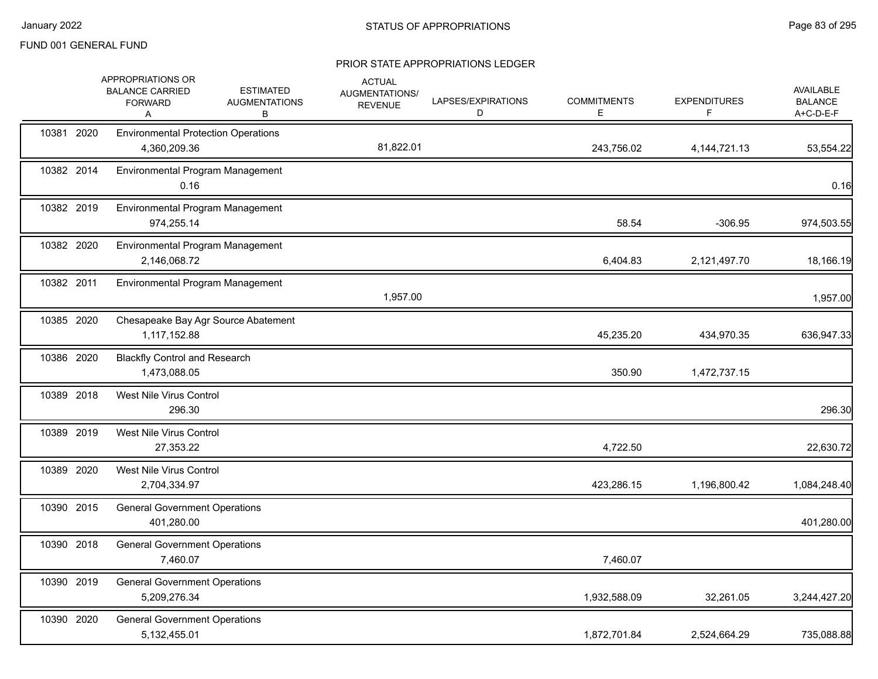|            | APPROPRIATIONS OR<br><b>BALANCE CARRIED</b><br><b>FORWARD</b><br>Α | <b>ESTIMATED</b><br><b>AUGMENTATIONS</b><br>В | <b>ACTUAL</b><br>AUGMENTATIONS/<br><b>REVENUE</b> | LAPSES/EXPIRATIONS<br>D | <b>COMMITMENTS</b><br>E | <b>EXPENDITURES</b><br>F | <b>AVAILABLE</b><br><b>BALANCE</b><br>A+C-D-E-F |
|------------|--------------------------------------------------------------------|-----------------------------------------------|---------------------------------------------------|-------------------------|-------------------------|--------------------------|-------------------------------------------------|
| 10381 2020 | <b>Environmental Protection Operations</b><br>4,360,209.36         |                                               | 81,822.01                                         |                         | 243,756.02              | 4, 144, 721. 13          | 53,554.22                                       |
| 10382 2014 | Environmental Program Management<br>0.16                           |                                               |                                                   |                         |                         |                          | 0.16                                            |
| 10382 2019 | Environmental Program Management<br>974,255.14                     |                                               |                                                   |                         | 58.54                   | $-306.95$                | 974,503.55                                      |
| 10382 2020 | Environmental Program Management<br>2,146,068.72                   |                                               |                                                   |                         | 6,404.83                | 2,121,497.70             | 18,166.19                                       |
| 10382 2011 | Environmental Program Management                                   |                                               | 1,957.00                                          |                         |                         |                          | 1,957.00                                        |
| 10385 2020 | 1,117,152.88                                                       | Chesapeake Bay Agr Source Abatement           |                                                   |                         | 45,235.20               | 434,970.35               | 636,947.33                                      |
| 10386 2020 | <b>Blackfly Control and Research</b><br>1,473,088.05               |                                               |                                                   |                         | 350.90                  | 1,472,737.15             |                                                 |
| 10389 2018 | West Nile Virus Control<br>296.30                                  |                                               |                                                   |                         |                         |                          | 296.30                                          |
| 10389 2019 | West Nile Virus Control<br>27,353.22                               |                                               |                                                   |                         | 4,722.50                |                          | 22,630.72                                       |
| 10389 2020 | West Nile Virus Control<br>2,704,334.97                            |                                               |                                                   |                         | 423,286.15              | 1,196,800.42             | 1,084,248.40                                    |
| 10390 2015 | <b>General Government Operations</b><br>401,280.00                 |                                               |                                                   |                         |                         |                          | 401,280.00                                      |
| 10390 2018 | <b>General Government Operations</b><br>7,460.07                   |                                               |                                                   |                         | 7,460.07                |                          |                                                 |
| 10390 2019 | <b>General Government Operations</b><br>5,209,276.34               |                                               |                                                   |                         | 1,932,588.09            | 32,261.05                | 3,244,427.20                                    |
| 10390 2020 | <b>General Government Operations</b><br>5,132,455.01               |                                               |                                                   |                         | 1,872,701.84            | 2,524,664.29             | 735,088.88                                      |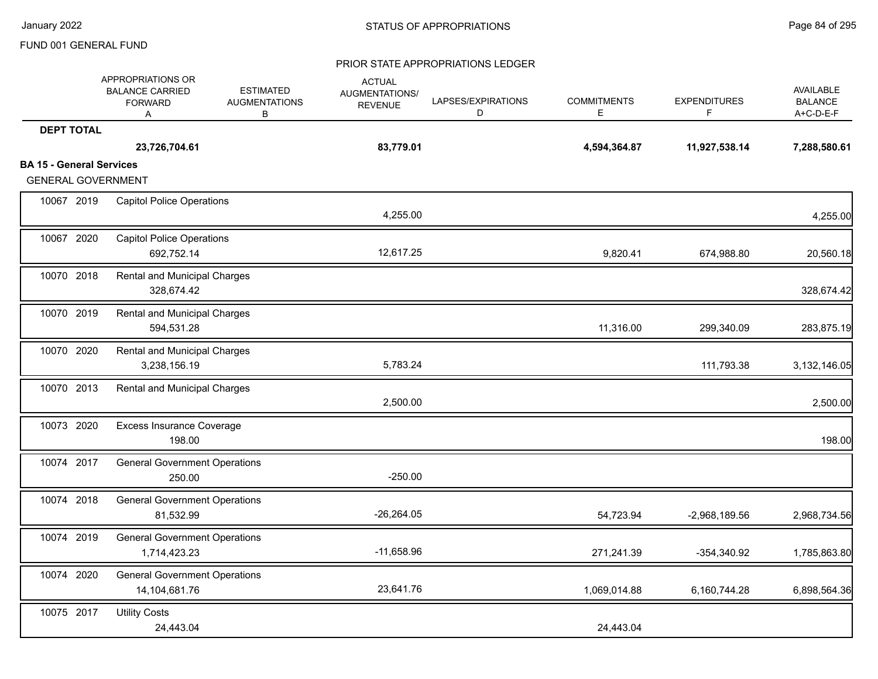|                                 | APPROPRIATIONS OR<br><b>BALANCE CARRIED</b><br><b>FORWARD</b><br>Α | <b>ESTIMATED</b><br><b>AUGMENTATIONS</b><br>в | <b>ACTUAL</b><br>AUGMENTATIONS/<br><b>REVENUE</b> | LAPSES/EXPIRATIONS<br>D | <b>COMMITMENTS</b><br>Е | <b>EXPENDITURES</b><br>F. | <b>AVAILABLE</b><br><b>BALANCE</b><br>A+C-D-E-F |
|---------------------------------|--------------------------------------------------------------------|-----------------------------------------------|---------------------------------------------------|-------------------------|-------------------------|---------------------------|-------------------------------------------------|
| <b>DEPT TOTAL</b>               |                                                                    |                                               |                                                   |                         |                         |                           |                                                 |
|                                 | 23,726,704.61                                                      |                                               | 83,779.01                                         |                         | 4,594,364.87            | 11,927,538.14             | 7,288,580.61                                    |
| <b>BA 15 - General Services</b> |                                                                    |                                               |                                                   |                         |                         |                           |                                                 |
| <b>GENERAL GOVERNMENT</b>       |                                                                    |                                               |                                                   |                         |                         |                           |                                                 |
| 10067 2019                      | <b>Capitol Police Operations</b>                                   |                                               | 4,255.00                                          |                         |                         |                           | 4,255.00                                        |
| 10067 2020                      | <b>Capitol Police Operations</b><br>692,752.14                     |                                               | 12,617.25                                         |                         | 9,820.41                | 674,988.80                | 20,560.18                                       |
| 10070 2018                      | Rental and Municipal Charges<br>328,674.42                         |                                               |                                                   |                         |                         |                           | 328,674.42                                      |
| 10070 2019                      | Rental and Municipal Charges<br>594,531.28                         |                                               |                                                   |                         | 11,316.00               | 299,340.09                | 283,875.19                                      |
| 10070 2020                      | Rental and Municipal Charges<br>3,238,156.19                       |                                               | 5,783.24                                          |                         |                         | 111,793.38                | 3,132,146.05                                    |
| 10070 2013                      | Rental and Municipal Charges                                       |                                               | 2,500.00                                          |                         |                         |                           | 2,500.00                                        |
| 10073 2020                      | <b>Excess Insurance Coverage</b><br>198.00                         |                                               |                                                   |                         |                         |                           | 198.00                                          |
| 10074 2017                      | <b>General Government Operations</b><br>250.00                     |                                               | $-250.00$                                         |                         |                         |                           |                                                 |
| 10074 2018                      | <b>General Government Operations</b><br>81,532.99                  |                                               | $-26,264.05$                                      |                         | 54,723.94               | $-2,968,189.56$           | 2,968,734.56                                    |
| 10074 2019                      | <b>General Government Operations</b><br>1,714,423.23               |                                               | $-11,658.96$                                      |                         | 271,241.39              | -354,340.92               | 1,785,863.80                                    |
| 10074 2020                      | <b>General Government Operations</b><br>14,104,681.76              |                                               | 23,641.76                                         |                         | 1,069,014.88            | 6,160,744.28              | 6,898,564.36                                    |
| 10075 2017                      | <b>Utility Costs</b><br>24,443.04                                  |                                               |                                                   |                         | 24,443.04               |                           |                                                 |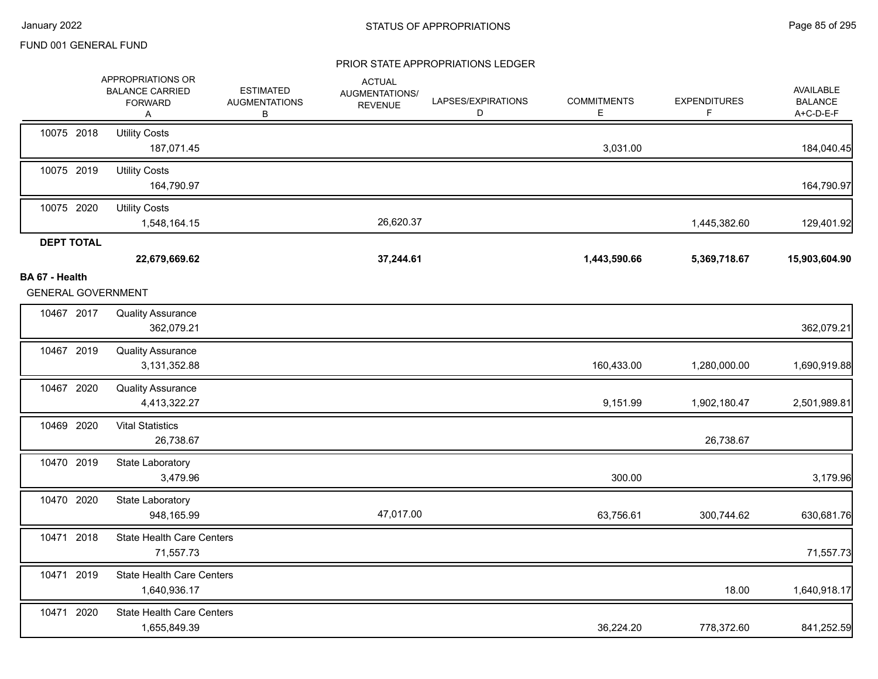|                                             | APPROPRIATIONS OR<br><b>BALANCE CARRIED</b><br><b>FORWARD</b><br>Α | <b>ESTIMATED</b><br><b>AUGMENTATIONS</b><br>В | <b>ACTUAL</b><br>AUGMENTATIONS/<br><b>REVENUE</b> | LAPSES/EXPIRATIONS<br>D | <b>COMMITMENTS</b><br>E | <b>EXPENDITURES</b><br>F | <b>AVAILABLE</b><br><b>BALANCE</b><br>A+C-D-E-F |
|---------------------------------------------|--------------------------------------------------------------------|-----------------------------------------------|---------------------------------------------------|-------------------------|-------------------------|--------------------------|-------------------------------------------------|
| 10075 2018                                  | <b>Utility Costs</b><br>187,071.45                                 |                                               |                                                   |                         | 3,031.00                |                          | 184,040.45                                      |
| 10075 2019                                  | <b>Utility Costs</b><br>164,790.97                                 |                                               |                                                   |                         |                         |                          | 164,790.97                                      |
| 10075 2020                                  | <b>Utility Costs</b><br>1,548,164.15                               |                                               | 26,620.37                                         |                         |                         | 1,445,382.60             | 129,401.92                                      |
| <b>DEPT TOTAL</b>                           |                                                                    |                                               |                                                   |                         |                         |                          |                                                 |
|                                             | 22,679,669.62                                                      |                                               | 37,244.61                                         |                         | 1,443,590.66            | 5,369,718.67             | 15,903,604.90                                   |
| BA 67 - Health<br><b>GENERAL GOVERNMENT</b> |                                                                    |                                               |                                                   |                         |                         |                          |                                                 |
| 10467 2017                                  | <b>Quality Assurance</b><br>362,079.21                             |                                               |                                                   |                         |                         |                          | 362,079.21                                      |
| 10467 2019                                  | <b>Quality Assurance</b><br>3,131,352.88                           |                                               |                                                   |                         | 160,433.00              | 1,280,000.00             | 1,690,919.88                                    |
| 10467 2020                                  | <b>Quality Assurance</b><br>4,413,322.27                           |                                               |                                                   |                         | 9,151.99                | 1,902,180.47             | 2,501,989.81                                    |
| 10469 2020                                  | <b>Vital Statistics</b><br>26,738.67                               |                                               |                                                   |                         |                         | 26,738.67                |                                                 |
| 10470 2019                                  | State Laboratory<br>3,479.96                                       |                                               |                                                   |                         | 300.00                  |                          | 3,179.96                                        |
| 10470 2020                                  | State Laboratory<br>948,165.99                                     |                                               | 47,017.00                                         |                         | 63,756.61               | 300,744.62               | 630,681.76                                      |
| 10471 2018                                  | <b>State Health Care Centers</b><br>71,557.73                      |                                               |                                                   |                         |                         |                          | 71,557.73                                       |
| 10471 2019                                  | <b>State Health Care Centers</b><br>1,640,936.17                   |                                               |                                                   |                         |                         | 18.00                    | 1,640,918.17                                    |
| 10471 2020                                  | <b>State Health Care Centers</b><br>1,655,849.39                   |                                               |                                                   |                         | 36,224.20               | 778,372.60               | 841,252.59                                      |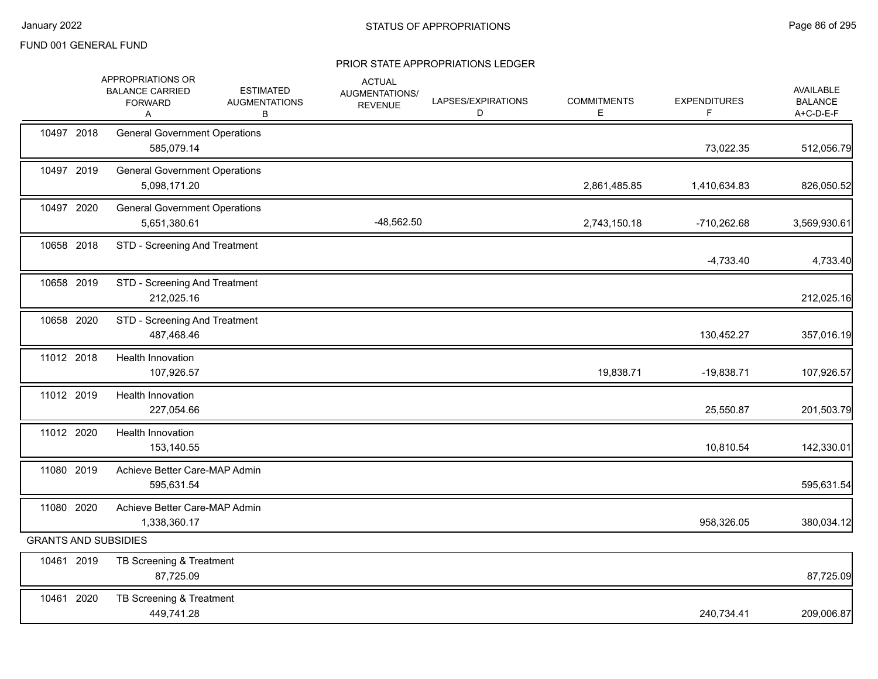|                             | APPROPRIATIONS OR<br><b>BALANCE CARRIED</b><br><b>FORWARD</b><br>A | <b>ESTIMATED</b><br><b>AUGMENTATIONS</b><br>в | <b>ACTUAL</b><br>AUGMENTATIONS/<br><b>REVENUE</b> | LAPSES/EXPIRATIONS<br>D | <b>COMMITMENTS</b><br>Е | <b>EXPENDITURES</b><br>F. | AVAILABLE<br><b>BALANCE</b><br>A+C-D-E-F |
|-----------------------------|--------------------------------------------------------------------|-----------------------------------------------|---------------------------------------------------|-------------------------|-------------------------|---------------------------|------------------------------------------|
| 10497 2018                  | <b>General Government Operations</b><br>585,079.14                 |                                               |                                                   |                         |                         | 73,022.35                 | 512,056.79                               |
| 10497 2019                  | <b>General Government Operations</b><br>5,098,171.20               |                                               |                                                   |                         | 2,861,485.85            | 1,410,634.83              | 826,050.52                               |
| 10497 2020                  | <b>General Government Operations</b><br>5,651,380.61               |                                               | $-48,562.50$                                      |                         | 2,743,150.18            | -710,262.68               | 3,569,930.61                             |
| 10658 2018                  | STD - Screening And Treatment                                      |                                               |                                                   |                         |                         | $-4,733.40$               | 4,733.40                                 |
| 10658 2019                  | STD - Screening And Treatment<br>212,025.16                        |                                               |                                                   |                         |                         |                           | 212,025.16                               |
| 10658 2020                  | STD - Screening And Treatment<br>487,468.46                        |                                               |                                                   |                         |                         | 130,452.27                | 357,016.19                               |
| 11012 2018                  | <b>Health Innovation</b><br>107,926.57                             |                                               |                                                   |                         | 19,838.71               | $-19,838.71$              | 107,926.57                               |
| 11012 2019                  | Health Innovation<br>227,054.66                                    |                                               |                                                   |                         |                         | 25,550.87                 | 201,503.79                               |
| 11012 2020                  | <b>Health Innovation</b><br>153,140.55                             |                                               |                                                   |                         |                         | 10,810.54                 | 142,330.01                               |
| 11080 2019                  | Achieve Better Care-MAP Admin<br>595,631.54                        |                                               |                                                   |                         |                         |                           | 595,631.54                               |
| 11080 2020                  | Achieve Better Care-MAP Admin<br>1,338,360.17                      |                                               |                                                   |                         |                         | 958,326.05                | 380,034.12                               |
| <b>GRANTS AND SUBSIDIES</b> |                                                                    |                                               |                                                   |                         |                         |                           |                                          |
| 10461 2019                  | TB Screening & Treatment<br>87,725.09                              |                                               |                                                   |                         |                         |                           | 87,725.09                                |
| 10461 2020                  | TB Screening & Treatment<br>449,741.28                             |                                               |                                                   |                         |                         | 240,734.41                | 209,006.87                               |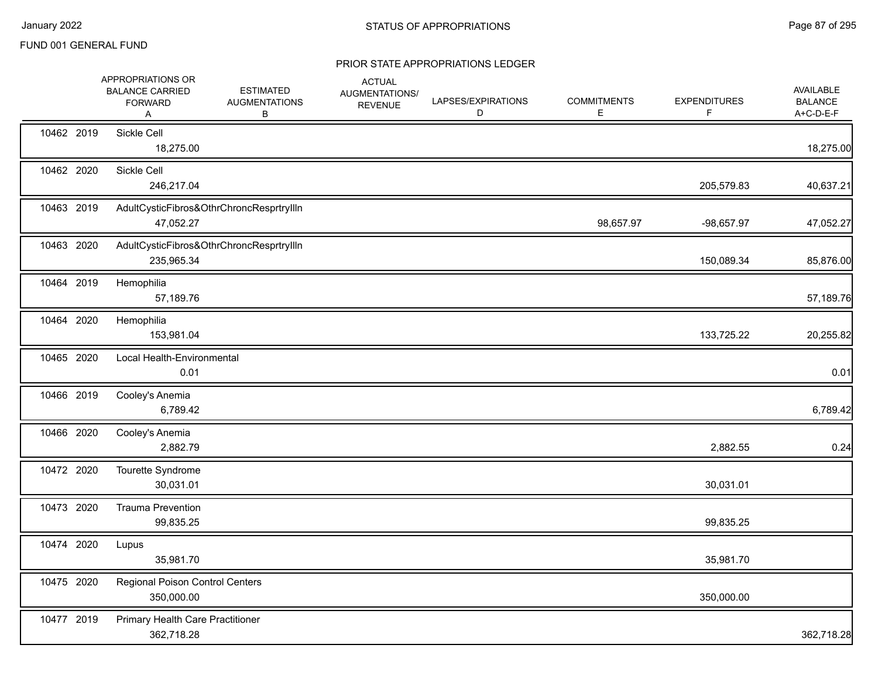|            | APPROPRIATIONS OR<br><b>BALANCE CARRIED</b><br><b>FORWARD</b><br>Α | <b>ESTIMATED</b><br><b>AUGMENTATIONS</b><br>В | <b>ACTUAL</b><br>AUGMENTATIONS/<br><b>REVENUE</b> | LAPSES/EXPIRATIONS<br>D | <b>COMMITMENTS</b><br>Е | <b>EXPENDITURES</b><br>F | AVAILABLE<br><b>BALANCE</b><br>A+C-D-E-F |
|------------|--------------------------------------------------------------------|-----------------------------------------------|---------------------------------------------------|-------------------------|-------------------------|--------------------------|------------------------------------------|
| 10462 2019 | Sickle Cell<br>18,275.00                                           |                                               |                                                   |                         |                         |                          | 18,275.00                                |
| 10462 2020 | Sickle Cell<br>246,217.04                                          |                                               |                                                   |                         |                         | 205,579.83               | 40,637.21                                |
| 10463 2019 | 47,052.27                                                          | AdultCysticFibros&OthrChroncResprtryIlln      |                                                   |                         | 98,657.97               | $-98,657.97$             | 47,052.27                                |
| 10463 2020 | 235,965.34                                                         | AdultCysticFibros&OthrChroncResprtryIlln      |                                                   |                         |                         | 150,089.34               | 85,876.00                                |
| 10464 2019 | Hemophilia<br>57,189.76                                            |                                               |                                                   |                         |                         |                          | 57,189.76                                |
| 10464 2020 | Hemophilia<br>153,981.04                                           |                                               |                                                   |                         |                         | 133,725.22               | 20,255.82                                |
| 10465 2020 | Local Health-Environmental<br>0.01                                 |                                               |                                                   |                         |                         |                          | 0.01                                     |
| 10466 2019 | Cooley's Anemia<br>6,789.42                                        |                                               |                                                   |                         |                         |                          | 6,789.42                                 |
| 10466 2020 | Cooley's Anemia<br>2,882.79                                        |                                               |                                                   |                         |                         | 2,882.55                 | 0.24                                     |
| 10472 2020 | Tourette Syndrome<br>30,031.01                                     |                                               |                                                   |                         |                         | 30,031.01                |                                          |
| 10473 2020 | <b>Trauma Prevention</b><br>99,835.25                              |                                               |                                                   |                         |                         | 99,835.25                |                                          |
| 10474 2020 | Lupus<br>35,981.70                                                 |                                               |                                                   |                         |                         | 35,981.70                |                                          |
| 10475 2020 | Regional Poison Control Centers<br>350,000.00                      |                                               |                                                   |                         |                         | 350,000.00               |                                          |
| 10477 2019 | Primary Health Care Practitioner<br>362,718.28                     |                                               |                                                   |                         |                         |                          | 362,718.28                               |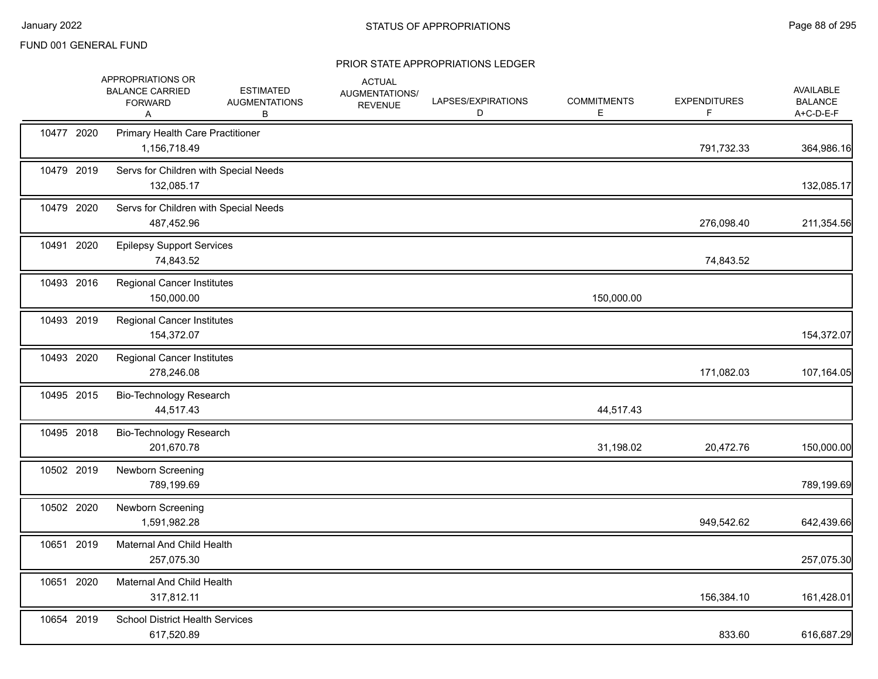|            | APPROPRIATIONS OR<br><b>BALANCE CARRIED</b><br><b>FORWARD</b><br>A | <b>ESTIMATED</b><br><b>AUGMENTATIONS</b><br>В | <b>ACTUAL</b><br>AUGMENTATIONS/<br><b>REVENUE</b> | LAPSES/EXPIRATIONS<br>D | <b>COMMITMENTS</b><br>E. | <b>EXPENDITURES</b><br>F. | AVAILABLE<br><b>BALANCE</b><br>A+C-D-E-F |
|------------|--------------------------------------------------------------------|-----------------------------------------------|---------------------------------------------------|-------------------------|--------------------------|---------------------------|------------------------------------------|
| 10477 2020 | <b>Primary Health Care Practitioner</b><br>1,156,718.49            |                                               |                                                   |                         |                          | 791,732.33                | 364,986.16                               |
| 10479 2019 | Servs for Children with Special Needs<br>132,085.17                |                                               |                                                   |                         |                          |                           | 132,085.17                               |
| 10479 2020 | Servs for Children with Special Needs<br>487,452.96                |                                               |                                                   |                         |                          | 276,098.40                | 211,354.56                               |
| 10491 2020 | <b>Epilepsy Support Services</b><br>74,843.52                      |                                               |                                                   |                         |                          | 74,843.52                 |                                          |
| 10493 2016 | <b>Regional Cancer Institutes</b><br>150,000.00                    |                                               |                                                   |                         | 150,000.00               |                           |                                          |
| 10493 2019 | <b>Regional Cancer Institutes</b><br>154,372.07                    |                                               |                                                   |                         |                          |                           | 154,372.07                               |
| 10493 2020 | <b>Regional Cancer Institutes</b><br>278,246.08                    |                                               |                                                   |                         |                          | 171,082.03                | 107,164.05                               |
| 10495 2015 | Bio-Technology Research<br>44,517.43                               |                                               |                                                   |                         | 44,517.43                |                           |                                          |
| 10495 2018 | Bio-Technology Research<br>201,670.78                              |                                               |                                                   |                         | 31,198.02                | 20,472.76                 | 150,000.00                               |
| 10502 2019 | Newborn Screening<br>789,199.69                                    |                                               |                                                   |                         |                          |                           | 789,199.69                               |
| 10502 2020 | Newborn Screening<br>1,591,982.28                                  |                                               |                                                   |                         |                          | 949,542.62                | 642,439.66                               |
| 10651 2019 | <b>Maternal And Child Health</b><br>257,075.30                     |                                               |                                                   |                         |                          |                           | 257,075.30                               |
| 10651 2020 | Maternal And Child Health<br>317,812.11                            |                                               |                                                   |                         |                          | 156,384.10                | 161,428.01                               |
| 10654 2019 | <b>School District Health Services</b><br>617,520.89               |                                               |                                                   |                         |                          | 833.60                    | 616,687.29                               |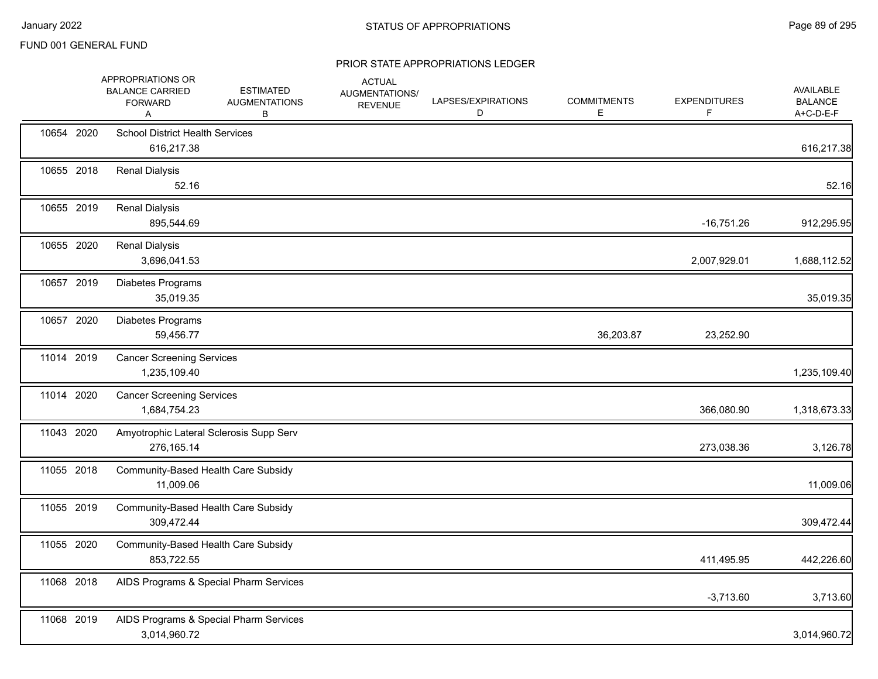|            | APPROPRIATIONS OR<br><b>BALANCE CARRIED</b><br><b>FORWARD</b><br>A | <b>ESTIMATED</b><br><b>AUGMENTATIONS</b><br>В | <b>ACTUAL</b><br>AUGMENTATIONS/<br><b>REVENUE</b> | LAPSES/EXPIRATIONS<br>D | <b>COMMITMENTS</b><br>E | <b>EXPENDITURES</b><br>F | AVAILABLE<br><b>BALANCE</b><br>A+C-D-E-F |
|------------|--------------------------------------------------------------------|-----------------------------------------------|---------------------------------------------------|-------------------------|-------------------------|--------------------------|------------------------------------------|
| 10654 2020 | <b>School District Health Services</b><br>616,217.38               |                                               |                                                   |                         |                         |                          | 616,217.38                               |
| 10655 2018 | <b>Renal Dialysis</b><br>52.16                                     |                                               |                                                   |                         |                         |                          | 52.16                                    |
| 10655 2019 | <b>Renal Dialysis</b><br>895,544.69                                |                                               |                                                   |                         |                         | $-16,751.26$             | 912,295.95                               |
| 10655 2020 | <b>Renal Dialysis</b><br>3,696,041.53                              |                                               |                                                   |                         |                         | 2,007,929.01             | 1,688,112.52                             |
| 10657 2019 | Diabetes Programs<br>35,019.35                                     |                                               |                                                   |                         |                         |                          | 35,019.35                                |
| 10657 2020 | Diabetes Programs<br>59,456.77                                     |                                               |                                                   |                         | 36,203.87               | 23,252.90                |                                          |
| 11014 2019 | <b>Cancer Screening Services</b><br>1,235,109.40                   |                                               |                                                   |                         |                         |                          | 1,235,109.40                             |
| 11014 2020 | <b>Cancer Screening Services</b><br>1,684,754.23                   |                                               |                                                   |                         |                         | 366,080.90               | 1,318,673.33                             |
| 11043 2020 | Amyotrophic Lateral Sclerosis Supp Serv<br>276,165.14              |                                               |                                                   |                         |                         | 273,038.36               | 3,126.78                                 |
| 11055 2018 | Community-Based Health Care Subsidy<br>11,009.06                   |                                               |                                                   |                         |                         |                          | 11,009.06                                |
| 11055 2019 | Community-Based Health Care Subsidy<br>309,472.44                  |                                               |                                                   |                         |                         |                          | 309,472.44                               |
| 11055 2020 | Community-Based Health Care Subsidy<br>853,722.55                  |                                               |                                                   |                         |                         | 411,495.95               | 442,226.60                               |
| 11068 2018 |                                                                    | AIDS Programs & Special Pharm Services        |                                                   |                         |                         | $-3,713.60$              | 3,713.60                                 |
| 11068 2019 | 3,014,960.72                                                       | AIDS Programs & Special Pharm Services        |                                                   |                         |                         |                          | 3,014,960.72                             |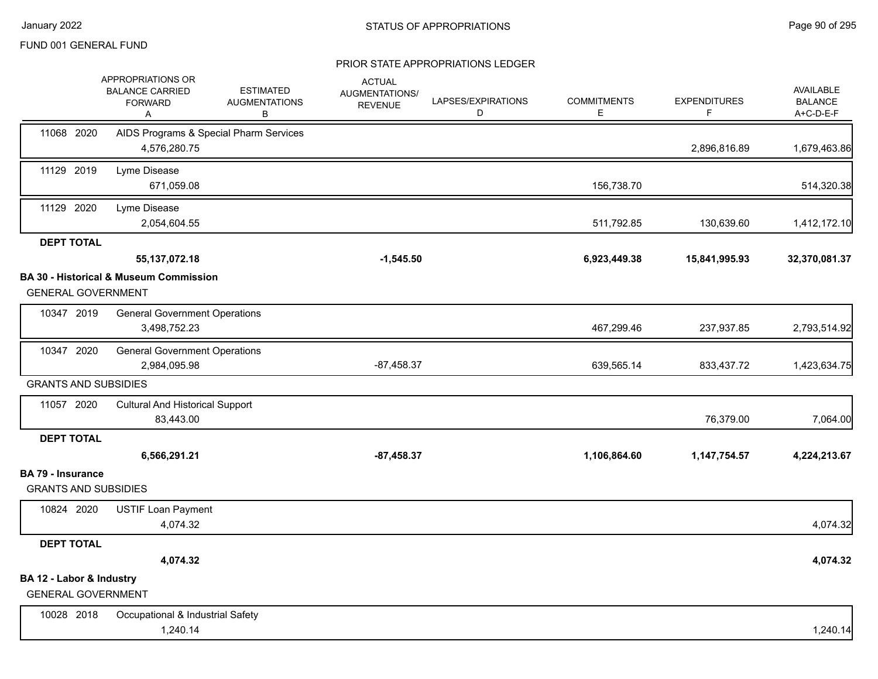|                                                         | APPROPRIATIONS OR<br><b>BALANCE CARRIED</b><br><b>FORWARD</b><br>Α | <b>ESTIMATED</b><br><b>AUGMENTATIONS</b><br>B | <b>ACTUAL</b><br>AUGMENTATIONS/<br><b>REVENUE</b> | LAPSES/EXPIRATIONS<br>D | <b>COMMITMENTS</b><br>Е | <b>EXPENDITURES</b> | AVAILABLE<br><b>BALANCE</b><br>A+C-D-E-F |
|---------------------------------------------------------|--------------------------------------------------------------------|-----------------------------------------------|---------------------------------------------------|-------------------------|-------------------------|---------------------|------------------------------------------|
| 11068 2020                                              | 4,576,280.75                                                       | AIDS Programs & Special Pharm Services        |                                                   |                         |                         | 2,896,816.89        | 1,679,463.86                             |
| 11129 2019                                              | Lyme Disease<br>671,059.08                                         |                                               |                                                   |                         | 156,738.70              |                     | 514,320.38                               |
| 11129 2020                                              | Lyme Disease<br>2,054,604.55                                       |                                               |                                                   |                         | 511,792.85              | 130,639.60          | 1,412,172.10                             |
| <b>DEPT TOTAL</b>                                       | 55, 137, 072. 18                                                   |                                               | $-1,545.50$                                       |                         | 6,923,449.38            | 15,841,995.93       | 32,370,081.37                            |
| <b>GENERAL GOVERNMENT</b>                               | <b>BA 30 - Historical &amp; Museum Commission</b>                  |                                               |                                                   |                         |                         |                     |                                          |
| 10347 2019                                              | <b>General Government Operations</b><br>3,498,752.23               |                                               |                                                   |                         | 467,299.46              | 237,937.85          | 2,793,514.92                             |
| 10347 2020                                              | <b>General Government Operations</b><br>2,984,095.98               |                                               | $-87,458.37$                                      |                         | 639,565.14              | 833,437.72          | 1,423,634.75                             |
| <b>GRANTS AND SUBSIDIES</b>                             |                                                                    |                                               |                                                   |                         |                         |                     |                                          |
| 11057 2020                                              | <b>Cultural And Historical Support</b><br>83,443.00                |                                               |                                                   |                         |                         | 76,379.00           | 7,064.00                                 |
| <b>DEPT TOTAL</b>                                       |                                                                    |                                               |                                                   |                         |                         |                     |                                          |
|                                                         | 6,566,291.21                                                       |                                               | $-87,458.37$                                      |                         | 1,106,864.60            | 1, 147, 754. 57     | 4,224,213.67                             |
| <b>BA 79 - Insurance</b><br><b>GRANTS AND SUBSIDIES</b> |                                                                    |                                               |                                                   |                         |                         |                     |                                          |
| 10824 2020                                              | <b>USTIF Loan Payment</b><br>4,074.32                              |                                               |                                                   |                         |                         |                     | 4,074.32                                 |
| <b>DEPT TOTAL</b>                                       |                                                                    |                                               |                                                   |                         |                         |                     |                                          |
|                                                         | 4,074.32                                                           |                                               |                                                   |                         |                         |                     | 4,074.32                                 |
| BA 12 - Labor & Industry<br><b>GENERAL GOVERNMENT</b>   |                                                                    |                                               |                                                   |                         |                         |                     |                                          |
| 10028 2018                                              | Occupational & Industrial Safety<br>1,240.14                       |                                               |                                                   |                         |                         |                     | 1,240.14                                 |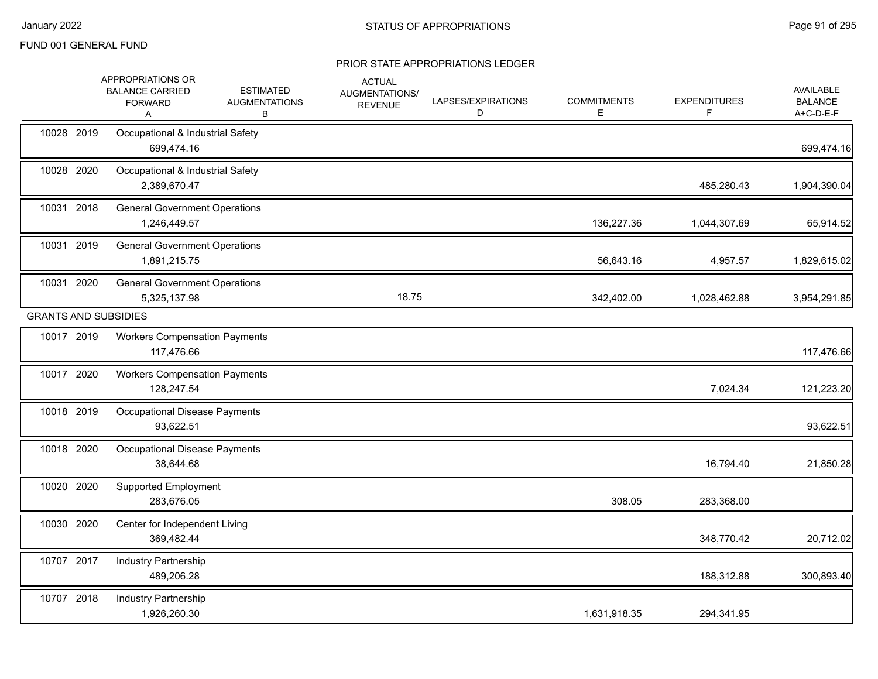|                             | APPROPRIATIONS OR<br><b>BALANCE CARRIED</b><br><b>FORWARD</b><br>A | <b>ESTIMATED</b><br><b>AUGMENTATIONS</b><br>В | <b>ACTUAL</b><br>AUGMENTATIONS/<br><b>REVENUE</b> | LAPSES/EXPIRATIONS<br>D | <b>COMMITMENTS</b><br>Е | <b>EXPENDITURES</b><br>F | <b>AVAILABLE</b><br><b>BALANCE</b><br>A+C-D-E-F |
|-----------------------------|--------------------------------------------------------------------|-----------------------------------------------|---------------------------------------------------|-------------------------|-------------------------|--------------------------|-------------------------------------------------|
| 10028 2019                  | Occupational & Industrial Safety<br>699,474.16                     |                                               |                                                   |                         |                         |                          | 699,474.16                                      |
| 10028 2020                  | Occupational & Industrial Safety<br>2,389,670.47                   |                                               |                                                   |                         |                         | 485,280.43               | 1,904,390.04                                    |
| 10031 2018                  | <b>General Government Operations</b><br>1,246,449.57               |                                               |                                                   |                         | 136,227.36              | 1,044,307.69             | 65,914.52                                       |
| 10031 2019                  | <b>General Government Operations</b><br>1,891,215.75               |                                               |                                                   |                         | 56,643.16               | 4,957.57                 | 1,829,615.02                                    |
| 10031 2020                  | <b>General Government Operations</b><br>5,325,137.98               |                                               | 18.75                                             |                         | 342,402.00              | 1,028,462.88             | 3,954,291.85                                    |
| <b>GRANTS AND SUBSIDIES</b> |                                                                    |                                               |                                                   |                         |                         |                          |                                                 |
| 10017 2019                  | <b>Workers Compensation Payments</b><br>117,476.66                 |                                               |                                                   |                         |                         |                          | 117,476.66                                      |
| 10017 2020                  | <b>Workers Compensation Payments</b><br>128,247.54                 |                                               |                                                   |                         |                         | 7,024.34                 | 121,223.20                                      |
| 10018 2019                  | <b>Occupational Disease Payments</b><br>93,622.51                  |                                               |                                                   |                         |                         |                          | 93,622.51                                       |
| 10018 2020                  | Occupational Disease Payments<br>38,644.68                         |                                               |                                                   |                         |                         | 16,794.40                | 21,850.28                                       |
| 10020 2020                  | <b>Supported Employment</b><br>283,676.05                          |                                               |                                                   |                         | 308.05                  | 283,368.00               |                                                 |
| 10030 2020                  | Center for Independent Living<br>369,482.44                        |                                               |                                                   |                         |                         | 348,770.42               | 20,712.02                                       |
| 10707 2017                  | Industry Partnership<br>489,206.28                                 |                                               |                                                   |                         |                         | 188,312.88               | 300,893.40                                      |
| 10707 2018                  | Industry Partnership<br>1,926,260.30                               |                                               |                                                   |                         | 1,631,918.35            | 294,341.95               |                                                 |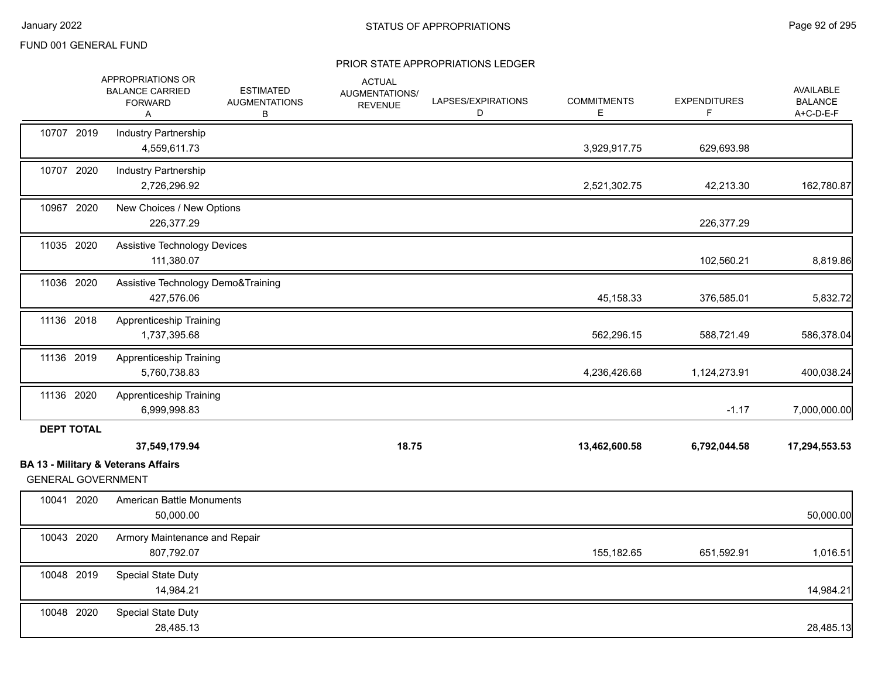|                           | APPROPRIATIONS OR<br><b>BALANCE CARRIED</b><br><b>FORWARD</b><br>Α | <b>ESTIMATED</b><br><b>AUGMENTATIONS</b><br>В | <b>ACTUAL</b><br>AUGMENTATIONS/<br><b>REVENUE</b> | LAPSES/EXPIRATIONS<br>D | <b>COMMITMENTS</b><br>Е | <b>EXPENDITURES</b><br>F. | <b>AVAILABLE</b><br><b>BALANCE</b><br>A+C-D-E-F |
|---------------------------|--------------------------------------------------------------------|-----------------------------------------------|---------------------------------------------------|-------------------------|-------------------------|---------------------------|-------------------------------------------------|
| 10707 2019                | <b>Industry Partnership</b><br>4,559,611.73                        |                                               |                                                   |                         | 3,929,917.75            | 629,693.98                |                                                 |
| 10707 2020                | Industry Partnership<br>2,726,296.92                               |                                               |                                                   |                         | 2,521,302.75            | 42,213.30                 | 162,780.87                                      |
| 10967 2020                | New Choices / New Options<br>226,377.29                            |                                               |                                                   |                         |                         | 226,377.29                |                                                 |
| 11035 2020                | Assistive Technology Devices<br>111,380.07                         |                                               |                                                   |                         |                         | 102,560.21                | 8,819.86                                        |
| 11036 2020                | Assistive Technology Demo&Training<br>427,576.06                   |                                               |                                                   |                         | 45,158.33               | 376,585.01                | 5,832.72                                        |
| 11136 2018                | <b>Apprenticeship Training</b><br>1,737,395.68                     |                                               |                                                   |                         | 562,296.15              | 588,721.49                | 586,378.04                                      |
| 11136 2019                | <b>Apprenticeship Training</b><br>5,760,738.83                     |                                               |                                                   |                         | 4,236,426.68            | 1,124,273.91              | 400,038.24                                      |
| 11136 2020                | Apprenticeship Training<br>6,999,998.83                            |                                               |                                                   |                         |                         | $-1.17$                   | 7,000,000.00                                    |
| <b>DEPT TOTAL</b>         | 37,549,179.94                                                      |                                               | 18.75                                             |                         | 13,462,600.58           | 6,792,044.58              | 17,294,553.53                                   |
| <b>GENERAL GOVERNMENT</b> | <b>BA 13 - Military &amp; Veterans Affairs</b>                     |                                               |                                                   |                         |                         |                           |                                                 |
| 10041 2020                | American Battle Monuments<br>50.000.00                             |                                               |                                                   |                         |                         |                           | 50,000.00                                       |
| 10043 2020                | Armory Maintenance and Repair<br>807,792.07                        |                                               |                                                   |                         | 155,182.65              | 651,592.91                | 1,016.51                                        |
| 10048 2019                | <b>Special State Duty</b><br>14,984.21                             |                                               |                                                   |                         |                         |                           | 14,984.21                                       |
| 10048 2020                | <b>Special State Duty</b><br>28,485.13                             |                                               |                                                   |                         |                         |                           | 28,485.13                                       |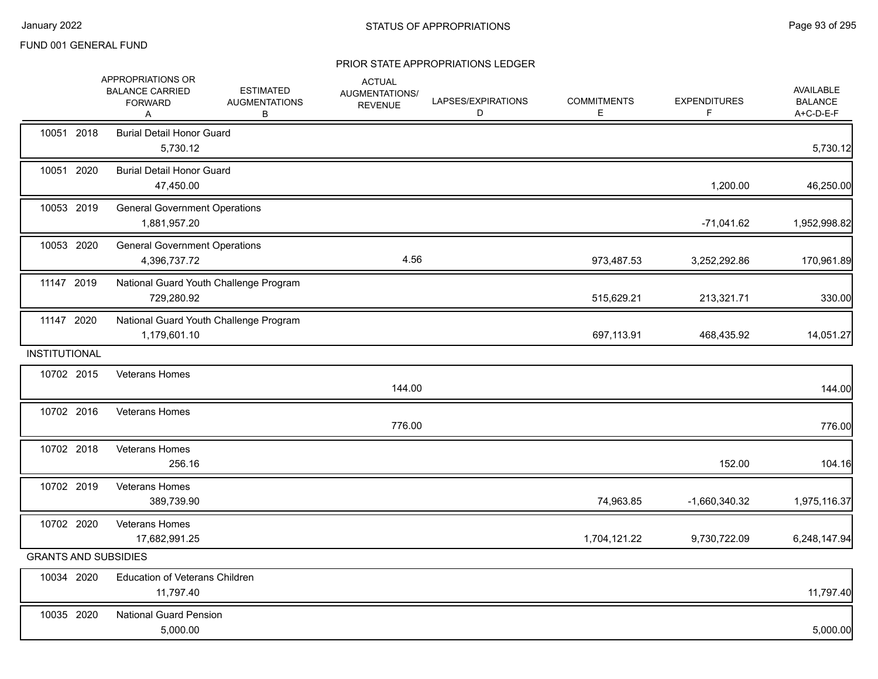|                      | APPROPRIATIONS OR<br><b>BALANCE CARRIED</b><br><b>FORWARD</b><br>Α | <b>ESTIMATED</b><br><b>AUGMENTATIONS</b><br>В | <b>ACTUAL</b><br>AUGMENTATIONS/<br><b>REVENUE</b> | LAPSES/EXPIRATIONS<br>D | <b>COMMITMENTS</b><br>E. | <b>EXPENDITURES</b><br>F | AVAILABLE<br><b>BALANCE</b><br>A+C-D-E-F |
|----------------------|--------------------------------------------------------------------|-----------------------------------------------|---------------------------------------------------|-------------------------|--------------------------|--------------------------|------------------------------------------|
| 10051 2018           | <b>Burial Detail Honor Guard</b><br>5,730.12                       |                                               |                                                   |                         |                          |                          | 5,730.12                                 |
| 10051 2020           | <b>Burial Detail Honor Guard</b><br>47,450.00                      |                                               |                                                   |                         |                          | 1,200.00                 | 46,250.00                                |
| 10053 2019           | <b>General Government Operations</b><br>1,881,957.20               |                                               |                                                   |                         |                          | $-71,041.62$             | 1,952,998.82                             |
| 10053 2020           | <b>General Government Operations</b><br>4,396,737.72               |                                               | 4.56                                              |                         | 973,487.53               | 3,252,292.86             | 170,961.89                               |
| 11147 2019           | 729,280.92                                                         | National Guard Youth Challenge Program        |                                                   |                         | 515,629.21               | 213,321.71               | 330.00                                   |
| 11147 2020           | 1,179,601.10                                                       | National Guard Youth Challenge Program        |                                                   |                         | 697,113.91               | 468,435.92               | 14,051.27                                |
| <b>INSTITUTIONAL</b> |                                                                    |                                               |                                                   |                         |                          |                          |                                          |
| 10702 2015           | <b>Veterans Homes</b>                                              |                                               | 144.00                                            |                         |                          |                          | 144.00                                   |
| 10702 2016           | Veterans Homes                                                     |                                               | 776.00                                            |                         |                          |                          | 776.00                                   |
| 10702 2018           | Veterans Homes<br>256.16                                           |                                               |                                                   |                         |                          | 152.00                   | 104.16                                   |
| 10702 2019           | Veterans Homes<br>389,739.90                                       |                                               |                                                   |                         | 74,963.85                | -1,660,340.32            | 1,975,116.37                             |
| 10702 2020           | Veterans Homes<br>17,682,991.25                                    |                                               |                                                   |                         | 1,704,121.22             | 9,730,722.09             | 6,248,147.94                             |
|                      | <b>GRANTS AND SUBSIDIES</b>                                        |                                               |                                                   |                         |                          |                          |                                          |
| 10034 2020           | Education of Veterans Children<br>11,797.40                        |                                               |                                                   |                         |                          |                          | 11,797.40                                |
| 10035 2020           | <b>National Guard Pension</b><br>5,000.00                          |                                               |                                                   |                         |                          |                          | 5,000.00                                 |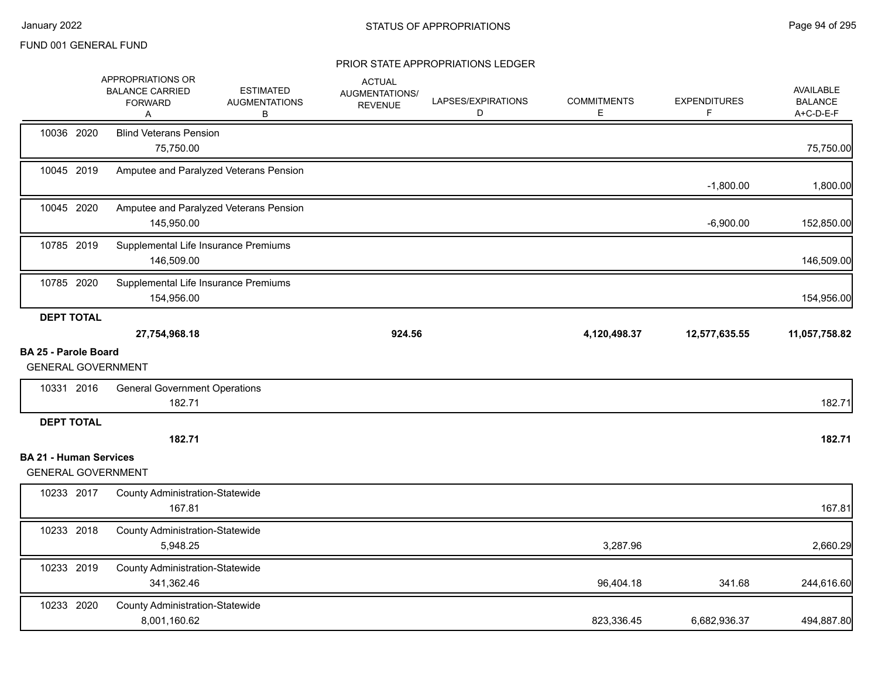|                                                            | APPROPRIATIONS OR<br><b>BALANCE CARRIED</b><br><b>FORWARD</b><br>Α | <b>ESTIMATED</b><br><b>AUGMENTATIONS</b><br>В | <b>ACTUAL</b><br>AUGMENTATIONS/<br><b>REVENUE</b> | LAPSES/EXPIRATIONS<br>D | <b>COMMITMENTS</b><br>E. | <b>EXPENDITURES</b> | AVAILABLE<br><b>BALANCE</b><br>A+C-D-E-F |
|------------------------------------------------------------|--------------------------------------------------------------------|-----------------------------------------------|---------------------------------------------------|-------------------------|--------------------------|---------------------|------------------------------------------|
| 10036 2020                                                 | <b>Blind Veterans Pension</b><br>75,750.00                         |                                               |                                                   |                         |                          |                     | 75,750.00                                |
| 10045 2019                                                 |                                                                    | Amputee and Paralyzed Veterans Pension        |                                                   |                         |                          | $-1,800.00$         | 1,800.00                                 |
| 10045 2020                                                 | 145,950.00                                                         | Amputee and Paralyzed Veterans Pension        |                                                   |                         |                          | $-6,900.00$         | 152,850.00                               |
| 10785 2019                                                 | Supplemental Life Insurance Premiums<br>146,509.00                 |                                               |                                                   |                         |                          |                     | 146,509.00                               |
| 10785 2020                                                 | Supplemental Life Insurance Premiums<br>154,956.00                 |                                               |                                                   |                         |                          |                     | 154,956.00                               |
| <b>DEPT TOTAL</b>                                          | 27,754,968.18                                                      |                                               | 924.56                                            |                         | 4,120,498.37             | 12,577,635.55       | 11,057,758.82                            |
| <b>BA 25 - Parole Board</b>                                |                                                                    |                                               |                                                   |                         |                          |                     |                                          |
| <b>GENERAL GOVERNMENT</b>                                  |                                                                    |                                               |                                                   |                         |                          |                     |                                          |
| 10331 2016                                                 | <b>General Government Operations</b><br>182.71                     |                                               |                                                   |                         |                          |                     | 182.71                                   |
| <b>DEPT TOTAL</b>                                          |                                                                    |                                               |                                                   |                         |                          |                     |                                          |
|                                                            | 182.71                                                             |                                               |                                                   |                         |                          |                     | 182.71                                   |
| <b>BA 21 - Human Services</b><br><b>GENERAL GOVERNMENT</b> |                                                                    |                                               |                                                   |                         |                          |                     |                                          |
| 10233 2017                                                 | <b>County Administration-Statewide</b><br>167.81                   |                                               |                                                   |                         |                          |                     | 167.81                                   |
| 10233 2018                                                 | <b>County Administration-Statewide</b><br>5,948.25                 |                                               |                                                   |                         | 3,287.96                 |                     | 2,660.29                                 |
| 10233 2019                                                 | <b>County Administration-Statewide</b><br>341,362.46               |                                               |                                                   |                         | 96,404.18                | 341.68              | 244,616.60                               |
| 10233 2020                                                 | <b>County Administration-Statewide</b><br>8,001,160.62             |                                               |                                                   |                         | 823,336.45               | 6,682,936.37        | 494,887.80                               |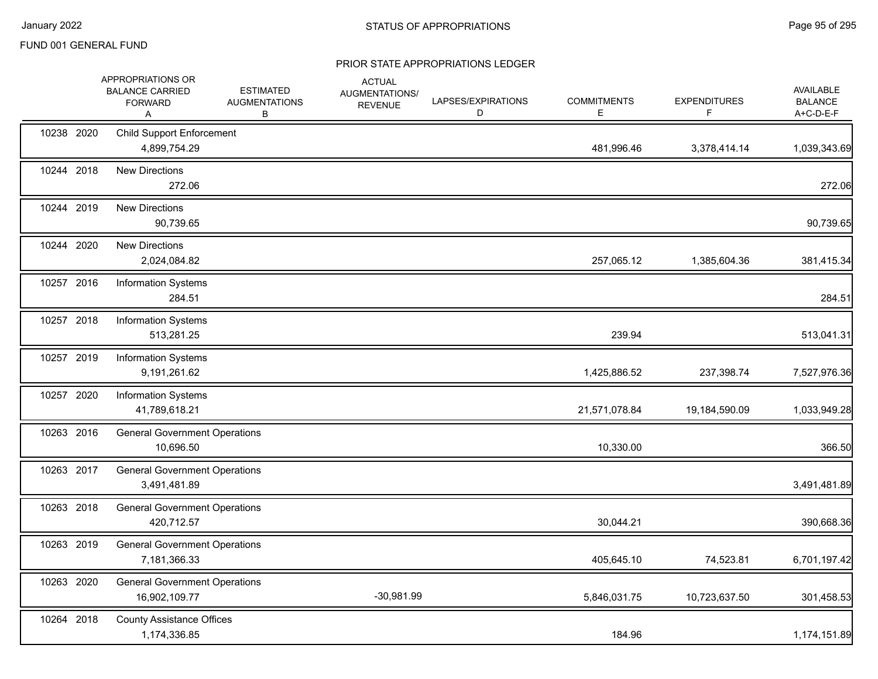|            | APPROPRIATIONS OR<br><b>BALANCE CARRIED</b><br><b>FORWARD</b><br>Α | <b>ESTIMATED</b><br><b>AUGMENTATIONS</b><br>В | <b>ACTUAL</b><br>AUGMENTATIONS/<br><b>REVENUE</b> | LAPSES/EXPIRATIONS<br>D | <b>COMMITMENTS</b><br>E | <b>EXPENDITURES</b><br>F | <b>AVAILABLE</b><br><b>BALANCE</b><br>A+C-D-E-F |
|------------|--------------------------------------------------------------------|-----------------------------------------------|---------------------------------------------------|-------------------------|-------------------------|--------------------------|-------------------------------------------------|
| 10238 2020 | <b>Child Support Enforcement</b><br>4,899,754.29                   |                                               |                                                   |                         | 481,996.46              | 3,378,414.14             | 1,039,343.69                                    |
| 10244 2018 | <b>New Directions</b><br>272.06                                    |                                               |                                                   |                         |                         |                          | 272.06                                          |
| 10244 2019 | <b>New Directions</b><br>90,739.65                                 |                                               |                                                   |                         |                         |                          | 90,739.65                                       |
| 10244 2020 | <b>New Directions</b><br>2,024,084.82                              |                                               |                                                   |                         | 257,065.12              | 1,385,604.36             | 381,415.34                                      |
| 10257 2016 | <b>Information Systems</b><br>284.51                               |                                               |                                                   |                         |                         |                          | 284.51                                          |
| 10257 2018 | <b>Information Systems</b><br>513,281.25                           |                                               |                                                   |                         | 239.94                  |                          | 513,041.31                                      |
| 10257 2019 | <b>Information Systems</b><br>9,191,261.62                         |                                               |                                                   |                         | 1,425,886.52            | 237,398.74               | 7,527,976.36                                    |
| 10257 2020 | <b>Information Systems</b><br>41,789,618.21                        |                                               |                                                   |                         | 21,571,078.84           | 19,184,590.09            | 1,033,949.28                                    |
| 10263 2016 | <b>General Government Operations</b><br>10,696.50                  |                                               |                                                   |                         | 10,330.00               |                          | 366.50                                          |
| 10263 2017 | <b>General Government Operations</b><br>3,491,481.89               |                                               |                                                   |                         |                         |                          | 3,491,481.89                                    |
| 10263 2018 | <b>General Government Operations</b><br>420,712.57                 |                                               |                                                   |                         | 30,044.21               |                          | 390,668.36                                      |
| 10263 2019 | <b>General Government Operations</b><br>7,181,366.33               |                                               |                                                   |                         | 405,645.10              | 74,523.81                | 6,701,197.42                                    |
| 10263 2020 | <b>General Government Operations</b><br>16,902,109.77              |                                               | $-30,981.99$                                      |                         | 5,846,031.75            | 10,723,637.50            | 301,458.53                                      |
| 10264 2018 | <b>County Assistance Offices</b><br>1,174,336.85                   |                                               |                                                   |                         | 184.96                  |                          | 1,174,151.89                                    |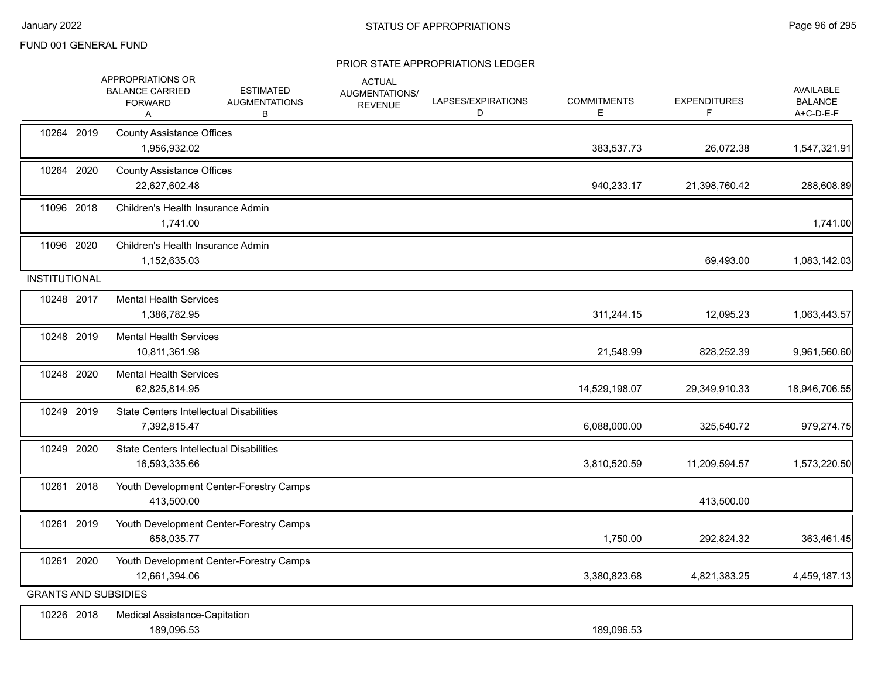|                      | APPROPRIATIONS OR<br><b>BALANCE CARRIED</b><br><b>FORWARD</b><br>Α | <b>ESTIMATED</b><br><b>AUGMENTATIONS</b><br>В | <b>ACTUAL</b><br><b>AUGMENTATIONS/</b><br><b>REVENUE</b> | LAPSES/EXPIRATIONS<br>D | <b>COMMITMENTS</b><br>E. | <b>EXPENDITURES</b><br>F. | AVAILABLE<br><b>BALANCE</b><br>A+C-D-E-F |
|----------------------|--------------------------------------------------------------------|-----------------------------------------------|----------------------------------------------------------|-------------------------|--------------------------|---------------------------|------------------------------------------|
| 10264 2019           | <b>County Assistance Offices</b><br>1,956,932.02                   |                                               |                                                          |                         | 383,537.73               | 26,072.38                 | 1,547,321.91                             |
| 10264 2020           | <b>County Assistance Offices</b><br>22,627,602.48                  |                                               |                                                          |                         | 940,233.17               | 21,398,760.42             | 288,608.89                               |
| 11096 2018           | Children's Health Insurance Admin<br>1,741.00                      |                                               |                                                          |                         |                          |                           | 1,741.00                                 |
| 11096 2020           | Children's Health Insurance Admin<br>1,152,635.03                  |                                               |                                                          |                         |                          | 69,493.00                 | 1,083,142.03                             |
| <b>INSTITUTIONAL</b> |                                                                    |                                               |                                                          |                         |                          |                           |                                          |
| 10248 2017           | <b>Mental Health Services</b><br>1,386,782.95                      |                                               |                                                          |                         | 311,244.15               | 12,095.23                 | 1,063,443.57                             |
| 10248 2019           | <b>Mental Health Services</b><br>10.811.361.98                     |                                               |                                                          |                         | 21,548.99                | 828,252.39                | 9,961,560.60                             |
| 10248 2020           | <b>Mental Health Services</b><br>62,825,814.95                     |                                               |                                                          |                         | 14,529,198.07            | 29,349,910.33             | 18,946,706.55                            |
| 10249 2019           | <b>State Centers Intellectual Disabilities</b><br>7,392,815.47     |                                               |                                                          |                         | 6,088,000.00             | 325,540.72                | 979,274.75                               |
| 10249 2020           | <b>State Centers Intellectual Disabilities</b><br>16,593,335.66    |                                               |                                                          |                         | 3,810,520.59             | 11,209,594.57             | 1,573,220.50                             |
| 10261 2018           | 413,500.00                                                         | Youth Development Center-Forestry Camps       |                                                          |                         |                          | 413,500.00                |                                          |
| 10261 2019           | 658,035.77                                                         | Youth Development Center-Forestry Camps       |                                                          |                         | 1,750.00                 | 292,824.32                | 363,461.45                               |
| 10261 2020           | 12,661,394.06                                                      | Youth Development Center-Forestry Camps       |                                                          |                         | 3,380,823.68             | 4,821,383.25              | 4,459,187.13                             |
|                      | <b>GRANTS AND SUBSIDIES</b>                                        |                                               |                                                          |                         |                          |                           |                                          |
| 10226 2018           | Medical Assistance-Capitation<br>189,096.53                        |                                               |                                                          |                         | 189,096.53               |                           |                                          |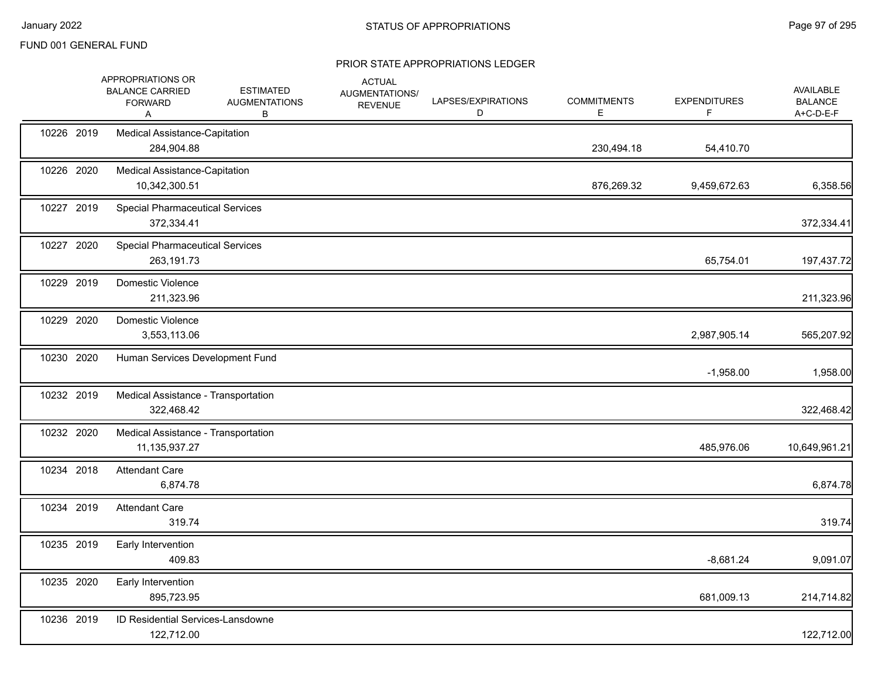|            | APPROPRIATIONS OR<br><b>BALANCE CARRIED</b><br><b>FORWARD</b><br>A | <b>ESTIMATED</b><br><b>AUGMENTATIONS</b><br>B | <b>ACTUAL</b><br>AUGMENTATIONS/<br><b>REVENUE</b> | LAPSES/EXPIRATIONS<br>D | <b>COMMITMENTS</b><br>Е | <b>EXPENDITURES</b><br>F. | <b>AVAILABLE</b><br><b>BALANCE</b><br>A+C-D-E-F |
|------------|--------------------------------------------------------------------|-----------------------------------------------|---------------------------------------------------|-------------------------|-------------------------|---------------------------|-------------------------------------------------|
| 10226 2019 | Medical Assistance-Capitation<br>284,904.88                        |                                               |                                                   |                         | 230,494.18              | 54,410.70                 |                                                 |
| 10226 2020 | <b>Medical Assistance-Capitation</b><br>10,342,300.51              |                                               |                                                   |                         | 876,269.32              | 9,459,672.63              | 6,358.56                                        |
| 10227 2019 | <b>Special Pharmaceutical Services</b><br>372,334.41               |                                               |                                                   |                         |                         |                           | 372,334.41                                      |
| 10227 2020 | <b>Special Pharmaceutical Services</b><br>263,191.73               |                                               |                                                   |                         |                         | 65,754.01                 | 197,437.72                                      |
| 10229 2019 | Domestic Violence<br>211,323.96                                    |                                               |                                                   |                         |                         |                           | 211,323.96                                      |
| 10229 2020 | Domestic Violence<br>3,553,113.06                                  |                                               |                                                   |                         |                         | 2,987,905.14              | 565,207.92                                      |
| 10230 2020 | Human Services Development Fund                                    |                                               |                                                   |                         |                         | $-1,958.00$               | 1,958.00                                        |
| 10232 2019 | Medical Assistance - Transportation<br>322,468.42                  |                                               |                                                   |                         |                         |                           | 322,468.42                                      |
| 10232 2020 | Medical Assistance - Transportation<br>11, 135, 937. 27            |                                               |                                                   |                         |                         | 485,976.06                | 10,649,961.21                                   |
| 10234 2018 | <b>Attendant Care</b><br>6,874.78                                  |                                               |                                                   |                         |                         |                           | 6,874.78                                        |
| 10234 2019 | <b>Attendant Care</b><br>319.74                                    |                                               |                                                   |                         |                         |                           | 319.74                                          |
| 10235 2019 | Early Intervention<br>409.83                                       |                                               |                                                   |                         |                         | $-8,681.24$               | 9,091.07                                        |
| 10235 2020 | Early Intervention<br>895,723.95                                   |                                               |                                                   |                         |                         | 681,009.13                | 214,714.82                                      |
| 10236 2019 | <b>ID Residential Services-Lansdowne</b><br>122,712.00             |                                               |                                                   |                         |                         |                           | 122,712.00                                      |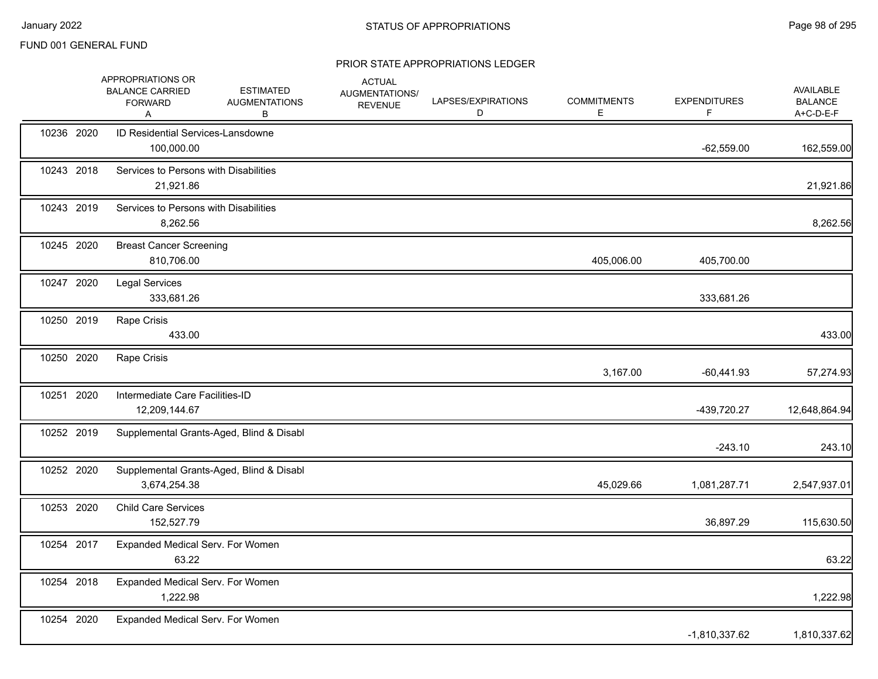|            | APPROPRIATIONS OR<br><b>BALANCE CARRIED</b><br><b>FORWARD</b><br>Α | <b>ESTIMATED</b><br><b>AUGMENTATIONS</b><br>В | <b>ACTUAL</b><br>AUGMENTATIONS/<br><b>REVENUE</b> | LAPSES/EXPIRATIONS<br>D | <b>COMMITMENTS</b><br>E. | <b>EXPENDITURES</b><br>F | AVAILABLE<br><b>BALANCE</b><br>A+C-D-E-F |
|------------|--------------------------------------------------------------------|-----------------------------------------------|---------------------------------------------------|-------------------------|--------------------------|--------------------------|------------------------------------------|
| 10236 2020 | <b>ID Residential Services-Lansdowne</b><br>100,000.00             |                                               |                                                   |                         |                          | $-62,559.00$             | 162,559.00                               |
| 10243 2018 | Services to Persons with Disabilities<br>21,921.86                 |                                               |                                                   |                         |                          |                          | 21,921.86                                |
| 10243 2019 | Services to Persons with Disabilities<br>8,262.56                  |                                               |                                                   |                         |                          |                          | 8,262.56                                 |
| 10245 2020 | <b>Breast Cancer Screening</b><br>810,706.00                       |                                               |                                                   |                         | 405,006.00               | 405,700.00               |                                          |
| 10247 2020 | Legal Services<br>333,681.26                                       |                                               |                                                   |                         |                          | 333,681.26               |                                          |
| 10250 2019 | Rape Crisis<br>433.00                                              |                                               |                                                   |                         |                          |                          | 433.00                                   |
| 10250 2020 | Rape Crisis                                                        |                                               |                                                   |                         | 3,167.00                 | $-60,441.93$             | 57,274.93                                |
| 10251 2020 | Intermediate Care Facilities-ID<br>12,209,144.67                   |                                               |                                                   |                         |                          | -439,720.27              | 12,648,864.94                            |
| 10252 2019 |                                                                    | Supplemental Grants-Aged, Blind & Disabl      |                                                   |                         |                          | $-243.10$                | 243.10                                   |
| 10252 2020 | 3,674,254.38                                                       | Supplemental Grants-Aged, Blind & Disabl      |                                                   |                         | 45,029.66                | 1,081,287.71             | 2,547,937.01                             |
| 10253 2020 | <b>Child Care Services</b><br>152,527.79                           |                                               |                                                   |                         |                          | 36,897.29                | 115,630.50                               |
| 10254 2017 | Expanded Medical Serv. For Women<br>63.22                          |                                               |                                                   |                         |                          |                          | 63.22                                    |
| 10254 2018 | Expanded Medical Serv. For Women<br>1,222.98                       |                                               |                                                   |                         |                          |                          | 1,222.98                                 |
| 10254 2020 | Expanded Medical Serv. For Women                                   |                                               |                                                   |                         |                          | -1,810,337.62            | 1,810,337.62                             |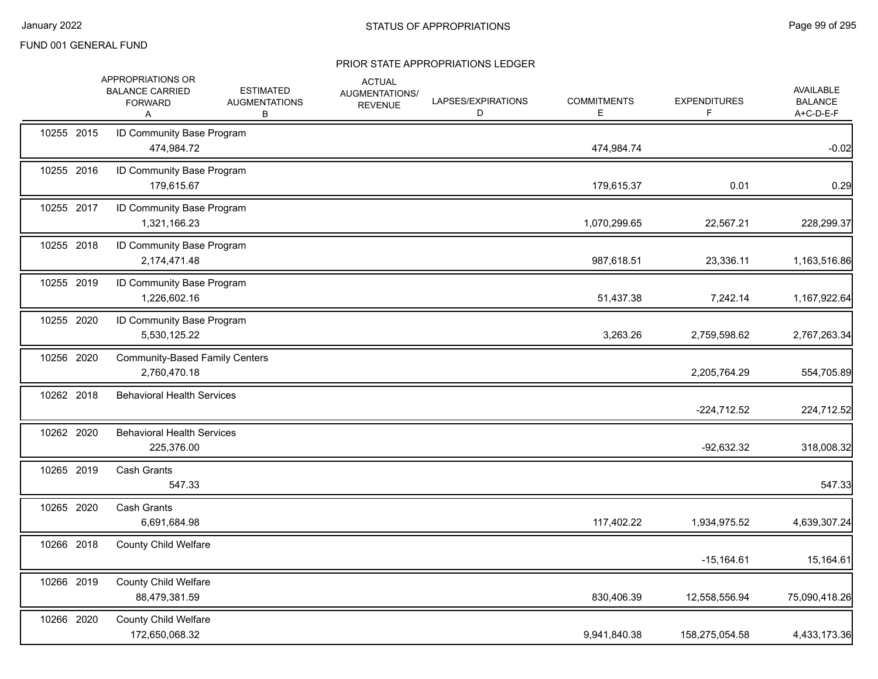|            | APPROPRIATIONS OR<br><b>BALANCE CARRIED</b><br><b>FORWARD</b><br>A | <b>ESTIMATED</b><br><b>AUGMENTATIONS</b><br>В | <b>ACTUAL</b><br>AUGMENTATIONS/<br><b>REVENUE</b> | LAPSES/EXPIRATIONS<br>D | <b>COMMITMENTS</b><br>E | <b>EXPENDITURES</b><br>F. | AVAILABLE<br><b>BALANCE</b><br>A+C-D-E-F |
|------------|--------------------------------------------------------------------|-----------------------------------------------|---------------------------------------------------|-------------------------|-------------------------|---------------------------|------------------------------------------|
| 10255 2015 | ID Community Base Program<br>474,984.72                            |                                               |                                                   |                         | 474,984.74              |                           | $-0.02$                                  |
| 10255 2016 | ID Community Base Program<br>179,615.67                            |                                               |                                                   |                         | 179,615.37              | 0.01                      | 0.29                                     |
| 10255 2017 | ID Community Base Program<br>1,321,166.23                          |                                               |                                                   |                         | 1,070,299.65            | 22,567.21                 | 228,299.37                               |
| 10255 2018 | ID Community Base Program<br>2,174,471.48                          |                                               |                                                   |                         | 987,618.51              | 23,336.11                 | 1,163,516.86                             |
| 10255 2019 | ID Community Base Program<br>1,226,602.16                          |                                               |                                                   |                         | 51,437.38               | 7,242.14                  | 1,167,922.64                             |
| 10255 2020 | ID Community Base Program<br>5,530,125.22                          |                                               |                                                   |                         | 3,263.26                | 2,759,598.62              | 2,767,263.34                             |
| 10256 2020 | <b>Community-Based Family Centers</b><br>2,760,470.18              |                                               |                                                   |                         |                         | 2,205,764.29              | 554,705.89                               |
| 10262 2018 | <b>Behavioral Health Services</b>                                  |                                               |                                                   |                         |                         | $-224,712.52$             | 224,712.52                               |
| 10262 2020 | <b>Behavioral Health Services</b><br>225,376.00                    |                                               |                                                   |                         |                         | $-92,632.32$              | 318,008.32                               |
| 10265 2019 | <b>Cash Grants</b><br>547.33                                       |                                               |                                                   |                         |                         |                           | 547.33                                   |
| 10265 2020 | Cash Grants<br>6,691,684.98                                        |                                               |                                                   |                         | 117,402.22              | 1,934,975.52              | 4,639,307.24                             |
| 10266 2018 | <b>County Child Welfare</b>                                        |                                               |                                                   |                         |                         | $-15,164.61$              | 15,164.61                                |
| 10266 2019 | <b>County Child Welfare</b><br>88,479,381.59                       |                                               |                                                   |                         | 830,406.39              | 12,558,556.94             | 75,090,418.26                            |
| 10266 2020 | <b>County Child Welfare</b><br>172,650,068.32                      |                                               |                                                   |                         | 9,941,840.38            | 158,275,054.58            | 4,433,173.36                             |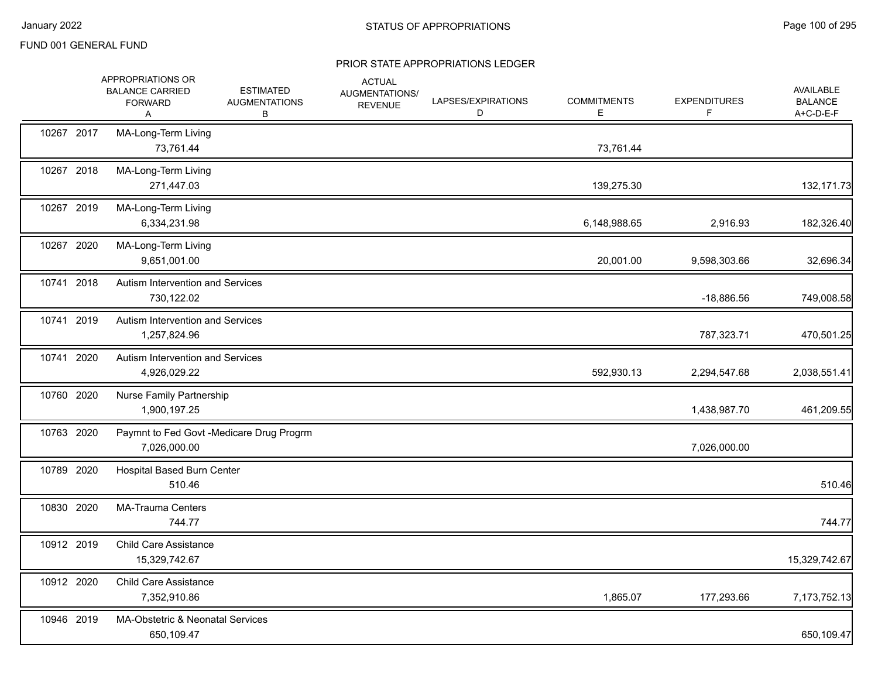|            | APPROPRIATIONS OR<br><b>BALANCE CARRIED</b><br><b>FORWARD</b><br>A | <b>ESTIMATED</b><br><b>AUGMENTATIONS</b><br>В | <b>ACTUAL</b><br>AUGMENTATIONS/<br><b>REVENUE</b> | LAPSES/EXPIRATIONS<br>D | <b>COMMITMENTS</b><br>E | <b>EXPENDITURES</b><br>F. | AVAILABLE<br><b>BALANCE</b><br>A+C-D-E-F |
|------------|--------------------------------------------------------------------|-----------------------------------------------|---------------------------------------------------|-------------------------|-------------------------|---------------------------|------------------------------------------|
| 10267 2017 | MA-Long-Term Living<br>73,761.44                                   |                                               |                                                   |                         | 73,761.44               |                           |                                          |
| 10267 2018 | MA-Long-Term Living<br>271,447.03                                  |                                               |                                                   |                         | 139,275.30              |                           | 132,171.73                               |
| 10267 2019 | MA-Long-Term Living<br>6,334,231.98                                |                                               |                                                   |                         | 6,148,988.65            | 2,916.93                  | 182,326.40                               |
| 10267 2020 | MA-Long-Term Living<br>9,651,001.00                                |                                               |                                                   |                         | 20,001.00               | 9,598,303.66              | 32,696.34                                |
| 10741 2018 | Autism Intervention and Services<br>730,122.02                     |                                               |                                                   |                         |                         | $-18,886.56$              | 749,008.58                               |
| 10741 2019 | Autism Intervention and Services<br>1,257,824.96                   |                                               |                                                   |                         |                         | 787,323.71                | 470,501.25                               |
| 10741 2020 | Autism Intervention and Services<br>4,926,029.22                   |                                               |                                                   |                         | 592,930.13              | 2,294,547.68              | 2,038,551.41                             |
| 10760 2020 | Nurse Family Partnership<br>1,900,197.25                           |                                               |                                                   |                         |                         | 1,438,987.70              | 461,209.55                               |
| 10763 2020 | Paymnt to Fed Govt -Medicare Drug Progrm<br>7,026,000.00           |                                               |                                                   |                         |                         | 7,026,000.00              |                                          |
| 10789 2020 | <b>Hospital Based Burn Center</b><br>510.46                        |                                               |                                                   |                         |                         |                           | 510.46                                   |
| 10830 2020 | <b>MA-Trauma Centers</b><br>744.77                                 |                                               |                                                   |                         |                         |                           | 744.77                                   |
| 10912 2019 | <b>Child Care Assistance</b><br>15,329,742.67                      |                                               |                                                   |                         |                         |                           | 15,329,742.67                            |
| 10912 2020 | <b>Child Care Assistance</b><br>7,352,910.86                       |                                               |                                                   |                         | 1,865.07                | 177,293.66                | 7,173,752.13                             |
| 10946 2019 | MA-Obstetric & Neonatal Services<br>650,109.47                     |                                               |                                                   |                         |                         |                           | 650,109.47                               |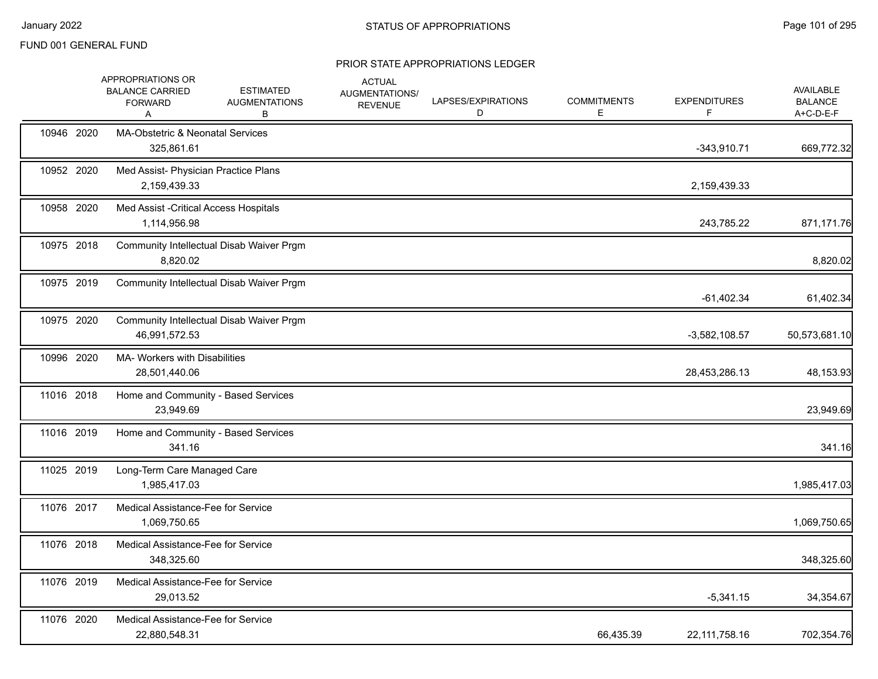|            | APPROPRIATIONS OR<br><b>BALANCE CARRIED</b><br><b>FORWARD</b><br>A | <b>ESTIMATED</b><br><b>AUGMENTATIONS</b><br>В | <b>ACTUAL</b><br>AUGMENTATIONS/<br><b>REVENUE</b> | LAPSES/EXPIRATIONS<br>D | <b>COMMITMENTS</b><br>Е | <b>EXPENDITURES</b> | <b>AVAILABLE</b><br><b>BALANCE</b><br>A+C-D-E-F |
|------------|--------------------------------------------------------------------|-----------------------------------------------|---------------------------------------------------|-------------------------|-------------------------|---------------------|-------------------------------------------------|
| 10946 2020 | <b>MA-Obstetric &amp; Neonatal Services</b><br>325.861.61          |                                               |                                                   |                         |                         | $-343,910.71$       | 669,772.32                                      |
| 10952 2020 | 2,159,439.33                                                       | Med Assist- Physician Practice Plans          |                                                   |                         |                         | 2,159,439.33        |                                                 |
| 10958 2020 | 1,114,956.98                                                       | Med Assist - Critical Access Hospitals        |                                                   |                         |                         | 243,785.22          | 871,171.76                                      |
| 10975 2018 | 8,820.02                                                           | Community Intellectual Disab Waiver Prgm      |                                                   |                         |                         |                     | 8,820.02                                        |
| 10975 2019 |                                                                    | Community Intellectual Disab Waiver Prgm      |                                                   |                         |                         | $-61,402.34$        | 61,402.34                                       |
| 10975 2020 | 46,991,572.53                                                      | Community Intellectual Disab Waiver Prgm      |                                                   |                         |                         | $-3,582,108.57$     | 50,573,681.10                                   |
| 10996 2020 | <b>MA- Workers with Disabilities</b><br>28,501,440.06              |                                               |                                                   |                         |                         | 28,453,286.13       | 48,153.93                                       |
| 11016 2018 | 23,949.69                                                          | Home and Community - Based Services           |                                                   |                         |                         |                     | 23,949.69                                       |
| 11016 2019 | 341.16                                                             | Home and Community - Based Services           |                                                   |                         |                         |                     | 341.16                                          |
| 11025 2019 | Long-Term Care Managed Care<br>1,985,417.03                        |                                               |                                                   |                         |                         |                     | 1,985,417.03                                    |
| 11076 2017 | Medical Assistance-Fee for Service<br>1,069,750.65                 |                                               |                                                   |                         |                         |                     | 1,069,750.65                                    |
| 11076 2018 | Medical Assistance-Fee for Service<br>348,325.60                   |                                               |                                                   |                         |                         |                     | 348,325.60                                      |
| 11076 2019 | Medical Assistance-Fee for Service<br>29,013.52                    |                                               |                                                   |                         |                         | $-5,341.15$         | 34,354.67                                       |
| 11076 2020 | Medical Assistance-Fee for Service<br>22,880,548.31                |                                               |                                                   |                         | 66,435.39               | 22,111,758.16       | 702,354.76                                      |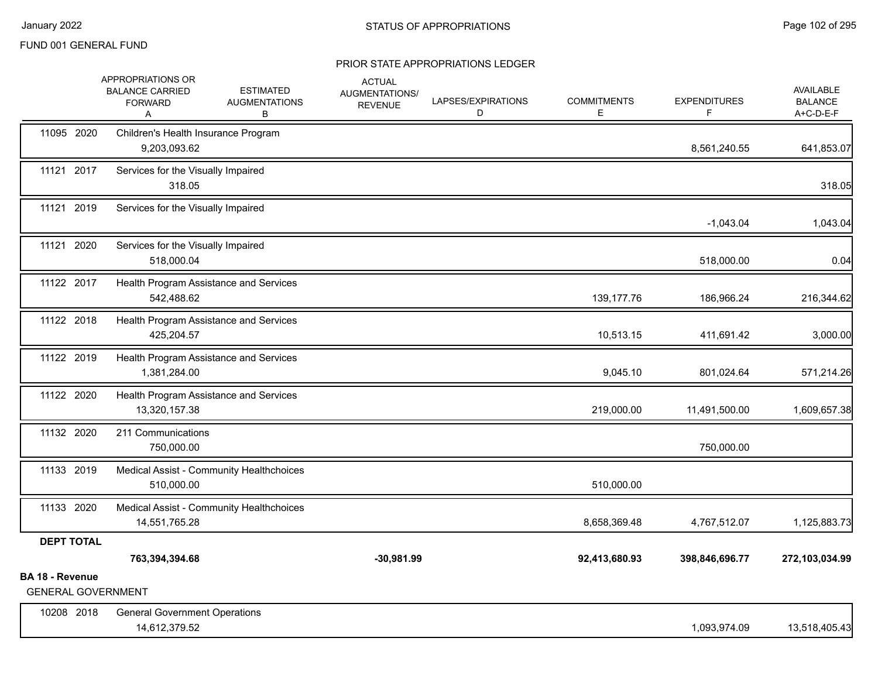|                                             | APPROPRIATIONS OR<br><b>BALANCE CARRIED</b><br><b>FORWARD</b><br>A | <b>ESTIMATED</b><br><b>AUGMENTATIONS</b><br>В | <b>ACTUAL</b><br>AUGMENTATIONS/<br><b>REVENUE</b> | LAPSES/EXPIRATIONS<br>D | <b>COMMITMENTS</b><br>E | <b>EXPENDITURES</b><br>F | <b>AVAILABLE</b><br><b>BALANCE</b><br>A+C-D-E-F |
|---------------------------------------------|--------------------------------------------------------------------|-----------------------------------------------|---------------------------------------------------|-------------------------|-------------------------|--------------------------|-------------------------------------------------|
| 11095 2020                                  | 9,203,093.62                                                       | Children's Health Insurance Program           |                                                   |                         |                         | 8,561,240.55             | 641,853.07                                      |
| 11121 2017                                  | 318.05                                                             | Services for the Visually Impaired            |                                                   |                         |                         |                          | 318.05                                          |
| 11121 2019                                  |                                                                    | Services for the Visually Impaired            |                                                   |                         |                         | $-1,043.04$              | 1,043.04                                        |
| 11121 2020                                  | 518,000.04                                                         | Services for the Visually Impaired            |                                                   |                         |                         | 518,000.00               | 0.04                                            |
| 11122 2017                                  | 542,488.62                                                         | Health Program Assistance and Services        |                                                   |                         | 139,177.76              | 186,966.24               | 216,344.62                                      |
| 11122 2018                                  | 425,204.57                                                         | Health Program Assistance and Services        |                                                   |                         | 10,513.15               | 411,691.42               | 3,000.00                                        |
| 11122 2019                                  | 1,381,284.00                                                       | Health Program Assistance and Services        |                                                   |                         | 9,045.10                | 801,024.64               | 571,214.26                                      |
| 11122 2020                                  | 13,320,157.38                                                      | Health Program Assistance and Services        |                                                   |                         | 219,000.00              | 11,491,500.00            | 1,609,657.38                                    |
| 11132 2020                                  | 211 Communications<br>750,000.00                                   |                                               |                                                   |                         |                         | 750,000.00               |                                                 |
| 11133 2019                                  | 510,000.00                                                         | Medical Assist - Community Healthchoices      |                                                   |                         | 510,000.00              |                          |                                                 |
| 11133 2020                                  | 14,551,765.28                                                      | Medical Assist - Community Healthchoices      |                                                   |                         | 8,658,369.48            | 4,767,512.07             | 1,125,883.73                                    |
| <b>DEPT TOTAL</b><br><b>BA 18 - Revenue</b> | 763,394,394.68                                                     |                                               | $-30,981.99$                                      |                         | 92,413,680.93           | 398,846,696.77           | 272,103,034.99                                  |
| <b>GENERAL GOVERNMENT</b>                   |                                                                    |                                               |                                                   |                         |                         |                          |                                                 |
| 10208 2018                                  | <b>General Government Operations</b><br>14,612,379.52              |                                               |                                                   |                         |                         | 1,093,974.09             | 13,518,405.43                                   |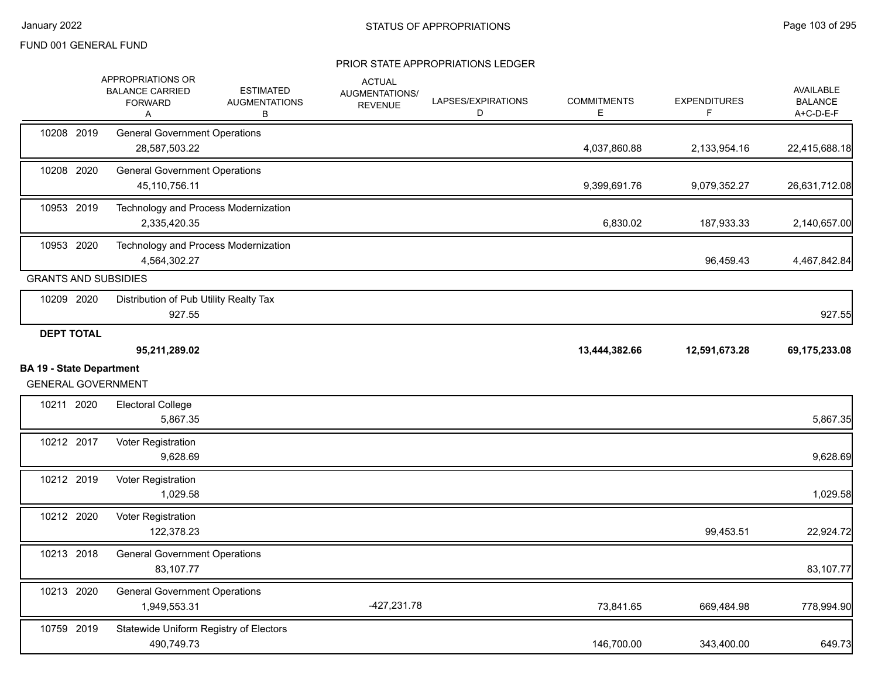|                                 | APPROPRIATIONS OR<br><b>BALANCE CARRIED</b><br><b>FORWARD</b><br>Α | <b>ESTIMATED</b><br><b>AUGMENTATIONS</b><br>В | <b>ACTUAL</b><br>AUGMENTATIONS/<br><b>REVENUE</b> | LAPSES/EXPIRATIONS<br>D | <b>COMMITMENTS</b><br>Е | <b>EXPENDITURES</b><br>F | <b>AVAILABLE</b><br><b>BALANCE</b><br>A+C-D-E-F |
|---------------------------------|--------------------------------------------------------------------|-----------------------------------------------|---------------------------------------------------|-------------------------|-------------------------|--------------------------|-------------------------------------------------|
| 10208 2019                      | <b>General Government Operations</b><br>28,587,503.22              |                                               |                                                   |                         | 4,037,860.88            | 2,133,954.16             | 22,415,688.18                                   |
| 10208 2020                      | <b>General Government Operations</b><br>45,110,756.11              |                                               |                                                   |                         | 9,399,691.76            | 9,079,352.27             | 26,631,712.08                                   |
| 10953 2019                      | Technology and Process Modernization<br>2,335,420.35               |                                               |                                                   |                         | 6,830.02                | 187,933.33               | 2,140,657.00                                    |
| 10953 2020                      | Technology and Process Modernization<br>4,564,302.27               |                                               |                                                   |                         |                         | 96,459.43                | 4,467,842.84                                    |
|                                 | <b>GRANTS AND SUBSIDIES</b>                                        |                                               |                                                   |                         |                         |                          |                                                 |
| 10209 2020                      | Distribution of Pub Utility Realty Tax<br>927.55                   |                                               |                                                   |                         |                         |                          | 927.55                                          |
| <b>DEPT TOTAL</b>               |                                                                    |                                               |                                                   |                         |                         |                          |                                                 |
|                                 | 95,211,289.02                                                      |                                               |                                                   |                         | 13,444,382.66           | 12,591,673.28            | 69,175,233.08                                   |
| <b>BA 19 - State Department</b> | <b>GENERAL GOVERNMENT</b>                                          |                                               |                                                   |                         |                         |                          |                                                 |
| 10211 2020                      | <b>Electoral College</b><br>5,867.35                               |                                               |                                                   |                         |                         |                          | 5,867.35                                        |
| 10212 2017                      | Voter Registration<br>9,628.69                                     |                                               |                                                   |                         |                         |                          | 9,628.69                                        |
| 10212 2019                      | Voter Registration<br>1,029.58                                     |                                               |                                                   |                         |                         |                          | 1,029.58                                        |
| 10212 2020                      | Voter Registration<br>122,378.23                                   |                                               |                                                   |                         |                         | 99,453.51                | 22,924.72                                       |
| 10213 2018                      | <b>General Government Operations</b><br>83,107.77                  |                                               |                                                   |                         |                         |                          | 83,107.77                                       |
| 10213 2020                      | <b>General Government Operations</b><br>1,949,553.31               |                                               | -427,231.78                                       |                         | 73,841.65               | 669,484.98               | 778,994.90                                      |
| 10759 2019                      | Statewide Uniform Registry of Electors<br>490,749.73               |                                               |                                                   |                         | 146,700.00              | 343,400.00               | 649.73                                          |
|                                 |                                                                    |                                               |                                                   |                         |                         |                          |                                                 |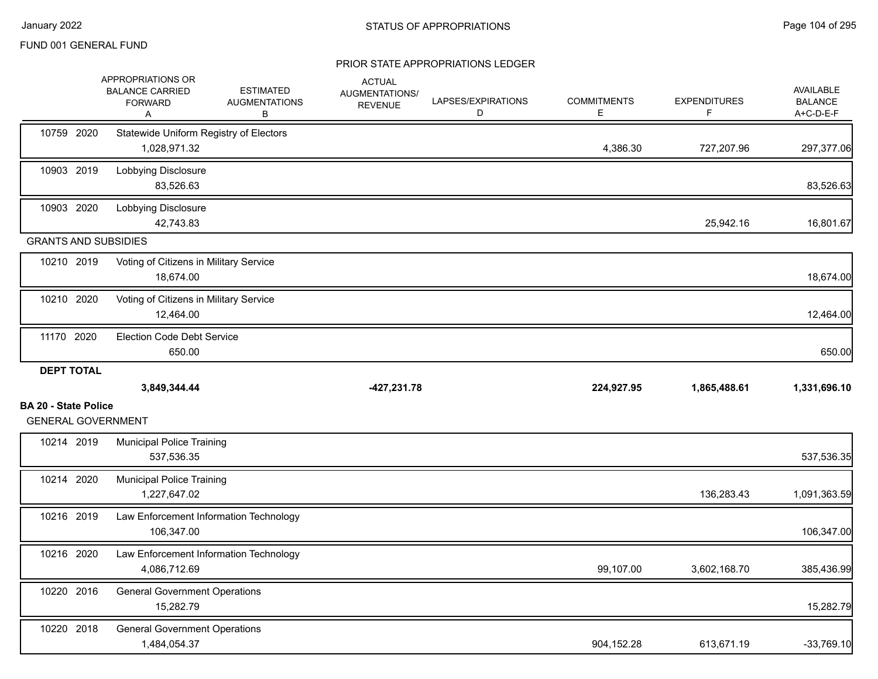|                                                          | APPROPRIATIONS OR<br><b>BALANCE CARRIED</b><br><b>FORWARD</b><br>A | <b>ESTIMATED</b><br><b>AUGMENTATIONS</b><br>В | <b>ACTUAL</b><br>AUGMENTATIONS/<br><b>REVENUE</b> | LAPSES/EXPIRATIONS<br>D | <b>COMMITMENTS</b><br>E. | <b>EXPENDITURES</b><br>F. | <b>AVAILABLE</b><br><b>BALANCE</b><br>A+C-D-E-F |
|----------------------------------------------------------|--------------------------------------------------------------------|-----------------------------------------------|---------------------------------------------------|-------------------------|--------------------------|---------------------------|-------------------------------------------------|
| 10759 2020                                               | Statewide Uniform Registry of Electors<br>1,028,971.32             |                                               |                                                   |                         | 4,386.30                 | 727,207.96                | 297,377.06                                      |
| 10903 2019                                               | Lobbying Disclosure<br>83,526.63                                   |                                               |                                                   |                         |                          |                           | 83,526.63                                       |
| 10903 2020                                               | Lobbying Disclosure<br>42,743.83                                   |                                               |                                                   |                         |                          | 25,942.16                 | 16,801.67                                       |
| <b>GRANTS AND SUBSIDIES</b>                              |                                                                    |                                               |                                                   |                         |                          |                           |                                                 |
| 10210 2019                                               | Voting of Citizens in Military Service<br>18,674.00                |                                               |                                                   |                         |                          |                           | 18,674.00                                       |
| 10210 2020                                               | Voting of Citizens in Military Service<br>12,464.00                |                                               |                                                   |                         |                          |                           | 12,464.00                                       |
| 11170 2020                                               | <b>Election Code Debt Service</b><br>650.00                        |                                               |                                                   |                         |                          |                           | 650.00                                          |
| <b>DEPT TOTAL</b>                                        |                                                                    |                                               |                                                   |                         |                          |                           |                                                 |
|                                                          |                                                                    |                                               |                                                   |                         |                          |                           |                                                 |
|                                                          | 3,849,344.44                                                       |                                               | $-427,231.78$                                     |                         | 224,927.95               | 1,865,488.61              |                                                 |
| <b>BA 20 - State Police</b><br><b>GENERAL GOVERNMENT</b> |                                                                    |                                               |                                                   |                         |                          |                           |                                                 |
| 10214 2019                                               | <b>Municipal Police Training</b><br>537,536.35                     |                                               |                                                   |                         |                          |                           | 1,331,696.10<br>537,536.35                      |
| 10214 2020                                               | <b>Municipal Police Training</b><br>1,227,647.02                   |                                               |                                                   |                         |                          | 136,283.43                | 1,091,363.59                                    |
| 10216 2019                                               | Law Enforcement Information Technology<br>106,347.00               |                                               |                                                   |                         |                          |                           | 106,347.00                                      |
| 10216 2020                                               | Law Enforcement Information Technology<br>4,086,712.69             |                                               |                                                   |                         | 99,107.00                | 3,602,168.70              | 385,436.99                                      |
| 10220 2016                                               | <b>General Government Operations</b><br>15,282.79                  |                                               |                                                   |                         |                          |                           | 15,282.79                                       |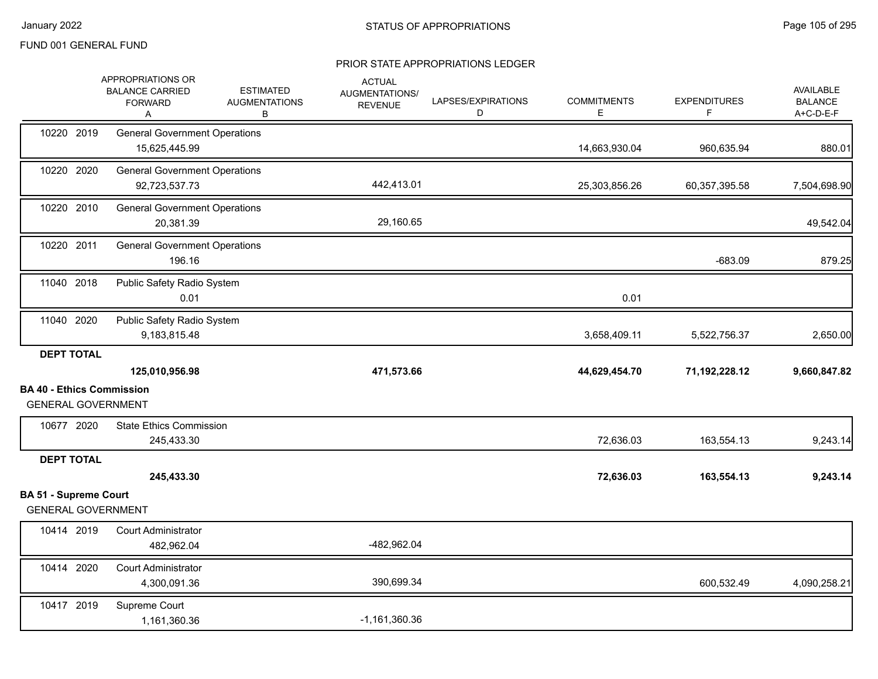|                              | APPROPRIATIONS OR<br><b>BALANCE CARRIED</b><br><b>FORWARD</b><br>Α | <b>ESTIMATED</b><br><b>AUGMENTATIONS</b><br>В | <b>ACTUAL</b><br>AUGMENTATIONS/<br><b>REVENUE</b> | LAPSES/EXPIRATIONS<br>D | <b>COMMITMENTS</b><br>Е | <b>EXPENDITURES</b><br>F | <b>AVAILABLE</b><br><b>BALANCE</b><br>A+C-D-E-F |
|------------------------------|--------------------------------------------------------------------|-----------------------------------------------|---------------------------------------------------|-------------------------|-------------------------|--------------------------|-------------------------------------------------|
| 10220 2019                   | <b>General Government Operations</b><br>15,625,445.99              |                                               |                                                   |                         | 14,663,930.04           | 960,635.94               | 880.01                                          |
| 10220 2020                   | <b>General Government Operations</b><br>92,723,537.73              |                                               | 442,413.01                                        |                         | 25,303,856.26           | 60,357,395.58            | 7,504,698.90                                    |
| 10220 2010                   | <b>General Government Operations</b><br>20,381.39                  |                                               | 29,160.65                                         |                         |                         |                          | 49,542.04                                       |
| 10220 2011                   | <b>General Government Operations</b><br>196.16                     |                                               |                                                   |                         |                         | $-683.09$                | 879.25                                          |
| 11040 2018                   | Public Safety Radio System<br>0.01                                 |                                               |                                                   |                         | 0.01                    |                          |                                                 |
| 11040 2020                   | Public Safety Radio System<br>9,183,815.48                         |                                               |                                                   |                         | 3,658,409.11            | 5,522,756.37             | 2,650.00                                        |
| <b>DEPT TOTAL</b>            | 125,010,956.98                                                     |                                               | 471,573.66                                        |                         | 44,629,454.70           | 71,192,228.12            | 9,660,847.82                                    |
|                              | <b>BA 40 - Ethics Commission</b><br><b>GENERAL GOVERNMENT</b>      |                                               |                                                   |                         |                         |                          |                                                 |
| 10677 2020                   | <b>State Ethics Commission</b><br>245,433.30                       |                                               |                                                   |                         | 72,636.03               | 163,554.13               | 9,243.14                                        |
| <b>DEPT TOTAL</b>            | 245,433.30                                                         |                                               |                                                   |                         | 72,636.03               | 163,554.13               | 9,243.14                                        |
| <b>BA 51 - Supreme Court</b> | <b>GENERAL GOVERNMENT</b>                                          |                                               |                                                   |                         |                         |                          |                                                 |
| 10414 2019                   | <b>Court Administrator</b><br>482,962.04                           |                                               | -482,962.04                                       |                         |                         |                          |                                                 |
| 10414 2020                   | <b>Court Administrator</b><br>4,300,091.36                         |                                               | 390,699.34                                        |                         |                         | 600,532.49               | 4,090,258.21                                    |
| 10417 2019                   | Supreme Court<br>1,161,360.36                                      |                                               | $-1,161,360.36$                                   |                         |                         |                          |                                                 |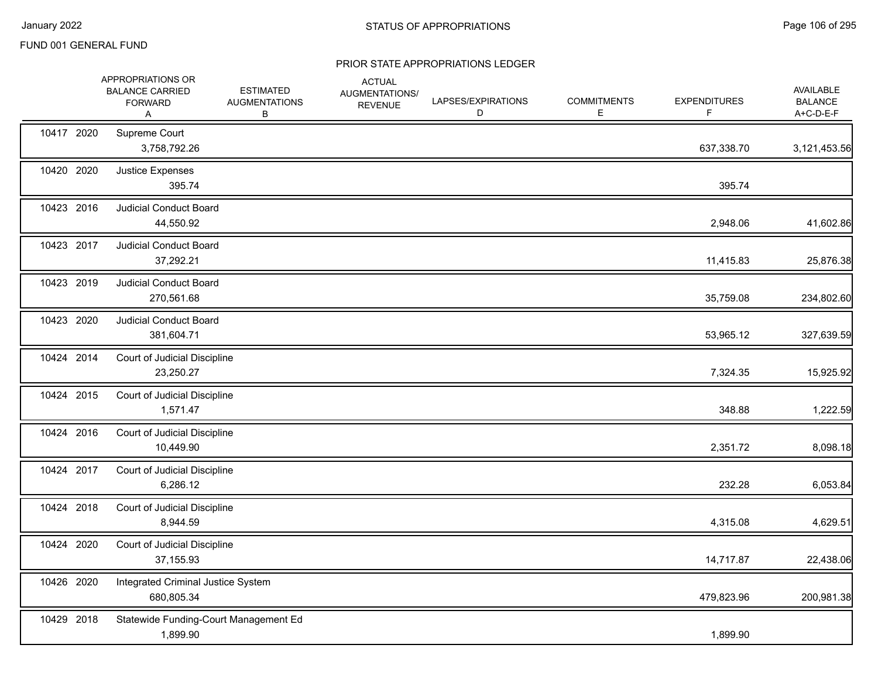|            | APPROPRIATIONS OR<br><b>BALANCE CARRIED</b><br><b>FORWARD</b><br>Α | <b>ESTIMATED</b><br><b>AUGMENTATIONS</b><br>В | <b>ACTUAL</b><br>AUGMENTATIONS/<br><b>REVENUE</b> | LAPSES/EXPIRATIONS<br>D | <b>COMMITMENTS</b><br>E. | <b>EXPENDITURES</b> | <b>AVAILABLE</b><br><b>BALANCE</b><br>A+C-D-E-F |
|------------|--------------------------------------------------------------------|-----------------------------------------------|---------------------------------------------------|-------------------------|--------------------------|---------------------|-------------------------------------------------|
| 10417 2020 | Supreme Court<br>3,758,792.26                                      |                                               |                                                   |                         |                          | 637,338.70          | 3,121,453.56                                    |
| 10420 2020 | Justice Expenses<br>395.74                                         |                                               |                                                   |                         |                          | 395.74              |                                                 |
| 10423 2016 | <b>Judicial Conduct Board</b><br>44,550.92                         |                                               |                                                   |                         |                          | 2,948.06            | 41,602.86                                       |
| 10423 2017 | <b>Judicial Conduct Board</b><br>37,292.21                         |                                               |                                                   |                         |                          | 11,415.83           | 25,876.38                                       |
| 10423 2019 | <b>Judicial Conduct Board</b><br>270,561.68                        |                                               |                                                   |                         |                          | 35,759.08           | 234,802.60                                      |
| 10423 2020 | <b>Judicial Conduct Board</b><br>381,604.71                        |                                               |                                                   |                         |                          | 53,965.12           | 327,639.59                                      |
| 10424 2014 | Court of Judicial Discipline<br>23,250.27                          |                                               |                                                   |                         |                          | 7,324.35            | 15,925.92                                       |
| 10424 2015 | Court of Judicial Discipline<br>1,571.47                           |                                               |                                                   |                         |                          | 348.88              | 1,222.59                                        |
| 10424 2016 | Court of Judicial Discipline<br>10,449.90                          |                                               |                                                   |                         |                          | 2,351.72            | 8,098.18                                        |
| 10424 2017 | Court of Judicial Discipline<br>6,286.12                           |                                               |                                                   |                         |                          | 232.28              | 6,053.84                                        |
| 10424 2018 | Court of Judicial Discipline<br>8,944.59                           |                                               |                                                   |                         |                          | 4,315.08            | 4,629.51                                        |
| 10424 2020 | Court of Judicial Discipline<br>37,155.93                          |                                               |                                                   |                         |                          | 14,717.87           | 22,438.06                                       |
| 10426 2020 | Integrated Criminal Justice System<br>680,805.34                   |                                               |                                                   |                         |                          | 479,823.96          | 200,981.38                                      |
| 10429 2018 | Statewide Funding-Court Management Ed<br>1,899.90                  |                                               |                                                   |                         |                          | 1,899.90            |                                                 |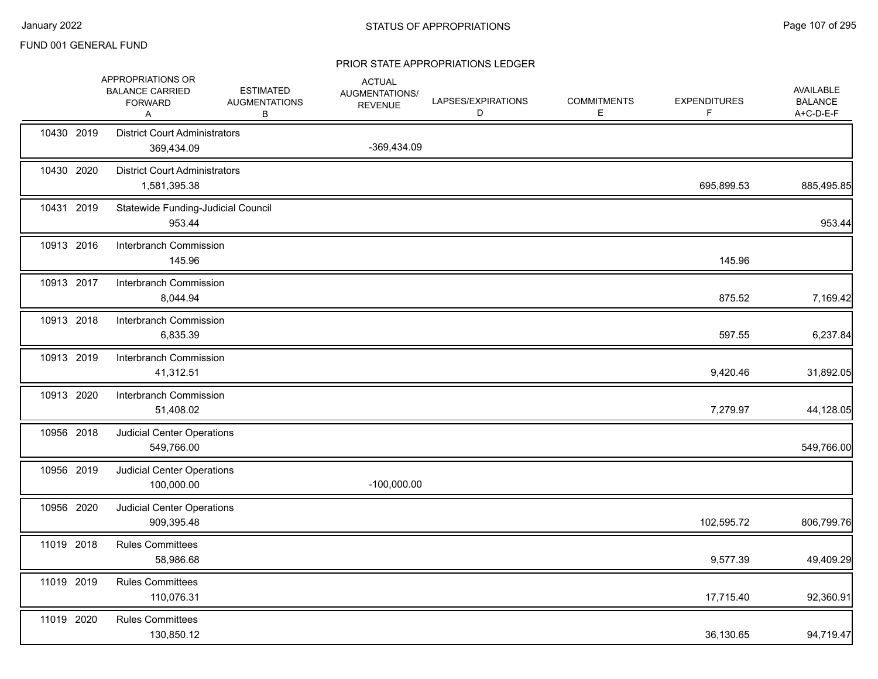|            | APPROPRIATIONS OR<br><b>BALANCE CARRIED</b><br><b>FORWARD</b><br>Α | <b>ESTIMATED</b><br><b>AUGMENTATIONS</b><br>В | <b>ACTUAL</b><br>AUGMENTATIONS/<br><b>REVENUE</b> | LAPSES/EXPIRATIONS<br>D | <b>COMMITMENTS</b><br>Е | <b>EXPENDITURES</b><br>F | <b>AVAILABLE</b><br><b>BALANCE</b><br>A+C-D-E-F |
|------------|--------------------------------------------------------------------|-----------------------------------------------|---------------------------------------------------|-------------------------|-------------------------|--------------------------|-------------------------------------------------|
| 10430 2019 | <b>District Court Administrators</b><br>369,434.09                 |                                               | -369,434.09                                       |                         |                         |                          |                                                 |
| 10430 2020 | <b>District Court Administrators</b><br>1,581,395.38               |                                               |                                                   |                         |                         | 695,899.53               | 885,495.85                                      |
| 10431 2019 | Statewide Funding-Judicial Council<br>953.44                       |                                               |                                                   |                         |                         |                          | 953.44                                          |
| 10913 2016 | Interbranch Commission<br>145.96                                   |                                               |                                                   |                         |                         | 145.96                   |                                                 |
| 10913 2017 | Interbranch Commission<br>8,044.94                                 |                                               |                                                   |                         |                         | 875.52                   | 7,169.42                                        |
| 10913 2018 | Interbranch Commission<br>6,835.39                                 |                                               |                                                   |                         |                         | 597.55                   | 6,237.84                                        |
| 10913 2019 | Interbranch Commission<br>41,312.51                                |                                               |                                                   |                         |                         | 9,420.46                 | 31,892.05                                       |
| 10913 2020 | Interbranch Commission<br>51,408.02                                |                                               |                                                   |                         |                         | 7,279.97                 | 44,128.05                                       |
| 10956 2018 | <b>Judicial Center Operations</b><br>549,766.00                    |                                               |                                                   |                         |                         |                          | 549,766.00                                      |
| 10956 2019 | <b>Judicial Center Operations</b><br>100,000.00                    |                                               | $-100,000.00$                                     |                         |                         |                          |                                                 |
| 10956 2020 | Judicial Center Operations<br>909,395.48                           |                                               |                                                   |                         |                         | 102,595.72               | 806,799.76                                      |
| 11019 2018 | <b>Rules Committees</b><br>58,986.68                               |                                               |                                                   |                         |                         | 9,577.39                 | 49,409.29                                       |
| 11019 2019 | <b>Rules Committees</b><br>110,076.31                              |                                               |                                                   |                         |                         | 17,715.40                | 92,360.91                                       |
| 11019 2020 | <b>Rules Committees</b><br>130,850.12                              |                                               |                                                   |                         |                         | 36,130.65                | 94,719.47                                       |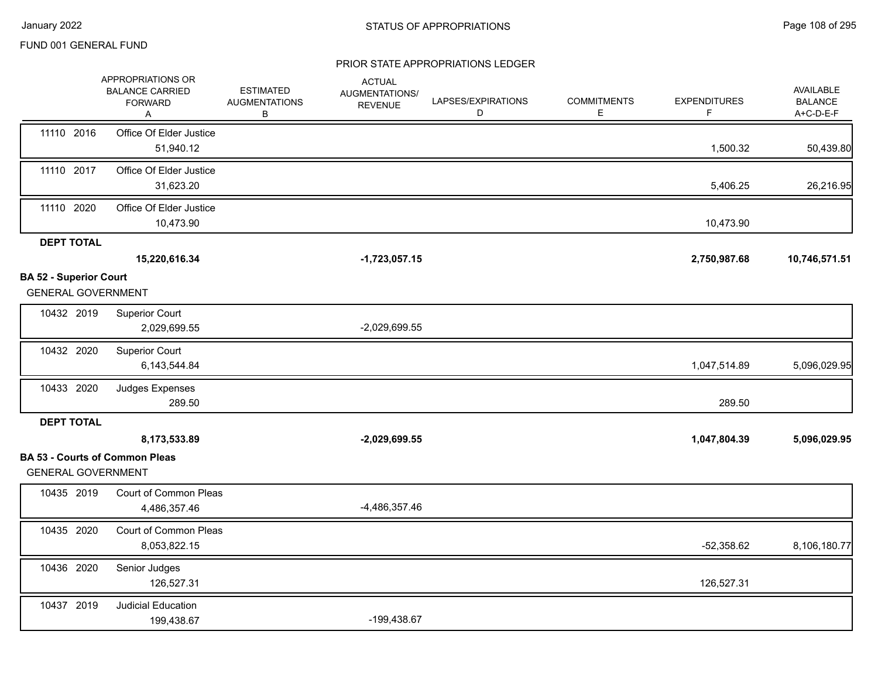|                                                            | APPROPRIATIONS OR<br><b>BALANCE CARRIED</b><br><b>FORWARD</b><br>Α | <b>ESTIMATED</b><br><b>AUGMENTATIONS</b><br>В | <b>ACTUAL</b><br>AUGMENTATIONS/<br><b>REVENUE</b> | LAPSES/EXPIRATIONS<br>D | <b>COMMITMENTS</b><br>Ε | <b>EXPENDITURES</b><br>F | <b>AVAILABLE</b><br><b>BALANCE</b><br>A+C-D-E-F |
|------------------------------------------------------------|--------------------------------------------------------------------|-----------------------------------------------|---------------------------------------------------|-------------------------|-------------------------|--------------------------|-------------------------------------------------|
| 11110 2016                                                 | Office Of Elder Justice<br>51,940.12                               |                                               |                                                   |                         |                         | 1,500.32                 | 50,439.80                                       |
| 11110 2017                                                 | Office Of Elder Justice<br>31,623.20                               |                                               |                                                   |                         |                         | 5,406.25                 | 26,216.95                                       |
| 11110 2020                                                 | Office Of Elder Justice<br>10,473.90                               |                                               |                                                   |                         |                         | 10,473.90                |                                                 |
| <b>DEPT TOTAL</b>                                          |                                                                    |                                               |                                                   |                         |                         |                          |                                                 |
|                                                            | 15,220,616.34                                                      |                                               | $-1,723,057.15$                                   |                         |                         | 2,750,987.68             | 10,746,571.51                                   |
| <b>BA 52 - Superior Court</b><br><b>GENERAL GOVERNMENT</b> |                                                                    |                                               |                                                   |                         |                         |                          |                                                 |
| 10432 2019                                                 | <b>Superior Court</b><br>2,029,699.55                              |                                               | $-2,029,699.55$                                   |                         |                         |                          |                                                 |
| 10432 2020                                                 | <b>Superior Court</b><br>6,143,544.84                              |                                               |                                                   |                         |                         | 1,047,514.89             | 5,096,029.95                                    |
| 10433 2020                                                 | Judges Expenses<br>289.50                                          |                                               |                                                   |                         |                         | 289.50                   |                                                 |
| <b>DEPT TOTAL</b>                                          |                                                                    |                                               |                                                   |                         |                         |                          |                                                 |
|                                                            | 8,173,533.89                                                       |                                               | $-2,029,699.55$                                   |                         |                         | 1,047,804.39             | 5,096,029.95                                    |
| <b>GENERAL GOVERNMENT</b>                                  | <b>BA 53 - Courts of Common Pleas</b>                              |                                               |                                                   |                         |                         |                          |                                                 |
| 10435 2019                                                 | Court of Common Pleas<br>4,486,357.46                              |                                               | $-4,486,357.46$                                   |                         |                         |                          |                                                 |
| 10435 2020                                                 | Court of Common Pleas<br>8,053,822.15                              |                                               |                                                   |                         |                         | $-52,358.62$             | 8,106,180.77                                    |
| 10436 2020                                                 | Senior Judges<br>126,527.31                                        |                                               |                                                   |                         |                         | 126,527.31               |                                                 |
| 10437 2019                                                 | <b>Judicial Education</b><br>199,438.67                            |                                               | -199,438.67                                       |                         |                         |                          |                                                 |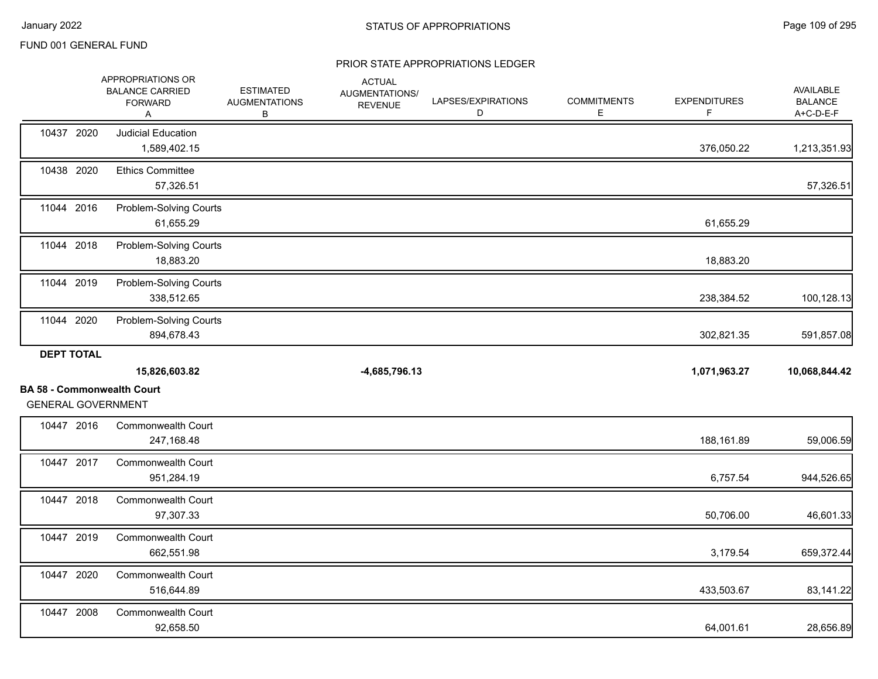#### PRIOR STATE APPROPRIATIONS LEDGER

|                                                                | APPROPRIATIONS OR<br><b>BALANCE CARRIED</b><br><b>FORWARD</b><br>Α | <b>ESTIMATED</b><br><b>AUGMENTATIONS</b><br>В | <b>ACTUAL</b><br>AUGMENTATIONS/<br><b>REVENUE</b> | LAPSES/EXPIRATIONS<br>D | <b>COMMITMENTS</b><br>Е | <b>EXPENDITURES</b><br>F | AVAILABLE<br><b>BALANCE</b><br>A+C-D-E-F              |
|----------------------------------------------------------------|--------------------------------------------------------------------|-----------------------------------------------|---------------------------------------------------|-------------------------|-------------------------|--------------------------|-------------------------------------------------------|
| 10437 2020                                                     | <b>Judicial Education</b><br>1,589,402.15                          |                                               |                                                   |                         |                         | 376,050.22               | 1,213,351.93                                          |
| 10438 2020                                                     | <b>Ethics Committee</b><br>57,326.51                               |                                               |                                                   |                         |                         |                          | 57,326.51                                             |
| 11044 2016                                                     | Problem-Solving Courts<br>61,655.29                                |                                               |                                                   |                         |                         | 61,655.29                |                                                       |
| 11044 2018                                                     | <b>Problem-Solving Courts</b><br>18,883.20                         |                                               |                                                   |                         |                         | 18,883.20                |                                                       |
| 11044 2019                                                     | Problem-Solving Courts<br>338,512.65                               |                                               |                                                   |                         |                         | 238,384.52               | 100,128.13                                            |
| 11044 2020                                                     | Problem-Solving Courts<br>894,678.43                               |                                               |                                                   |                         |                         | 302,821.35               | 591,857.08                                            |
| <b>DEPT TOTAL</b>                                              |                                                                    |                                               |                                                   |                         |                         |                          |                                                       |
|                                                                |                                                                    |                                               |                                                   |                         |                         |                          |                                                       |
|                                                                | 15,826,603.82                                                      |                                               | $-4,685,796.13$                                   |                         |                         | 1,071,963.27             |                                                       |
| <b>BA 58 - Commonwealth Court</b><br><b>GENERAL GOVERNMENT</b> |                                                                    |                                               |                                                   |                         |                         |                          |                                                       |
| 10447 2016                                                     | <b>Commonwealth Court</b><br>247,168.48                            |                                               |                                                   |                         |                         | 188,161.89               |                                                       |
| 10447 2017                                                     | <b>Commonwealth Court</b><br>951,284.19                            |                                               |                                                   |                         |                         | 6,757.54                 |                                                       |
| 10447 2018                                                     | Commonwealth Court<br>97,307.33                                    |                                               |                                                   |                         |                         | 50,706.00                | 10,068,844.42<br>59,006.59<br>944,526.65<br>46,601.33 |
| 10447 2019                                                     | <b>Commonwealth Court</b><br>662,551.98                            |                                               |                                                   |                         |                         | 3,179.54                 | 659,372.44                                            |
| 10447 2020                                                     | <b>Commonwealth Court</b><br>516,644.89                            |                                               |                                                   |                         |                         | 433,503.67               | 83,141.22                                             |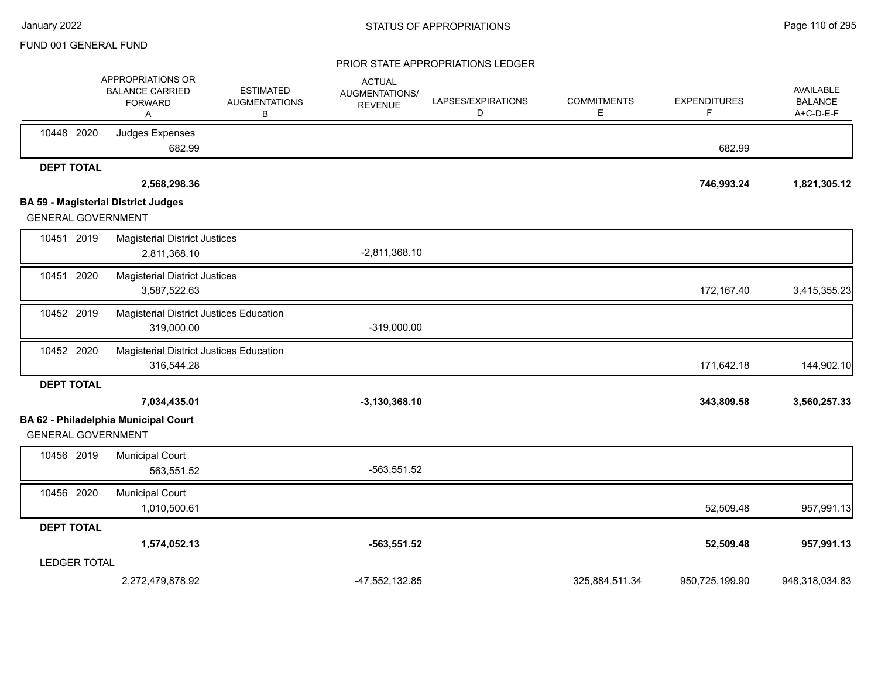#### PRIOR STATE APPROPRIATIONS LEDGER

|                           | APPROPRIATIONS OR<br><b>BALANCE CARRIED</b><br><b>FORWARD</b><br>Α | <b>ESTIMATED</b><br><b>AUGMENTATIONS</b><br>В | <b>ACTUAL</b><br>AUGMENTATIONS/<br><b>REVENUE</b> | LAPSES/EXPIRATIONS<br>D | <b>COMMITMENTS</b><br>Е | <b>EXPENDITURES</b><br>F | AVAILABLE<br><b>BALANCE</b><br>A+C-D-E-F |
|---------------------------|--------------------------------------------------------------------|-----------------------------------------------|---------------------------------------------------|-------------------------|-------------------------|--------------------------|------------------------------------------|
| 10448 2020                | Judges Expenses<br>682.99                                          |                                               |                                                   |                         |                         | 682.99                   |                                          |
| <b>DEPT TOTAL</b>         | 2,568,298.36                                                       |                                               |                                                   |                         |                         | 746,993.24               | 1,821,305.12                             |
|                           | <b>BA 59 - Magisterial District Judges</b>                         |                                               |                                                   |                         |                         |                          |                                          |
| <b>GENERAL GOVERNMENT</b> |                                                                    |                                               |                                                   |                         |                         |                          |                                          |
| 10451 2019                | <b>Magisterial District Justices</b><br>2,811,368.10               |                                               | $-2,811,368.10$                                   |                         |                         |                          |                                          |
| 10451 2020                | <b>Magisterial District Justices</b><br>3,587,522.63               |                                               |                                                   |                         |                         | 172,167.40               | 3,415,355.23                             |
| 10452 2019                | <b>Magisterial District Justices Education</b><br>319,000.00       |                                               | $-319,000.00$                                     |                         |                         |                          |                                          |
| 10452 2020                | Magisterial District Justices Education<br>316,544.28              |                                               |                                                   |                         |                         | 171,642.18               | 144,902.10                               |
| <b>DEPT TOTAL</b>         |                                                                    |                                               |                                                   |                         |                         |                          |                                          |
|                           | 7,034,435.01                                                       |                                               | $-3,130,368.10$                                   |                         |                         | 343,809.58               | 3,560,257.33                             |
|                           | <b>BA 62 - Philadelphia Municipal Court</b>                        |                                               |                                                   |                         |                         |                          |                                          |
| <b>GENERAL GOVERNMENT</b> |                                                                    |                                               |                                                   |                         |                         |                          |                                          |
| 10456 2019                | <b>Municipal Court</b><br>563,551.52                               |                                               | $-563,551.52$                                     |                         |                         |                          |                                          |
| 10456 2020                | <b>Municipal Court</b><br>1,010,500.61                             |                                               |                                                   |                         |                         | 52,509.48                | 957,991.13                               |
| <b>DEPT TOTAL</b>         |                                                                    |                                               |                                                   |                         |                         |                          |                                          |
|                           | 1,574,052.13                                                       |                                               | $-563,551.52$                                     |                         |                         | 52,509.48                | 957,991.13                               |
| <b>LEDGER TOTAL</b>       |                                                                    |                                               |                                                   |                         |                         |                          |                                          |
|                           | 2,272,479,878.92                                                   |                                               | -47,552,132.85                                    |                         | 325,884,511.34          | 950,725,199.90           | 948,318,034.83                           |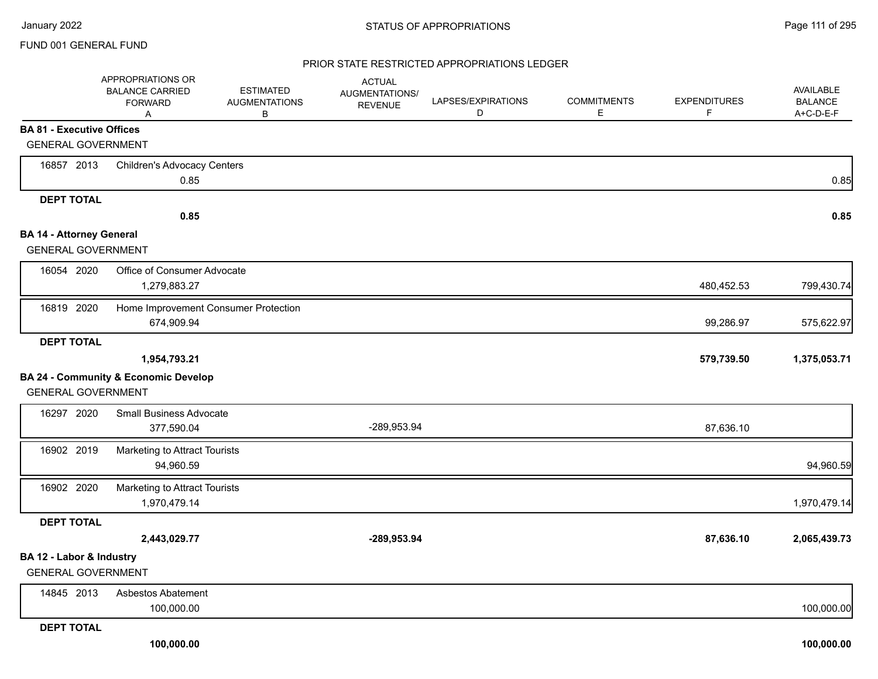#### PRIOR STATE RESTRICTED APPROPRIATIONS LEDGER

|                                  | APPROPRIATIONS OR<br><b>BALANCE CARRIED</b><br><b>FORWARD</b><br>Α | <b>ESTIMATED</b><br><b>AUGMENTATIONS</b><br>В | <b>ACTUAL</b><br><b>AUGMENTATIONS/</b><br><b>REVENUE</b> | LAPSES/EXPIRATIONS<br>D | <b>COMMITMENTS</b><br>E | <b>EXPENDITURES</b><br>F | <b>AVAILABLE</b><br><b>BALANCE</b><br>A+C-D-E-F |
|----------------------------------|--------------------------------------------------------------------|-----------------------------------------------|----------------------------------------------------------|-------------------------|-------------------------|--------------------------|-------------------------------------------------|
| <b>BA 81 - Executive Offices</b> |                                                                    |                                               |                                                          |                         |                         |                          |                                                 |
| <b>GENERAL GOVERNMENT</b>        |                                                                    |                                               |                                                          |                         |                         |                          |                                                 |
| 16857 2013                       | <b>Children's Advocacy Centers</b>                                 |                                               |                                                          |                         |                         |                          |                                                 |
|                                  | 0.85                                                               |                                               |                                                          |                         |                         |                          | 0.85                                            |
| <b>DEPT TOTAL</b>                |                                                                    |                                               |                                                          |                         |                         |                          |                                                 |
|                                  | 0.85                                                               |                                               |                                                          |                         |                         |                          | 0.85                                            |
| <b>BA 14 - Attorney General</b>  |                                                                    |                                               |                                                          |                         |                         |                          |                                                 |
| <b>GENERAL GOVERNMENT</b>        |                                                                    |                                               |                                                          |                         |                         |                          |                                                 |
| 16054 2020                       | Office of Consumer Advocate<br>1,279,883.27                        |                                               |                                                          |                         |                         | 480,452.53               | 799,430.74                                      |
| 16819 2020                       | Home Improvement Consumer Protection<br>674,909.94                 |                                               |                                                          |                         |                         | 99,286.97                | 575,622.97                                      |
| <b>DEPT TOTAL</b>                |                                                                    |                                               |                                                          |                         |                         |                          |                                                 |
|                                  | 1,954,793.21                                                       |                                               |                                                          |                         |                         | 579,739.50               | 1,375,053.71                                    |
|                                  | <b>BA 24 - Community &amp; Economic Develop</b>                    |                                               |                                                          |                         |                         |                          |                                                 |
| <b>GENERAL GOVERNMENT</b>        |                                                                    |                                               |                                                          |                         |                         |                          |                                                 |
| 16297 2020                       | <b>Small Business Advocate</b>                                     |                                               |                                                          |                         |                         |                          |                                                 |
|                                  | 377,590.04                                                         |                                               | -289,953.94                                              |                         |                         | 87,636.10                |                                                 |
| 16902 2019                       | Marketing to Attract Tourists<br>94,960.59                         |                                               |                                                          |                         |                         |                          | 94,960.59                                       |
| 16902 2020                       | Marketing to Attract Tourists<br>1,970,479.14                      |                                               |                                                          |                         |                         |                          | 1,970,479.14                                    |
| <b>DEPT TOTAL</b>                |                                                                    |                                               |                                                          |                         |                         |                          |                                                 |
|                                  | 2,443,029.77                                                       |                                               | -289,953.94                                              |                         |                         | 87,636.10                | 2,065,439.73                                    |
| BA 12 - Labor & Industry         |                                                                    |                                               |                                                          |                         |                         |                          |                                                 |
| <b>GENERAL GOVERNMENT</b>        |                                                                    |                                               |                                                          |                         |                         |                          |                                                 |
| 14845 2013                       | Asbestos Abatement                                                 |                                               |                                                          |                         |                         |                          |                                                 |
|                                  | 100,000.00                                                         |                                               |                                                          |                         |                         |                          | 100,000.00                                      |
| <b>DEDT TOTAL</b>                |                                                                    |                                               |                                                          |                         |                         |                          |                                                 |

**DEPT TOTAL**

 **100,000.00 100,000.00**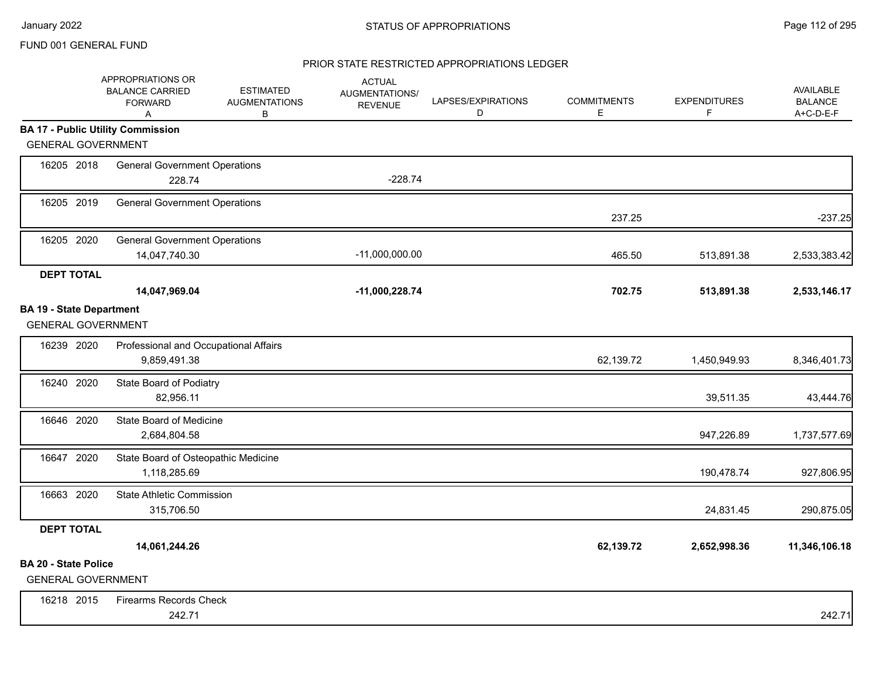# PRIOR STATE RESTRICTED APPROPRIATIONS LEDGER

|                                                              | APPROPRIATIONS OR<br><b>BALANCE CARRIED</b><br><b>FORWARD</b><br>Α | <b>ESTIMATED</b><br><b>AUGMENTATIONS</b><br>В | <b>ACTUAL</b><br>AUGMENTATIONS/<br><b>REVENUE</b> | LAPSES/EXPIRATIONS<br>D | <b>COMMITMENTS</b><br>E | <b>EXPENDITURES</b><br>F | <b>AVAILABLE</b><br><b>BALANCE</b><br>A+C-D-E-F |
|--------------------------------------------------------------|--------------------------------------------------------------------|-----------------------------------------------|---------------------------------------------------|-------------------------|-------------------------|--------------------------|-------------------------------------------------|
|                                                              | <b>BA 17 - Public Utility Commission</b>                           |                                               |                                                   |                         |                         |                          |                                                 |
| <b>GENERAL GOVERNMENT</b>                                    |                                                                    |                                               |                                                   |                         |                         |                          |                                                 |
| 16205 2018                                                   | <b>General Government Operations</b><br>228.74                     |                                               | $-228.74$                                         |                         |                         |                          |                                                 |
| 16205 2019                                                   | <b>General Government Operations</b>                               |                                               |                                                   |                         | 237.25                  |                          | $-237.25$                                       |
| 16205 2020                                                   | <b>General Government Operations</b><br>14,047,740.30              |                                               | $-11,000,000.00$                                  |                         | 465.50                  | 513,891.38               | 2,533,383.42                                    |
| <b>DEPT TOTAL</b>                                            | 14,047,969.04                                                      |                                               | -11,000,228.74                                    |                         | 702.75                  | 513,891.38               | 2,533,146.17                                    |
| <b>BA 19 - State Department</b><br><b>GENERAL GOVERNMENT</b> |                                                                    |                                               |                                                   |                         |                         |                          |                                                 |
| 16239 2020                                                   | Professional and Occupational Affairs<br>9,859,491.38              |                                               |                                                   |                         | 62,139.72               | 1,450,949.93             | 8,346,401.73                                    |
| 16240 2020                                                   | State Board of Podiatry<br>82,956.11                               |                                               |                                                   |                         |                         | 39,511.35                | 43,444.76                                       |
| 16646 2020                                                   | State Board of Medicine<br>2,684,804.58                            |                                               |                                                   |                         |                         | 947,226.89               | 1,737,577.69                                    |
| 16647 2020                                                   | State Board of Osteopathic Medicine<br>1,118,285.69                |                                               |                                                   |                         |                         | 190,478.74               | 927,806.95                                      |
| 16663 2020                                                   | <b>State Athletic Commission</b><br>315,706.50                     |                                               |                                                   |                         |                         | 24,831.45                | 290,875.05                                      |
| <b>DEPT TOTAL</b>                                            | 14,061,244.26                                                      |                                               |                                                   |                         | 62,139.72               | 2,652,998.36             | 11,346,106.18                                   |
| <b>BA 20 - State Police</b><br><b>GENERAL GOVERNMENT</b>     |                                                                    |                                               |                                                   |                         |                         |                          |                                                 |
| 16218 2015                                                   | <b>Firearms Records Check</b><br>242.71                            |                                               |                                                   |                         |                         |                          | 242.71                                          |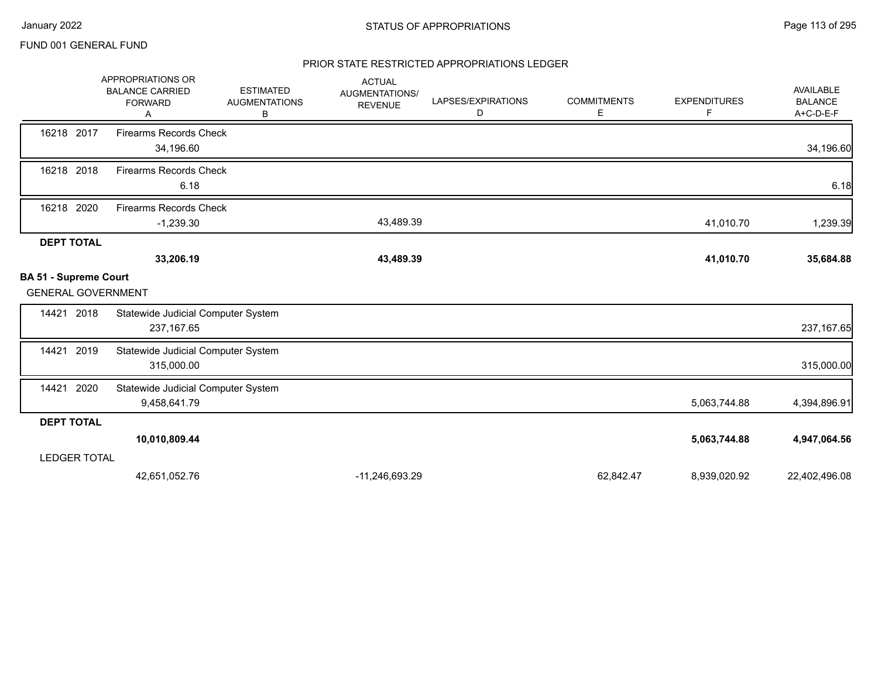## PRIOR STATE RESTRICTED APPROPRIATIONS LEDGER

|                                                           | APPROPRIATIONS OR<br><b>BALANCE CARRIED</b><br><b>FORWARD</b><br>A | <b>ESTIMATED</b><br><b>AUGMENTATIONS</b><br>В | <b>ACTUAL</b><br>AUGMENTATIONS/<br><b>REVENUE</b> | LAPSES/EXPIRATIONS<br>D | <b>COMMITMENTS</b><br>Е | <b>EXPENDITURES</b><br>F | AVAILABLE<br><b>BALANCE</b><br>A+C-D-E-F |
|-----------------------------------------------------------|--------------------------------------------------------------------|-----------------------------------------------|---------------------------------------------------|-------------------------|-------------------------|--------------------------|------------------------------------------|
| 16218 2017                                                | <b>Firearms Records Check</b><br>34,196.60                         |                                               |                                                   |                         |                         |                          | 34,196.60                                |
| 16218 2018                                                | <b>Firearms Records Check</b><br>6.18                              |                                               |                                                   |                         |                         |                          | 6.18                                     |
| 16218 2020                                                | <b>Firearms Records Check</b><br>$-1,239.30$                       |                                               | 43,489.39                                         |                         |                         | 41,010.70                | 1,239.39                                 |
| <b>DEPT TOTAL</b>                                         | 33,206.19                                                          |                                               | 43,489.39                                         |                         |                         | 41,010.70                | 35,684.88                                |
| <b>BA 51 - Supreme Court</b><br><b>GENERAL GOVERNMENT</b> |                                                                    |                                               |                                                   |                         |                         |                          |                                          |
| 2018<br>14421                                             | Statewide Judicial Computer System<br>237, 167.65                  |                                               |                                                   |                         |                         |                          | 237, 167.65                              |
| 2019<br>14421                                             | Statewide Judicial Computer System<br>315,000.00                   |                                               |                                                   |                         |                         |                          | 315,000.00                               |
| 2020<br>14421                                             | Statewide Judicial Computer System<br>9,458,641.79                 |                                               |                                                   |                         |                         | 5,063,744.88             | 4,394,896.91                             |
| <b>DEPT TOTAL</b>                                         |                                                                    |                                               |                                                   |                         |                         |                          |                                          |
|                                                           | 10,010,809.44                                                      |                                               |                                                   |                         |                         | 5,063,744.88             | 4,947,064.56                             |
| <b>LEDGER TOTAL</b>                                       |                                                                    |                                               |                                                   |                         |                         |                          |                                          |
|                                                           | 42,651,052.76                                                      |                                               | -11,246,693.29                                    |                         | 62,842.47               | 8,939,020.92             | 22,402,496.08                            |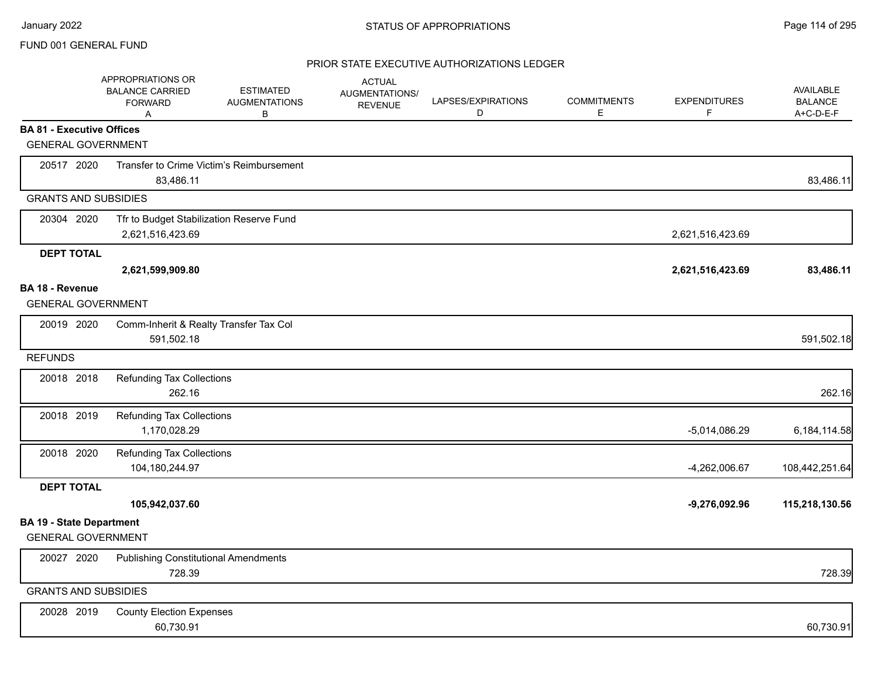## PRIOR STATE EXECUTIVE AUTHORIZATIONS LEDGER

|                                  | APPROPRIATIONS OR<br><b>BALANCE CARRIED</b><br><b>FORWARD</b><br>A | <b>ESTIMATED</b><br><b>AUGMENTATIONS</b><br>B | <b>ACTUAL</b><br><b>AUGMENTATIONS/</b><br><b>REVENUE</b> | LAPSES/EXPIRATIONS<br>D | <b>COMMITMENTS</b><br>Е | <b>EXPENDITURES</b><br>F | <b>AVAILABLE</b><br><b>BALANCE</b><br>A+C-D-E-F |
|----------------------------------|--------------------------------------------------------------------|-----------------------------------------------|----------------------------------------------------------|-------------------------|-------------------------|--------------------------|-------------------------------------------------|
| <b>BA 81 - Executive Offices</b> |                                                                    |                                               |                                                          |                         |                         |                          |                                                 |
| <b>GENERAL GOVERNMENT</b>        |                                                                    |                                               |                                                          |                         |                         |                          |                                                 |
| 20517 2020                       |                                                                    | Transfer to Crime Victim's Reimbursement      |                                                          |                         |                         |                          |                                                 |
|                                  | 83,486.11                                                          |                                               |                                                          |                         |                         |                          | 83,486.11                                       |
| <b>GRANTS AND SUBSIDIES</b>      |                                                                    |                                               |                                                          |                         |                         |                          |                                                 |
| 20304 2020                       | Tfr to Budget Stabilization Reserve Fund                           |                                               |                                                          |                         |                         |                          |                                                 |
|                                  | 2,621,516,423.69                                                   |                                               |                                                          |                         |                         | 2,621,516,423.69         |                                                 |
| <b>DEPT TOTAL</b>                |                                                                    |                                               |                                                          |                         |                         |                          |                                                 |
|                                  | 2,621,599,909.80                                                   |                                               |                                                          |                         |                         | 2,621,516,423.69         | 83,486.11                                       |
| BA 18 - Revenue                  |                                                                    |                                               |                                                          |                         |                         |                          |                                                 |
| <b>GENERAL GOVERNMENT</b>        |                                                                    |                                               |                                                          |                         |                         |                          |                                                 |
| 20019 2020                       | Comm-Inherit & Realty Transfer Tax Col                             |                                               |                                                          |                         |                         |                          |                                                 |
|                                  | 591,502.18                                                         |                                               |                                                          |                         |                         |                          | 591,502.18                                      |
| <b>REFUNDS</b>                   |                                                                    |                                               |                                                          |                         |                         |                          |                                                 |
| 20018 2018                       | <b>Refunding Tax Collections</b>                                   |                                               |                                                          |                         |                         |                          |                                                 |
|                                  | 262.16                                                             |                                               |                                                          |                         |                         |                          | 262.16                                          |
| 20018 2019                       | <b>Refunding Tax Collections</b>                                   |                                               |                                                          |                         |                         |                          |                                                 |
|                                  | 1,170,028.29                                                       |                                               |                                                          |                         |                         | $-5,014,086.29$          | 6,184,114.58                                    |
| 20018 2020                       | <b>Refunding Tax Collections</b>                                   |                                               |                                                          |                         |                         |                          |                                                 |
|                                  | 104,180,244.97                                                     |                                               |                                                          |                         |                         | $-4,262,006.67$          | 108,442,251.64                                  |
| <b>DEPT TOTAL</b>                |                                                                    |                                               |                                                          |                         |                         |                          |                                                 |
|                                  | 105,942,037.60                                                     |                                               |                                                          |                         |                         | $-9,276,092.96$          | 115,218,130.56                                  |
| <b>BA 19 - State Department</b>  |                                                                    |                                               |                                                          |                         |                         |                          |                                                 |
| <b>GENERAL GOVERNMENT</b>        |                                                                    |                                               |                                                          |                         |                         |                          |                                                 |
| 20027 2020                       | <b>Publishing Constitutional Amendments</b>                        |                                               |                                                          |                         |                         |                          |                                                 |
|                                  | 728.39                                                             |                                               |                                                          |                         |                         |                          | 728.39                                          |
| <b>GRANTS AND SUBSIDIES</b>      |                                                                    |                                               |                                                          |                         |                         |                          |                                                 |
| 20028 2019                       | <b>County Election Expenses</b>                                    |                                               |                                                          |                         |                         |                          |                                                 |
|                                  | 60,730.91                                                          |                                               |                                                          |                         |                         |                          | 60,730.91                                       |
|                                  |                                                                    |                                               |                                                          |                         |                         |                          |                                                 |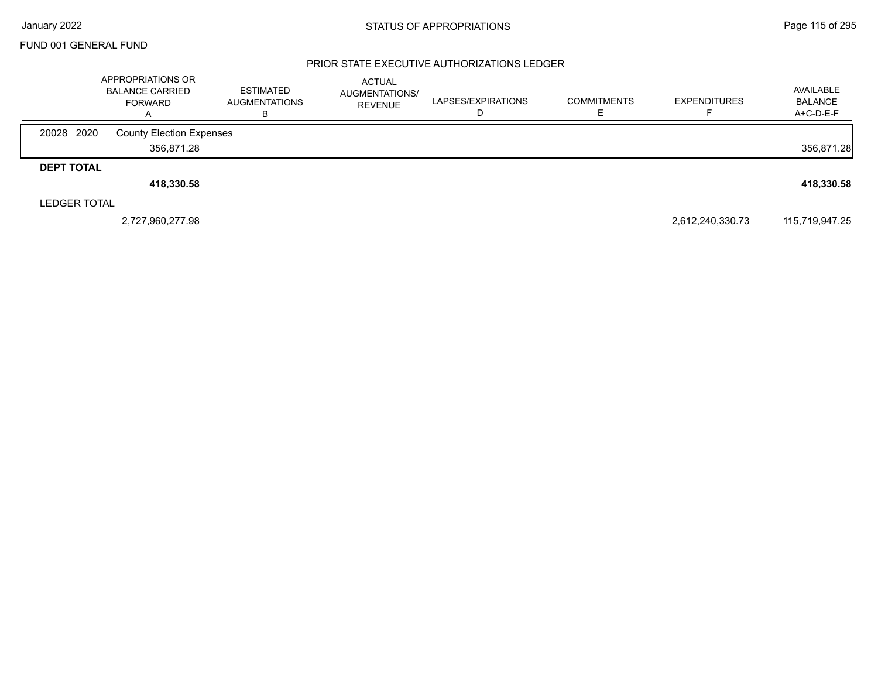## PRIOR STATE EXECUTIVE AUTHORIZATIONS LEDGER

|                     | APPROPRIATIONS OR<br><b>BALANCE CARRIED</b><br><b>FORWARD</b><br>$\overline{A}$ | <b>ESTIMATED</b><br><b>AUGMENTATIONS</b><br>в | <b>ACTUAL</b><br>AUGMENTATIONS/<br><b>REVENUE</b> | LAPSES/EXPIRATIONS<br>ш | <b>COMMITMENTS</b> | <b>EXPENDITURES</b> | AVAILABLE<br><b>BALANCE</b><br>A+C-D-E-F |
|---------------------|---------------------------------------------------------------------------------|-----------------------------------------------|---------------------------------------------------|-------------------------|--------------------|---------------------|------------------------------------------|
| 20028 2020          | <b>County Election Expenses</b>                                                 |                                               |                                                   |                         |                    |                     |                                          |
|                     | 356,871.28                                                                      |                                               |                                                   |                         |                    |                     | 356,871.28                               |
| <b>DEPT TOTAL</b>   |                                                                                 |                                               |                                                   |                         |                    |                     |                                          |
|                     | 418,330.58                                                                      |                                               |                                                   |                         |                    |                     | 418,330.58                               |
| <b>LEDGER TOTAL</b> |                                                                                 |                                               |                                                   |                         |                    |                     |                                          |
|                     | 2,727,960,277.98                                                                |                                               |                                                   |                         |                    | 2,612,240,330.73    | 115,719,947.25                           |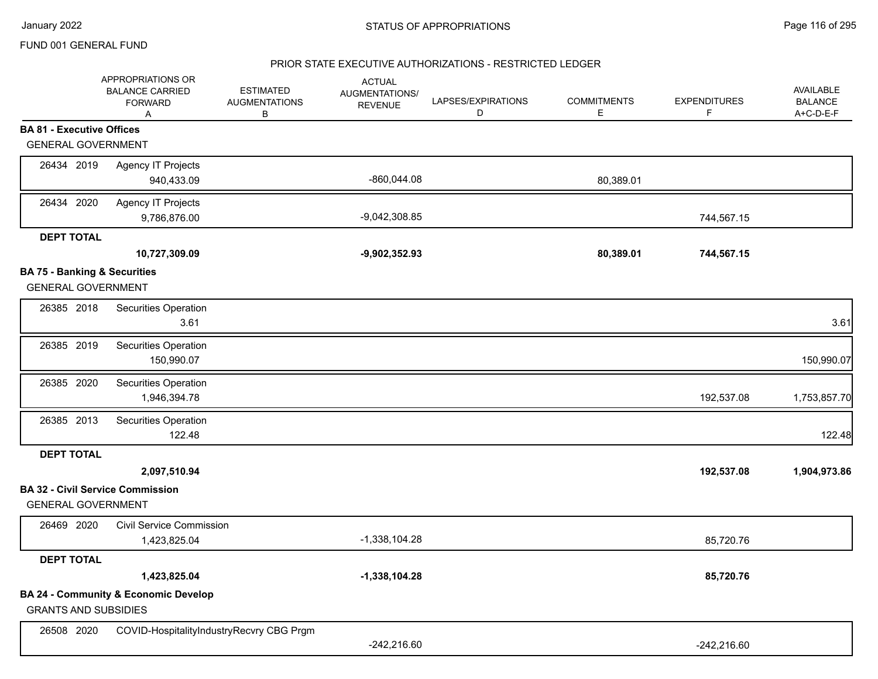## PRIOR STATE EXECUTIVE AUTHORIZATIONS - RESTRICTED LEDGER

|                                         | APPROPRIATIONS OR<br><b>BALANCE CARRIED</b><br><b>FORWARD</b><br>Α | <b>ESTIMATED</b><br><b>AUGMENTATIONS</b><br>В | <b>ACTUAL</b><br>AUGMENTATIONS/<br><b>REVENUE</b> | LAPSES/EXPIRATIONS<br>D | <b>COMMITMENTS</b><br>Е | <b>EXPENDITURES</b><br>F. | AVAILABLE<br><b>BALANCE</b><br>A+C-D-E-F |
|-----------------------------------------|--------------------------------------------------------------------|-----------------------------------------------|---------------------------------------------------|-------------------------|-------------------------|---------------------------|------------------------------------------|
| <b>BA 81 - Executive Offices</b>        |                                                                    |                                               |                                                   |                         |                         |                           |                                          |
| <b>GENERAL GOVERNMENT</b>               |                                                                    |                                               |                                                   |                         |                         |                           |                                          |
| 26434 2019                              | <b>Agency IT Projects</b><br>940,433.09                            |                                               | $-860,044.08$                                     |                         | 80,389.01               |                           |                                          |
| 26434 2020                              | <b>Agency IT Projects</b><br>9,786,876.00                          |                                               | $-9,042,308.85$                                   |                         |                         | 744,567.15                |                                          |
| <b>DEPT TOTAL</b>                       |                                                                    |                                               |                                                   |                         |                         |                           |                                          |
|                                         | 10,727,309.09                                                      |                                               | $-9,902,352.93$                                   |                         | 80,389.01               | 744,567.15                |                                          |
| <b>BA 75 - Banking &amp; Securities</b> |                                                                    |                                               |                                                   |                         |                         |                           |                                          |
| <b>GENERAL GOVERNMENT</b>               |                                                                    |                                               |                                                   |                         |                         |                           |                                          |
| 26385 2018                              | Securities Operation<br>3.61                                       |                                               |                                                   |                         |                         |                           | 3.61                                     |
| 26385 2019                              | Securities Operation<br>150,990.07                                 |                                               |                                                   |                         |                         |                           | 150,990.07                               |
| 26385 2020                              | Securities Operation<br>1,946,394.78                               |                                               |                                                   |                         |                         | 192,537.08                | 1,753,857.70                             |
| 26385 2013                              | Securities Operation<br>122.48                                     |                                               |                                                   |                         |                         |                           | 122.48                                   |
| <b>DEPT TOTAL</b>                       |                                                                    |                                               |                                                   |                         |                         |                           |                                          |
|                                         | 2,097,510.94                                                       |                                               |                                                   |                         |                         | 192,537.08                | 1,904,973.86                             |
| <b>GENERAL GOVERNMENT</b>               | <b>BA 32 - Civil Service Commission</b>                            |                                               |                                                   |                         |                         |                           |                                          |
| 26469 2020                              | <b>Civil Service Commission</b><br>1,423,825.04                    |                                               | $-1,338,104.28$                                   |                         |                         | 85,720.76                 |                                          |
| <b>DEPT TOTAL</b>                       |                                                                    |                                               |                                                   |                         |                         |                           |                                          |
|                                         | 1,423,825.04                                                       |                                               | $-1,338,104.28$                                   |                         |                         | 85,720.76                 |                                          |
| <b>GRANTS AND SUBSIDIES</b>             | <b>BA 24 - Community &amp; Economic Develop</b>                    |                                               |                                                   |                         |                         |                           |                                          |
| 26508 2020                              | COVID-HospitalityIndustryRecvry CBG Prgm                           |                                               | $-242,216.60$                                     |                         |                         | $-242,216.60$             |                                          |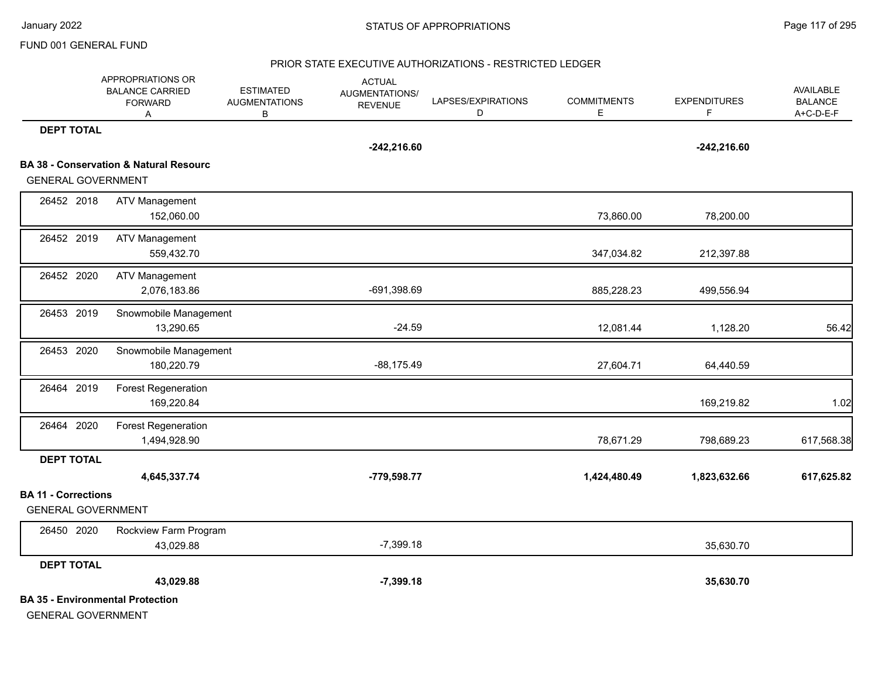#### PRIOR STATE EXECUTIVE AUTHORIZATIONS - RESTRICTED LEDGER

|                            | APPROPRIATIONS OR<br><b>BALANCE CARRIED</b><br><b>FORWARD</b><br>Α | <b>ESTIMATED</b><br><b>AUGMENTATIONS</b><br>В | <b>ACTUAL</b><br>AUGMENTATIONS/<br><b>REVENUE</b> | LAPSES/EXPIRATIONS<br>D | <b>COMMITMENTS</b><br>E | <b>EXPENDITURES</b><br>F. | <b>AVAILABLE</b><br><b>BALANCE</b><br>A+C-D-E-F |
|----------------------------|--------------------------------------------------------------------|-----------------------------------------------|---------------------------------------------------|-------------------------|-------------------------|---------------------------|-------------------------------------------------|
| <b>DEPT TOTAL</b>          |                                                                    |                                               |                                                   |                         |                         |                           |                                                 |
|                            |                                                                    |                                               | $-242,216.60$                                     |                         |                         | $-242,216.60$             |                                                 |
|                            | <b>BA 38 - Conservation &amp; Natural Resourc</b>                  |                                               |                                                   |                         |                         |                           |                                                 |
| <b>GENERAL GOVERNMENT</b>  |                                                                    |                                               |                                                   |                         |                         |                           |                                                 |
| 26452 2018                 | <b>ATV Management</b>                                              |                                               |                                                   |                         |                         |                           |                                                 |
|                            | 152,060.00                                                         |                                               |                                                   |                         | 73,860.00               | 78,200.00                 |                                                 |
| 26452 2019                 | <b>ATV Management</b>                                              |                                               |                                                   |                         |                         |                           |                                                 |
|                            | 559,432.70                                                         |                                               |                                                   |                         | 347,034.82              | 212,397.88                |                                                 |
| 26452 2020                 | <b>ATV Management</b>                                              |                                               |                                                   |                         |                         |                           |                                                 |
|                            | 2,076,183.86                                                       |                                               | -691,398.69                                       |                         | 885,228.23              | 499,556.94                |                                                 |
| 26453 2019                 | Snowmobile Management                                              |                                               |                                                   |                         |                         |                           |                                                 |
|                            | 13,290.65                                                          |                                               | $-24.59$                                          |                         | 12,081.44               | 1,128.20                  | 56.42                                           |
| 26453 2020                 | Snowmobile Management                                              |                                               |                                                   |                         |                         |                           |                                                 |
|                            | 180,220.79                                                         |                                               | $-88,175.49$                                      |                         | 27,604.71               | 64,440.59                 |                                                 |
| 26464 2019                 | <b>Forest Regeneration</b>                                         |                                               |                                                   |                         |                         |                           |                                                 |
|                            | 169,220.84                                                         |                                               |                                                   |                         |                         | 169,219.82                | 1.02                                            |
| 26464 2020                 | <b>Forest Regeneration</b>                                         |                                               |                                                   |                         |                         |                           |                                                 |
|                            | 1,494,928.90                                                       |                                               |                                                   |                         | 78,671.29               | 798,689.23                | 617,568.38                                      |
| <b>DEPT TOTAL</b>          |                                                                    |                                               |                                                   |                         |                         |                           |                                                 |
|                            | 4,645,337.74                                                       |                                               | -779,598.77                                       |                         | 1,424,480.49            | 1,823,632.66              | 617,625.82                                      |
| <b>BA 11 - Corrections</b> |                                                                    |                                               |                                                   |                         |                         |                           |                                                 |
| <b>GENERAL GOVERNMENT</b>  |                                                                    |                                               |                                                   |                         |                         |                           |                                                 |
| 26450 2020                 | Rockview Farm Program                                              |                                               |                                                   |                         |                         |                           |                                                 |
|                            | 43,029.88                                                          |                                               | $-7,399.18$                                       |                         |                         | 35,630.70                 |                                                 |
| <b>DEPT TOTAL</b>          |                                                                    |                                               |                                                   |                         |                         |                           |                                                 |
|                            | 43,029.88                                                          |                                               | $-7,399.18$                                       |                         |                         | 35,630.70                 |                                                 |
|                            | <b>BA 35 - Environmental Protection</b>                            |                                               |                                                   |                         |                         |                           |                                                 |
| <b>GENERAL GOVERNMENT</b>  |                                                                    |                                               |                                                   |                         |                         |                           |                                                 |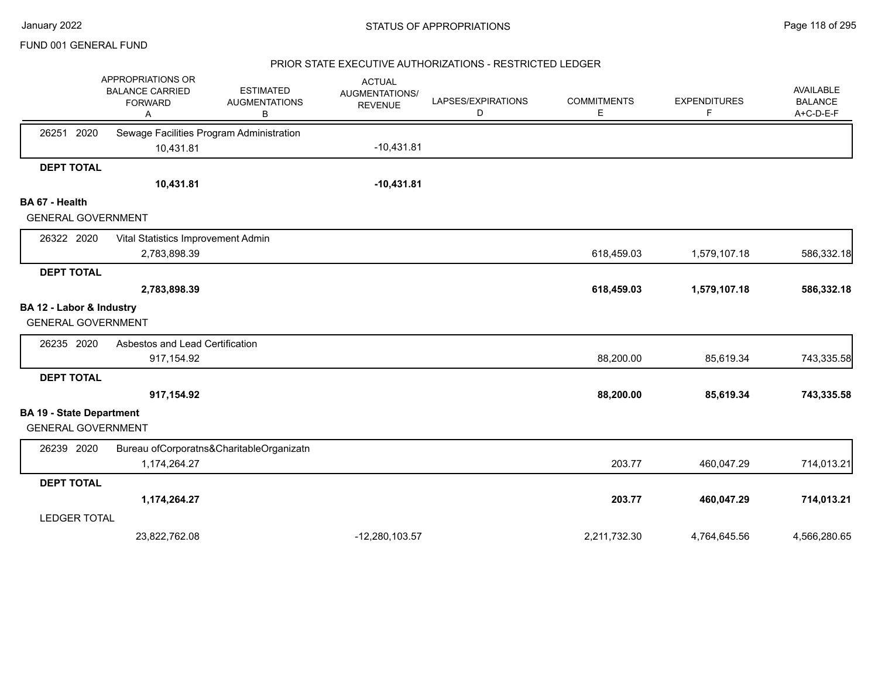## PRIOR STATE EXECUTIVE AUTHORIZATIONS - RESTRICTED LEDGER

|                                 | APPROPRIATIONS OR<br><b>BALANCE CARRIED</b><br><b>FORWARD</b><br>Α | <b>ESTIMATED</b><br><b>AUGMENTATIONS</b><br>В | <b>ACTUAL</b><br><b>AUGMENTATIONS/</b><br><b>REVENUE</b> | LAPSES/EXPIRATIONS<br>D | <b>COMMITMENTS</b><br>E | <b>EXPENDITURES</b><br>F | <b>AVAILABLE</b><br><b>BALANCE</b><br>A+C-D-E-F |
|---------------------------------|--------------------------------------------------------------------|-----------------------------------------------|----------------------------------------------------------|-------------------------|-------------------------|--------------------------|-------------------------------------------------|
| 2020<br>26251                   | Sewage Facilities Program Administration                           |                                               |                                                          |                         |                         |                          |                                                 |
|                                 | 10,431.81                                                          |                                               | $-10,431.81$                                             |                         |                         |                          |                                                 |
| <b>DEPT TOTAL</b>               |                                                                    |                                               |                                                          |                         |                         |                          |                                                 |
|                                 | 10,431.81                                                          |                                               | $-10,431.81$                                             |                         |                         |                          |                                                 |
| BA 67 - Health                  |                                                                    |                                               |                                                          |                         |                         |                          |                                                 |
| <b>GENERAL GOVERNMENT</b>       |                                                                    |                                               |                                                          |                         |                         |                          |                                                 |
| 26322 2020                      | Vital Statistics Improvement Admin                                 |                                               |                                                          |                         |                         |                          |                                                 |
|                                 | 2,783,898.39                                                       |                                               |                                                          |                         | 618,459.03              | 1,579,107.18             | 586,332.18                                      |
| <b>DEPT TOTAL</b>               |                                                                    |                                               |                                                          |                         |                         |                          |                                                 |
|                                 | 2,783,898.39                                                       |                                               |                                                          |                         | 618,459.03              | 1,579,107.18             | 586,332.18                                      |
| BA 12 - Labor & Industry        |                                                                    |                                               |                                                          |                         |                         |                          |                                                 |
| <b>GENERAL GOVERNMENT</b>       |                                                                    |                                               |                                                          |                         |                         |                          |                                                 |
| 26235 2020                      | Asbestos and Lead Certification                                    |                                               |                                                          |                         |                         |                          |                                                 |
|                                 | 917,154.92                                                         |                                               |                                                          |                         | 88,200.00               | 85,619.34                | 743,335.58                                      |
| <b>DEPT TOTAL</b>               |                                                                    |                                               |                                                          |                         |                         |                          |                                                 |
|                                 | 917,154.92                                                         |                                               |                                                          |                         | 88,200.00               | 85,619.34                | 743,335.58                                      |
| <b>BA 19 - State Department</b> |                                                                    |                                               |                                                          |                         |                         |                          |                                                 |
| <b>GENERAL GOVERNMENT</b>       |                                                                    |                                               |                                                          |                         |                         |                          |                                                 |
| 26239 2020                      |                                                                    | Bureau ofCorporatns&CharitableOrganizatn      |                                                          |                         |                         |                          |                                                 |
|                                 | 1,174,264.27                                                       |                                               |                                                          |                         | 203.77                  | 460,047.29               | 714,013.21                                      |
| <b>DEPT TOTAL</b>               |                                                                    |                                               |                                                          |                         |                         |                          |                                                 |
|                                 | 1,174,264.27                                                       |                                               |                                                          |                         | 203.77                  | 460,047.29               | 714,013.21                                      |
| <b>LEDGER TOTAL</b>             |                                                                    |                                               |                                                          |                         |                         |                          |                                                 |
|                                 | 23,822,762.08                                                      |                                               | $-12,280,103.57$                                         |                         | 2,211,732.30            | 4,764,645.56             | 4,566,280.65                                    |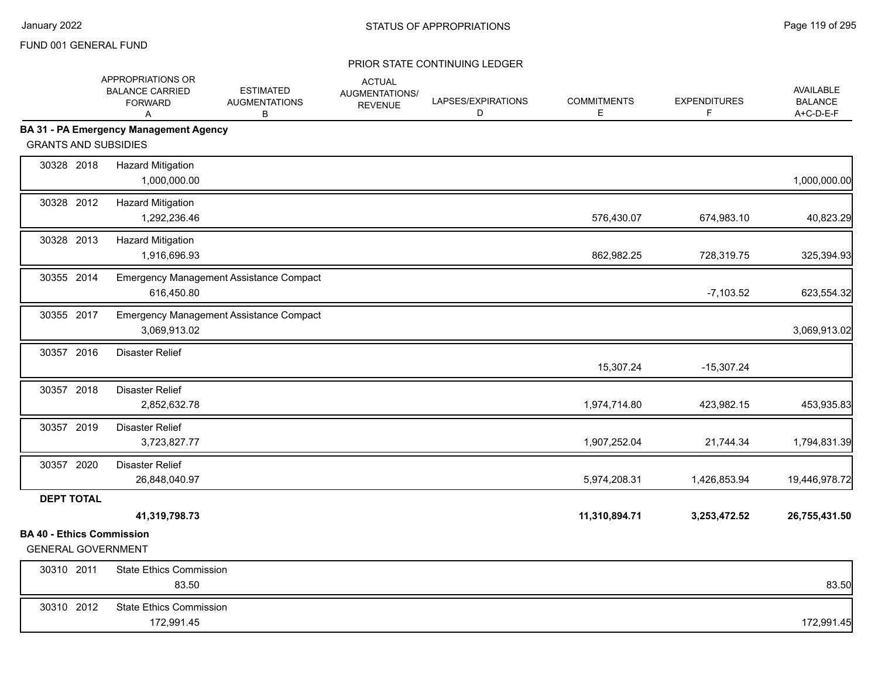|                                                               | APPROPRIATIONS OR<br><b>BALANCE CARRIED</b><br><b>FORWARD</b><br>A | <b>ESTIMATED</b><br><b>AUGMENTATIONS</b><br>B | <b>ACTUAL</b><br>AUGMENTATIONS/<br><b>REVENUE</b> | LAPSES/EXPIRATIONS<br>D | <b>COMMITMENTS</b><br>Е | <b>EXPENDITURES</b><br>F. | AVAILABLE<br><b>BALANCE</b><br>A+C-D-E-F |
|---------------------------------------------------------------|--------------------------------------------------------------------|-----------------------------------------------|---------------------------------------------------|-------------------------|-------------------------|---------------------------|------------------------------------------|
|                                                               | <b>BA 31 - PA Emergency Management Agency</b>                      |                                               |                                                   |                         |                         |                           |                                          |
| <b>GRANTS AND SUBSIDIES</b>                                   |                                                                    |                                               |                                                   |                         |                         |                           |                                          |
| 30328 2018                                                    | <b>Hazard Mitigation</b><br>1,000,000.00                           |                                               |                                                   |                         |                         |                           | 1,000,000.00                             |
| 30328 2012                                                    | <b>Hazard Mitigation</b><br>1,292,236.46                           |                                               |                                                   |                         | 576,430.07              | 674,983.10                | 40,823.29                                |
| 30328 2013                                                    | <b>Hazard Mitigation</b><br>1,916,696.93                           |                                               |                                                   |                         | 862,982.25              | 728,319.75                | 325,394.93                               |
| 30355 2014                                                    | 616,450.80                                                         | Emergency Management Assistance Compact       |                                                   |                         |                         | $-7,103.52$               | 623,554.32                               |
| 30355 2017                                                    | 3,069,913.02                                                       | Emergency Management Assistance Compact       |                                                   |                         |                         |                           | 3,069,913.02                             |
| 30357 2016                                                    | <b>Disaster Relief</b>                                             |                                               |                                                   |                         | 15,307.24               | $-15,307.24$              |                                          |
| 30357 2018                                                    | <b>Disaster Relief</b><br>2,852,632.78                             |                                               |                                                   |                         | 1,974,714.80            | 423,982.15                | 453,935.83                               |
| 30357 2019                                                    | <b>Disaster Relief</b><br>3,723,827.77                             |                                               |                                                   |                         | 1,907,252.04            | 21,744.34                 | 1,794,831.39                             |
| 30357 2020                                                    | <b>Disaster Relief</b><br>26,848,040.97                            |                                               |                                                   |                         | 5,974,208.31            | 1,426,853.94              | 19,446,978.72                            |
| <b>DEPT TOTAL</b>                                             |                                                                    |                                               |                                                   |                         |                         |                           |                                          |
|                                                               | 41,319,798.73                                                      |                                               |                                                   |                         | 11,310,894.71           | 3,253,472.52              | 26,755,431.50                            |
| <b>BA 40 - Ethics Commission</b><br><b>GENERAL GOVERNMENT</b> |                                                                    |                                               |                                                   |                         |                         |                           |                                          |
| 30310 2011                                                    | <b>State Ethics Commission</b><br>83.50                            |                                               |                                                   |                         |                         |                           | 83.50                                    |
| 30310 2012                                                    | <b>State Ethics Commission</b><br>172,991.45                       |                                               |                                                   |                         |                         |                           | 172,991.45                               |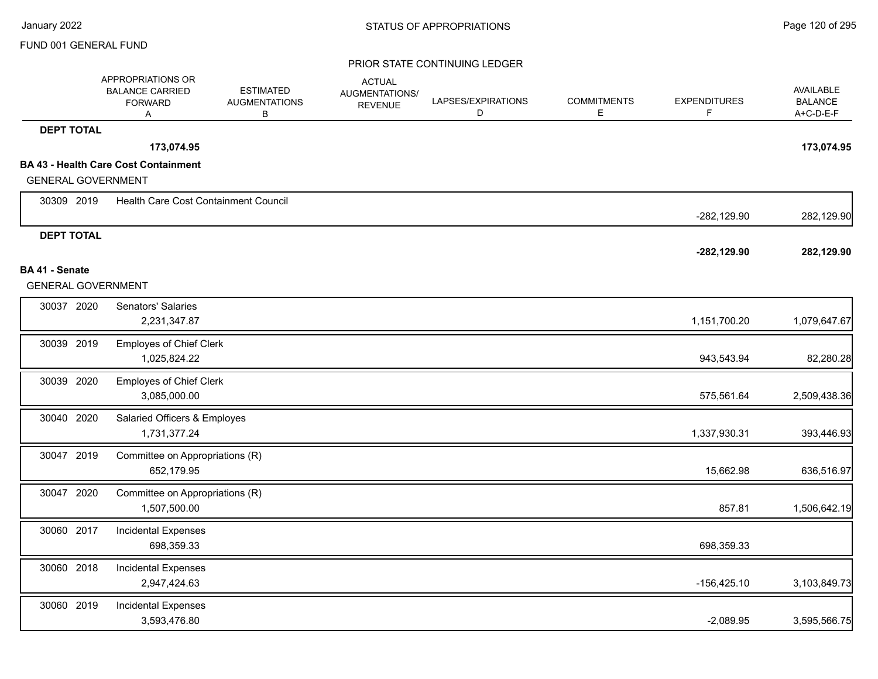|                                             | APPROPRIATIONS OR<br><b>BALANCE CARRIED</b><br><b>FORWARD</b><br>A | <b>ESTIMATED</b><br><b>AUGMENTATIONS</b><br>В | <b>ACTUAL</b><br>AUGMENTATIONS/<br><b>REVENUE</b> | LAPSES/EXPIRATIONS<br>D | <b>COMMITMENTS</b><br>Е | <b>EXPENDITURES</b><br>F | <b>AVAILABLE</b><br><b>BALANCE</b><br>A+C-D-E-F |
|---------------------------------------------|--------------------------------------------------------------------|-----------------------------------------------|---------------------------------------------------|-------------------------|-------------------------|--------------------------|-------------------------------------------------|
| <b>DEPT TOTAL</b>                           |                                                                    |                                               |                                                   |                         |                         |                          |                                                 |
|                                             | 173,074.95                                                         |                                               |                                                   |                         |                         |                          | 173,074.95                                      |
|                                             | <b>BA 43 - Health Care Cost Containment</b>                        |                                               |                                                   |                         |                         |                          |                                                 |
| <b>GENERAL GOVERNMENT</b>                   |                                                                    |                                               |                                                   |                         |                         |                          |                                                 |
| 30309 2019                                  | Health Care Cost Containment Council                               |                                               |                                                   |                         |                         | $-282,129.90$            | 282,129.90                                      |
| <b>DEPT TOTAL</b>                           |                                                                    |                                               |                                                   |                         |                         |                          |                                                 |
|                                             |                                                                    |                                               |                                                   |                         |                         | $-282, 129.90$           | 282,129.90                                      |
| BA 41 - Senate<br><b>GENERAL GOVERNMENT</b> |                                                                    |                                               |                                                   |                         |                         |                          |                                                 |
|                                             |                                                                    |                                               |                                                   |                         |                         |                          |                                                 |
| 30037 2020                                  | Senators' Salaries<br>2,231,347.87                                 |                                               |                                                   |                         |                         | 1,151,700.20             | 1,079,647.67                                    |
| 30039 2019                                  | <b>Employes of Chief Clerk</b>                                     |                                               |                                                   |                         |                         |                          |                                                 |
|                                             | 1,025,824.22                                                       |                                               |                                                   |                         |                         | 943,543.94               | 82,280.28                                       |
| 30039 2020                                  | <b>Employes of Chief Clerk</b>                                     |                                               |                                                   |                         |                         |                          |                                                 |
|                                             | 3,085,000.00                                                       |                                               |                                                   |                         |                         | 575,561.64               | 2,509,438.36                                    |
| 30040 2020                                  | Salaried Officers & Employes                                       |                                               |                                                   |                         |                         |                          |                                                 |
|                                             | 1,731,377.24                                                       |                                               |                                                   |                         |                         | 1,337,930.31             | 393,446.93                                      |
| 30047 2019                                  | Committee on Appropriations (R)                                    |                                               |                                                   |                         |                         |                          |                                                 |
|                                             | 652,179.95                                                         |                                               |                                                   |                         |                         | 15,662.98                | 636,516.97                                      |
| 30047 2020                                  | Committee on Appropriations (R)                                    |                                               |                                                   |                         |                         |                          |                                                 |
|                                             | 1,507,500.00                                                       |                                               |                                                   |                         |                         | 857.81                   | 1,506,642.19                                    |
| 30060 2017                                  | <b>Incidental Expenses</b>                                         |                                               |                                                   |                         |                         |                          |                                                 |
|                                             | 698,359.33                                                         |                                               |                                                   |                         |                         | 698,359.33               |                                                 |
| 30060 2018                                  | <b>Incidental Expenses</b>                                         |                                               |                                                   |                         |                         |                          |                                                 |
|                                             | 2,947,424.63                                                       |                                               |                                                   |                         |                         | $-156,425.10$            | 3,103,849.73                                    |
| 30060 2019                                  | <b>Incidental Expenses</b>                                         |                                               |                                                   |                         |                         |                          |                                                 |
|                                             | 3,593,476.80                                                       |                                               |                                                   |                         |                         | $-2,089.95$              | 3,595,566.75                                    |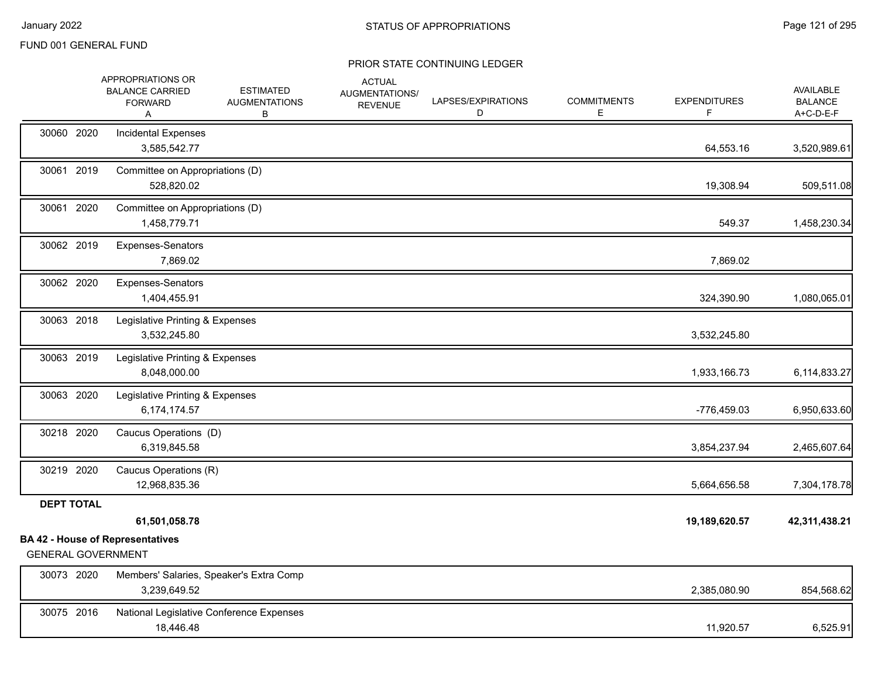|                           | APPROPRIATIONS OR<br><b>BALANCE CARRIED</b><br><b>FORWARD</b><br>Α | <b>ESTIMATED</b><br><b>AUGMENTATIONS</b><br>в | <b>ACTUAL</b><br>AUGMENTATIONS/<br><b>REVENUE</b> | LAPSES/EXPIRATIONS<br>D | <b>COMMITMENTS</b><br>Е | <b>EXPENDITURES</b><br>F | <b>AVAILABLE</b><br><b>BALANCE</b><br>A+C-D-E-F |
|---------------------------|--------------------------------------------------------------------|-----------------------------------------------|---------------------------------------------------|-------------------------|-------------------------|--------------------------|-------------------------------------------------|
| 30060 2020                | Incidental Expenses<br>3,585,542.77                                |                                               |                                                   |                         |                         | 64,553.16                | 3,520,989.61                                    |
| 30061 2019                | Committee on Appropriations (D)<br>528,820.02                      |                                               |                                                   |                         |                         | 19,308.94                | 509,511.08                                      |
| 30061 2020                | Committee on Appropriations (D)<br>1,458,779.71                    |                                               |                                                   |                         |                         | 549.37                   | 1,458,230.34                                    |
| 30062 2019                | Expenses-Senators<br>7,869.02                                      |                                               |                                                   |                         |                         | 7,869.02                 |                                                 |
| 30062 2020                | Expenses-Senators<br>1,404,455.91                                  |                                               |                                                   |                         |                         | 324,390.90               | 1,080,065.01                                    |
| 30063 2018                | Legislative Printing & Expenses<br>3,532,245.80                    |                                               |                                                   |                         |                         | 3,532,245.80             |                                                 |
| 30063 2019                | Legislative Printing & Expenses<br>8,048,000.00                    |                                               |                                                   |                         |                         | 1,933,166.73             | 6,114,833.27                                    |
| 30063 2020                | Legislative Printing & Expenses<br>6,174,174.57                    |                                               |                                                   |                         |                         | -776,459.03              | 6,950,633.60                                    |
| 30218 2020                | Caucus Operations (D)<br>6,319,845.58                              |                                               |                                                   |                         |                         | 3,854,237.94             | 2,465,607.64                                    |
| 30219 2020                | Caucus Operations (R)<br>12,968,835.36                             |                                               |                                                   |                         |                         | 5,664,656.58             | 7,304,178.78                                    |
| <b>DEPT TOTAL</b>         | 61,501,058.78                                                      |                                               |                                                   |                         |                         | 19,189,620.57            | 42,311,438.21                                   |
|                           | <b>BA 42 - House of Representatives</b>                            |                                               |                                                   |                         |                         |                          |                                                 |
| <b>GENERAL GOVERNMENT</b> |                                                                    |                                               |                                                   |                         |                         |                          |                                                 |
| 30073 2020                | Members' Salaries, Speaker's Extra Comp<br>3,239,649.52            |                                               |                                                   |                         |                         | 2,385,080.90             | 854,568.62                                      |
| 30075 2016                | National Legislative Conference Expenses<br>18,446.48              |                                               |                                                   |                         |                         | 11,920.57                | 6,525.91                                        |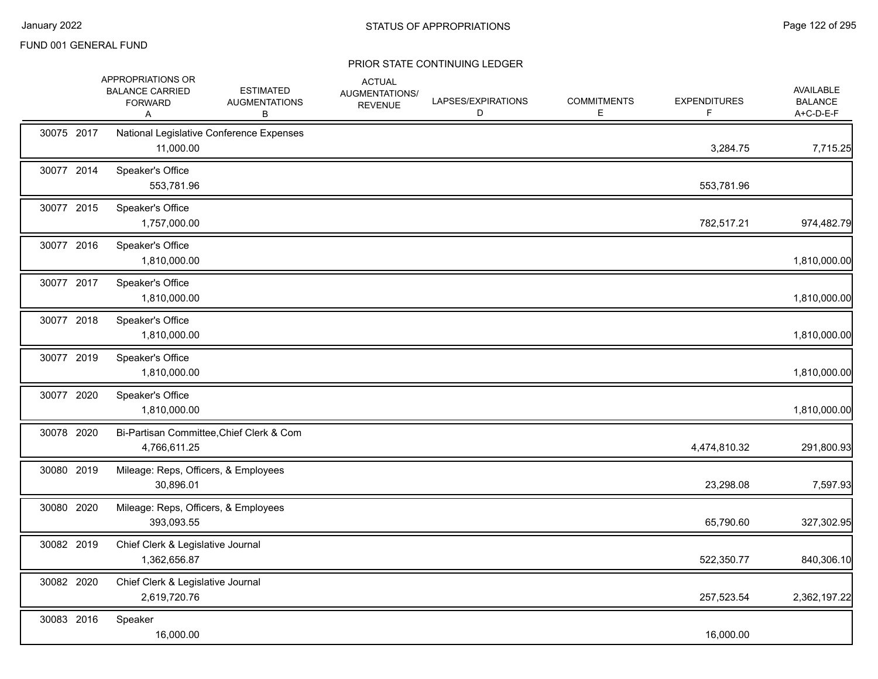|            | APPROPRIATIONS OR<br><b>BALANCE CARRIED</b><br><b>FORWARD</b><br>A | <b>ESTIMATED</b><br><b>AUGMENTATIONS</b><br>В | <b>ACTUAL</b><br>AUGMENTATIONS/<br><b>REVENUE</b> | LAPSES/EXPIRATIONS<br>D | <b>COMMITMENTS</b><br>Е | <b>EXPENDITURES</b><br>F. | AVAILABLE<br><b>BALANCE</b><br>A+C-D-E-F |
|------------|--------------------------------------------------------------------|-----------------------------------------------|---------------------------------------------------|-------------------------|-------------------------|---------------------------|------------------------------------------|
| 30075 2017 | 11,000.00                                                          | National Legislative Conference Expenses      |                                                   |                         |                         | 3,284.75                  | 7,715.25                                 |
| 30077 2014 | Speaker's Office<br>553,781.96                                     |                                               |                                                   |                         |                         | 553,781.96                |                                          |
| 30077 2015 | Speaker's Office<br>1,757,000.00                                   |                                               |                                                   |                         |                         | 782,517.21                | 974,482.79                               |
| 30077 2016 | Speaker's Office<br>1,810,000.00                                   |                                               |                                                   |                         |                         |                           | 1,810,000.00                             |
| 30077 2017 | Speaker's Office<br>1,810,000.00                                   |                                               |                                                   |                         |                         |                           | 1,810,000.00                             |
| 30077 2018 | Speaker's Office<br>1,810,000.00                                   |                                               |                                                   |                         |                         |                           | 1,810,000.00                             |
| 30077 2019 | Speaker's Office<br>1,810,000.00                                   |                                               |                                                   |                         |                         |                           | 1,810,000.00                             |
| 30077 2020 | Speaker's Office<br>1,810,000.00                                   |                                               |                                                   |                         |                         |                           | 1,810,000.00                             |
| 30078 2020 | 4,766,611.25                                                       | Bi-Partisan Committee, Chief Clerk & Com      |                                                   |                         |                         | 4,474,810.32              | 291,800.93                               |
| 30080 2019 | Mileage: Reps, Officers, & Employees<br>30,896.01                  |                                               |                                                   |                         |                         | 23,298.08                 | 7,597.93                                 |
| 30080 2020 | Mileage: Reps, Officers, & Employees<br>393,093.55                 |                                               |                                                   |                         |                         | 65,790.60                 | 327,302.95                               |
| 30082 2019 | Chief Clerk & Legislative Journal<br>1,362,656.87                  |                                               |                                                   |                         |                         | 522,350.77                | 840,306.10                               |
| 30082 2020 | Chief Clerk & Legislative Journal<br>2,619,720.76                  |                                               |                                                   |                         |                         | 257,523.54                | 2,362,197.22                             |
| 30083 2016 | Speaker<br>16,000.00                                               |                                               |                                                   |                         |                         | 16,000.00                 |                                          |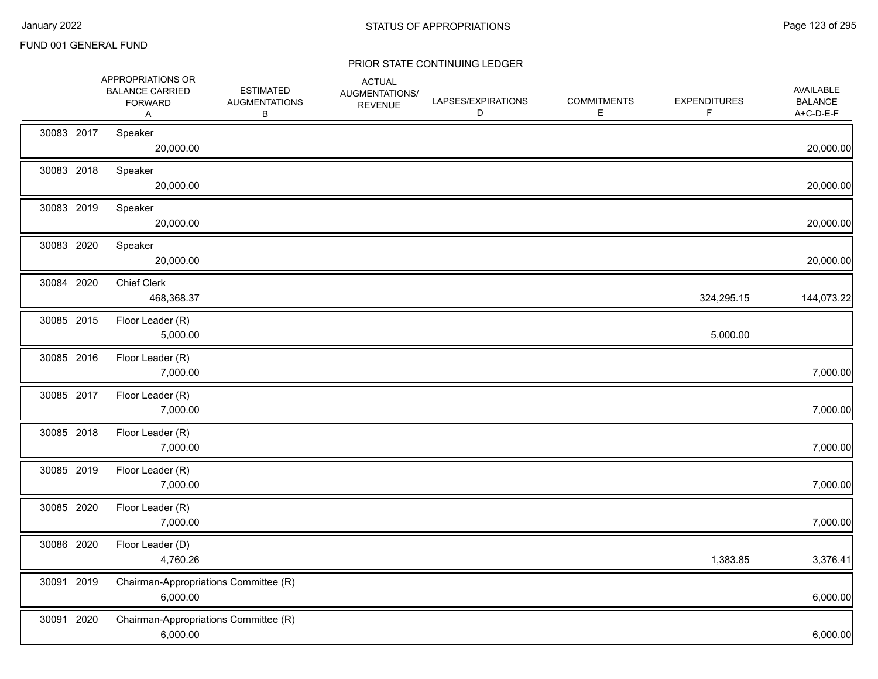|            | APPROPRIATIONS OR<br><b>BALANCE CARRIED</b><br><b>FORWARD</b><br>Α | <b>ESTIMATED</b><br><b>AUGMENTATIONS</b><br>B | <b>ACTUAL</b><br>AUGMENTATIONS/<br><b>REVENUE</b> | LAPSES/EXPIRATIONS<br>D | <b>COMMITMENTS</b><br>Е | <b>EXPENDITURES</b><br>F | AVAILABLE<br><b>BALANCE</b><br>A+C-D-E-F |
|------------|--------------------------------------------------------------------|-----------------------------------------------|---------------------------------------------------|-------------------------|-------------------------|--------------------------|------------------------------------------|
| 30083 2017 | Speaker<br>20,000.00                                               |                                               |                                                   |                         |                         |                          | 20,000.00                                |
| 30083 2018 | Speaker<br>20,000.00                                               |                                               |                                                   |                         |                         |                          | 20,000.00                                |
| 30083 2019 | Speaker<br>20,000.00                                               |                                               |                                                   |                         |                         |                          | 20,000.00                                |
| 30083 2020 | Speaker<br>20,000.00                                               |                                               |                                                   |                         |                         |                          | 20,000.00                                |
| 30084 2020 | <b>Chief Clerk</b><br>468,368.37                                   |                                               |                                                   |                         |                         | 324,295.15               | 144,073.22                               |
| 30085 2015 | Floor Leader (R)<br>5,000.00                                       |                                               |                                                   |                         |                         | 5,000.00                 |                                          |
| 30085 2016 | Floor Leader (R)<br>7,000.00                                       |                                               |                                                   |                         |                         |                          | 7,000.00                                 |
| 30085 2017 | Floor Leader (R)<br>7,000.00                                       |                                               |                                                   |                         |                         |                          | 7,000.00                                 |
| 30085 2018 | Floor Leader (R)<br>7,000.00                                       |                                               |                                                   |                         |                         |                          | 7,000.00                                 |
| 30085 2019 | Floor Leader (R)<br>7,000.00                                       |                                               |                                                   |                         |                         |                          | 7,000.00                                 |
| 30085 2020 | Floor Leader (R)<br>7,000.00                                       |                                               |                                                   |                         |                         |                          | 7,000.00                                 |
| 30086 2020 | Floor Leader (D)<br>4,760.26                                       |                                               |                                                   |                         |                         | 1,383.85                 | 3,376.41                                 |
| 30091 2019 | Chairman-Appropriations Committee (R)<br>6,000.00                  |                                               |                                                   |                         |                         |                          | 6,000.00                                 |
| 30091 2020 | Chairman-Appropriations Committee (R)<br>6,000.00                  |                                               |                                                   |                         |                         |                          | 6,000.00                                 |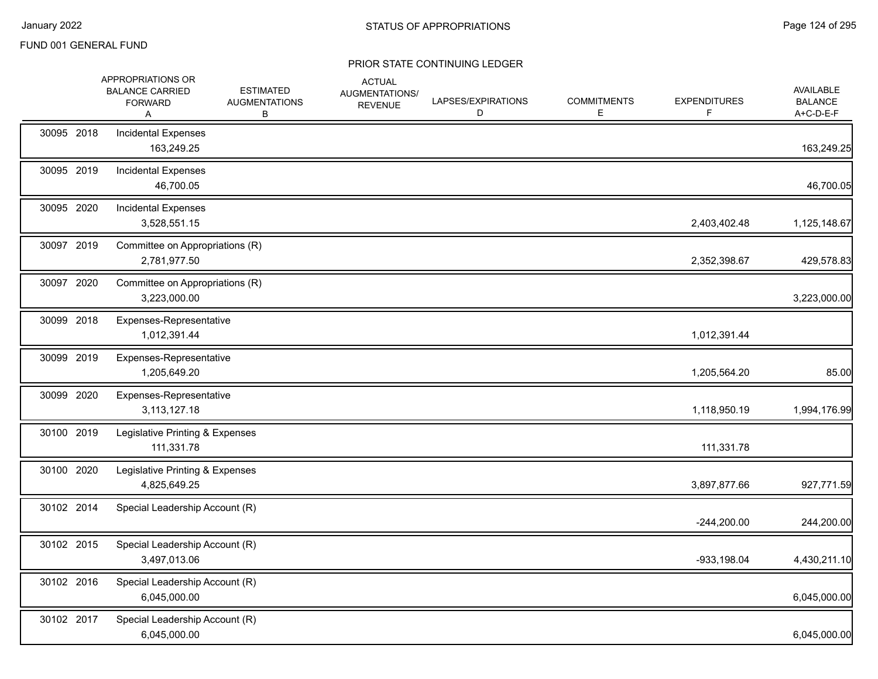|            | APPROPRIATIONS OR<br><b>BALANCE CARRIED</b><br><b>FORWARD</b><br>A | <b>ESTIMATED</b><br><b>AUGMENTATIONS</b><br>В | <b>ACTUAL</b><br>AUGMENTATIONS/<br><b>REVENUE</b> | LAPSES/EXPIRATIONS<br>D | <b>COMMITMENTS</b><br>E | <b>EXPENDITURES</b><br>F. | AVAILABLE<br><b>BALANCE</b><br>A+C-D-E-F |
|------------|--------------------------------------------------------------------|-----------------------------------------------|---------------------------------------------------|-------------------------|-------------------------|---------------------------|------------------------------------------|
| 30095 2018 | <b>Incidental Expenses</b><br>163,249.25                           |                                               |                                                   |                         |                         |                           | 163,249.25                               |
| 30095 2019 | <b>Incidental Expenses</b><br>46,700.05                            |                                               |                                                   |                         |                         |                           | 46,700.05                                |
| 30095 2020 | <b>Incidental Expenses</b><br>3,528,551.15                         |                                               |                                                   |                         |                         | 2,403,402.48              | 1,125,148.67                             |
| 30097 2019 | Committee on Appropriations (R)<br>2,781,977.50                    |                                               |                                                   |                         |                         | 2,352,398.67              | 429,578.83                               |
| 30097 2020 | Committee on Appropriations (R)<br>3,223,000.00                    |                                               |                                                   |                         |                         |                           | 3,223,000.00                             |
| 30099 2018 | Expenses-Representative<br>1,012,391.44                            |                                               |                                                   |                         |                         | 1,012,391.44              |                                          |
| 30099 2019 | Expenses-Representative<br>1,205,649.20                            |                                               |                                                   |                         |                         | 1,205,564.20              | 85.00                                    |
| 30099 2020 | Expenses-Representative<br>3,113,127.18                            |                                               |                                                   |                         |                         | 1,118,950.19              | 1,994,176.99                             |
| 30100 2019 | Legislative Printing & Expenses<br>111,331.78                      |                                               |                                                   |                         |                         | 111,331.78                |                                          |
| 30100 2020 | Legislative Printing & Expenses<br>4,825,649.25                    |                                               |                                                   |                         |                         | 3,897,877.66              | 927,771.59                               |
| 30102 2014 | Special Leadership Account (R)                                     |                                               |                                                   |                         |                         | $-244,200.00$             | 244,200.00                               |
| 30102 2015 | Special Leadership Account (R)<br>3,497,013.06                     |                                               |                                                   |                         |                         | $-933, 198.04$            | 4,430,211.10                             |
| 30102 2016 | Special Leadership Account (R)<br>6,045,000.00                     |                                               |                                                   |                         |                         |                           | 6,045,000.00                             |
| 30102 2017 | Special Leadership Account (R)<br>6,045,000.00                     |                                               |                                                   |                         |                         |                           | 6,045,000.00                             |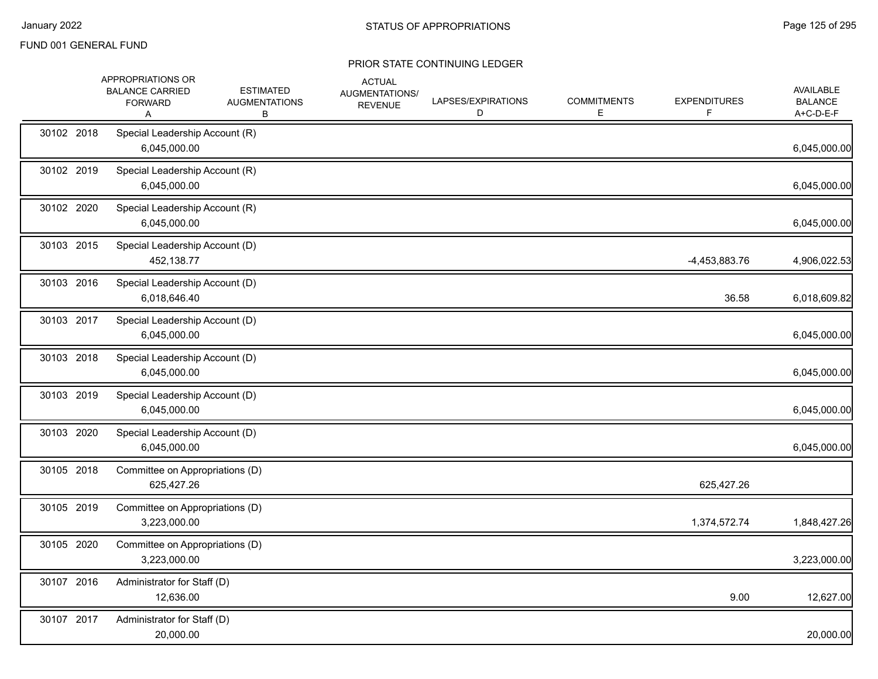|            | APPROPRIATIONS OR<br><b>BALANCE CARRIED</b><br><b>FORWARD</b><br>Α | <b>ESTIMATED</b><br><b>AUGMENTATIONS</b><br>В | <b>ACTUAL</b><br>AUGMENTATIONS/<br><b>REVENUE</b> | LAPSES/EXPIRATIONS<br>D | <b>COMMITMENTS</b><br>E | <b>EXPENDITURES</b><br>F | <b>AVAILABLE</b><br><b>BALANCE</b><br>A+C-D-E-F |
|------------|--------------------------------------------------------------------|-----------------------------------------------|---------------------------------------------------|-------------------------|-------------------------|--------------------------|-------------------------------------------------|
| 30102 2018 | Special Leadership Account (R)<br>6,045,000.00                     |                                               |                                                   |                         |                         |                          | 6,045,000.00                                    |
| 30102 2019 | Special Leadership Account (R)<br>6,045,000.00                     |                                               |                                                   |                         |                         |                          | 6,045,000.00                                    |
| 30102 2020 | Special Leadership Account (R)<br>6,045,000.00                     |                                               |                                                   |                         |                         |                          | 6,045,000.00                                    |
| 30103 2015 | Special Leadership Account (D)<br>452,138.77                       |                                               |                                                   |                         |                         | -4,453,883.76            | 4,906,022.53                                    |
| 30103 2016 | Special Leadership Account (D)<br>6,018,646.40                     |                                               |                                                   |                         |                         | 36.58                    | 6,018,609.82                                    |
| 30103 2017 | Special Leadership Account (D)<br>6,045,000.00                     |                                               |                                                   |                         |                         |                          | 6,045,000.00                                    |
| 30103 2018 | Special Leadership Account (D)<br>6,045,000.00                     |                                               |                                                   |                         |                         |                          | 6,045,000.00                                    |
| 30103 2019 | Special Leadership Account (D)<br>6,045,000.00                     |                                               |                                                   |                         |                         |                          | 6,045,000.00                                    |
| 30103 2020 | Special Leadership Account (D)<br>6,045,000.00                     |                                               |                                                   |                         |                         |                          | 6,045,000.00                                    |
| 30105 2018 | Committee on Appropriations (D)<br>625,427.26                      |                                               |                                                   |                         |                         | 625,427.26               |                                                 |
| 30105 2019 | Committee on Appropriations (D)<br>3,223,000.00                    |                                               |                                                   |                         |                         | 1,374,572.74             | 1,848,427.26                                    |
| 30105 2020 | Committee on Appropriations (D)<br>3,223,000.00                    |                                               |                                                   |                         |                         |                          | 3,223,000.00                                    |
| 30107 2016 | Administrator for Staff (D)<br>12,636.00                           |                                               |                                                   |                         |                         | 9.00                     | 12,627.00                                       |
| 30107 2017 | Administrator for Staff (D)<br>20,000.00                           |                                               |                                                   |                         |                         |                          | 20,000.00                                       |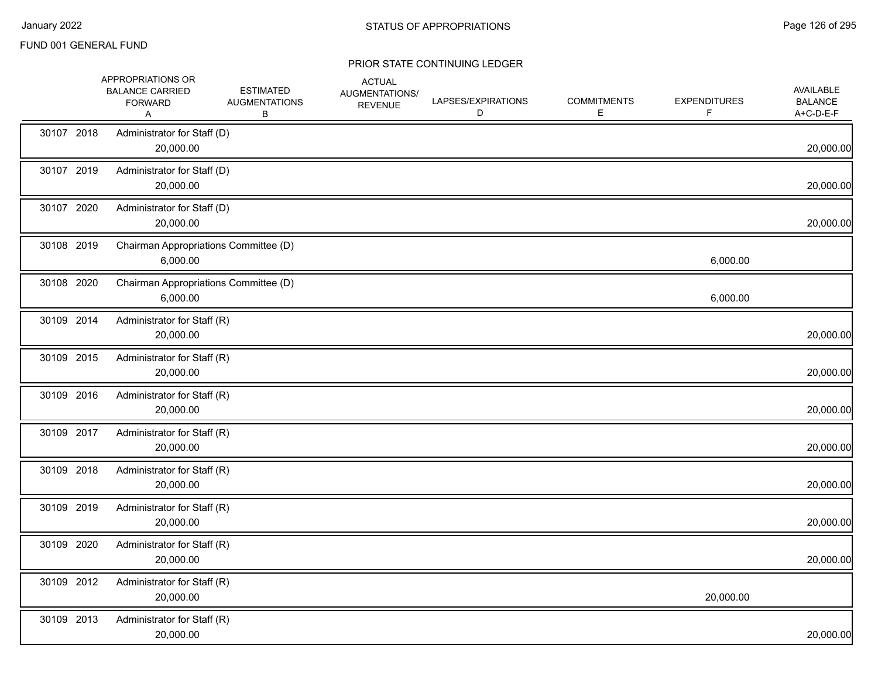|            | APPROPRIATIONS OR<br><b>BALANCE CARRIED</b><br><b>FORWARD</b><br>Α | <b>ESTIMATED</b><br><b>AUGMENTATIONS</b><br>В | <b>ACTUAL</b><br>AUGMENTATIONS/<br><b>REVENUE</b> | LAPSES/EXPIRATIONS<br>D | <b>COMMITMENTS</b><br>Е | <b>EXPENDITURES</b><br>F | <b>AVAILABLE</b><br><b>BALANCE</b><br>A+C-D-E-F |
|------------|--------------------------------------------------------------------|-----------------------------------------------|---------------------------------------------------|-------------------------|-------------------------|--------------------------|-------------------------------------------------|
| 30107 2018 | Administrator for Staff (D)<br>20,000.00                           |                                               |                                                   |                         |                         |                          | 20,000.00                                       |
| 30107 2019 | Administrator for Staff (D)<br>20,000.00                           |                                               |                                                   |                         |                         |                          | 20,000.00                                       |
| 30107 2020 | Administrator for Staff (D)<br>20,000.00                           |                                               |                                                   |                         |                         |                          | 20,000.00                                       |
| 30108 2019 | Chairman Appropriations Committee (D)<br>6,000.00                  |                                               |                                                   |                         |                         | 6,000.00                 |                                                 |
| 30108 2020 | Chairman Appropriations Committee (D)<br>6,000.00                  |                                               |                                                   |                         |                         | 6,000.00                 |                                                 |
| 30109 2014 | Administrator for Staff (R)<br>20,000.00                           |                                               |                                                   |                         |                         |                          | 20,000.00                                       |
| 30109 2015 | Administrator for Staff (R)<br>20,000.00                           |                                               |                                                   |                         |                         |                          | 20,000.00                                       |
| 30109 2016 | Administrator for Staff (R)<br>20,000.00                           |                                               |                                                   |                         |                         |                          | 20,000.00                                       |
| 30109 2017 | Administrator for Staff (R)<br>20,000.00                           |                                               |                                                   |                         |                         |                          | 20,000.00                                       |
| 30109 2018 | Administrator for Staff (R)<br>20,000.00                           |                                               |                                                   |                         |                         |                          | 20,000.00                                       |
| 30109 2019 | Administrator for Staff (R)<br>20,000.00                           |                                               |                                                   |                         |                         |                          | 20,000.00                                       |
| 30109 2020 | Administrator for Staff (R)<br>20,000.00                           |                                               |                                                   |                         |                         |                          | 20,000.00                                       |
| 30109 2012 | Administrator for Staff (R)<br>20,000.00                           |                                               |                                                   |                         |                         | 20,000.00                |                                                 |
| 30109 2013 | Administrator for Staff (R)<br>20,000.00                           |                                               |                                                   |                         |                         |                          | 20,000.00                                       |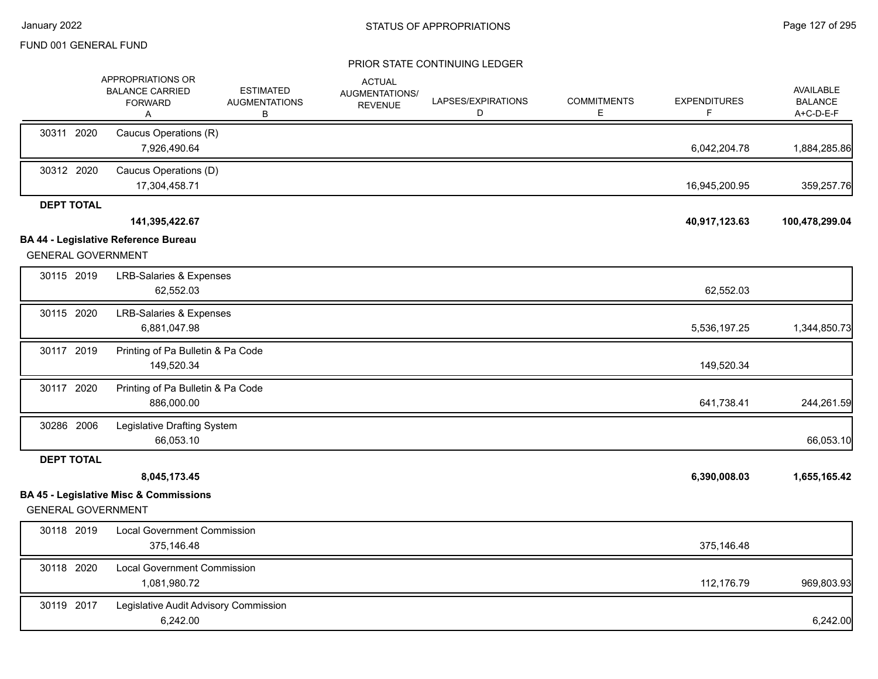|                   | APPROPRIATIONS OR<br><b>BALANCE CARRIED</b><br><b>FORWARD</b><br>Α       | <b>ESTIMATED</b><br><b>AUGMENTATIONS</b><br>В | <b>ACTUAL</b><br>AUGMENTATIONS/<br><b>REVENUE</b> | LAPSES/EXPIRATIONS<br>D | <b>COMMITMENTS</b><br>Е | <b>EXPENDITURES</b><br>F | <b>AVAILABLE</b><br><b>BALANCE</b><br>A+C-D-E-F |
|-------------------|--------------------------------------------------------------------------|-----------------------------------------------|---------------------------------------------------|-------------------------|-------------------------|--------------------------|-------------------------------------------------|
| 30311 2020        | Caucus Operations (R)<br>7,926,490.64                                    |                                               |                                                   |                         |                         | 6,042,204.78             | 1,884,285.86                                    |
| 30312 2020        | Caucus Operations (D)<br>17,304,458.71                                   |                                               |                                                   |                         |                         | 16,945,200.95            | 359,257.76                                      |
| <b>DEPT TOTAL</b> | 141,395,422.67                                                           |                                               |                                                   |                         |                         | 40,917,123.63            | 100,478,299.04                                  |
|                   | <b>BA 44 - Legislative Reference Bureau</b><br><b>GENERAL GOVERNMENT</b> |                                               |                                                   |                         |                         |                          |                                                 |
| 30115 2019        | <b>LRB-Salaries &amp; Expenses</b><br>62,552.03                          |                                               |                                                   |                         |                         | 62,552.03                |                                                 |
| 30115 2020        | <b>LRB-Salaries &amp; Expenses</b><br>6,881,047.98                       |                                               |                                                   |                         |                         | 5,536,197.25             | 1,344,850.73                                    |
| 30117 2019        | Printing of Pa Bulletin & Pa Code<br>149,520.34                          |                                               |                                                   |                         |                         | 149,520.34               |                                                 |
| 30117 2020        | Printing of Pa Bulletin & Pa Code<br>886,000.00                          |                                               |                                                   |                         |                         | 641,738.41               | 244,261.59                                      |
| 30286 2006        | Legislative Drafting System<br>66,053.10                                 |                                               |                                                   |                         |                         |                          | 66,053.10                                       |
| <b>DEPT TOTAL</b> |                                                                          |                                               |                                                   |                         |                         |                          |                                                 |
|                   | 8,045,173.45<br><b>BA 45 - Legislative Misc &amp; Commissions</b>        |                                               |                                                   |                         |                         | 6,390,008.03             | 1,655,165.42                                    |
|                   | <b>GENERAL GOVERNMENT</b>                                                |                                               |                                                   |                         |                         |                          |                                                 |
| 30118 2019        | <b>Local Government Commission</b><br>375,146.48                         |                                               |                                                   |                         |                         | 375,146.48               |                                                 |
| 30118 2020        | <b>Local Government Commission</b><br>1,081,980.72                       |                                               |                                                   |                         |                         | 112,176.79               | 969,803.93                                      |
| 30119 2017        | Legislative Audit Advisory Commission<br>6,242.00                        |                                               |                                                   |                         |                         |                          | 6,242.00                                        |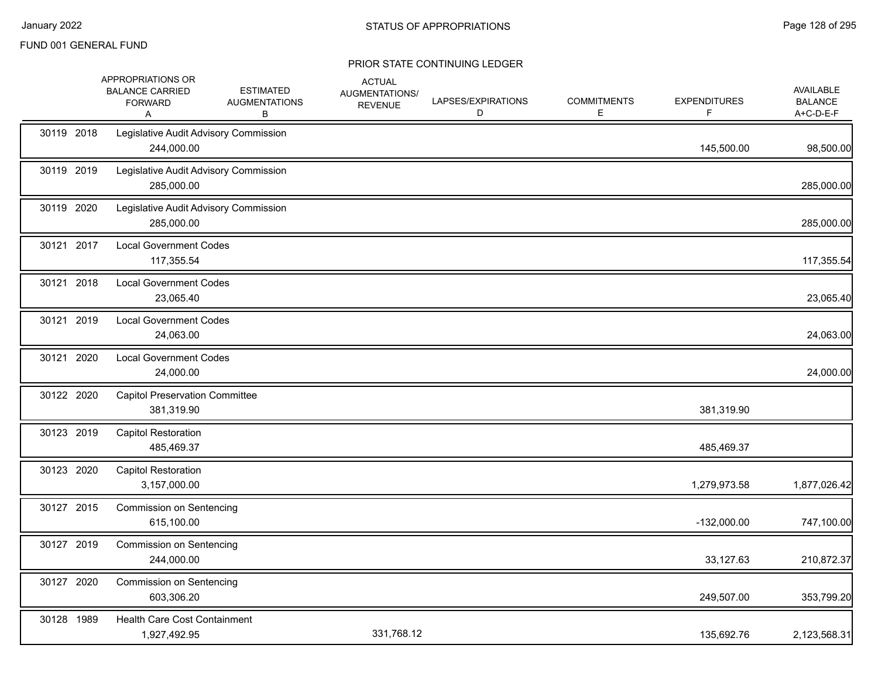|            | APPROPRIATIONS OR<br><b>BALANCE CARRIED</b><br><b>FORWARD</b><br>A | <b>ESTIMATED</b><br><b>AUGMENTATIONS</b><br>В | <b>ACTUAL</b><br>AUGMENTATIONS/<br><b>REVENUE</b> | LAPSES/EXPIRATIONS<br>D | <b>COMMITMENTS</b><br>E. | <b>EXPENDITURES</b><br>F | <b>AVAILABLE</b><br><b>BALANCE</b><br>A+C-D-E-F |
|------------|--------------------------------------------------------------------|-----------------------------------------------|---------------------------------------------------|-------------------------|--------------------------|--------------------------|-------------------------------------------------|
| 30119 2018 | Legislative Audit Advisory Commission<br>244,000.00                |                                               |                                                   |                         |                          | 145,500.00               | 98,500.00                                       |
| 30119 2019 | Legislative Audit Advisory Commission<br>285,000.00                |                                               |                                                   |                         |                          |                          | 285,000.00                                      |
| 30119 2020 | Legislative Audit Advisory Commission<br>285,000.00                |                                               |                                                   |                         |                          |                          | 285,000.00                                      |
| 30121 2017 | <b>Local Government Codes</b><br>117,355.54                        |                                               |                                                   |                         |                          |                          | 117,355.54                                      |
| 30121 2018 | <b>Local Government Codes</b><br>23,065.40                         |                                               |                                                   |                         |                          |                          | 23,065.40                                       |
| 30121 2019 | <b>Local Government Codes</b><br>24,063.00                         |                                               |                                                   |                         |                          |                          | 24,063.00                                       |
| 30121 2020 | <b>Local Government Codes</b><br>24,000.00                         |                                               |                                                   |                         |                          |                          | 24,000.00                                       |
| 30122 2020 | <b>Capitol Preservation Committee</b><br>381,319.90                |                                               |                                                   |                         |                          | 381,319.90               |                                                 |
| 30123 2019 | <b>Capitol Restoration</b><br>485,469.37                           |                                               |                                                   |                         |                          | 485,469.37               |                                                 |
| 30123 2020 | <b>Capitol Restoration</b><br>3,157,000.00                         |                                               |                                                   |                         |                          | 1,279,973.58             | 1,877,026.42                                    |
| 30127 2015 | <b>Commission on Sentencing</b><br>615,100.00                      |                                               |                                                   |                         |                          | $-132,000.00$            | 747,100.00                                      |
| 30127 2019 | <b>Commission on Sentencing</b><br>244,000.00                      |                                               |                                                   |                         |                          | 33,127.63                | 210,872.37                                      |
| 30127 2020 | Commission on Sentencing<br>603,306.20                             |                                               |                                                   |                         |                          | 249,507.00               | 353,799.20                                      |
| 30128 1989 | Health Care Cost Containment<br>1,927,492.95                       |                                               | 331,768.12                                        |                         |                          | 135,692.76               | 2,123,568.31                                    |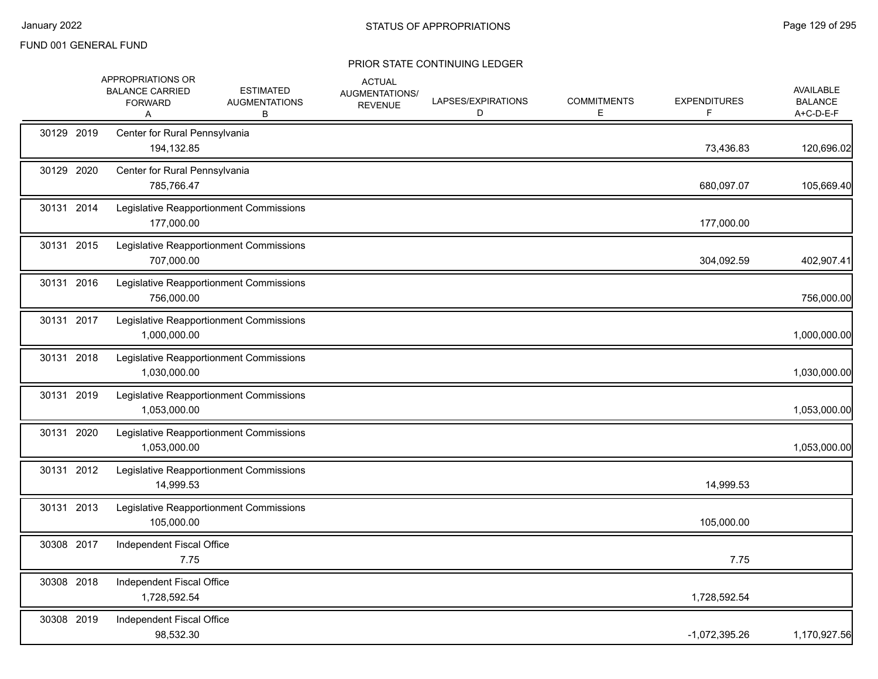|            | APPROPRIATIONS OR<br><b>BALANCE CARRIED</b><br><b>FORWARD</b><br>A | <b>ESTIMATED</b><br><b>AUGMENTATIONS</b><br>В | <b>ACTUAL</b><br>AUGMENTATIONS/<br><b>REVENUE</b> | LAPSES/EXPIRATIONS<br>D | <b>COMMITMENTS</b><br>Е | <b>EXPENDITURES</b><br>F. | AVAILABLE<br><b>BALANCE</b><br>A+C-D-E-F |
|------------|--------------------------------------------------------------------|-----------------------------------------------|---------------------------------------------------|-------------------------|-------------------------|---------------------------|------------------------------------------|
| 30129 2019 | Center for Rural Pennsylvania<br>194,132.85                        |                                               |                                                   |                         |                         | 73,436.83                 | 120,696.02                               |
| 30129 2020 | Center for Rural Pennsylvania<br>785,766.47                        |                                               |                                                   |                         |                         | 680,097.07                | 105,669.40                               |
| 30131 2014 | 177,000.00                                                         | Legislative Reapportionment Commissions       |                                                   |                         |                         | 177,000.00                |                                          |
| 30131 2015 | 707,000.00                                                         | Legislative Reapportionment Commissions       |                                                   |                         |                         | 304,092.59                | 402,907.41                               |
| 30131 2016 | 756,000.00                                                         | Legislative Reapportionment Commissions       |                                                   |                         |                         |                           | 756,000.00                               |
| 30131 2017 | 1,000,000.00                                                       | Legislative Reapportionment Commissions       |                                                   |                         |                         |                           | 1,000,000.00                             |
| 30131 2018 | 1,030,000.00                                                       | Legislative Reapportionment Commissions       |                                                   |                         |                         |                           | 1,030,000.00                             |
| 30131 2019 | 1,053,000.00                                                       | Legislative Reapportionment Commissions       |                                                   |                         |                         |                           | 1,053,000.00                             |
| 30131 2020 | 1,053,000.00                                                       | Legislative Reapportionment Commissions       |                                                   |                         |                         |                           | 1,053,000.00                             |
| 30131 2012 | 14,999.53                                                          | Legislative Reapportionment Commissions       |                                                   |                         |                         | 14,999.53                 |                                          |
| 30131 2013 | 105,000.00                                                         | Legislative Reapportionment Commissions       |                                                   |                         |                         | 105,000.00                |                                          |
| 30308 2017 | Independent Fiscal Office<br>7.75                                  |                                               |                                                   |                         |                         | 7.75                      |                                          |
| 30308 2018 | Independent Fiscal Office<br>1,728,592.54                          |                                               |                                                   |                         |                         | 1,728,592.54              |                                          |
| 30308 2019 | Independent Fiscal Office<br>98,532.30                             |                                               |                                                   |                         |                         | -1,072,395.26             | 1,170,927.56                             |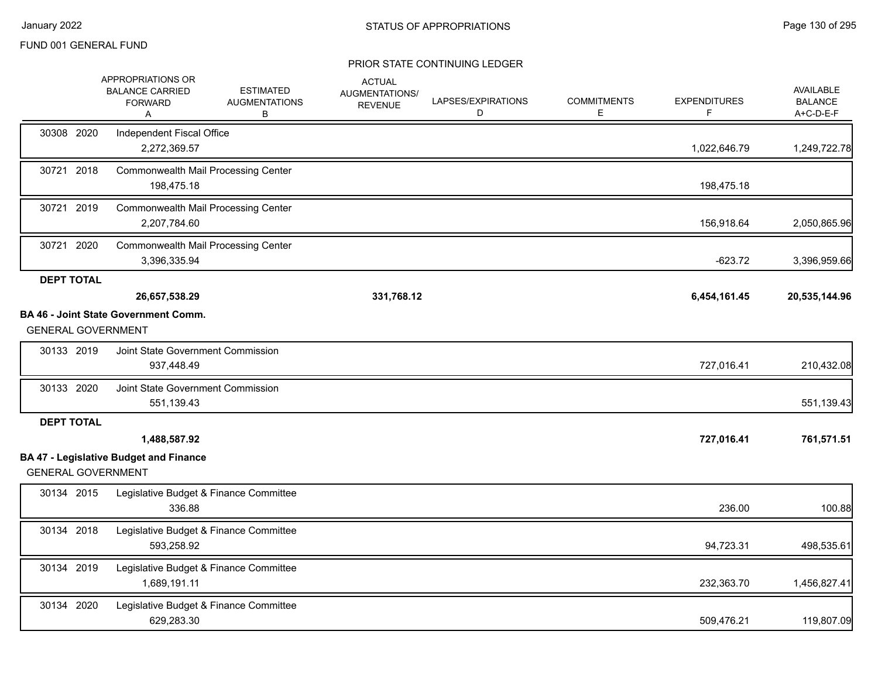|                           | APPROPRIATIONS OR<br><b>BALANCE CARRIED</b><br><b>FORWARD</b><br>Α | <b>ESTIMATED</b><br><b>AUGMENTATIONS</b><br>В | <b>ACTUAL</b><br>AUGMENTATIONS/<br><b>REVENUE</b> | LAPSES/EXPIRATIONS<br>D | <b>COMMITMENTS</b><br>E. | <b>EXPENDITURES</b> | AVAILABLE<br><b>BALANCE</b><br>A+C-D-E-F |
|---------------------------|--------------------------------------------------------------------|-----------------------------------------------|---------------------------------------------------|-------------------------|--------------------------|---------------------|------------------------------------------|
| 30308 2020                | Independent Fiscal Office<br>2,272,369.57                          |                                               |                                                   |                         |                          | 1,022,646.79        | 1,249,722.78                             |
| 30721 2018                | <b>Commonwealth Mail Processing Center</b><br>198,475.18           |                                               |                                                   |                         |                          | 198,475.18          |                                          |
| 30721 2019                | <b>Commonwealth Mail Processing Center</b><br>2,207,784.60         |                                               |                                                   |                         |                          | 156,918.64          | 2,050,865.96                             |
| 30721 2020                | <b>Commonwealth Mail Processing Center</b><br>3,396,335.94         |                                               |                                                   |                         |                          | $-623.72$           | 3,396,959.66                             |
| <b>DEPT TOTAL</b>         | 26,657,538.29                                                      |                                               | 331,768.12                                        |                         |                          | 6,454,161.45        | 20,535,144.96                            |
| <b>GENERAL GOVERNMENT</b> | <b>BA 46 - Joint State Government Comm.</b>                        |                                               |                                                   |                         |                          |                     |                                          |
| 30133 2019                | Joint State Government Commission<br>937,448.49                    |                                               |                                                   |                         |                          | 727,016.41          | 210,432.08                               |
| 30133 2020                | Joint State Government Commission<br>551,139.43                    |                                               |                                                   |                         |                          |                     | 551,139.43                               |
| <b>DEPT TOTAL</b>         |                                                                    |                                               |                                                   |                         |                          |                     |                                          |
| <b>GENERAL GOVERNMENT</b> | 1,488,587.92<br><b>BA 47 - Legislative Budget and Finance</b>      |                                               |                                                   |                         |                          | 727,016.41          | 761,571.51                               |
| 30134 2015                | Legislative Budget & Finance Committee<br>336.88                   |                                               |                                                   |                         |                          | 236.00              | 100.88                                   |
| 30134 2018                | Legislative Budget & Finance Committee<br>593,258.92               |                                               |                                                   |                         |                          | 94,723.31           | 498,535.61                               |
| 30134 2019                | Legislative Budget & Finance Committee<br>1,689,191.11             |                                               |                                                   |                         |                          | 232,363.70          | 1,456,827.41                             |
| 30134 2020                | Legislative Budget & Finance Committee<br>629,283.30               |                                               |                                                   |                         |                          | 509,476.21          | 119,807.09                               |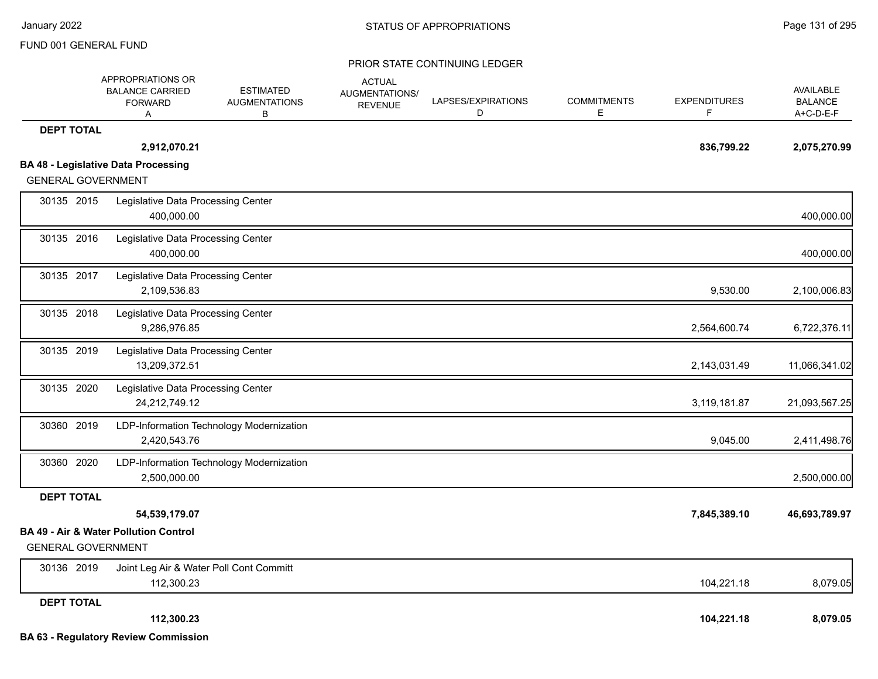|                           | APPROPRIATIONS OR<br><b>BALANCE CARRIED</b><br><b>FORWARD</b><br>Α | <b>ESTIMATED</b><br><b>AUGMENTATIONS</b><br>в | <b>ACTUAL</b><br>AUGMENTATIONS/<br><b>REVENUE</b> | LAPSES/EXPIRATIONS<br>D | <b>COMMITMENTS</b><br>E | <b>EXPENDITURES</b><br>F | AVAILABLE<br><b>BALANCE</b><br>A+C-D-E-F |
|---------------------------|--------------------------------------------------------------------|-----------------------------------------------|---------------------------------------------------|-------------------------|-------------------------|--------------------------|------------------------------------------|
| <b>DEPT TOTAL</b>         |                                                                    |                                               |                                                   |                         |                         |                          |                                          |
|                           | 2,912,070.21                                                       |                                               |                                                   |                         |                         | 836,799.22               | 2,075,270.99                             |
|                           | <b>BA 48 - Legislative Data Processing</b>                         |                                               |                                                   |                         |                         |                          |                                          |
| <b>GENERAL GOVERNMENT</b> |                                                                    |                                               |                                                   |                         |                         |                          |                                          |
| 30135 2015                | Legislative Data Processing Center<br>400.000.00                   |                                               |                                                   |                         |                         |                          | 400,000.00                               |
| 30135 2016                | Legislative Data Processing Center<br>400,000.00                   |                                               |                                                   |                         |                         |                          | 400,000.00                               |
| 30135 2017                | Legislative Data Processing Center<br>2,109,536.83                 |                                               |                                                   |                         |                         | 9,530.00                 | 2,100,006.83                             |
| 30135 2018                | Legislative Data Processing Center<br>9,286,976.85                 |                                               |                                                   |                         |                         | 2,564,600.74             | 6,722,376.11                             |
| 30135 2019                | Legislative Data Processing Center<br>13,209,372.51                |                                               |                                                   |                         |                         | 2,143,031.49             | 11,066,341.02                            |
| 30135 2020                | Legislative Data Processing Center<br>24,212,749.12                |                                               |                                                   |                         |                         | 3,119,181.87             | 21,093,567.25                            |
| 30360 2019                | 2,420,543.76                                                       | LDP-Information Technology Modernization      |                                                   |                         |                         | 9,045.00                 | 2,411,498.76                             |
| 30360 2020                | 2,500,000.00                                                       | LDP-Information Technology Modernization      |                                                   |                         |                         |                          | 2,500,000.00                             |
| <b>DEPT TOTAL</b>         |                                                                    |                                               |                                                   |                         |                         |                          |                                          |
|                           | 54,539,179.07                                                      |                                               |                                                   |                         |                         | 7,845,389.10             | 46,693,789.97                            |
| <b>GENERAL GOVERNMENT</b> | <b>BA 49 - Air &amp; Water Pollution Control</b>                   |                                               |                                                   |                         |                         |                          |                                          |
| 30136 2019                | 112,300.23                                                         | Joint Leg Air & Water Poll Cont Committ       |                                                   |                         |                         | 104,221.18               | 8,079.05                                 |
| <b>DEPT TOTAL</b>         |                                                                    |                                               |                                                   |                         |                         |                          |                                          |
|                           | 112,300.23                                                         |                                               |                                                   |                         |                         | 104,221.18               | 8,079.05                                 |
|                           | <b>BA 63 - Regulatory Review Commission</b>                        |                                               |                                                   |                         |                         |                          |                                          |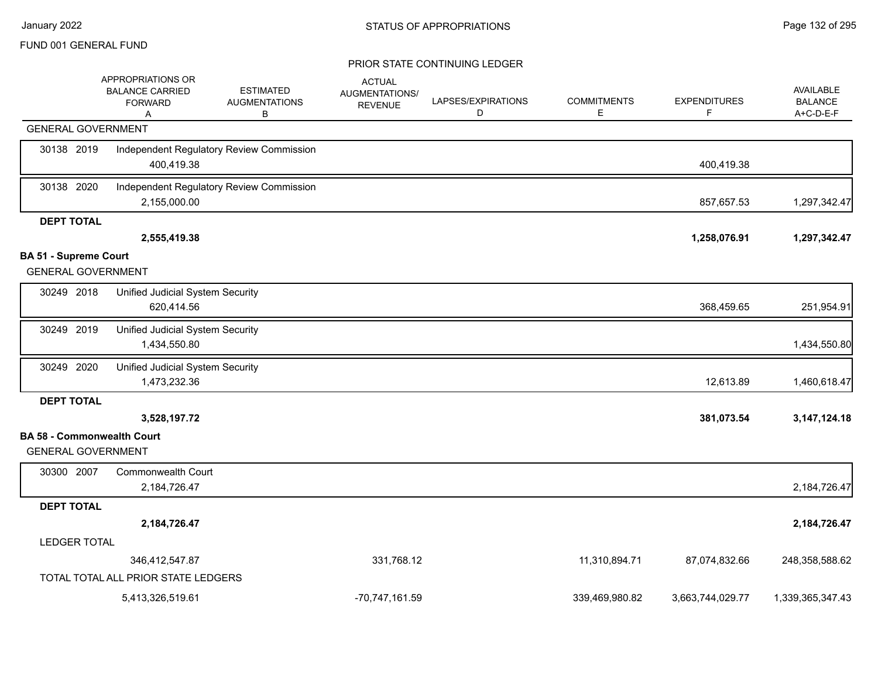|                                                                | APPROPRIATIONS OR<br><b>BALANCE CARRIED</b><br><b>FORWARD</b><br>Α | <b>ESTIMATED</b><br><b>AUGMENTATIONS</b><br>В | <b>ACTUAL</b><br>AUGMENTATIONS/<br><b>REVENUE</b> | LAPSES/EXPIRATIONS<br>D | <b>COMMITMENTS</b><br>E | <b>EXPENDITURES</b><br>F. | <b>AVAILABLE</b><br><b>BALANCE</b><br>A+C-D-E-F |
|----------------------------------------------------------------|--------------------------------------------------------------------|-----------------------------------------------|---------------------------------------------------|-------------------------|-------------------------|---------------------------|-------------------------------------------------|
| <b>GENERAL GOVERNMENT</b>                                      |                                                                    |                                               |                                                   |                         |                         |                           |                                                 |
| 30138 2019                                                     | 400,419.38                                                         | Independent Regulatory Review Commission      |                                                   |                         |                         | 400,419.38                |                                                 |
| 30138 2020                                                     | 2,155,000.00                                                       | Independent Regulatory Review Commission      |                                                   |                         |                         | 857,657.53                | 1,297,342.47                                    |
| <b>DEPT TOTAL</b>                                              |                                                                    |                                               |                                                   |                         |                         |                           |                                                 |
|                                                                | 2,555,419.38                                                       |                                               |                                                   |                         |                         | 1,258,076.91              | 1,297,342.47                                    |
| <b>BA 51 - Supreme Court</b><br><b>GENERAL GOVERNMENT</b>      |                                                                    |                                               |                                                   |                         |                         |                           |                                                 |
| 30249 2018                                                     | Unified Judicial System Security<br>620,414.56                     |                                               |                                                   |                         |                         | 368,459.65                | 251,954.91                                      |
| 30249 2019                                                     | Unified Judicial System Security<br>1,434,550.80                   |                                               |                                                   |                         |                         |                           | 1,434,550.80                                    |
| 30249 2020                                                     | Unified Judicial System Security<br>1,473,232.36                   |                                               |                                                   |                         |                         | 12,613.89                 | 1,460,618.47                                    |
| <b>DEPT TOTAL</b>                                              |                                                                    |                                               |                                                   |                         |                         |                           |                                                 |
|                                                                | 3,528,197.72                                                       |                                               |                                                   |                         |                         | 381,073.54                | 3, 147, 124. 18                                 |
| <b>BA 58 - Commonwealth Court</b><br><b>GENERAL GOVERNMENT</b> |                                                                    |                                               |                                                   |                         |                         |                           |                                                 |
| 30300 2007                                                     | <b>Commonwealth Court</b><br>2,184,726.47                          |                                               |                                                   |                         |                         |                           | 2,184,726.47                                    |
| <b>DEPT TOTAL</b>                                              |                                                                    |                                               |                                                   |                         |                         |                           |                                                 |
|                                                                | 2,184,726.47                                                       |                                               |                                                   |                         |                         |                           | 2,184,726.47                                    |
| <b>LEDGER TOTAL</b>                                            |                                                                    |                                               |                                                   |                         |                         |                           |                                                 |
|                                                                | 346,412,547.87                                                     |                                               | 331,768.12                                        |                         | 11,310,894.71           | 87,074,832.66             | 248,358,588.62                                  |
|                                                                | TOTAL TOTAL ALL PRIOR STATE LEDGERS                                |                                               |                                                   |                         |                         |                           |                                                 |
|                                                                | 5,413,326,519.61                                                   |                                               | -70,747,161.59                                    |                         | 339,469,980.82          | 3,663,744,029.77          | 1,339,365,347.43                                |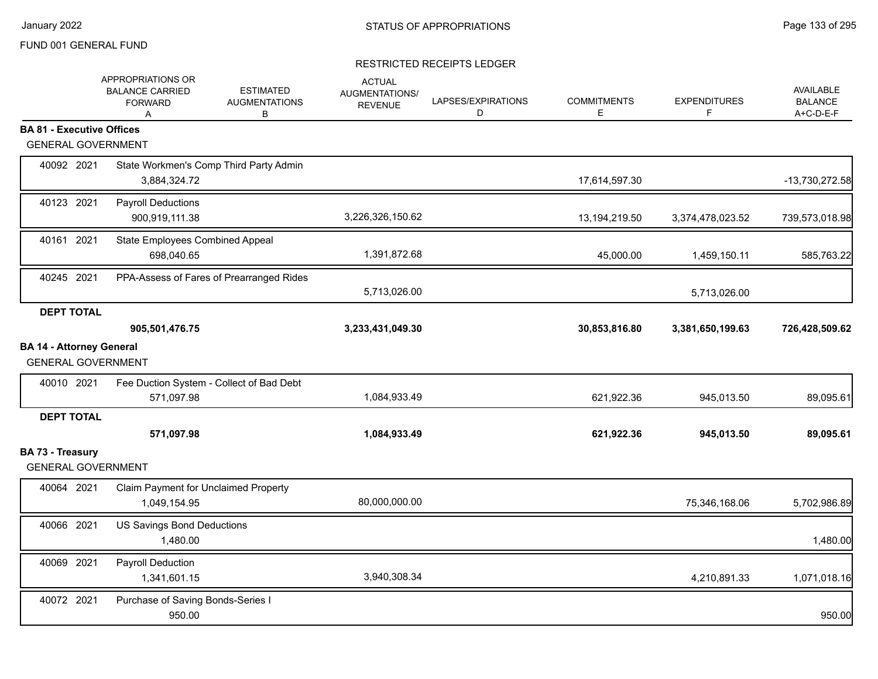|                                               | APPROPRIATIONS OR<br><b>BALANCE CARRIED</b><br><b>FORWARD</b><br>A | <b>ESTIMATED</b><br><b>AUGMENTATIONS</b><br>B | <b>ACTUAL</b><br>AUGMENTATIONS/<br><b>REVENUE</b> | LAPSES/EXPIRATIONS<br>D | <b>COMMITMENTS</b><br>Е | <b>EXPENDITURES</b><br>F | AVAILABLE<br><b>BALANCE</b><br>A+C-D-E-F |
|-----------------------------------------------|--------------------------------------------------------------------|-----------------------------------------------|---------------------------------------------------|-------------------------|-------------------------|--------------------------|------------------------------------------|
| <b>BA 81 - Executive Offices</b>              |                                                                    |                                               |                                                   |                         |                         |                          |                                          |
| <b>GENERAL GOVERNMENT</b>                     |                                                                    |                                               |                                                   |                         |                         |                          |                                          |
| 40092 2021                                    | State Workmen's Comp Third Party Admin<br>3,884,324.72             |                                               |                                                   |                         | 17,614,597.30           |                          | -13,730,272.58                           |
| 40123 2021                                    | <b>Payroll Deductions</b><br>900,919,111.38                        |                                               | 3,226,326,150.62                                  |                         | 13,194,219.50           | 3,374,478,023.52         | 739,573,018.98                           |
| 40161 2021                                    | State Employees Combined Appeal<br>698,040.65                      |                                               | 1,391,872.68                                      |                         | 45,000.00               | 1,459,150.11             | 585,763.22                               |
| 40245 2021                                    | PPA-Assess of Fares of Prearranged Rides                           |                                               | 5,713,026.00                                      |                         |                         | 5,713,026.00             |                                          |
| <b>DEPT TOTAL</b>                             |                                                                    |                                               |                                                   |                         |                         |                          |                                          |
|                                               | 905,501,476.75                                                     |                                               | 3,233,431,049.30                                  |                         | 30,853,816.80           | 3,381,650,199.63         | 726,428,509.62                           |
| <b>BA 14 - Attorney General</b>               |                                                                    |                                               |                                                   |                         |                         |                          |                                          |
| <b>GENERAL GOVERNMENT</b>                     |                                                                    |                                               |                                                   |                         |                         |                          |                                          |
| 40010 2021                                    | Fee Duction System - Collect of Bad Debt<br>571,097.98             |                                               | 1,084,933.49                                      |                         | 621,922.36              | 945,013.50               | 89,095.61                                |
| <b>DEPT TOTAL</b>                             |                                                                    |                                               |                                                   |                         |                         |                          |                                          |
|                                               | 571,097.98                                                         |                                               | 1,084,933.49                                      |                         | 621,922.36              | 945,013.50               | 89,095.61                                |
| BA 73 - Treasury<br><b>GENERAL GOVERNMENT</b> |                                                                    |                                               |                                                   |                         |                         |                          |                                          |
| 40064 2021                                    | Claim Payment for Unclaimed Property<br>1,049,154.95               |                                               | 80,000,000.00                                     |                         |                         | 75,346,168.06            | 5,702,986.89                             |
| 40066 2021                                    | <b>US Savings Bond Deductions</b><br>1,480.00                      |                                               |                                                   |                         |                         |                          | 1,480.00                                 |
| 40069 2021                                    | Payroll Deduction<br>1,341,601.15                                  |                                               | 3,940,308.34                                      |                         |                         | 4,210,891.33             | 1,071,018.16                             |
| 40072 2021                                    | Purchase of Saving Bonds-Series I<br>950.00                        |                                               |                                                   |                         |                         |                          | 950.00                                   |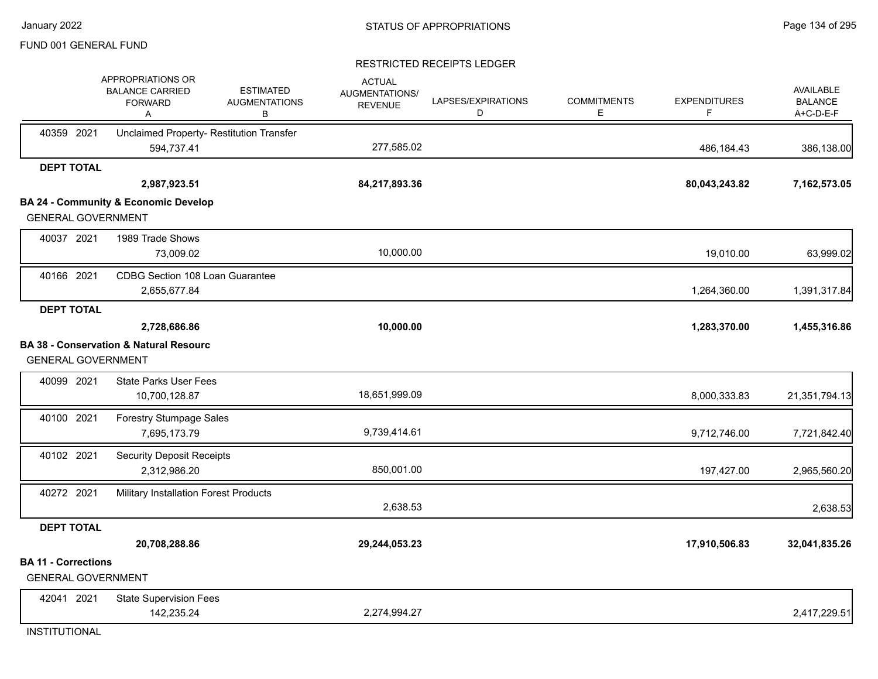## RESTRICTED RECEIPTS LEDGER

|                                                         | APPROPRIATIONS OR<br><b>BALANCE CARRIED</b><br><b>FORWARD</b><br>Α | <b>ESTIMATED</b><br><b>AUGMENTATIONS</b><br>B | <b>ACTUAL</b><br>AUGMENTATIONS/<br><b>REVENUE</b> | LAPSES/EXPIRATIONS<br>D | <b>COMMITMENTS</b><br>E | <b>EXPENDITURES</b><br>F | AVAILABLE<br><b>BALANCE</b><br>A+C-D-E-F |
|---------------------------------------------------------|--------------------------------------------------------------------|-----------------------------------------------|---------------------------------------------------|-------------------------|-------------------------|--------------------------|------------------------------------------|
| 40359 2021                                              | 594,737.41                                                         | Unclaimed Property- Restitution Transfer      | 277,585.02                                        |                         |                         | 486,184.43               | 386,138.00                               |
| <b>DEPT TOTAL</b>                                       |                                                                    |                                               |                                                   |                         |                         |                          |                                          |
|                                                         | 2,987,923.51                                                       |                                               | 84,217,893.36                                     |                         |                         | 80,043,243.82            | 7,162,573.05                             |
|                                                         | <b>BA 24 - Community &amp; Economic Develop</b>                    |                                               |                                                   |                         |                         |                          |                                          |
| <b>GENERAL GOVERNMENT</b>                               |                                                                    |                                               |                                                   |                         |                         |                          |                                          |
| 40037 2021                                              | 1989 Trade Shows                                                   |                                               |                                                   |                         |                         |                          |                                          |
|                                                         | 73,009.02                                                          |                                               | 10,000.00                                         |                         |                         | 19,010.00                | 63,999.02                                |
| 40166 2021                                              | CDBG Section 108 Loan Guarantee                                    |                                               |                                                   |                         |                         |                          |                                          |
|                                                         | 2,655,677.84                                                       |                                               |                                                   |                         |                         | 1,264,360.00             | 1,391,317.84                             |
| <b>DEPT TOTAL</b>                                       |                                                                    |                                               |                                                   |                         |                         |                          |                                          |
|                                                         | 2,728,686.86                                                       |                                               | 10,000.00                                         |                         |                         | 1,283,370.00             | 1,455,316.86                             |
|                                                         | <b>BA 38 - Conservation &amp; Natural Resourc</b>                  |                                               |                                                   |                         |                         |                          |                                          |
| <b>GENERAL GOVERNMENT</b>                               |                                                                    |                                               |                                                   |                         |                         |                          |                                          |
| 40099 2021                                              | <b>State Parks User Fees</b>                                       |                                               |                                                   |                         |                         |                          |                                          |
|                                                         | 10,700,128.87                                                      |                                               | 18,651,999.09                                     |                         |                         | 8,000,333.83             | 21,351,794.13                            |
| 40100 2021                                              | Forestry Stumpage Sales                                            |                                               |                                                   |                         |                         |                          |                                          |
|                                                         | 7,695,173.79                                                       |                                               | 9,739,414.61                                      |                         |                         | 9,712,746.00             | 7,721,842.40                             |
| 40102 2021                                              | <b>Security Deposit Receipts</b>                                   |                                               |                                                   |                         |                         |                          |                                          |
|                                                         | 2,312,986.20                                                       |                                               | 850,001.00                                        |                         |                         | 197,427.00               | 2,965,560.20                             |
| 40272 2021                                              | Military Installation Forest Products                              |                                               |                                                   |                         |                         |                          |                                          |
|                                                         |                                                                    |                                               | 2,638.53                                          |                         |                         |                          | 2,638.53                                 |
| <b>DEPT TOTAL</b>                                       |                                                                    |                                               |                                                   |                         |                         |                          |                                          |
|                                                         | 20,708,288.86                                                      |                                               | 29,244,053.23                                     |                         |                         | 17,910,506.83            | 32,041,835.26                            |
| <b>BA 11 - Corrections</b><br><b>GENERAL GOVERNMENT</b> |                                                                    |                                               |                                                   |                         |                         |                          |                                          |
| 42041 2021                                              | <b>State Supervision Fees</b>                                      |                                               |                                                   |                         |                         |                          |                                          |
|                                                         | 142,235.24                                                         |                                               | 2,274,994.27                                      |                         |                         |                          | 2,417,229.51                             |

**INSTITUTIONAL**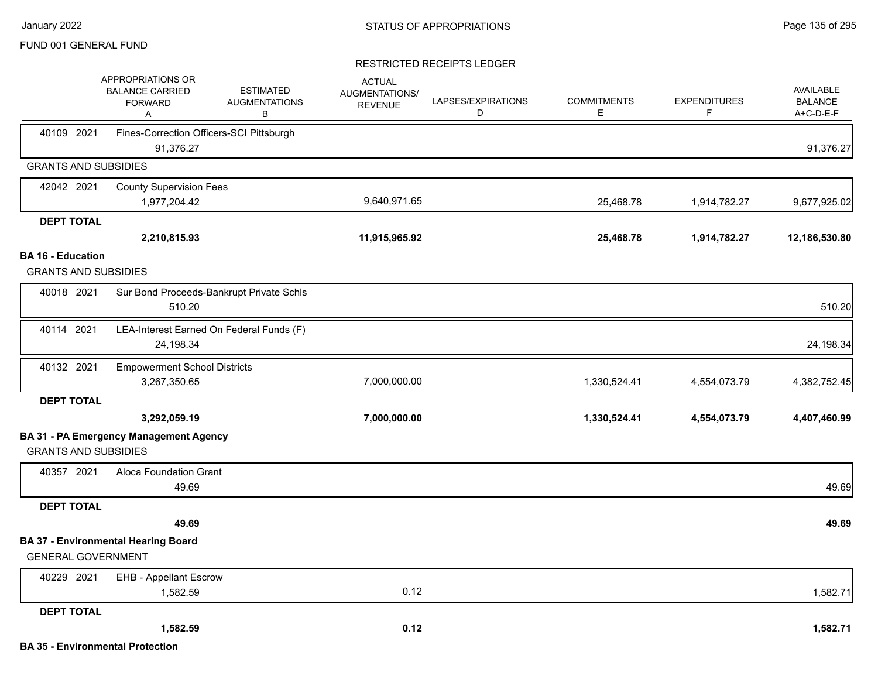|                                                         | APPROPRIATIONS OR<br><b>BALANCE CARRIED</b><br><b>FORWARD</b><br>A | <b>ESTIMATED</b><br><b>AUGMENTATIONS</b><br>B | <b>ACTUAL</b><br>AUGMENTATIONS/<br><b>REVENUE</b> | LAPSES/EXPIRATIONS<br>D | <b>COMMITMENTS</b><br>E. | <b>EXPENDITURES</b><br>F | AVAILABLE<br><b>BALANCE</b><br>A+C-D-E-F |
|---------------------------------------------------------|--------------------------------------------------------------------|-----------------------------------------------|---------------------------------------------------|-------------------------|--------------------------|--------------------------|------------------------------------------|
| 40109 2021                                              | Fines-Correction Officers-SCI Pittsburgh<br>91,376.27              |                                               |                                                   |                         |                          |                          | 91,376.27                                |
| <b>GRANTS AND SUBSIDIES</b>                             |                                                                    |                                               |                                                   |                         |                          |                          |                                          |
| 42042 2021                                              | <b>County Supervision Fees</b>                                     |                                               |                                                   |                         |                          |                          |                                          |
|                                                         | 1,977,204.42                                                       |                                               | 9,640,971.65                                      |                         | 25,468.78                | 1,914,782.27             | 9,677,925.02                             |
| <b>DEPT TOTAL</b>                                       |                                                                    |                                               |                                                   |                         |                          |                          |                                          |
|                                                         | 2,210,815.93                                                       |                                               | 11,915,965.92                                     |                         | 25,468.78                | 1,914,782.27             | 12,186,530.80                            |
| <b>BA 16 - Education</b><br><b>GRANTS AND SUBSIDIES</b> |                                                                    |                                               |                                                   |                         |                          |                          |                                          |
| 40018 2021                                              | 510.20                                                             | Sur Bond Proceeds-Bankrupt Private Schls      |                                                   |                         |                          |                          | 510.20                                   |
| 40114 2021                                              | 24,198.34                                                          | LEA-Interest Earned On Federal Funds (F)      |                                                   |                         |                          |                          | 24,198.34                                |
| 40132 2021                                              | <b>Empowerment School Districts</b><br>3,267,350.65                |                                               | 7,000,000.00                                      |                         | 1,330,524.41             | 4,554,073.79             | 4,382,752.45                             |
| <b>DEPT TOTAL</b>                                       |                                                                    |                                               |                                                   |                         |                          |                          |                                          |
|                                                         | 3,292,059.19                                                       |                                               | 7,000,000.00                                      |                         | 1,330,524.41             | 4,554,073.79             | 4,407,460.99                             |
| <b>GRANTS AND SUBSIDIES</b>                             | <b>BA 31 - PA Emergency Management Agency</b>                      |                                               |                                                   |                         |                          |                          |                                          |
| 40357 2021                                              | Aloca Foundation Grant<br>49.69                                    |                                               |                                                   |                         |                          |                          | 49.69                                    |
| <b>DEPT TOTAL</b>                                       |                                                                    |                                               |                                                   |                         |                          |                          |                                          |
|                                                         | 49.69                                                              |                                               |                                                   |                         |                          |                          | 49.69                                    |
| <b>GENERAL GOVERNMENT</b>                               | <b>BA 37 - Environmental Hearing Board</b>                         |                                               |                                                   |                         |                          |                          |                                          |
| 40229 2021                                              | <b>EHB - Appellant Escrow</b>                                      |                                               |                                                   |                         |                          |                          |                                          |
|                                                         | 1,582.59                                                           |                                               | 0.12                                              |                         |                          |                          | 1,582.71                                 |
| <b>DEPT TOTAL</b>                                       |                                                                    |                                               |                                                   |                         |                          |                          |                                          |
|                                                         | 1,582.59                                                           |                                               | 0.12                                              |                         |                          |                          | 1,582.71                                 |
|                                                         | <b>BA 35 - Environmental Protection</b>                            |                                               |                                                   |                         |                          |                          |                                          |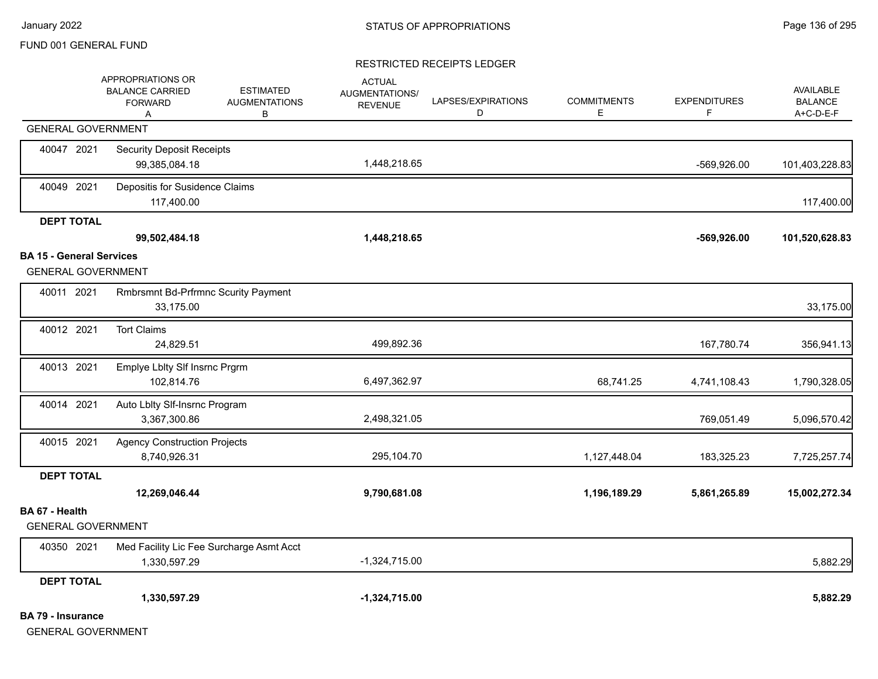|                                 | APPROPRIATIONS OR<br><b>BALANCE CARRIED</b><br><b>FORWARD</b><br>Α | <b>ESTIMATED</b><br><b>AUGMENTATIONS</b><br>В | <b>ACTUAL</b><br><b>AUGMENTATIONS/</b><br><b>REVENUE</b> | LAPSES/EXPIRATIONS<br>D | <b>COMMITMENTS</b><br>E. | <b>EXPENDITURES</b><br>F. | <b>AVAILABLE</b><br><b>BALANCE</b><br>A+C-D-E-F |
|---------------------------------|--------------------------------------------------------------------|-----------------------------------------------|----------------------------------------------------------|-------------------------|--------------------------|---------------------------|-------------------------------------------------|
|                                 | <b>GENERAL GOVERNMENT</b>                                          |                                               |                                                          |                         |                          |                           |                                                 |
| 40047 2021                      | <b>Security Deposit Receipts</b><br>99,385,084.18                  |                                               | 1,448,218.65                                             |                         |                          | -569,926.00               | 101,403,228.83                                  |
| 40049 2021                      | Depositis for Susidence Claims<br>117,400.00                       |                                               |                                                          |                         |                          |                           | 117,400.00                                      |
| <b>DEPT TOTAL</b>               |                                                                    |                                               |                                                          |                         |                          |                           |                                                 |
|                                 | 99,502,484.18                                                      |                                               | 1,448,218.65                                             |                         |                          | $-569,926.00$             | 101,520,628.83                                  |
| <b>BA 15 - General Services</b> | <b>GENERAL GOVERNMENT</b>                                          |                                               |                                                          |                         |                          |                           |                                                 |
| 40011 2021                      | Rmbrsmnt Bd-Prfrmnc Scurity Payment<br>33,175.00                   |                                               |                                                          |                         |                          |                           | 33,175.00                                       |
| 40012 2021                      | <b>Tort Claims</b><br>24,829.51                                    |                                               | 499,892.36                                               |                         |                          | 167,780.74                | 356,941.13                                      |
| 40013 2021                      | Emplye Lblty SIf Insrnc Prgrm<br>102,814.76                        |                                               | 6,497,362.97                                             |                         | 68,741.25                | 4,741,108.43              | 1,790,328.05                                    |
| 40014 2021                      | Auto Lblty Slf-Insrnc Program<br>3,367,300.86                      |                                               | 2,498,321.05                                             |                         |                          | 769,051.49                | 5,096,570.42                                    |
| 40015 2021                      | <b>Agency Construction Projects</b><br>8,740,926.31                |                                               | 295,104.70                                               |                         | 1,127,448.04             | 183,325.23                | 7,725,257.74                                    |
| <b>DEPT TOTAL</b>               |                                                                    |                                               |                                                          |                         |                          |                           |                                                 |
|                                 | 12,269,046.44                                                      |                                               | 9,790,681.08                                             |                         | 1,196,189.29             | 5,861,265.89              | 15,002,272.34                                   |
| BA 67 - Health                  | <b>GENERAL GOVERNMENT</b>                                          |                                               |                                                          |                         |                          |                           |                                                 |
| 40350 2021                      | Med Facility Lic Fee Surcharge Asmt Acct<br>1,330,597.29           |                                               | $-1,324,715.00$                                          |                         |                          |                           | 5,882.29                                        |
| <b>DEPT TOTAL</b>               |                                                                    |                                               |                                                          |                         |                          |                           |                                                 |
|                                 | 1,330,597.29                                                       |                                               | $-1,324,715.00$                                          |                         |                          |                           | 5,882.29                                        |
| <b>BA 79 - Insurance</b>        | <b>GENERAL GOVERNMENT</b>                                          |                                               |                                                          |                         |                          |                           |                                                 |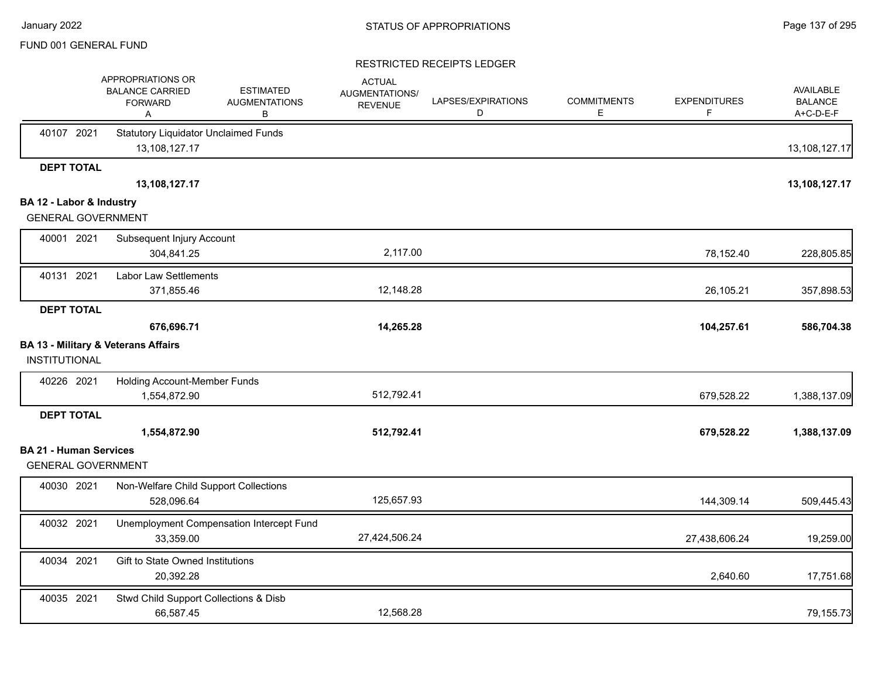|                               | APPROPRIATIONS OR<br><b>BALANCE CARRIED</b><br><b>FORWARD</b><br>Α | <b>ESTIMATED</b><br><b>AUGMENTATIONS</b><br>B | <b>ACTUAL</b><br>AUGMENTATIONS/<br><b>REVENUE</b> | LAPSES/EXPIRATIONS<br>D | <b>COMMITMENTS</b><br>Е | <b>EXPENDITURES</b><br>F | <b>AVAILABLE</b><br><b>BALANCE</b><br>A+C-D-E-F |
|-------------------------------|--------------------------------------------------------------------|-----------------------------------------------|---------------------------------------------------|-------------------------|-------------------------|--------------------------|-------------------------------------------------|
| 40107 2021                    | <b>Statutory Liquidator Unclaimed Funds</b><br>13,108,127.17       |                                               |                                                   |                         |                         |                          | 13,108,127.17                                   |
| <b>DEPT TOTAL</b>             |                                                                    |                                               |                                                   |                         |                         |                          |                                                 |
|                               | 13,108,127.17                                                      |                                               |                                                   |                         |                         |                          | 13,108,127.17                                   |
| BA 12 - Labor & Industry      |                                                                    |                                               |                                                   |                         |                         |                          |                                                 |
|                               | <b>GENERAL GOVERNMENT</b>                                          |                                               |                                                   |                         |                         |                          |                                                 |
| 40001 2021                    | Subsequent Injury Account                                          |                                               |                                                   |                         |                         |                          |                                                 |
|                               | 304,841.25                                                         |                                               | 2,117.00                                          |                         |                         | 78,152.40                | 228,805.85                                      |
| 40131 2021                    | <b>Labor Law Settlements</b>                                       |                                               |                                                   |                         |                         |                          |                                                 |
|                               | 371,855.46                                                         |                                               | 12,148.28                                         |                         |                         | 26,105.21                | 357,898.53                                      |
| <b>DEPT TOTAL</b>             |                                                                    |                                               |                                                   |                         |                         |                          |                                                 |
|                               | 676,696.71                                                         |                                               | 14,265.28                                         |                         |                         | 104,257.61               | 586,704.38                                      |
|                               | <b>BA 13 - Military &amp; Veterans Affairs</b>                     |                                               |                                                   |                         |                         |                          |                                                 |
| INSTITUTIONAL                 |                                                                    |                                               |                                                   |                         |                         |                          |                                                 |
| 40226 2021                    | Holding Account-Member Funds                                       |                                               |                                                   |                         |                         |                          |                                                 |
|                               | 1,554,872.90                                                       |                                               | 512,792.41                                        |                         |                         | 679,528.22               | 1,388,137.09                                    |
| <b>DEPT TOTAL</b>             |                                                                    |                                               |                                                   |                         |                         |                          |                                                 |
|                               | 1,554,872.90                                                       |                                               | 512,792.41                                        |                         |                         | 679,528.22               | 1,388,137.09                                    |
| <b>BA 21 - Human Services</b> |                                                                    |                                               |                                                   |                         |                         |                          |                                                 |
|                               | <b>GENERAL GOVERNMENT</b>                                          |                                               |                                                   |                         |                         |                          |                                                 |
| 40030 2021                    | Non-Welfare Child Support Collections                              |                                               |                                                   |                         |                         |                          |                                                 |
|                               | 528,096.64                                                         |                                               | 125,657.93                                        |                         |                         | 144,309.14               | 509,445.43                                      |
| 40032 2021                    |                                                                    | Unemployment Compensation Intercept Fund      |                                                   |                         |                         |                          |                                                 |
|                               | 33,359.00                                                          |                                               | 27,424,506.24                                     |                         |                         | 27,438,606.24            | 19,259.00                                       |
| 40034 2021                    | Gift to State Owned Institutions                                   |                                               |                                                   |                         |                         |                          |                                                 |
|                               | 20,392.28                                                          |                                               |                                                   |                         |                         | 2,640.60                 | 17,751.68                                       |
| 40035 2021                    | Stwd Child Support Collections & Disb                              |                                               |                                                   |                         |                         |                          |                                                 |
|                               | 66,587.45                                                          |                                               | 12,568.28                                         |                         |                         |                          | 79,155.73                                       |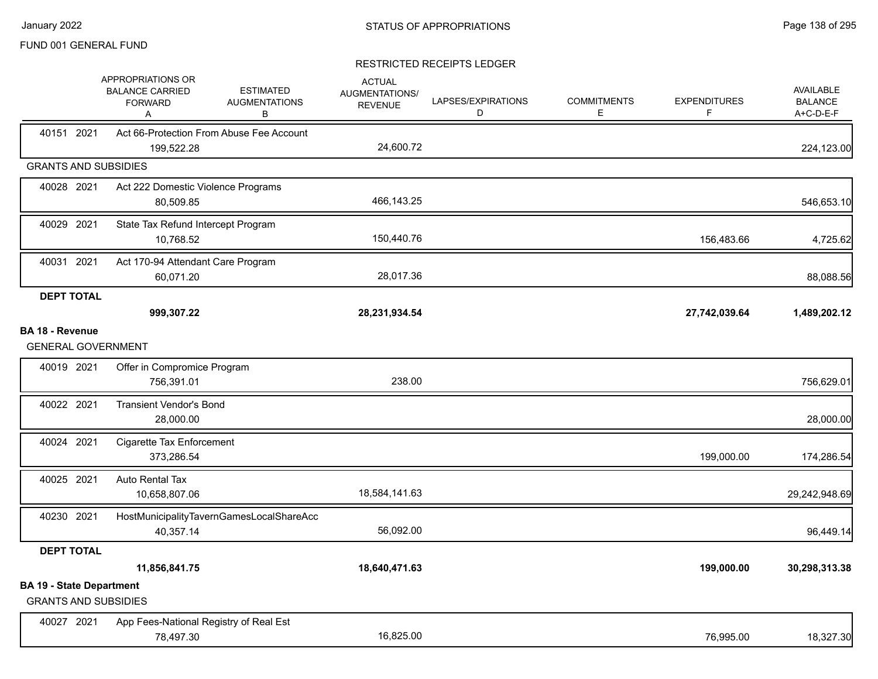|                                                                | APPROPRIATIONS OR<br><b>BALANCE CARRIED</b><br><b>FORWARD</b><br>Α | <b>ESTIMATED</b><br><b>AUGMENTATIONS</b><br>В | <b>ACTUAL</b><br><b>AUGMENTATIONS/</b><br><b>REVENUE</b> | LAPSES/EXPIRATIONS<br>D | <b>COMMITMENTS</b><br>E. | <b>EXPENDITURES</b><br>F | <b>AVAILABLE</b><br><b>BALANCE</b><br>A+C-D-E-F |
|----------------------------------------------------------------|--------------------------------------------------------------------|-----------------------------------------------|----------------------------------------------------------|-------------------------|--------------------------|--------------------------|-------------------------------------------------|
| 40151 2021                                                     | 199,522.28                                                         | Act 66-Protection From Abuse Fee Account      | 24,600.72                                                |                         |                          |                          | 224,123.00                                      |
| <b>GRANTS AND SUBSIDIES</b>                                    |                                                                    |                                               |                                                          |                         |                          |                          |                                                 |
| 40028 2021                                                     | Act 222 Domestic Violence Programs<br>80,509.85                    |                                               | 466,143.25                                               |                         |                          |                          | 546,653.10                                      |
| 40029 2021                                                     | State Tax Refund Intercept Program<br>10,768.52                    |                                               | 150,440.76                                               |                         |                          | 156,483.66               | 4,725.62                                        |
| 40031 2021                                                     | Act 170-94 Attendant Care Program<br>60,071.20                     |                                               | 28,017.36                                                |                         |                          |                          | 88,088.56                                       |
| <b>DEPT TOTAL</b>                                              | 999,307.22                                                         |                                               | 28,231,934.54                                            |                         |                          | 27,742,039.64            | 1,489,202.12                                    |
| <b>BA 18 - Revenue</b><br><b>GENERAL GOVERNMENT</b>            |                                                                    |                                               |                                                          |                         |                          |                          |                                                 |
| 40019 2021                                                     | Offer in Compromice Program<br>756,391.01                          |                                               | 238.00                                                   |                         |                          |                          | 756,629.01                                      |
| 40022 2021                                                     | <b>Transient Vendor's Bond</b><br>28,000.00                        |                                               |                                                          |                         |                          |                          | 28,000.00                                       |
| 40024 2021                                                     | Cigarette Tax Enforcement<br>373,286.54                            |                                               |                                                          |                         |                          | 199,000.00               | 174,286.54                                      |
| 40025 2021                                                     | Auto Rental Tax<br>10,658,807.06                                   |                                               | 18,584,141.63                                            |                         |                          |                          | 29,242,948.69                                   |
| 40230 2021                                                     | 40,357.14                                                          | HostMunicipalityTavernGamesLocalShareAcc      | 56,092.00                                                |                         |                          |                          | 96,449.14                                       |
| <b>DEPT TOTAL</b>                                              |                                                                    |                                               |                                                          |                         |                          |                          |                                                 |
|                                                                | 11,856,841.75                                                      |                                               | 18,640,471.63                                            |                         |                          | 199,000.00               | 30,298,313.38                                   |
| <b>BA 19 - State Department</b><br><b>GRANTS AND SUBSIDIES</b> |                                                                    |                                               |                                                          |                         |                          |                          |                                                 |
| 40027 2021                                                     | 78,497.30                                                          | App Fees-National Registry of Real Est        | 16,825.00                                                |                         |                          | 76,995.00                | 18,327.30                                       |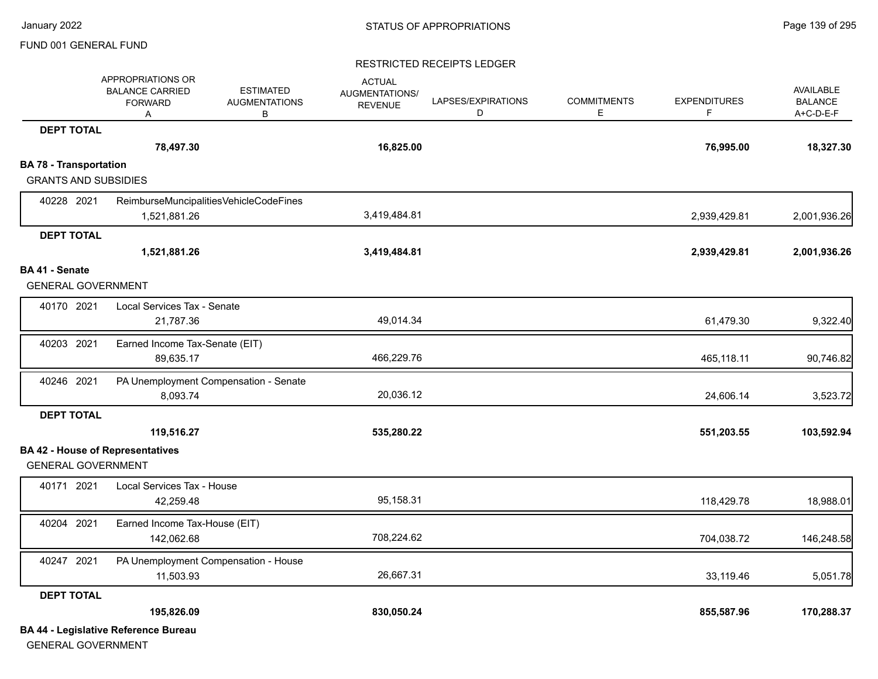#### RESTRICTED RECEIPTS LEDGER

|                               | APPROPRIATIONS OR<br><b>BALANCE CARRIED</b><br><b>FORWARD</b><br>Α | <b>ESTIMATED</b><br><b>AUGMENTATIONS</b><br>В | <b>ACTUAL</b><br>AUGMENTATIONS/<br><b>REVENUE</b> | LAPSES/EXPIRATIONS<br>D | <b>COMMITMENTS</b><br>E | <b>EXPENDITURES</b><br>F | <b>AVAILABLE</b><br><b>BALANCE</b><br>A+C-D-E-F |
|-------------------------------|--------------------------------------------------------------------|-----------------------------------------------|---------------------------------------------------|-------------------------|-------------------------|--------------------------|-------------------------------------------------|
| <b>DEPT TOTAL</b>             |                                                                    |                                               |                                                   |                         |                         |                          |                                                 |
|                               | 78,497.30                                                          |                                               | 16,825.00                                         |                         |                         | 76,995.00                | 18,327.30                                       |
| <b>BA 78 - Transportation</b> |                                                                    |                                               |                                                   |                         |                         |                          |                                                 |
| <b>GRANTS AND SUBSIDIES</b>   |                                                                    |                                               |                                                   |                         |                         |                          |                                                 |
| 40228 2021                    | ReimburseMuncipalitiesVehicleCodeFines                             |                                               |                                                   |                         |                         |                          |                                                 |
|                               | 1,521,881.26                                                       |                                               | 3,419,484.81                                      |                         |                         | 2,939,429.81             | 2,001,936.26                                    |
| <b>DEPT TOTAL</b>             |                                                                    |                                               |                                                   |                         |                         |                          |                                                 |
|                               | 1,521,881.26                                                       |                                               | 3,419,484.81                                      |                         |                         | 2,939,429.81             | 2,001,936.26                                    |
| BA 41 - Senate                |                                                                    |                                               |                                                   |                         |                         |                          |                                                 |
| <b>GENERAL GOVERNMENT</b>     |                                                                    |                                               |                                                   |                         |                         |                          |                                                 |
| 40170 2021                    | Local Services Tax - Senate                                        |                                               |                                                   |                         |                         |                          |                                                 |
|                               | 21,787.36                                                          |                                               | 49,014.34                                         |                         |                         | 61,479.30                | 9,322.40                                        |
| 40203 2021                    | Earned Income Tax-Senate (EIT)                                     |                                               |                                                   |                         |                         |                          |                                                 |
|                               | 89,635.17                                                          |                                               | 466,229.76                                        |                         |                         | 465,118.11               | 90,746.82                                       |
| 40246 2021                    | PA Unemployment Compensation - Senate                              |                                               |                                                   |                         |                         |                          |                                                 |
|                               | 8,093.74                                                           |                                               | 20,036.12                                         |                         |                         | 24,606.14                | 3,523.72                                        |
| <b>DEPT TOTAL</b>             |                                                                    |                                               |                                                   |                         |                         |                          |                                                 |
|                               | 119,516.27                                                         |                                               | 535,280.22                                        |                         |                         | 551,203.55               | 103,592.94                                      |
|                               | <b>BA 42 - House of Representatives</b>                            |                                               |                                                   |                         |                         |                          |                                                 |
| <b>GENERAL GOVERNMENT</b>     |                                                                    |                                               |                                                   |                         |                         |                          |                                                 |
| 40171 2021                    | Local Services Tax - House                                         |                                               |                                                   |                         |                         |                          |                                                 |
|                               | 42,259.48                                                          |                                               | 95,158.31                                         |                         |                         | 118,429.78               | 18,988.01                                       |
| 40204 2021                    | Earned Income Tax-House (EIT)                                      |                                               |                                                   |                         |                         |                          |                                                 |
|                               | 142,062.68                                                         |                                               | 708,224.62                                        |                         |                         | 704,038.72               | 146,248.58                                      |
| 40247 2021                    | PA Unemployment Compensation - House                               |                                               |                                                   |                         |                         |                          |                                                 |
|                               | 11,503.93                                                          |                                               | 26,667.31                                         |                         |                         | 33,119.46                | 5,051.78                                        |
| <b>DEPT TOTAL</b>             |                                                                    |                                               |                                                   |                         |                         |                          |                                                 |
|                               | 195,826.09                                                         |                                               | 830,050.24                                        |                         |                         | 855,587.96               | 170,288.37                                      |
|                               | <b>BA 44 - Legislative Reference Bureau</b>                        |                                               |                                                   |                         |                         |                          |                                                 |

GENERAL GOVERNMENT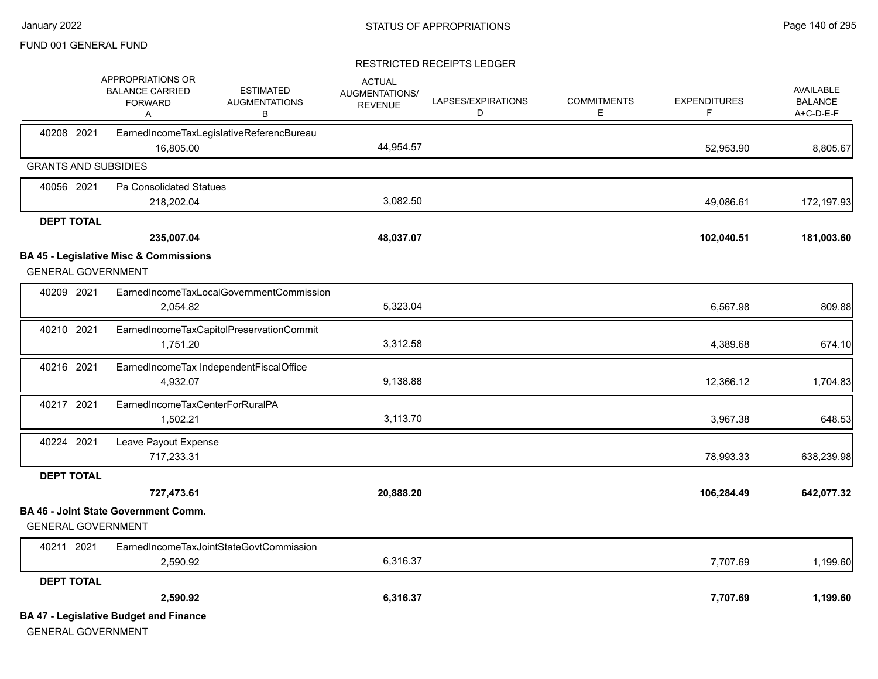|                   | APPROPRIATIONS OR<br><b>BALANCE CARRIED</b><br><b>FORWARD</b><br>Α         | <b>ESTIMATED</b><br><b>AUGMENTATIONS</b><br>в | <b>ACTUAL</b><br>AUGMENTATIONS/<br><b>REVENUE</b> | LAPSES/EXPIRATIONS<br>D | <b>COMMITMENTS</b><br>Е | <b>EXPENDITURES</b><br>F | <b>AVAILABLE</b><br><b>BALANCE</b><br>A+C-D-E-F |
|-------------------|----------------------------------------------------------------------------|-----------------------------------------------|---------------------------------------------------|-------------------------|-------------------------|--------------------------|-------------------------------------------------|
| 40208 2021        | 16.805.00                                                                  | EarnedIncomeTaxLegislativeReferencBureau      | 44,954.57                                         |                         |                         | 52,953.90                | 8,805.67                                        |
|                   | <b>GRANTS AND SUBSIDIES</b>                                                |                                               |                                                   |                         |                         |                          |                                                 |
| 40056 2021        | Pa Consolidated Statues                                                    |                                               |                                                   |                         |                         |                          |                                                 |
|                   | 218,202.04                                                                 |                                               | 3,082.50                                          |                         |                         | 49,086.61                | 172,197.93                                      |
| <b>DEPT TOTAL</b> |                                                                            |                                               |                                                   |                         |                         |                          |                                                 |
|                   | 235,007.04                                                                 |                                               | 48,037.07                                         |                         |                         | 102,040.51               | 181,003.60                                      |
|                   | <b>BA 45 - Legislative Misc &amp; Commissions</b>                          |                                               |                                                   |                         |                         |                          |                                                 |
|                   | <b>GENERAL GOVERNMENT</b>                                                  |                                               |                                                   |                         |                         |                          |                                                 |
| 40209 2021        |                                                                            | EarnedIncomeTaxLocalGovernmentCommission      |                                                   |                         |                         |                          |                                                 |
|                   | 2,054.82                                                                   |                                               | 5,323.04                                          |                         |                         | 6,567.98                 | 809.88                                          |
| 40210 2021        |                                                                            | EarnedIncomeTaxCapitolPreservationCommit      |                                                   |                         |                         |                          |                                                 |
|                   | 1,751.20                                                                   |                                               | 3,312.58                                          |                         |                         | 4,389.68                 | 674.10                                          |
| 40216 2021        |                                                                            | EarnedIncomeTax IndependentFiscalOffice       |                                                   |                         |                         |                          |                                                 |
|                   | 4,932.07                                                                   |                                               | 9,138.88                                          |                         |                         | 12,366.12                | 1,704.83                                        |
| 40217 2021        | EarnedIncomeTaxCenterForRuralPA                                            |                                               |                                                   |                         |                         |                          |                                                 |
|                   | 1,502.21                                                                   |                                               | 3,113.70                                          |                         |                         | 3,967.38                 | 648.53                                          |
| 40224 2021        | Leave Payout Expense                                                       |                                               |                                                   |                         |                         |                          |                                                 |
|                   | 717,233.31                                                                 |                                               |                                                   |                         |                         | 78,993.33                | 638,239.98                                      |
| <b>DEPT TOTAL</b> |                                                                            |                                               |                                                   |                         |                         |                          |                                                 |
|                   | 727,473.61                                                                 |                                               | 20,888.20                                         |                         |                         | 106,284.49               | 642,077.32                                      |
|                   | <b>BA 46 - Joint State Government Comm.</b><br><b>GENERAL GOVERNMENT</b>   |                                               |                                                   |                         |                         |                          |                                                 |
| 40211 2021        |                                                                            | EarnedIncomeTaxJointStateGovtCommission       |                                                   |                         |                         |                          |                                                 |
|                   | 2,590.92                                                                   |                                               | 6,316.37                                          |                         |                         | 7,707.69                 | 1,199.60                                        |
| <b>DEPT TOTAL</b> |                                                                            |                                               |                                                   |                         |                         |                          |                                                 |
|                   | 2,590.92                                                                   |                                               | 6,316.37                                          |                         |                         | 7,707.69                 | 1,199.60                                        |
|                   | <b>BA 47 - Legislative Budget and Finance</b><br><b>GENERAL GOVERNMENT</b> |                                               |                                                   |                         |                         |                          |                                                 |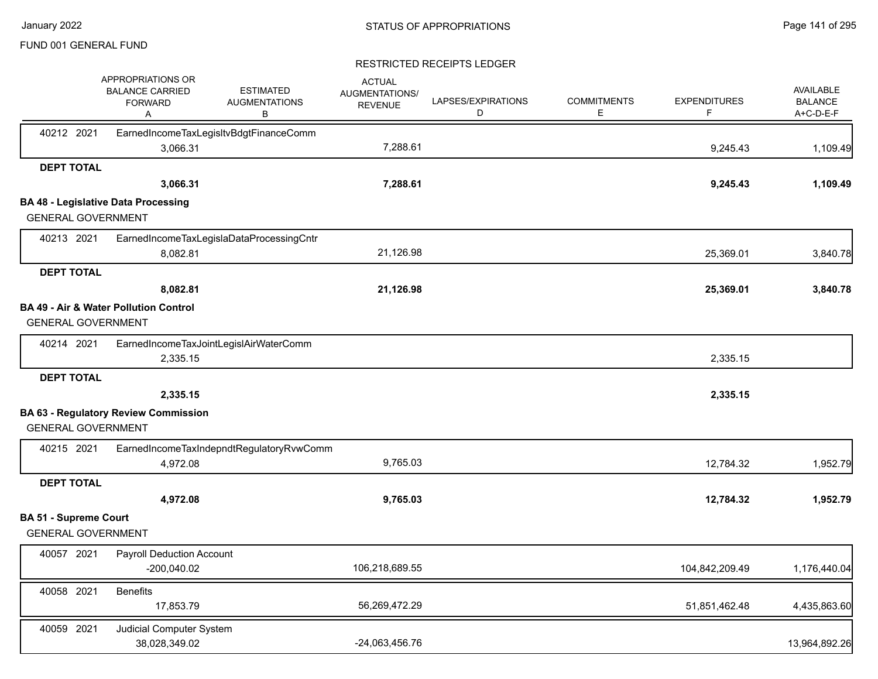|                              | APPROPRIATIONS OR<br><b>BALANCE CARRIED</b><br><b>FORWARD</b><br>Α | <b>ESTIMATED</b><br><b>AUGMENTATIONS</b><br>В | <b>ACTUAL</b><br><b>AUGMENTATIONS/</b><br><b>REVENUE</b> | LAPSES/EXPIRATIONS<br>D | <b>COMMITMENTS</b><br>Е | <b>EXPENDITURES</b><br>F | AVAILABLE<br><b>BALANCE</b><br>A+C-D-E-F |
|------------------------------|--------------------------------------------------------------------|-----------------------------------------------|----------------------------------------------------------|-------------------------|-------------------------|--------------------------|------------------------------------------|
| 40212 2021                   | 3,066.31                                                           | EarnedIncomeTaxLegisItvBdgtFinanceComm        | 7,288.61                                                 |                         |                         | 9,245.43                 | 1,109.49                                 |
| <b>DEPT TOTAL</b>            |                                                                    |                                               |                                                          |                         |                         |                          |                                          |
|                              | 3,066.31                                                           |                                               | 7,288.61                                                 |                         |                         | 9,245.43                 | 1,109.49                                 |
|                              | <b>BA 48 - Legislative Data Processing</b>                         |                                               |                                                          |                         |                         |                          |                                          |
| <b>GENERAL GOVERNMENT</b>    |                                                                    |                                               |                                                          |                         |                         |                          |                                          |
| 40213 2021                   |                                                                    | EarnedIncomeTaxLegislaDataProcessingCntr      |                                                          |                         |                         |                          |                                          |
|                              | 8,082.81                                                           |                                               | 21,126.98                                                |                         |                         | 25,369.01                | 3,840.78                                 |
| <b>DEPT TOTAL</b>            |                                                                    |                                               |                                                          |                         |                         |                          |                                          |
|                              | 8,082.81                                                           |                                               | 21,126.98                                                |                         |                         | 25,369.01                | 3,840.78                                 |
| <b>GENERAL GOVERNMENT</b>    | <b>BA 49 - Air &amp; Water Pollution Control</b>                   |                                               |                                                          |                         |                         |                          |                                          |
| 40214 2021                   |                                                                    | EarnedIncomeTaxJointLegislAirWaterComm        |                                                          |                         |                         |                          |                                          |
|                              | 2,335.15                                                           |                                               |                                                          |                         |                         | 2,335.15                 |                                          |
| <b>DEPT TOTAL</b>            |                                                                    |                                               |                                                          |                         |                         |                          |                                          |
|                              | 2,335.15                                                           |                                               |                                                          |                         |                         | 2,335.15                 |                                          |
|                              | <b>BA 63 - Regulatory Review Commission</b>                        |                                               |                                                          |                         |                         |                          |                                          |
| <b>GENERAL GOVERNMENT</b>    |                                                                    |                                               |                                                          |                         |                         |                          |                                          |
| 40215 2021                   |                                                                    | EarnedIncomeTaxIndepndtRegulatoryRvwComm      |                                                          |                         |                         |                          |                                          |
|                              | 4,972.08                                                           |                                               | 9,765.03                                                 |                         |                         | 12,784.32                | 1,952.79                                 |
| <b>DEPT TOTAL</b>            |                                                                    |                                               |                                                          |                         |                         |                          |                                          |
|                              | 4,972.08                                                           |                                               | 9,765.03                                                 |                         |                         | 12,784.32                | 1,952.79                                 |
| <b>BA 51 - Supreme Court</b> |                                                                    |                                               |                                                          |                         |                         |                          |                                          |
| <b>GENERAL GOVERNMENT</b>    |                                                                    |                                               |                                                          |                         |                         |                          |                                          |
| 40057 2021                   | <b>Payroll Deduction Account</b><br>$-200,040.02$                  |                                               | 106,218,689.55                                           |                         |                         | 104,842,209.49           | 1,176,440.04                             |
| 40058 2021                   | <b>Benefits</b><br>17,853.79                                       |                                               | 56,269,472.29                                            |                         |                         | 51,851,462.48            | 4,435,863.60                             |
| 40059 2021                   | Judicial Computer System<br>38,028,349.02                          |                                               | -24,063,456.76                                           |                         |                         |                          | 13,964,892.26                            |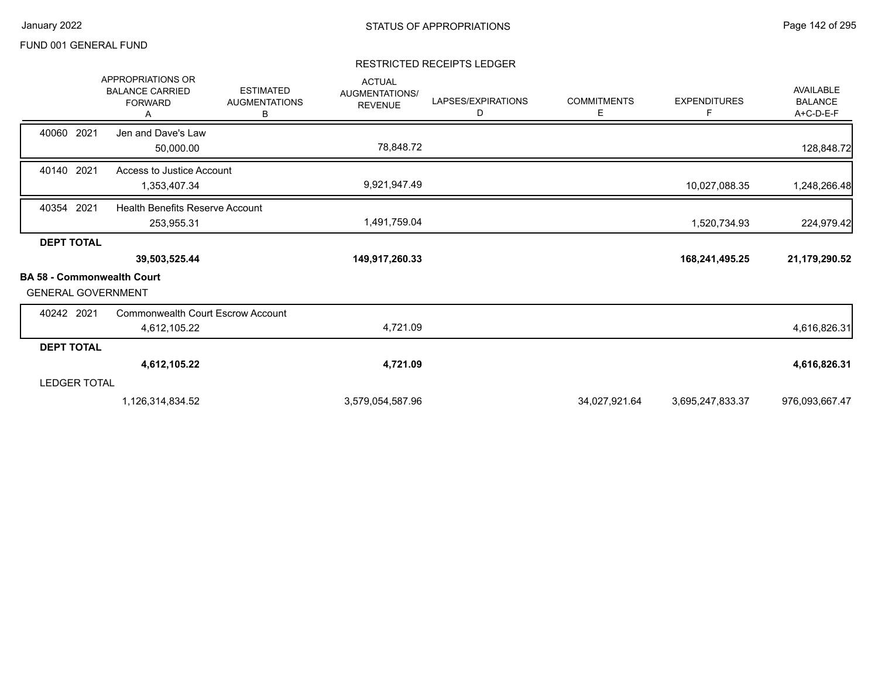|                                                        | <b>APPROPRIATIONS OR</b><br><b>BALANCE CARRIED</b><br><b>FORWARD</b><br>Α | <b>ESTIMATED</b><br><b>AUGMENTATIONS</b><br>В | <b>ACTUAL</b><br>AUGMENTATIONS/<br><b>REVENUE</b> | LAPSES/EXPIRATIONS<br>D | <b>COMMITMENTS</b><br>Е | <b>EXPENDITURES</b><br>F. | <b>AVAILABLE</b><br><b>BALANCE</b><br>A+C-D-E-F |
|--------------------------------------------------------|---------------------------------------------------------------------------|-----------------------------------------------|---------------------------------------------------|-------------------------|-------------------------|---------------------------|-------------------------------------------------|
| 40060 2021                                             | Jen and Dave's Law<br>50,000.00                                           |                                               | 78,848.72                                         |                         |                         |                           | 128,848.72                                      |
| 40140 2021                                             | Access to Justice Account<br>1,353,407.34                                 |                                               | 9,921,947.49                                      |                         |                         | 10,027,088.35             | 1,248,266.48                                    |
| 40354 2021                                             | <b>Health Benefits Reserve Account</b><br>253,955.31                      |                                               | 1,491,759.04                                      |                         |                         | 1,520,734.93              | 224,979.42                                      |
| <b>DEPT TOTAL</b><br><b>BA 58 - Commonwealth Court</b> | 39,503,525.44                                                             |                                               | 149,917,260.33                                    |                         |                         | 168,241,495.25            | 21,179,290.52                                   |
| <b>GENERAL GOVERNMENT</b>                              |                                                                           |                                               |                                                   |                         |                         |                           |                                                 |
| 40242 2021                                             | Commonwealth Court Escrow Account<br>4,612,105.22                         |                                               | 4,721.09                                          |                         |                         |                           | 4,616,826.31                                    |
| <b>DEPT TOTAL</b>                                      |                                                                           |                                               |                                                   |                         |                         |                           |                                                 |
|                                                        | 4,612,105.22                                                              |                                               | 4,721.09                                          |                         |                         |                           | 4,616,826.31                                    |
| <b>LEDGER TOTAL</b>                                    |                                                                           |                                               |                                                   |                         |                         |                           |                                                 |
|                                                        | 1,126,314,834.52                                                          |                                               | 3,579,054,587.96                                  |                         | 34,027,921.64           | 3,695,247,833.37          | 976,093,667.47                                  |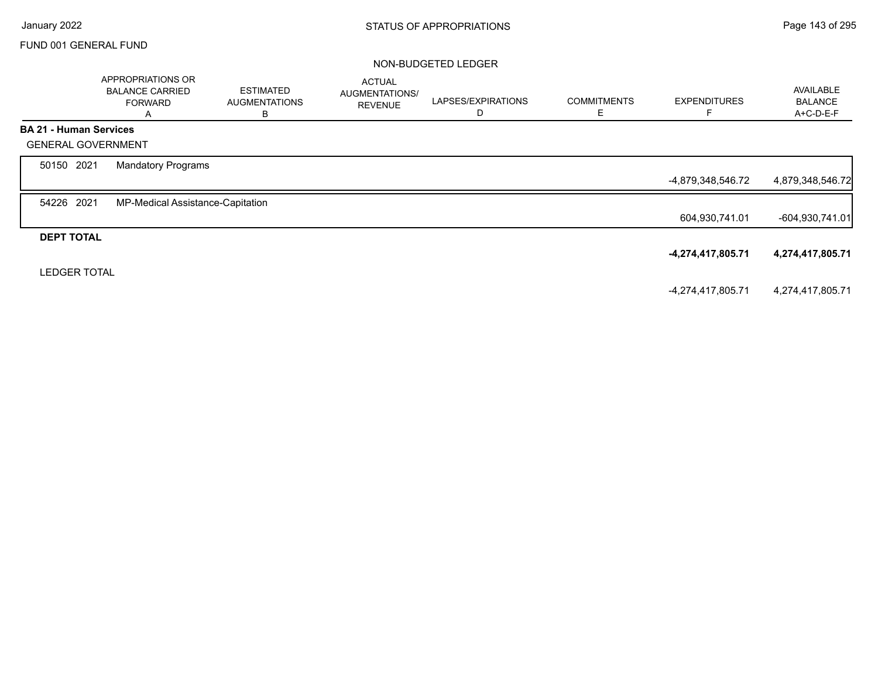#### NON-BUDGETED LEDGER

|                               | APPROPRIATIONS OR<br><b>BALANCE CARRIED</b><br><b>FORWARD</b><br>A | <b>ESTIMATED</b><br><b>AUGMENTATIONS</b><br>в | <b>ACTUAL</b><br>AUGMENTATIONS/<br><b>REVENUE</b> | LAPSES/EXPIRATIONS | <b>COMMITMENTS</b><br>E. | <b>EXPENDITURES</b> | AVAILABLE<br><b>BALANCE</b><br>A+C-D-E-F |
|-------------------------------|--------------------------------------------------------------------|-----------------------------------------------|---------------------------------------------------|--------------------|--------------------------|---------------------|------------------------------------------|
| <b>BA 21 - Human Services</b> |                                                                    |                                               |                                                   |                    |                          |                     |                                          |
| <b>GENERAL GOVERNMENT</b>     |                                                                    |                                               |                                                   |                    |                          |                     |                                          |
| 50150 2021                    | <b>Mandatory Programs</b>                                          |                                               |                                                   |                    |                          |                     |                                          |
|                               |                                                                    |                                               |                                                   |                    |                          | -4,879,348,546.72   | 4,879,348,546.72                         |
| 54226 2021                    | MP-Medical Assistance-Capitation                                   |                                               |                                                   |                    |                          |                     |                                          |
|                               |                                                                    |                                               |                                                   |                    |                          | 604,930,741.01      | $-604,930,741.01$                        |
| <b>DEPT TOTAL</b>             |                                                                    |                                               |                                                   |                    |                          |                     |                                          |
|                               |                                                                    |                                               |                                                   |                    |                          | -4,274,417,805.71   | 4,274,417,805.71                         |
| <b>LEDGER TOTAL</b>           |                                                                    |                                               |                                                   |                    |                          |                     |                                          |
|                               |                                                                    |                                               |                                                   |                    |                          | -4,274,417,805.71   | 4,274,417,805.71                         |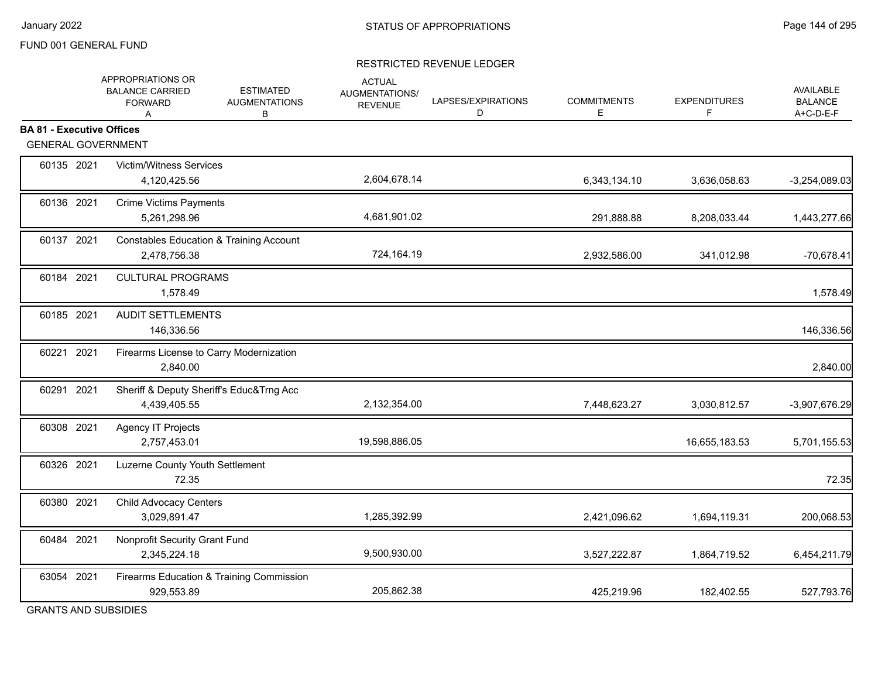#### RESTRICTED REVENUE LEDGER

|                                                               | APPROPRIATIONS OR<br><b>ESTIMATED</b><br><b>BALANCE CARRIED</b><br><b>AUGMENTATIONS</b><br><b>FORWARD</b><br>В<br>A | <b>ACTUAL</b><br>AUGMENTATIONS/<br><b>REVENUE</b> | LAPSES/EXPIRATIONS<br>D | <b>COMMITMENTS</b><br>E. | <b>EXPENDITURES</b><br>F | AVAILABLE<br><b>BALANCE</b><br>A+C-D-E-F |
|---------------------------------------------------------------|---------------------------------------------------------------------------------------------------------------------|---------------------------------------------------|-------------------------|--------------------------|--------------------------|------------------------------------------|
| <b>BA 81 - Executive Offices</b><br><b>GENERAL GOVERNMENT</b> |                                                                                                                     |                                                   |                         |                          |                          |                                          |
|                                                               |                                                                                                                     |                                                   |                         |                          |                          |                                          |
| 60135 2021                                                    | <b>Victim/Witness Services</b><br>4,120,425.56                                                                      | 2,604,678.14                                      |                         | 6,343,134.10             | 3,636,058.63             | $-3,254,089.03$                          |
| 60136 2021                                                    | <b>Crime Victims Payments</b><br>5,261,298.96                                                                       | 4,681,901.02                                      |                         | 291,888.88               | 8,208,033.44             | 1,443,277.66                             |
| 60137 2021                                                    | <b>Constables Education &amp; Training Account</b><br>2,478,756.38                                                  | 724,164.19                                        |                         | 2,932,586.00             | 341,012.98               | $-70,678.41$                             |
| 60184 2021                                                    | <b>CULTURAL PROGRAMS</b><br>1,578.49                                                                                |                                                   |                         |                          |                          | 1,578.49                                 |
| 60185 2021                                                    | <b>AUDIT SETTLEMENTS</b><br>146,336.56                                                                              |                                                   |                         |                          |                          | 146,336.56                               |
| 60221 2021                                                    | Firearms License to Carry Modernization<br>2,840.00                                                                 |                                                   |                         |                          |                          | 2,840.00                                 |
| 60291 2021                                                    | Sheriff & Deputy Sheriff's Educ&Trng Acc<br>4,439,405.55                                                            | 2,132,354.00                                      |                         | 7,448,623.27             | 3,030,812.57             | -3,907,676.29                            |
| 60308 2021                                                    | Agency IT Projects<br>2,757,453.01                                                                                  | 19,598,886.05                                     |                         |                          | 16,655,183.53            | 5,701,155.53                             |
| 60326 2021                                                    | Luzerne County Youth Settlement<br>72.35                                                                            |                                                   |                         |                          |                          | 72.35                                    |
| 60380 2021                                                    | Child Advocacy Centers<br>3,029,891.47                                                                              | 1,285,392.99                                      |                         | 2,421,096.62             | 1,694,119.31             | 200,068.53                               |
| 60484 2021                                                    | Nonprofit Security Grant Fund<br>2,345,224.18                                                                       | 9,500,930.00                                      |                         | 3,527,222.87             | 1,864,719.52             | 6,454,211.79                             |
| 63054 2021                                                    | Firearms Education & Training Commission<br>929,553.89                                                              | 205,862.38                                        |                         | 425,219.96               | 182,402.55               | 527,793.76                               |

GRANTS AND SUBSIDIES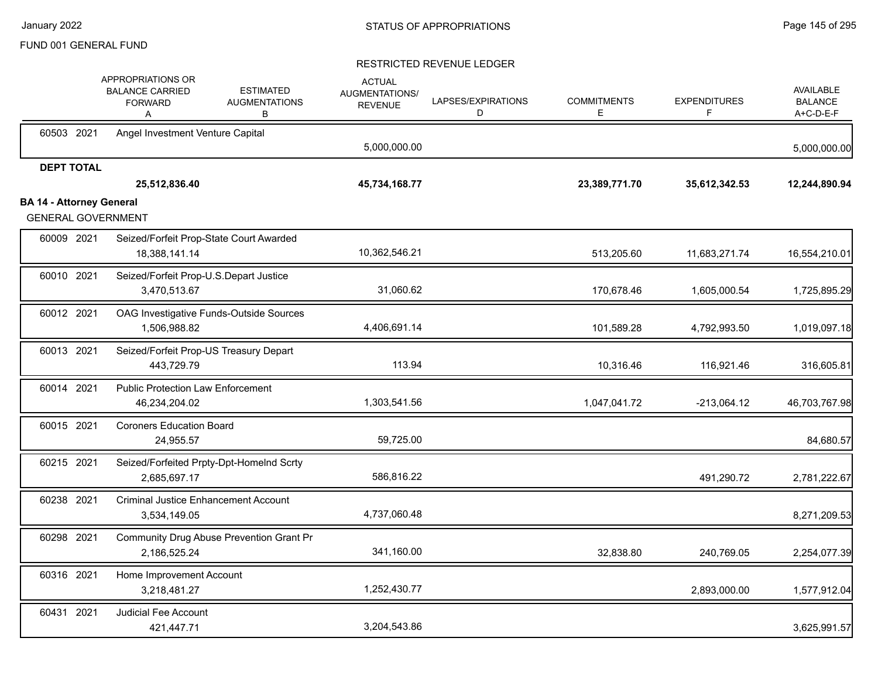|                                 |                   | APPROPRIATIONS OR<br><b>BALANCE CARRIED</b><br><b>FORWARD</b><br>A | <b>ESTIMATED</b><br><b>AUGMENTATIONS</b><br>В | <b>ACTUAL</b><br>AUGMENTATIONS/<br><b>REVENUE</b> | LAPSES/EXPIRATIONS<br>D | <b>COMMITMENTS</b><br>E. | <b>EXPENDITURES</b><br>F. | AVAILABLE<br><b>BALANCE</b><br>A+C-D-E-F |
|---------------------------------|-------------------|--------------------------------------------------------------------|-----------------------------------------------|---------------------------------------------------|-------------------------|--------------------------|---------------------------|------------------------------------------|
|                                 | 60503 2021        | Angel Investment Venture Capital                                   |                                               | 5,000,000.00                                      |                         |                          |                           | 5,000,000.00                             |
|                                 | <b>DEPT TOTAL</b> | 25,512,836.40                                                      |                                               | 45,734,168.77                                     |                         | 23,389,771.70            | 35,612,342.53             | 12,244,890.94                            |
| <b>BA 14 - Attorney General</b> |                   |                                                                    |                                               |                                                   |                         |                          |                           |                                          |
|                                 |                   | <b>GENERAL GOVERNMENT</b>                                          |                                               |                                                   |                         |                          |                           |                                          |
|                                 | 60009 2021        | Seized/Forfeit Prop-State Court Awarded<br>18,388,141.14           |                                               | 10,362,546.21                                     |                         | 513,205.60               | 11,683,271.74             | 16,554,210.01                            |
|                                 | 60010 2021        | Seized/Forfeit Prop-U.S.Depart Justice<br>3,470,513.67             |                                               | 31,060.62                                         |                         | 170,678.46               | 1,605,000.54              | 1,725,895.29                             |
|                                 | 60012 2021        | OAG Investigative Funds-Outside Sources<br>1,506,988.82            |                                               | 4,406,691.14                                      |                         | 101,589.28               | 4,792,993.50              | 1,019,097.18                             |
|                                 | 60013 2021        | Seized/Forfeit Prop-US Treasury Depart<br>443,729.79               |                                               | 113.94                                            |                         | 10,316.46                | 116,921.46                | 316,605.81                               |
|                                 | 60014 2021        | <b>Public Protection Law Enforcement</b><br>46,234,204.02          |                                               | 1,303,541.56                                      |                         | 1,047,041.72             | $-213,064.12$             | 46,703,767.98                            |
|                                 | 60015 2021        | <b>Coroners Education Board</b><br>24,955.57                       |                                               | 59,725.00                                         |                         |                          |                           | 84,680.57                                |
|                                 | 60215 2021        | Seized/Forfeited Prpty-Dpt-HomeInd Scrty<br>2,685,697.17           |                                               | 586,816.22                                        |                         |                          | 491,290.72                | 2,781,222.67                             |
|                                 | 60238 2021        | <b>Criminal Justice Enhancement Account</b><br>3,534,149.05        |                                               | 4,737,060.48                                      |                         |                          |                           | 8,271,209.53                             |
|                                 | 60298 2021        | Community Drug Abuse Prevention Grant Pr<br>2,186,525.24           |                                               | 341,160.00                                        |                         | 32,838.80                | 240,769.05                | 2,254,077.39                             |
|                                 | 60316 2021        | Home Improvement Account<br>3,218,481.27                           |                                               | 1,252,430.77                                      |                         |                          | 2,893,000.00              | 1,577,912.04                             |
|                                 | 60431 2021        | <b>Judicial Fee Account</b><br>421,447.71                          |                                               | 3,204,543.86                                      |                         |                          |                           | 3,625,991.57                             |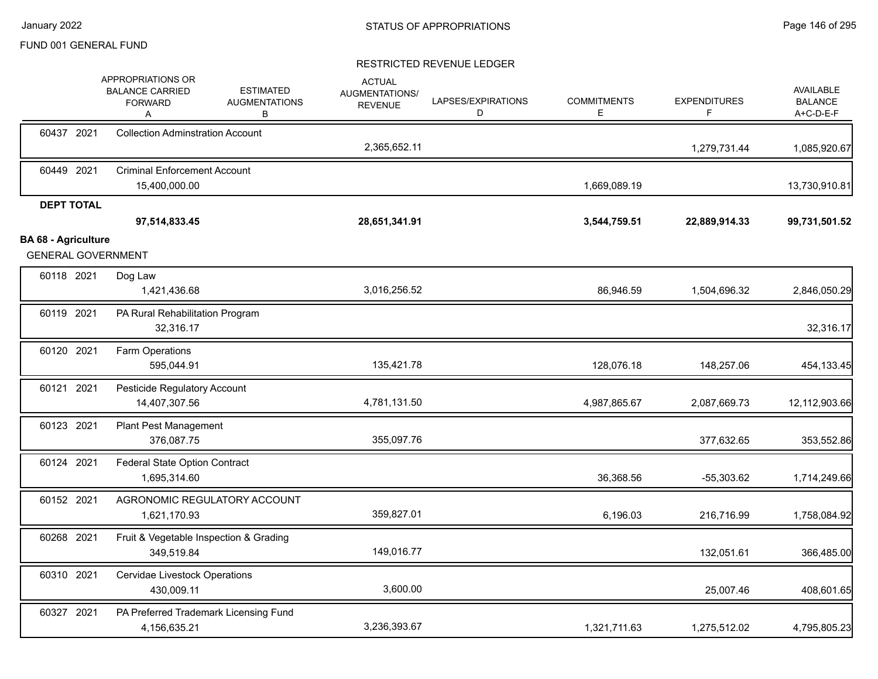|                            | APPROPRIATIONS OR<br><b>BALANCE CARRIED</b><br><b>FORWARD</b><br>Α | <b>ESTIMATED</b><br><b>AUGMENTATIONS</b><br>В | <b>ACTUAL</b><br>AUGMENTATIONS/<br><b>REVENUE</b> | LAPSES/EXPIRATIONS<br>D | <b>COMMITMENTS</b><br>E. | <b>EXPENDITURES</b><br>F | AVAILABLE<br><b>BALANCE</b><br>A+C-D-E-F |
|----------------------------|--------------------------------------------------------------------|-----------------------------------------------|---------------------------------------------------|-------------------------|--------------------------|--------------------------|------------------------------------------|
| 60437 2021                 | <b>Collection Adminstration Account</b>                            |                                               | 2,365,652.11                                      |                         |                          | 1,279,731.44             | 1,085,920.67                             |
| 60449 2021                 | <b>Criminal Enforcement Account</b><br>15,400,000.00               |                                               |                                                   |                         | 1,669,089.19             |                          | 13,730,910.81                            |
| <b>DEPT TOTAL</b>          | 97,514,833.45                                                      |                                               | 28,651,341.91                                     |                         | 3,544,759.51             | 22,889,914.33            | 99,731,501.52                            |
| <b>BA 68 - Agriculture</b> | <b>GENERAL GOVERNMENT</b>                                          |                                               |                                                   |                         |                          |                          |                                          |
| 60118 2021                 | Dog Law<br>1,421,436.68                                            |                                               | 3,016,256.52                                      |                         | 86,946.59                | 1,504,696.32             | 2,846,050.29                             |
| 60119 2021                 | PA Rural Rehabilitation Program<br>32,316.17                       |                                               |                                                   |                         |                          |                          | 32,316.17                                |
| 60120 2021                 | Farm Operations<br>595,044.91                                      |                                               | 135,421.78                                        |                         | 128,076.18               | 148,257.06               | 454,133.45                               |
| 60121 2021                 | Pesticide Regulatory Account<br>14,407,307.56                      |                                               | 4,781,131.50                                      |                         | 4,987,865.67             | 2,087,669.73             | 12,112,903.66                            |
| 60123 2021                 | <b>Plant Pest Management</b><br>376,087.75                         |                                               | 355,097.76                                        |                         |                          | 377,632.65               | 353,552.86                               |
| 60124 2021                 | Federal State Option Contract<br>1,695,314.60                      |                                               |                                                   |                         | 36,368.56                | $-55,303.62$             | 1,714,249.66                             |
| 60152 2021                 | 1,621,170.93                                                       | AGRONOMIC REGULATORY ACCOUNT                  | 359,827.01                                        |                         | 6,196.03                 | 216,716.99               | 1,758,084.92                             |
| 60268 2021                 | 349,519.84                                                         | Fruit & Vegetable Inspection & Grading        | 149,016.77                                        |                         |                          | 132,051.61               | 366,485.00                               |
| 60310 2021                 | Cervidae Livestock Operations<br>430,009.11                        |                                               | 3,600.00                                          |                         |                          | 25,007.46                | 408,601.65                               |
| 60327 2021                 | 4,156,635.21                                                       | PA Preferred Trademark Licensing Fund         | 3,236,393.67                                      |                         | 1,321,711.63             | 1,275,512.02             | 4,795,805.23                             |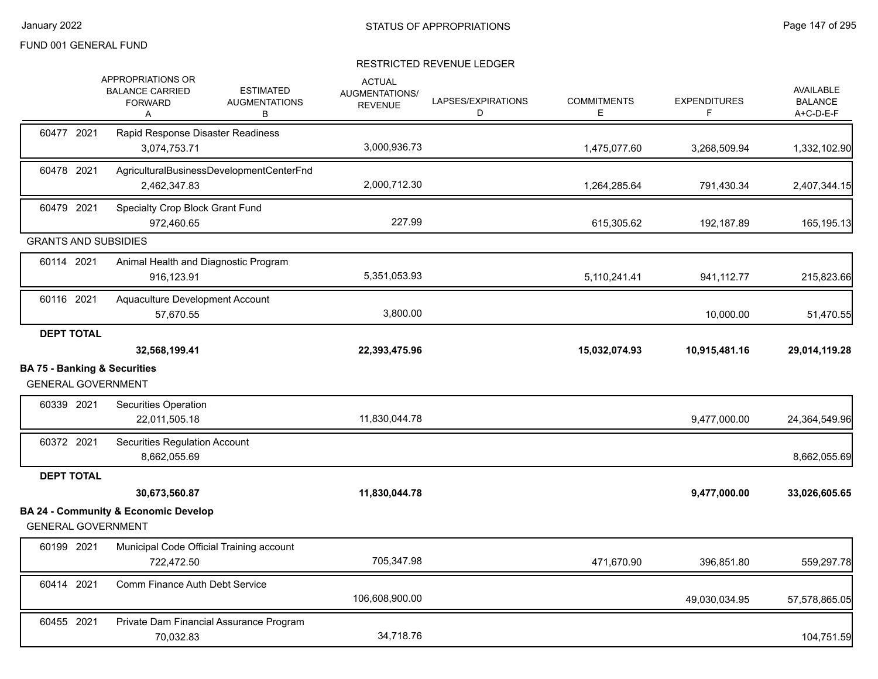|                                                                      | APPROPRIATIONS OR<br><b>BALANCE CARRIED</b><br><b>FORWARD</b><br>Α | <b>ESTIMATED</b><br><b>AUGMENTATIONS</b><br>В | <b>ACTUAL</b><br>AUGMENTATIONS/<br><b>REVENUE</b> | LAPSES/EXPIRATIONS<br>D | <b>COMMITMENTS</b><br>E. | <b>EXPENDITURES</b><br>F | <b>AVAILABLE</b><br><b>BALANCE</b><br>A+C-D-E-F |
|----------------------------------------------------------------------|--------------------------------------------------------------------|-----------------------------------------------|---------------------------------------------------|-------------------------|--------------------------|--------------------------|-------------------------------------------------|
| 60477 2021                                                           | Rapid Response Disaster Readiness<br>3,074,753.71                  |                                               | 3,000,936.73                                      |                         | 1,475,077.60             | 3,268,509.94             | 1,332,102.90                                    |
| 60478 2021                                                           | AgriculturalBusinessDevelopmentCenterFnd<br>2,462,347.83           |                                               | 2,000,712.30                                      |                         | 1,264,285.64             | 791,430.34               | 2,407,344.15                                    |
| 60479 2021                                                           | Specialty Crop Block Grant Fund<br>972.460.65                      |                                               | 227.99                                            |                         | 615,305.62               | 192,187.89               | 165,195.13                                      |
| <b>GRANTS AND SUBSIDIES</b>                                          |                                                                    |                                               |                                                   |                         |                          |                          |                                                 |
| 60114 2021                                                           | Animal Health and Diagnostic Program<br>916,123.91                 |                                               | 5,351,053.93                                      |                         | 5,110,241.41             | 941, 112.77              | 215,823.66                                      |
| 60116 2021                                                           | Aquaculture Development Account<br>57,670.55                       |                                               | 3,800.00                                          |                         |                          | 10,000.00                | 51,470.55                                       |
| <b>DEPT TOTAL</b>                                                    | 32,568,199.41                                                      |                                               | 22,393,475.96                                     |                         | 15,032,074.93            | 10,915,481.16            | 29,014,119.28                                   |
| <b>BA 75 - Banking &amp; Securities</b><br><b>GENERAL GOVERNMENT</b> |                                                                    |                                               |                                                   |                         |                          |                          |                                                 |
| 60339 2021                                                           | Securities Operation<br>22,011,505.18                              |                                               | 11,830,044.78                                     |                         |                          | 9,477,000.00             | 24,364,549.96                                   |
| 60372 2021                                                           | <b>Securities Regulation Account</b><br>8,662,055.69               |                                               |                                                   |                         |                          |                          |                                                 |
| <b>DEPT TOTAL</b>                                                    |                                                                    |                                               |                                                   |                         |                          |                          | 8,662,055.69                                    |
|                                                                      |                                                                    |                                               |                                                   |                         |                          |                          |                                                 |
|                                                                      | 30,673,560.87                                                      |                                               | 11,830,044.78                                     |                         |                          | 9,477,000.00             | 33,026,605.65                                   |
| <b>GENERAL GOVERNMENT</b>                                            | <b>BA 24 - Community &amp; Economic Develop</b>                    |                                               |                                                   |                         |                          |                          |                                                 |
| 60199 2021                                                           | Municipal Code Official Training account<br>722,472.50             |                                               | 705,347.98                                        |                         | 471,670.90               | 396,851.80               |                                                 |
| 60414 2021                                                           | Comm Finance Auth Debt Service                                     |                                               | 106,608,900.00                                    |                         |                          | 49,030,034.95            | 559,297.78<br>57,578,865.05                     |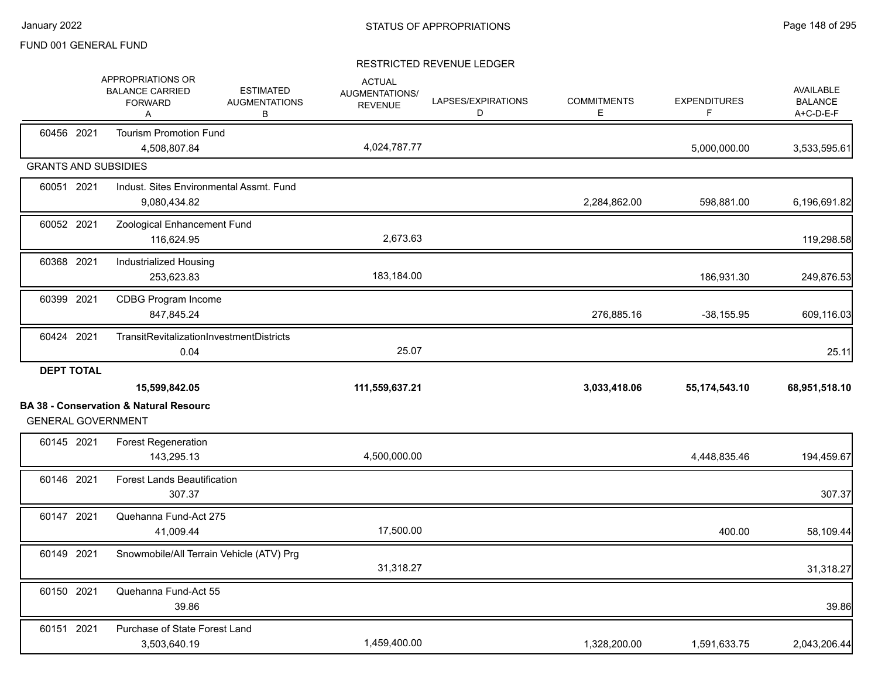|                   | APPROPRIATIONS OR<br><b>BALANCE CARRIED</b><br><b>FORWARD</b><br>Α                              | <b>ESTIMATED</b><br><b>AUGMENTATIONS</b><br>В | <b>ACTUAL</b><br>AUGMENTATIONS/<br><b>REVENUE</b> | LAPSES/EXPIRATIONS<br>D | <b>COMMITMENTS</b><br>E. | <b>EXPENDITURES</b><br>F | <b>AVAILABLE</b><br><b>BALANCE</b><br>A+C-D-E-F |
|-------------------|-------------------------------------------------------------------------------------------------|-----------------------------------------------|---------------------------------------------------|-------------------------|--------------------------|--------------------------|-------------------------------------------------|
| 60456 2021        | <b>Tourism Promotion Fund</b><br>4,508,807.84                                                   |                                               | 4,024,787.77                                      |                         |                          | 5,000,000.00             | 3,533,595.61                                    |
|                   | <b>GRANTS AND SUBSIDIES</b>                                                                     |                                               |                                                   |                         |                          |                          |                                                 |
| 60051 2021        | Indust. Sites Environmental Assmt. Fund<br>9,080,434.82                                         |                                               |                                                   |                         | 2,284,862.00             | 598,881.00               | 6,196,691.82                                    |
| 60052 2021        | Zoological Enhancement Fund<br>116,624.95                                                       |                                               | 2,673.63                                          |                         |                          |                          | 119,298.58                                      |
| 60368 2021        | Industrialized Housing<br>253,623.83                                                            |                                               | 183,184.00                                        |                         |                          | 186,931.30               | 249,876.53                                      |
| 60399 2021        | CDBG Program Income<br>847,845.24                                                               |                                               |                                                   |                         | 276,885.16               | $-38,155.95$             | 609,116.03                                      |
| 60424 2021        | TransitRevitalizationInvestmentDistricts<br>0.04                                                |                                               | 25.07                                             |                         |                          |                          | 25.11                                           |
| <b>DEPT TOTAL</b> |                                                                                                 |                                               |                                                   |                         |                          |                          |                                                 |
|                   |                                                                                                 |                                               |                                                   |                         |                          |                          |                                                 |
|                   | 15,599,842.05<br><b>BA 38 - Conservation &amp; Natural Resourc</b><br><b>GENERAL GOVERNMENT</b> |                                               | 111,559,637.21                                    |                         | 3,033,418.06             | 55,174,543.10            | 68,951,518.10                                   |
| 60145 2021        | <b>Forest Regeneration</b><br>143,295.13                                                        |                                               | 4,500,000.00                                      |                         |                          | 4,448,835.46             | 194,459.67                                      |
| 60146 2021        | <b>Forest Lands Beautification</b><br>307.37                                                    |                                               |                                                   |                         |                          |                          | 307.37                                          |
| 60147 2021        | Quehanna Fund-Act 275<br>41,009.44                                                              |                                               | 17,500.00                                         |                         |                          | 400.00                   | 58,109.44                                       |
| 60149 2021        | Snowmobile/All Terrain Vehicle (ATV) Prg                                                        |                                               | 31,318.27                                         |                         |                          |                          | 31,318.27                                       |
| 60150 2021        | Quehanna Fund-Act 55<br>39.86                                                                   |                                               |                                                   |                         |                          |                          | 39.86                                           |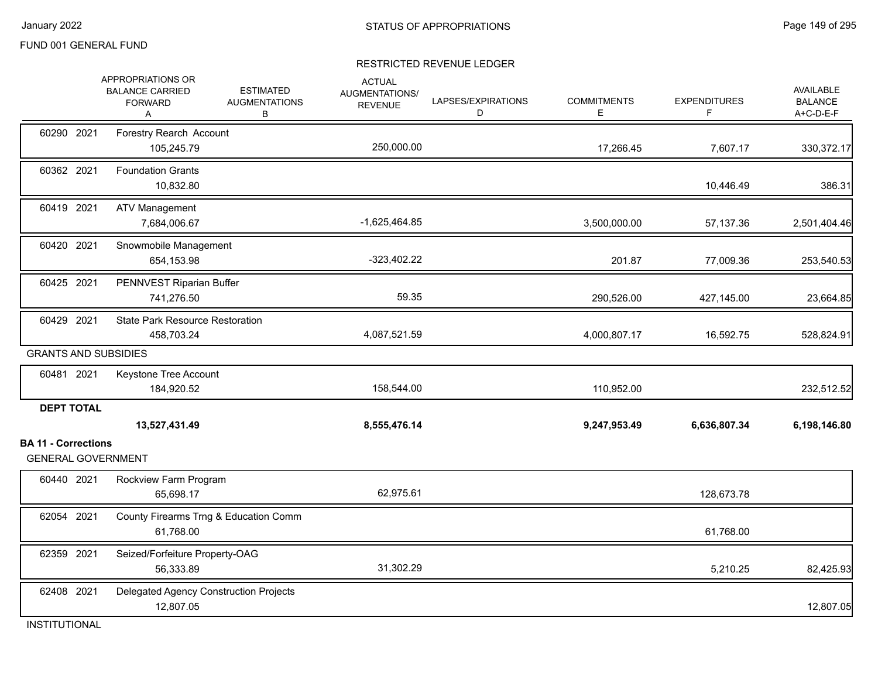### RESTRICTED REVENUE LEDGER

|                                                                              | APPROPRIATIONS OR<br><b>BALANCE CARRIED</b><br><b>FORWARD</b><br>Α | <b>ESTIMATED</b><br><b>AUGMENTATIONS</b><br>В | <b>ACTUAL</b><br>AUGMENTATIONS/<br><b>REVENUE</b> | LAPSES/EXPIRATIONS<br>D | <b>COMMITMENTS</b><br>E. | <b>EXPENDITURES</b><br>F | <b>AVAILABLE</b><br><b>BALANCE</b><br>A+C-D-E-F |
|------------------------------------------------------------------------------|--------------------------------------------------------------------|-----------------------------------------------|---------------------------------------------------|-------------------------|--------------------------|--------------------------|-------------------------------------------------|
| 60290 2021                                                                   | Forestry Rearch Account<br>105,245.79                              |                                               | 250,000.00                                        |                         | 17,266.45                | 7,607.17                 | 330,372.17                                      |
| 60362 2021                                                                   | <b>Foundation Grants</b><br>10,832.80                              |                                               |                                                   |                         |                          | 10,446.49                | 386.31                                          |
| 60419 2021                                                                   | <b>ATV Management</b><br>7,684,006.67                              |                                               | $-1,625,464.85$                                   |                         | 3,500,000.00             | 57,137.36                | 2,501,404.46                                    |
| 60420 2021                                                                   | Snowmobile Management<br>654,153.98                                |                                               | $-323,402.22$                                     |                         | 201.87                   | 77,009.36                | 253,540.53                                      |
| 60425 2021                                                                   | PENNVEST Riparian Buffer<br>741,276.50                             |                                               | 59.35                                             |                         | 290,526.00               | 427,145.00               | 23,664.85                                       |
| 60429 2021                                                                   | <b>State Park Resource Restoration</b><br>458,703.24               |                                               | 4,087,521.59                                      |                         | 4,000,807.17             | 16,592.75                | 528,824.91                                      |
| <b>GRANTS AND SUBSIDIES</b>                                                  |                                                                    |                                               |                                                   |                         |                          |                          |                                                 |
| 60481 2021                                                                   | Keystone Tree Account<br>184,920.52                                |                                               | 158,544.00                                        |                         | 110,952.00               |                          | 232,512.52                                      |
| <b>DEPT TOTAL</b><br><b>BA 11 - Corrections</b><br><b>GENERAL GOVERNMENT</b> | 13,527,431.49                                                      |                                               | 8,555,476.14                                      |                         | 9,247,953.49             | 6,636,807.34             | 6,198,146.80                                    |
| 60440 2021                                                                   | Rockview Farm Program<br>65,698.17                                 |                                               | 62,975.61                                         |                         |                          | 128,673.78               |                                                 |
| 62054 2021                                                                   | 61,768.00                                                          | County Firearms Trng & Education Comm         |                                                   |                         |                          | 61,768.00                |                                                 |
| 62359 2021                                                                   | Seized/Forfeiture Property-OAG<br>56,333.89                        |                                               | 31,302.29                                         |                         |                          | 5,210.25                 | 82,425.93                                       |
| 62408 2021                                                                   | 12,807.05                                                          | Delegated Agency Construction Projects        |                                                   |                         |                          |                          | 12,807.05                                       |

INSTITUTIONAL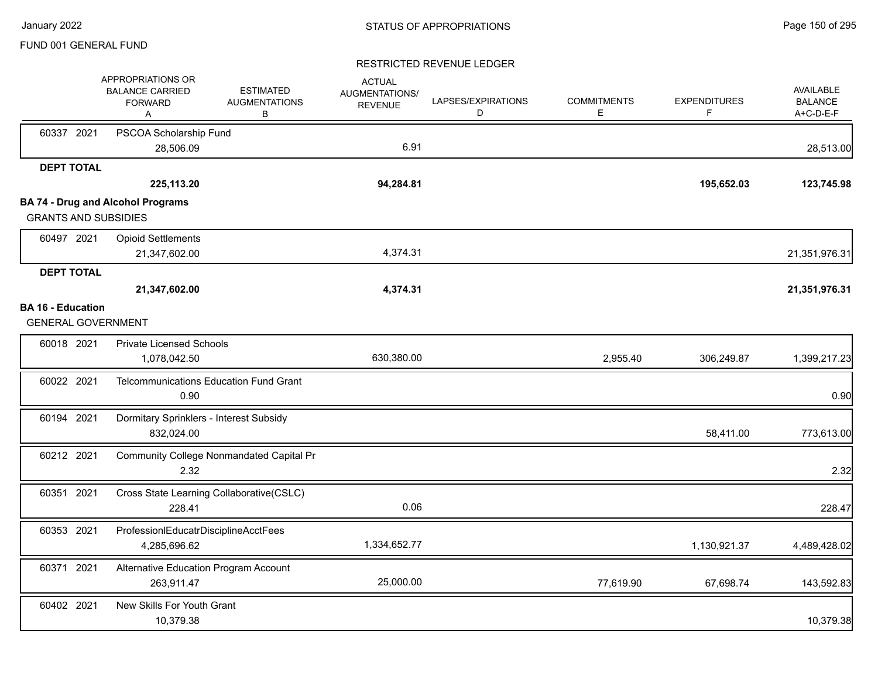|                          | APPROPRIATIONS OR<br><b>BALANCE CARRIED</b><br><b>FORWARD</b><br>Α | <b>ESTIMATED</b><br><b>AUGMENTATIONS</b><br>В | <b>ACTUAL</b><br>AUGMENTATIONS/<br><b>REVENUE</b> | LAPSES/EXPIRATIONS<br>D | <b>COMMITMENTS</b><br>Е | <b>EXPENDITURES</b><br>F | AVAILABLE<br><b>BALANCE</b><br>A+C-D-E-F |
|--------------------------|--------------------------------------------------------------------|-----------------------------------------------|---------------------------------------------------|-------------------------|-------------------------|--------------------------|------------------------------------------|
| 60337 2021               | PSCOA Scholarship Fund<br>28,506.09                                |                                               | 6.91                                              |                         |                         |                          | 28,513.00                                |
| <b>DEPT TOTAL</b>        |                                                                    |                                               |                                                   |                         |                         |                          |                                          |
|                          | 225,113.20                                                         |                                               | 94,284.81                                         |                         |                         | 195,652.03               | 123,745.98                               |
|                          | <b>BA 74 - Drug and Alcohol Programs</b>                           |                                               |                                                   |                         |                         |                          |                                          |
|                          | <b>GRANTS AND SUBSIDIES</b>                                        |                                               |                                                   |                         |                         |                          |                                          |
| 60497 2021               | <b>Opioid Settlements</b><br>21,347,602.00                         |                                               | 4,374.31                                          |                         |                         |                          | 21,351,976.31                            |
| <b>DEPT TOTAL</b>        |                                                                    |                                               |                                                   |                         |                         |                          |                                          |
|                          | 21,347,602.00                                                      |                                               | 4,374.31                                          |                         |                         |                          | 21,351,976.31                            |
| <b>BA 16 - Education</b> |                                                                    |                                               |                                                   |                         |                         |                          |                                          |
|                          | <b>GENERAL GOVERNMENT</b>                                          |                                               |                                                   |                         |                         |                          |                                          |
| 60018 2021               | <b>Private Licensed Schools</b>                                    |                                               |                                                   |                         |                         |                          |                                          |
|                          | 1,078,042.50                                                       |                                               | 630,380.00                                        |                         | 2,955.40                | 306,249.87               | 1,399,217.23                             |
| 60022 2021               | <b>Telcommunications Education Fund Grant</b><br>0.90              |                                               |                                                   |                         |                         |                          | 0.90                                     |
| 60194 2021               | Dormitary Sprinklers - Interest Subsidy<br>832,024.00              |                                               |                                                   |                         |                         | 58,411.00                | 773,613.00                               |
| 60212 2021               | Community College Nonmandated Capital Pr<br>2.32                   |                                               |                                                   |                         |                         |                          | 2.32                                     |
| 60351 2021               | Cross State Learning Collaborative(CSLC)<br>228.41                 |                                               | 0.06                                              |                         |                         |                          | 228.47                                   |
| 60353 2021               | ProfessionIEducatrDisciplineAcctFees<br>4,285,696.62               |                                               | 1,334,652.77                                      |                         |                         | 1,130,921.37             | 4,489,428.02                             |
| 60371 2021               | Alternative Education Program Account<br>263,911.47                |                                               | 25,000.00                                         |                         | 77,619.90               | 67,698.74                | 143,592.83                               |
| 60402 2021               | New Skills For Youth Grant<br>10,379.38                            |                                               |                                                   |                         |                         |                          | 10,379.38                                |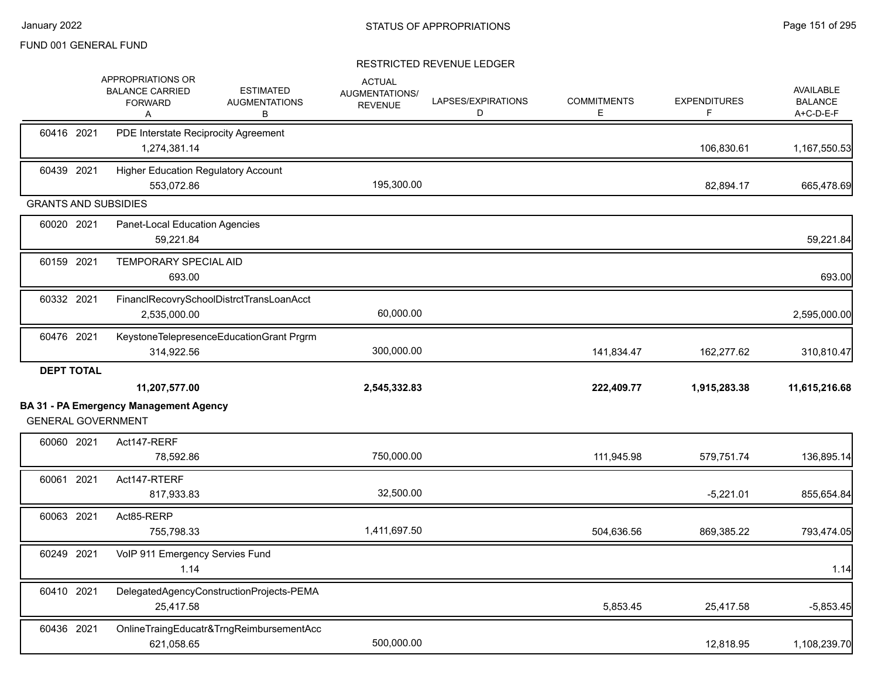|                             | APPROPRIATIONS OR<br><b>BALANCE CARRIED</b><br><b>FORWARD</b><br>Α | <b>ESTIMATED</b><br><b>AUGMENTATIONS</b><br>В | <b>ACTUAL</b><br>AUGMENTATIONS/<br><b>REVENUE</b> | LAPSES/EXPIRATIONS<br>D | <b>COMMITMENTS</b><br>E. | <b>EXPENDITURES</b><br>F | <b>AVAILABLE</b><br><b>BALANCE</b><br>A+C-D-E-F |
|-----------------------------|--------------------------------------------------------------------|-----------------------------------------------|---------------------------------------------------|-------------------------|--------------------------|--------------------------|-------------------------------------------------|
| 60416 2021                  | PDE Interstate Reciprocity Agreement<br>1,274,381.14               |                                               |                                                   |                         |                          | 106,830.61               | 1,167,550.53                                    |
| 60439 2021                  | <b>Higher Education Regulatory Account</b><br>553,072.86           |                                               | 195,300.00                                        |                         |                          | 82,894.17                | 665,478.69                                      |
| <b>GRANTS AND SUBSIDIES</b> |                                                                    |                                               |                                                   |                         |                          |                          |                                                 |
| 60020 2021                  | Panet-Local Education Agencies<br>59,221.84                        |                                               |                                                   |                         |                          |                          | 59,221.84                                       |
| 60159 2021                  | <b>TEMPORARY SPECIAL AID</b><br>693.00                             |                                               |                                                   |                         |                          |                          | 693.00                                          |
| 60332 2021                  | 2,535,000.00                                                       | FinanclRecovrySchoolDistrctTransLoanAcct      | 60,000.00                                         |                         |                          |                          | 2,595,000.00                                    |
| 60476 2021                  | 314,922.56                                                         | KeystoneTelepresenceEducationGrant Prgrm      | 300,000.00                                        |                         | 141,834.47               | 162,277.62               | 310,810.47                                      |
| <b>DEPT TOTAL</b>           | 11,207,577.00                                                      |                                               | 2,545,332.83                                      |                         | 222,409.77               | 1,915,283.38             | 11,615,216.68                                   |
| <b>GENERAL GOVERNMENT</b>   | <b>BA 31 - PA Emergency Management Agency</b>                      |                                               |                                                   |                         |                          |                          |                                                 |
| 60060 2021                  | Act147-RERF<br>78,592.86                                           |                                               | 750,000.00                                        |                         | 111,945.98               | 579,751.74               | 136,895.14                                      |
| 60061 2021                  | Act147-RTERF<br>817,933.83                                         |                                               | 32,500.00                                         |                         |                          | $-5,221.01$              | 855,654.84                                      |
| 60063 2021                  | Act85-RERP<br>755,798.33                                           |                                               | 1,411,697.50                                      |                         | 504,636.56               | 869,385.22               | 793,474.05                                      |
| 60249 2021                  | VoIP 911 Emergency Servies Fund<br>1.14                            |                                               |                                                   |                         |                          |                          | 1.14                                            |
| 60410 2021                  | 25,417.58                                                          | DelegatedAgencyConstructionProjects-PEMA      |                                                   |                         | 5,853.45                 | 25,417.58                | $-5,853.45$                                     |
| 60436 2021                  | 621,058.65                                                         | OnlineTraingEducatr&TrngReimbursementAcc      | 500,000.00                                        |                         |                          | 12,818.95                | 1,108,239.70                                    |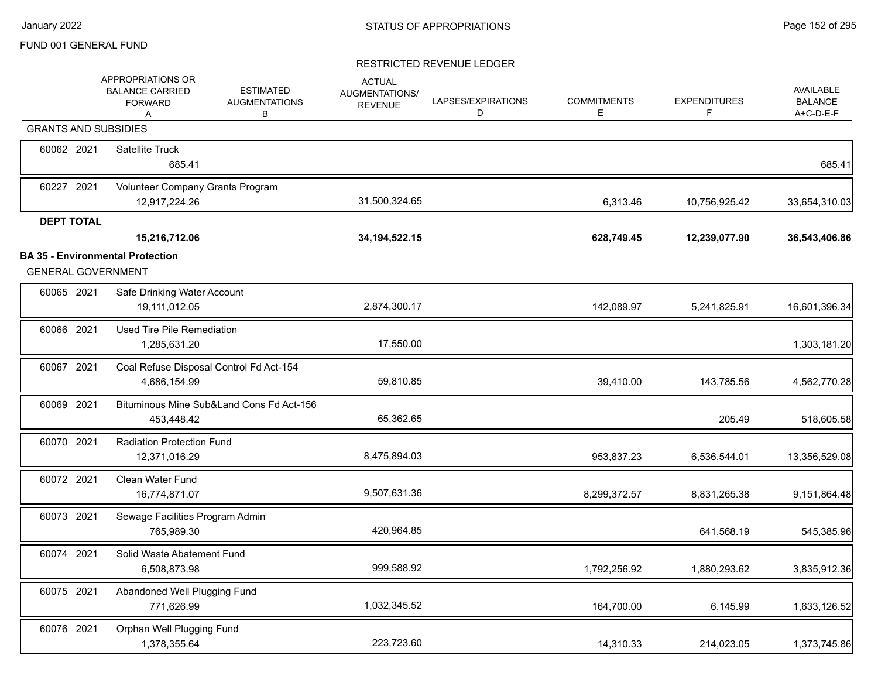|                             | APPROPRIATIONS OR<br><b>BALANCE CARRIED</b><br><b>FORWARD</b><br>A | <b>ESTIMATED</b><br><b>AUGMENTATIONS</b><br>В | <b>ACTUAL</b><br><b>AUGMENTATIONS/</b><br><b>REVENUE</b> | LAPSES/EXPIRATIONS<br>D | <b>COMMITMENTS</b><br>E | <b>EXPENDITURES</b><br>F | AVAILABLE<br><b>BALANCE</b><br>A+C-D-E-F |
|-----------------------------|--------------------------------------------------------------------|-----------------------------------------------|----------------------------------------------------------|-------------------------|-------------------------|--------------------------|------------------------------------------|
| <b>GRANTS AND SUBSIDIES</b> |                                                                    |                                               |                                                          |                         |                         |                          |                                          |
| 60062 2021                  | <b>Satellite Truck</b><br>685.41                                   |                                               |                                                          |                         |                         |                          | 685.41                                   |
| 60227 2021                  | Volunteer Company Grants Program<br>12,917,224.26                  |                                               | 31,500,324.65                                            |                         | 6,313.46                | 10,756,925.42            | 33,654,310.03                            |
| <b>DEPT TOTAL</b>           |                                                                    |                                               |                                                          |                         |                         |                          |                                          |
|                             | 15,216,712.06                                                      |                                               | 34, 194, 522. 15                                         |                         | 628,749.45              | 12,239,077.90            | 36,543,406.86                            |
| <b>GENERAL GOVERNMENT</b>   | <b>BA 35 - Environmental Protection</b>                            |                                               |                                                          |                         |                         |                          |                                          |
| 60065 2021                  | Safe Drinking Water Account<br>19,111,012.05                       |                                               | 2,874,300.17                                             |                         | 142,089.97              | 5,241,825.91             | 16,601,396.34                            |
| 60066 2021                  | Used Tire Pile Remediation<br>1,285,631.20                         |                                               | 17,550.00                                                |                         |                         |                          | 1,303,181.20                             |
| 60067 2021                  | 4,686,154.99                                                       | Coal Refuse Disposal Control Fd Act-154       | 59,810.85                                                |                         | 39,410.00               | 143,785.56               | 4,562,770.28                             |
| 60069 2021                  | 453,448.42                                                         | Bituminous Mine Sub&Land Cons Fd Act-156      | 65,362.65                                                |                         |                         | 205.49                   | 518,605.58                               |
| 60070 2021                  | <b>Radiation Protection Fund</b><br>12,371,016.29                  |                                               | 8,475,894.03                                             |                         | 953,837.23              | 6,536,544.01             | 13,356,529.08                            |
| 60072 2021                  | Clean Water Fund<br>16,774,871.07                                  |                                               | 9,507,631.36                                             |                         | 8,299,372.57            | 8,831,265.38             | 9,151,864.48                             |
| 60073 2021                  | Sewage Facilities Program Admin<br>765,989.30                      |                                               | 420,964.85                                               |                         |                         | 641,568.19               | 545,385.96                               |
| 60074 2021                  | Solid Waste Abatement Fund<br>6,508,873.98                         |                                               | 999,588.92                                               |                         | 1,792,256.92            | 1,880,293.62             | 3,835,912.36                             |
| 60075 2021                  | Abandoned Well Plugging Fund<br>771,626.99                         |                                               | 1,032,345.52                                             |                         | 164,700.00              | 6,145.99                 | 1,633,126.52                             |
| 60076 2021                  | Orphan Well Plugging Fund<br>1,378,355.64                          |                                               | 223,723.60                                               |                         | 14,310.33               | 214,023.05               | 1,373,745.86                             |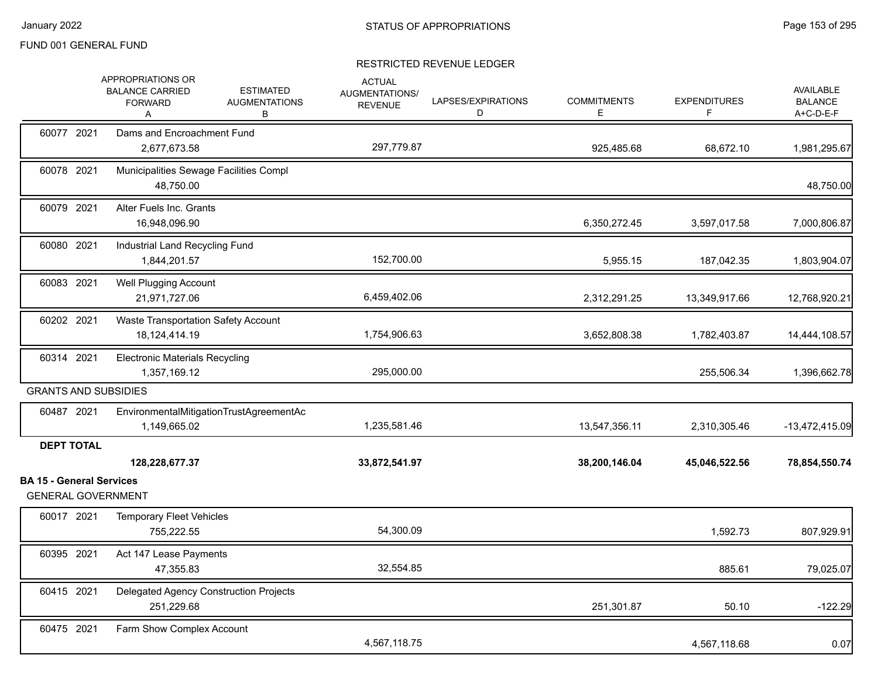|                                 | APPROPRIATIONS OR<br><b>BALANCE CARRIED</b><br><b>FORWARD</b><br>A | <b>ESTIMATED</b><br><b>AUGMENTATIONS</b><br>В | <b>ACTUAL</b><br>AUGMENTATIONS/<br><b>REVENUE</b> | LAPSES/EXPIRATIONS<br>D | <b>COMMITMENTS</b><br>E. | <b>EXPENDITURES</b><br>F | <b>AVAILABLE</b><br><b>BALANCE</b><br>A+C-D-E-F |
|---------------------------------|--------------------------------------------------------------------|-----------------------------------------------|---------------------------------------------------|-------------------------|--------------------------|--------------------------|-------------------------------------------------|
| 60077 2021                      | Dams and Encroachment Fund<br>2,677,673.58                         |                                               | 297,779.87                                        |                         | 925,485.68               | 68,672.10                | 1,981,295.67                                    |
| 60078 2021                      | Municipalities Sewage Facilities Compl<br>48,750.00                |                                               |                                                   |                         |                          |                          | 48,750.00                                       |
| 60079 2021                      | <b>Alter Fuels Inc. Grants</b><br>16,948,096.90                    |                                               |                                                   |                         | 6,350,272.45             | 3,597,017.58             | 7,000,806.87                                    |
| 60080 2021                      | Industrial Land Recycling Fund<br>1,844,201.57                     |                                               | 152,700.00                                        |                         | 5,955.15                 | 187,042.35               | 1,803,904.07                                    |
| 60083 2021                      | <b>Well Plugging Account</b><br>21,971,727.06                      |                                               | 6,459,402.06                                      |                         | 2,312,291.25             | 13,349,917.66            | 12,768,920.21                                   |
| 60202 2021                      | <b>Waste Transportation Safety Account</b><br>18,124,414.19        |                                               | 1,754,906.63                                      |                         | 3,652,808.38             | 1,782,403.87             | 14,444,108.57                                   |
| 60314 2021                      | <b>Electronic Materials Recycling</b><br>1,357,169.12              |                                               | 295,000.00                                        |                         |                          | 255.506.34               | 1,396,662.78                                    |
|                                 | <b>GRANTS AND SUBSIDIES</b>                                        |                                               |                                                   |                         |                          |                          |                                                 |
| 60487 2021                      | EnvironmentalMitigationTrustAgreementAc<br>1,149,665.02            |                                               | 1,235,581.46                                      |                         | 13,547,356.11            | 2,310,305.46             | -13,472,415.09                                  |
| <b>DEPT TOTAL</b>               |                                                                    |                                               |                                                   |                         |                          |                          |                                                 |
|                                 | 128,228,677.37                                                     |                                               | 33,872,541.97                                     |                         | 38,200,146.04            | 45,046,522.56            | 78,854,550.74                                   |
| <b>BA 15 - General Services</b> | <b>GENERAL GOVERNMENT</b>                                          |                                               |                                                   |                         |                          |                          |                                                 |
| 60017 2021                      | <b>Temporary Fleet Vehicles</b><br>755.222.55                      |                                               | 54,300.09                                         |                         |                          | 1,592.73                 | 807,929.91                                      |
| 60395 2021                      | Act 147 Lease Payments<br>47,355.83                                |                                               | 32,554.85                                         |                         |                          | 885.61                   | 79,025.07                                       |
| 60415 2021                      | Delegated Agency Construction Projects<br>251,229.68               |                                               |                                                   |                         | 251,301.87               | 50.10                    | $-122.29$                                       |
| 60475 2021                      | Farm Show Complex Account                                          |                                               | 4,567,118.75                                      |                         |                          | 4,567,118.68             | 0.07                                            |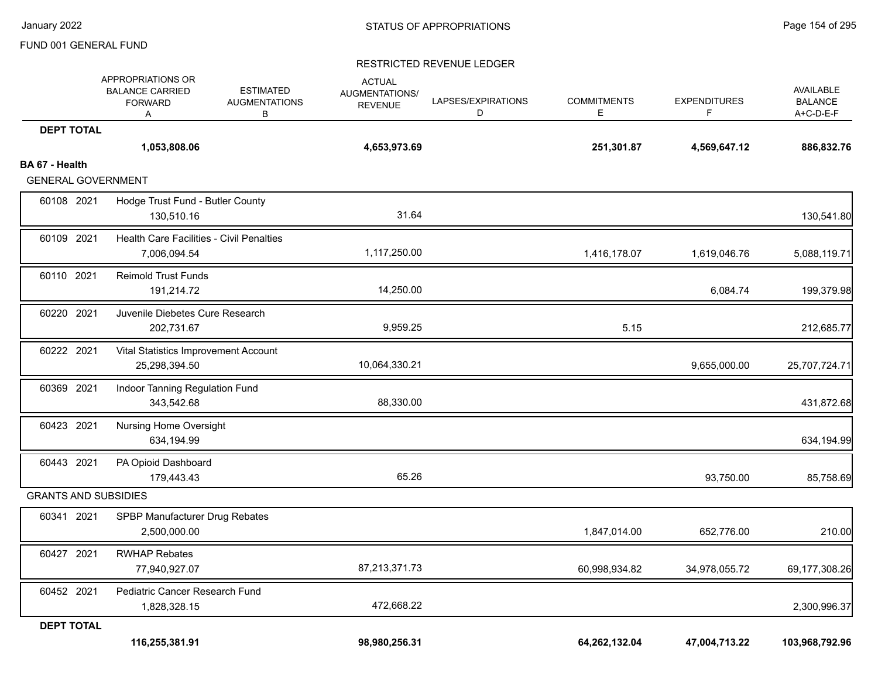|                             | 116,255,381.91                                                     |                                               | 98,980,256.31                                     |                         | 64,262,132.04            | 47,004,713.22            | 103,968,792.96                           |
|-----------------------------|--------------------------------------------------------------------|-----------------------------------------------|---------------------------------------------------|-------------------------|--------------------------|--------------------------|------------------------------------------|
| <b>DEPT TOTAL</b>           |                                                                    |                                               |                                                   |                         |                          |                          |                                          |
|                             | 1,828,328.15                                                       |                                               | 472,668.22                                        |                         |                          |                          | 2,300,996.37                             |
| 60452 2021                  | 77,940,927.07<br>Pediatric Cancer Research Fund                    |                                               | 87,213,371.73                                     |                         | 60,998,934.82            | 34,978,055.72            | 69,177,308.26                            |
| 60427 2021                  | <b>RWHAP Rebates</b>                                               |                                               |                                                   |                         |                          |                          |                                          |
| 60341 2021                  | SPBP Manufacturer Drug Rebates<br>2,500,000.00                     |                                               |                                                   |                         | 1,847,014.00             | 652,776.00               | 210.00                                   |
| <b>GRANTS AND SUBSIDIES</b> |                                                                    |                                               |                                                   |                         |                          |                          |                                          |
| 60443 2021                  | PA Opioid Dashboard<br>179,443.43                                  |                                               | 65.26                                             |                         |                          | 93,750.00                | 85,758.69                                |
| 60423 2021                  | <b>Nursing Home Oversight</b><br>634,194.99                        |                                               |                                                   |                         |                          |                          | 634,194.99                               |
| 60369 2021                  | Indoor Tanning Regulation Fund<br>343,542.68                       |                                               | 88,330.00                                         |                         |                          |                          | 431,872.68                               |
| 60222 2021                  | Vital Statistics Improvement Account<br>25,298,394.50              |                                               | 10,064,330.21                                     |                         |                          | 9,655,000.00             | 25,707,724.71                            |
| 60220 2021                  | Juvenile Diebetes Cure Research<br>202,731.67                      |                                               | 9,959.25                                          |                         | 5.15                     |                          | 212,685.77                               |
| 60110 2021                  | <b>Reimold Trust Funds</b><br>191,214.72                           |                                               | 14,250.00                                         |                         |                          | 6,084.74                 | 199,379.98                               |
| 60109 2021                  | Health Care Facilities - Civil Penalties<br>7,006,094.54           |                                               | 1,117,250.00                                      |                         | 1,416,178.07             | 1,619,046.76             | 5,088,119.71                             |
| 60108 2021                  | Hodge Trust Fund - Butler County<br>130,510.16                     |                                               | 31.64                                             |                         |                          |                          | 130,541.80                               |
| <b>GENERAL GOVERNMENT</b>   |                                                                    |                                               |                                                   |                         |                          |                          |                                          |
| BA 67 - Health              | 1,053,808.06                                                       |                                               | 4,653,973.69                                      |                         | 251,301.87               | 4,569,647.12             | 886,832.76                               |
| <b>DEPT TOTAL</b>           |                                                                    |                                               |                                                   |                         |                          |                          |                                          |
|                             | APPROPRIATIONS OR<br><b>BALANCE CARRIED</b><br><b>FORWARD</b><br>Α | <b>ESTIMATED</b><br><b>AUGMENTATIONS</b><br>в | <b>ACTUAL</b><br>AUGMENTATIONS/<br><b>REVENUE</b> | LAPSES/EXPIRATIONS<br>D | <b>COMMITMENTS</b><br>E. | <b>EXPENDITURES</b><br>F | AVAILABLE<br><b>BALANCE</b><br>A+C-D-E-F |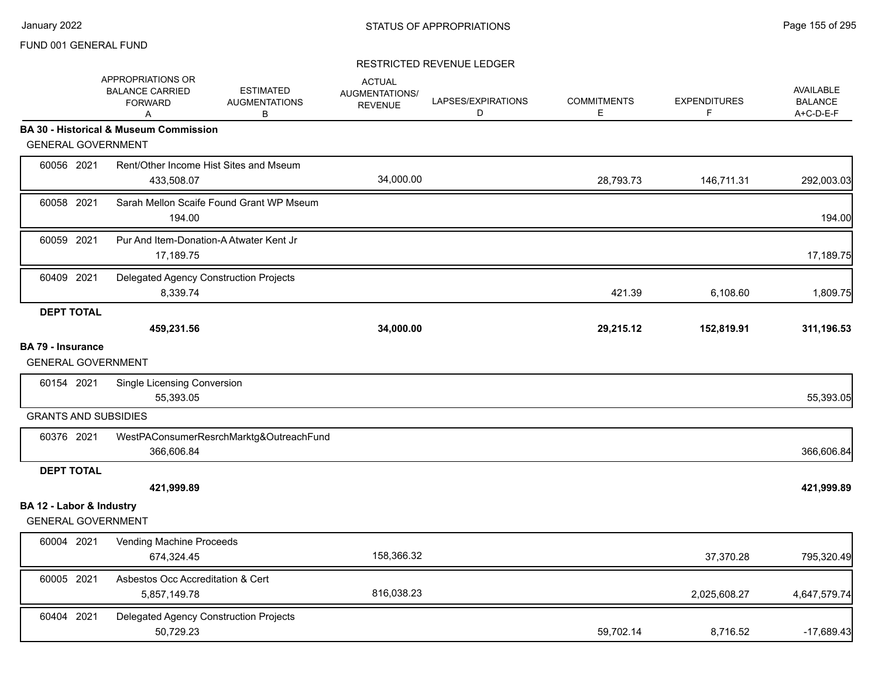|                                                       | <b>APPROPRIATIONS OR</b><br><b>BALANCE CARRIED</b><br><b>FORWARD</b><br>A | <b>ESTIMATED</b><br><b>AUGMENTATIONS</b><br>B | <b>ACTUAL</b><br><b>AUGMENTATIONS/</b><br><b>REVENUE</b> | LAPSES/EXPIRATIONS<br>D | <b>COMMITMENTS</b><br>E. | <b>EXPENDITURES</b><br>F | <b>AVAILABLE</b><br><b>BALANCE</b><br>A+C-D-E-F |
|-------------------------------------------------------|---------------------------------------------------------------------------|-----------------------------------------------|----------------------------------------------------------|-------------------------|--------------------------|--------------------------|-------------------------------------------------|
|                                                       | <b>BA 30 - Historical &amp; Museum Commission</b>                         |                                               |                                                          |                         |                          |                          |                                                 |
| <b>GENERAL GOVERNMENT</b>                             |                                                                           |                                               |                                                          |                         |                          |                          |                                                 |
| 60056 2021                                            | Rent/Other Income Hist Sites and Mseum<br>433,508.07                      |                                               | 34,000.00                                                |                         | 28,793.73                | 146,711.31               | 292,003.03                                      |
| 60058 2021                                            | Sarah Mellon Scaife Found Grant WP Mseum<br>194.00                        |                                               |                                                          |                         |                          |                          | 194.00                                          |
| 60059 2021                                            | Pur And Item-Donation-A Atwater Kent Jr<br>17,189.75                      |                                               |                                                          |                         |                          |                          | 17,189.75                                       |
| 60409 2021                                            | Delegated Agency Construction Projects<br>8,339.74                        |                                               |                                                          |                         | 421.39                   | 6,108.60                 | 1,809.75                                        |
| <b>DEPT TOTAL</b>                                     |                                                                           |                                               |                                                          |                         |                          |                          |                                                 |
|                                                       | 459,231.56                                                                |                                               | 34,000.00                                                |                         | 29,215.12                | 152,819.91               | 311,196.53                                      |
| <b>BA 79 - Insurance</b><br><b>GENERAL GOVERNMENT</b> |                                                                           |                                               |                                                          |                         |                          |                          |                                                 |
| 60154 2021                                            | <b>Single Licensing Conversion</b><br>55,393.05                           |                                               |                                                          |                         |                          |                          | 55,393.05                                       |
| <b>GRANTS AND SUBSIDIES</b>                           |                                                                           |                                               |                                                          |                         |                          |                          |                                                 |
| 60376 2021                                            | 366,606.84                                                                | WestPAConsumerResrchMarktg&OutreachFund       |                                                          |                         |                          |                          | 366,606.84                                      |
| <b>DEPT TOTAL</b>                                     |                                                                           |                                               |                                                          |                         |                          |                          |                                                 |
|                                                       | 421,999.89                                                                |                                               |                                                          |                         |                          |                          | 421,999.89                                      |
| BA 12 - Labor & Industry<br><b>GENERAL GOVERNMENT</b> |                                                                           |                                               |                                                          |                         |                          |                          |                                                 |
| 60004 2021                                            | Vending Machine Proceeds<br>674,324.45                                    |                                               | 158,366.32                                               |                         |                          | 37,370.28                | 795,320.49                                      |
| 60005 2021                                            | Asbestos Occ Accreditation & Cert<br>5,857,149.78                         |                                               | 816,038.23                                               |                         |                          | 2,025,608.27             | 4,647,579.74                                    |
| 60404 2021                                            | Delegated Agency Construction Projects<br>50,729.23                       |                                               |                                                          |                         | 59,702.14                | 8,716.52                 | $-17,689.43$                                    |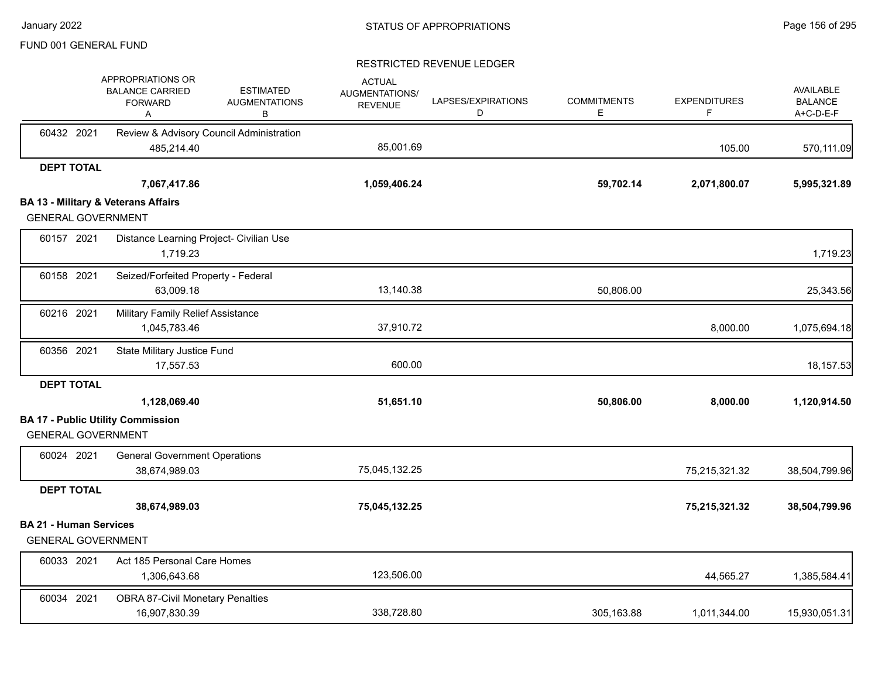|                               | APPROPRIATIONS OR<br><b>BALANCE CARRIED</b><br><b>FORWARD</b><br>A | <b>ESTIMATED</b><br><b>AUGMENTATIONS</b><br>В | <b>ACTUAL</b><br>AUGMENTATIONS/<br><b>REVENUE</b> | LAPSES/EXPIRATIONS<br>D | <b>COMMITMENTS</b><br>Е | <b>EXPENDITURES</b> | <b>AVAILABLE</b><br><b>BALANCE</b><br>A+C-D-E-F |
|-------------------------------|--------------------------------------------------------------------|-----------------------------------------------|---------------------------------------------------|-------------------------|-------------------------|---------------------|-------------------------------------------------|
| 60432 2021                    |                                                                    | Review & Advisory Council Administration      |                                                   |                         |                         |                     |                                                 |
|                               | 485,214.40                                                         |                                               | 85,001.69                                         |                         |                         | 105.00              | 570,111.09                                      |
| <b>DEPT TOTAL</b>             |                                                                    |                                               |                                                   |                         |                         |                     |                                                 |
|                               | 7,067,417.86                                                       |                                               | 1,059,406.24                                      |                         | 59,702.14               | 2,071,800.07        | 5,995,321.89                                    |
|                               | <b>BA 13 - Military &amp; Veterans Affairs</b>                     |                                               |                                                   |                         |                         |                     |                                                 |
| <b>GENERAL GOVERNMENT</b>     |                                                                    |                                               |                                                   |                         |                         |                     |                                                 |
| 60157 2021                    |                                                                    | Distance Learning Project- Civilian Use       |                                                   |                         |                         |                     |                                                 |
|                               | 1,719.23                                                           |                                               |                                                   |                         |                         |                     | 1,719.23                                        |
| 60158 2021                    | Seized/Forfeited Property - Federal                                |                                               |                                                   |                         |                         |                     |                                                 |
|                               | 63,009.18                                                          |                                               | 13,140.38                                         |                         | 50,806.00               |                     | 25,343.56                                       |
| 60216 2021                    | <b>Military Family Relief Assistance</b>                           |                                               |                                                   |                         |                         |                     |                                                 |
|                               | 1,045,783.46                                                       |                                               | 37,910.72                                         |                         |                         | 8,000.00            | 1,075,694.18                                    |
| 60356 2021                    | State Military Justice Fund                                        |                                               |                                                   |                         |                         |                     |                                                 |
|                               | 17,557.53                                                          |                                               | 600.00                                            |                         |                         |                     | 18,157.53                                       |
| <b>DEPT TOTAL</b>             |                                                                    |                                               |                                                   |                         |                         |                     |                                                 |
|                               | 1,128,069.40                                                       |                                               | 51,651.10                                         |                         | 50,806.00               | 8,000.00            | 1,120,914.50                                    |
|                               | <b>BA 17 - Public Utility Commission</b>                           |                                               |                                                   |                         |                         |                     |                                                 |
| <b>GENERAL GOVERNMENT</b>     |                                                                    |                                               |                                                   |                         |                         |                     |                                                 |
| 60024 2021                    | <b>General Government Operations</b>                               |                                               |                                                   |                         |                         |                     |                                                 |
|                               | 38,674,989.03                                                      |                                               | 75,045,132.25                                     |                         |                         | 75,215,321.32       | 38,504,799.96                                   |
| <b>DEPT TOTAL</b>             |                                                                    |                                               |                                                   |                         |                         |                     |                                                 |
|                               | 38,674,989.03                                                      |                                               | 75,045,132.25                                     |                         |                         | 75,215,321.32       | 38,504,799.96                                   |
| <b>BA 21 - Human Services</b> |                                                                    |                                               |                                                   |                         |                         |                     |                                                 |
| <b>GENERAL GOVERNMENT</b>     |                                                                    |                                               |                                                   |                         |                         |                     |                                                 |
| 60033 2021                    | Act 185 Personal Care Homes                                        |                                               |                                                   |                         |                         |                     |                                                 |
|                               | 1,306,643.68                                                       |                                               | 123,506.00                                        |                         |                         | 44,565.27           | 1,385,584.41                                    |
| 60034 2021                    | <b>OBRA 87-Civil Monetary Penalties</b>                            |                                               |                                                   |                         |                         |                     |                                                 |
|                               | 16,907,830.39                                                      |                                               | 338,728.80                                        |                         | 305,163.88              | 1,011,344.00        | 15,930,051.31                                   |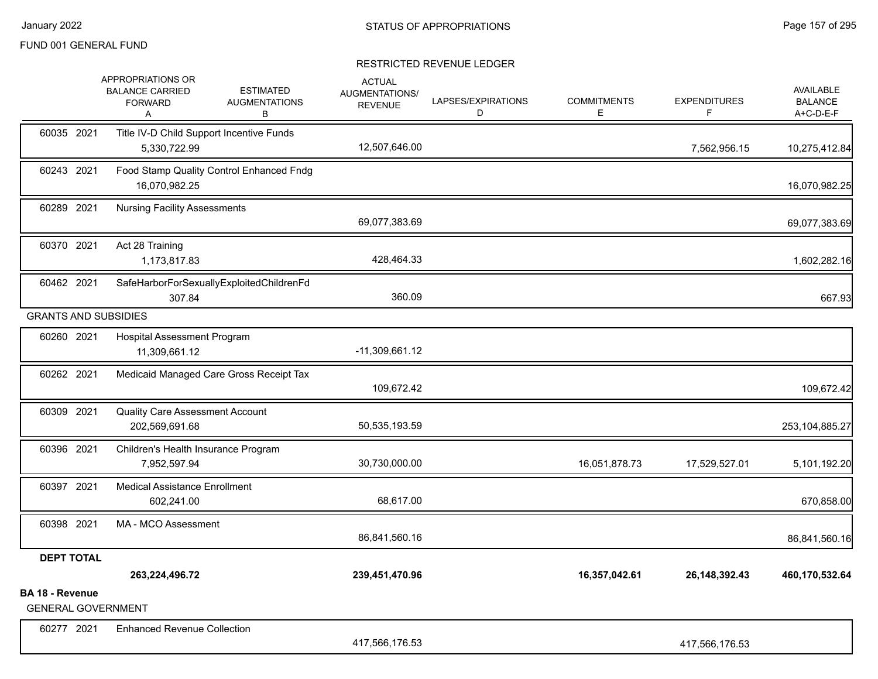|                                              | APPROPRIATIONS OR<br><b>BALANCE CARRIED</b><br><b>FORWARD</b><br>Α | <b>ESTIMATED</b><br><b>AUGMENTATIONS</b><br>В | <b>ACTUAL</b><br><b>AUGMENTATIONS/</b><br><b>REVENUE</b> | LAPSES/EXPIRATIONS<br>D | <b>COMMITMENTS</b><br>Е | <b>EXPENDITURES</b><br>F | <b>AVAILABLE</b><br><b>BALANCE</b><br>A+C-D-E-F |
|----------------------------------------------|--------------------------------------------------------------------|-----------------------------------------------|----------------------------------------------------------|-------------------------|-------------------------|--------------------------|-------------------------------------------------|
| 60035 2021                                   | 5,330,722.99                                                       | Title IV-D Child Support Incentive Funds      | 12,507,646.00                                            |                         |                         | 7,562,956.15             | 10,275,412.84                                   |
| 60243 2021                                   | 16,070,982.25                                                      | Food Stamp Quality Control Enhanced Fndg      |                                                          |                         |                         |                          | 16,070,982.25                                   |
| 60289 2021                                   | <b>Nursing Facility Assessments</b>                                |                                               | 69,077,383.69                                            |                         |                         |                          | 69,077,383.69                                   |
| 60370 2021                                   | Act 28 Training<br>1,173,817.83                                    |                                               | 428,464.33                                               |                         |                         |                          | 1,602,282.16                                    |
| 60462 2021                                   | 307.84                                                             | SafeHarborForSexuallyExploitedChildrenFd      | 360.09                                                   |                         |                         |                          | 667.93                                          |
| <b>GRANTS AND SUBSIDIES</b>                  |                                                                    |                                               |                                                          |                         |                         |                          |                                                 |
| 60260 2021                                   | Hospital Assessment Program<br>11,309,661.12                       |                                               | $-11,309,661.12$                                         |                         |                         |                          |                                                 |
| 60262 2021                                   |                                                                    | Medicaid Managed Care Gross Receipt Tax       | 109,672.42                                               |                         |                         |                          | 109,672.42                                      |
| 60309 2021                                   | <b>Quality Care Assessment Account</b><br>202,569,691.68           |                                               | 50,535,193.59                                            |                         |                         |                          | 253, 104, 885. 27                               |
| 60396 2021                                   | Children's Health Insurance Program<br>7,952,597.94                |                                               | 30,730,000.00                                            |                         | 16,051,878.73           | 17,529,527.01            | 5,101,192.20                                    |
| 60397 2021                                   | <b>Medical Assistance Enrollment</b><br>602,241.00                 |                                               | 68,617.00                                                |                         |                         |                          | 670,858.00                                      |
| 60398 2021                                   | MA - MCO Assessment                                                |                                               | 86,841,560.16                                            |                         |                         |                          | 86,841,560.16                                   |
| <b>DEPT TOTAL</b>                            |                                                                    |                                               |                                                          |                         |                         |                          |                                                 |
|                                              | 263,224,496.72                                                     |                                               | 239,451,470.96                                           |                         | 16,357,042.61           | 26, 148, 392. 43         | 460,170,532.64                                  |
| BA 18 - Revenue<br><b>GENERAL GOVERNMENT</b> |                                                                    |                                               |                                                          |                         |                         |                          |                                                 |
| 60277 2021                                   | <b>Enhanced Revenue Collection</b>                                 |                                               | 417,566,176.53                                           |                         |                         | 417,566,176.53           |                                                 |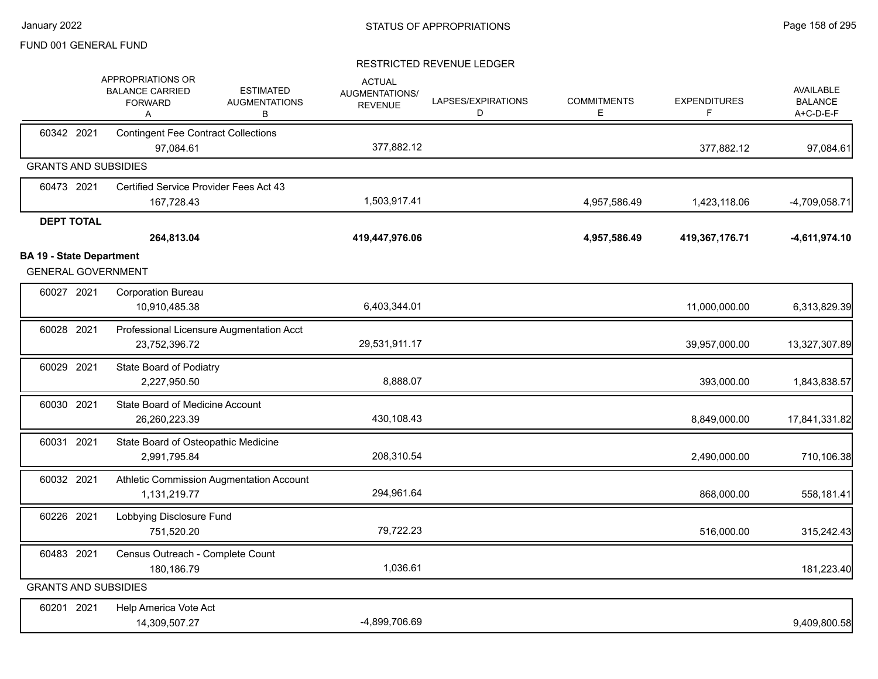|                                                              | APPROPRIATIONS OR<br><b>BALANCE CARRIED</b><br><b>FORWARD</b><br>Α | <b>ESTIMATED</b><br><b>AUGMENTATIONS</b><br>в | <b>ACTUAL</b><br><b>AUGMENTATIONS/</b><br><b>REVENUE</b> | LAPSES/EXPIRATIONS<br>D | <b>COMMITMENTS</b><br>E | <b>EXPENDITURES</b><br>F | <b>AVAILABLE</b><br><b>BALANCE</b><br>A+C-D-E-F |
|--------------------------------------------------------------|--------------------------------------------------------------------|-----------------------------------------------|----------------------------------------------------------|-------------------------|-------------------------|--------------------------|-------------------------------------------------|
| 60342 2021                                                   | <b>Contingent Fee Contract Collections</b><br>97,084.61            |                                               | 377,882.12                                               |                         |                         | 377,882.12               | 97,084.61                                       |
| <b>GRANTS AND SUBSIDIES</b>                                  |                                                                    |                                               |                                                          |                         |                         |                          |                                                 |
| 60473 2021                                                   | Certified Service Provider Fees Act 43<br>167,728.43               |                                               | 1,503,917.41                                             |                         | 4,957,586.49            | 1,423,118.06             | $-4,709,058.71$                                 |
| <b>DEPT TOTAL</b>                                            | 264,813.04                                                         |                                               | 419,447,976.06                                           |                         | 4,957,586.49            | 419,367,176.71           | -4,611,974.10                                   |
| <b>BA 19 - State Department</b><br><b>GENERAL GOVERNMENT</b> |                                                                    |                                               |                                                          |                         |                         |                          |                                                 |
| 60027 2021                                                   | <b>Corporation Bureau</b><br>10,910,485.38                         |                                               | 6,403,344.01                                             |                         |                         | 11,000,000.00            | 6,313,829.39                                    |
| 60028 2021                                                   | Professional Licensure Augmentation Acct<br>23,752,396.72          |                                               | 29,531,911.17                                            |                         |                         | 39,957,000.00            | 13,327,307.89                                   |
| 60029 2021                                                   | State Board of Podiatry<br>2,227,950.50                            |                                               | 8,888.07                                                 |                         |                         | 393,000.00               | 1,843,838.57                                    |
| 60030 2021                                                   | State Board of Medicine Account<br>26,260,223.39                   |                                               | 430,108.43                                               |                         |                         | 8,849,000.00             | 17,841,331.82                                   |
| 60031 2021                                                   | State Board of Osteopathic Medicine<br>2,991,795.84                |                                               | 208,310.54                                               |                         |                         | 2,490,000.00             | 710,106.38                                      |
| 60032 2021                                                   | Athletic Commission Augmentation Account<br>1,131,219.77           |                                               | 294,961.64                                               |                         |                         | 868,000.00               | 558,181.41                                      |
| 60226 2021                                                   | Lobbying Disclosure Fund<br>751,520.20                             |                                               | 79,722.23                                                |                         |                         | 516,000.00               | 315,242.43                                      |
| 60483 2021                                                   | Census Outreach - Complete Count<br>180,186.79                     |                                               | 1,036.61                                                 |                         |                         |                          | 181,223.40                                      |
| <b>GRANTS AND SUBSIDIES</b>                                  |                                                                    |                                               |                                                          |                         |                         |                          |                                                 |
| 60201 2021                                                   | Help America Vote Act<br>14,309,507.27                             |                                               | -4,899,706.69                                            |                         |                         |                          | 9,409,800.58                                    |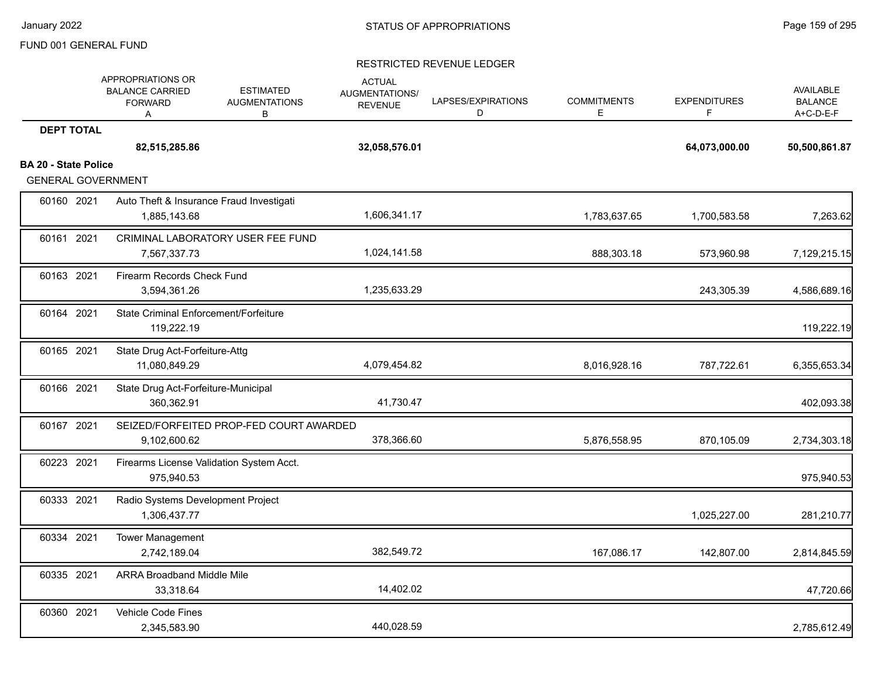|                             | APPROPRIATIONS OR<br><b>BALANCE CARRIED</b><br><b>FORWARD</b><br>A | <b>ESTIMATED</b><br><b>AUGMENTATIONS</b><br>B | <b>ACTUAL</b><br>AUGMENTATIONS/<br><b>REVENUE</b> | LAPSES/EXPIRATIONS<br>D | <b>COMMITMENTS</b><br>E | <b>EXPENDITURES</b><br>F | <b>AVAILABLE</b><br><b>BALANCE</b><br>A+C-D-E-F |
|-----------------------------|--------------------------------------------------------------------|-----------------------------------------------|---------------------------------------------------|-------------------------|-------------------------|--------------------------|-------------------------------------------------|
| <b>DEPT TOTAL</b>           |                                                                    |                                               |                                                   |                         |                         |                          |                                                 |
|                             | 82,515,285.86                                                      |                                               | 32,058,576.01                                     |                         |                         | 64,073,000.00            | 50,500,861.87                                   |
| <b>BA 20 - State Police</b> |                                                                    |                                               |                                                   |                         |                         |                          |                                                 |
| <b>GENERAL GOVERNMENT</b>   |                                                                    |                                               |                                                   |                         |                         |                          |                                                 |
| 60160 2021                  | 1,885,143.68                                                       | Auto Theft & Insurance Fraud Investigati      | 1,606,341.17                                      |                         | 1,783,637.65            | 1,700,583.58             | 7,263.62                                        |
| 60161 2021                  | 7,567,337.73                                                       | CRIMINAL LABORATORY USER FEE FUND             | 1,024,141.58                                      |                         | 888,303.18              | 573,960.98               | 7,129,215.15                                    |
| 60163 2021                  | Firearm Records Check Fund<br>3,594,361.26                         |                                               | 1,235,633.29                                      |                         |                         | 243,305.39               | 4,586,689.16                                    |
| 60164 2021                  | <b>State Criminal Enforcement/Forfeiture</b><br>119,222.19         |                                               |                                                   |                         |                         |                          | 119,222.19                                      |
| 60165 2021                  | State Drug Act-Forfeiture-Attg<br>11,080,849.29                    |                                               | 4,079,454.82                                      |                         | 8,016,928.16            | 787,722.61               | 6,355,653.34                                    |
| 60166 2021                  | State Drug Act-Forfeiture-Municipal<br>360,362.91                  |                                               | 41,730.47                                         |                         |                         |                          | 402,093.38                                      |
| 60167 2021                  | 9,102,600.62                                                       | SEIZED/FORFEITED PROP-FED COURT AWARDED       | 378,366.60                                        |                         | 5,876,558.95            | 870,105.09               | 2,734,303.18                                    |
| 60223 2021                  | 975,940.53                                                         | Firearms License Validation System Acct.      |                                                   |                         |                         |                          | 975,940.53                                      |
| 60333 2021                  | Radio Systems Development Project<br>1,306,437.77                  |                                               |                                                   |                         |                         | 1,025,227.00             | 281,210.77                                      |
| 60334 2021                  | <b>Tower Management</b><br>2,742,189.04                            |                                               | 382,549.72                                        |                         | 167,086.17              | 142,807.00               | 2,814,845.59                                    |
| 60335 2021                  | <b>ARRA Broadband Middle Mile</b><br>33,318.64                     |                                               | 14,402.02                                         |                         |                         |                          | 47,720.66                                       |
| 60360 2021                  | <b>Vehicle Code Fines</b><br>2,345,583.90                          |                                               | 440,028.59                                        |                         |                         |                          | 2,785,612.49                                    |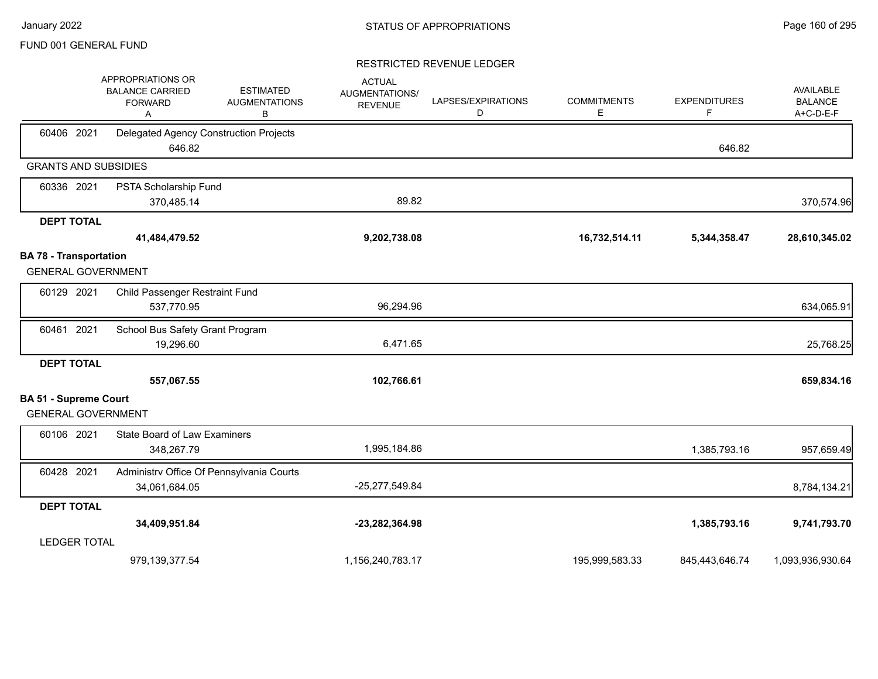|                                                            | APPROPRIATIONS OR<br><b>ESTIMATED</b><br><b>BALANCE CARRIED</b><br><b>AUGMENTATIONS</b><br><b>FORWARD</b><br>В<br>Α | <b>ACTUAL</b><br>AUGMENTATIONS/<br><b>REVENUE</b> | LAPSES/EXPIRATIONS<br>D | <b>COMMITMENTS</b><br>Ε | <b>EXPENDITURES</b><br>F | <b>AVAILABLE</b><br><b>BALANCE</b><br>A+C-D-E-F |
|------------------------------------------------------------|---------------------------------------------------------------------------------------------------------------------|---------------------------------------------------|-------------------------|-------------------------|--------------------------|-------------------------------------------------|
| 60406 2021                                                 | Delegated Agency Construction Projects<br>646.82                                                                    |                                                   |                         |                         | 646.82                   |                                                 |
| <b>GRANTS AND SUBSIDIES</b>                                |                                                                                                                     |                                                   |                         |                         |                          |                                                 |
| 60336 2021                                                 | PSTA Scholarship Fund<br>370,485.14                                                                                 | 89.82                                             |                         |                         |                          | 370,574.96                                      |
| <b>DEPT TOTAL</b>                                          |                                                                                                                     |                                                   |                         |                         |                          |                                                 |
|                                                            | 41,484,479.52                                                                                                       | 9,202,738.08                                      |                         | 16,732,514.11           | 5,344,358.47             | 28,610,345.02                                   |
| <b>BA 78 - Transportation</b><br><b>GENERAL GOVERNMENT</b> |                                                                                                                     |                                                   |                         |                         |                          |                                                 |
| 60129 2021                                                 | Child Passenger Restraint Fund<br>537,770.95                                                                        | 96,294.96                                         |                         |                         |                          | 634,065.91                                      |
| 60461 2021                                                 | School Bus Safety Grant Program<br>19,296.60                                                                        | 6,471.65                                          |                         |                         |                          | 25,768.25                                       |
| <b>DEPT TOTAL</b>                                          | 557,067.55                                                                                                          | 102,766.61                                        |                         |                         |                          | 659,834.16                                      |
| <b>BA 51 - Supreme Court</b>                               |                                                                                                                     |                                                   |                         |                         |                          |                                                 |
| <b>GENERAL GOVERNMENT</b>                                  |                                                                                                                     |                                                   |                         |                         |                          |                                                 |
| 60106 2021                                                 | <b>State Board of Law Examiners</b><br>348,267.79                                                                   | 1,995,184.86                                      |                         |                         | 1,385,793.16             | 957,659.49                                      |
| 60428 2021                                                 | Administrv Office Of Pennsylvania Courts<br>34,061,684.05                                                           | -25,277,549.84                                    |                         |                         |                          | 8,784,134.21                                    |
| <b>DEPT TOTAL</b>                                          |                                                                                                                     |                                                   |                         |                         |                          |                                                 |
|                                                            | 34,409,951.84                                                                                                       | -23,282,364.98                                    |                         |                         | 1,385,793.16             | 9,741,793.70                                    |
| <b>LEDGER TOTAL</b>                                        |                                                                                                                     |                                                   |                         |                         |                          |                                                 |
|                                                            | 979,139,377.54                                                                                                      | 1,156,240,783.17                                  |                         | 195,999,583.33          | 845,443,646.74           | 1,093,936,930.64                                |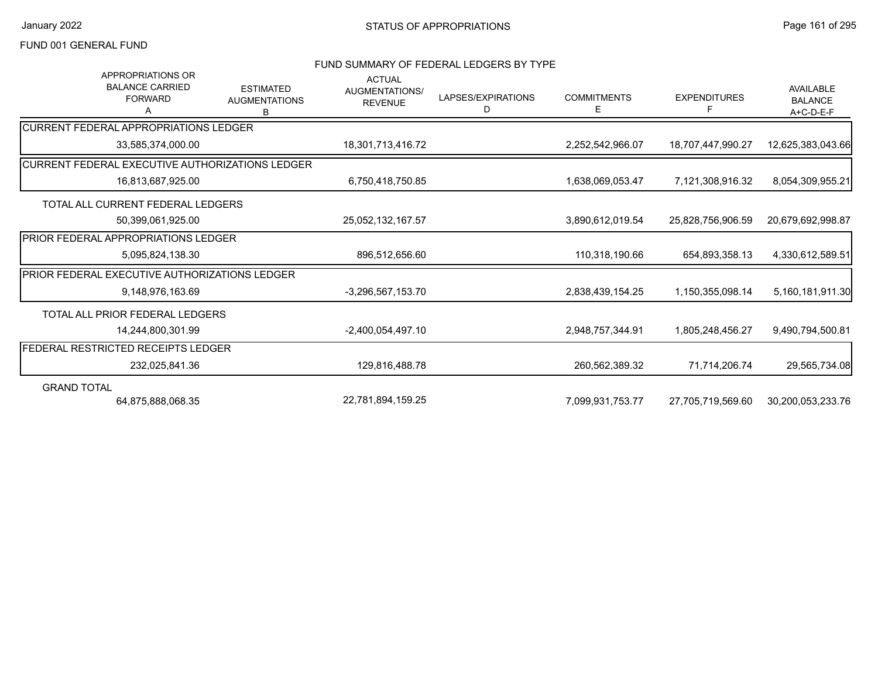### FUND SUMMARY OF FEDERAL LEDGERS BY TYPE

| APPROPRIATIONS OR<br><b>BALANCE CARRIED</b><br><b>FORWARD</b><br>A | <b>ESTIMATED</b><br><b>AUGMENTATIONS</b><br>B | <b>ACTUAL</b><br>AUGMENTATIONS/<br><b>REVENUE</b> | LAPSES/EXPIRATIONS<br>D | <b>COMMITMENTS</b><br>Е | <b>EXPENDITURES</b><br>F | <b>AVAILABLE</b><br><b>BALANCE</b><br>A+C-D-E-F |
|--------------------------------------------------------------------|-----------------------------------------------|---------------------------------------------------|-------------------------|-------------------------|--------------------------|-------------------------------------------------|
| <b>CURRENT FEDERAL APPROPRIATIONS LEDGER</b>                       |                                               |                                                   |                         |                         |                          |                                                 |
| 33,585,374,000.00                                                  |                                               | 18,301,713,416.72                                 |                         | 2,252,542,966.07        | 18,707,447,990.27        | 12,625,383,043.66                               |
| CURRENT FEDERAL EXECUTIVE AUTHORIZATIONS LEDGER                    |                                               |                                                   |                         |                         |                          |                                                 |
| 16,813,687,925.00                                                  |                                               | 6,750,418,750.85                                  |                         | 1,638,069,053.47        | 7,121,308,916.32         | 8,054,309,955.21                                |
| TOTAL ALL CURRENT FEDERAL LEDGERS                                  |                                               |                                                   |                         |                         |                          |                                                 |
| 50,399,061,925.00                                                  |                                               | 25,052,132,167.57                                 |                         | 3,890,612,019.54        | 25,828,756,906.59        | 20,679,692,998.87                               |
| <b>PRIOR FEDERAL APPROPRIATIONS LEDGER</b>                         |                                               |                                                   |                         |                         |                          |                                                 |
| 5,095,824,138.30                                                   |                                               | 896,512,656.60                                    |                         | 110,318,190.66          | 654,893,358.13           | 4,330,612,589.51                                |
| PRIOR FEDERAL EXECUTIVE AUTHORIZATIONS LEDGER                      |                                               |                                                   |                         |                         |                          |                                                 |
| 9.148.976.163.69                                                   |                                               | -3,296,567,153.70                                 |                         | 2,838,439,154.25        | 1,150,355,098.14         | 5,160,181,911.30                                |
| TOTAL ALL PRIOR FEDERAL LEDGERS                                    |                                               |                                                   |                         |                         |                          |                                                 |
| 14,244,800,301.99                                                  |                                               | -2,400,054,497.10                                 |                         | 2,948,757,344.91        | 1,805,248,456.27         | 9,490,794,500.81                                |
| FEDERAL RESTRICTED RECEIPTS LEDGER                                 |                                               |                                                   |                         |                         |                          |                                                 |
| 232,025,841.36                                                     |                                               | 129,816,488.78                                    |                         | 260,562,389.32          | 71,714,206.74            | 29,565,734.08                                   |
| <b>GRAND TOTAL</b>                                                 |                                               |                                                   |                         |                         |                          |                                                 |
| 64,875,888,068.35                                                  |                                               | 22,781,894,159.25                                 |                         | 7,099,931,753.77        | 27,705,719,569.60        | 30,200,053,233.76                               |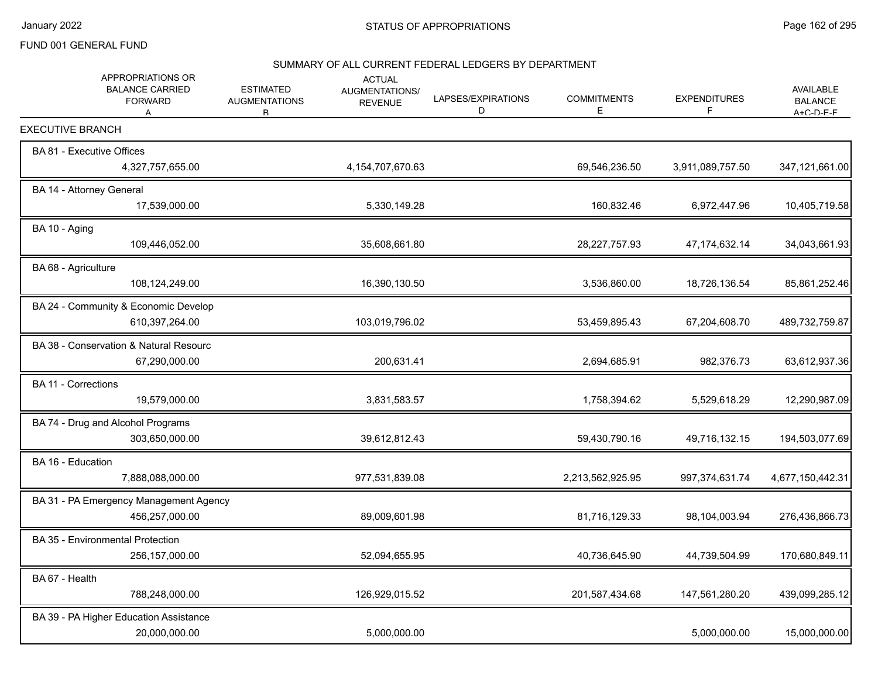# SUMMARY OF ALL CURRENT FEDERAL LEDGERS BY DEPARTMENT

| APPROPRIATIONS OR<br><b>BALANCE CARRIED</b><br><b>FORWARD</b><br>A | <b>ESTIMATED</b><br><b>AUGMENTATIONS</b><br>R. | <b>ACTUAL</b><br><b>AUGMENTATIONS/</b><br><b>REVENUE</b> | LAPSES/EXPIRATIONS<br>D | <b>COMMITMENTS</b><br>Е | <b>EXPENDITURES</b><br>F | <b>AVAILABLE</b><br><b>BALANCE</b><br>$A + C - D - F - F$ |
|--------------------------------------------------------------------|------------------------------------------------|----------------------------------------------------------|-------------------------|-------------------------|--------------------------|-----------------------------------------------------------|
| <b>EXECUTIVE BRANCH</b>                                            |                                                |                                                          |                         |                         |                          |                                                           |
| BA 81 - Executive Offices                                          |                                                |                                                          |                         |                         |                          |                                                           |
| 4,327,757,655.00                                                   |                                                | 4, 154, 707, 670. 63                                     |                         | 69,546,236.50           | 3,911,089,757.50         | 347,121,661.00                                            |
| BA 14 - Attorney General                                           |                                                |                                                          |                         |                         |                          |                                                           |
| 17,539,000.00                                                      |                                                | 5,330,149.28                                             |                         | 160,832.46              | 6,972,447.96             | 10,405,719.58                                             |
| BA 10 - Aging                                                      |                                                |                                                          |                         |                         |                          |                                                           |
| 109,446,052.00                                                     |                                                | 35,608,661.80                                            |                         | 28,227,757.93           | 47,174,632.14            | 34,043,661.93                                             |
| BA 68 - Agriculture                                                |                                                |                                                          |                         |                         |                          |                                                           |
| 108,124,249.00                                                     |                                                | 16,390,130.50                                            |                         | 3,536,860.00            | 18,726,136.54            | 85,861,252.46                                             |
| BA 24 - Community & Economic Develop                               |                                                |                                                          |                         |                         |                          |                                                           |
| 610,397,264.00                                                     |                                                | 103,019,796.02                                           |                         | 53,459,895.43           | 67,204,608.70            | 489,732,759.87                                            |
| BA 38 - Conservation & Natural Resourc                             |                                                |                                                          |                         |                         |                          |                                                           |
| 67,290,000.00                                                      |                                                | 200,631.41                                               |                         | 2,694,685.91            | 982,376.73               | 63,612,937.36                                             |
| <b>BA 11 - Corrections</b>                                         |                                                |                                                          |                         |                         |                          |                                                           |
| 19,579,000.00                                                      |                                                | 3,831,583.57                                             |                         | 1,758,394.62            | 5,529,618.29             | 12,290,987.09                                             |
| BA 74 - Drug and Alcohol Programs                                  |                                                |                                                          |                         |                         |                          |                                                           |
| 303,650,000.00                                                     |                                                | 39,612,812.43                                            |                         | 59,430,790.16           | 49,716,132.15            | 194,503,077.69                                            |
| BA 16 - Education                                                  |                                                |                                                          |                         |                         |                          |                                                           |
| 7,888,088,000.00                                                   |                                                | 977,531,839.08                                           |                         | 2,213,562,925.95        | 997,374,631.74           | 4,677,150,442.31                                          |
| BA 31 - PA Emergency Management Agency                             |                                                |                                                          |                         |                         |                          |                                                           |
| 456,257,000.00                                                     |                                                | 89,009,601.98                                            |                         | 81,716,129.33           | 98,104,003.94            | 276,436,866.73                                            |
| BA 35 - Environmental Protection                                   |                                                |                                                          |                         |                         |                          |                                                           |
| 256, 157, 000.00                                                   |                                                | 52,094,655.95                                            |                         | 40,736,645.90           | 44,739,504.99            | 170,680,849.11                                            |
| BA 67 - Health                                                     |                                                |                                                          |                         |                         |                          |                                                           |
| 788,248,000.00                                                     |                                                | 126,929,015.52                                           |                         | 201,587,434.68          | 147,561,280.20           | 439,099,285.12                                            |
| BA 39 - PA Higher Education Assistance                             |                                                |                                                          |                         |                         |                          |                                                           |
| 20,000,000.00                                                      |                                                | 5,000,000.00                                             |                         |                         | 5,000,000.00             | 15,000,000.00                                             |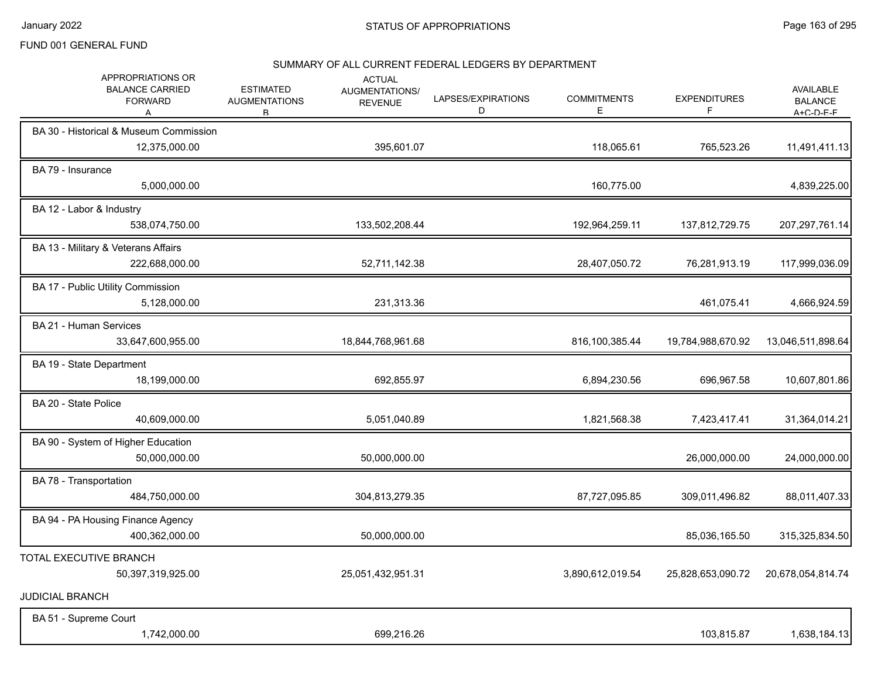# SUMMARY OF ALL CURRENT FEDERAL LEDGERS BY DEPARTMENT

| APPROPRIATIONS OR<br><b>BALANCE CARRIED</b><br><b>FORWARD</b><br>A | <b>ESTIMATED</b><br><b>AUGMENTATIONS</b><br>B. | <b>ACTUAL</b><br><b>AUGMENTATIONS/</b><br><b>REVENUE</b> | LAPSES/EXPIRATIONS<br>D | <b>COMMITMENTS</b><br>Ε | <b>EXPENDITURES</b><br>F | <b>AVAILABLE</b><br><b>BALANCE</b><br>$A + C - D - F - F$ |
|--------------------------------------------------------------------|------------------------------------------------|----------------------------------------------------------|-------------------------|-------------------------|--------------------------|-----------------------------------------------------------|
| BA 30 - Historical & Museum Commission<br>12,375,000.00            |                                                | 395,601.07                                               |                         | 118,065.61              | 765,523.26               | 11,491,411.13                                             |
| BA 79 - Insurance<br>5,000,000.00                                  |                                                |                                                          |                         | 160,775.00              |                          | 4,839,225.00                                              |
| BA 12 - Labor & Industry<br>538,074,750.00                         |                                                | 133,502,208.44                                           |                         | 192,964,259.11          | 137,812,729.75           | 207, 297, 761.14                                          |
| BA 13 - Military & Veterans Affairs<br>222,688,000.00              |                                                | 52,711,142.38                                            |                         | 28,407,050.72           | 76,281,913.19            | 117,999,036.09                                            |
| BA 17 - Public Utility Commission<br>5,128,000.00                  |                                                | 231,313.36                                               |                         |                         | 461,075.41               | 4,666,924.59                                              |
| BA 21 - Human Services<br>33,647,600,955.00                        |                                                | 18,844,768,961.68                                        |                         | 816,100,385.44          | 19,784,988,670.92        | 13,046,511,898.64                                         |
| BA 19 - State Department<br>18,199,000.00                          |                                                | 692,855.97                                               |                         | 6,894,230.56            | 696,967.58               | 10,607,801.86                                             |
| BA 20 - State Police<br>40,609,000.00                              |                                                | 5,051,040.89                                             |                         | 1,821,568.38            | 7,423,417.41             | 31,364,014.21                                             |
| BA 90 - System of Higher Education<br>50,000,000.00                |                                                | 50,000,000.00                                            |                         |                         | 26,000,000.00            | 24,000,000.00                                             |
| BA 78 - Transportation<br>484,750,000.00                           |                                                | 304,813,279.35                                           |                         | 87,727,095.85           | 309,011,496.82           | 88,011,407.33                                             |
| BA 94 - PA Housing Finance Agency<br>400,362,000.00                |                                                | 50,000,000.00                                            |                         |                         | 85,036,165.50            | 315,325,834.50                                            |
| TOTAL EXECUTIVE BRANCH<br>50,397,319,925.00                        |                                                | 25,051,432,951.31                                        |                         | 3,890,612,019.54        | 25,828,653,090.72        | 20,678,054,814.74                                         |
| <b>JUDICIAL BRANCH</b>                                             |                                                |                                                          |                         |                         |                          |                                                           |
| BA 51 - Supreme Court<br>1,742,000.00                              |                                                | 699,216.26                                               |                         |                         | 103,815.87               | 1,638,184.13                                              |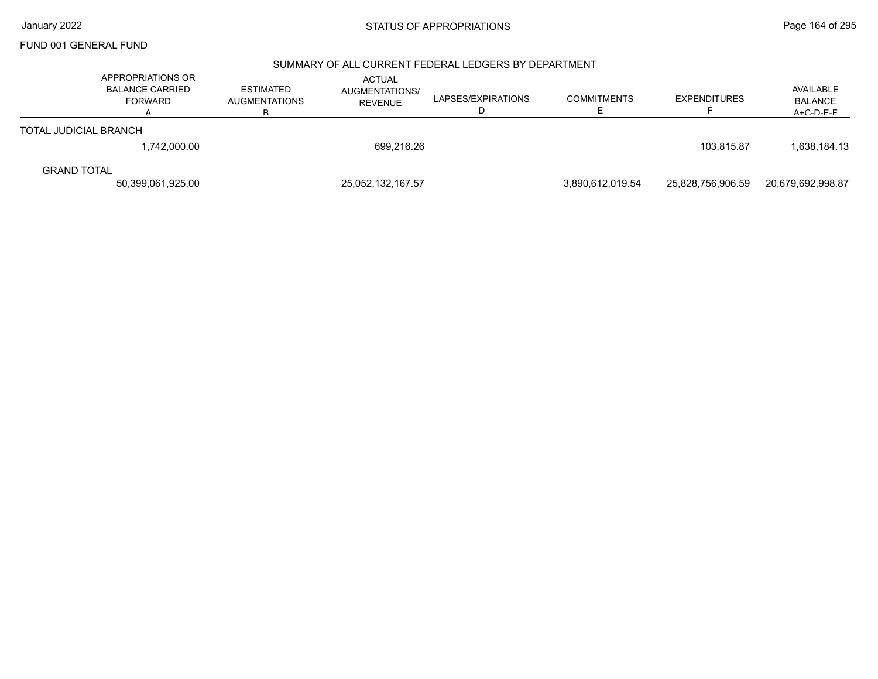#### SUMMARY OF ALL CURRENT FEDERAL LEDGERS BY DEPARTMENT

| APPROPRIATIONS OR<br><b>BALANCE CARRIED</b><br>FORWARD | <b>ESTIMATED</b><br><b>AUGMENTATIONS</b><br>в | <b>ACTUAL</b><br>AUGMENTATIONS/<br><b>REVENUE</b> | LAPSES/EXPIRATIONS<br>D                | <b>COMMITMENTS</b> | <b>EXPENDITURES</b> | AVAILABLE<br><b>BALANCE</b><br>$A + C - D - F - F$ |
|--------------------------------------------------------|-----------------------------------------------|---------------------------------------------------|----------------------------------------|--------------------|---------------------|----------------------------------------------------|
| <b>TOTAL JUDICIAL BRANCH</b>                           |                                               |                                                   |                                        |                    |                     |                                                    |
| 1,742,000.00                                           |                                               |                                                   |                                        |                    | 103.815.87          | 1,638,184.13                                       |
| <b>GRAND TOTAL</b>                                     |                                               |                                                   |                                        |                    |                     | 20,679,692,998.87                                  |
|                                                        |                                               |                                                   | 25,052,132,167.57<br>50,399,061,925.00 | 699,216.26         |                     | 3.890.612.019.54<br>25.828.756.906.59              |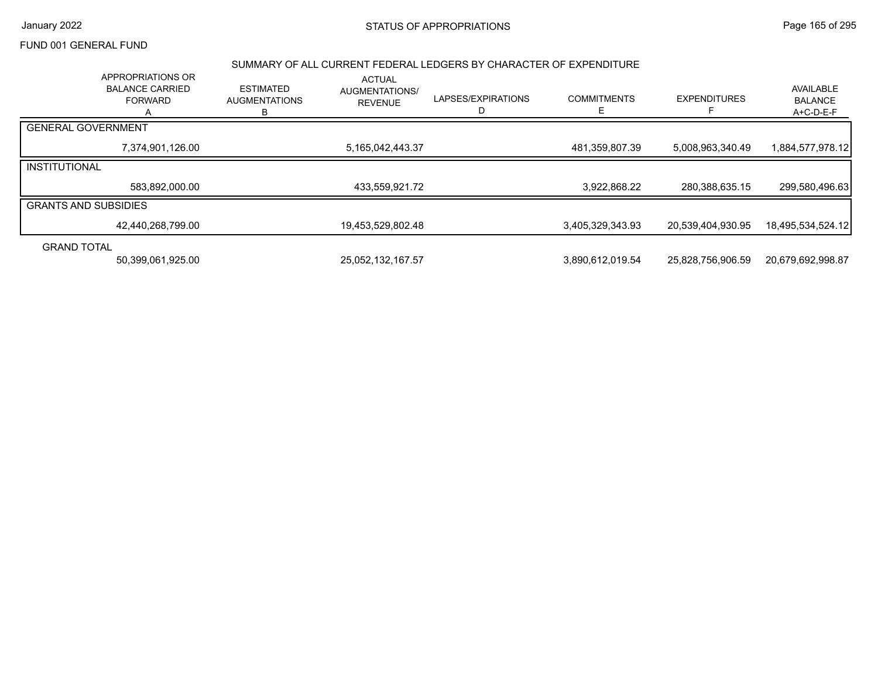#### SUMMARY OF ALL CURRENT FEDERAL LEDGERS BY CHARACTER OF EXPENDITURE

|                             | APPROPRIATIONS OR<br><b>BALANCE CARRIED</b><br><b>FORWARD</b> | <b>ESTIMATED</b><br><b>AUGMENTATIONS</b><br>в | <b>ACTUAL</b><br><b>AUGMENTATIONS/</b><br><b>REVENUE</b> | LAPSES/EXPIRATIONS<br>D | <b>COMMITMENTS</b> | <b>EXPENDITURES</b> | AVAILABLE<br><b>BALANCE</b><br>A+C-D-E-F |
|-----------------------------|---------------------------------------------------------------|-----------------------------------------------|----------------------------------------------------------|-------------------------|--------------------|---------------------|------------------------------------------|
| <b>GENERAL GOVERNMENT</b>   |                                                               |                                               |                                                          |                         |                    |                     |                                          |
|                             | 7,374,901,126.00                                              |                                               | 5,165,042,443.37                                         |                         | 481,359,807.39     | 5,008,963,340.49    | 1,884,577,978.12                         |
| <b>INSTITUTIONAL</b>        |                                                               |                                               |                                                          |                         |                    |                     |                                          |
|                             | 583,892,000.00                                                |                                               | 433,559,921.72                                           |                         | 3,922,868.22       | 280,388,635.15      | 299,580,496.63                           |
| <b>GRANTS AND SUBSIDIES</b> |                                                               |                                               |                                                          |                         |                    |                     |                                          |
|                             | 42,440,268,799.00                                             |                                               | 19,453,529,802.48                                        |                         | 3,405,329,343.93   | 20,539,404,930.95   | 18,495,534,524.12                        |
| <b>GRAND TOTAL</b>          |                                                               |                                               |                                                          |                         |                    |                     |                                          |
|                             | 50,399,061,925.00                                             |                                               | 25,052,132,167.57                                        |                         | 3,890,612,019.54   | 25,828,756,906.59   | 20,679,692,998.87                        |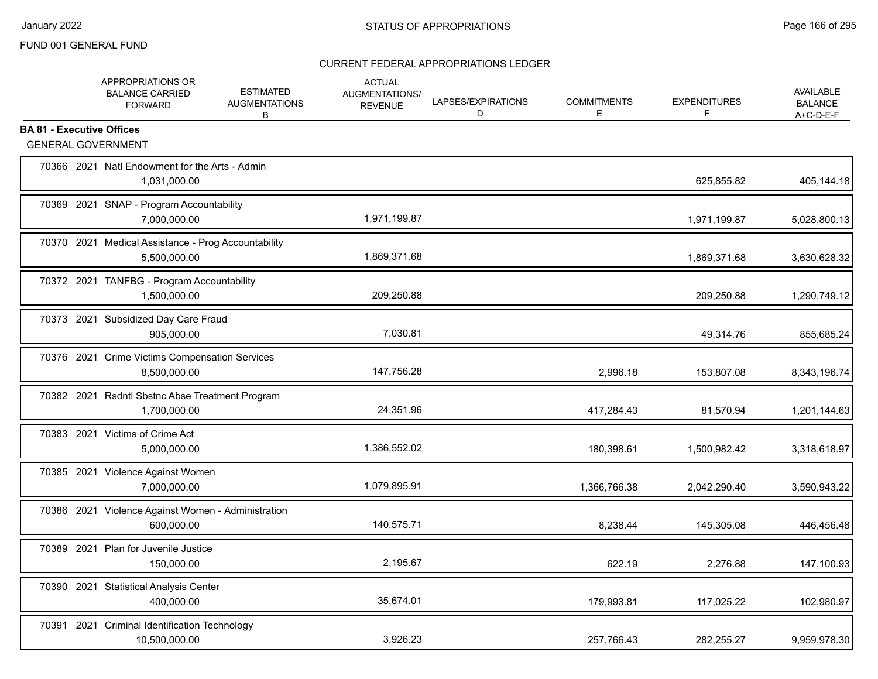|                                  | APPROPRIATIONS OR<br><b>BALANCE CARRIED</b><br><b>FORWARD</b>       | <b>ESTIMATED</b><br><b>AUGMENTATIONS</b><br>B | <b>ACTUAL</b><br>AUGMENTATIONS/<br><b>REVENUE</b> | LAPSES/EXPIRATIONS<br>D | <b>COMMITMENTS</b><br>E | <b>EXPENDITURES</b><br>F | <b>AVAILABLE</b><br><b>BALANCE</b><br>$A+C-D-E-F$ |
|----------------------------------|---------------------------------------------------------------------|-----------------------------------------------|---------------------------------------------------|-------------------------|-------------------------|--------------------------|---------------------------------------------------|
| <b>BA 81 - Executive Offices</b> | <b>GENERAL GOVERNMENT</b>                                           |                                               |                                                   |                         |                         |                          |                                                   |
|                                  | 70366 2021 Natl Endowment for the Arts - Admin<br>1,031,000.00      |                                               |                                                   |                         |                         | 625,855.82               | 405,144.18                                        |
|                                  | 70369 2021 SNAP - Program Accountability<br>7,000,000.00            |                                               | 1,971,199.87                                      |                         |                         | 1,971,199.87             | 5,028,800.13                                      |
|                                  | 70370 2021 Medical Assistance - Prog Accountability<br>5,500,000.00 |                                               | 1,869,371.68                                      |                         |                         | 1,869,371.68             | 3,630,628.32                                      |
|                                  | 70372 2021 TANFBG - Program Accountability<br>1,500,000.00          |                                               | 209,250.88                                        |                         |                         | 209,250.88               | 1,290,749.12                                      |
|                                  | 70373 2021 Subsidized Day Care Fraud<br>905.000.00                  |                                               | 7,030.81                                          |                         |                         | 49,314.76                | 855,685.24                                        |
|                                  | 70376 2021 Crime Victims Compensation Services<br>8,500,000.00      |                                               | 147,756.28                                        |                         | 2,996.18                | 153,807.08               | 8,343,196.74                                      |
|                                  | 70382 2021 Rsdntl Sbstnc Abse Treatment Program<br>1,700,000.00     |                                               | 24,351.96                                         |                         | 417,284.43              | 81,570.94                | 1,201,144.63                                      |
|                                  | 70383 2021 Victims of Crime Act<br>5,000,000.00                     |                                               | 1,386,552.02                                      |                         | 180,398.61              | 1,500,982.42             | 3,318,618.97                                      |
|                                  | 70385 2021 Violence Against Women<br>7,000,000.00                   |                                               | 1,079,895.91                                      |                         | 1,366,766.38            | 2,042,290.40             | 3,590,943.22                                      |
|                                  | 70386 2021 Violence Against Women - Administration<br>600,000.00    |                                               | 140,575.71                                        |                         | 8,238.44                | 145,305.08               | 446,456.48                                        |
|                                  | 70389 2021 Plan for Juvenile Justice<br>150,000.00                  |                                               | 2,195.67                                          |                         | 622.19                  | 2,276.88                 | 147,100.93                                        |
|                                  | 70390 2021 Statistical Analysis Center<br>400,000.00                |                                               | 35,674.01                                         |                         | 179,993.81              | 117,025.22               | 102,980.97                                        |
|                                  | 70391 2021 Criminal Identification Technology<br>10,500,000.00      |                                               | 3,926.23                                          |                         | 257,766.43              | 282,255.27               | 9,959,978.30                                      |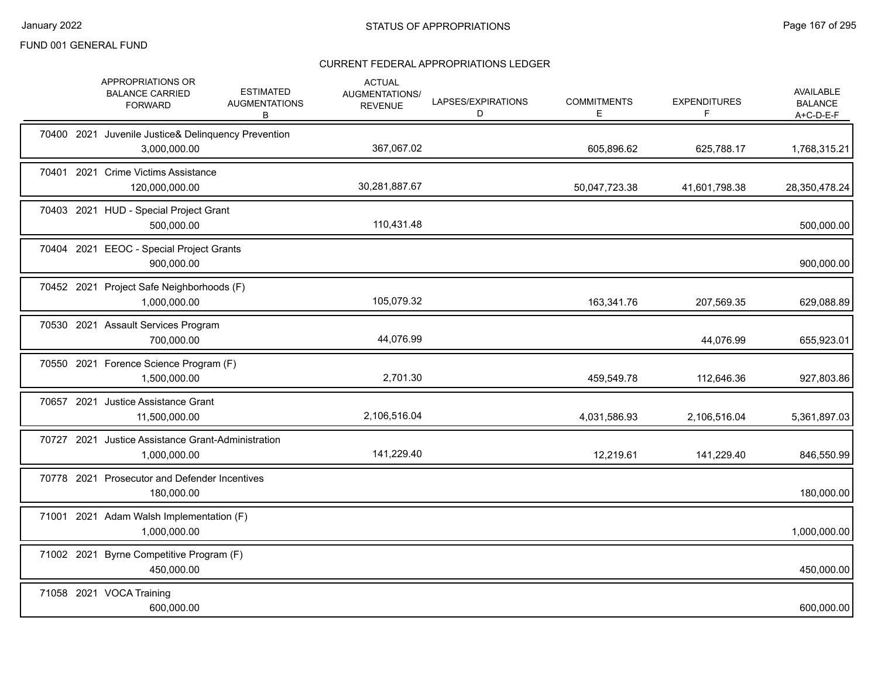|  | APPROPRIATIONS OR<br><b>BALANCE CARRIED</b><br><b>FORWARD</b>       | <b>ESTIMATED</b><br><b>AUGMENTATIONS</b><br>В | <b>ACTUAL</b><br>AUGMENTATIONS/<br><b>REVENUE</b> | LAPSES/EXPIRATIONS<br>D | <b>COMMITMENTS</b><br>Е | <b>EXPENDITURES</b><br>F. | <b>AVAILABLE</b><br><b>BALANCE</b><br>A+C-D-E-F |
|--|---------------------------------------------------------------------|-----------------------------------------------|---------------------------------------------------|-------------------------|-------------------------|---------------------------|-------------------------------------------------|
|  | 70400 2021 Juvenile Justice& Delinquency Prevention<br>3,000,000.00 |                                               | 367,067.02                                        |                         | 605,896.62              | 625,788.17                | 1,768,315.21                                    |
|  | 70401 2021 Crime Victims Assistance<br>120,000,000.00               |                                               | 30,281,887.67                                     |                         | 50,047,723.38           | 41,601,798.38             | 28,350,478.24                                   |
|  | 70403 2021 HUD - Special Project Grant<br>500,000.00                |                                               | 110,431.48                                        |                         |                         |                           | 500,000.00                                      |
|  | 70404 2021 EEOC - Special Project Grants<br>900,000.00              |                                               |                                                   |                         |                         |                           | 900,000.00                                      |
|  | 70452 2021 Project Safe Neighborhoods (F)<br>1,000,000.00           |                                               | 105,079.32                                        |                         | 163,341.76              | 207,569.35                | 629,088.89                                      |
|  | 70530 2021 Assault Services Program<br>700,000.00                   |                                               | 44,076.99                                         |                         |                         | 44,076.99                 | 655,923.01                                      |
|  | 70550 2021 Forence Science Program (F)<br>1,500,000.00              |                                               | 2,701.30                                          |                         | 459,549.78              | 112,646.36                | 927,803.86                                      |
|  | 70657 2021 Justice Assistance Grant<br>11,500,000.00                |                                               | 2,106,516.04                                      |                         | 4,031,586.93            | 2,106,516.04              | 5,361,897.03                                    |
|  | 70727 2021 Justice Assistance Grant-Administration<br>1,000,000.00  |                                               | 141,229.40                                        |                         | 12,219.61               | 141,229.40                | 846,550.99                                      |
|  | 70778 2021 Prosecutor and Defender Incentives<br>180,000.00         |                                               |                                                   |                         |                         |                           | 180,000.00                                      |
|  | 71001 2021 Adam Walsh Implementation (F)<br>1,000,000.00            |                                               |                                                   |                         |                         |                           | 1,000,000.00                                    |
|  | 71002 2021 Byrne Competitive Program (F)<br>450,000.00              |                                               |                                                   |                         |                         |                           | 450,000.00                                      |
|  | 71058 2021 VOCA Training<br>600,000.00                              |                                               |                                                   |                         |                         |                           | 600,000.00                                      |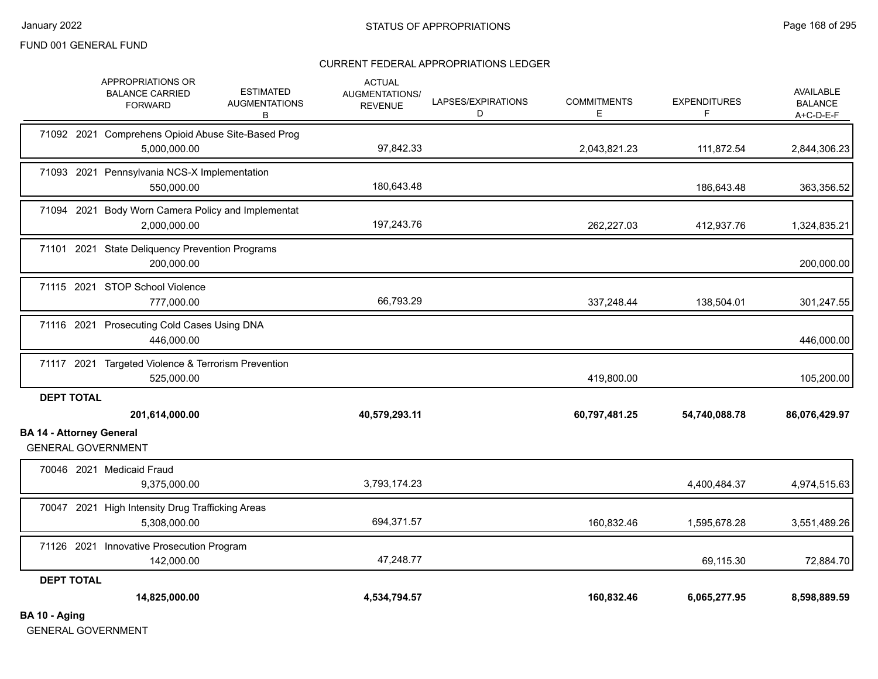### CURRENT FEDERAL APPROPRIATIONS LEDGER

|                                                      | APPROPRIATIONS OR<br><b>BALANCE CARRIED</b><br><b>FORWARD</b>      | <b>ESTIMATED</b><br><b>AUGMENTATIONS</b><br>В | <b>ACTUAL</b><br>AUGMENTATIONS/<br><b>REVENUE</b> | LAPSES/EXPIRATIONS<br>D | <b>COMMITMENTS</b><br>Е | <b>EXPENDITURES</b><br>F. | <b>AVAILABLE</b><br><b>BALANCE</b><br>A+C-D-E-F |
|------------------------------------------------------|--------------------------------------------------------------------|-----------------------------------------------|---------------------------------------------------|-------------------------|-------------------------|---------------------------|-------------------------------------------------|
|                                                      | 71092 2021 Comprehens Opioid Abuse Site-Based Prog<br>5,000,000.00 |                                               | 97,842.33                                         |                         | 2,043,821.23            | 111,872.54                | 2,844,306.23                                    |
|                                                      | 71093 2021 Pennsylvania NCS-X Implementation<br>550,000.00         |                                               | 180,643.48                                        |                         |                         | 186,643.48                | 363,356.52                                      |
|                                                      | 71094 2021 Body Worn Camera Policy and Implementat<br>2,000,000.00 |                                               | 197,243.76                                        |                         | 262,227.03              | 412,937.76                | 1,324,835.21                                    |
|                                                      | 71101 2021 State Deliquency Prevention Programs<br>200,000.00      |                                               |                                                   |                         |                         |                           | 200,000.00                                      |
|                                                      | 71115 2021 STOP School Violence<br>777,000.00                      |                                               | 66,793.29                                         |                         | 337,248.44              | 138,504.01                | 301,247.55                                      |
|                                                      | 71116 2021 Prosecuting Cold Cases Using DNA<br>446,000.00          |                                               |                                                   |                         |                         |                           | 446,000.00                                      |
|                                                      | 71117 2021 Targeted Violence & Terrorism Prevention<br>525,000.00  |                                               |                                                   |                         | 419,800.00              |                           | 105,200.00                                      |
| <b>DEPT TOTAL</b><br><b>BA 14 - Attorney General</b> | 201,614,000.00                                                     |                                               | 40,579,293.11                                     |                         | 60,797,481.25           | 54,740,088.78             | 86,076,429.97                                   |
|                                                      | <b>GENERAL GOVERNMENT</b>                                          |                                               |                                                   |                         |                         |                           |                                                 |
|                                                      | 70046 2021 Medicaid Fraud<br>9,375,000.00                          |                                               | 3,793,174.23                                      |                         |                         | 4,400,484.37              | 4,974,515.63                                    |
|                                                      | 70047 2021 High Intensity Drug Trafficking Areas<br>5,308,000.00   |                                               | 694,371.57                                        |                         | 160,832.46              | 1,595,678.28              | 3,551,489.26                                    |
|                                                      | 71126 2021 Innovative Prosecution Program<br>142,000.00            |                                               | 47,248.77                                         |                         |                         | 69,115.30                 | 72,884.70                                       |
| <b>DEPT TOTAL</b>                                    | 14,825,000.00                                                      |                                               | 4,534,794.57                                      |                         | 160,832.46              | 6,065,277.95              | 8,598,889.59                                    |
| BA 10 - Aging                                        |                                                                    |                                               |                                                   |                         |                         |                           |                                                 |

GENERAL GOVERNMENT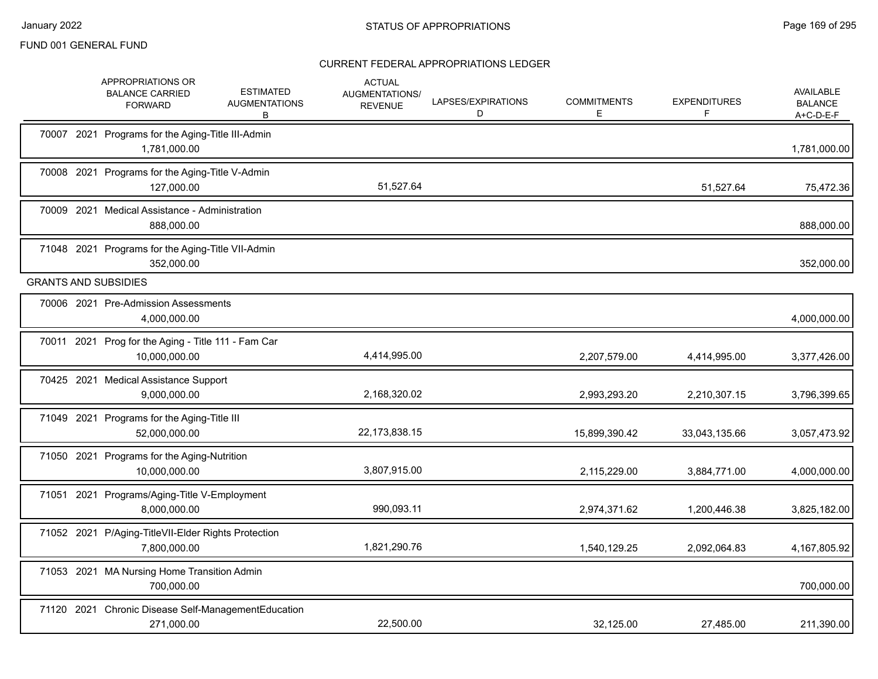|  | <b>APPROPRIATIONS OR</b><br><b>ESTIMATED</b><br><b>BALANCE CARRIED</b><br><b>AUGMENTATIONS</b><br><b>FORWARD</b><br>В | <b>ACTUAL</b><br>AUGMENTATIONS/<br><b>REVENUE</b> | LAPSES/EXPIRATIONS<br>D | <b>COMMITMENTS</b><br>Е | <b>EXPENDITURES</b><br>F | <b>AVAILABLE</b><br><b>BALANCE</b><br>$A+C-D-E-F$ |
|--|-----------------------------------------------------------------------------------------------------------------------|---------------------------------------------------|-------------------------|-------------------------|--------------------------|---------------------------------------------------|
|  | 70007 2021 Programs for the Aging-Title III-Admin<br>1,781,000.00                                                     |                                                   |                         |                         |                          | 1,781,000.00                                      |
|  | 70008 2021 Programs for the Aging-Title V-Admin<br>127,000.00                                                         | 51,527.64                                         |                         |                         | 51,527.64                | 75,472.36                                         |
|  | 70009 2021 Medical Assistance - Administration<br>888,000.00                                                          |                                                   |                         |                         |                          | 888,000.00                                        |
|  | 71048 2021 Programs for the Aging-Title VII-Admin<br>352,000.00                                                       |                                                   |                         |                         |                          | 352,000.00                                        |
|  | <b>GRANTS AND SUBSIDIES</b>                                                                                           |                                                   |                         |                         |                          |                                                   |
|  | 70006 2021 Pre-Admission Assessments<br>4,000,000.00                                                                  |                                                   |                         |                         |                          | 4,000,000.00                                      |
|  | 70011 2021 Prog for the Aging - Title 111 - Fam Car<br>10,000,000.00                                                  | 4,414,995.00                                      |                         | 2,207,579.00            | 4,414,995.00             | 3,377,426.00                                      |
|  | 70425 2021 Medical Assistance Support<br>9,000,000.00                                                                 | 2,168,320.02                                      |                         | 2,993,293.20            | 2,210,307.15             | 3,796,399.65                                      |
|  | 71049 2021 Programs for the Aging-Title III<br>52,000,000.00                                                          | 22,173,838.15                                     |                         | 15,899,390.42           | 33,043,135.66            | 3,057,473.92                                      |
|  | 71050 2021 Programs for the Aging-Nutrition<br>10,000,000.00                                                          | 3,807,915.00                                      |                         | 2,115,229.00            | 3,884,771.00             | 4,000,000.00                                      |
|  | 71051 2021 Programs/Aging-Title V-Employment<br>8,000,000.00                                                          | 990,093.11                                        |                         | 2,974,371.62            | 1,200,446.38             | 3,825,182.00                                      |
|  | 71052 2021 P/Aging-TitleVII-Elder Rights Protection<br>7,800,000.00                                                   | 1,821,290.76                                      |                         | 1,540,129.25            | 2,092,064.83             | 4,167,805.92                                      |
|  | 71053 2021 MA Nursing Home Transition Admin<br>700.000.00                                                             |                                                   |                         |                         |                          | 700,000.00                                        |
|  | 71120 2021 Chronic Disease Self-ManagementEducation<br>271,000.00                                                     | 22,500.00                                         |                         | 32,125.00               | 27,485.00                | 211,390.00                                        |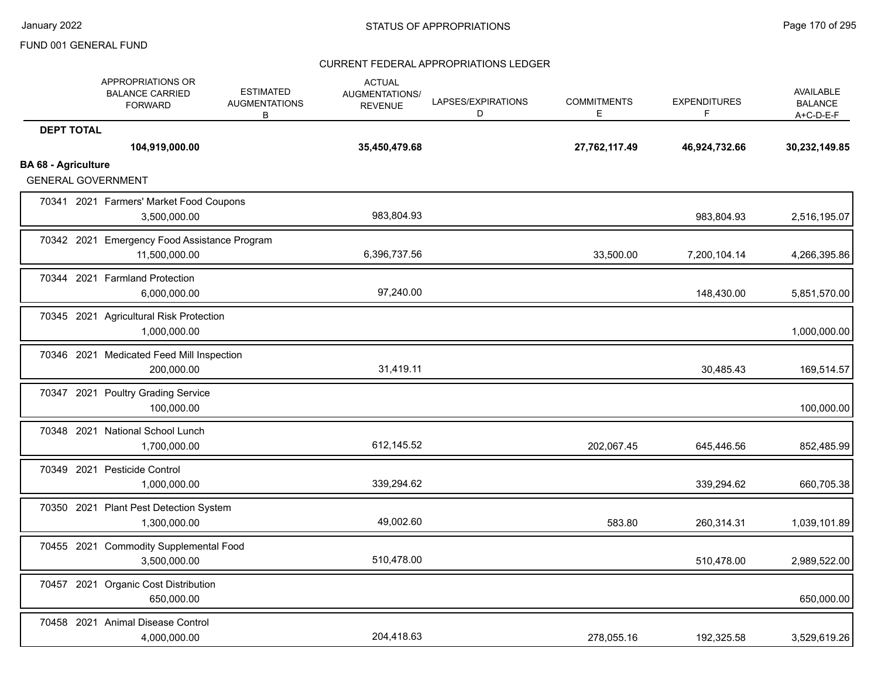|                            | APPROPRIATIONS OR<br><b>BALANCE CARRIED</b><br><b>FORWARD</b> | <b>ESTIMATED</b><br><b>AUGMENTATIONS</b><br>B | <b>ACTUAL</b><br><b>AUGMENTATIONS/</b><br><b>REVENUE</b> | LAPSES/EXPIRATIONS<br>D | <b>COMMITMENTS</b><br>Е | <b>EXPENDITURES</b><br>F | <b>AVAILABLE</b><br><b>BALANCE</b><br>$A+C-D-E-F$ |
|----------------------------|---------------------------------------------------------------|-----------------------------------------------|----------------------------------------------------------|-------------------------|-------------------------|--------------------------|---------------------------------------------------|
| <b>DEPT TOTAL</b>          | 104,919,000.00                                                |                                               | 35,450,479.68                                            |                         | 27,762,117.49           | 46,924,732.66            | 30,232,149.85                                     |
| <b>BA 68 - Agriculture</b> | <b>GENERAL GOVERNMENT</b>                                     |                                               |                                                          |                         |                         |                          |                                                   |
|                            | 70341 2021 Farmers' Market Food Coupons<br>3,500,000.00       |                                               | 983,804.93                                               |                         |                         | 983,804.93               | 2,516,195.07                                      |
|                            | 70342 2021 Emergency Food Assistance Program<br>11,500,000.00 |                                               | 6,396,737.56                                             |                         | 33,500.00               | 7,200,104.14             | 4,266,395.86                                      |
|                            | 70344 2021 Farmland Protection<br>6,000,000.00                |                                               | 97,240.00                                                |                         |                         | 148,430.00               | 5,851,570.00                                      |
|                            | 70345 2021 Agricultural Risk Protection<br>1,000,000.00       |                                               |                                                          |                         |                         |                          | 1,000,000.00                                      |
|                            | 70346 2021 Medicated Feed Mill Inspection<br>200,000.00       |                                               | 31,419.11                                                |                         |                         | 30,485.43                | 169,514.57                                        |
|                            | 70347 2021 Poultry Grading Service<br>100,000.00              |                                               |                                                          |                         |                         |                          | 100,000.00                                        |
|                            | 70348 2021 National School Lunch<br>1,700,000.00              |                                               | 612,145.52                                               |                         | 202,067.45              | 645,446.56               | 852,485.99                                        |
|                            | 70349 2021 Pesticide Control<br>1,000,000.00                  |                                               | 339,294.62                                               |                         |                         | 339,294.62               | 660,705.38                                        |
|                            | 70350 2021 Plant Pest Detection System<br>1,300,000.00        |                                               | 49,002.60                                                |                         | 583.80                  | 260,314.31               | 1,039,101.89                                      |
|                            | 70455 2021 Commodity Supplemental Food<br>3,500,000.00        |                                               | 510,478.00                                               |                         |                         | 510,478.00               | 2,989,522.00                                      |
|                            | 70457 2021 Organic Cost Distribution<br>650,000.00            |                                               |                                                          |                         |                         |                          | 650,000.00                                        |
|                            | 70458 2021 Animal Disease Control<br>4,000,000.00             |                                               | 204,418.63                                               |                         | 278,055.16              | 192,325.58               | 3,529,619.26                                      |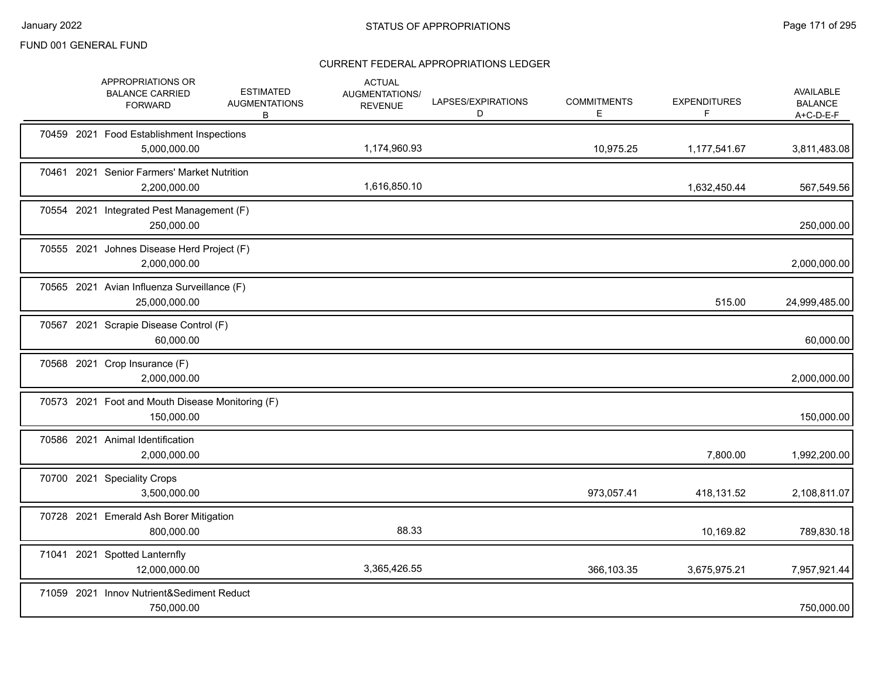|  | APPROPRIATIONS OR<br><b>BALANCE CARRIED</b><br><b>FORWARD</b>  | <b>ESTIMATED</b><br><b>AUGMENTATIONS</b><br>B | <b>ACTUAL</b><br>AUGMENTATIONS/<br><b>REVENUE</b> | LAPSES/EXPIRATIONS<br>D | <b>COMMITMENTS</b><br>E. | <b>EXPENDITURES</b><br>F. | AVAILABLE<br><b>BALANCE</b><br>$A+C-D-E-F$ |
|--|----------------------------------------------------------------|-----------------------------------------------|---------------------------------------------------|-------------------------|--------------------------|---------------------------|--------------------------------------------|
|  | 70459 2021 Food Establishment Inspections<br>5,000,000.00      |                                               | 1,174,960.93                                      |                         | 10,975.25                | 1,177,541.67              | 3,811,483.08                               |
|  | 70461 2021 Senior Farmers' Market Nutrition<br>2,200,000.00    |                                               | 1,616,850.10                                      |                         |                          | 1,632,450.44              | 567,549.56                                 |
|  | 70554 2021 Integrated Pest Management (F)<br>250,000.00        |                                               |                                                   |                         |                          |                           | 250,000.00                                 |
|  | 70555 2021 Johnes Disease Herd Project (F)<br>2,000,000.00     |                                               |                                                   |                         |                          |                           | 2,000,000.00                               |
|  | 70565 2021 Avian Influenza Surveillance (F)<br>25,000,000.00   |                                               |                                                   |                         |                          | 515.00                    | 24,999,485.00                              |
|  | 70567 2021 Scrapie Disease Control (F)<br>60,000.00            |                                               |                                                   |                         |                          |                           | 60,000.00                                  |
|  | 70568 2021 Crop Insurance (F)<br>2,000,000.00                  |                                               |                                                   |                         |                          |                           | 2,000,000.00                               |
|  | 70573 2021 Foot and Mouth Disease Monitoring (F)<br>150,000.00 |                                               |                                                   |                         |                          |                           | 150,000.00                                 |
|  | 70586 2021 Animal Identification<br>2,000,000.00               |                                               |                                                   |                         |                          | 7,800.00                  | 1,992,200.00                               |
|  | 70700 2021 Speciality Crops<br>3,500,000.00                    |                                               |                                                   |                         | 973,057.41               | 418,131.52                | 2,108,811.07                               |
|  | 70728 2021 Emerald Ash Borer Mitigation<br>800,000.00          |                                               | 88.33                                             |                         |                          | 10,169.82                 | 789,830.18                                 |
|  | 71041 2021 Spotted Lanternfly<br>12,000,000.00                 |                                               | 3,365,426.55                                      |                         | 366,103.35               | 3,675,975.21              | 7,957,921.44                               |
|  | 71059 2021 Innov Nutrient&Sediment Reduct<br>750,000.00        |                                               |                                                   |                         |                          |                           | 750,000.00                                 |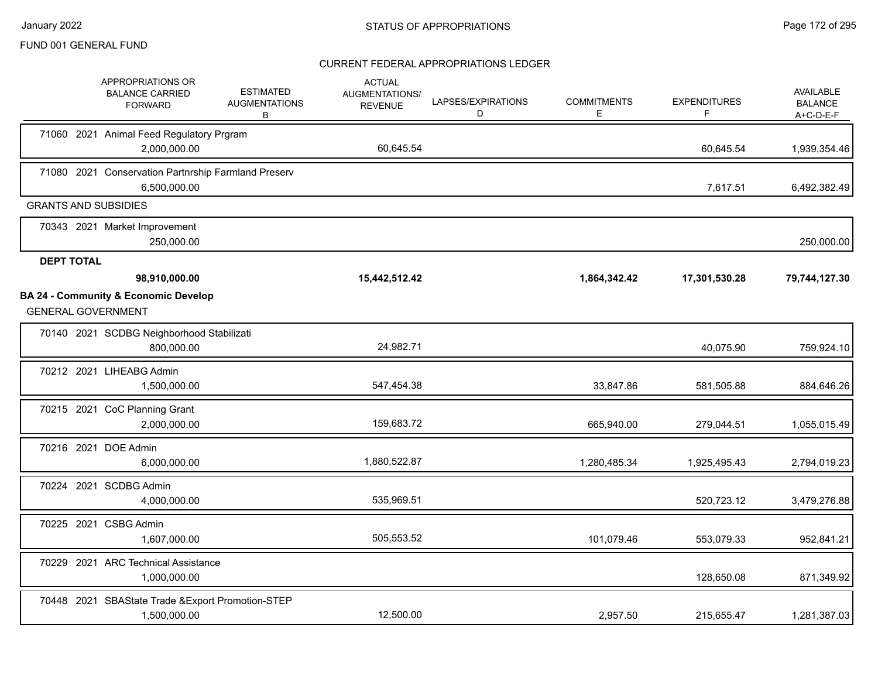|                   | APPROPRIATIONS OR<br><b>BALANCE CARRIED</b><br><b>FORWARD</b>                | <b>ESTIMATED</b><br><b>AUGMENTATIONS</b><br>В | <b>ACTUAL</b><br><b>AUGMENTATIONS/</b><br><b>REVENUE</b> | LAPSES/EXPIRATIONS<br>D | <b>COMMITMENTS</b><br>E. | <b>EXPENDITURES</b><br>F. | AVAILABLE<br><b>BALANCE</b><br>$A+C-D-E-F$ |
|-------------------|------------------------------------------------------------------------------|-----------------------------------------------|----------------------------------------------------------|-------------------------|--------------------------|---------------------------|--------------------------------------------|
|                   | 71060 2021 Animal Feed Regulatory Prgram<br>2,000,000.00                     |                                               | 60,645.54                                                |                         |                          | 60,645.54                 | 1,939,354.46                               |
|                   | 71080 2021 Conservation Partnrship Farmland Preserv<br>6,500,000.00          |                                               |                                                          |                         |                          | 7,617.51                  | 6,492,382.49                               |
|                   | <b>GRANTS AND SUBSIDIES</b>                                                  |                                               |                                                          |                         |                          |                           |                                            |
|                   | 70343 2021 Market Improvement<br>250,000.00                                  |                                               |                                                          |                         |                          |                           | 250,000.00                                 |
| <b>DEPT TOTAL</b> |                                                                              |                                               |                                                          |                         |                          |                           |                                            |
|                   | 98,910,000.00                                                                |                                               | 15,442,512.42                                            |                         | 1,864,342.42             | 17,301,530.28             | 79,744,127.30                              |
|                   | <b>BA 24 - Community &amp; Economic Develop</b><br><b>GENERAL GOVERNMENT</b> |                                               |                                                          |                         |                          |                           |                                            |
|                   | 70140 2021 SCDBG Neighborhood Stabilizati<br>800,000.00                      |                                               | 24,982.71                                                |                         |                          | 40,075.90                 | 759,924.10                                 |
|                   | 70212 2021 LIHEABG Admin<br>1,500,000.00                                     |                                               | 547,454.38                                               |                         | 33,847.86                | 581,505.88                | 884,646.26                                 |
|                   | 70215 2021 CoC Planning Grant<br>2.000.000.00                                |                                               | 159,683.72                                               |                         | 665,940.00               | 279,044.51                | 1,055,015.49                               |
|                   | 70216 2021 DOE Admin<br>6,000,000.00                                         |                                               | 1,880,522.87                                             |                         | 1,280,485.34             | 1,925,495.43              | 2,794,019.23                               |
|                   | 70224 2021 SCDBG Admin<br>4,000,000.00                                       |                                               | 535,969.51                                               |                         |                          | 520,723.12                | 3,479,276.88                               |
|                   | 70225 2021 CSBG Admin<br>1,607,000.00                                        |                                               | 505,553.52                                               |                         | 101,079.46               | 553,079.33                | 952,841.21                                 |
|                   | 70229 2021 ARC Technical Assistance<br>1,000,000.00                          |                                               |                                                          |                         |                          | 128,650.08                | 871,349.92                                 |
|                   | 70448 2021 SBAState Trade & Export Promotion-STEP<br>1,500,000.00            |                                               | 12,500.00                                                |                         | 2,957.50                 | 215,655.47                | 1,281,387.03                               |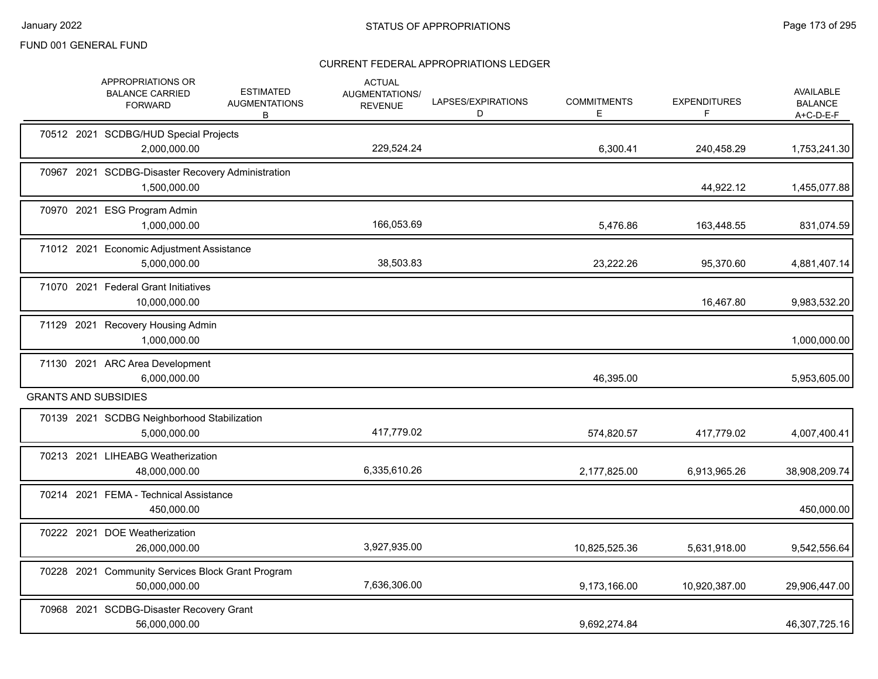|       | APPROPRIATIONS OR<br><b>BALANCE CARRIED</b><br><b>FORWARD</b>      | <b>ESTIMATED</b><br><b>AUGMENTATIONS</b><br>B | <b>ACTUAL</b><br>AUGMENTATIONS/<br><b>REVENUE</b> | LAPSES/EXPIRATIONS<br>D | <b>COMMITMENTS</b><br>Е | <b>EXPENDITURES</b><br>F | <b>AVAILABLE</b><br><b>BALANCE</b><br>A+C-D-E-F |
|-------|--------------------------------------------------------------------|-----------------------------------------------|---------------------------------------------------|-------------------------|-------------------------|--------------------------|-------------------------------------------------|
|       | 70512 2021 SCDBG/HUD Special Projects<br>2,000,000.00              |                                               | 229,524.24                                        |                         | 6,300.41                | 240,458.29               | 1,753,241.30                                    |
| 70967 | 2021 SCDBG-Disaster Recovery Administration<br>1,500,000.00        |                                               |                                                   |                         |                         | 44,922.12                | 1,455,077.88                                    |
|       | 70970 2021 ESG Program Admin<br>1,000,000.00                       |                                               | 166,053.69                                        |                         | 5,476.86                | 163,448.55               | 831,074.59                                      |
|       | 71012 2021 Economic Adjustment Assistance<br>5,000,000.00          |                                               | 38,503.83                                         |                         | 23,222.26               | 95,370.60                | 4,881,407.14                                    |
|       | 71070 2021 Federal Grant Initiatives<br>10,000,000.00              |                                               |                                                   |                         |                         | 16,467.80                | 9,983,532.20                                    |
|       | 71129 2021 Recovery Housing Admin<br>1,000,000.00                  |                                               |                                                   |                         |                         |                          | 1,000,000.00                                    |
|       | 71130 2021 ARC Area Development<br>6,000,000.00                    |                                               |                                                   |                         | 46,395.00               |                          | 5,953,605.00                                    |
|       | <b>GRANTS AND SUBSIDIES</b>                                        |                                               |                                                   |                         |                         |                          |                                                 |
|       | 70139 2021 SCDBG Neighborhood Stabilization<br>5,000,000.00        |                                               | 417,779.02                                        |                         | 574,820.57              | 417,779.02               | 4,007,400.41                                    |
|       | 70213 2021 LIHEABG Weatherization<br>48,000,000.00                 |                                               | 6,335,610.26                                      |                         | 2,177,825.00            | 6,913,965.26             | 38,908,209.74                                   |
|       | 70214 2021 FEMA - Technical Assistance<br>450,000.00               |                                               |                                                   |                         |                         |                          | 450,000.00                                      |
|       | 70222 2021 DOE Weatherization<br>26,000,000.00                     |                                               | 3,927,935.00                                      |                         | 10,825,525.36           | 5,631,918.00             | 9,542,556.64                                    |
|       | 70228 2021 Community Services Block Grant Program<br>50,000,000.00 |                                               | 7,636,306.00                                      |                         | 9,173,166.00            | 10,920,387.00            | 29,906,447.00                                   |
|       | 70968 2021 SCDBG-Disaster Recovery Grant<br>56,000,000.00          |                                               |                                                   |                         | 9,692,274.84            |                          | 46,307,725.16                                   |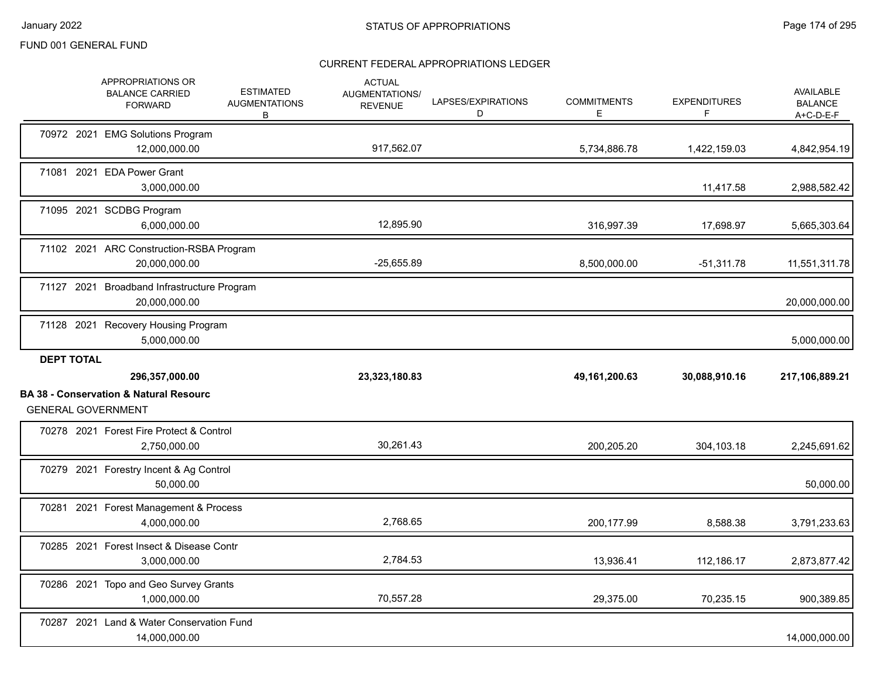|                   | APPROPRIATIONS OR<br><b>BALANCE CARRIED</b><br><b>FORWARD</b>                  | <b>ESTIMATED</b><br><b>AUGMENTATIONS</b><br>В | <b>ACTUAL</b><br><b>AUGMENTATIONS/</b><br><b>REVENUE</b> | LAPSES/EXPIRATIONS<br>D | <b>COMMITMENTS</b><br>E | <b>EXPENDITURES</b><br>F | <b>AVAILABLE</b><br><b>BALANCE</b><br>A+C-D-E-F |
|-------------------|--------------------------------------------------------------------------------|-----------------------------------------------|----------------------------------------------------------|-------------------------|-------------------------|--------------------------|-------------------------------------------------|
|                   | 70972 2021 EMG Solutions Program<br>12,000,000.00                              |                                               | 917,562.07                                               |                         | 5,734,886.78            | 1,422,159.03             | 4,842,954.19                                    |
|                   | 71081 2021 EDA Power Grant<br>3,000,000.00                                     |                                               |                                                          |                         |                         | 11,417.58                | 2,988,582.42                                    |
|                   | 71095 2021 SCDBG Program<br>6,000,000.00                                       |                                               | 12,895.90                                                |                         | 316,997.39              | 17,698.97                | 5,665,303.64                                    |
|                   | 71102 2021 ARC Construction-RSBA Program<br>20,000,000.00                      |                                               | $-25,655.89$                                             |                         | 8,500,000.00            | $-51,311.78$             | 11,551,311.78                                   |
|                   | 71127 2021 Broadband Infrastructure Program<br>20,000,000.00                   |                                               |                                                          |                         |                         |                          | 20,000,000.00                                   |
|                   | 71128 2021 Recovery Housing Program<br>5,000,000.00                            |                                               |                                                          |                         |                         |                          | 5,000,000.00                                    |
|                   |                                                                                |                                               |                                                          |                         |                         |                          |                                                 |
| <b>DEPT TOTAL</b> | 296,357,000.00                                                                 |                                               | 23,323,180.83                                            |                         | 49, 161, 200. 63        | 30,088,910.16            | 217,106,889.21                                  |
|                   | <b>BA 38 - Conservation &amp; Natural Resourc</b><br><b>GENERAL GOVERNMENT</b> |                                               |                                                          |                         |                         |                          |                                                 |
|                   | 70278 2021 Forest Fire Protect & Control<br>2,750,000.00                       |                                               | 30,261.43                                                |                         | 200,205.20              | 304,103.18               | 2,245,691.62                                    |
|                   | 70279 2021 Forestry Incent & Ag Control<br>50,000.00                           |                                               |                                                          |                         |                         |                          | 50,000.00                                       |
|                   | 70281 2021 Forest Management & Process<br>4,000,000.00                         |                                               | 2.768.65                                                 |                         | 200,177.99              | 8,588.38                 | 3,791,233.63                                    |
|                   | 70285 2021 Forest Insect & Disease Contr<br>3,000,000.00                       |                                               | 2,784.53                                                 |                         | 13,936.41               | 112,186.17               | 2,873,877.42                                    |
|                   | 70286 2021 Topo and Geo Survey Grants<br>1,000,000.00                          |                                               | 70,557.28                                                |                         | 29,375.00               | 70,235.15                | 900,389.85                                      |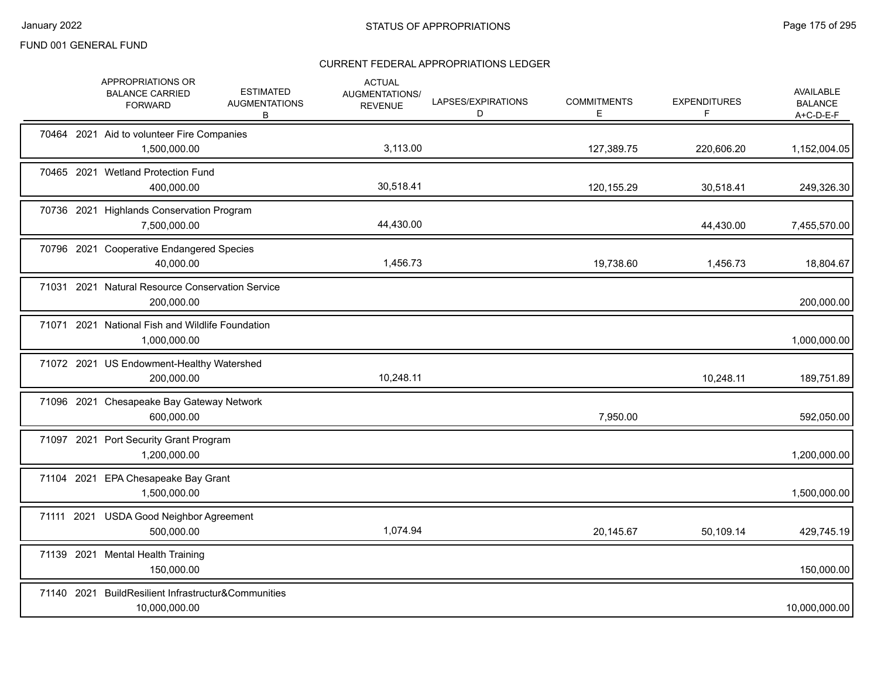|            | APPROPRIATIONS OR<br><b>BALANCE CARRIED</b><br><b>FORWARD</b>        | <b>ESTIMATED</b><br><b>AUGMENTATIONS</b><br>В | <b>ACTUAL</b><br>AUGMENTATIONS/<br><b>REVENUE</b> | LAPSES/EXPIRATIONS<br>D | <b>COMMITMENTS</b><br>E. | <b>EXPENDITURES</b><br>F | AVAILABLE<br><b>BALANCE</b><br>$A+C-D-E-F$ |
|------------|----------------------------------------------------------------------|-----------------------------------------------|---------------------------------------------------|-------------------------|--------------------------|--------------------------|--------------------------------------------|
|            | 70464 2021 Aid to volunteer Fire Companies<br>1,500,000.00           |                                               | 3,113.00                                          |                         | 127,389.75               | 220,606.20               | 1,152,004.05                               |
|            | 70465 2021 Wetland Protection Fund<br>400,000.00                     |                                               | 30,518.41                                         |                         | 120,155.29               | 30,518.41                | 249,326.30                                 |
|            | 70736 2021 Highlands Conservation Program<br>7,500,000.00            |                                               | 44,430.00                                         |                         |                          | 44,430.00                | 7,455,570.00                               |
|            | 70796 2021 Cooperative Endangered Species<br>40,000.00               |                                               | 1,456.73                                          |                         | 19,738.60                | 1,456.73                 | 18,804.67                                  |
|            | 71031 2021 Natural Resource Conservation Service<br>200,000.00       |                                               |                                                   |                         |                          |                          | 200,000.00                                 |
|            | 71071 2021 National Fish and Wildlife Foundation<br>1,000,000.00     |                                               |                                                   |                         |                          |                          | 1,000,000.00                               |
|            | 71072 2021 US Endowment-Healthy Watershed<br>200,000.00              |                                               | 10,248.11                                         |                         |                          | 10,248.11                | 189,751.89                                 |
|            | 71096 2021 Chesapeake Bay Gateway Network<br>600,000.00              |                                               |                                                   |                         | 7,950.00                 |                          | 592,050.00                                 |
|            | 71097 2021 Port Security Grant Program<br>1,200,000.00               |                                               |                                                   |                         |                          |                          | 1,200,000.00                               |
|            | 71104 2021 EPA Chesapeake Bay Grant<br>1,500,000.00                  |                                               |                                                   |                         |                          |                          | 1,500,000.00                               |
| 71111 2021 | <b>USDA Good Neighbor Agreement</b><br>500.000.00                    |                                               | 1,074.94                                          |                         | 20,145.67                | 50,109.14                | 429,745.19                                 |
|            | 71139 2021 Mental Health Training<br>150,000.00                      |                                               |                                                   |                         |                          |                          | 150,000.00                                 |
|            | 71140 2021 BuildResilient Infrastructur&Communities<br>10,000,000.00 |                                               |                                                   |                         |                          |                          | 10,000,000.00                              |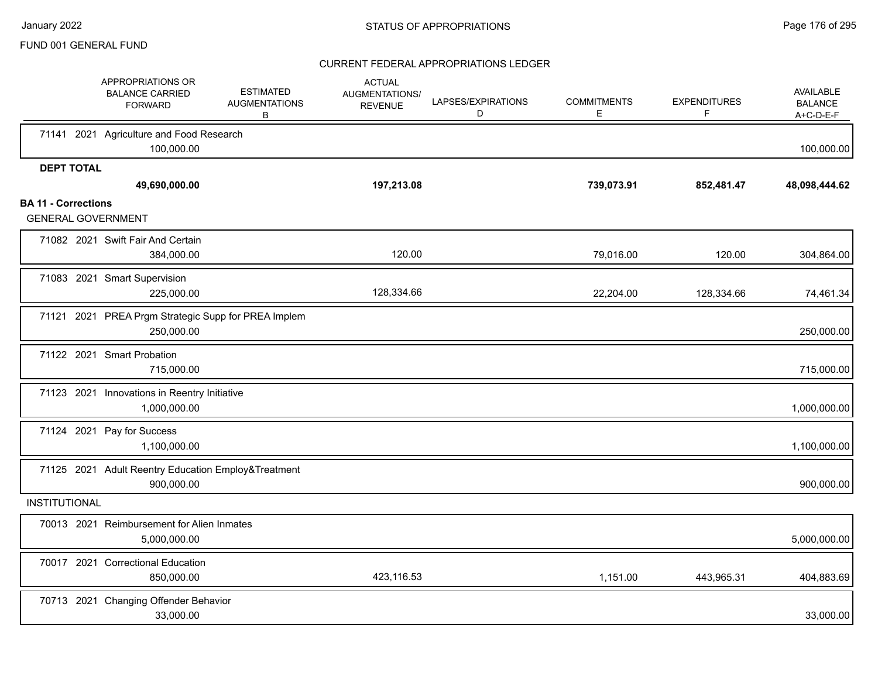|                            | APPROPRIATIONS OR<br><b>BALANCE CARRIED</b><br><b>FORWARD</b>     | <b>ESTIMATED</b><br><b>AUGMENTATIONS</b><br>B | <b>ACTUAL</b><br>AUGMENTATIONS/<br><b>REVENUE</b> | LAPSES/EXPIRATIONS<br>D | <b>COMMITMENTS</b><br>Е | <b>EXPENDITURES</b><br>F | AVAILABLE<br><b>BALANCE</b><br>$A+C-D-E-F$ |
|----------------------------|-------------------------------------------------------------------|-----------------------------------------------|---------------------------------------------------|-------------------------|-------------------------|--------------------------|--------------------------------------------|
|                            | 71141 2021 Agriculture and Food Research<br>100,000.00            |                                               |                                                   |                         |                         |                          | 100,000.00                                 |
| <b>DEPT TOTAL</b>          | 49,690,000.00                                                     |                                               | 197,213.08                                        |                         | 739,073.91              | 852,481.47               | 48,098,444.62                              |
| <b>BA 11 - Corrections</b> | <b>GENERAL GOVERNMENT</b>                                         |                                               |                                                   |                         |                         |                          |                                            |
|                            | 71082 2021 Swift Fair And Certain<br>384,000.00                   |                                               | 120.00                                            |                         | 79,016.00               | 120.00                   | 304,864.00                                 |
|                            | 71083 2021 Smart Supervision<br>225,000.00                        |                                               | 128,334.66                                        |                         | 22,204.00               | 128,334.66               | 74,461.34                                  |
|                            | 71121 2021 PREA Prgm Strategic Supp for PREA Implem<br>250,000.00 |                                               |                                                   |                         |                         |                          | 250,000.00                                 |
|                            | 71122 2021 Smart Probation<br>715,000.00                          |                                               |                                                   |                         |                         |                          | 715,000.00                                 |
|                            | 71123 2021 Innovations in Reentry Initiative<br>1,000,000.00      |                                               |                                                   |                         |                         |                          | 1,000,000.00                               |
|                            | 71124 2021 Pay for Success<br>1,100,000.00                        |                                               |                                                   |                         |                         |                          | 1,100,000.00                               |
|                            | 71125 2021 Adult Reentry Education Employ&Treatment<br>900,000.00 |                                               |                                                   |                         |                         |                          | 900,000.00                                 |
| <b>INSTITUTIONAL</b>       |                                                                   |                                               |                                                   |                         |                         |                          |                                            |
|                            | 70013 2021 Reimbursement for Alien Inmates<br>5,000,000.00        |                                               |                                                   |                         |                         |                          | 5,000,000.00                               |
|                            | 70017 2021 Correctional Education<br>850,000.00                   |                                               | 423,116.53                                        |                         | 1,151.00                | 443,965.31               | 404,883.69                                 |
|                            | 70713 2021 Changing Offender Behavior<br>33,000.00                |                                               |                                                   |                         |                         |                          | 33,000.00                                  |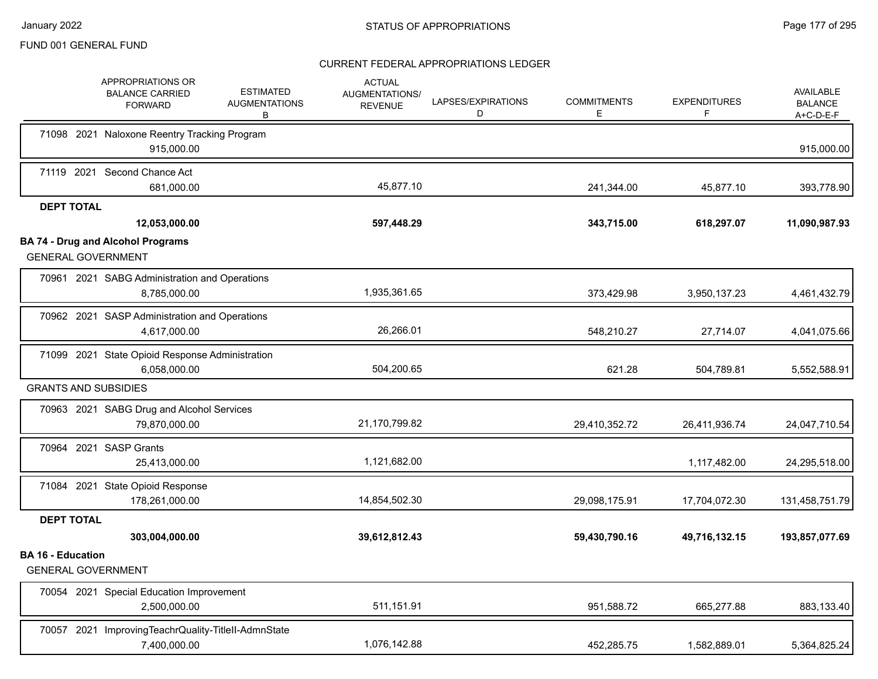|                          | APPROPRIATIONS OR<br><b>ESTIMATED</b><br><b>BALANCE CARRIED</b><br><b>AUGMENTATIONS</b><br><b>FORWARD</b><br>B | <b>ACTUAL</b><br>AUGMENTATIONS/<br><b>REVENUE</b> | LAPSES/EXPIRATIONS<br>D | <b>COMMITMENTS</b><br>Е | <b>EXPENDITURES</b><br>F | <b>AVAILABLE</b><br><b>BALANCE</b><br>$A+C-D-E-F$ |
|--------------------------|----------------------------------------------------------------------------------------------------------------|---------------------------------------------------|-------------------------|-------------------------|--------------------------|---------------------------------------------------|
|                          | 71098 2021 Naloxone Reentry Tracking Program<br>915,000.00                                                     |                                                   |                         |                         |                          | 915,000.00                                        |
|                          | 71119 2021 Second Chance Act<br>681,000.00                                                                     | 45,877.10                                         |                         | 241,344.00              | 45,877.10                | 393,778.90                                        |
| <b>DEPT TOTAL</b>        | 12,053,000.00                                                                                                  | 597,448.29                                        |                         | 343,715.00              | 618,297.07               | 11,090,987.93                                     |
|                          | <b>BA 74 - Drug and Alcohol Programs</b><br><b>GENERAL GOVERNMENT</b>                                          |                                                   |                         |                         |                          |                                                   |
|                          | 70961 2021 SABG Administration and Operations<br>8,785,000.00                                                  | 1,935,361.65                                      |                         | 373,429.98              | 3,950,137.23             | 4,461,432.79                                      |
|                          | 70962 2021 SASP Administration and Operations<br>4,617,000.00                                                  | 26,266.01                                         |                         | 548,210.27              | 27,714.07                | 4,041,075.66                                      |
|                          | 71099 2021 State Opioid Response Administration<br>6,058,000.00                                                | 504,200.65                                        |                         | 621.28                  | 504,789.81               | 5,552,588.91                                      |
|                          | <b>GRANTS AND SUBSIDIES</b>                                                                                    |                                                   |                         |                         |                          |                                                   |
|                          | 70963 2021 SABG Drug and Alcohol Services<br>79,870,000.00                                                     | 21,170,799.82                                     |                         | 29,410,352.72           | 26,411,936.74            | 24,047,710.54                                     |
|                          | 70964 2021 SASP Grants<br>25,413,000.00                                                                        | 1,121,682.00                                      |                         |                         | 1,117,482.00             | 24,295,518.00                                     |
|                          | 71084 2021 State Opioid Response<br>178,261,000.00                                                             | 14,854,502.30                                     |                         | 29,098,175.91           | 17,704,072.30            | 131,458,751.79                                    |
| <b>DEPT TOTAL</b>        | 303,004,000.00                                                                                                 | 39,612,812.43                                     |                         | 59,430,790.16           | 49,716,132.15            | 193,857,077.69                                    |
| <b>BA 16 - Education</b> | <b>GENERAL GOVERNMENT</b>                                                                                      |                                                   |                         |                         |                          |                                                   |
|                          | 70054 2021 Special Education Improvement<br>2,500,000.00                                                       | 511,151.91                                        |                         | 951,588.72              | 665,277.88               | 883,133.40                                        |
|                          | 70057 2021 ImprovingTeachrQuality-TitleII-AdmnState<br>7,400,000.00                                            | 1,076,142.88                                      |                         | 452,285.75              | 1,582,889.01             | 5,364,825.24                                      |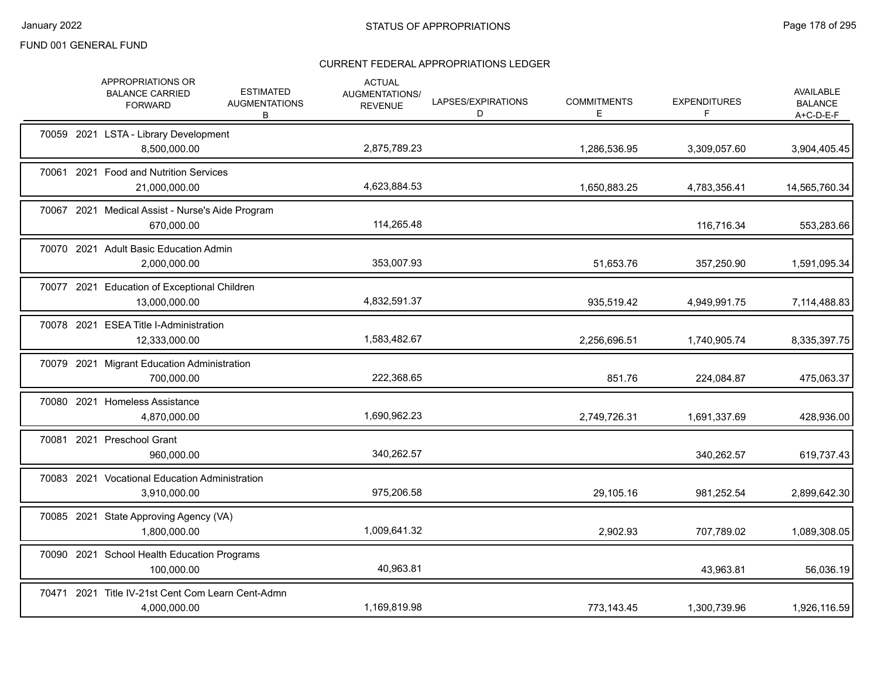|  | APPROPRIATIONS OR<br><b>BALANCE CARRIED</b><br><b>FORWARD</b>     | <b>ESTIMATED</b><br><b>AUGMENTATIONS</b><br>B | <b>ACTUAL</b><br>AUGMENTATIONS/<br><b>REVENUE</b> | LAPSES/EXPIRATIONS<br>D | <b>COMMITMENTS</b><br>Е | <b>EXPENDITURES</b><br>F. | <b>AVAILABLE</b><br><b>BALANCE</b><br>A+C-D-E-F |
|--|-------------------------------------------------------------------|-----------------------------------------------|---------------------------------------------------|-------------------------|-------------------------|---------------------------|-------------------------------------------------|
|  | 70059 2021 LSTA - Library Development<br>8,500,000.00             |                                               | 2,875,789.23                                      |                         | 1,286,536.95            | 3,309,057.60              | 3,904,405.45                                    |
|  | 70061 2021 Food and Nutrition Services<br>21,000,000.00           |                                               | 4,623,884.53                                      |                         | 1,650,883.25            | 4,783,356.41              | 14,565,760.34                                   |
|  | 70067 2021 Medical Assist - Nurse's Aide Program<br>670,000.00    |                                               | 114,265.48                                        |                         |                         | 116,716.34                | 553,283.66                                      |
|  | 70070 2021 Adult Basic Education Admin<br>2,000,000.00            |                                               | 353,007.93                                        |                         | 51,653.76               | 357,250.90                | 1,591,095.34                                    |
|  | 70077 2021 Education of Exceptional Children<br>13,000,000.00     |                                               | 4,832,591.37                                      |                         | 935,519.42              | 4,949,991.75              | 7,114,488.83                                    |
|  | 70078 2021 ESEA Title I-Administration<br>12,333,000.00           |                                               | 1,583,482.67                                      |                         | 2,256,696.51            | 1,740,905.74              | 8,335,397.75                                    |
|  | 70079 2021 Migrant Education Administration<br>700,000.00         |                                               | 222,368.65                                        |                         | 851.76                  | 224,084.87                | 475,063.37                                      |
|  | 70080 2021 Homeless Assistance<br>4,870,000.00                    |                                               | 1,690,962.23                                      |                         | 2,749,726.31            | 1,691,337.69              | 428,936.00                                      |
|  | 70081 2021 Preschool Grant<br>960,000.00                          |                                               | 340,262.57                                        |                         |                         | 340,262.57                | 619,737.43                                      |
|  | 70083 2021 Vocational Education Administration<br>3,910,000.00    |                                               | 975,206.58                                        |                         | 29,105.16               | 981,252.54                | 2,899,642.30                                    |
|  | 70085 2021 State Approving Agency (VA)<br>1,800,000.00            |                                               | 1,009,641.32                                      |                         | 2,902.93                | 707,789.02                | 1,089,308.05                                    |
|  | 70090 2021 School Health Education Programs<br>100,000.00         |                                               | 40,963.81                                         |                         |                         | 43,963.81                 | 56,036.19                                       |
|  | 70471 2021 Title IV-21st Cent Com Learn Cent-Admn<br>4,000,000.00 |                                               | 1,169,819.98                                      |                         | 773,143.45              | 1,300,739.96              | 1,926,116.59                                    |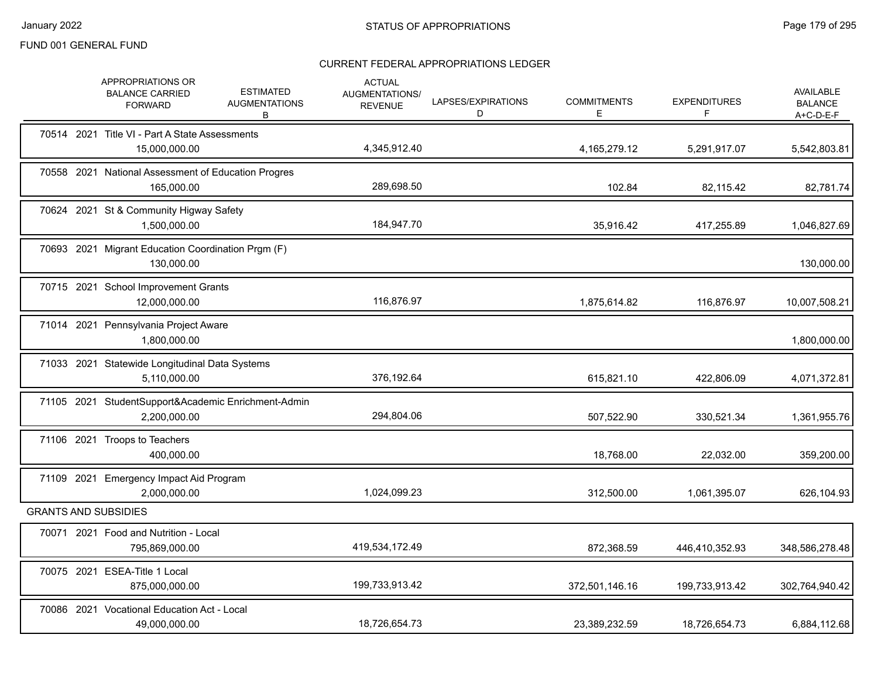|            | APPROPRIATIONS OR<br><b>BALANCE CARRIED</b><br><b>FORWARD</b>       | <b>ESTIMATED</b><br><b>AUGMENTATIONS</b><br>B | <b>ACTUAL</b><br>AUGMENTATIONS/<br><b>REVENUE</b> | LAPSES/EXPIRATIONS<br>D | <b>COMMITMENTS</b><br>Е | <b>EXPENDITURES</b><br>F | <b>AVAILABLE</b><br><b>BALANCE</b><br>$A+C-D-E-F$ |
|------------|---------------------------------------------------------------------|-----------------------------------------------|---------------------------------------------------|-------------------------|-------------------------|--------------------------|---------------------------------------------------|
|            | 70514 2021 Title VI - Part A State Assessments<br>15,000,000.00     |                                               | 4,345,912.40                                      |                         | 4,165,279.12            | 5,291,917.07             | 5,542,803.81                                      |
|            | 70558 2021 National Assessment of Education Progres<br>165,000.00   |                                               | 289,698.50                                        |                         | 102.84                  | 82,115.42                | 82,781.74                                         |
|            | 70624 2021 St & Community Higway Safety<br>1,500,000.00             |                                               | 184,947.70                                        |                         | 35,916.42               | 417,255.89               | 1,046,827.69                                      |
|            | 70693 2021 Migrant Education Coordination Prgm (F)<br>130,000.00    |                                               |                                                   |                         |                         |                          | 130,000.00                                        |
|            | 70715 2021 School Improvement Grants<br>12,000,000.00               |                                               | 116,876.97                                        |                         | 1,875,614.82            | 116,876.97               | 10,007,508.21                                     |
|            | 71014 2021 Pennsylvania Project Aware<br>1,800,000.00               |                                               |                                                   |                         |                         |                          | 1,800,000.00                                      |
|            | 71033 2021 Statewide Longitudinal Data Systems<br>5,110,000.00      |                                               | 376,192.64                                        |                         | 615,821.10              | 422,806.09               | 4,071,372.81                                      |
|            | 71105 2021 StudentSupport&Academic Enrichment-Admin<br>2,200,000.00 |                                               | 294,804.06                                        |                         | 507,522.90              | 330,521.34               | 1,361,955.76                                      |
|            | 71106 2021 Troops to Teachers<br>400,000.00                         |                                               |                                                   |                         | 18,768.00               | 22,032.00                | 359,200.00                                        |
| 71109 2021 | Emergency Impact Aid Program<br>2,000,000.00                        |                                               | 1,024,099.23                                      |                         | 312,500.00              | 1,061,395.07             | 626,104.93                                        |
|            | <b>GRANTS AND SUBSIDIES</b>                                         |                                               |                                                   |                         |                         |                          |                                                   |
|            | 70071 2021 Food and Nutrition - Local<br>795,869,000.00             |                                               | 419,534,172.49                                    |                         | 872,368.59              | 446,410,352.93           | 348,586,278.48                                    |
|            | 70075 2021 ESEA-Title 1 Local<br>875,000,000.00                     |                                               | 199,733,913.42                                    |                         | 372,501,146.16          | 199,733,913.42           | 302,764,940.42                                    |
|            | 70086 2021 Vocational Education Act - Local<br>49,000,000.00        |                                               | 18.726.654.73                                     |                         | 23,389,232.59           | 18,726,654.73            | 6,884,112.68                                      |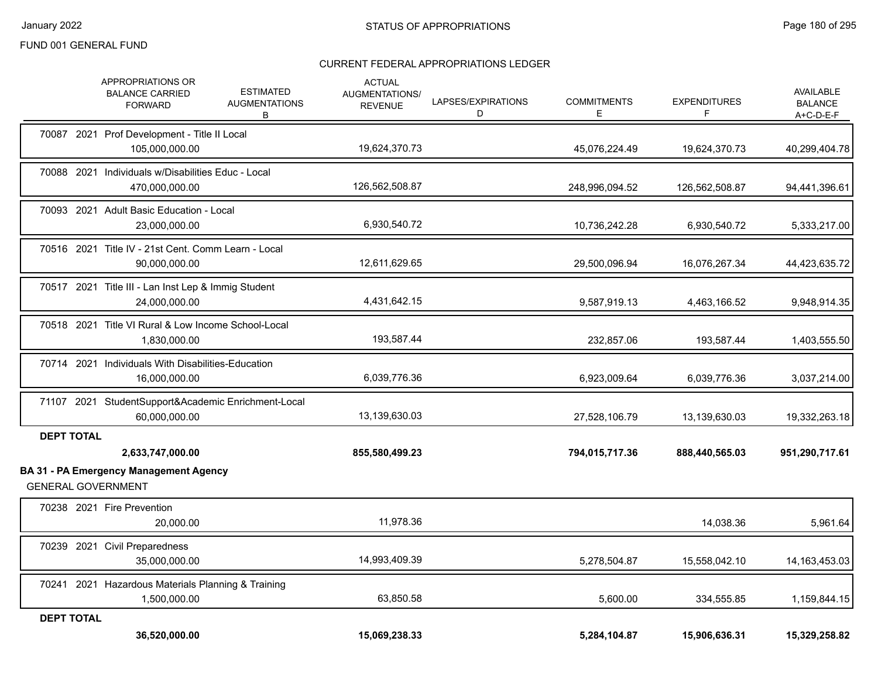|                   | APPROPRIATIONS OR<br><b>ESTIMATED</b><br><b>BALANCE CARRIED</b><br><b>AUGMENTATIONS</b><br><b>FORWARD</b><br>В | <b>ACTUAL</b><br>AUGMENTATIONS/<br><b>REVENUE</b> | LAPSES/EXPIRATIONS<br>D | <b>COMMITMENTS</b><br>Е | <b>EXPENDITURES</b><br>F | AVAILABLE<br><b>BALANCE</b><br>$A+C-D-E-F$ |
|-------------------|----------------------------------------------------------------------------------------------------------------|---------------------------------------------------|-------------------------|-------------------------|--------------------------|--------------------------------------------|
|                   | 70087 2021 Prof Development - Title II Local<br>105,000,000.00                                                 | 19,624,370.73                                     |                         | 45,076,224.49           | 19,624,370.73            | 40,299,404.78                              |
|                   | 70088 2021 Individuals w/Disabilities Educ - Local<br>470,000,000.00                                           | 126,562,508.87                                    |                         | 248,996,094.52          | 126,562,508.87           | 94,441,396.61                              |
|                   | 70093 2021 Adult Basic Education - Local<br>23,000,000.00                                                      | 6,930,540.72                                      |                         | 10,736,242.28           | 6,930,540.72             | 5,333,217.00                               |
|                   | 70516 2021 Title IV - 21st Cent. Comm Learn - Local<br>90,000,000.00                                           | 12,611,629.65                                     |                         | 29,500,096.94           | 16,076,267.34            | 44,423,635.72                              |
|                   | 70517 2021 Title III - Lan Inst Lep & Immig Student<br>24,000,000.00                                           | 4,431,642.15                                      |                         | 9,587,919.13            | 4,463,166.52             | 9,948,914.35                               |
|                   | 70518 2021 Title VI Rural & Low Income School-Local<br>1,830,000.00                                            | 193,587.44                                        |                         | 232,857.06              | 193,587.44               | 1,403,555.50                               |
|                   | 70714 2021 Individuals With Disabilities-Education<br>16,000,000.00                                            | 6,039,776.36                                      |                         | 6,923,009.64            | 6,039,776.36             | 3,037,214.00                               |
|                   | 71107 2021 StudentSupport&Academic Enrichment-Local<br>60,000,000.00                                           | 13,139,630.03                                     |                         | 27,528,106.79           | 13,139,630.03            | 19,332,263.18                              |
| <b>DEPT TOTAL</b> | 2,633,747,000.00                                                                                               | 855,580,499.23                                    |                         | 794,015,717.36          | 888,440,565.03           | 951,290,717.61                             |
|                   | <b>BA 31 - PA Emergency Management Agency</b><br><b>GENERAL GOVERNMENT</b>                                     |                                                   |                         |                         |                          |                                            |
|                   | 70238 2021 Fire Prevention<br>20,000.00                                                                        | 11,978.36                                         |                         |                         | 14,038.36                | 5,961.64                                   |
|                   | 70239 2021 Civil Preparedness<br>35,000,000.00                                                                 | 14,993,409.39                                     |                         | 5,278,504.87            | 15,558,042.10            | 14, 163, 453. 03                           |
|                   | 70241 2021 Hazardous Materials Planning & Training<br>1,500,000.00                                             | 63,850.58                                         |                         | 5,600.00                | 334,555.85               | 1,159,844.15                               |
| <b>DEPT TOTAL</b> | 36,520,000.00                                                                                                  | 15,069,238.33                                     |                         | 5,284,104.87            | 15,906,636.31            | 15,329,258.82                              |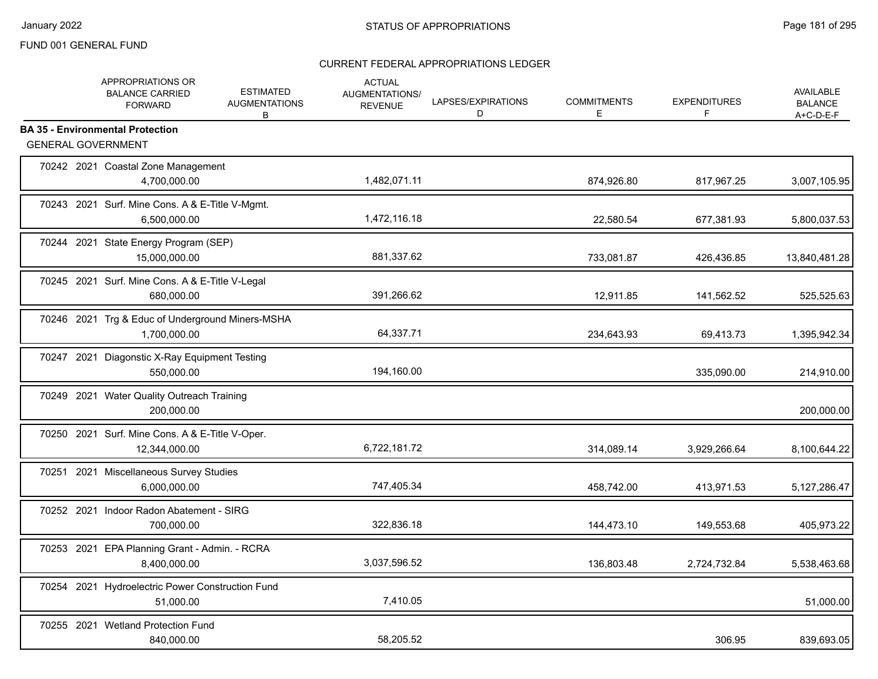|       | APPROPRIATIONS OR<br><b>BALANCE CARRIED</b><br><b>FORWARD</b>        | <b>ESTIMATED</b><br><b>AUGMENTATIONS</b><br>В | <b>ACTUAL</b><br>AUGMENTATIONS/<br><b>REVENUE</b> | LAPSES/EXPIRATIONS<br>D | <b>COMMITMENTS</b><br>Е | <b>EXPENDITURES</b><br>F | <b>AVAILABLE</b><br><b>BALANCE</b><br>$A+C-D-E-F$ |
|-------|----------------------------------------------------------------------|-----------------------------------------------|---------------------------------------------------|-------------------------|-------------------------|--------------------------|---------------------------------------------------|
|       | <b>BA 35 - Environmental Protection</b><br><b>GENERAL GOVERNMENT</b> |                                               |                                                   |                         |                         |                          |                                                   |
|       | 70242 2021 Coastal Zone Management<br>4,700,000.00                   |                                               | 1,482,071.11                                      |                         | 874,926.80              | 817,967.25               | 3,007,105.95                                      |
|       | 70243 2021 Surf. Mine Cons. A & E-Title V-Mgmt.<br>6,500,000.00      |                                               | 1,472,116.18                                      |                         | 22,580.54               | 677,381.93               | 5,800,037.53                                      |
|       | 70244 2021 State Energy Program (SEP)<br>15,000,000.00               |                                               | 881,337.62                                        |                         | 733,081.87              | 426,436.85               | 13,840,481.28                                     |
|       | 70245 2021 Surf. Mine Cons. A & E-Title V-Legal<br>680.000.00        |                                               | 391,266.62                                        |                         | 12,911.85               | 141,562.52               | 525,525.63                                        |
|       | 70246 2021 Trg & Educ of Underground Miners-MSHA<br>1,700,000.00     |                                               | 64,337.71                                         |                         | 234,643.93              | 69,413.73                | 1,395,942.34                                      |
|       | 70247 2021 Diagonstic X-Ray Equipment Testing<br>550,000.00          |                                               | 194,160.00                                        |                         |                         | 335,090.00               | 214,910.00                                        |
|       | 70249 2021 Water Quality Outreach Training<br>200,000.00             |                                               |                                                   |                         |                         |                          | 200,000.00                                        |
|       | 70250 2021 Surf. Mine Cons. A & E-Title V-Oper.<br>12,344,000.00     |                                               | 6,722,181.72                                      |                         | 314,089.14              | 3,929,266.64             | 8,100,644.22                                      |
| 70251 | 2021 Miscellaneous Survey Studies<br>6,000,000.00                    |                                               | 747,405.34                                        |                         | 458,742.00              | 413,971.53               | 5, 127, 286. 47                                   |
|       | 70252 2021 Indoor Radon Abatement - SIRG<br>700,000.00               |                                               | 322,836.18                                        |                         | 144,473.10              | 149,553.68               | 405,973.22                                        |
|       | 70253 2021 EPA Planning Grant - Admin. - RCRA<br>8,400,000.00        |                                               | 3,037,596.52                                      |                         | 136,803.48              | 2,724,732.84             | 5,538,463.68                                      |
|       | 70254 2021 Hydroelectric Power Construction Fund<br>51,000.00        |                                               | 7,410.05                                          |                         |                         |                          | 51,000.00                                         |
|       | 70255 2021 Wetland Protection Fund<br>840,000.00                     |                                               | 58,205.52                                         |                         |                         | 306.95                   | 839,693.05                                        |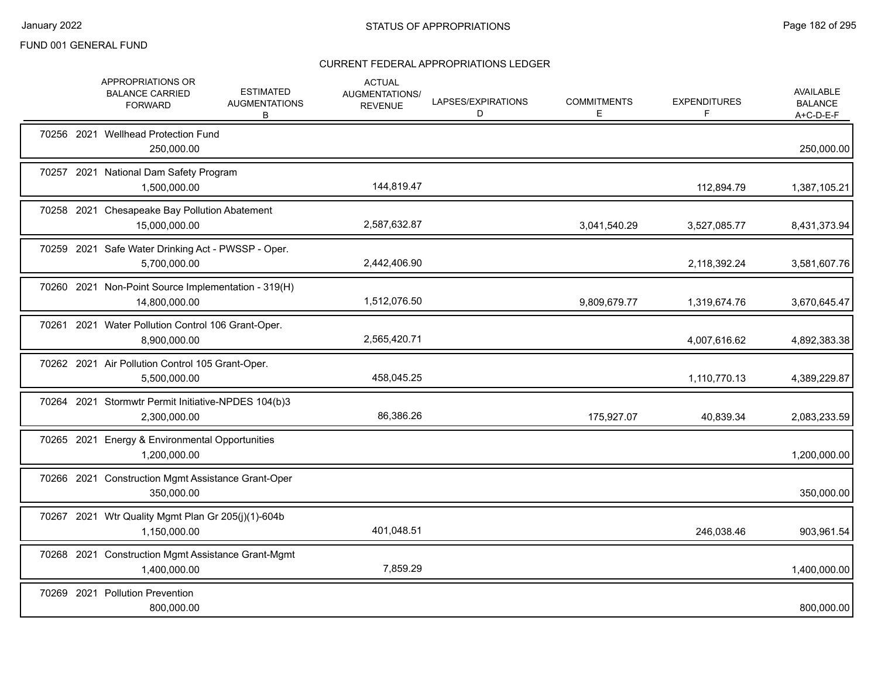|            | APPROPRIATIONS OR<br><b>BALANCE CARRIED</b><br><b>FORWARD</b>        | <b>ESTIMATED</b><br><b>AUGMENTATIONS</b><br>B | <b>ACTUAL</b><br>AUGMENTATIONS/<br><b>REVENUE</b> | LAPSES/EXPIRATIONS<br>D | <b>COMMITMENTS</b><br>Е | <b>EXPENDITURES</b><br>F. | AVAILABLE<br><b>BALANCE</b><br>A+C-D-E-F |
|------------|----------------------------------------------------------------------|-----------------------------------------------|---------------------------------------------------|-------------------------|-------------------------|---------------------------|------------------------------------------|
|            | 70256 2021 Wellhead Protection Fund<br>250,000.00                    |                                               |                                                   |                         |                         |                           | 250,000.00                               |
|            | 70257 2021 National Dam Safety Program<br>1,500,000.00               |                                               | 144,819.47                                        |                         |                         | 112,894.79                | 1,387,105.21                             |
|            | 70258 2021 Chesapeake Bay Pollution Abatement<br>15.000.000.00       |                                               | 2,587,632.87                                      |                         | 3,041,540.29            | 3,527,085.77              | 8,431,373.94                             |
|            | 70259 2021 Safe Water Drinking Act - PWSSP - Oper.<br>5,700,000.00   |                                               | 2,442,406.90                                      |                         |                         | 2,118,392.24              | 3,581,607.76                             |
|            | 70260 2021 Non-Point Source Implementation - 319(H)<br>14,800,000.00 |                                               | 1,512,076.50                                      |                         | 9,809,679.77            | 1,319,674.76              | 3,670,645.47                             |
|            | 70261 2021 Water Pollution Control 106 Grant-Oper.<br>8,900,000.00   |                                               | 2,565,420.71                                      |                         |                         | 4,007,616.62              | 4,892,383.38                             |
|            | 70262 2021 Air Pollution Control 105 Grant-Oper.<br>5,500,000.00     |                                               | 458,045.25                                        |                         |                         | 1,110,770.13              | 4,389,229.87                             |
|            | 70264 2021 Stormwtr Permit Initiative-NPDES 104(b)3<br>2,300,000.00  |                                               | 86,386.26                                         |                         | 175,927.07              | 40,839.34                 | 2,083,233.59                             |
|            | 70265 2021 Energy & Environmental Opportunities<br>1,200,000.00      |                                               |                                                   |                         |                         |                           | 1,200,000.00                             |
|            | 70266 2021 Construction Mgmt Assistance Grant-Oper<br>350,000.00     |                                               |                                                   |                         |                         |                           | 350,000.00                               |
|            | 70267 2021 Wtr Quality Mgmt Plan Gr 205(j)(1)-604b<br>1,150,000.00   |                                               | 401,048.51                                        |                         |                         | 246,038.46                | 903,961.54                               |
|            | 70268 2021 Construction Mgmt Assistance Grant-Mgmt<br>1,400,000.00   |                                               | 7,859.29                                          |                         |                         |                           | 1,400,000.00                             |
| 70269 2021 | <b>Pollution Prevention</b><br>800,000.00                            |                                               |                                                   |                         |                         |                           | 800,000.00                               |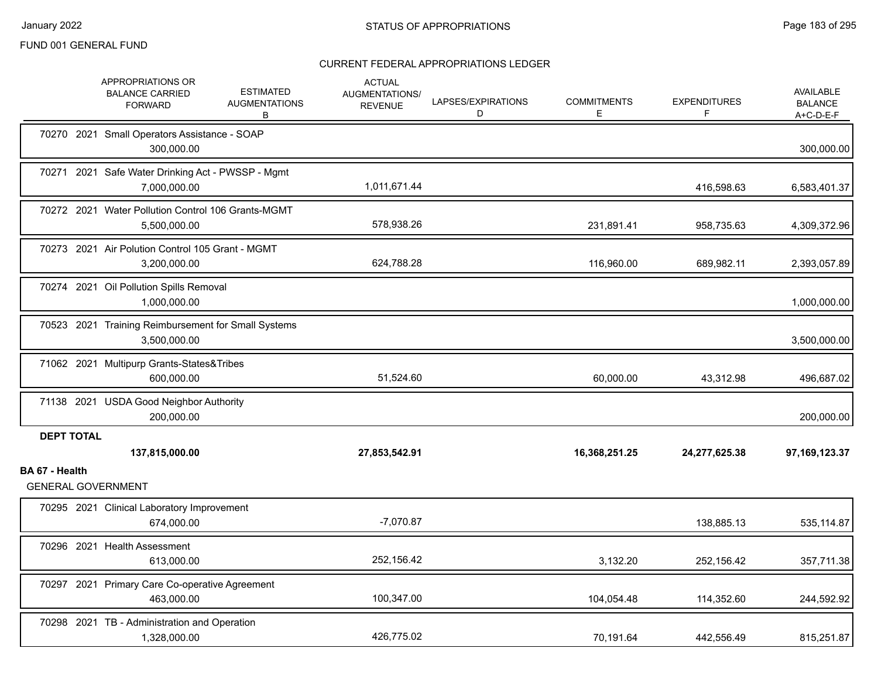|                   | APPROPRIATIONS OR<br><b>BALANCE CARRIED</b><br><b>FORWARD</b>       | <b>ESTIMATED</b><br><b>AUGMENTATIONS</b><br>В | <b>ACTUAL</b><br><b>AUGMENTATIONS/</b><br><b>REVENUE</b> | LAPSES/EXPIRATIONS<br>D | <b>COMMITMENTS</b><br>E. | <b>EXPENDITURES</b><br>F | <b>AVAILABLE</b><br><b>BALANCE</b><br>$A+C-D-E-F$ |
|-------------------|---------------------------------------------------------------------|-----------------------------------------------|----------------------------------------------------------|-------------------------|--------------------------|--------------------------|---------------------------------------------------|
|                   | 70270 2021 Small Operators Assistance - SOAP<br>300,000.00          |                                               |                                                          |                         |                          |                          | 300,000.00                                        |
|                   | 70271 2021 Safe Water Drinking Act - PWSSP - Mgmt<br>7,000,000.00   |                                               | 1,011,671.44                                             |                         |                          | 416,598.63               | 6,583,401.37                                      |
|                   | 70272 2021 Water Pollution Control 106 Grants-MGMT<br>5,500,000.00  |                                               | 578,938.26                                               |                         | 231,891.41               | 958,735.63               | 4,309,372.96                                      |
|                   | 70273 2021 Air Polution Control 105 Grant - MGMT<br>3,200,000.00    |                                               | 624,788.28                                               |                         | 116,960.00               | 689,982.11               | 2,393,057.89                                      |
|                   | 70274 2021 Oil Pollution Spills Removal<br>1,000,000.00             |                                               |                                                          |                         |                          |                          | 1,000,000.00                                      |
|                   | 70523 2021 Training Reimbursement for Small Systems<br>3,500,000.00 |                                               |                                                          |                         |                          |                          | 3,500,000.00                                      |
|                   | 71062 2021 Multipurp Grants-States&Tribes<br>600,000.00             |                                               | 51,524.60                                                |                         | 60,000.00                | 43,312.98                | 496,687.02                                        |
|                   | 71138 2021 USDA Good Neighbor Authority<br>200,000.00               |                                               |                                                          |                         |                          |                          | 200,000.00                                        |
| <b>DEPT TOTAL</b> |                                                                     |                                               |                                                          |                         |                          |                          |                                                   |
|                   | 137,815,000.00                                                      |                                               | 27,853,542.91                                            |                         | 16,368,251.25            | 24,277,625.38            | 97,169,123.37                                     |
| BA 67 - Health    | <b>GENERAL GOVERNMENT</b>                                           |                                               |                                                          |                         |                          |                          |                                                   |
|                   | 70295 2021 Clinical Laboratory Improvement<br>674,000.00            |                                               | $-7,070.87$                                              |                         |                          | 138,885.13               | 535,114.87                                        |
|                   | 70296 2021 Health Assessment<br>613,000.00                          |                                               | 252,156.42                                               |                         | 3,132.20                 | 252,156.42               | 357,711.38                                        |
|                   | 70297 2021 Primary Care Co-operative Agreement<br>463,000.00        |                                               | 100,347.00                                               |                         | 104,054.48               | 114,352.60               | 244,592.92                                        |
|                   | 70298 2021 TB - Administration and Operation<br>1,328,000.00        |                                               | 426,775.02                                               |                         | 70,191.64                | 442,556.49               | 815,251.87                                        |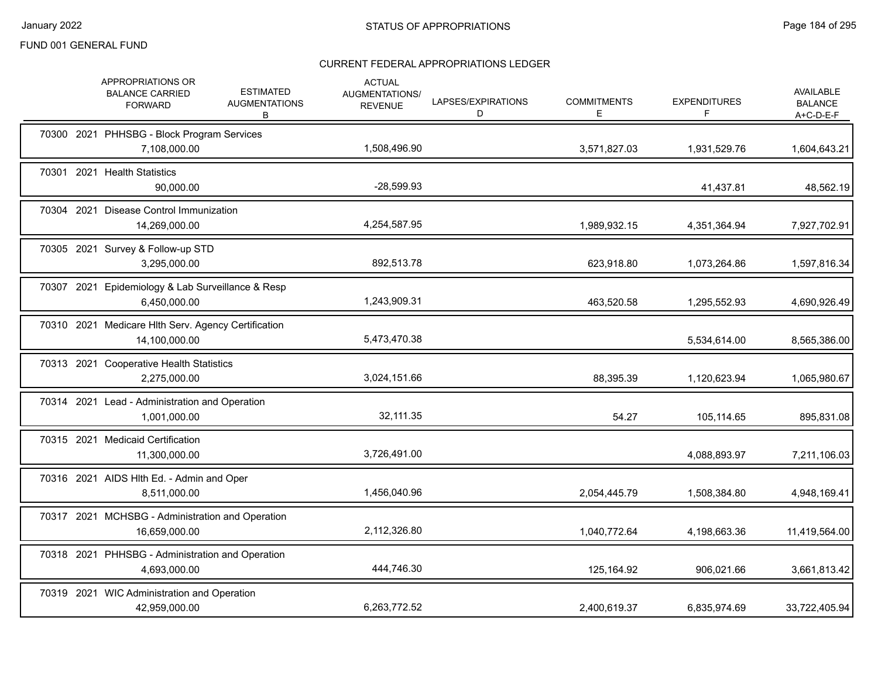|       | APPROPRIATIONS OR<br><b>BALANCE CARRIED</b><br><b>FORWARD</b>        | <b>ESTIMATED</b><br><b>AUGMENTATIONS</b><br>В | <b>ACTUAL</b><br>AUGMENTATIONS/<br><b>REVENUE</b> | LAPSES/EXPIRATIONS<br>D | <b>COMMITMENTS</b><br>E. | <b>EXPENDITURES</b><br>F. | AVAILABLE<br><b>BALANCE</b><br>$A+C-D-E-F$ |
|-------|----------------------------------------------------------------------|-----------------------------------------------|---------------------------------------------------|-------------------------|--------------------------|---------------------------|--------------------------------------------|
|       | 70300 2021 PHHSBG - Block Program Services<br>7,108,000.00           |                                               | 1,508,496.90                                      |                         | 3,571,827.03             | 1,931,529.76              | 1,604,643.21                               |
| 70301 | 2021 Health Statistics<br>90,000.00                                  |                                               | $-28,599.93$                                      |                         |                          | 41,437.81                 | 48,562.19                                  |
|       | 70304 2021 Disease Control Immunization<br>14,269,000.00             |                                               | 4,254,587.95                                      |                         | 1,989,932.15             | 4,351,364.94              | 7,927,702.91                               |
|       | 70305 2021 Survey & Follow-up STD<br>3,295,000.00                    |                                               | 892,513.78                                        |                         | 623,918.80               | 1,073,264.86              | 1,597,816.34                               |
|       | 70307 2021 Epidemiology & Lab Surveillance & Resp<br>6,450,000.00    |                                               | 1,243,909.31                                      |                         | 463,520.58               | 1,295,552.93              | 4,690,926.49                               |
|       | 70310 2021 Medicare Hlth Serv. Agency Certification<br>14,100,000.00 |                                               | 5,473,470.38                                      |                         |                          | 5,534,614.00              | 8,565,386.00                               |
|       | 70313 2021 Cooperative Health Statistics<br>2,275,000.00             |                                               | 3,024,151.66                                      |                         | 88,395.39                | 1,120,623.94              | 1,065,980.67                               |
|       | 70314 2021 Lead - Administration and Operation<br>1,001,000.00       |                                               | 32,111.35                                         |                         | 54.27                    | 105,114.65                | 895,831.08                                 |
|       | 70315 2021 Medicaid Certification<br>11,300,000.00                   |                                               | 3,726,491.00                                      |                         |                          | 4,088,893.97              | 7,211,106.03                               |
|       | 70316 2021 AIDS HIth Ed. - Admin and Oper<br>8,511,000.00            |                                               | 1,456,040.96                                      |                         | 2,054,445.79             | 1,508,384.80              | 4,948,169.41                               |
|       | 70317 2021 MCHSBG - Administration and Operation<br>16,659,000.00    |                                               | 2,112,326.80                                      |                         | 1,040,772.64             | 4,198,663.36              | 11,419,564.00                              |
|       | 70318 2021 PHHSBG - Administration and Operation<br>4,693,000.00     |                                               | 444,746.30                                        |                         | 125,164.92               | 906,021.66                | 3,661,813.42                               |
|       | 70319 2021 WIC Administration and Operation<br>42,959,000.00         |                                               | 6,263,772.52                                      |                         | 2,400,619.37             | 6,835,974.69              | 33,722,405.94                              |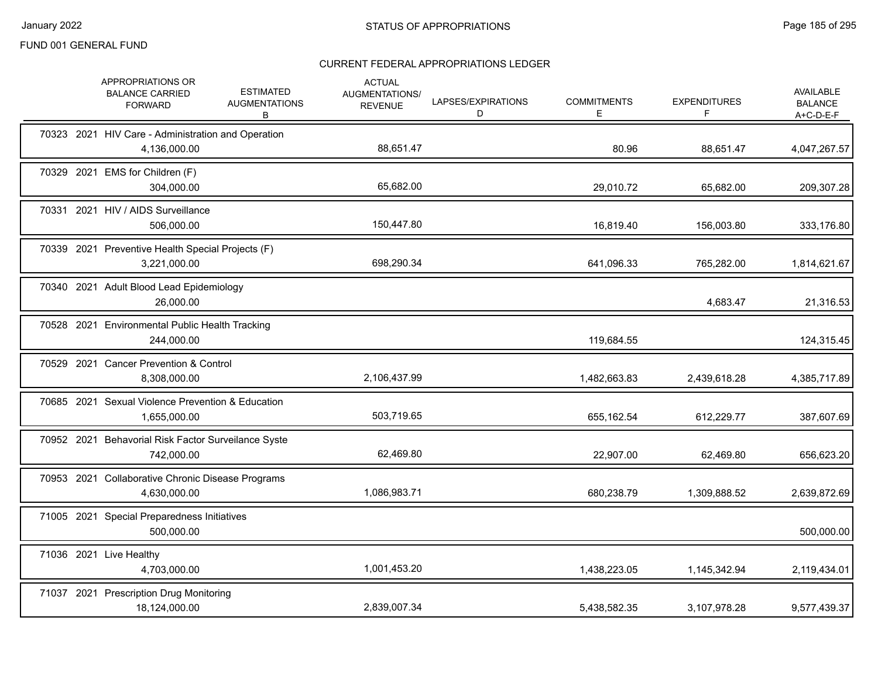|  | APPROPRIATIONS OR<br><b>BALANCE CARRIED</b><br><b>FORWARD</b>      | <b>ESTIMATED</b><br><b>AUGMENTATIONS</b><br>B | <b>ACTUAL</b><br>AUGMENTATIONS/<br><b>REVENUE</b> | LAPSES/EXPIRATIONS<br>D | <b>COMMITMENTS</b><br>Е | <b>EXPENDITURES</b><br>F | AVAILABLE<br><b>BALANCE</b><br>A+C-D-E-F |
|--|--------------------------------------------------------------------|-----------------------------------------------|---------------------------------------------------|-------------------------|-------------------------|--------------------------|------------------------------------------|
|  | 70323 2021 HIV Care - Administration and Operation<br>4,136,000.00 |                                               | 88,651.47                                         |                         | 80.96                   | 88,651.47                | 4,047,267.57                             |
|  | 70329 2021 EMS for Children (F)<br>304,000.00                      |                                               | 65,682.00                                         |                         | 29,010.72               | 65,682.00                | 209,307.28                               |
|  | 70331 2021 HIV / AIDS Surveillance<br>506,000.00                   |                                               | 150,447.80                                        |                         | 16,819.40               | 156,003.80               | 333,176.80                               |
|  | 70339 2021 Preventive Health Special Projects (F)<br>3,221,000.00  |                                               | 698,290.34                                        |                         | 641,096.33              | 765,282.00               | 1,814,621.67                             |
|  | 70340 2021 Adult Blood Lead Epidemiology<br>26,000.00              |                                               |                                                   |                         |                         | 4,683.47                 | 21,316.53                                |
|  | 70528 2021 Environmental Public Health Tracking<br>244,000.00      |                                               |                                                   |                         | 119,684.55              |                          | 124,315.45                               |
|  | 70529 2021 Cancer Prevention & Control<br>8,308,000.00             |                                               | 2,106,437.99                                      |                         | 1,482,663.83            | 2,439,618.28             | 4,385,717.89                             |
|  | 70685 2021 Sexual Violence Prevention & Education<br>1,655,000.00  |                                               | 503,719.65                                        |                         | 655,162.54              | 612,229.77               | 387,607.69                               |
|  | 70952 2021 Behavorial Risk Factor Surveilance Syste<br>742,000.00  |                                               | 62,469.80                                         |                         | 22,907.00               | 62,469.80                | 656,623.20                               |
|  | 70953 2021 Collaborative Chronic Disease Programs<br>4,630,000.00  |                                               | 1,086,983.71                                      |                         | 680,238.79              | 1,309,888.52             | 2,639,872.69                             |
|  | 71005 2021 Special Preparedness Initiatives<br>500,000.00          |                                               |                                                   |                         |                         |                          | 500,000.00                               |
|  | 71036 2021 Live Healthy<br>4,703,000.00                            |                                               | 1,001,453.20                                      |                         | 1,438,223.05            | 1,145,342.94             | 2,119,434.01                             |
|  | 71037 2021 Prescription Drug Monitoring<br>18,124,000.00           |                                               | 2,839,007.34                                      |                         | 5,438,582.35            | 3,107,978.28             | 9,577,439.37                             |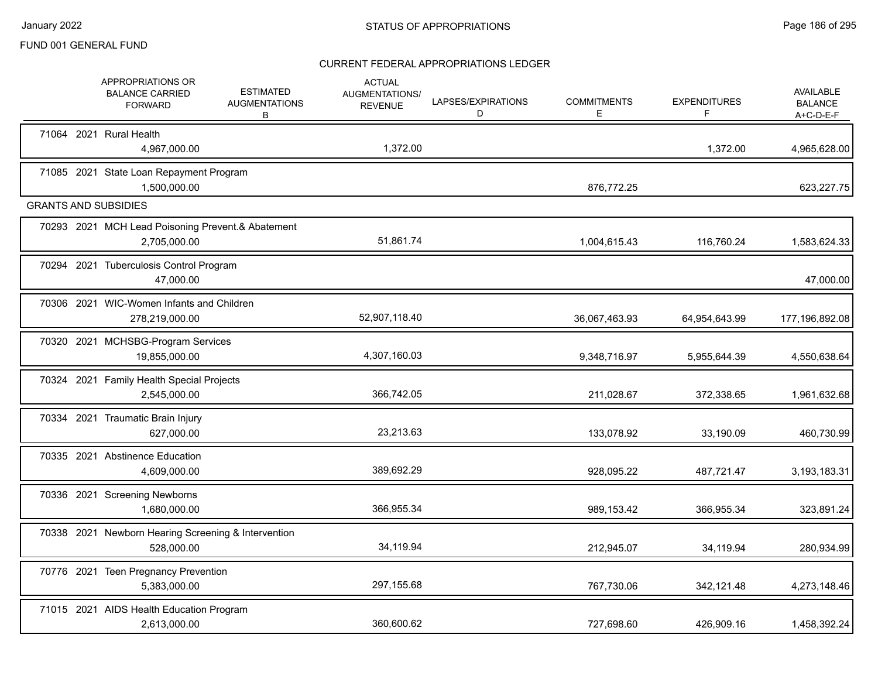|  | APPROPRIATIONS OR<br><b>BALANCE CARRIED</b><br><b>FORWARD</b>     | <b>ESTIMATED</b><br><b>AUGMENTATIONS</b><br>В | <b>ACTUAL</b><br>AUGMENTATIONS/<br><b>REVENUE</b> | LAPSES/EXPIRATIONS<br>D | <b>COMMITMENTS</b><br>Ε | <b>EXPENDITURES</b><br>F | AVAILABLE<br><b>BALANCE</b><br>$A+C-D-E-F$ |
|--|-------------------------------------------------------------------|-----------------------------------------------|---------------------------------------------------|-------------------------|-------------------------|--------------------------|--------------------------------------------|
|  | 71064 2021 Rural Health<br>4,967,000.00                           |                                               | 1,372.00                                          |                         |                         | 1,372.00                 | 4,965,628.00                               |
|  | 71085 2021 State Loan Repayment Program<br>1.500.000.00           |                                               |                                                   |                         | 876.772.25              |                          | 623,227.75                                 |
|  | <b>GRANTS AND SUBSIDIES</b>                                       |                                               |                                                   |                         |                         |                          |                                            |
|  | 70293 2021 MCH Lead Poisoning Prevent.& Abatement<br>2,705,000.00 |                                               | 51,861.74                                         |                         | 1,004,615.43            | 116,760.24               | 1,583,624.33                               |
|  | 70294 2021 Tuberculosis Control Program<br>47,000.00              |                                               |                                                   |                         |                         |                          | 47,000.00                                  |
|  | 70306 2021 WIC-Women Infants and Children<br>278,219,000.00       |                                               | 52,907,118.40                                     |                         | 36,067,463.93           | 64,954,643.99            | 177,196,892.08                             |
|  | 70320 2021 MCHSBG-Program Services<br>19,855,000.00               |                                               | 4,307,160.03                                      |                         | 9,348,716.97            | 5,955,644.39             | 4,550,638.64                               |
|  | 70324 2021 Family Health Special Projects<br>2,545,000.00         |                                               | 366,742.05                                        |                         | 211,028.67              | 372,338.65               | 1,961,632.68                               |
|  | 70334 2021 Traumatic Brain Injury<br>627,000.00                   |                                               | 23,213.63                                         |                         | 133,078.92              | 33,190.09                | 460,730.99                                 |
|  | 70335 2021 Abstinence Education<br>4,609,000.00                   |                                               | 389,692.29                                        |                         | 928,095.22              | 487,721.47               | 3,193,183.31                               |
|  | 70336 2021 Screening Newborns<br>1,680,000.00                     |                                               | 366,955.34                                        |                         | 989,153.42              | 366,955.34               | 323,891.24                                 |
|  | 70338 2021 Newborn Hearing Screening & Intervention<br>528,000.00 |                                               | 34,119.94                                         |                         | 212,945.07              | 34,119.94                | 280,934.99                                 |
|  | 70776 2021 Teen Pregnancy Prevention<br>5,383,000.00              |                                               | 297,155.68                                        |                         | 767,730.06              | 342,121.48               | 4,273,148.46                               |
|  | 71015 2021 AIDS Health Education Program<br>2,613,000.00          |                                               | 360,600.62                                        |                         | 727,698.60              | 426,909.16               | 1,458,392.24                               |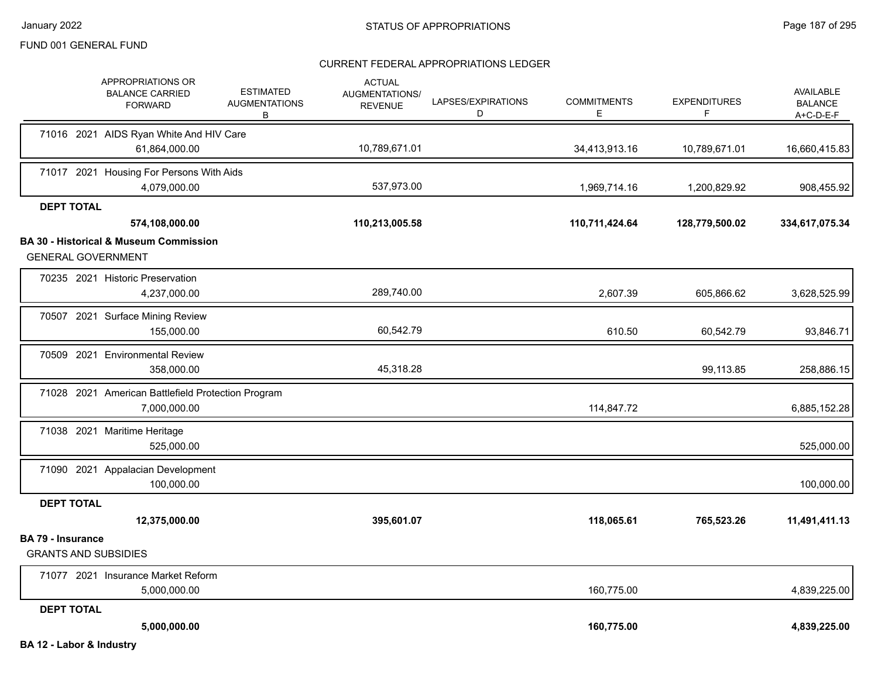|                                                         | APPROPRIATIONS OR<br><b>BALANCE CARRIED</b><br><b>FORWARD</b>      | <b>ESTIMATED</b><br><b>AUGMENTATIONS</b><br>B | <b>ACTUAL</b><br>AUGMENTATIONS/<br><b>REVENUE</b> | LAPSES/EXPIRATIONS<br>D | <b>COMMITMENTS</b><br>E. | <b>EXPENDITURES</b><br>F | AVAILABLE<br><b>BALANCE</b><br>$A+C-D-E-F$ |
|---------------------------------------------------------|--------------------------------------------------------------------|-----------------------------------------------|---------------------------------------------------|-------------------------|--------------------------|--------------------------|--------------------------------------------|
|                                                         | 71016 2021 AIDS Ryan White And HIV Care<br>61,864,000.00           |                                               | 10,789,671.01                                     |                         | 34,413,913.16            | 10,789,671.01            | 16,660,415.83                              |
|                                                         |                                                                    |                                               |                                                   |                         |                          |                          |                                            |
|                                                         | 71017 2021 Housing For Persons With Aids<br>4,079,000.00           |                                               | 537,973.00                                        |                         | 1,969,714.16             | 1,200,829.92             | 908,455.92                                 |
| <b>DEPT TOTAL</b>                                       |                                                                    |                                               |                                                   |                         |                          |                          |                                            |
|                                                         | 574,108,000.00                                                     |                                               | 110,213,005.58                                    |                         | 110,711,424.64           | 128,779,500.02           | 334,617,075.34                             |
| <b>GENERAL GOVERNMENT</b>                               | <b>BA 30 - Historical &amp; Museum Commission</b>                  |                                               |                                                   |                         |                          |                          |                                            |
|                                                         | 70235 2021 Historic Preservation<br>4,237,000.00                   |                                               | 289,740.00                                        |                         | 2,607.39                 | 605,866.62               | 3,628,525.99                               |
|                                                         | 70507 2021 Surface Mining Review<br>155,000.00                     |                                               | 60,542.79                                         |                         | 610.50                   | 60,542.79                | 93,846.71                                  |
|                                                         | 70509 2021 Environmental Review<br>358,000.00                      |                                               | 45,318.28                                         |                         |                          | 99,113.85                | 258,886.15                                 |
|                                                         | 71028 2021 American Battlefield Protection Program<br>7,000,000.00 |                                               |                                                   |                         | 114,847.72               |                          | 6,885,152.28                               |
|                                                         | 71038 2021 Maritime Heritage<br>525,000.00                         |                                               |                                                   |                         |                          |                          | 525,000.00                                 |
|                                                         | 71090 2021 Appalacian Development<br>100,000.00                    |                                               |                                                   |                         |                          |                          | 100,000.00                                 |
| <b>DEPT TOTAL</b>                                       |                                                                    |                                               |                                                   |                         |                          |                          |                                            |
|                                                         | 12,375,000.00                                                      |                                               | 395,601.07                                        |                         | 118,065.61               | 765,523.26               | 11,491,411.13                              |
| <b>BA 79 - Insurance</b><br><b>GRANTS AND SUBSIDIES</b> |                                                                    |                                               |                                                   |                         |                          |                          |                                            |
|                                                         | 71077 2021 Insurance Market Reform<br>5,000,000.00                 |                                               |                                                   |                         | 160,775.00               |                          | 4,839,225.00                               |
| <b>DEPT TOTAL</b>                                       |                                                                    |                                               |                                                   |                         |                          |                          |                                            |
|                                                         | 5,000,000.00                                                       |                                               |                                                   |                         | 160,775.00               |                          | 4,839,225.00                               |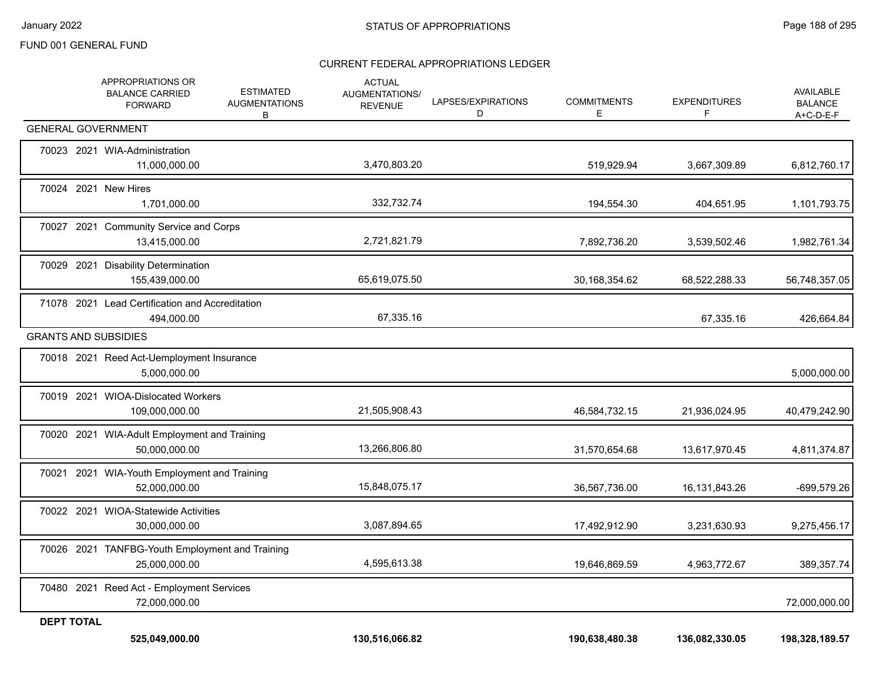|                   | APPROPRIATIONS OR<br><b>BALANCE CARRIED</b><br><b>FORWARD</b>    | <b>ESTIMATED</b><br><b>AUGMENTATIONS</b><br>В | <b>ACTUAL</b><br>AUGMENTATIONS/<br><b>REVENUE</b> | LAPSES/EXPIRATIONS<br>D | <b>COMMITMENTS</b><br>E. | <b>EXPENDITURES</b><br>F | AVAILABLE<br><b>BALANCE</b><br>A+C-D-E-F |
|-------------------|------------------------------------------------------------------|-----------------------------------------------|---------------------------------------------------|-------------------------|--------------------------|--------------------------|------------------------------------------|
|                   | <b>GENERAL GOVERNMENT</b>                                        |                                               |                                                   |                         |                          |                          |                                          |
|                   | 70023 2021 WIA-Administration<br>11,000,000.00                   |                                               | 3,470,803.20                                      |                         | 519,929.94               | 3,667,309.89             | 6,812,760.17                             |
|                   | 70024 2021 New Hires<br>1,701,000.00                             |                                               | 332,732.74                                        |                         | 194,554.30               | 404,651.95               | 1,101,793.75                             |
|                   | 70027 2021 Community Service and Corps<br>13,415,000.00          |                                               | 2,721,821.79                                      |                         | 7,892,736.20             | 3,539,502.46             | 1,982,761.34                             |
|                   | 70029 2021 Disability Determination<br>155,439,000.00            |                                               | 65,619,075.50                                     |                         | 30,168,354.62            | 68,522,288.33            | 56,748,357.05                            |
|                   | 71078 2021 Lead Certification and Accreditation<br>494,000.00    |                                               | 67,335.16                                         |                         |                          | 67,335.16                | 426,664.84                               |
|                   | <b>GRANTS AND SUBSIDIES</b>                                      |                                               |                                                   |                         |                          |                          |                                          |
|                   | 70018 2021 Reed Act-Uemployment Insurance<br>5,000,000.00        |                                               |                                                   |                         |                          |                          | 5,000,000.00                             |
|                   | 70019 2021 WIOA-Dislocated Workers<br>109,000,000.00             |                                               | 21,505,908.43                                     |                         | 46,584,732.15            | 21,936,024.95            | 40,479,242.90                            |
|                   | 70020 2021 WIA-Adult Employment and Training<br>50,000,000.00    |                                               | 13,266,806.80                                     |                         | 31,570,654.68            | 13,617,970.45            | 4,811,374.87                             |
|                   | 70021 2021 WIA-Youth Employment and Training<br>52,000,000.00    |                                               | 15,848,075.17                                     |                         | 36,567,736.00            | 16, 131, 843. 26         | -699,579.26                              |
|                   | 70022 2021 WIOA-Statewide Activities<br>30,000,000.00            |                                               | 3,087,894.65                                      |                         | 17,492,912.90            | 3,231,630.93             | 9,275,456.17                             |
|                   | 70026 2021 TANFBG-Youth Employment and Training<br>25,000,000.00 |                                               | 4,595,613.38                                      |                         | 19,646,869.59            | 4,963,772.67             | 389,357.74                               |
|                   | 70480 2021 Reed Act - Employment Services<br>72,000,000.00       |                                               |                                                   |                         |                          |                          | 72,000,000.00                            |
| <b>DEPT TOTAL</b> |                                                                  |                                               |                                                   |                         |                          |                          |                                          |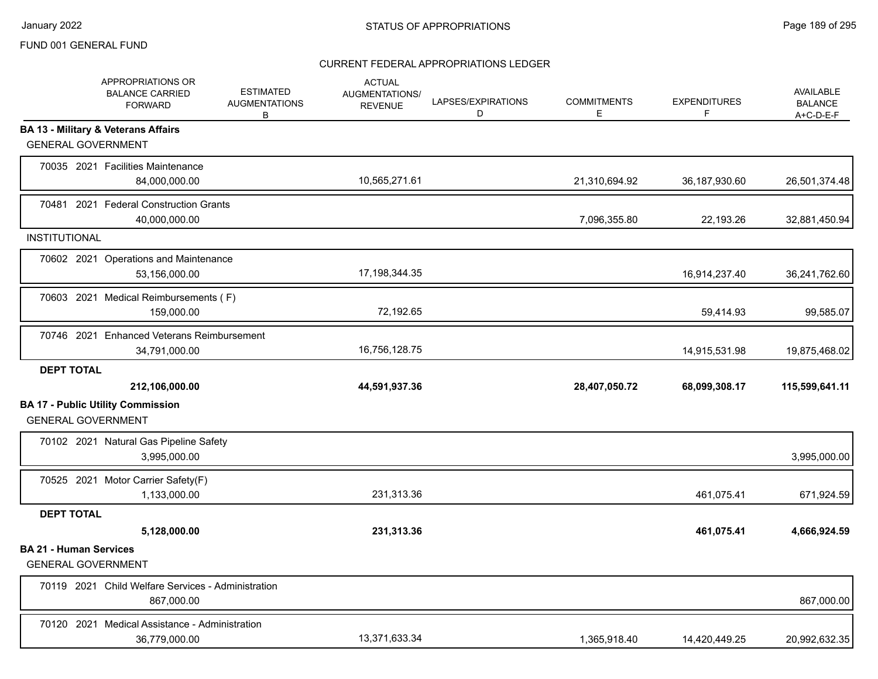|                                                            | APPROPRIATIONS OR<br><b>BALANCE CARRIED</b><br><b>FORWARD</b>    | <b>ESTIMATED</b><br><b>AUGMENTATIONS</b><br>В | <b>ACTUAL</b><br>AUGMENTATIONS/<br><b>REVENUE</b> | LAPSES/EXPIRATIONS<br>D | <b>COMMITMENTS</b><br>E. | <b>EXPENDITURES</b><br>F | AVAILABLE<br><b>BALANCE</b><br>A+C-D-E-F |
|------------------------------------------------------------|------------------------------------------------------------------|-----------------------------------------------|---------------------------------------------------|-------------------------|--------------------------|--------------------------|------------------------------------------|
| <b>GENERAL GOVERNMENT</b>                                  | <b>BA 13 - Military &amp; Veterans Affairs</b>                   |                                               |                                                   |                         |                          |                          |                                          |
|                                                            | 70035 2021 Facilities Maintenance<br>84,000,000.00               |                                               | 10,565,271.61                                     |                         | 21,310,694.92            | 36, 187, 930.60          | 26,501,374.48                            |
|                                                            | 70481 2021 Federal Construction Grants<br>40,000,000.00          |                                               |                                                   |                         | 7,096,355.80             | 22,193.26                | 32,881,450.94                            |
| <b>INSTITUTIONAL</b>                                       |                                                                  |                                               |                                                   |                         |                          |                          |                                          |
|                                                            | 70602 2021 Operations and Maintenance<br>53,156,000.00           |                                               | 17,198,344.35                                     |                         |                          | 16,914,237.40            | 36,241,762.60                            |
|                                                            | 70603 2021 Medical Reimbursements (F)<br>159,000.00              |                                               | 72,192.65                                         |                         |                          | 59,414.93                | 99,585.07                                |
|                                                            | 70746 2021 Enhanced Veterans Reimbursement<br>34,791,000.00      |                                               | 16,756,128.75                                     |                         |                          | 14,915,531.98            | 19,875,468.02                            |
| <b>DEPT TOTAL</b>                                          |                                                                  |                                               |                                                   |                         |                          |                          |                                          |
|                                                            | 212,106,000.00                                                   |                                               | 44,591,937.36                                     |                         | 28,407,050.72            | 68,099,308.17            | 115,599,641.11                           |
| <b>GENERAL GOVERNMENT</b>                                  | <b>BA 17 - Public Utility Commission</b>                         |                                               |                                                   |                         |                          |                          |                                          |
|                                                            | 70102 2021 Natural Gas Pipeline Safety<br>3,995,000.00           |                                               |                                                   |                         |                          |                          | 3,995,000.00                             |
|                                                            | 70525 2021 Motor Carrier Safety(F)<br>1,133,000.00               |                                               | 231,313.36                                        |                         |                          | 461,075.41               | 671,924.59                               |
| <b>DEPT TOTAL</b>                                          |                                                                  |                                               |                                                   |                         |                          |                          |                                          |
|                                                            | 5,128,000.00                                                     |                                               | 231,313.36                                        |                         |                          | 461,075.41               | 4,666,924.59                             |
| <b>BA 21 - Human Services</b><br><b>GENERAL GOVERNMENT</b> |                                                                  |                                               |                                                   |                         |                          |                          |                                          |
|                                                            | 70119 2021 Child Welfare Services - Administration<br>867,000.00 |                                               |                                                   |                         |                          |                          | 867,000.00                               |
|                                                            | 70120 2021 Medical Assistance - Administration<br>36,779,000.00  |                                               | 13,371,633.34                                     |                         | 1,365,918.40             | 14,420,449.25            | 20,992,632.35                            |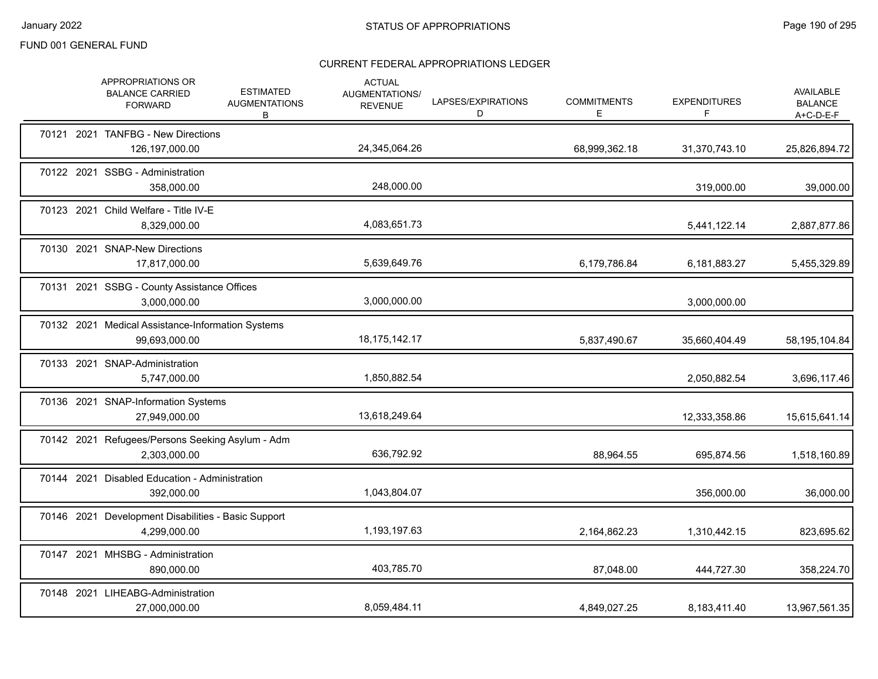|  | APPROPRIATIONS OR<br><b>BALANCE CARRIED</b><br><b>FORWARD</b>       | <b>ESTIMATED</b><br><b>AUGMENTATIONS</b><br>B | <b>ACTUAL</b><br>AUGMENTATIONS/<br><b>REVENUE</b> | LAPSES/EXPIRATIONS<br>D | <b>COMMITMENTS</b><br>E. | <b>EXPENDITURES</b><br>F | AVAILABLE<br><b>BALANCE</b><br>$A+C-D-E-F$ |
|--|---------------------------------------------------------------------|-----------------------------------------------|---------------------------------------------------|-------------------------|--------------------------|--------------------------|--------------------------------------------|
|  | 70121 2021 TANFBG - New Directions<br>126,197,000.00                |                                               | 24,345,064.26                                     |                         | 68,999,362.18            | 31,370,743.10            | 25,826,894.72                              |
|  | 70122 2021 SSBG - Administration<br>358,000.00                      |                                               | 248,000.00                                        |                         |                          | 319,000.00               | 39,000.00                                  |
|  | 70123 2021 Child Welfare - Title IV-E<br>8,329,000.00               |                                               | 4,083,651.73                                      |                         |                          | 5,441,122.14             | 2,887,877.86                               |
|  | 70130 2021 SNAP-New Directions<br>17,817,000.00                     |                                               | 5,639,649.76                                      |                         | 6,179,786.84             | 6,181,883.27             | 5,455,329.89                               |
|  | 70131 2021 SSBG - County Assistance Offices<br>3,000,000.00         |                                               | 3,000,000.00                                      |                         |                          | 3,000,000.00             |                                            |
|  | 70132 2021 Medical Assistance-Information Systems<br>99,693,000.00  |                                               | 18, 175, 142. 17                                  |                         | 5,837,490.67             | 35,660,404.49            | 58,195,104.84                              |
|  | 70133 2021 SNAP-Administration<br>5,747,000.00                      |                                               | 1,850,882.54                                      |                         |                          | 2,050,882.54             | 3,696,117.46                               |
|  | 70136 2021 SNAP-Information Systems<br>27,949,000.00                |                                               | 13,618,249.64                                     |                         |                          | 12,333,358.86            | 15,615,641.14                              |
|  | 70142 2021 Refugees/Persons Seeking Asylum - Adm<br>2,303,000.00    |                                               | 636,792.92                                        |                         | 88,964.55                | 695,874.56               | 1,518,160.89                               |
|  | 70144 2021 Disabled Education - Administration<br>392,000.00        |                                               | 1,043,804.07                                      |                         |                          | 356,000.00               | 36,000.00                                  |
|  | 70146 2021 Development Disabilities - Basic Support<br>4,299,000.00 |                                               | 1,193,197.63                                      |                         | 2,164,862.23             | 1,310,442.15             | 823,695.62                                 |
|  | 70147 2021 MHSBG - Administration<br>890,000.00                     |                                               | 403,785.70                                        |                         | 87,048.00                | 444,727.30               | 358,224.70                                 |
|  | 70148 2021 LIHEABG-Administration<br>27,000,000.00                  |                                               | 8,059,484.11                                      |                         | 4,849,027.25             | 8,183,411.40             | 13,967,561.35                              |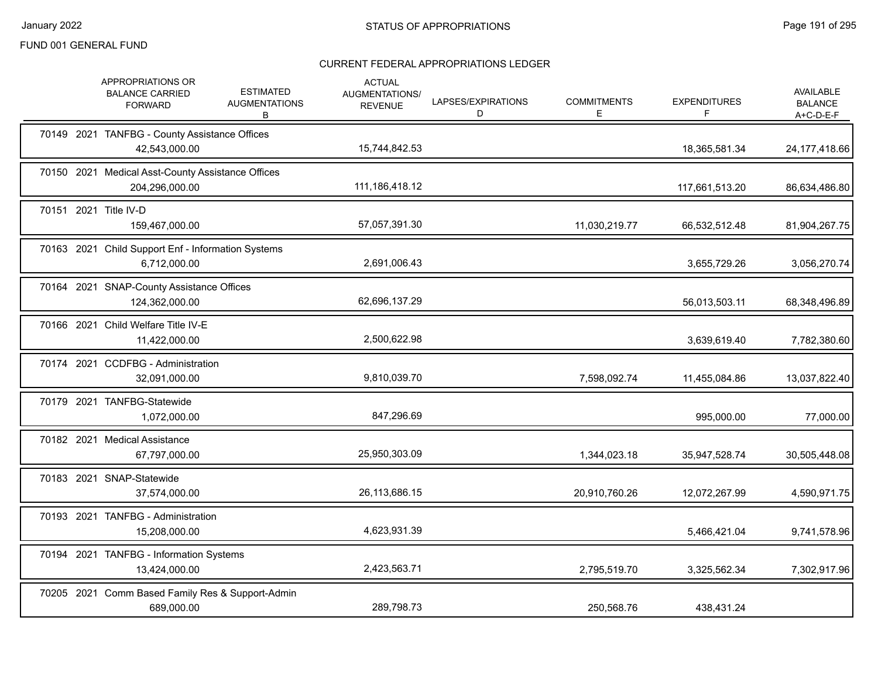| APPROPRIATIONS OR<br><b>BALANCE CARRIED</b><br><b>FORWARD</b>       | <b>ESTIMATED</b><br><b>AUGMENTATIONS</b><br>В | <b>ACTUAL</b><br><b>AUGMENTATIONS/</b><br><b>REVENUE</b> | LAPSES/EXPIRATIONS<br>D | <b>COMMITMENTS</b><br>E. | <b>EXPENDITURES</b><br>F | AVAILABLE<br><b>BALANCE</b><br>A+C-D-E-F |
|---------------------------------------------------------------------|-----------------------------------------------|----------------------------------------------------------|-------------------------|--------------------------|--------------------------|------------------------------------------|
| 70149 2021 TANFBG - County Assistance Offices<br>42,543,000.00      |                                               | 15,744,842.53                                            |                         |                          | 18,365,581.34            | 24, 177, 418.66                          |
| 70150 2021 Medical Asst-County Assistance Offices<br>204,296,000.00 |                                               | 111,186,418.12                                           |                         |                          | 117,661,513.20           | 86,634,486.80                            |
| 70151 2021 Title IV-D<br>159.467.000.00                             |                                               | 57,057,391.30                                            |                         | 11,030,219.77            | 66,532,512.48            | 81,904,267.75                            |
| 70163 2021 Child Support Enf - Information Systems<br>6.712.000.00  |                                               | 2,691,006.43                                             |                         |                          | 3,655,729.26             | 3,056,270.74                             |
| 70164 2021 SNAP-County Assistance Offices<br>124,362,000.00         |                                               | 62,696,137.29                                            |                         |                          | 56,013,503.11            | 68,348,496.89                            |
| 70166 2021 Child Welfare Title IV-E<br>11,422,000.00                |                                               | 2,500,622.98                                             |                         |                          | 3,639,619.40             | 7,782,380.60                             |
| 70174 2021 CCDFBG - Administration<br>32,091,000.00                 |                                               | 9,810,039.70                                             |                         | 7,598,092.74             | 11,455,084.86            | 13,037,822.40                            |
| 70179 2021 TANFBG-Statewide<br>1,072,000.00                         |                                               | 847,296.69                                               |                         |                          | 995,000.00               | 77,000.00                                |
| 70182 2021 Medical Assistance<br>67,797,000.00                      |                                               | 25,950,303.09                                            |                         | 1,344,023.18             | 35,947,528.74            | 30,505,448.08                            |
| 70183 2021 SNAP-Statewide<br>37,574,000.00                          |                                               | 26,113,686.15                                            |                         | 20,910,760.26            | 12,072,267.99            | 4,590,971.75                             |
| 70193 2021 TANFBG - Administration<br>15,208,000.00                 |                                               | 4,623,931.39                                             |                         |                          | 5,466,421.04             | 9,741,578.96                             |
| 70194 2021 TANFBG - Information Systems<br>13,424,000.00            |                                               | 2,423,563.71                                             |                         | 2,795,519.70             | 3,325,562.34             | 7,302,917.96                             |
| 70205 2021 Comm Based Family Res & Support-Admin<br>689,000.00      |                                               | 289,798.73                                               |                         | 250,568.76               | 438,431.24               |                                          |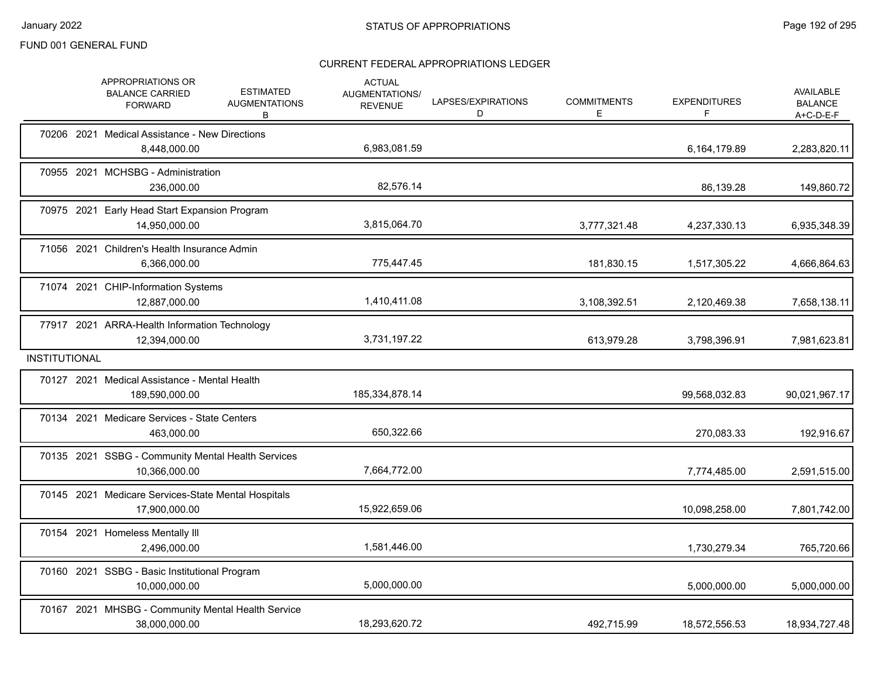|                      | APPROPRIATIONS OR<br><b>BALANCE CARRIED</b><br><b>FORWARD</b>        | <b>ESTIMATED</b><br><b>AUGMENTATIONS</b><br>в | <b>ACTUAL</b><br>AUGMENTATIONS/<br><b>REVENUE</b> | LAPSES/EXPIRATIONS<br>D | <b>COMMITMENTS</b><br>Е | <b>EXPENDITURES</b> | AVAILABLE<br><b>BALANCE</b><br>$A+C-D-E-F$ |
|----------------------|----------------------------------------------------------------------|-----------------------------------------------|---------------------------------------------------|-------------------------|-------------------------|---------------------|--------------------------------------------|
|                      | 70206 2021 Medical Assistance - New Directions<br>8,448,000.00       |                                               | 6,983,081.59                                      |                         |                         | 6,164,179.89        | 2,283,820.11                               |
|                      | 70955 2021 MCHSBG - Administration<br>236,000.00                     |                                               | 82,576.14                                         |                         |                         | 86,139.28           | 149,860.72                                 |
|                      | 70975 2021 Early Head Start Expansion Program<br>14,950,000.00       |                                               | 3,815,064.70                                      |                         | 3,777,321.48            | 4,237,330.13        | 6,935,348.39                               |
|                      | 71056 2021 Children's Health Insurance Admin<br>6,366,000.00         |                                               | 775,447.45                                        |                         | 181,830.15              | 1,517,305.22        | 4,666,864.63                               |
|                      | 71074 2021 CHIP-Information Systems<br>12,887,000.00                 |                                               | 1,410,411.08                                      |                         | 3,108,392.51            | 2,120,469.38        | 7,658,138.11                               |
|                      | 77917 2021 ARRA-Health Information Technology<br>12,394,000.00       |                                               | 3,731,197.22                                      |                         | 613,979.28              | 3,798,396.91        | 7,981,623.81                               |
| <b>INSTITUTIONAL</b> |                                                                      |                                               |                                                   |                         |                         |                     |                                            |
|                      | 70127 2021 Medical Assistance - Mental Health<br>189,590,000.00      |                                               | 185,334,878.14                                    |                         |                         | 99,568,032.83       | 90,021,967.17                              |
|                      | 70134 2021 Medicare Services - State Centers<br>463,000.00           |                                               | 650,322.66                                        |                         |                         | 270,083.33          | 192,916.67                                 |
|                      | 70135 2021 SSBG - Community Mental Health Services<br>10,366,000.00  |                                               | 7,664,772.00                                      |                         |                         | 7,774,485.00        | 2,591,515.00                               |
|                      | 70145 2021 Medicare Services-State Mental Hospitals<br>17,900,000.00 |                                               | 15,922,659.06                                     |                         |                         | 10,098,258.00       | 7,801,742.00                               |
|                      | 70154 2021 Homeless Mentally III<br>2,496,000.00                     |                                               | 1,581,446.00                                      |                         |                         | 1,730,279.34        | 765,720.66                                 |
|                      | 70160 2021 SSBG - Basic Institutional Program<br>10,000,000.00       |                                               | 5,000,000.00                                      |                         |                         | 5,000,000.00        | 5,000,000.00                               |
|                      | 70167 2021 MHSBG - Community Mental Health Service<br>38,000,000.00  |                                               | 18,293,620.72                                     |                         | 492,715.99              | 18,572,556.53       | 18,934,727.48                              |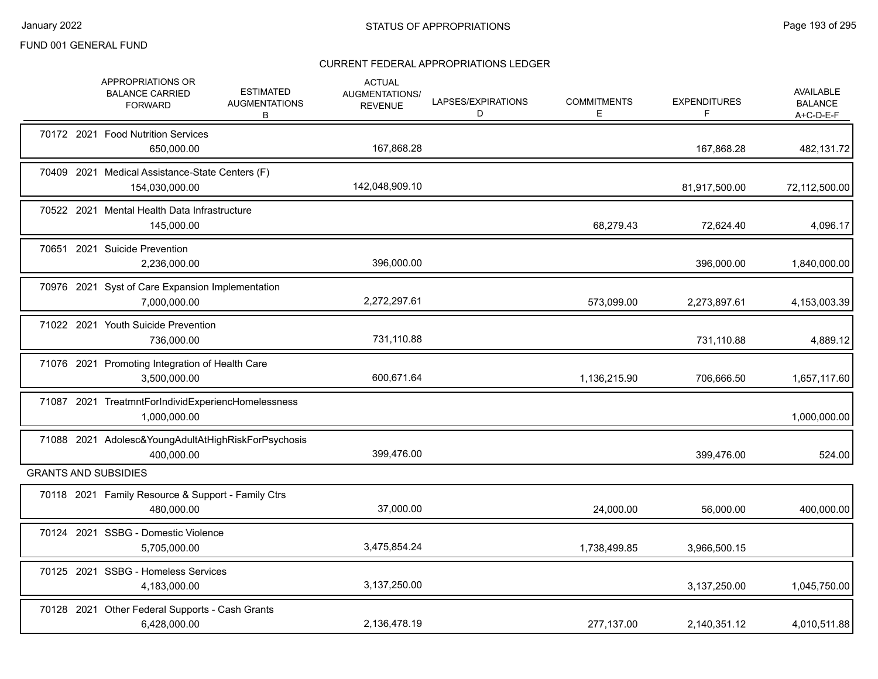|  | APPROPRIATIONS OR<br><b>BALANCE CARRIED</b><br><b>FORWARD</b>      | <b>ESTIMATED</b><br><b>AUGMENTATIONS</b><br>B | <b>ACTUAL</b><br><b>AUGMENTATIONS/</b><br><b>REVENUE</b> | LAPSES/EXPIRATIONS<br>D | <b>COMMITMENTS</b><br>Е | <b>EXPENDITURES</b><br>F | <b>AVAILABLE</b><br><b>BALANCE</b><br>$A+C-D-E-F$ |
|--|--------------------------------------------------------------------|-----------------------------------------------|----------------------------------------------------------|-------------------------|-------------------------|--------------------------|---------------------------------------------------|
|  | 70172 2021 Food Nutrition Services<br>650,000.00                   |                                               | 167,868.28                                               |                         |                         | 167,868.28               | 482,131.72                                        |
|  | 70409 2021 Medical Assistance-State Centers (F)<br>154,030,000.00  |                                               | 142,048,909.10                                           |                         |                         | 81,917,500.00            | 72,112,500.00                                     |
|  | 70522 2021 Mental Health Data Infrastructure<br>145,000.00         |                                               |                                                          |                         | 68,279.43               | 72,624.40                | 4,096.17                                          |
|  | 70651 2021 Suicide Prevention<br>2,236,000.00                      |                                               | 396,000.00                                               |                         |                         | 396,000.00               | 1,840,000.00                                      |
|  | 70976 2021 Syst of Care Expansion Implementation<br>7,000,000.00   |                                               | 2,272,297.61                                             |                         | 573,099.00              | 2,273,897.61             | 4,153,003.39                                      |
|  | 71022 2021 Youth Suicide Prevention<br>736,000.00                  |                                               | 731,110.88                                               |                         |                         | 731,110.88               | 4,889.12                                          |
|  | 71076 2021 Promoting Integration of Health Care<br>3,500,000.00    |                                               | 600,671.64                                               |                         | 1,136,215.90            | 706,666.50               | 1,657,117.60                                      |
|  | 71087 2021 TreatmntForIndividExperiencHomelessness<br>1,000,000.00 |                                               |                                                          |                         |                         |                          | 1,000,000.00                                      |
|  | 71088 2021 Adolesc&YoungAdultAtHighRiskForPsychosis<br>400.000.00  |                                               | 399,476.00                                               |                         |                         | 399.476.00               | 524.00                                            |
|  | <b>GRANTS AND SUBSIDIES</b>                                        |                                               |                                                          |                         |                         |                          |                                                   |
|  | 70118 2021 Family Resource & Support - Family Ctrs<br>480,000.00   |                                               | 37,000.00                                                |                         | 24,000.00               | 56,000.00                | 400,000.00                                        |
|  | 70124 2021 SSBG - Domestic Violence<br>5,705,000.00                |                                               | 3,475,854.24                                             |                         | 1,738,499.85            | 3,966,500.15             |                                                   |
|  | 70125 2021 SSBG - Homeless Services<br>4,183,000.00                |                                               | 3,137,250.00                                             |                         |                         | 3,137,250.00             | 1,045,750.00                                      |
|  | 70128 2021 Other Federal Supports - Cash Grants<br>6.428.000.00    |                                               | 2,136,478.19                                             |                         | 277,137.00              | 2,140,351.12             | 4,010,511.88                                      |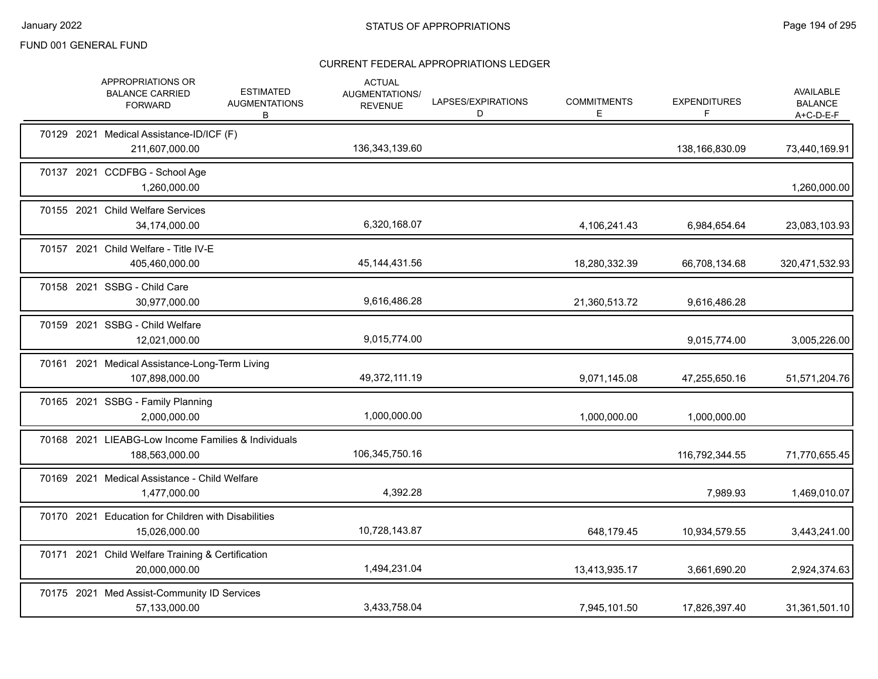|  | APPROPRIATIONS OR<br><b>BALANCE CARRIED</b><br><b>FORWARD</b>         | <b>ESTIMATED</b><br><b>AUGMENTATIONS</b><br>В | <b>ACTUAL</b><br>AUGMENTATIONS/<br><b>REVENUE</b> | LAPSES/EXPIRATIONS<br>D | <b>COMMITMENTS</b><br>E. | <b>EXPENDITURES</b><br>F | <b>AVAILABLE</b><br><b>BALANCE</b><br>$A+C-D-E-F$ |
|--|-----------------------------------------------------------------------|-----------------------------------------------|---------------------------------------------------|-------------------------|--------------------------|--------------------------|---------------------------------------------------|
|  | 70129 2021 Medical Assistance-ID/ICF (F)<br>211,607,000.00            |                                               | 136, 343, 139.60                                  |                         |                          | 138,166,830.09           | 73,440,169.91                                     |
|  | 70137 2021 CCDFBG - School Age<br>1,260,000.00                        |                                               |                                                   |                         |                          |                          | 1,260,000.00                                      |
|  | 70155 2021 Child Welfare Services<br>34,174,000.00                    |                                               | 6,320,168.07                                      |                         | 4,106,241.43             | 6,984,654.64             | 23,083,103.93                                     |
|  | 70157 2021 Child Welfare - Title IV-E<br>405,460,000.00               |                                               | 45, 144, 431.56                                   |                         | 18,280,332.39            | 66,708,134.68            | 320,471,532.93                                    |
|  | 70158 2021 SSBG - Child Care<br>30,977,000.00                         |                                               | 9,616,486.28                                      |                         | 21,360,513.72            | 9,616,486.28             |                                                   |
|  | 70159 2021 SSBG - Child Welfare<br>12,021,000.00                      |                                               | 9,015,774.00                                      |                         |                          | 9,015,774.00             | 3,005,226.00                                      |
|  | 70161 2021 Medical Assistance-Long-Term Living<br>107,898,000.00      |                                               | 49,372,111.19                                     |                         | 9,071,145.08             | 47,255,650.16            | 51,571,204.76                                     |
|  | 70165 2021 SSBG - Family Planning<br>2,000,000.00                     |                                               | 1,000,000.00                                      |                         | 1,000,000.00             | 1,000,000.00             |                                                   |
|  | 70168 2021 LIEABG-Low Income Families & Individuals<br>188,563,000.00 |                                               | 106,345,750.16                                    |                         |                          | 116,792,344.55           | 71,770,655.45                                     |
|  | 70169 2021 Medical Assistance - Child Welfare<br>1,477,000.00         |                                               | 4,392.28                                          |                         |                          | 7,989.93                 | 1,469,010.07                                      |
|  | 70170 2021 Education for Children with Disabilities<br>15,026,000.00  |                                               | 10,728,143.87                                     |                         | 648,179.45               | 10,934,579.55            | 3,443,241.00                                      |
|  | 70171 2021 Child Welfare Training & Certification<br>20,000,000.00    |                                               | 1,494,231.04                                      |                         | 13,413,935.17            | 3,661,690.20             | 2,924,374.63                                      |
|  | 70175 2021 Med Assist-Community ID Services<br>57,133,000.00          |                                               | 3,433,758.04                                      |                         | 7,945,101.50             | 17,826,397.40            | 31,361,501.10                                     |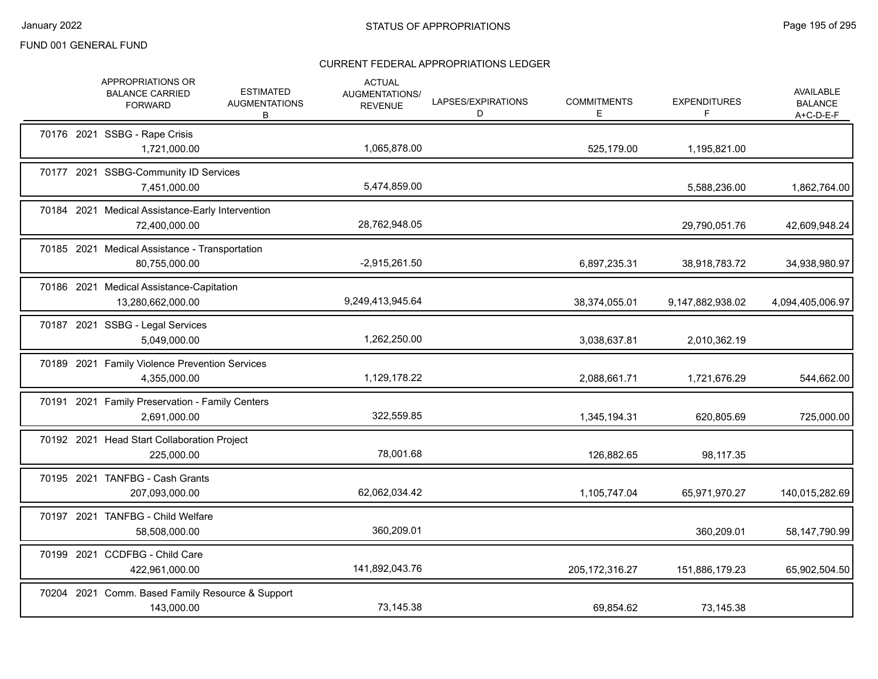|  | APPROPRIATIONS OR<br><b>BALANCE CARRIED</b><br><b>FORWARD</b>     | <b>ESTIMATED</b><br><b>AUGMENTATIONS</b><br>В | <b>ACTUAL</b><br>AUGMENTATIONS/<br><b>REVENUE</b> | LAPSES/EXPIRATIONS<br>D | <b>COMMITMENTS</b><br>E. | <b>EXPENDITURES</b><br>F | AVAILABLE<br><b>BALANCE</b><br>$A+C-D-E-F$ |
|--|-------------------------------------------------------------------|-----------------------------------------------|---------------------------------------------------|-------------------------|--------------------------|--------------------------|--------------------------------------------|
|  | 70176 2021 SSBG - Rape Crisis<br>1,721,000.00                     |                                               | 1,065,878.00                                      |                         | 525,179.00               | 1,195,821.00             |                                            |
|  | 70177 2021 SSBG-Community ID Services<br>7,451,000.00             |                                               | 5,474,859.00                                      |                         |                          | 5,588,236.00             | 1,862,764.00                               |
|  | 70184 2021 Medical Assistance-Early Intervention<br>72,400,000.00 |                                               | 28,762,948.05                                     |                         |                          | 29,790,051.76            | 42,609,948.24                              |
|  | 70185 2021 Medical Assistance - Transportation<br>80,755,000.00   |                                               | $-2,915,261.50$                                   |                         | 6,897,235.31             | 38,918,783.72            | 34,938,980.97                              |
|  | 70186 2021 Medical Assistance-Capitation<br>13,280,662,000.00     |                                               | 9,249,413,945.64                                  |                         | 38,374,055.01            | 9,147,882,938.02         | 4,094,405,006.97                           |
|  | 70187 2021 SSBG - Legal Services<br>5,049,000.00                  |                                               | 1,262,250.00                                      |                         | 3,038,637.81             | 2,010,362.19             |                                            |
|  | 70189 2021 Family Violence Prevention Services<br>4,355,000.00    |                                               | 1,129,178.22                                      |                         | 2,088,661.71             | 1,721,676.29             | 544,662.00                                 |
|  | 70191 2021 Family Preservation - Family Centers<br>2,691,000.00   |                                               | 322,559.85                                        |                         | 1,345,194.31             | 620,805.69               | 725,000.00                                 |
|  | 70192 2021 Head Start Collaboration Project<br>225,000.00         |                                               | 78,001.68                                         |                         | 126,882.65               | 98,117.35                |                                            |
|  | 70195 2021 TANFBG - Cash Grants<br>207,093,000.00                 |                                               | 62,062,034.42                                     |                         | 1,105,747.04             | 65,971,970.27            | 140,015,282.69                             |
|  | 70197 2021 TANFBG - Child Welfare<br>58,508,000.00                |                                               | 360,209.01                                        |                         |                          | 360,209.01               | 58,147,790.99                              |
|  | 70199 2021 CCDFBG - Child Care<br>422,961,000.00                  |                                               | 141,892,043.76                                    |                         | 205, 172, 316.27         | 151,886,179.23           | 65,902,504.50                              |
|  | 70204 2021 Comm. Based Family Resource & Support<br>143,000.00    |                                               | 73,145.38                                         |                         | 69,854.62                | 73,145.38                |                                            |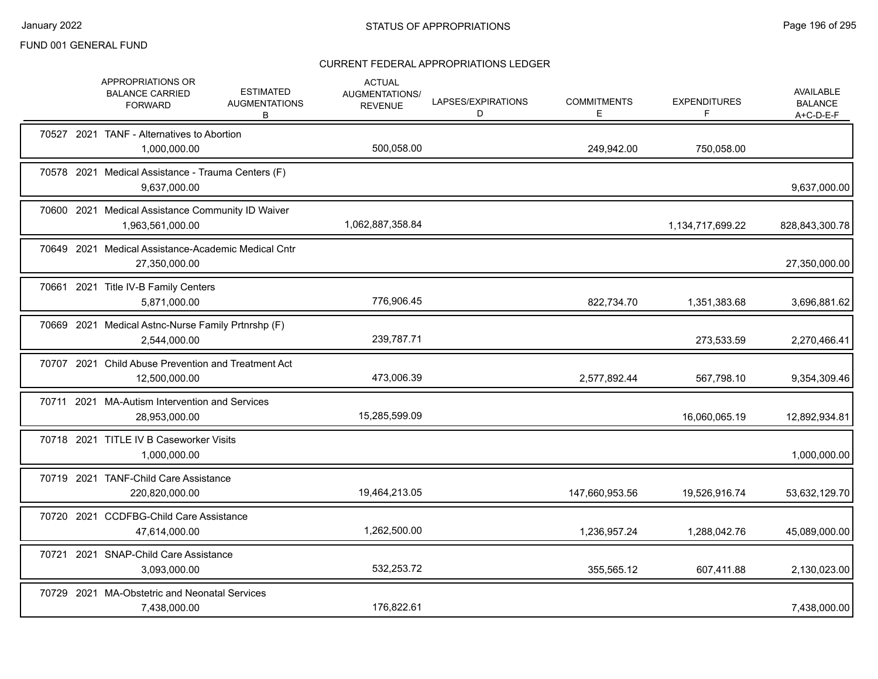|       | APPROPRIATIONS OR<br><b>BALANCE CARRIED</b><br><b>FORWARD</b>         | <b>ESTIMATED</b><br><b>AUGMENTATIONS</b><br>B | <b>ACTUAL</b><br>AUGMENTATIONS/<br><b>REVENUE</b> | LAPSES/EXPIRATIONS<br>D | <b>COMMITMENTS</b><br>E. | <b>EXPENDITURES</b><br>F | <b>AVAILABLE</b><br><b>BALANCE</b><br>$A+C-D-E-F$ |
|-------|-----------------------------------------------------------------------|-----------------------------------------------|---------------------------------------------------|-------------------------|--------------------------|--------------------------|---------------------------------------------------|
|       | 70527 2021 TANF - Alternatives to Abortion<br>1,000,000.00            |                                               | 500,058.00                                        |                         | 249,942.00               | 750,058.00               |                                                   |
|       | 70578 2021 Medical Assistance - Trauma Centers (F)<br>9,637,000.00    |                                               |                                                   |                         |                          |                          | 9,637,000.00                                      |
|       | 70600 2021 Medical Assistance Community ID Waiver<br>1,963,561,000.00 |                                               | 1,062,887,358.84                                  |                         |                          | 1,134,717,699.22         | 828,843,300.78                                    |
|       | 70649 2021 Medical Assistance-Academic Medical Cntr<br>27,350,000.00  |                                               |                                                   |                         |                          |                          | 27,350,000.00                                     |
|       | 70661 2021 Title IV-B Family Centers<br>5,871,000.00                  |                                               | 776,906.45                                        |                         | 822,734.70               | 1,351,383.68             | 3,696,881.62                                      |
|       | 70669 2021 Medical Astnc-Nurse Family Prtnrshp (F)<br>2,544,000.00    |                                               | 239,787.71                                        |                         |                          | 273,533.59               | 2,270,466.41                                      |
|       | 70707 2021 Child Abuse Prevention and Treatment Act<br>12,500,000.00  |                                               | 473,006.39                                        |                         | 2,577,892.44             | 567,798.10               | 9,354,309.46                                      |
|       | 70711 2021 MA-Autism Intervention and Services<br>28,953,000.00       |                                               | 15,285,599.09                                     |                         |                          | 16,060,065.19            | 12,892,934.81                                     |
|       | 70718 2021 TITLE IV B Caseworker Visits<br>1,000,000.00               |                                               |                                                   |                         |                          |                          | 1,000,000.00                                      |
|       | 70719 2021 TANF-Child Care Assistance<br>220,820,000.00               |                                               | 19,464,213.05                                     |                         | 147,660,953.56           | 19,526,916.74            | 53,632,129.70                                     |
|       | 70720 2021 CCDFBG-Child Care Assistance<br>47,614,000.00              |                                               | 1,262,500.00                                      |                         | 1,236,957.24             | 1,288,042.76             | 45,089,000.00                                     |
| 70721 | 2021 SNAP-Child Care Assistance<br>3,093,000.00                       |                                               | 532,253.72                                        |                         | 355,565.12               | 607,411.88               | 2,130,023.00                                      |
|       | 70729 2021 MA-Obstetric and Neonatal Services<br>7,438,000.00         |                                               | 176,822.61                                        |                         |                          |                          | 7,438,000.00                                      |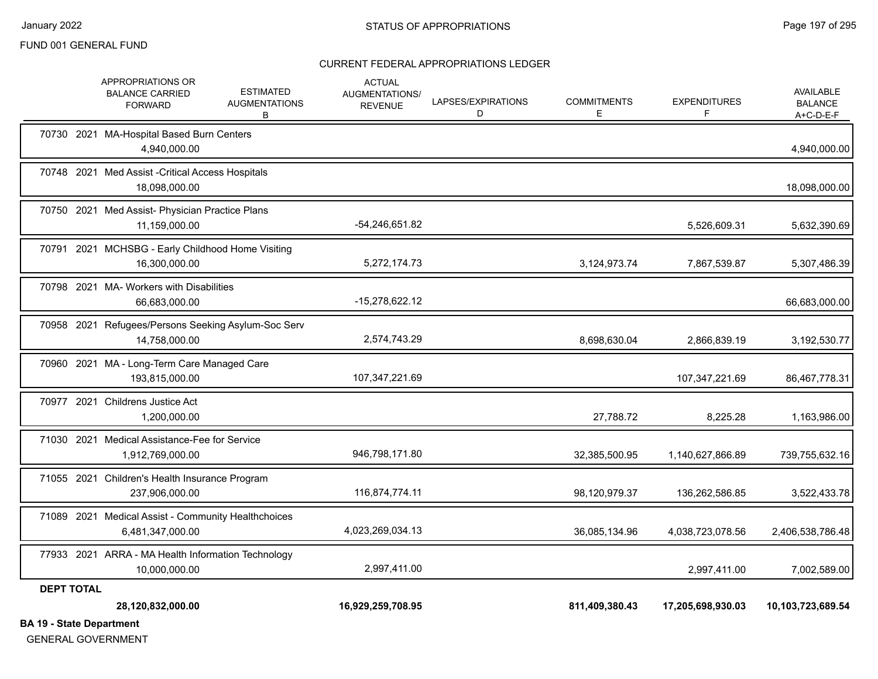#### CURRENT FEDERAL APPROPRIATIONS LEDGER

|                   | 28,120,832,000.00                                                       |                                               | 16,929,259,708.95                                 |                         | 811,409,380.43          | 17,205,698,930.03         | 10,103,723,689.54                               |
|-------------------|-------------------------------------------------------------------------|-----------------------------------------------|---------------------------------------------------|-------------------------|-------------------------|---------------------------|-------------------------------------------------|
| <b>DEPT TOTAL</b> |                                                                         |                                               |                                                   |                         |                         |                           |                                                 |
|                   | 77933 2021 ARRA - MA Health Information Technology<br>10,000,000.00     |                                               | 2,997,411.00                                      |                         |                         | 2,997,411.00              | 7,002,589.00                                    |
|                   | 71089 2021 Medical Assist - Community Healthchoices<br>6,481,347,000.00 |                                               | 4,023,269,034.13                                  |                         | 36,085,134.96           | 4,038,723,078.56          | 2,406,538,786.48                                |
|                   | 71055 2021 Children's Health Insurance Program<br>237,906,000.00        |                                               | 116,874,774.11                                    |                         | 98,120,979.37           | 136,262,586.85            | 3,522,433.78                                    |
|                   | 71030 2021 Medical Assistance-Fee for Service<br>1,912,769,000.00       |                                               | 946,798,171.80                                    |                         | 32,385,500.95           | 1,140,627,866.89          | 739,755,632.16                                  |
| 70977             | 2021 Childrens Justice Act<br>1,200,000.00                              |                                               |                                                   |                         | 27,788.72               | 8,225.28                  | 1,163,986.00                                    |
|                   | 70960 2021 MA - Long-Term Care Managed Care<br>193,815,000.00           |                                               | 107,347,221.69                                    |                         |                         | 107,347,221.69            | 86,467,778.31                                   |
|                   | 70958 2021 Refugees/Persons Seeking Asylum-Soc Serv<br>14,758,000.00    |                                               | 2,574,743.29                                      |                         | 8,698,630.04            | 2,866,839.19              | 3,192,530.77                                    |
|                   | 70798 2021 MA- Workers with Disabilities<br>66,683,000.00               |                                               | -15,278,622.12                                    |                         |                         |                           | 66,683,000.00                                   |
| 70791             | 2021 MCHSBG - Early Childhood Home Visiting<br>16,300,000.00            |                                               | 5,272,174.73                                      |                         | 3,124,973.74            | 7,867,539.87              | 5,307,486.39                                    |
|                   | 70750 2021 Med Assist- Physician Practice Plans<br>11,159,000.00        |                                               | -54,246,651.82                                    |                         |                         | 5,526,609.31              | 5,632,390.69                                    |
|                   | 70748 2021 Med Assist - Critical Access Hospitals<br>18,098,000.00      |                                               |                                                   |                         |                         |                           | 18,098,000.00                                   |
|                   | 70730 2021 MA-Hospital Based Burn Centers<br>4,940,000.00               |                                               |                                                   |                         |                         |                           | 4,940,000.00                                    |
|                   | APPROPRIATIONS OR<br><b>BALANCE CARRIED</b><br><b>FORWARD</b>           | <b>ESTIMATED</b><br><b>AUGMENTATIONS</b><br>В | <b>ACTUAL</b><br>AUGMENTATIONS/<br><b>REVENUE</b> | LAPSES/EXPIRATIONS<br>D | <b>COMMITMENTS</b><br>Е | <b>EXPENDITURES</b><br>F. | <b>AVAILABLE</b><br><b>BALANCE</b><br>A+C-D-E-F |

**BA 19 - State Department**

GENERAL GOVERNMENT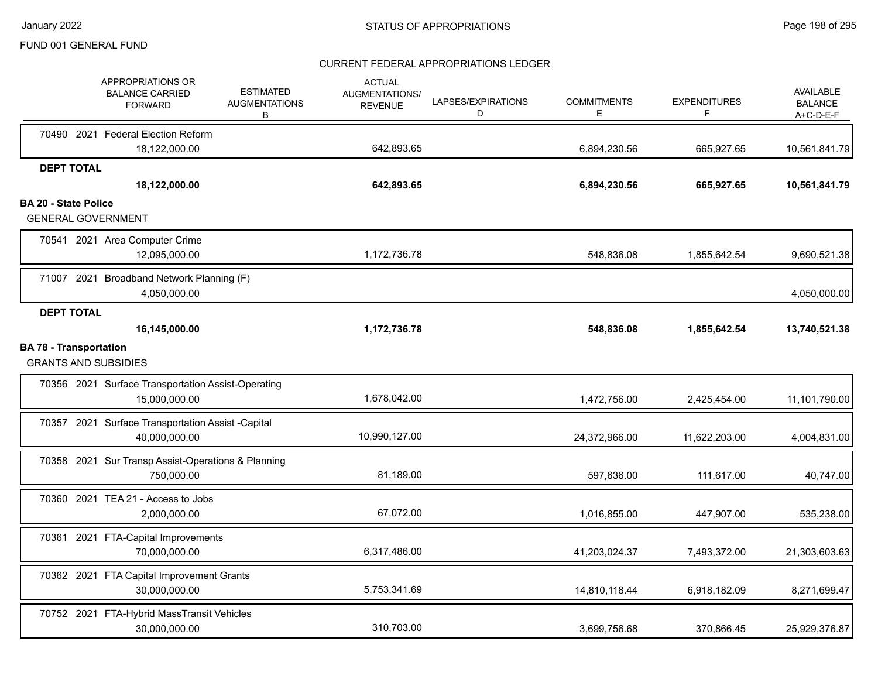|                             | APPROPRIATIONS OR<br><b>BALANCE CARRIED</b><br><b>FORWARD</b>       | <b>ESTIMATED</b><br><b>AUGMENTATIONS</b><br>В | <b>ACTUAL</b><br><b>AUGMENTATIONS/</b><br><b>REVENUE</b> | LAPSES/EXPIRATIONS<br>D | <b>COMMITMENTS</b><br>Е | <b>EXPENDITURES</b><br>F | <b>AVAILABLE</b><br><b>BALANCE</b><br>$A+C-D-E-F$ |
|-----------------------------|---------------------------------------------------------------------|-----------------------------------------------|----------------------------------------------------------|-------------------------|-------------------------|--------------------------|---------------------------------------------------|
|                             | 70490 2021 Federal Election Reform                                  |                                               |                                                          |                         |                         |                          |                                                   |
|                             | 18,122,000.00                                                       |                                               | 642,893.65                                               |                         | 6.894.230.56            | 665,927.65               | 10,561,841.79                                     |
|                             | <b>DEPT TOTAL</b><br>18,122,000.00                                  |                                               | 642,893.65                                               |                         | 6,894,230.56            | 665,927.65               | 10,561,841.79                                     |
| <b>BA 20 - State Police</b> |                                                                     |                                               |                                                          |                         |                         |                          |                                                   |
|                             | <b>GENERAL GOVERNMENT</b>                                           |                                               |                                                          |                         |                         |                          |                                                   |
|                             | 70541 2021 Area Computer Crime<br>12,095,000.00                     |                                               | 1,172,736.78                                             |                         | 548,836.08              | 1,855,642.54             | 9,690,521.38                                      |
|                             | 71007 2021 Broadband Network Planning (F)<br>4,050,000.00           |                                               |                                                          |                         |                         |                          | 4,050,000.00                                      |
|                             | <b>DEPT TOTAL</b>                                                   |                                               |                                                          |                         |                         |                          |                                                   |
|                             | 16,145,000.00                                                       |                                               | 1,172,736.78                                             |                         | 548,836.08              | 1,855,642.54             | 13,740,521.38                                     |
|                             | <b>BA 78 - Transportation</b><br><b>GRANTS AND SUBSIDIES</b>        |                                               |                                                          |                         |                         |                          |                                                   |
|                             | 70356 2021 Surface Transportation Assist-Operating<br>15,000,000.00 |                                               | 1,678,042.00                                             |                         | 1,472,756.00            | 2,425,454.00             | 11,101,790.00                                     |
|                             | 70357 2021 Surface Transportation Assist -Capital<br>40,000,000.00  |                                               | 10,990,127.00                                            |                         | 24,372,966.00           | 11,622,203.00            | 4,004,831.00                                      |
|                             | 70358 2021 Sur Transp Assist-Operations & Planning<br>750,000.00    |                                               | 81,189.00                                                |                         | 597,636.00              | 111,617.00               | 40,747.00                                         |
|                             | 70360 2021 TEA 21 - Access to Jobs<br>2,000,000.00                  |                                               | 67,072.00                                                |                         | 1,016,855.00            | 447,907.00               | 535,238.00                                        |
|                             | 70361 2021 FTA-Capital Improvements<br>70,000,000.00                |                                               | 6,317,486.00                                             |                         | 41,203,024.37           | 7,493,372.00             | 21,303,603.63                                     |
|                             | 70362 2021 FTA Capital Improvement Grants<br>30.000.000.00          |                                               | 5,753,341.69                                             |                         | 14,810,118.44           | 6,918,182.09             | 8,271,699.47                                      |
|                             | 70752 2021 FTA-Hybrid MassTransit Vehicles<br>30,000,000.00         |                                               | 310,703.00                                               |                         | 3,699,756.68            | 370.866.45               | 25,929,376.87                                     |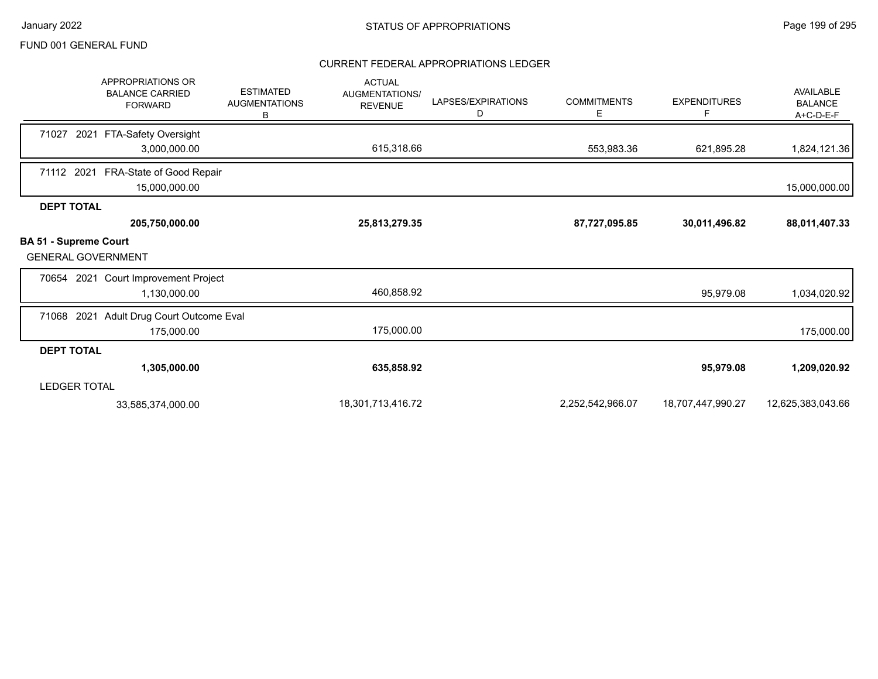|                                                           | <b>APPROPRIATIONS OR</b><br><b>BALANCE CARRIED</b><br><b>FORWARD</b> | <b>ESTIMATED</b><br><b>AUGMENTATIONS</b><br>в | <b>ACTUAL</b><br><b>AUGMENTATIONS/</b><br><b>REVENUE</b> | LAPSES/EXPIRATIONS<br>D | <b>COMMITMENTS</b><br>E | <b>EXPENDITURES</b><br>F | AVAILABLE<br><b>BALANCE</b><br>A+C-D-E-F |
|-----------------------------------------------------------|----------------------------------------------------------------------|-----------------------------------------------|----------------------------------------------------------|-------------------------|-------------------------|--------------------------|------------------------------------------|
| 71027<br>2021                                             | FTA-Safety Oversight                                                 |                                               |                                                          |                         |                         |                          |                                          |
|                                                           | 3,000,000.00                                                         |                                               | 615,318.66                                               |                         | 553,983.36              | 621,895.28               | 1,824,121.36                             |
| 71112 2021                                                | FRA-State of Good Repair<br>15,000,000.00                            |                                               |                                                          |                         |                         |                          | 15,000,000.00                            |
| <b>DEPT TOTAL</b>                                         |                                                                      |                                               |                                                          |                         |                         |                          |                                          |
|                                                           | 205,750,000.00                                                       |                                               | 25,813,279.35                                            |                         | 87,727,095.85           | 30,011,496.82            | 88,011,407.33                            |
| <b>BA 51 - Supreme Court</b><br><b>GENERAL GOVERNMENT</b> |                                                                      |                                               |                                                          |                         |                         |                          |                                          |
|                                                           | 70654 2021 Court Improvement Project                                 |                                               |                                                          |                         |                         |                          |                                          |
|                                                           | 1,130,000.00                                                         |                                               | 460,858.92                                               |                         |                         | 95,979.08                | 1,034,020.92                             |
| 71068 2021                                                | Adult Drug Court Outcome Eval                                        |                                               |                                                          |                         |                         |                          |                                          |
|                                                           | 175,000.00                                                           |                                               | 175,000.00                                               |                         |                         |                          | 175,000.00                               |
| <b>DEPT TOTAL</b>                                         |                                                                      |                                               |                                                          |                         |                         |                          |                                          |
|                                                           | 1,305,000.00                                                         |                                               | 635,858.92                                               |                         |                         | 95,979.08                | 1,209,020.92                             |
| <b>LEDGER TOTAL</b>                                       |                                                                      |                                               |                                                          |                         |                         |                          |                                          |
|                                                           | 33,585,374,000.00                                                    |                                               | 18,301,713,416.72                                        |                         | 2,252,542,966.07        | 18,707,447,990.27        | 12,625,383,043.66                        |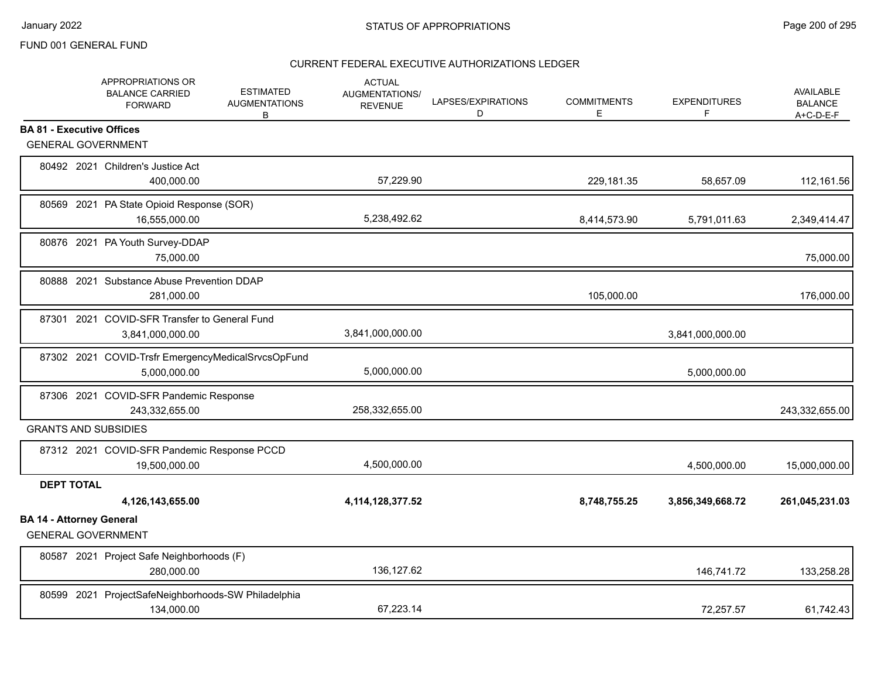|                   | APPROPRIATIONS OR<br><b>BALANCE CARRIED</b><br><b>FORWARD</b>      | <b>ESTIMATED</b><br><b>AUGMENTATIONS</b><br>В | <b>ACTUAL</b><br>AUGMENTATIONS/<br><b>REVENUE</b> | LAPSES/EXPIRATIONS<br>D | <b>COMMITMENTS</b><br>E | <b>EXPENDITURES</b><br>F | AVAILABLE<br><b>BALANCE</b><br>$A+C-D-E-F$ |
|-------------------|--------------------------------------------------------------------|-----------------------------------------------|---------------------------------------------------|-------------------------|-------------------------|--------------------------|--------------------------------------------|
|                   | <b>BA 81 - Executive Offices</b>                                   |                                               |                                                   |                         |                         |                          |                                            |
|                   | <b>GENERAL GOVERNMENT</b>                                          |                                               |                                                   |                         |                         |                          |                                            |
|                   | 80492 2021 Children's Justice Act<br>400.000.00                    |                                               | 57,229.90                                         |                         | 229,181.35              | 58,657.09                | 112,161.56                                 |
|                   | 80569 2021 PA State Opioid Response (SOR)<br>16,555,000.00         |                                               | 5,238,492.62                                      |                         | 8,414,573.90            | 5,791,011.63             | 2,349,414.47                               |
|                   | 80876 2021 PA Youth Survey-DDAP<br>75,000.00                       |                                               |                                                   |                         |                         |                          | 75,000.00                                  |
|                   | 80888 2021 Substance Abuse Prevention DDAP<br>281,000.00           |                                               |                                                   |                         | 105,000.00              |                          | 176,000.00                                 |
|                   | 87301 2021 COVID-SFR Transfer to General Fund<br>3,841,000,000.00  |                                               | 3,841,000,000.00                                  |                         |                         | 3,841,000,000.00         |                                            |
|                   | 87302 2021 COVID-Trsfr EmergencyMedicalSrvcsOpFund<br>5,000,000.00 |                                               | 5,000,000.00                                      |                         |                         | 5,000,000.00             |                                            |
|                   | 87306 2021 COVID-SFR Pandemic Response<br>243,332,655.00           |                                               | 258,332,655.00                                    |                         |                         |                          | 243,332,655.00                             |
|                   | <b>GRANTS AND SUBSIDIES</b>                                        |                                               |                                                   |                         |                         |                          |                                            |
|                   | 87312 2021 COVID-SFR Pandemic Response PCCD<br>19,500,000.00       |                                               | 4,500,000.00                                      |                         |                         | 4,500,000.00             | 15,000,000.00                              |
| <b>DEPT TOTAL</b> |                                                                    |                                               |                                                   |                         |                         |                          |                                            |
|                   | 4,126,143,655.00                                                   |                                               | 4, 114, 128, 377.52                               |                         | 8,748,755.25            | 3,856,349,668.72         | 261,045,231.03                             |
|                   | <b>BA 14 - Attorney General</b><br><b>GENERAL GOVERNMENT</b>       |                                               |                                                   |                         |                         |                          |                                            |
|                   | 80587 2021 Project Safe Neighborhoods (F)<br>280.000.00            |                                               | 136,127.62                                        |                         |                         | 146,741.72               | 133,258.28                                 |
|                   | 80599 2021 ProjectSafeNeighborhoods-SW Philadelphia<br>134,000.00  |                                               | 67.223.14                                         |                         |                         | 72,257.57                | 61,742.43                                  |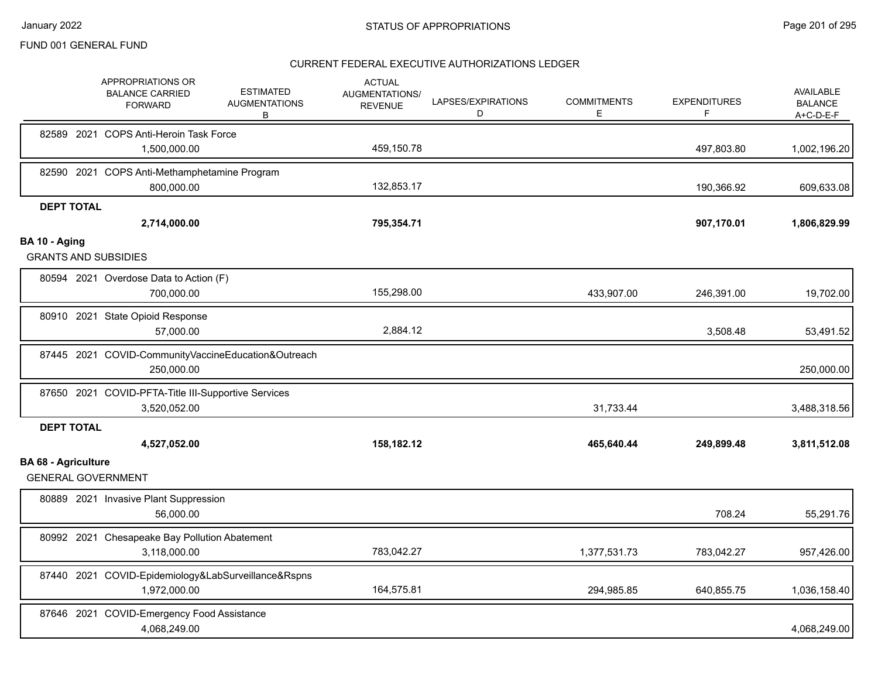|                            | APPROPRIATIONS OR<br><b>BALANCE CARRIED</b><br><b>FORWARD</b>       | <b>ESTIMATED</b><br><b>AUGMENTATIONS</b><br>B | <b>ACTUAL</b><br>AUGMENTATIONS/<br><b>REVENUE</b> | LAPSES/EXPIRATIONS<br>D | <b>COMMITMENTS</b><br>Е | <b>EXPENDITURES</b><br>F | <b>AVAILABLE</b><br><b>BALANCE</b><br>$A+C-D-E-F$ |
|----------------------------|---------------------------------------------------------------------|-----------------------------------------------|---------------------------------------------------|-------------------------|-------------------------|--------------------------|---------------------------------------------------|
|                            | 82589 2021 COPS Anti-Heroin Task Force<br>1,500,000.00              |                                               | 459,150.78                                        |                         |                         | 497,803.80               | 1,002,196.20                                      |
|                            | 82590 2021 COPS Anti-Methamphetamine Program<br>800,000.00          |                                               | 132,853.17                                        |                         |                         | 190,366.92               | 609,633.08                                        |
| <b>DEPT TOTAL</b>          | 2,714,000.00                                                        |                                               | 795,354.71                                        |                         |                         | 907,170.01               | 1,806,829.99                                      |
| BA 10 - Aging              | <b>GRANTS AND SUBSIDIES</b>                                         |                                               |                                                   |                         |                         |                          |                                                   |
|                            | 80594 2021 Overdose Data to Action (F)<br>700,000.00                |                                               | 155,298.00                                        |                         | 433,907.00              | 246,391.00               | 19,702.00                                         |
|                            | 80910 2021 State Opioid Response<br>57,000.00                       |                                               | 2,884.12                                          |                         |                         | 3,508.48                 | 53,491.52                                         |
|                            | 87445 2021 COVID-CommunityVaccineEducation&Outreach<br>250,000.00   |                                               |                                                   |                         |                         |                          | 250,000.00                                        |
|                            | 87650 2021 COVID-PFTA-Title III-Supportive Services<br>3,520,052.00 |                                               |                                                   |                         | 31,733.44               |                          | 3,488,318.56                                      |
| <b>DEPT TOTAL</b>          | 4,527,052.00                                                        |                                               | 158,182.12                                        |                         | 465,640.44              | 249,899.48               | 3,811,512.08                                      |
| <b>BA 68 - Agriculture</b> | <b>GENERAL GOVERNMENT</b>                                           |                                               |                                                   |                         |                         |                          |                                                   |
|                            | 80889 2021 Invasive Plant Suppression<br>56,000.00                  |                                               |                                                   |                         |                         | 708.24                   | 55,291.76                                         |
|                            | 80992 2021 Chesapeake Bay Pollution Abatement<br>3,118,000.00       |                                               | 783,042.27                                        |                         | 1,377,531.73            | 783,042.27               | 957,426.00                                        |
|                            | 87440 2021 COVID-Epidemiology&LabSurveillance&Rspns<br>1,972,000.00 |                                               | 164,575.81                                        |                         | 294,985.85              | 640,855.75               | 1,036,158.40                                      |
|                            | 87646 2021 COVID-Emergency Food Assistance<br>4,068,249.00          |                                               |                                                   |                         |                         |                          | 4,068,249.00                                      |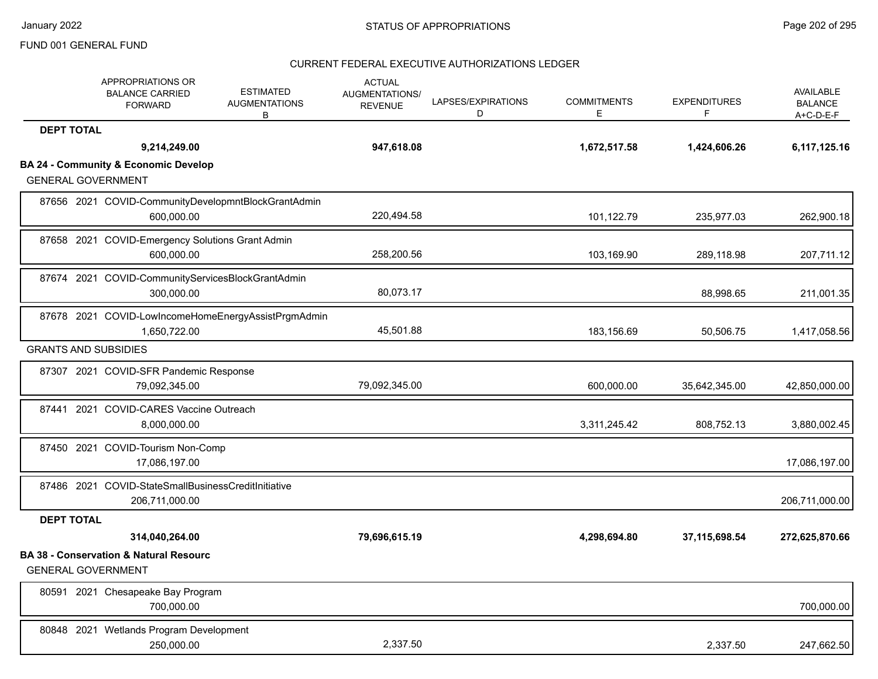|                   | APPROPRIATIONS OR<br><b>BALANCE CARRIED</b><br><b>FORWARD</b>                  | <b>ESTIMATED</b><br><b>AUGMENTATIONS</b><br>B       | <b>ACTUAL</b><br>AUGMENTATIONS/<br><b>REVENUE</b> | LAPSES/EXPIRATIONS<br>D | <b>COMMITMENTS</b><br>Е | <b>EXPENDITURES</b><br>F | <b>AVAILABLE</b><br><b>BALANCE</b><br>$A+C-D-E-F$ |
|-------------------|--------------------------------------------------------------------------------|-----------------------------------------------------|---------------------------------------------------|-------------------------|-------------------------|--------------------------|---------------------------------------------------|
| <b>DEPT TOTAL</b> |                                                                                |                                                     |                                                   |                         |                         |                          |                                                   |
|                   | 9,214,249.00                                                                   |                                                     | 947,618.08                                        |                         | 1,672,517.58            | 1,424,606.26             | 6,117,125.16                                      |
|                   | <b>BA 24 - Community &amp; Economic Develop</b><br><b>GENERAL GOVERNMENT</b>   |                                                     |                                                   |                         |                         |                          |                                                   |
|                   | 600,000.00                                                                     | 87656 2021 COVID-CommunityDevelopmntBlockGrantAdmin | 220,494.58                                        |                         | 101,122.79              | 235,977.03               | 262,900.18                                        |
|                   | 87658 2021 COVID-Emergency Solutions Grant Admin<br>600,000.00                 |                                                     | 258,200.56                                        |                         | 103,169.90              | 289,118.98               | 207,711.12                                        |
|                   | 87674 2021 COVID-CommunityServicesBlockGrantAdmin<br>300,000.00                |                                                     | 80,073.17                                         |                         |                         | 88,998.65                | 211,001.35                                        |
|                   | 1,650,722.00                                                                   | 87678 2021 COVID-LowIncomeHomeEnergyAssistPrgmAdmin | 45,501.88                                         |                         | 183,156.69              | 50,506.75                | 1,417,058.56                                      |
|                   | <b>GRANTS AND SUBSIDIES</b>                                                    |                                                     |                                                   |                         |                         |                          |                                                   |
|                   | 87307 2021 COVID-SFR Pandemic Response<br>79,092,345.00                        |                                                     | 79,092,345.00                                     |                         | 600,000.00              | 35,642,345.00            | 42,850,000.00                                     |
|                   | 87441 2021 COVID-CARES Vaccine Outreach<br>8,000,000.00                        |                                                     |                                                   |                         | 3,311,245.42            | 808,752.13               | 3,880,002.45                                      |
|                   | 87450 2021 COVID-Tourism Non-Comp<br>17,086,197.00                             |                                                     |                                                   |                         |                         |                          | 17,086,197.00                                     |
|                   | 87486 2021 COVID-StateSmallBusinessCreditInitiative<br>206,711,000.00          |                                                     |                                                   |                         |                         |                          | 206,711,000.00                                    |
| <b>DEPT TOTAL</b> |                                                                                |                                                     |                                                   |                         |                         |                          |                                                   |
|                   | 314,040,264.00                                                                 |                                                     | 79,696,615.19                                     |                         | 4,298,694.80            | 37,115,698.54            | 272,625,870.66                                    |
|                   | <b>BA 38 - Conservation &amp; Natural Resourc</b><br><b>GENERAL GOVERNMENT</b> |                                                     |                                                   |                         |                         |                          |                                                   |
|                   | 80591 2021 Chesapeake Bay Program<br>700,000.00                                |                                                     |                                                   |                         |                         |                          | 700,000.00                                        |
|                   | 80848 2021 Wetlands Program Development<br>250,000.00                          |                                                     | 2,337.50                                          |                         |                         | 2,337.50                 | 247,662.50                                        |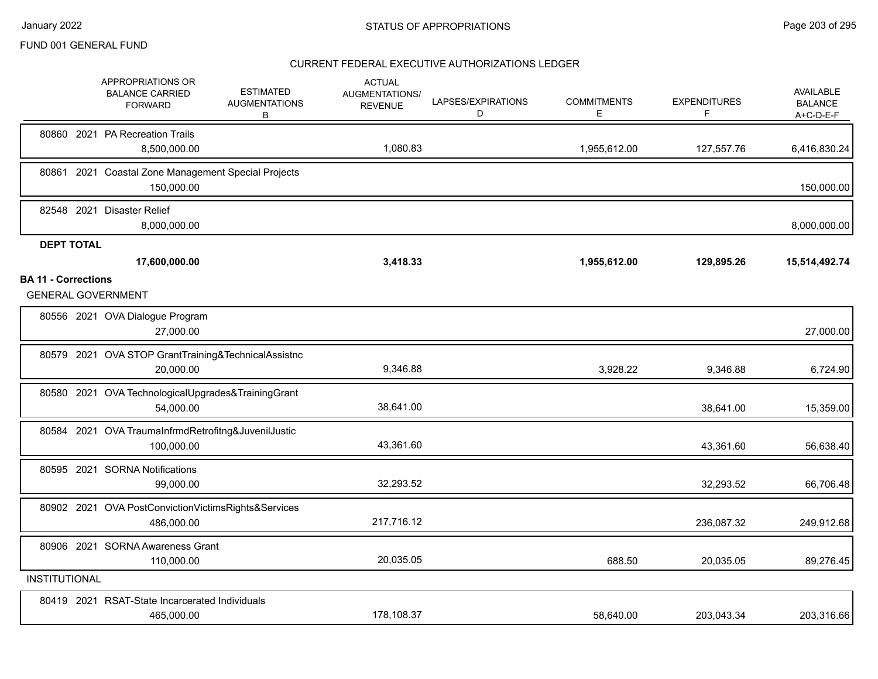|                                                         | APPROPRIATIONS OR<br><b>BALANCE CARRIED</b><br><b>FORWARD</b>     | <b>ESTIMATED</b><br><b>AUGMENTATIONS</b><br>В | <b>ACTUAL</b><br><b>AUGMENTATIONS/</b><br><b>REVENUE</b> | LAPSES/EXPIRATIONS<br>D | <b>COMMITMENTS</b><br>Е | <b>EXPENDITURES</b><br>F | AVAILABLE<br><b>BALANCE</b><br>$A+C-D-E-F$ |
|---------------------------------------------------------|-------------------------------------------------------------------|-----------------------------------------------|----------------------------------------------------------|-------------------------|-------------------------|--------------------------|--------------------------------------------|
|                                                         | 80860 2021 PA Recreation Trails<br>8,500,000.00                   |                                               | 1,080.83                                                 |                         | 1,955,612.00            | 127,557.76               | 6,416,830.24                               |
|                                                         | 80861 2021 Coastal Zone Management Special Projects<br>150,000.00 |                                               |                                                          |                         |                         |                          | 150,000.00                                 |
|                                                         | 82548 2021 Disaster Relief<br>8,000,000.00                        |                                               |                                                          |                         |                         |                          | 8,000,000.00                               |
| <b>DEPT TOTAL</b>                                       | 17,600,000.00                                                     |                                               | 3,418.33                                                 |                         | 1,955,612.00            | 129,895.26               | 15,514,492.74                              |
| <b>BA 11 - Corrections</b><br><b>GENERAL GOVERNMENT</b> |                                                                   |                                               |                                                          |                         |                         |                          |                                            |
|                                                         | 80556 2021 OVA Dialogue Program<br>27,000.00                      |                                               |                                                          |                         |                         |                          | 27,000.00                                  |
|                                                         | 80579 2021 OVA STOP GrantTraining&TechnicalAssistnc<br>20,000.00  |                                               | 9,346.88                                                 |                         | 3,928.22                | 9,346.88                 | 6,724.90                                   |
|                                                         | 80580 2021 OVA TechnologicalUpgrades&TrainingGrant<br>54,000.00   |                                               | 38,641.00                                                |                         |                         | 38,641.00                | 15,359.00                                  |
|                                                         | 80584 2021 OVA TraumaInfrmdRetrofitng&JuvenilJustic<br>100,000.00 |                                               | 43,361.60                                                |                         |                         | 43,361.60                | 56,638.40                                  |
|                                                         | 80595 2021 SORNA Notifications<br>99,000.00                       |                                               | 32,293.52                                                |                         |                         | 32,293.52                | 66,706.48                                  |
|                                                         | 80902 2021 OVA PostConvictionVictimsRights&Services<br>486,000.00 |                                               | 217,716.12                                               |                         |                         | 236,087.32               | 249,912.68                                 |
|                                                         | 80906 2021 SORNA Awareness Grant<br>110,000.00                    |                                               | 20,035.05                                                |                         | 688.50                  | 20,035.05                | 89,276.45                                  |
| <b>INSTITUTIONAL</b>                                    |                                                                   |                                               |                                                          |                         |                         |                          |                                            |
|                                                         | 80419 2021 RSAT-State Incarcerated Individuals<br>465,000.00      |                                               | 178,108.37                                               |                         | 58,640.00               | 203,043.34               | 203,316.66                                 |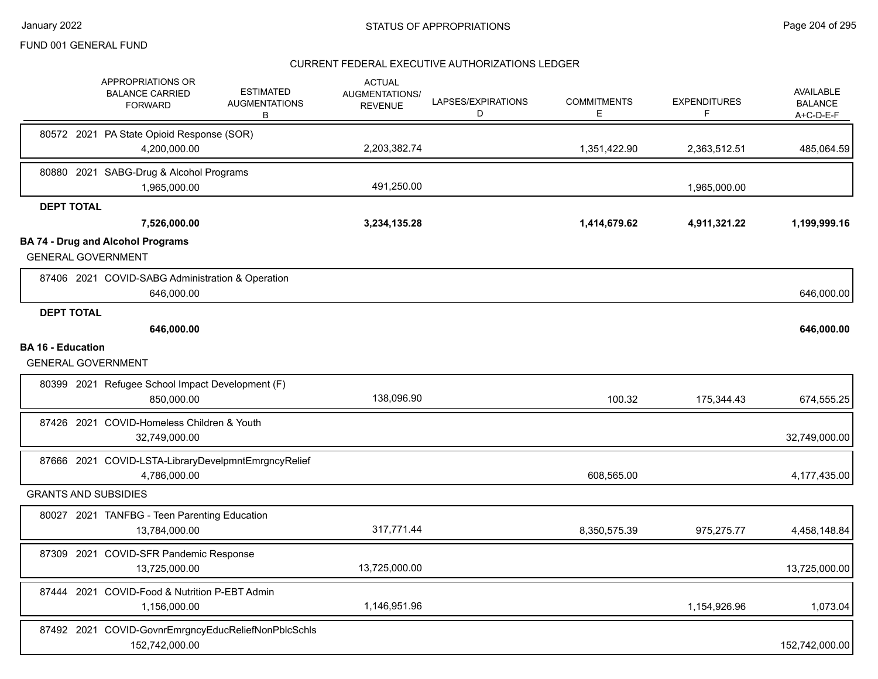|                          | APPROPRIATIONS OR<br><b>BALANCE CARRIED</b><br><b>FORWARD</b>         | <b>ESTIMATED</b><br><b>AUGMENTATIONS</b><br>B | <b>ACTUAL</b><br>AUGMENTATIONS/<br><b>REVENUE</b> | LAPSES/EXPIRATIONS<br>D | <b>COMMITMENTS</b><br>E. | <b>EXPENDITURES</b><br>F | <b>AVAILABLE</b><br><b>BALANCE</b><br>A+C-D-E-F |
|--------------------------|-----------------------------------------------------------------------|-----------------------------------------------|---------------------------------------------------|-------------------------|--------------------------|--------------------------|-------------------------------------------------|
|                          | 80572 2021 PA State Opioid Response (SOR)                             |                                               |                                                   |                         |                          |                          |                                                 |
|                          | 4,200,000.00                                                          |                                               | 2,203,382.74                                      |                         | 1,351,422.90             | 2,363,512.51             | 485,064.59                                      |
|                          | 80880 2021 SABG-Drug & Alcohol Programs                               |                                               |                                                   |                         |                          |                          |                                                 |
|                          | 1,965,000.00                                                          |                                               | 491,250.00                                        |                         |                          | 1,965,000.00             |                                                 |
| <b>DEPT TOTAL</b>        |                                                                       |                                               |                                                   |                         |                          |                          |                                                 |
|                          | 7,526,000.00                                                          |                                               | 3,234,135.28                                      |                         | 1,414,679.62             | 4,911,321.22             | 1,199,999.16                                    |
|                          | <b>BA 74 - Drug and Alcohol Programs</b><br><b>GENERAL GOVERNMENT</b> |                                               |                                                   |                         |                          |                          |                                                 |
|                          | 87406 2021 COVID-SABG Administration & Operation<br>646,000.00        |                                               |                                                   |                         |                          |                          | 646,000.00                                      |
| <b>DEPT TOTAL</b>        | 646,000.00                                                            |                                               |                                                   |                         |                          |                          | 646,000.00                                      |
| <b>BA 16 - Education</b> |                                                                       |                                               |                                                   |                         |                          |                          |                                                 |
|                          | <b>GENERAL GOVERNMENT</b>                                             |                                               |                                                   |                         |                          |                          |                                                 |
|                          | 80399 2021 Refugee School Impact Development (F)<br>850,000.00        |                                               | 138,096.90                                        |                         | 100.32                   | 175,344.43               | 674,555.25                                      |
|                          | 87426 2021 COVID-Homeless Children & Youth                            |                                               |                                                   |                         |                          |                          |                                                 |
|                          | 32,749,000.00                                                         |                                               |                                                   |                         |                          |                          | 32,749,000.00                                   |
|                          | 87666 2021 COVID-LSTA-LibraryDevelpmntEmrgncyRelief<br>4,786,000.00   |                                               |                                                   |                         | 608,565.00               |                          | 4,177,435.00                                    |
|                          | <b>GRANTS AND SUBSIDIES</b>                                           |                                               |                                                   |                         |                          |                          |                                                 |
|                          | 80027 2021 TANFBG - Teen Parenting Education<br>13,784,000.00         |                                               | 317,771.44                                        |                         | 8,350,575.39             | 975,275.77               | 4,458,148.84                                    |
|                          | 87309 2021 COVID-SFR Pandemic Response<br>13,725,000.00               |                                               | 13,725,000.00                                     |                         |                          |                          | 13,725,000.00                                   |
|                          | 87444 2021 COVID-Food & Nutrition P-EBT Admin<br>1,156,000.00         |                                               | 1,146,951.96                                      |                         |                          | 1,154,926.96             | 1,073.04                                        |
|                          | 87492 2021 COVID-GovnrEmrgncyEducReliefNonPblcSchls<br>152,742,000.00 |                                               |                                                   |                         |                          |                          | 152,742,000.00                                  |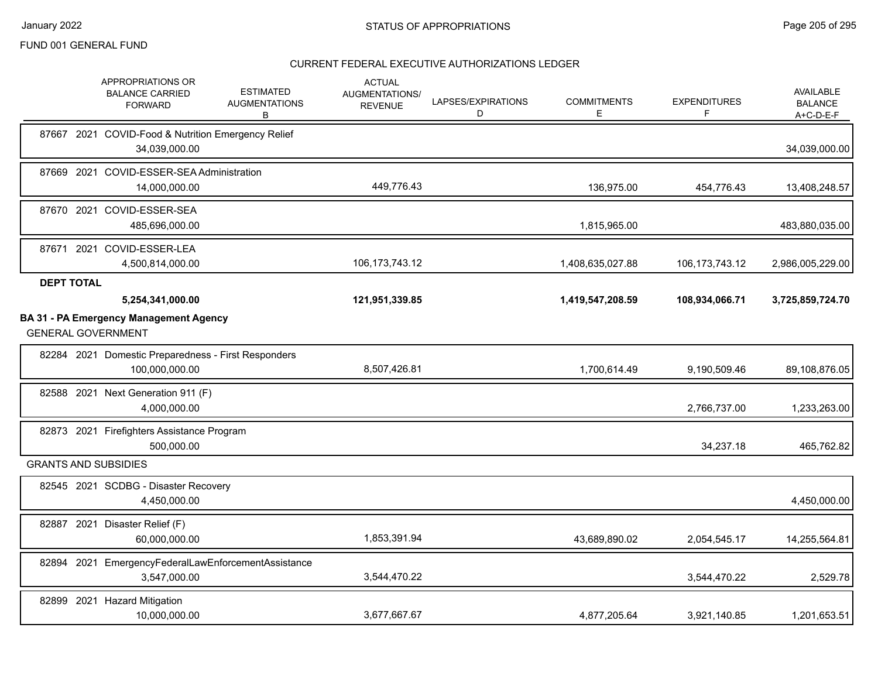|                   | APPROPRIATIONS OR<br><b>BALANCE CARRIED</b><br><b>FORWARD</b>              | <b>ESTIMATED</b><br><b>AUGMENTATIONS</b><br>В | <b>ACTUAL</b><br>AUGMENTATIONS/<br><b>REVENUE</b> | LAPSES/EXPIRATIONS<br>D | <b>COMMITMENTS</b><br>E. | <b>EXPENDITURES</b> | <b>AVAILABLE</b><br><b>BALANCE</b><br>A+C-D-E-F |
|-------------------|----------------------------------------------------------------------------|-----------------------------------------------|---------------------------------------------------|-------------------------|--------------------------|---------------------|-------------------------------------------------|
|                   | 87667 2021 COVID-Food & Nutrition Emergency Relief<br>34,039,000.00        |                                               |                                                   |                         |                          |                     | 34,039,000.00                                   |
|                   | 87669 2021 COVID-ESSER-SEA Administration<br>14,000,000.00                 |                                               | 449,776.43                                        |                         | 136,975.00               | 454,776.43          | 13,408,248.57                                   |
|                   | 87670 2021 COVID-ESSER-SEA<br>485,696,000.00                               |                                               |                                                   |                         | 1,815,965.00             |                     | 483,880,035.00                                  |
|                   | 87671 2021 COVID-ESSER-LEA<br>4,500,814,000.00                             |                                               | 106, 173, 743. 12                                 |                         | 1,408,635,027.88         | 106, 173, 743. 12   | 2,986,005,229.00                                |
| <b>DEPT TOTAL</b> |                                                                            |                                               |                                                   |                         |                          |                     |                                                 |
|                   | 5,254,341,000.00                                                           |                                               | 121,951,339.85                                    |                         | 1,419,547,208.59         | 108,934,066.71      | 3,725,859,724.70                                |
|                   | <b>BA 31 - PA Emergency Management Agency</b><br><b>GENERAL GOVERNMENT</b> |                                               |                                                   |                         |                          |                     |                                                 |
|                   | 82284 2021 Domestic Preparedness - First Responders<br>100,000,000.00      |                                               | 8,507,426.81                                      |                         | 1,700,614.49             | 9,190,509.46        | 89,108,876.05                                   |
|                   | 82588 2021 Next Generation 911 (F)<br>4,000,000.00                         |                                               |                                                   |                         |                          | 2,766,737.00        | 1,233,263.00                                    |
|                   | 82873 2021 Firefighters Assistance Program<br>500.000.00                   |                                               |                                                   |                         |                          | 34,237.18           | 465,762.82                                      |
|                   | <b>GRANTS AND SUBSIDIES</b>                                                |                                               |                                                   |                         |                          |                     |                                                 |
|                   | 82545 2021 SCDBG - Disaster Recovery<br>4,450,000.00                       |                                               |                                                   |                         |                          |                     | 4,450,000.00                                    |
|                   | 82887 2021 Disaster Relief (F)<br>60,000,000.00                            |                                               | 1,853,391.94                                      |                         | 43,689,890.02            | 2,054,545.17        | 14,255,564.81                                   |
|                   | 82894 2021 EmergencyFederalLawEnforcementAssistance<br>3,547,000.00        |                                               | 3,544,470.22                                      |                         |                          | 3,544,470.22        | 2,529.78                                        |
|                   | 82899 2021 Hazard Mitigation<br>10,000,000.00                              |                                               | 3.677.667.67                                      |                         | 4,877,205.64             | 3,921,140.85        | 1,201,653.51                                    |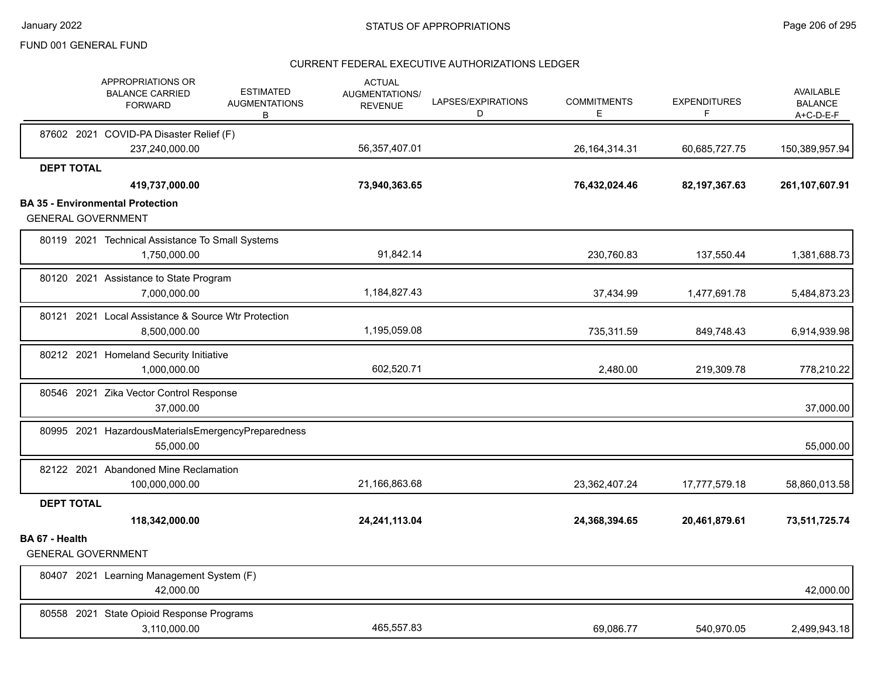|                           | <b>APPROPRIATIONS OR</b><br><b>BALANCE CARRIED</b><br><b>FORWARD</b> | <b>ESTIMATED</b><br><b>AUGMENTATIONS</b><br>В | <b>ACTUAL</b><br>AUGMENTATIONS/<br><b>REVENUE</b> | LAPSES/EXPIRATIONS<br>D | <b>COMMITMENTS</b><br>E. | <b>EXPENDITURES</b><br>F | <b>AVAILABLE</b><br><b>BALANCE</b><br>$A+C-D-E-F$ |
|---------------------------|----------------------------------------------------------------------|-----------------------------------------------|---------------------------------------------------|-------------------------|--------------------------|--------------------------|---------------------------------------------------|
|                           | 87602 2021 COVID-PA Disaster Relief (F)                              |                                               |                                                   |                         |                          |                          |                                                   |
|                           | 237,240,000.00                                                       |                                               | 56,357,407.01                                     |                         | 26, 164, 314. 31         | 60,685,727.75            | 150,389,957.94                                    |
| <b>DEPT TOTAL</b>         | 419,737,000.00                                                       |                                               | 73,940,363.65                                     |                         | 76,432,024.46            | 82, 197, 367. 63         | 261,107,607.91                                    |
|                           | <b>BA 35 - Environmental Protection</b>                              |                                               |                                                   |                         |                          |                          |                                                   |
| <b>GENERAL GOVERNMENT</b> |                                                                      |                                               |                                                   |                         |                          |                          |                                                   |
|                           | 80119 2021 Technical Assistance To Small Systems                     |                                               |                                                   |                         |                          |                          |                                                   |
|                           | 1,750,000.00                                                         |                                               | 91,842.14                                         |                         | 230,760.83               | 137,550.44               | 1,381,688.73                                      |
|                           | 80120 2021 Assistance to State Program                               |                                               |                                                   |                         |                          |                          |                                                   |
|                           | 7,000,000.00                                                         |                                               | 1,184,827.43                                      |                         | 37,434.99                | 1,477,691.78             | 5,484,873.23                                      |
|                           | 80121 2021 Local Assistance & Source Wtr Protection                  |                                               |                                                   |                         |                          |                          |                                                   |
|                           | 8,500,000.00                                                         |                                               | 1,195,059.08                                      |                         | 735,311.59               | 849,748.43               | 6,914,939.98                                      |
|                           | 80212 2021 Homeland Security Initiative                              |                                               |                                                   |                         |                          |                          |                                                   |
|                           | 1,000,000.00                                                         |                                               | 602,520.71                                        |                         | 2,480.00                 | 219,309.78               | 778,210.22                                        |
|                           | 80546 2021 Zika Vector Control Response<br>37,000.00                 |                                               |                                                   |                         |                          |                          | 37,000.00                                         |
|                           |                                                                      |                                               |                                                   |                         |                          |                          |                                                   |
|                           | 80995 2021 HazardousMaterialsEmergencyPreparedness<br>55,000.00      |                                               |                                                   |                         |                          |                          | 55,000.00                                         |
|                           |                                                                      |                                               |                                                   |                         |                          |                          |                                                   |
|                           | 82122 2021 Abandoned Mine Reclamation<br>100,000,000.00              |                                               | 21,166,863.68                                     |                         | 23,362,407.24            | 17,777,579.18            | 58,860,013.58                                     |
| <b>DEPT TOTAL</b>         |                                                                      |                                               |                                                   |                         |                          |                          |                                                   |
|                           | 118,342,000.00                                                       |                                               | 24,241,113.04                                     |                         | 24,368,394.65            | 20,461,879.61            | 73,511,725.74                                     |
| BA 67 - Health            |                                                                      |                                               |                                                   |                         |                          |                          |                                                   |
| <b>GENERAL GOVERNMENT</b> |                                                                      |                                               |                                                   |                         |                          |                          |                                                   |
|                           | 80407 2021 Learning Management System (F)<br>42,000.00               |                                               |                                                   |                         |                          |                          | 42,000.00                                         |
| 80558 2021                | State Opioid Response Programs<br>3,110,000.00                       |                                               | 465,557.83                                        |                         | 69.086.77                | 540,970.05               | 2,499,943.18                                      |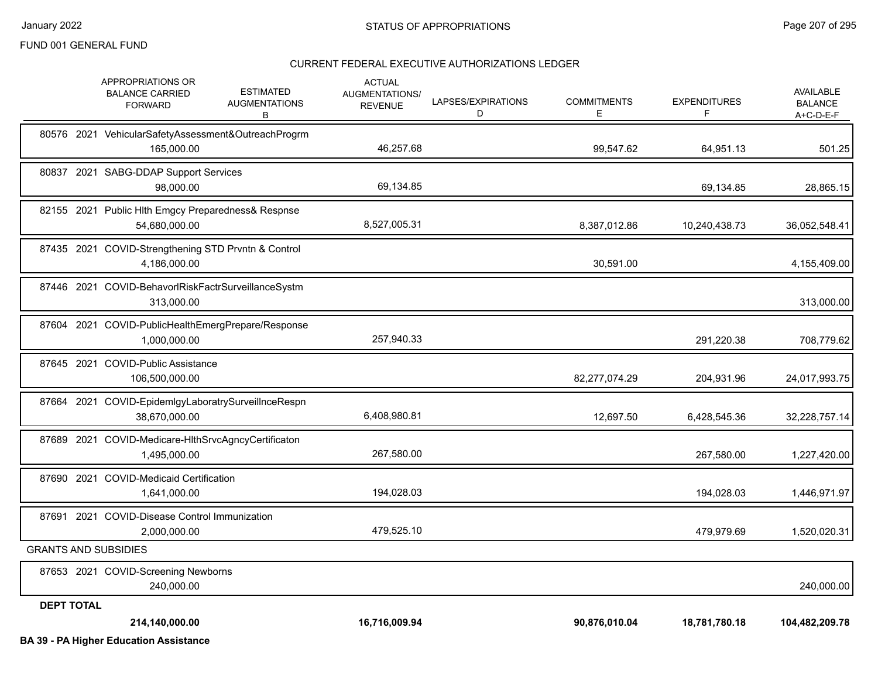|                   | <b>BA 39 - PA Higher Education Assistance</b>                        |                                               |                                                   |                         |                          |                          |                                                   |
|-------------------|----------------------------------------------------------------------|-----------------------------------------------|---------------------------------------------------|-------------------------|--------------------------|--------------------------|---------------------------------------------------|
|                   | 214,140,000.00                                                       |                                               | 16,716,009.94                                     |                         | 90,876,010.04            | 18,781,780.18            | 104,482,209.78                                    |
| <b>DEPT TOTAL</b> |                                                                      |                                               |                                                   |                         |                          |                          |                                                   |
|                   | 87653 2021 COVID-Screening Newborns<br>240,000.00                    |                                               |                                                   |                         |                          |                          | 240,000.00                                        |
|                   | <b>GRANTS AND SUBSIDIES</b>                                          |                                               |                                                   |                         |                          |                          |                                                   |
|                   | 87691 2021 COVID-Disease Control Immunization<br>2,000,000.00        |                                               | 479,525.10                                        |                         |                          | 479.979.69               | 1,520,020.31                                      |
|                   | 87690 2021 COVID-Medicaid Certification<br>1,641,000.00              |                                               | 194,028.03                                        |                         |                          | 194,028.03               | 1,446,971.97                                      |
|                   | 87689 2021 COVID-Medicare-HIthSrvcAgncyCertificaton<br>1,495,000.00  |                                               | 267,580.00                                        |                         |                          | 267,580.00               | 1,227,420.00                                      |
|                   | 87664 2021 COVID-EpidemlgyLaboratrySurveilInceRespn<br>38,670,000.00 |                                               | 6,408,980.81                                      |                         | 12,697.50                | 6,428,545.36             | 32,228,757.14                                     |
|                   | 87645 2021 COVID-Public Assistance<br>106,500,000.00                 |                                               |                                                   |                         | 82,277,074.29            | 204,931.96               | 24,017,993.75                                     |
|                   | 87604 2021 COVID-PublicHealthEmergPrepare/Response<br>1,000,000.00   |                                               | 257,940.33                                        |                         |                          | 291,220.38               | 708,779.62                                        |
|                   | 87446 2021 COVID-BehavorlRiskFactrSurveillanceSystm<br>313,000.00    |                                               |                                                   |                         |                          |                          | 313,000.00                                        |
|                   | 87435 2021 COVID-Strengthening STD Prvntn & Control<br>4,186,000.00  |                                               |                                                   |                         | 30,591.00                |                          | 4,155,409.00                                      |
|                   | 82155 2021 Public Hlth Emgcy Preparedness& Respnse<br>54,680,000.00  |                                               | 8,527,005.31                                      |                         | 8,387,012.86             | 10,240,438.73            | 36,052,548.41                                     |
|                   | 80837 2021 SABG-DDAP Support Services<br>98,000.00                   |                                               | 69,134.85                                         |                         |                          | 69,134.85                | 28,865.15                                         |
|                   | 80576 2021 VehicularSafetyAssessment&OutreachProgrm<br>165,000.00    |                                               | 46,257.68                                         |                         | 99,547.62                | 64,951.13                | 501.25                                            |
|                   | APPROPRIATIONS OR<br><b>BALANCE CARRIED</b><br><b>FORWARD</b>        | <b>ESTIMATED</b><br><b>AUGMENTATIONS</b><br>в | <b>ACTUAL</b><br>AUGMENTATIONS/<br><b>REVENUE</b> | LAPSES/EXPIRATIONS<br>D | <b>COMMITMENTS</b><br>E. | <b>EXPENDITURES</b><br>F | <b>AVAILABLE</b><br><b>BALANCE</b><br>$A+C-D-E-F$ |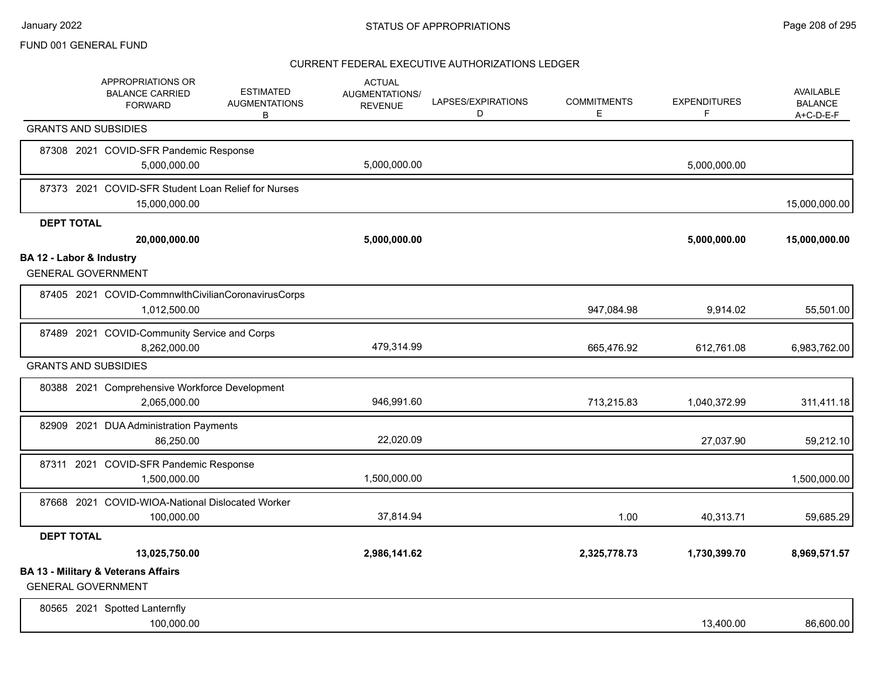|                          | APPROPRIATIONS OR<br><b>BALANCE CARRIED</b><br><b>FORWARD</b>               | <b>ESTIMATED</b><br><b>AUGMENTATIONS</b><br>B | <b>ACTUAL</b><br><b>AUGMENTATIONS/</b><br><b>REVENUE</b> | LAPSES/EXPIRATIONS<br>D | <b>COMMITMENTS</b><br>E | <b>EXPENDITURES</b><br>F | <b>AVAILABLE</b><br><b>BALANCE</b><br>$A+C-D-E-F$ |
|--------------------------|-----------------------------------------------------------------------------|-----------------------------------------------|----------------------------------------------------------|-------------------------|-------------------------|--------------------------|---------------------------------------------------|
|                          | <b>GRANTS AND SUBSIDIES</b>                                                 |                                               |                                                          |                         |                         |                          |                                                   |
|                          | 87308 2021 COVID-SFR Pandemic Response<br>5,000,000.00                      |                                               | 5,000,000.00                                             |                         |                         | 5,000,000.00             |                                                   |
|                          | 87373 2021 COVID-SFR Student Loan Relief for Nurses<br>15,000,000.00        |                                               |                                                          |                         |                         |                          | 15,000,000.00                                     |
| <b>DEPT TOTAL</b>        |                                                                             |                                               |                                                          |                         |                         |                          |                                                   |
|                          | 20,000,000.00                                                               |                                               | 5,000,000.00                                             |                         |                         | 5,000,000.00             | 15,000,000.00                                     |
| BA 12 - Labor & Industry | <b>GENERAL GOVERNMENT</b>                                                   |                                               |                                                          |                         |                         |                          |                                                   |
|                          | 87405 2021 COVID-CommnwlthCivilianCoronavirusCorps<br>1,012,500.00          |                                               |                                                          |                         | 947,084.98              | 9,914.02                 | 55,501.00                                         |
|                          | 87489 2021 COVID-Community Service and Corps<br>8,262,000.00                |                                               | 479,314.99                                               |                         | 665,476.92              | 612,761.08               | 6,983,762.00                                      |
|                          | <b>GRANTS AND SUBSIDIES</b>                                                 |                                               |                                                          |                         |                         |                          |                                                   |
|                          | 80388 2021 Comprehensive Workforce Development<br>2,065,000.00              |                                               | 946,991.60                                               |                         | 713,215.83              | 1,040,372.99             | 311,411.18                                        |
|                          | 82909 2021 DUA Administration Payments<br>86,250.00                         |                                               | 22,020.09                                                |                         |                         | 27,037.90                | 59,212.10                                         |
|                          | 87311 2021 COVID-SFR Pandemic Response<br>1,500,000.00                      |                                               | 1,500,000.00                                             |                         |                         |                          | 1,500,000.00                                      |
|                          | 87668 2021 COVID-WIOA-National Dislocated Worker<br>100,000.00              |                                               | 37,814.94                                                |                         | 1.00                    | 40,313.71                | 59,685.29                                         |
| <b>DEPT TOTAL</b>        |                                                                             |                                               |                                                          |                         |                         |                          |                                                   |
|                          | 13,025,750.00                                                               |                                               | 2,986,141.62                                             |                         | 2,325,778.73            | 1,730,399.70             | 8,969,571.57                                      |
|                          | <b>BA 13 - Military &amp; Veterans Affairs</b><br><b>GENERAL GOVERNMENT</b> |                                               |                                                          |                         |                         |                          |                                                   |
|                          | 80565 2021 Spotted Lanternfly<br>100,000.00                                 |                                               |                                                          |                         |                         | 13,400.00                | 86,600.00                                         |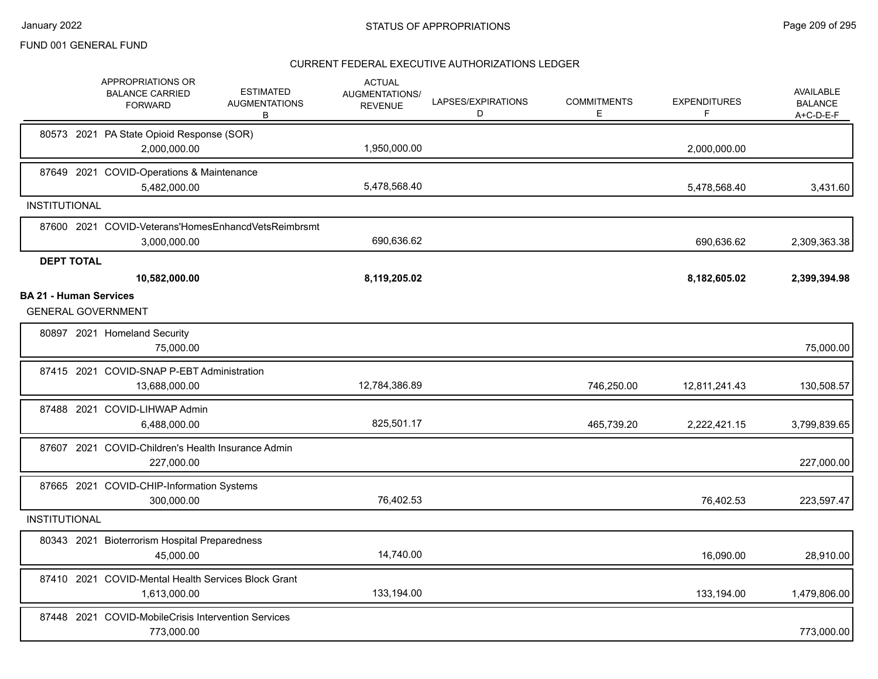|                               | APPROPRIATIONS OR<br><b>BALANCE CARRIED</b><br><b>FORWARD</b>       | <b>ESTIMATED</b><br><b>AUGMENTATIONS</b><br>В | <b>ACTUAL</b><br>AUGMENTATIONS/<br><b>REVENUE</b> | LAPSES/EXPIRATIONS<br>D | <b>COMMITMENTS</b><br>Ε | <b>EXPENDITURES</b><br>F | AVAILABLE<br><b>BALANCE</b><br>A+C-D-E-F |
|-------------------------------|---------------------------------------------------------------------|-----------------------------------------------|---------------------------------------------------|-------------------------|-------------------------|--------------------------|------------------------------------------|
|                               | 80573 2021 PA State Opioid Response (SOR)<br>2,000,000.00           |                                               | 1,950,000.00                                      |                         |                         | 2,000,000.00             |                                          |
|                               | 87649 2021 COVID-Operations & Maintenance<br>5,482,000.00           |                                               | 5,478,568.40                                      |                         |                         | 5,478,568.40             | 3,431.60                                 |
| <b>INSTITUTIONAL</b>          |                                                                     |                                               |                                                   |                         |                         |                          |                                          |
|                               | 87600 2021 COVID-Veterans'HomesEnhancdVetsReimbrsmt<br>3,000,000.00 |                                               | 690,636.62                                        |                         |                         | 690,636.62               | 2,309,363.38                             |
| <b>DEPT TOTAL</b>             |                                                                     |                                               |                                                   |                         |                         |                          |                                          |
|                               | 10,582,000.00                                                       |                                               | 8,119,205.02                                      |                         |                         | 8,182,605.02             | 2,399,394.98                             |
| <b>BA 21 - Human Services</b> | <b>GENERAL GOVERNMENT</b>                                           |                                               |                                                   |                         |                         |                          |                                          |
|                               | 80897 2021 Homeland Security<br>75.000.00                           |                                               |                                                   |                         |                         |                          | 75,000.00                                |
|                               | 87415 2021 COVID-SNAP P-EBT Administration<br>13,688,000.00         |                                               | 12,784,386.89                                     |                         | 746,250.00              | 12,811,241.43            | 130,508.57                               |
|                               | 87488 2021 COVID-LIHWAP Admin<br>6,488,000.00                       |                                               | 825,501.17                                        |                         | 465,739.20              | 2,222,421.15             | 3,799,839.65                             |
|                               | 87607 2021 COVID-Children's Health Insurance Admin<br>227,000.00    |                                               |                                                   |                         |                         |                          | 227,000.00                               |
|                               | 87665 2021 COVID-CHIP-Information Systems<br>300,000.00             |                                               | 76,402.53                                         |                         |                         | 76,402.53                | 223,597.47                               |
| <b>INSTITUTIONAL</b>          |                                                                     |                                               |                                                   |                         |                         |                          |                                          |
|                               | 80343 2021 Bioterrorism Hospital Preparedness<br>45,000.00          |                                               | 14,740.00                                         |                         |                         | 16,090.00                | 28,910.00                                |
|                               | 87410 2021 COVID-Mental Health Services Block Grant<br>1,613,000.00 |                                               | 133,194.00                                        |                         |                         | 133,194.00               | 1,479,806.00                             |
|                               | 87448 2021 COVID-MobileCrisis Intervention Services<br>773,000.00   |                                               |                                                   |                         |                         |                          | 773,000.00                               |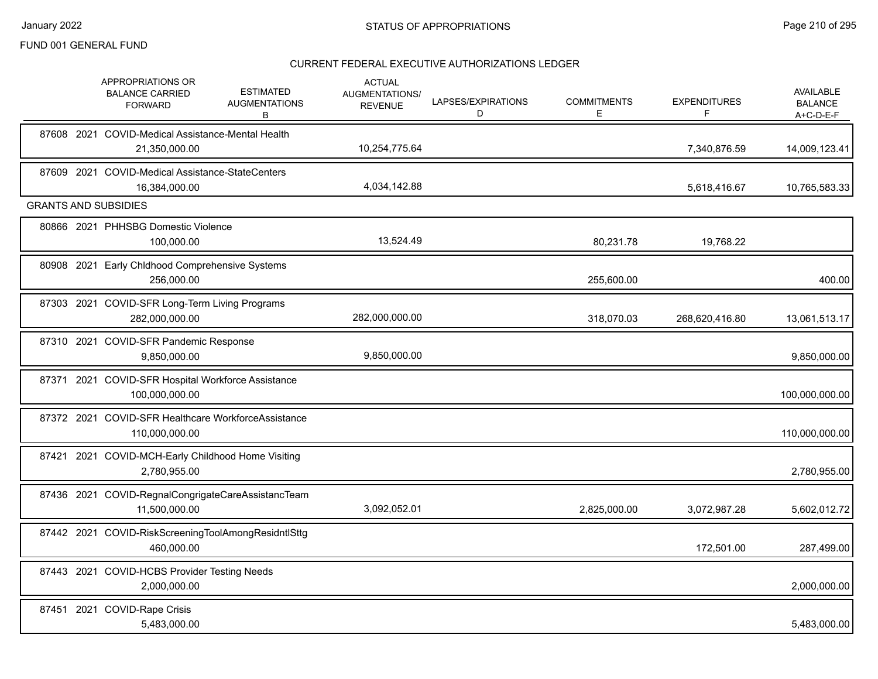|  | APPROPRIATIONS OR<br><b>BALANCE CARRIED</b><br><b>FORWARD</b>         | <b>ESTIMATED</b><br><b>AUGMENTATIONS</b><br>В | <b>ACTUAL</b><br>AUGMENTATIONS/<br><b>REVENUE</b> | LAPSES/EXPIRATIONS<br>D | <b>COMMITMENTS</b><br>E | <b>EXPENDITURES</b><br>F | AVAILABLE<br><b>BALANCE</b><br>A+C-D-E-F |
|--|-----------------------------------------------------------------------|-----------------------------------------------|---------------------------------------------------|-------------------------|-------------------------|--------------------------|------------------------------------------|
|  | 87608 2021 COVID-Medical Assistance-Mental Health<br>21,350,000.00    |                                               | 10,254,775.64                                     |                         |                         | 7,340,876.59             | 14,009,123.41                            |
|  | 87609 2021 COVID-Medical Assistance-StateCenters<br>16,384,000.00     |                                               | 4,034,142.88                                      |                         |                         | 5,618,416.67             | 10,765,583.33                            |
|  | <b>GRANTS AND SUBSIDIES</b>                                           |                                               |                                                   |                         |                         |                          |                                          |
|  | 80866 2021 PHHSBG Domestic Violence<br>100,000.00                     |                                               | 13,524.49                                         |                         | 80,231.78               | 19,768.22                |                                          |
|  | 80908 2021 Early Chldhood Comprehensive Systems<br>256,000.00         |                                               |                                                   |                         | 255,600.00              |                          | 400.00                                   |
|  | 87303 2021 COVID-SFR Long-Term Living Programs<br>282,000,000.00      |                                               | 282,000,000.00                                    |                         | 318,070.03              | 268,620,416.80           | 13,061,513.17                            |
|  | 87310 2021 COVID-SFR Pandemic Response<br>9,850,000.00                |                                               | 9,850,000.00                                      |                         |                         |                          | 9,850,000.00                             |
|  | 87371 2021 COVID-SFR Hospital Workforce Assistance<br>100,000,000.00  |                                               |                                                   |                         |                         |                          | 100,000,000.00                           |
|  | 87372 2021 COVID-SFR Healthcare WorkforceAssistance<br>110,000,000.00 |                                               |                                                   |                         |                         |                          | 110,000,000.00                           |
|  | 87421 2021 COVID-MCH-Early Childhood Home Visiting<br>2,780,955.00    |                                               |                                                   |                         |                         |                          | 2,780,955.00                             |
|  | 87436 2021 COVID-RegnalCongrigateCareAssistancTeam<br>11,500,000.00   |                                               | 3,092,052.01                                      |                         | 2,825,000.00            | 3,072,987.28             | 5,602,012.72                             |
|  | 87442 2021 COVID-RiskScreeningToolAmongResidntlSttg<br>460,000.00     |                                               |                                                   |                         |                         | 172,501.00               | 287,499.00                               |
|  | 87443 2021 COVID-HCBS Provider Testing Needs<br>2,000,000.00          |                                               |                                                   |                         |                         |                          | 2,000,000.00                             |
|  | 87451 2021 COVID-Rape Crisis<br>5,483,000.00                          |                                               |                                                   |                         |                         |                          | 5,483,000.00                             |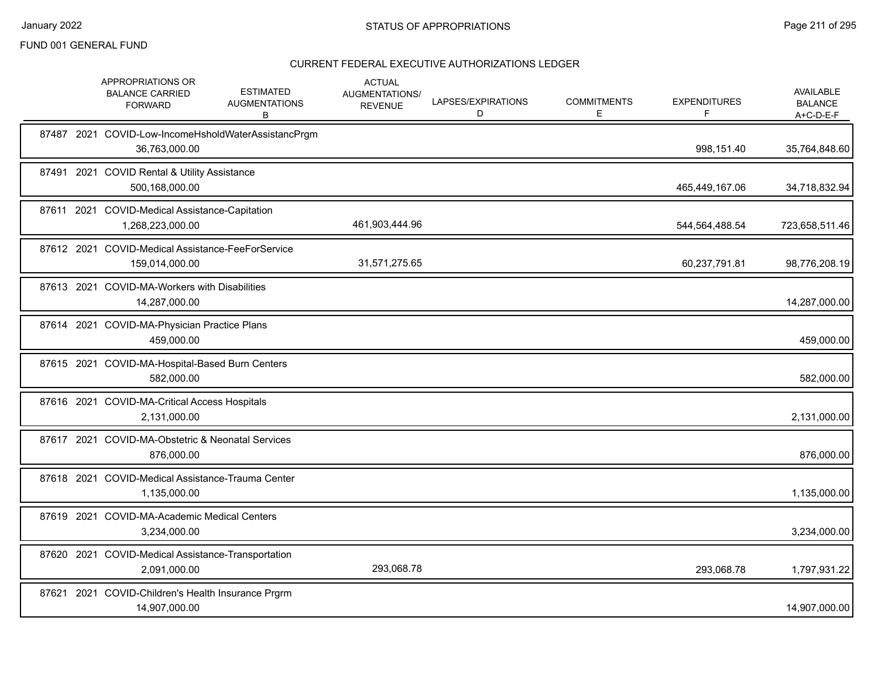| APPROPRIATIONS OR<br><b>BALANCE CARRIED</b><br><b>FORWARD</b>       | <b>ESTIMATED</b><br><b>AUGMENTATIONS</b><br>В       | <b>ACTUAL</b><br>AUGMENTATIONS/<br><b>REVENUE</b> | LAPSES/EXPIRATIONS<br>D | <b>COMMITMENTS</b><br>E. | <b>EXPENDITURES</b> | <b>AVAILABLE</b><br><b>BALANCE</b><br>A+C-D-E-F |
|---------------------------------------------------------------------|-----------------------------------------------------|---------------------------------------------------|-------------------------|--------------------------|---------------------|-------------------------------------------------|
| 36,763,000.00                                                       | 87487 2021 COVID-Low-IncomeHsholdWaterAssistancPrgm |                                                   |                         |                          | 998,151.40          | 35,764,848.60                                   |
| 87491 2021 COVID Rental & Utility Assistance<br>500,168,000.00      |                                                     |                                                   |                         |                          | 465,449,167.06      | 34,718,832.94                                   |
| 87611 2021 COVID-Medical Assistance-Capitation<br>1,268,223,000.00  |                                                     | 461,903,444.96                                    |                         |                          | 544,564,488.54      | 723,658,511.46                                  |
| 87612 2021 COVID-Medical Assistance-FeeForService<br>159,014,000.00 |                                                     | 31,571,275.65                                     |                         |                          | 60,237,791.81       | 98,776,208.19                                   |
| 87613 2021 COVID-MA-Workers with Disabilities<br>14,287,000.00      |                                                     |                                                   |                         |                          |                     | 14,287,000.00                                   |
| 87614 2021 COVID-MA-Physician Practice Plans<br>459,000.00          |                                                     |                                                   |                         |                          |                     | 459,000.00                                      |
| 87615 2021 COVID-MA-Hospital-Based Burn Centers<br>582,000.00       |                                                     |                                                   |                         |                          |                     | 582,000.00                                      |
| 87616 2021 COVID-MA-Critical Access Hospitals<br>2,131,000.00       |                                                     |                                                   |                         |                          |                     | 2,131,000.00                                    |
| 87617 2021 COVID-MA-Obstetric & Neonatal Services<br>876,000.00     |                                                     |                                                   |                         |                          |                     | 876,000.00                                      |
| 87618 2021 COVID-Medical Assistance-Trauma Center<br>1,135,000.00   |                                                     |                                                   |                         |                          |                     | 1,135,000.00                                    |
| 87619 2021 COVID-MA-Academic Medical Centers<br>3,234,000.00        |                                                     |                                                   |                         |                          |                     | 3,234,000.00                                    |
| 87620 2021 COVID-Medical Assistance-Transportation<br>2,091,000.00  |                                                     | 293,068.78                                        |                         |                          | 293,068.78          | 1,797,931.22                                    |
| 87621 2021 COVID-Children's Health Insurance Prgrm<br>14,907,000.00 |                                                     |                                                   |                         |                          |                     | 14,907,000.00                                   |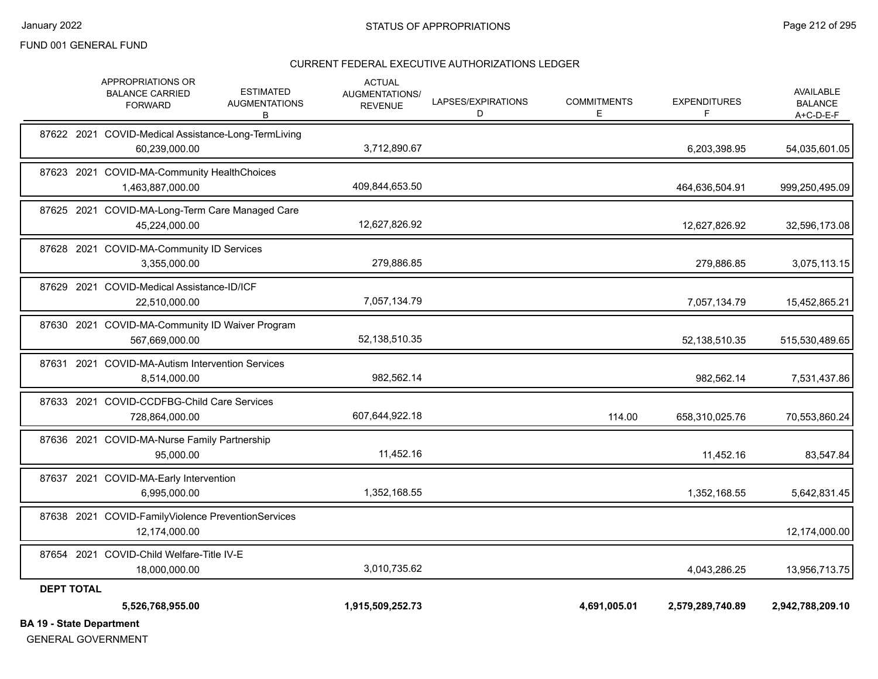#### CURRENT FEDERAL EXECUTIVE AUTHORIZATIONS LEDGER

| <b>BA 19 - State Department</b> |                                                                      |                                               |                                                   |                         |                          |                          |                                                   |
|---------------------------------|----------------------------------------------------------------------|-----------------------------------------------|---------------------------------------------------|-------------------------|--------------------------|--------------------------|---------------------------------------------------|
|                                 | 5,526,768,955.00                                                     |                                               | 1,915,509,252.73                                  |                         | 4,691,005.01             | 2,579,289,740.89         | 2,942,788,209.10                                  |
| <b>DEPT TOTAL</b>               |                                                                      |                                               |                                                   |                         |                          |                          |                                                   |
|                                 | 87654 2021 COVID-Child Welfare-Title IV-E<br>18,000,000.00           |                                               | 3,010,735.62                                      |                         |                          | 4,043,286.25             | 13,956,713.75                                     |
|                                 | 87638 2021 COVID-FamilyViolence PreventionServices<br>12,174,000.00  |                                               |                                                   |                         |                          |                          | 12,174,000.00                                     |
|                                 | 87637 2021 COVID-MA-Early Intervention<br>6,995,000.00               |                                               | 1,352,168.55                                      |                         |                          | 1,352,168.55             | 5,642,831.45                                      |
|                                 | 87636 2021 COVID-MA-Nurse Family Partnership<br>95,000.00            |                                               | 11,452.16                                         |                         |                          | 11,452.16                | 83,547.84                                         |
|                                 | 87633 2021 COVID-CCDFBG-Child Care Services<br>728,864,000.00        |                                               | 607,644,922.18                                    |                         | 114.00                   | 658,310,025.76           | 70,553,860.24                                     |
|                                 | 87631 2021 COVID-MA-Autism Intervention Services<br>8,514,000.00     |                                               | 982,562.14                                        |                         |                          | 982,562.14               | 7,531,437.86                                      |
|                                 | 87630 2021 COVID-MA-Community ID Waiver Program<br>567,669,000.00    |                                               | 52,138,510.35                                     |                         |                          | 52,138,510.35            | 515,530,489.65                                    |
|                                 | 87629 2021 COVID-Medical Assistance-ID/ICF<br>22,510,000.00          |                                               | 7,057,134.79                                      |                         |                          | 7,057,134.79             | 15,452,865.21                                     |
|                                 | 87628 2021 COVID-MA-Community ID Services<br>3,355,000.00            |                                               | 279,886.85                                        |                         |                          | 279,886.85               | 3,075,113.15                                      |
|                                 | 87625 2021 COVID-MA-Long-Term Care Managed Care<br>45,224,000.00     |                                               | 12,627,826.92                                     |                         |                          | 12,627,826.92            | 32,596,173.08                                     |
|                                 | 87623 2021 COVID-MA-Community HealthChoices<br>1,463,887,000.00      |                                               | 409,844,653.50                                    |                         |                          | 464,636,504.91           | 999,250,495.09                                    |
|                                 | 87622 2021 COVID-Medical Assistance-Long-TermLiving<br>60,239,000.00 |                                               | 3,712,890.67                                      |                         |                          | 6,203,398.95             | 54,035,601.05                                     |
|                                 | APPROPRIATIONS OR<br><b>BALANCE CARRIED</b><br><b>FORWARD</b>        | <b>ESTIMATED</b><br><b>AUGMENTATIONS</b><br>В | <b>ACTUAL</b><br>AUGMENTATIONS/<br><b>REVENUE</b> | LAPSES/EXPIRATIONS<br>D | <b>COMMITMENTS</b><br>Е. | <b>EXPENDITURES</b><br>F | <b>AVAILABLE</b><br><b>BALANCE</b><br>$A+C-D-E-F$ |

GENERAL GOVERNMENT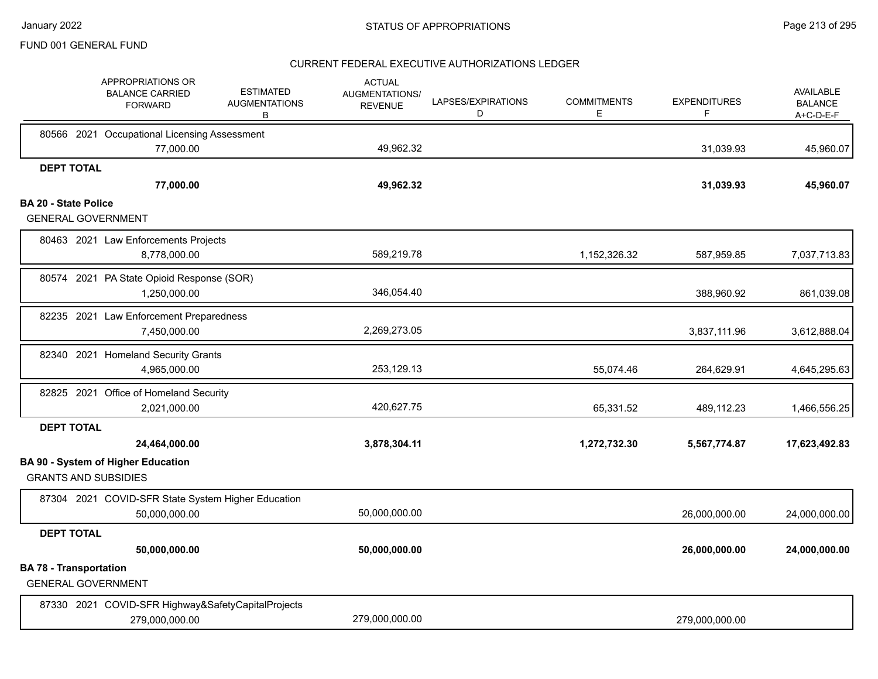|                             | APPROPRIATIONS OR<br><b>BALANCE CARRIED</b><br><b>FORWARD</b>        | <b>ESTIMATED</b><br><b>AUGMENTATIONS</b><br>В | <b>ACTUAL</b><br>AUGMENTATIONS/<br><b>REVENUE</b> | LAPSES/EXPIRATIONS<br>D | <b>COMMITMENTS</b><br>Е | <b>EXPENDITURES</b><br>F | <b>AVAILABLE</b><br><b>BALANCE</b><br>A+C-D-E-F |
|-----------------------------|----------------------------------------------------------------------|-----------------------------------------------|---------------------------------------------------|-------------------------|-------------------------|--------------------------|-------------------------------------------------|
|                             | 80566 2021 Occupational Licensing Assessment                         |                                               |                                                   |                         |                         |                          |                                                 |
|                             | 77,000.00                                                            |                                               | 49,962.32                                         |                         |                         | 31,039.93                | 45,960.07                                       |
| <b>DEPT TOTAL</b>           | 77,000.00                                                            |                                               | 49,962.32                                         |                         |                         | 31,039.93                | 45,960.07                                       |
| <b>BA 20 - State Police</b> |                                                                      |                                               |                                                   |                         |                         |                          |                                                 |
|                             | <b>GENERAL GOVERNMENT</b>                                            |                                               |                                                   |                         |                         |                          |                                                 |
|                             | 80463 2021 Law Enforcements Projects                                 |                                               |                                                   |                         |                         |                          |                                                 |
|                             | 8,778,000.00                                                         |                                               | 589,219.78                                        |                         | 1,152,326.32            | 587,959.85               | 7,037,713.83                                    |
|                             | 80574 2021 PA State Opioid Response (SOR)                            |                                               |                                                   |                         |                         |                          |                                                 |
|                             | 1,250,000.00                                                         |                                               | 346,054.40                                        |                         |                         | 388,960.92               | 861,039.08                                      |
|                             | 82235 2021 Law Enforcement Preparedness                              |                                               |                                                   |                         |                         |                          |                                                 |
|                             | 7,450,000.00                                                         |                                               | 2,269,273.05                                      |                         |                         | 3,837,111.96             | 3,612,888.04                                    |
|                             | 82340 2021 Homeland Security Grants                                  |                                               |                                                   |                         |                         |                          |                                                 |
|                             | 4,965,000.00                                                         |                                               | 253,129.13                                        |                         | 55,074.46               | 264,629.91               | 4,645,295.63                                    |
|                             | 82825 2021 Office of Homeland Security                               |                                               |                                                   |                         |                         |                          |                                                 |
|                             | 2,021,000.00                                                         |                                               | 420,627.75                                        |                         | 65,331.52               | 489,112.23               | 1,466,556.25                                    |
| <b>DEPT TOTAL</b>           |                                                                      |                                               |                                                   |                         |                         |                          |                                                 |
|                             | 24,464,000.00                                                        |                                               | 3,878,304.11                                      |                         | 1,272,732.30            | 5,567,774.87             | 17,623,492.83                                   |
|                             | <b>BA 90 - System of Higher Education</b>                            |                                               |                                                   |                         |                         |                          |                                                 |
|                             | <b>GRANTS AND SUBSIDIES</b>                                          |                                               |                                                   |                         |                         |                          |                                                 |
|                             | 87304 2021 COVID-SFR State System Higher Education                   |                                               |                                                   |                         |                         |                          |                                                 |
|                             | 50,000,000.00                                                        |                                               | 50,000,000.00                                     |                         |                         | 26,000,000.00            | 24,000,000.00                                   |
| <b>DEPT TOTAL</b>           |                                                                      |                                               |                                                   |                         |                         |                          |                                                 |
|                             | 50,000,000.00                                                        |                                               | 50,000,000.00                                     |                         |                         | 26,000,000.00            | 24,000,000.00                                   |
|                             | <b>BA 78 - Transportation</b><br><b>GENERAL GOVERNMENT</b>           |                                               |                                                   |                         |                         |                          |                                                 |
|                             | 87330 2021 COVID-SFR Highway&SafetyCapitalProjects<br>279,000,000.00 |                                               | 279,000,000.00                                    |                         |                         | 279,000,000.00           |                                                 |
|                             |                                                                      |                                               |                                                   |                         |                         |                          |                                                 |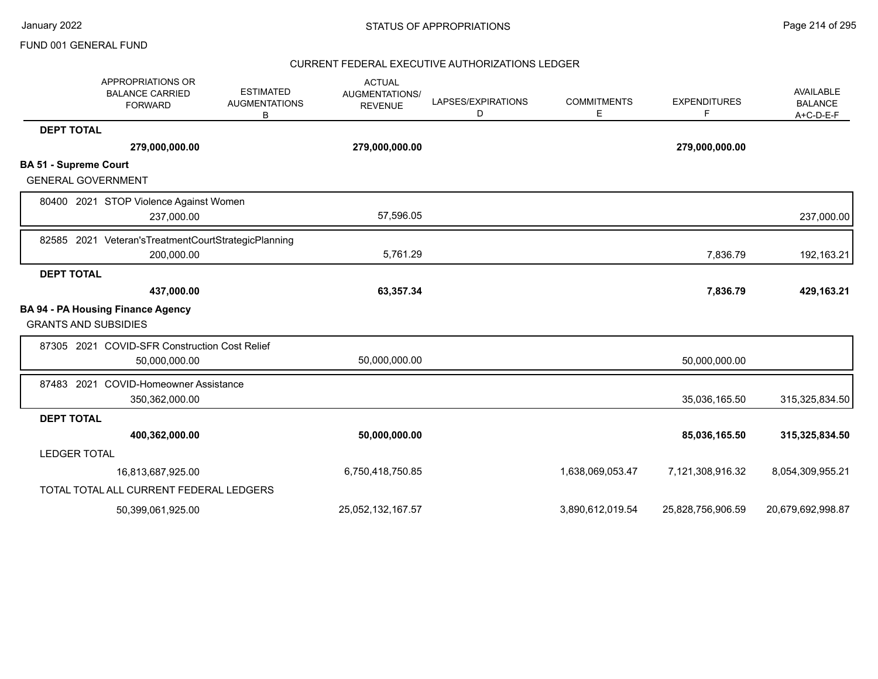|                              | APPROPRIATIONS OR<br><b>BALANCE CARRIED</b><br><b>FORWARD</b> | <b>ESTIMATED</b><br><b>AUGMENTATIONS</b><br>B | <b>ACTUAL</b><br>AUGMENTATIONS/<br><b>REVENUE</b> | LAPSES/EXPIRATIONS<br>D | <b>COMMITMENTS</b><br>Е | <b>EXPENDITURES</b><br>F | <b>AVAILABLE</b><br><b>BALANCE</b><br>$A+C-D-E-F$ |
|------------------------------|---------------------------------------------------------------|-----------------------------------------------|---------------------------------------------------|-------------------------|-------------------------|--------------------------|---------------------------------------------------|
| <b>DEPT TOTAL</b>            |                                                               |                                               |                                                   |                         |                         |                          |                                                   |
|                              | 279,000,000.00                                                |                                               | 279,000,000.00                                    |                         |                         | 279,000,000.00           |                                                   |
| <b>BA 51 - Supreme Court</b> |                                                               |                                               |                                                   |                         |                         |                          |                                                   |
| <b>GENERAL GOVERNMENT</b>    |                                                               |                                               |                                                   |                         |                         |                          |                                                   |
|                              | 80400 2021 STOP Violence Against Women                        |                                               |                                                   |                         |                         |                          |                                                   |
|                              | 237,000.00                                                    |                                               | 57,596.05                                         |                         |                         |                          | 237,000.00                                        |
|                              | 82585 2021 Veteran's Treatment Court Strategic Planning       |                                               |                                                   |                         |                         |                          |                                                   |
|                              | 200,000.00                                                    |                                               | 5,761.29                                          |                         |                         | 7,836.79                 | 192,163.21                                        |
| <b>DEPT TOTAL</b>            |                                                               |                                               |                                                   |                         |                         |                          |                                                   |
|                              | 437,000.00                                                    |                                               | 63,357.34                                         |                         |                         | 7,836.79                 | 429,163.21                                        |
|                              | <b>BA 94 - PA Housing Finance Agency</b>                      |                                               |                                                   |                         |                         |                          |                                                   |
| <b>GRANTS AND SUBSIDIES</b>  |                                                               |                                               |                                                   |                         |                         |                          |                                                   |
|                              | 87305 2021 COVID-SFR Construction Cost Relief                 |                                               |                                                   |                         |                         |                          |                                                   |
|                              | 50,000,000.00                                                 |                                               | 50,000,000.00                                     |                         |                         | 50,000,000.00            |                                                   |
| 87483 2021                   | <b>COVID-Homeowner Assistance</b>                             |                                               |                                                   |                         |                         |                          |                                                   |
|                              | 350,362,000.00                                                |                                               |                                                   |                         |                         | 35,036,165.50            | 315,325,834.50                                    |
| <b>DEPT TOTAL</b>            |                                                               |                                               |                                                   |                         |                         |                          |                                                   |
|                              | 400,362,000.00                                                |                                               | 50,000,000.00                                     |                         |                         | 85,036,165.50            | 315,325,834.50                                    |
| <b>LEDGER TOTAL</b>          |                                                               |                                               |                                                   |                         |                         |                          |                                                   |
|                              | 16,813,687,925.00                                             |                                               | 6,750,418,750.85                                  |                         | 1,638,069,053.47        | 7,121,308,916.32         | 8,054,309,955.21                                  |
|                              | TOTAL TOTAL ALL CURRENT FEDERAL LEDGERS                       |                                               |                                                   |                         |                         |                          |                                                   |
|                              | 50,399,061,925.00                                             |                                               | 25,052,132,167.57                                 |                         | 3,890,612,019.54        | 25,828,756,906.59        | 20,679,692,998.87                                 |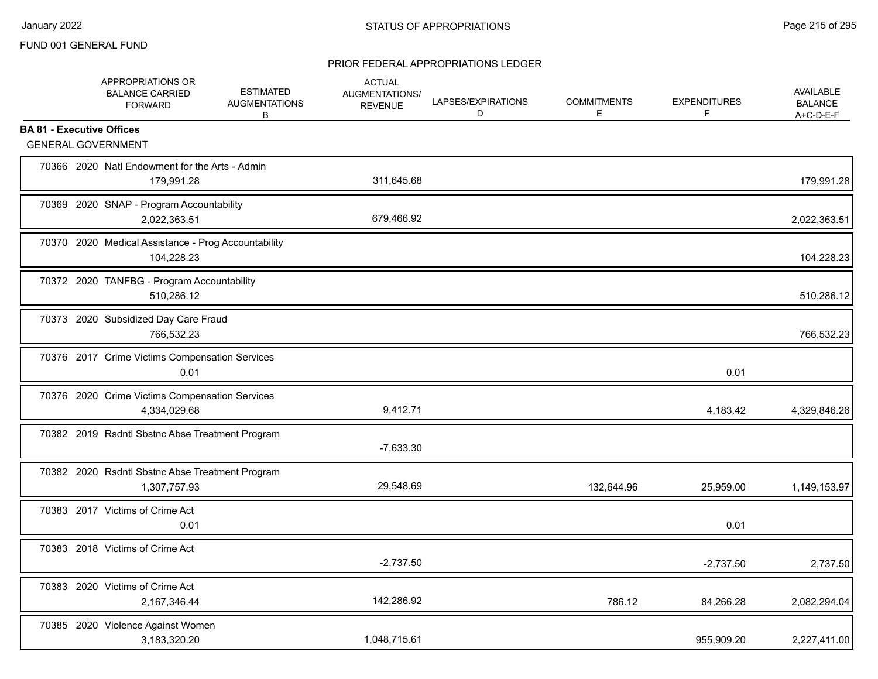# PRIOR FEDERAL APPROPRIATIONS LEDGER

|                                  | APPROPRIATIONS OR<br><b>BALANCE CARRIED</b><br><b>FORWARD</b>     | <b>ESTIMATED</b><br><b>AUGMENTATIONS</b><br>В | <b>ACTUAL</b><br>AUGMENTATIONS/<br><b>REVENUE</b> | LAPSES/EXPIRATIONS<br>D | <b>COMMITMENTS</b><br>Е | <b>EXPENDITURES</b><br>F | <b>AVAILABLE</b><br><b>BALANCE</b><br>A+C-D-E-F |
|----------------------------------|-------------------------------------------------------------------|-----------------------------------------------|---------------------------------------------------|-------------------------|-------------------------|--------------------------|-------------------------------------------------|
| <b>BA 81 - Executive Offices</b> |                                                                   |                                               |                                                   |                         |                         |                          |                                                 |
|                                  | <b>GENERAL GOVERNMENT</b>                                         |                                               |                                                   |                         |                         |                          |                                                 |
|                                  | 70366 2020 Natl Endowment for the Arts - Admin<br>179,991.28      |                                               | 311,645.68                                        |                         |                         |                          | 179,991.28                                      |
|                                  | 70369 2020 SNAP - Program Accountability<br>2,022,363.51          |                                               | 679,466.92                                        |                         |                         |                          | 2,022,363.51                                    |
|                                  | 70370 2020 Medical Assistance - Prog Accountability<br>104,228.23 |                                               |                                                   |                         |                         |                          | 104,228.23                                      |
|                                  | 70372 2020 TANFBG - Program Accountability<br>510,286.12          |                                               |                                                   |                         |                         |                          | 510,286.12                                      |
|                                  | 70373 2020 Subsidized Day Care Fraud<br>766.532.23                |                                               |                                                   |                         |                         |                          | 766,532.23                                      |
|                                  | 70376 2017 Crime Victims Compensation Services<br>0.01            |                                               |                                                   |                         |                         | 0.01                     |                                                 |
|                                  | 70376 2020 Crime Victims Compensation Services<br>4,334,029.68    |                                               | 9,412.71                                          |                         |                         | 4,183.42                 | 4,329,846.26                                    |
|                                  | 70382 2019 Rsdntl Sbstnc Abse Treatment Program                   |                                               | $-7,633.30$                                       |                         |                         |                          |                                                 |
|                                  | 70382 2020 Rsdntl Sbstnc Abse Treatment Program<br>1,307,757.93   |                                               | 29,548.69                                         |                         | 132,644.96              | 25,959.00                | 1,149,153.97                                    |
|                                  | 70383 2017 Victims of Crime Act<br>0.01                           |                                               |                                                   |                         |                         | 0.01                     |                                                 |
|                                  | 70383 2018 Victims of Crime Act                                   |                                               | $-2,737.50$                                       |                         |                         | $-2,737.50$              | 2,737.50                                        |
|                                  | 70383 2020 Victims of Crime Act<br>2,167,346.44                   |                                               | 142,286.92                                        |                         | 786.12                  | 84,266.28                | 2,082,294.04                                    |
|                                  | 70385 2020 Violence Against Women<br>3,183,320.20                 |                                               | 1,048,715.61                                      |                         |                         | 955,909.20               | 2,227,411.00                                    |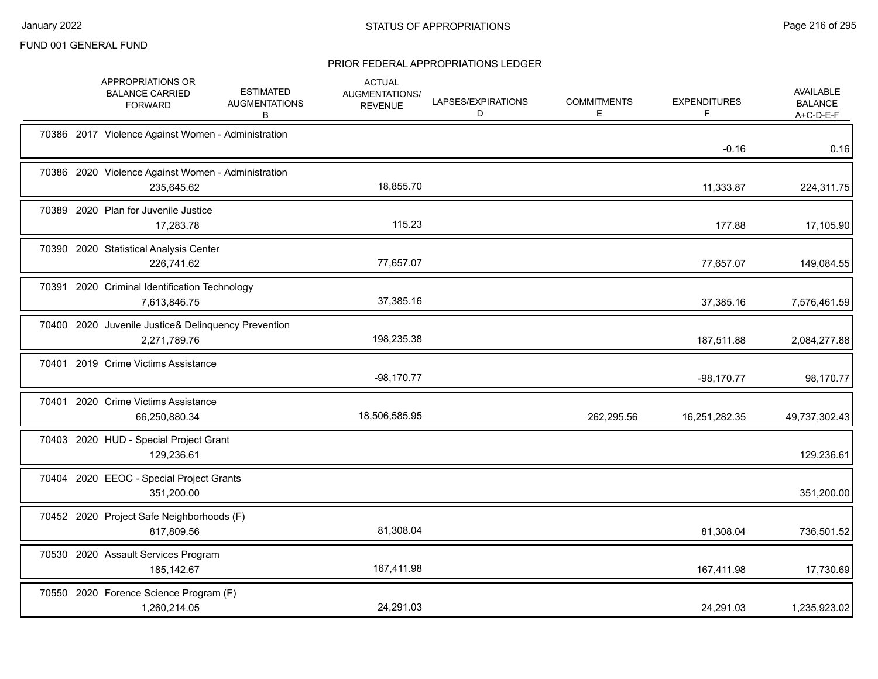# PRIOR FEDERAL APPROPRIATIONS LEDGER

|  | APPROPRIATIONS OR<br><b>BALANCE CARRIED</b><br><b>FORWARD</b>       | <b>ESTIMATED</b><br><b>AUGMENTATIONS</b><br>В | <b>ACTUAL</b><br>AUGMENTATIONS/<br><b>REVENUE</b> | LAPSES/EXPIRATIONS<br>D | <b>COMMITMENTS</b><br>Е | <b>EXPENDITURES</b><br>F | <b>AVAILABLE</b><br><b>BALANCE</b><br>$A+C-D-E-F$ |
|--|---------------------------------------------------------------------|-----------------------------------------------|---------------------------------------------------|-------------------------|-------------------------|--------------------------|---------------------------------------------------|
|  | 70386 2017 Violence Against Women - Administration                  |                                               |                                                   |                         |                         | $-0.16$                  | 0.16                                              |
|  | 70386 2020 Violence Against Women - Administration<br>235,645.62    |                                               | 18,855.70                                         |                         |                         | 11,333.87                | 224,311.75                                        |
|  | 70389 2020 Plan for Juvenile Justice<br>17,283.78                   |                                               | 115.23                                            |                         |                         | 177.88                   | 17,105.90                                         |
|  | 70390 2020 Statistical Analysis Center<br>226,741.62                |                                               | 77,657.07                                         |                         |                         | 77,657.07                | 149,084.55                                        |
|  | 70391 2020 Criminal Identification Technology<br>7,613,846.75       |                                               | 37,385.16                                         |                         |                         | 37,385.16                | 7,576,461.59                                      |
|  | 70400 2020 Juvenile Justice& Delinquency Prevention<br>2,271,789.76 |                                               | 198,235.38                                        |                         |                         | 187,511.88               | 2,084,277.88                                      |
|  | 70401 2019 Crime Victims Assistance                                 |                                               | $-98,170.77$                                      |                         |                         | $-98,170.77$             | 98,170.77                                         |
|  | 70401 2020 Crime Victims Assistance<br>66,250,880.34                |                                               | 18,506,585.95                                     |                         | 262,295.56              | 16,251,282.35            | 49,737,302.43                                     |
|  | 70403 2020 HUD - Special Project Grant<br>129,236.61                |                                               |                                                   |                         |                         |                          | 129,236.61                                        |
|  | 70404 2020 EEOC - Special Project Grants<br>351,200.00              |                                               |                                                   |                         |                         |                          | 351,200.00                                        |
|  | 70452 2020 Project Safe Neighborhoods (F)<br>817,809.56             |                                               | 81,308.04                                         |                         |                         | 81,308.04                | 736,501.52                                        |
|  | 70530 2020 Assault Services Program<br>185, 142.67                  |                                               | 167,411.98                                        |                         |                         | 167,411.98               | 17,730.69                                         |
|  | 70550 2020 Forence Science Program (F)<br>1,260,214.05              |                                               | 24,291.03                                         |                         |                         | 24,291.03                | 1,235,923.02                                      |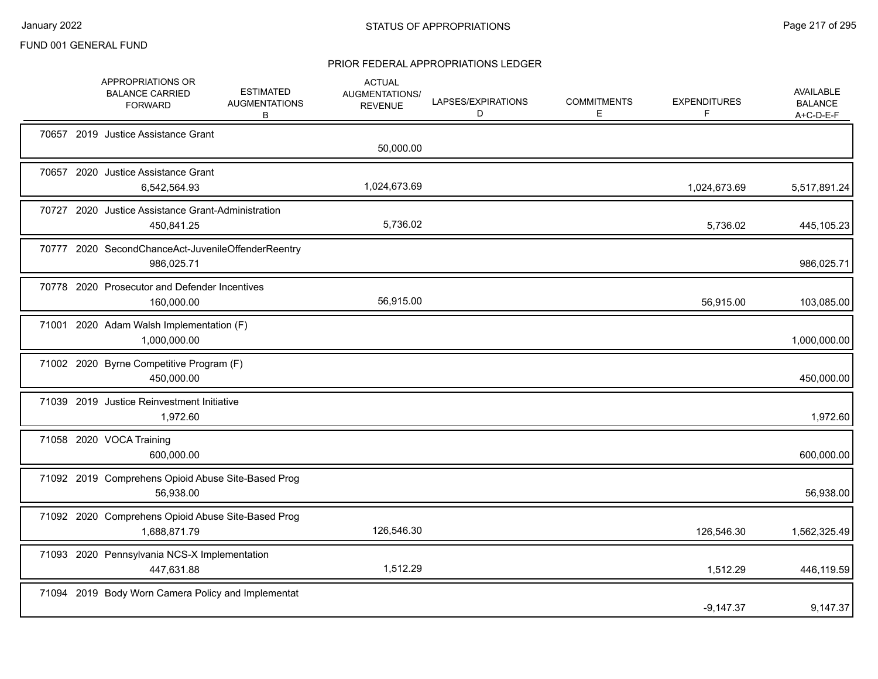|  | APPROPRIATIONS OR<br><b>BALANCE CARRIED</b><br><b>FORWARD</b>      | <b>ESTIMATED</b><br><b>AUGMENTATIONS</b><br>В | <b>ACTUAL</b><br><b>AUGMENTATIONS/</b><br><b>REVENUE</b> | LAPSES/EXPIRATIONS<br>D | <b>COMMITMENTS</b><br>Е | <b>EXPENDITURES</b><br>F | AVAILABLE<br><b>BALANCE</b><br>A+C-D-E-F |
|--|--------------------------------------------------------------------|-----------------------------------------------|----------------------------------------------------------|-------------------------|-------------------------|--------------------------|------------------------------------------|
|  | 70657 2019 Justice Assistance Grant                                |                                               | 50,000.00                                                |                         |                         |                          |                                          |
|  | 70657 2020 Justice Assistance Grant<br>6,542,564.93                |                                               | 1,024,673.69                                             |                         |                         | 1,024,673.69             | 5,517,891.24                             |
|  | 70727 2020 Justice Assistance Grant-Administration<br>450,841.25   |                                               | 5,736.02                                                 |                         |                         | 5,736.02                 | 445,105.23                               |
|  | 70777 2020 SecondChanceAct-JuvenileOffenderReentry<br>986,025.71   |                                               |                                                          |                         |                         |                          | 986,025.71                               |
|  | 70778 2020 Prosecutor and Defender Incentives<br>160,000.00        |                                               | 56,915.00                                                |                         |                         | 56,915.00                | 103,085.00                               |
|  | 71001 2020 Adam Walsh Implementation (F)<br>1,000,000.00           |                                               |                                                          |                         |                         |                          | 1,000,000.00                             |
|  | 71002 2020 Byrne Competitive Program (F)<br>450,000.00             |                                               |                                                          |                         |                         |                          | 450,000.00                               |
|  | 71039 2019 Justice Reinvestment Initiative<br>1,972.60             |                                               |                                                          |                         |                         |                          | 1,972.60                                 |
|  | 71058 2020 VOCA Training<br>600.000.00                             |                                               |                                                          |                         |                         |                          | 600,000.00                               |
|  | 71092 2019 Comprehens Opioid Abuse Site-Based Prog<br>56,938.00    |                                               |                                                          |                         |                         |                          | 56,938.00                                |
|  | 71092 2020 Comprehens Opioid Abuse Site-Based Prog<br>1,688,871.79 |                                               | 126,546.30                                               |                         |                         | 126,546.30               | 1,562,325.49                             |
|  | 71093 2020 Pennsylvania NCS-X Implementation<br>447,631.88         |                                               | 1,512.29                                                 |                         |                         | 1,512.29                 | 446,119.59                               |
|  | 71094 2019 Body Worn Camera Policy and Implementat                 |                                               |                                                          |                         |                         | $-9,147.37$              | 9,147.37                                 |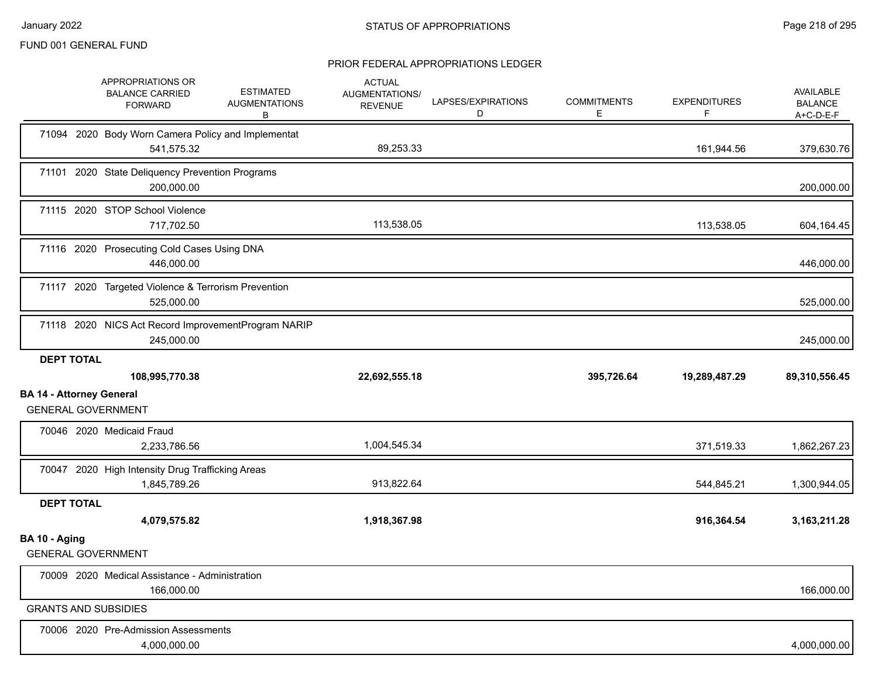|                                 | APPROPRIATIONS OR<br><b>BALANCE CARRIED</b><br><b>FORWARD</b>     | <b>ESTIMATED</b><br><b>AUGMENTATIONS</b><br>В | <b>ACTUAL</b><br>AUGMENTATIONS/<br><b>REVENUE</b> | LAPSES/EXPIRATIONS<br>D | <b>COMMITMENTS</b><br>Е | <b>EXPENDITURES</b><br>F | AVAILABLE<br><b>BALANCE</b><br>A+C-D-E-F |
|---------------------------------|-------------------------------------------------------------------|-----------------------------------------------|---------------------------------------------------|-------------------------|-------------------------|--------------------------|------------------------------------------|
|                                 | 71094 2020 Body Worn Camera Policy and Implementat<br>541,575.32  |                                               | 89,253.33                                         |                         |                         | 161,944.56               | 379,630.76                               |
|                                 | 71101 2020 State Deliquency Prevention Programs<br>200,000.00     |                                               |                                                   |                         |                         |                          | 200,000.00                               |
|                                 | 71115 2020 STOP School Violence<br>717,702.50                     |                                               | 113,538.05                                        |                         |                         | 113,538.05               | 604,164.45                               |
|                                 | 71116 2020 Prosecuting Cold Cases Using DNA<br>446,000.00         |                                               |                                                   |                         |                         |                          | 446,000.00                               |
|                                 | 71117 2020 Targeted Violence & Terrorism Prevention<br>525,000.00 |                                               |                                                   |                         |                         |                          | 525,000.00                               |
|                                 | 71118 2020 NICS Act Record ImprovementProgram NARIP<br>245,000.00 |                                               |                                                   |                         |                         |                          | 245,000.00                               |
| <b>DEPT TOTAL</b>               |                                                                   |                                               |                                                   |                         |                         |                          |                                          |
| <b>BA 14 - Attorney General</b> | 108,995,770.38                                                    |                                               | 22,692,555.18                                     |                         | 395,726.64              | 19,289,487.29            | 89,310,556.45                            |
|                                 | <b>GENERAL GOVERNMENT</b>                                         |                                               |                                                   |                         |                         |                          |                                          |
|                                 | 70046 2020 Medicaid Fraud<br>2,233,786.56                         |                                               | 1,004,545.34                                      |                         |                         | 371,519.33               |                                          |
|                                 | 70047 2020 High Intensity Drug Trafficking Areas<br>1,845,789.26  |                                               | 913,822.64                                        |                         |                         | 544,845.21               | 1,862,267.23<br>1,300,944.05             |
| <b>DEPT TOTAL</b>               | 4,079,575.82                                                      |                                               | 1,918,367.98                                      |                         |                         | 916,364.54               | 3,163,211.28                             |
| BA 10 - Aging                   | <b>GENERAL GOVERNMENT</b>                                         |                                               |                                                   |                         |                         |                          |                                          |
|                                 | 70009 2020 Medical Assistance - Administration<br>166,000.00      |                                               |                                                   |                         |                         |                          | 166,000.00                               |
|                                 | <b>GRANTS AND SUBSIDIES</b>                                       |                                               |                                                   |                         |                         |                          |                                          |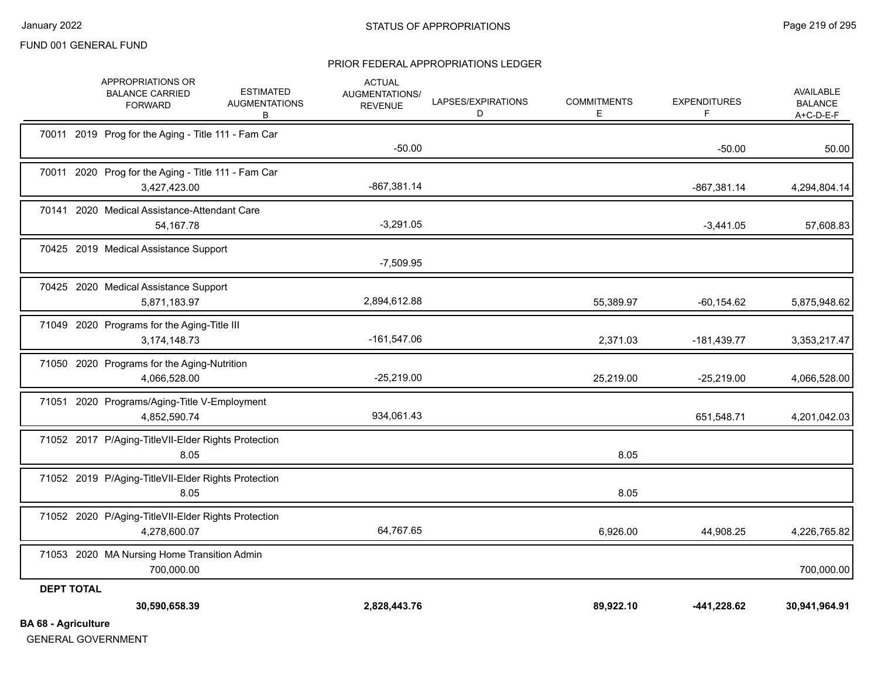#### PRIOR FEDERAL APPROPRIATIONS LEDGER

| <b>DA CO</b> Acriculture |                                                                     |                                               |                                                          |                         |                          |                           |                                                   |
|--------------------------|---------------------------------------------------------------------|-----------------------------------------------|----------------------------------------------------------|-------------------------|--------------------------|---------------------------|---------------------------------------------------|
| <b>DEPT TOTAL</b>        | 30,590,658.39                                                       |                                               | 2,828,443.76                                             |                         | 89,922.10                | -441,228.62               | 30,941,964.91                                     |
|                          | 71053 2020 MA Nursing Home Transition Admin<br>700,000.00           |                                               |                                                          |                         |                          |                           | 700,000.00                                        |
|                          | 71052 2020 P/Aging-TitleVII-Elder Rights Protection<br>4,278,600.07 |                                               | 64,767.65                                                |                         | 6,926.00                 | 44,908.25                 | 4,226,765.82                                      |
|                          | 71052 2019 P/Aging-TitleVII-Elder Rights Protection<br>8.05         |                                               |                                                          |                         | 8.05                     |                           |                                                   |
|                          | 71052 2017 P/Aging-TitleVII-Elder Rights Protection<br>8.05         |                                               |                                                          |                         | 8.05                     |                           |                                                   |
|                          | 71051 2020 Programs/Aging-Title V-Employment<br>4,852,590.74        |                                               | 934,061.43                                               |                         |                          | 651,548.71                | 4,201,042.03                                      |
|                          | 71050 2020 Programs for the Aging-Nutrition<br>4,066,528.00         |                                               | $-25,219.00$                                             |                         | 25,219.00                | $-25,219.00$              | 4,066,528.00                                      |
|                          | 71049 2020 Programs for the Aging-Title III<br>3,174,148.73         |                                               | $-161,547.06$                                            |                         | 2,371.03                 | $-181,439.77$             | 3,353,217.47                                      |
|                          | 70425 2020 Medical Assistance Support<br>5,871,183.97               |                                               | 2,894,612.88                                             |                         | 55,389.97                | $-60, 154.62$             | 5,875,948.62                                      |
|                          | 70425 2019 Medical Assistance Support                               |                                               | $-7,509.95$                                              |                         |                          |                           |                                                   |
|                          | 70141 2020 Medical Assistance-Attendant Care<br>54,167.78           |                                               | $-3,291.05$                                              |                         |                          | $-3,441.05$               | 57,608.83                                         |
|                          | 70011 2020 Prog for the Aging - Title 111 - Fam Car<br>3,427,423.00 |                                               | $-867,381.14$                                            |                         |                          | $-867,381.14$             | 4,294,804.14                                      |
|                          | 70011 2019 Prog for the Aging - Title 111 - Fam Car                 |                                               | $-50.00$                                                 |                         |                          | $-50.00$                  | 50.00                                             |
|                          | APPROPRIATIONS OR<br><b>BALANCE CARRIED</b><br><b>FORWARD</b>       | <b>ESTIMATED</b><br><b>AUGMENTATIONS</b><br>В | <b>ACTUAL</b><br><b>AUGMENTATIONS/</b><br><b>REVENUE</b> | LAPSES/EXPIRATIONS<br>D | <b>COMMITMENTS</b><br>E. | <b>EXPENDITURES</b><br>F. | <b>AVAILABLE</b><br><b>BALANCE</b><br>$A+C-D-E-F$ |

**BA 68 - Agriculture**

GENERAL GOVERNMENT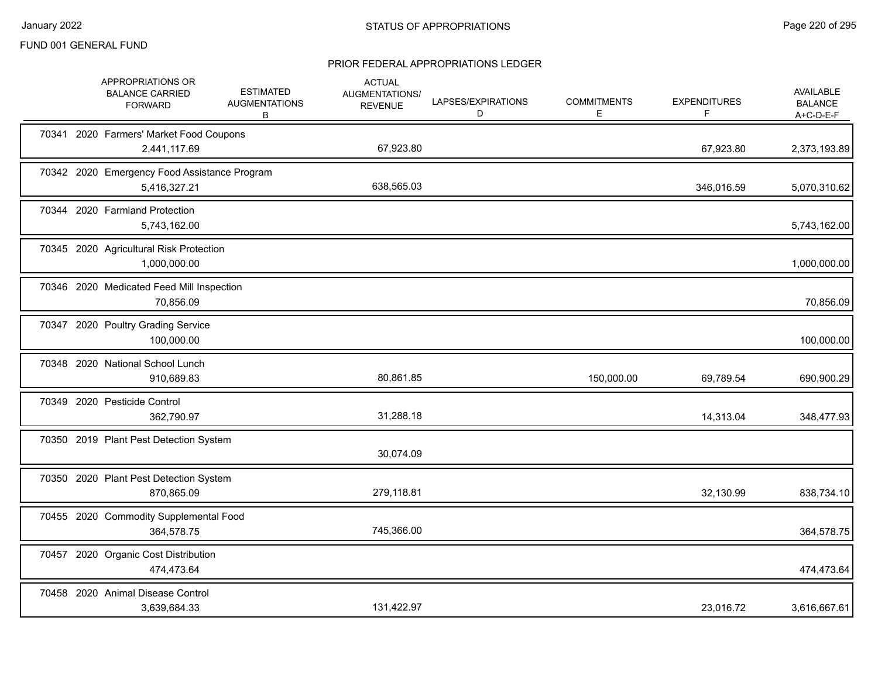|  | APPROPRIATIONS OR<br><b>BALANCE CARRIED</b><br><b>FORWARD</b> | <b>ESTIMATED</b><br><b>AUGMENTATIONS</b><br>В | <b>ACTUAL</b><br>AUGMENTATIONS/<br><b>REVENUE</b> | LAPSES/EXPIRATIONS<br>D | <b>COMMITMENTS</b><br>Е | <b>EXPENDITURES</b><br>F | AVAILABLE<br><b>BALANCE</b><br>A+C-D-E-F |
|--|---------------------------------------------------------------|-----------------------------------------------|---------------------------------------------------|-------------------------|-------------------------|--------------------------|------------------------------------------|
|  | 70341 2020 Farmers' Market Food Coupons<br>2,441,117.69       |                                               | 67,923.80                                         |                         |                         | 67,923.80                | 2,373,193.89                             |
|  | 70342 2020 Emergency Food Assistance Program<br>5,416,327.21  |                                               | 638,565.03                                        |                         |                         | 346,016.59               | 5,070,310.62                             |
|  | 70344 2020 Farmland Protection<br>5,743,162.00                |                                               |                                                   |                         |                         |                          | 5,743,162.00                             |
|  | 70345 2020 Agricultural Risk Protection<br>1,000,000.00       |                                               |                                                   |                         |                         |                          | 1,000,000.00                             |
|  | 70346 2020 Medicated Feed Mill Inspection<br>70,856.09        |                                               |                                                   |                         |                         |                          | 70,856.09                                |
|  | 70347 2020 Poultry Grading Service<br>100,000.00              |                                               |                                                   |                         |                         |                          | 100,000.00                               |
|  | 70348 2020 National School Lunch<br>910,689.83                |                                               | 80,861.85                                         |                         | 150,000.00              | 69,789.54                | 690,900.29                               |
|  | 70349 2020 Pesticide Control<br>362,790.97                    |                                               | 31,288.18                                         |                         |                         | 14,313.04                | 348,477.93                               |
|  | 70350 2019 Plant Pest Detection System                        |                                               | 30,074.09                                         |                         |                         |                          |                                          |
|  | 70350 2020 Plant Pest Detection System<br>870,865.09          |                                               | 279,118.81                                        |                         |                         | 32,130.99                | 838,734.10                               |
|  | 70455 2020 Commodity Supplemental Food<br>364,578.75          |                                               | 745,366.00                                        |                         |                         |                          | 364,578.75                               |
|  | 70457 2020 Organic Cost Distribution<br>474,473.64            |                                               |                                                   |                         |                         |                          | 474,473.64                               |
|  | 70458 2020 Animal Disease Control<br>3,639,684.33             |                                               | 131,422.97                                        |                         |                         | 23,016.72                | 3,616,667.61                             |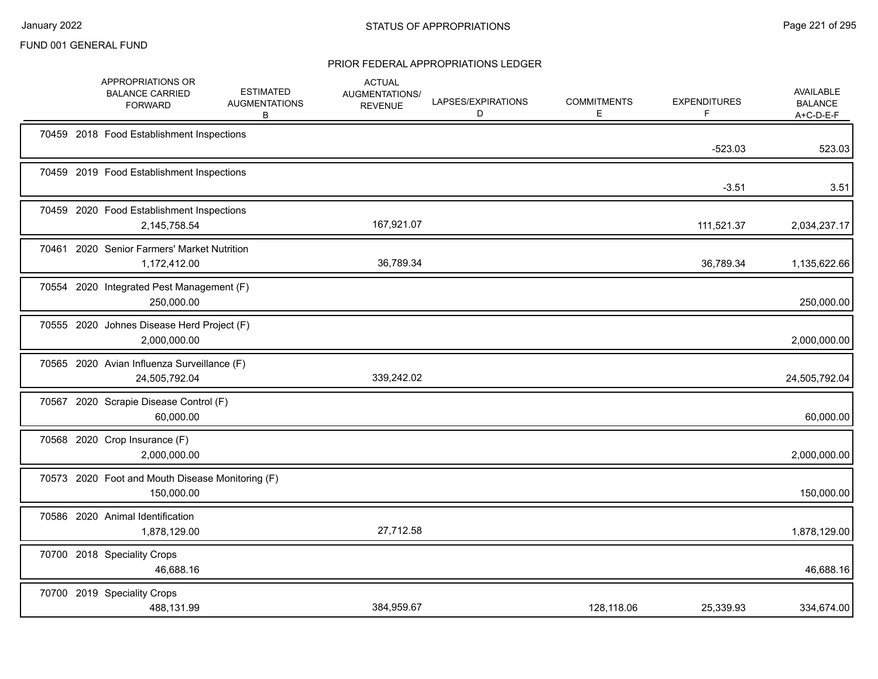|       | APPROPRIATIONS OR<br><b>BALANCE CARRIED</b><br><b>FORWARD</b>  | <b>ESTIMATED</b><br><b>AUGMENTATIONS</b><br>B | <b>ACTUAL</b><br>AUGMENTATIONS/<br><b>REVENUE</b> | LAPSES/EXPIRATIONS<br>D | <b>COMMITMENTS</b><br>E | <b>EXPENDITURES</b><br>F. | <b>AVAILABLE</b><br><b>BALANCE</b><br>$A+C-D-E-F$ |
|-------|----------------------------------------------------------------|-----------------------------------------------|---------------------------------------------------|-------------------------|-------------------------|---------------------------|---------------------------------------------------|
|       | 70459 2018 Food Establishment Inspections                      |                                               |                                                   |                         |                         | $-523.03$                 | 523.03                                            |
|       | 70459 2019 Food Establishment Inspections                      |                                               |                                                   |                         |                         | $-3.51$                   | 3.51                                              |
|       | 70459 2020 Food Establishment Inspections<br>2,145,758.54      |                                               | 167,921.07                                        |                         |                         | 111,521.37                | 2,034,237.17                                      |
| 70461 | 2020 Senior Farmers' Market Nutrition<br>1,172,412.00          |                                               | 36,789.34                                         |                         |                         | 36,789.34                 | 1,135,622.66                                      |
|       | 70554 2020 Integrated Pest Management (F)<br>250,000.00        |                                               |                                                   |                         |                         |                           | 250,000.00                                        |
|       | 70555 2020 Johnes Disease Herd Project (F)<br>2,000,000.00     |                                               |                                                   |                         |                         |                           | 2,000,000.00                                      |
|       | 70565 2020 Avian Influenza Surveillance (F)<br>24,505,792.04   |                                               | 339,242.02                                        |                         |                         |                           | 24,505,792.04                                     |
|       | 70567 2020 Scrapie Disease Control (F)<br>60,000.00            |                                               |                                                   |                         |                         |                           | 60,000.00                                         |
|       | 70568 2020 Crop Insurance (F)<br>2,000,000.00                  |                                               |                                                   |                         |                         |                           | 2,000,000.00                                      |
|       | 70573 2020 Foot and Mouth Disease Monitoring (F)<br>150,000.00 |                                               |                                                   |                         |                         |                           | 150,000.00                                        |
|       | 70586 2020 Animal Identification<br>1,878,129.00               |                                               | 27,712.58                                         |                         |                         |                           | 1,878,129.00                                      |
|       | 70700 2018 Speciality Crops<br>46,688.16                       |                                               |                                                   |                         |                         |                           | 46,688.16                                         |
|       | 70700 2019 Speciality Crops<br>488,131.99                      |                                               | 384,959.67                                        |                         | 128,118.06              | 25,339.93                 | 334,674.00                                        |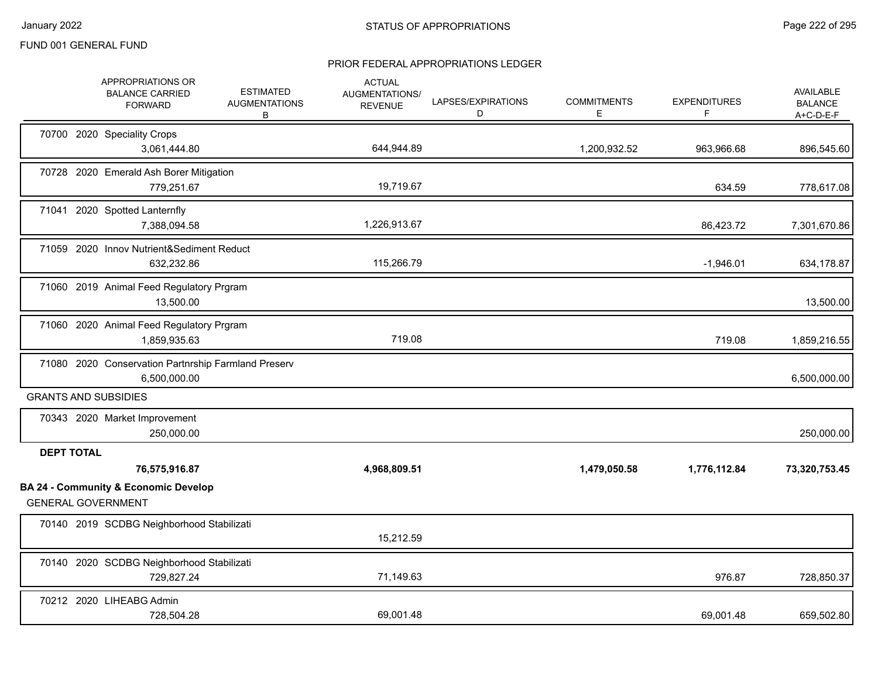|                   | APPROPRIATIONS OR<br><b>BALANCE CARRIED</b><br><b>FORWARD</b>                | <b>ESTIMATED</b><br><b>AUGMENTATIONS</b><br>B | <b>ACTUAL</b><br>AUGMENTATIONS/<br><b>REVENUE</b> | LAPSES/EXPIRATIONS<br>D | <b>COMMITMENTS</b><br>Е | <b>EXPENDITURES</b><br>F | <b>AVAILABLE</b><br><b>BALANCE</b><br>$A+C-D-E-F$ |
|-------------------|------------------------------------------------------------------------------|-----------------------------------------------|---------------------------------------------------|-------------------------|-------------------------|--------------------------|---------------------------------------------------|
|                   | 70700 2020 Speciality Crops<br>3,061,444.80                                  |                                               | 644,944.89                                        |                         | 1,200,932.52            | 963,966.68               | 896,545.60                                        |
|                   | 70728 2020 Emerald Ash Borer Mitigation<br>779,251.67                        |                                               | 19,719.67                                         |                         |                         | 634.59                   | 778,617.08                                        |
|                   | 71041 2020 Spotted Lanternfly<br>7,388,094.58                                |                                               | 1,226,913.67                                      |                         |                         | 86,423.72                | 7,301,670.86                                      |
|                   | 71059 2020 Innov Nutrient&Sediment Reduct<br>632,232.86                      |                                               | 115,266.79                                        |                         |                         | $-1,946.01$              | 634,178.87                                        |
|                   | 71060 2019 Animal Feed Regulatory Prgram<br>13,500.00                        |                                               |                                                   |                         |                         |                          | 13,500.00                                         |
|                   | 71060 2020 Animal Feed Regulatory Prgram<br>1,859,935.63                     |                                               | 719.08                                            |                         |                         | 719.08                   | 1,859,216.55                                      |
|                   | 71080 2020 Conservation Partnrship Farmland Preserv<br>6,500,000.00          |                                               |                                                   |                         |                         |                          | 6,500,000.00                                      |
|                   | <b>GRANTS AND SUBSIDIES</b>                                                  |                                               |                                                   |                         |                         |                          |                                                   |
|                   | 70343 2020 Market Improvement<br>250,000.00                                  |                                               |                                                   |                         |                         |                          | 250,000.00                                        |
| <b>DEPT TOTAL</b> |                                                                              |                                               |                                                   |                         |                         |                          |                                                   |
|                   | 76,575,916.87                                                                |                                               | 4,968,809.51                                      |                         | 1,479,050.58            | 1,776,112.84             | 73,320,753.45                                     |
|                   | <b>BA 24 - Community &amp; Economic Develop</b><br><b>GENERAL GOVERNMENT</b> |                                               |                                                   |                         |                         |                          |                                                   |
|                   | 70140 2019 SCDBG Neighborhood Stabilizati                                    |                                               | 15,212.59                                         |                         |                         |                          |                                                   |
|                   | 70140 2020 SCDBG Neighborhood Stabilizati<br>729,827.24                      |                                               | 71,149.63                                         |                         |                         | 976.87                   | 728,850.37                                        |
|                   | 70212 2020 LIHEABG Admin<br>728,504.28                                       |                                               | 69.001.48                                         |                         |                         | 69,001.48                | 659,502.80                                        |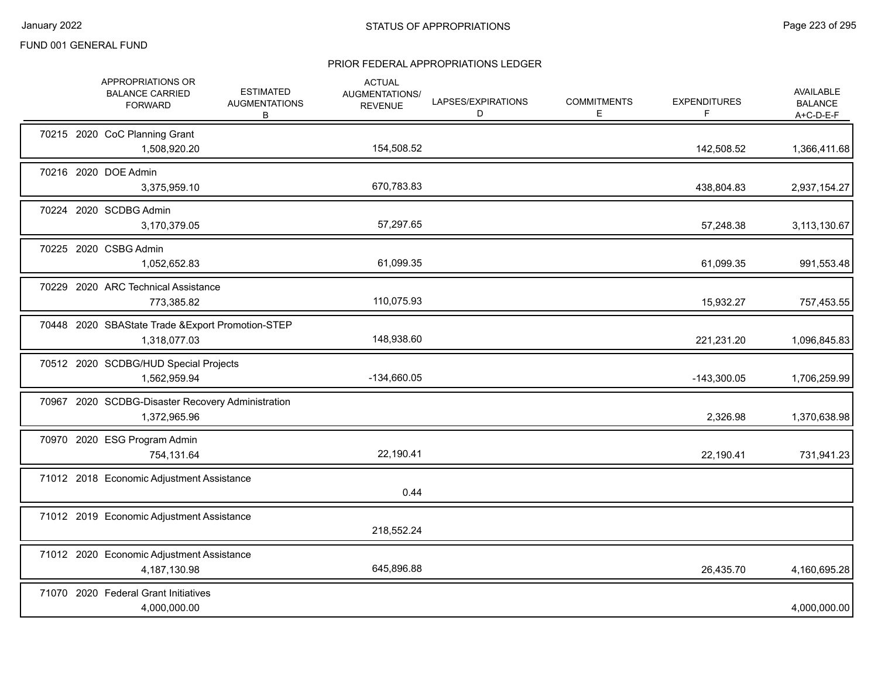|  | APPROPRIATIONS OR<br><b>BALANCE CARRIED</b><br><b>FORWARD</b>     | <b>ESTIMATED</b><br><b>AUGMENTATIONS</b><br>В | <b>ACTUAL</b><br>AUGMENTATIONS/<br><b>REVENUE</b> | LAPSES/EXPIRATIONS<br>D | <b>COMMITMENTS</b><br>E. | <b>EXPENDITURES</b><br>F | <b>AVAILABLE</b><br><b>BALANCE</b><br>$A+C-D-E-F$ |
|--|-------------------------------------------------------------------|-----------------------------------------------|---------------------------------------------------|-------------------------|--------------------------|--------------------------|---------------------------------------------------|
|  | 70215 2020 CoC Planning Grant<br>1,508,920.20                     |                                               | 154,508.52                                        |                         |                          | 142,508.52               | 1,366,411.68                                      |
|  | 70216 2020 DOE Admin<br>3,375,959.10                              |                                               | 670,783.83                                        |                         |                          | 438,804.83               | 2,937,154.27                                      |
|  | 70224 2020 SCDBG Admin<br>3,170,379.05                            |                                               | 57,297.65                                         |                         |                          | 57,248.38                | 3,113,130.67                                      |
|  | 70225 2020 CSBG Admin<br>1,052,652.83                             |                                               | 61,099.35                                         |                         |                          | 61,099.35                | 991,553.48                                        |
|  | 70229 2020 ARC Technical Assistance<br>773,385.82                 |                                               | 110,075.93                                        |                         |                          | 15,932.27                | 757,453.55                                        |
|  | 70448 2020 SBAState Trade & Export Promotion-STEP<br>1,318,077.03 |                                               | 148,938.60                                        |                         |                          | 221,231.20               | 1,096,845.83                                      |
|  | 70512 2020 SCDBG/HUD Special Projects<br>1,562,959.94             |                                               | -134,660.05                                       |                         |                          | $-143,300.05$            | 1,706,259.99                                      |
|  | 70967 2020 SCDBG-Disaster Recovery Administration<br>1,372,965.96 |                                               |                                                   |                         |                          | 2,326.98                 | 1,370,638.98                                      |
|  | 70970 2020 ESG Program Admin<br>754,131.64                        |                                               | 22,190.41                                         |                         |                          | 22,190.41                | 731,941.23                                        |
|  | 71012 2018 Economic Adjustment Assistance                         |                                               | 0.44                                              |                         |                          |                          |                                                   |
|  | 71012 2019 Economic Adjustment Assistance                         |                                               | 218,552.24                                        |                         |                          |                          |                                                   |
|  | 71012 2020 Economic Adjustment Assistance<br>4, 187, 130.98       |                                               | 645,896.88                                        |                         |                          | 26,435.70                | 4,160,695.28                                      |
|  | 71070 2020 Federal Grant Initiatives<br>4,000,000.00              |                                               |                                                   |                         |                          |                          | 4,000,000.00                                      |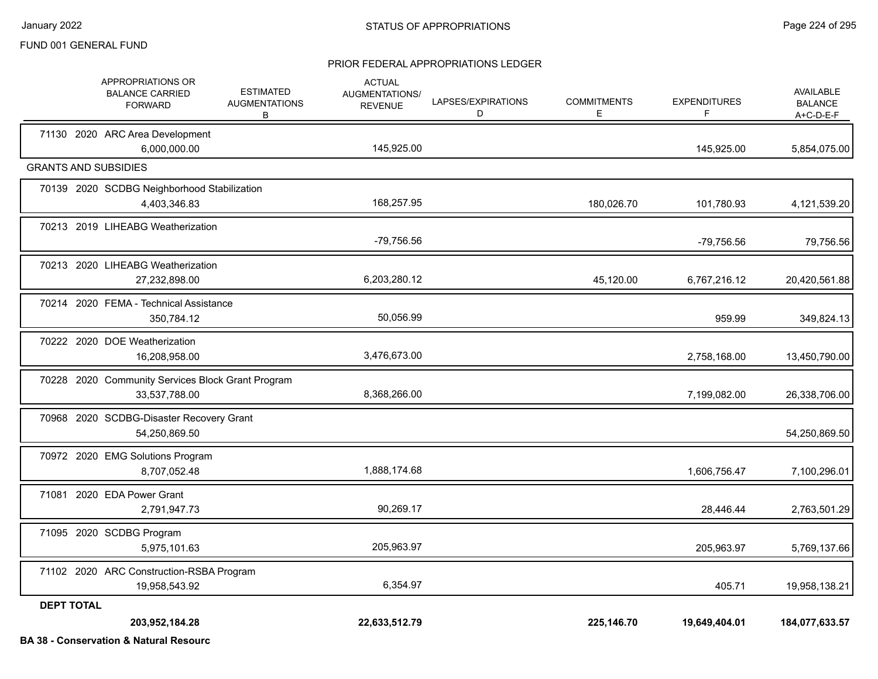#### PRIOR FEDERAL APPROPRIATIONS LEDGER

|                   | APPROPRIATIONS OR<br><b>BALANCE CARRIED</b><br><b>FORWARD</b>      | <b>ESTIMATED</b><br><b>AUGMENTATIONS</b><br>В | <b>ACTUAL</b><br><b>AUGMENTATIONS/</b><br><b>REVENUE</b> | LAPSES/EXPIRATIONS<br>D | <b>COMMITMENTS</b><br>Е | <b>EXPENDITURES</b><br>F | AVAILABLE<br><b>BALANCE</b><br>$A+C-D-E-F$ |
|-------------------|--------------------------------------------------------------------|-----------------------------------------------|----------------------------------------------------------|-------------------------|-------------------------|--------------------------|--------------------------------------------|
|                   | 71130 2020 ARC Area Development<br>6,000,000.00                    |                                               | 145,925.00                                               |                         |                         | 145,925.00               | 5,854,075.00                               |
|                   | <b>GRANTS AND SUBSIDIES</b>                                        |                                               |                                                          |                         |                         |                          |                                            |
|                   | 70139 2020 SCDBG Neighborhood Stabilization<br>4,403,346.83        |                                               | 168,257.95                                               |                         | 180,026.70              | 101,780.93               | 4,121,539.20                               |
|                   | 70213 2019 LIHEABG Weatherization                                  |                                               | -79,756.56                                               |                         |                         | -79,756.56               | 79,756.56                                  |
|                   | 70213 2020 LIHEABG Weatherization<br>27,232,898.00                 |                                               | 6,203,280.12                                             |                         | 45,120.00               | 6,767,216.12             | 20,420,561.88                              |
|                   | 70214 2020 FEMA - Technical Assistance<br>350,784.12               |                                               | 50,056.99                                                |                         |                         | 959.99                   | 349,824.13                                 |
|                   | 70222 2020 DOE Weatherization<br>16,208,958.00                     |                                               | 3,476,673.00                                             |                         |                         | 2,758,168.00             | 13,450,790.00                              |
|                   | 70228 2020 Community Services Block Grant Program<br>33,537,788.00 |                                               | 8,368,266.00                                             |                         |                         | 7,199,082.00             | 26,338,706.00                              |
|                   | 70968 2020 SCDBG-Disaster Recovery Grant<br>54,250,869.50          |                                               |                                                          |                         |                         |                          | 54,250,869.50                              |
|                   | 70972 2020 EMG Solutions Program<br>8,707,052.48                   |                                               | 1,888,174.68                                             |                         |                         | 1,606,756.47             | 7,100,296.01                               |
|                   | 71081 2020 EDA Power Grant<br>2,791,947.73                         |                                               | 90,269.17                                                |                         |                         | 28,446.44                | 2,763,501.29                               |
|                   | 71095 2020 SCDBG Program<br>5,975,101.63                           |                                               | 205,963.97                                               |                         |                         | 205,963.97               | 5,769,137.66                               |
|                   | 71102 2020 ARC Construction-RSBA Program<br>19,958,543.92          |                                               | 6,354.97                                                 |                         |                         | 405.71                   | 19,958,138.21                              |
| <b>DEPT TOTAL</b> | 203,952,184.28                                                     |                                               | 22,633,512.79                                            |                         | 225.146.70              | 19,649,404.01            | 184,077,633.57                             |

**BA 38 - Conservation & Natural Resourc**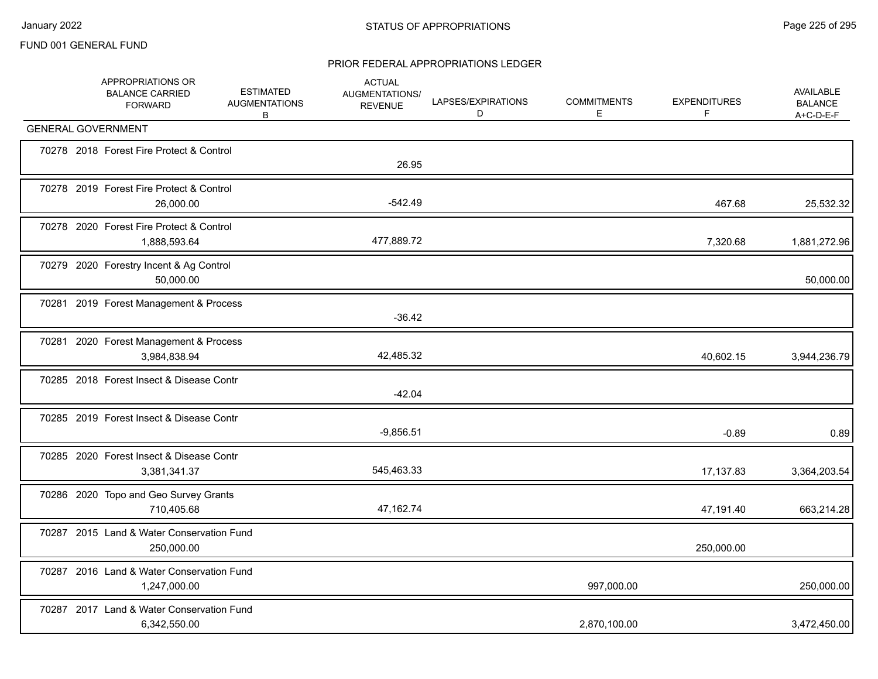|  | APPROPRIATIONS OR<br><b>BALANCE CARRIED</b><br><b>FORWARD</b> | <b>ESTIMATED</b><br><b>AUGMENTATIONS</b><br>В | <b>ACTUAL</b><br>AUGMENTATIONS/<br><b>REVENUE</b> | LAPSES/EXPIRATIONS<br>D | <b>COMMITMENTS</b><br>E | <b>EXPENDITURES</b><br>F | AVAILABLE<br><b>BALANCE</b><br>$A+C-D-E-F$ |
|--|---------------------------------------------------------------|-----------------------------------------------|---------------------------------------------------|-------------------------|-------------------------|--------------------------|--------------------------------------------|
|  | <b>GENERAL GOVERNMENT</b>                                     |                                               |                                                   |                         |                         |                          |                                            |
|  | 70278 2018 Forest Fire Protect & Control                      |                                               | 26.95                                             |                         |                         |                          |                                            |
|  | 70278 2019 Forest Fire Protect & Control<br>26,000.00         |                                               | $-542.49$                                         |                         |                         | 467.68                   | 25,532.32                                  |
|  | 70278 2020 Forest Fire Protect & Control<br>1,888,593.64      |                                               | 477,889.72                                        |                         |                         | 7,320.68                 | 1,881,272.96                               |
|  | 70279 2020 Forestry Incent & Ag Control<br>50,000.00          |                                               |                                                   |                         |                         |                          | 50,000.00                                  |
|  | 70281 2019 Forest Management & Process                        |                                               | $-36.42$                                          |                         |                         |                          |                                            |
|  | 70281 2020 Forest Management & Process<br>3,984,838.94        |                                               | 42,485.32                                         |                         |                         | 40,602.15                | 3,944,236.79                               |
|  | 70285 2018 Forest Insect & Disease Contr                      |                                               | $-42.04$                                          |                         |                         |                          |                                            |
|  | 70285 2019 Forest Insect & Disease Contr                      |                                               | $-9,856.51$                                       |                         |                         | $-0.89$                  | 0.89                                       |
|  | 70285 2020 Forest Insect & Disease Contr<br>3,381,341.37      |                                               | 545,463.33                                        |                         |                         | 17,137.83                | 3,364,203.54                               |
|  | 70286 2020 Topo and Geo Survey Grants<br>710,405.68           |                                               | 47,162.74                                         |                         |                         | 47,191.40                | 663,214.28                                 |
|  | 70287 2015 Land & Water Conservation Fund<br>250,000.00       |                                               |                                                   |                         |                         | 250,000.00               |                                            |
|  | 70287 2016 Land & Water Conservation Fund<br>1,247,000.00     |                                               |                                                   |                         | 997,000.00              |                          | 250,000.00                                 |
|  | 70287 2017 Land & Water Conservation Fund<br>6,342,550.00     |                                               |                                                   |                         | 2,870,100.00            |                          | 3,472,450.00                               |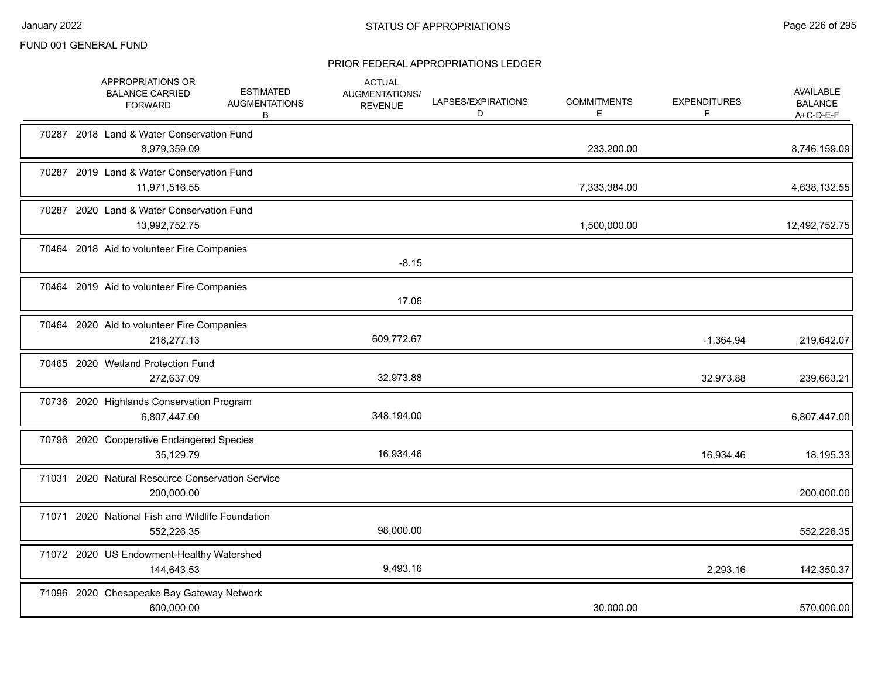|  | APPROPRIATIONS OR<br><b>BALANCE CARRIED</b><br><b>FORWARD</b>  | <b>ESTIMATED</b><br><b>AUGMENTATIONS</b><br>B | <b>ACTUAL</b><br>AUGMENTATIONS/<br><b>REVENUE</b> | LAPSES/EXPIRATIONS<br>D | <b>COMMITMENTS</b><br>Е | <b>EXPENDITURES</b><br>F | <b>AVAILABLE</b><br><b>BALANCE</b><br>A+C-D-E-F |
|--|----------------------------------------------------------------|-----------------------------------------------|---------------------------------------------------|-------------------------|-------------------------|--------------------------|-------------------------------------------------|
|  | 70287 2018 Land & Water Conservation Fund<br>8,979,359.09      |                                               |                                                   |                         | 233,200.00              |                          | 8,746,159.09                                    |
|  | 70287 2019 Land & Water Conservation Fund<br>11,971,516.55     |                                               |                                                   |                         | 7,333,384.00            |                          | 4,638,132.55                                    |
|  | 70287 2020 Land & Water Conservation Fund<br>13,992,752.75     |                                               |                                                   |                         | 1,500,000.00            |                          | 12,492,752.75                                   |
|  | 70464 2018 Aid to volunteer Fire Companies                     |                                               | $-8.15$                                           |                         |                         |                          |                                                 |
|  | 70464 2019 Aid to volunteer Fire Companies                     |                                               | 17.06                                             |                         |                         |                          |                                                 |
|  | 70464 2020 Aid to volunteer Fire Companies<br>218,277.13       |                                               | 609,772.67                                        |                         |                         | $-1,364.94$              | 219,642.07                                      |
|  | 70465 2020 Wetland Protection Fund<br>272,637.09               |                                               | 32,973.88                                         |                         |                         | 32,973.88                | 239,663.21                                      |
|  | 70736 2020 Highlands Conservation Program<br>6,807,447.00      |                                               | 348,194.00                                        |                         |                         |                          | 6,807,447.00                                    |
|  | 70796 2020 Cooperative Endangered Species<br>35,129.79         |                                               | 16,934.46                                         |                         |                         | 16,934.46                | 18,195.33                                       |
|  | 71031 2020 Natural Resource Conservation Service<br>200,000.00 |                                               |                                                   |                         |                         |                          | 200,000.00                                      |
|  | 71071 2020 National Fish and Wildlife Foundation<br>552,226.35 |                                               | 98,000.00                                         |                         |                         |                          | 552,226.35                                      |
|  | 71072 2020 US Endowment-Healthy Watershed<br>144,643.53        |                                               | 9,493.16                                          |                         |                         | 2,293.16                 | 142,350.37                                      |
|  | 71096 2020 Chesapeake Bay Gateway Network<br>600,000.00        |                                               |                                                   |                         | 30,000.00               |                          | 570,000.00                                      |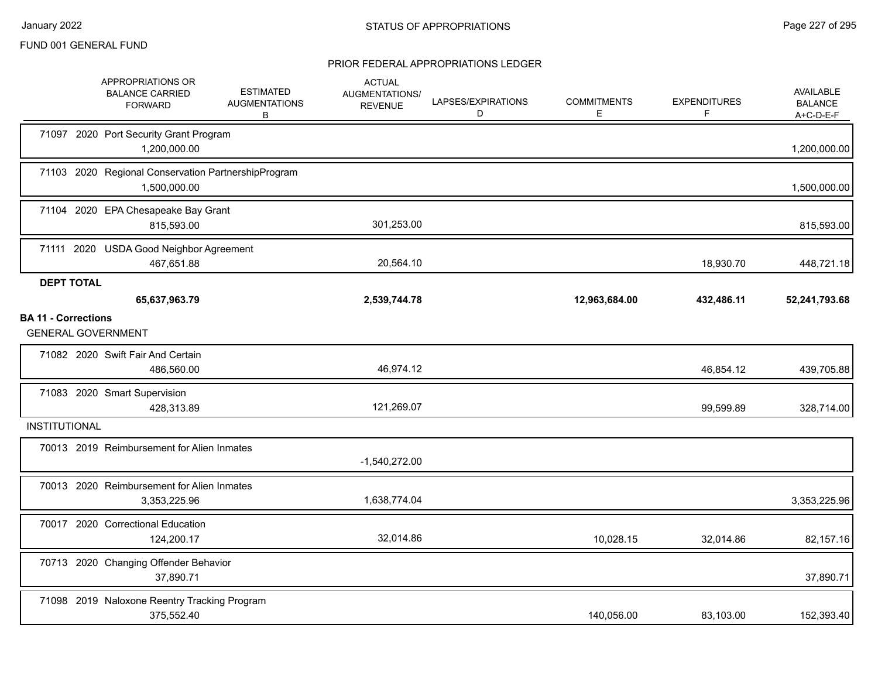|                            | APPROPRIATIONS OR<br><b>BALANCE CARRIED</b><br><b>FORWARD</b>       | <b>ESTIMATED</b><br><b>AUGMENTATIONS</b><br>B | <b>ACTUAL</b><br>AUGMENTATIONS/<br><b>REVENUE</b> | LAPSES/EXPIRATIONS<br>D | <b>COMMITMENTS</b><br>E. | <b>EXPENDITURES</b><br>F | AVAILABLE<br><b>BALANCE</b><br>$A+C-D-E-F$ |
|----------------------------|---------------------------------------------------------------------|-----------------------------------------------|---------------------------------------------------|-------------------------|--------------------------|--------------------------|--------------------------------------------|
|                            | 71097 2020 Port Security Grant Program<br>1,200,000.00              |                                               |                                                   |                         |                          |                          | 1,200,000.00                               |
|                            | 71103 2020 Regional Conservation PartnershipProgram<br>1,500,000.00 |                                               |                                                   |                         |                          |                          | 1,500,000.00                               |
|                            | 71104 2020 EPA Chesapeake Bay Grant<br>815,593.00                   |                                               | 301,253.00                                        |                         |                          |                          | 815,593.00                                 |
|                            | 71111 2020 USDA Good Neighbor Agreement<br>467,651.88               |                                               | 20,564.10                                         |                         |                          | 18,930.70                | 448,721.18                                 |
| <b>DEPT TOTAL</b>          | 65,637,963.79                                                       |                                               | 2,539,744.78                                      |                         | 12,963,684.00            | 432,486.11               | 52,241,793.68                              |
| <b>BA 11 - Corrections</b> | <b>GENERAL GOVERNMENT</b>                                           |                                               |                                                   |                         |                          |                          |                                            |
|                            | 71082 2020 Swift Fair And Certain<br>486,560.00                     |                                               | 46,974.12                                         |                         |                          | 46,854.12                | 439,705.88                                 |
|                            | 71083 2020 Smart Supervision<br>428,313.89                          |                                               | 121,269.07                                        |                         |                          | 99,599.89                | 328,714.00                                 |
| <b>INSTITUTIONAL</b>       |                                                                     |                                               |                                                   |                         |                          |                          |                                            |
|                            | 70013 2019 Reimbursement for Alien Inmates                          |                                               | $-1,540,272.00$                                   |                         |                          |                          |                                            |
|                            | 70013 2020 Reimbursement for Alien Inmates<br>3,353,225.96          |                                               | 1,638,774.04                                      |                         |                          |                          | 3,353,225.96                               |
|                            | 70017 2020 Correctional Education<br>124,200.17                     |                                               | 32,014.86                                         |                         | 10,028.15                | 32,014.86                | 82,157.16                                  |
|                            | 70713 2020 Changing Offender Behavior<br>37,890.71                  |                                               |                                                   |                         |                          |                          | 37,890.71                                  |
|                            | 71098 2019 Naloxone Reentry Tracking Program<br>375,552.40          |                                               |                                                   |                         | 140,056.00               | 83,103.00                | 152,393.40                                 |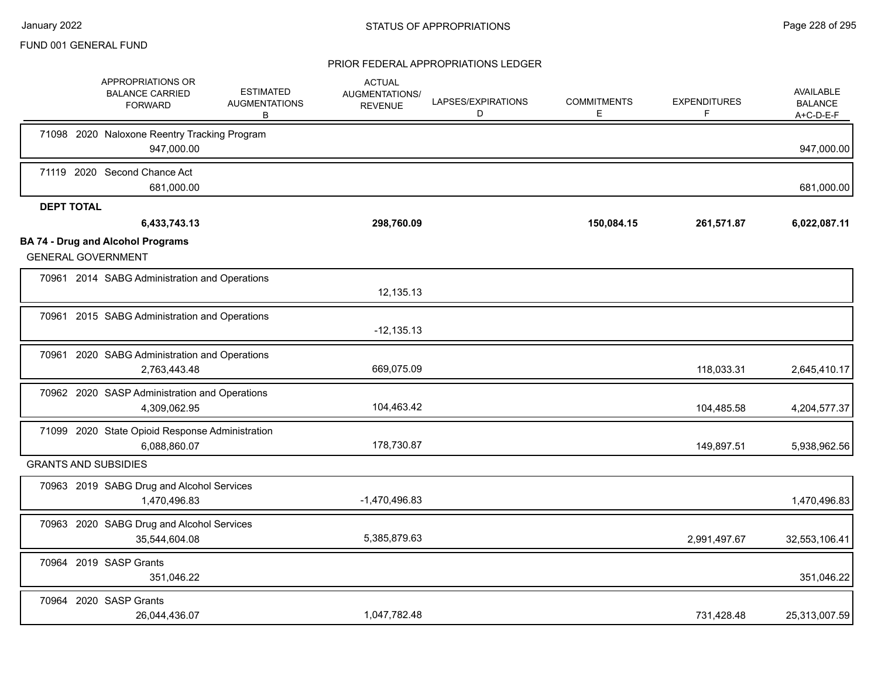|                   | APPROPRIATIONS OR<br><b>BALANCE CARRIED</b><br><b>FORWARD</b>         | <b>ESTIMATED</b><br><b>AUGMENTATIONS</b><br>В | <b>ACTUAL</b><br>AUGMENTATIONS/<br><b>REVENUE</b> | LAPSES/EXPIRATIONS<br>D | <b>COMMITMENTS</b><br>E. | <b>EXPENDITURES</b><br>F. | AVAILABLE<br><b>BALANCE</b><br>$A+C-D-E-F$ |
|-------------------|-----------------------------------------------------------------------|-----------------------------------------------|---------------------------------------------------|-------------------------|--------------------------|---------------------------|--------------------------------------------|
|                   | 71098 2020 Naloxone Reentry Tracking Program<br>947,000.00            |                                               |                                                   |                         |                          |                           | 947,000.00                                 |
|                   | 71119 2020 Second Chance Act<br>681,000.00                            |                                               |                                                   |                         |                          |                           | 681,000.00                                 |
| <b>DEPT TOTAL</b> |                                                                       |                                               |                                                   |                         |                          |                           |                                            |
|                   | 6,433,743.13                                                          |                                               | 298,760.09                                        |                         | 150,084.15               | 261,571.87                | 6,022,087.11                               |
|                   | <b>BA 74 - Drug and Alcohol Programs</b><br><b>GENERAL GOVERNMENT</b> |                                               |                                                   |                         |                          |                           |                                            |
|                   | 70961 2014 SABG Administration and Operations                         |                                               | 12,135.13                                         |                         |                          |                           |                                            |
|                   | 70961 2015 SABG Administration and Operations                         |                                               | $-12,135.13$                                      |                         |                          |                           |                                            |
|                   | 70961 2020 SABG Administration and Operations<br>2,763,443.48         |                                               | 669,075.09                                        |                         |                          | 118,033.31                | 2,645,410.17                               |
|                   | 70962 2020 SASP Administration and Operations<br>4,309,062.95         |                                               | 104,463.42                                        |                         |                          | 104,485.58                | 4,204,577.37                               |
|                   | 71099 2020 State Opioid Response Administration<br>6,088,860.07       |                                               | 178,730.87                                        |                         |                          | 149,897.51                | 5,938,962.56                               |
|                   | <b>GRANTS AND SUBSIDIES</b>                                           |                                               |                                                   |                         |                          |                           |                                            |
|                   | 70963 2019 SABG Drug and Alcohol Services<br>1,470,496.83             |                                               | $-1,470,496.83$                                   |                         |                          |                           | 1,470,496.83                               |
|                   | 70963 2020 SABG Drug and Alcohol Services<br>35,544,604.08            |                                               | 5,385,879.63                                      |                         |                          | 2,991,497.67              | 32,553,106.41                              |
|                   | 70964 2019 SASP Grants<br>351,046.22                                  |                                               |                                                   |                         |                          |                           | 351,046.22                                 |
|                   | 70964 2020 SASP Grants<br>26,044,436.07                               |                                               | 1,047,782.48                                      |                         |                          | 731,428.48                | 25,313,007.59                              |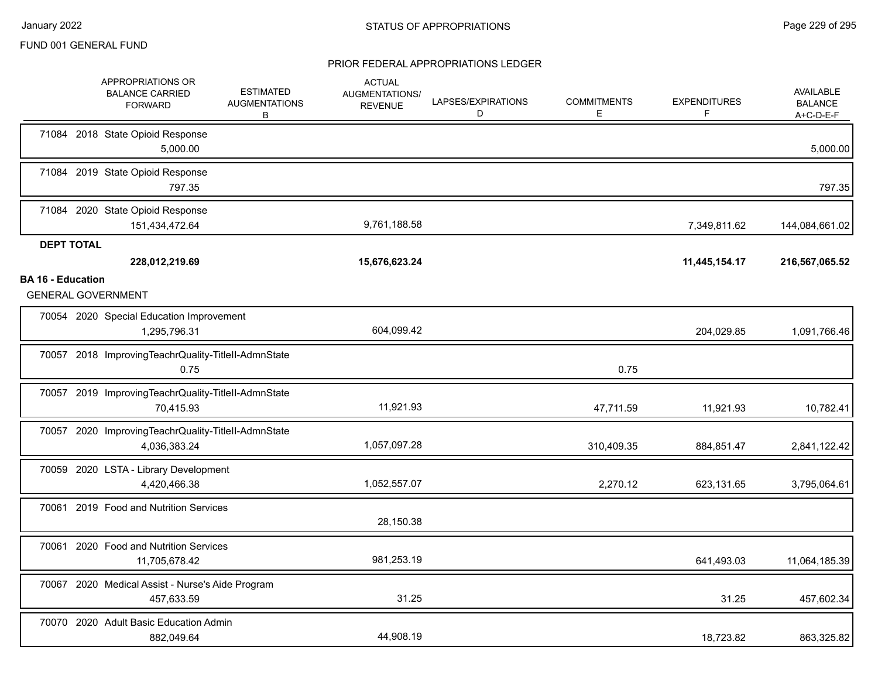|                          | APPROPRIATIONS OR<br><b>BALANCE CARRIED</b><br><b>FORWARD</b>       | <b>ESTIMATED</b><br><b>AUGMENTATIONS</b><br>В | <b>ACTUAL</b><br><b>AUGMENTATIONS/</b><br><b>REVENUE</b> | LAPSES/EXPIRATIONS<br>D | <b>COMMITMENTS</b><br>Е | <b>EXPENDITURES</b><br>F | AVAILABLE<br><b>BALANCE</b><br>A+C-D-E-F |
|--------------------------|---------------------------------------------------------------------|-----------------------------------------------|----------------------------------------------------------|-------------------------|-------------------------|--------------------------|------------------------------------------|
|                          | 71084 2018 State Opioid Response<br>5,000.00                        |                                               |                                                          |                         |                         |                          | 5,000.00                                 |
|                          | 71084 2019 State Opioid Response<br>797.35                          |                                               |                                                          |                         |                         |                          | 797.35                                   |
|                          | 71084 2020 State Opioid Response<br>151,434,472.64                  |                                               | 9,761,188.58                                             |                         |                         | 7,349,811.62             | 144,084,661.02                           |
| <b>DEPT TOTAL</b>        | 228,012,219.69                                                      |                                               | 15,676,623.24                                            |                         |                         | 11,445,154.17            | 216,567,065.52                           |
| <b>BA 16 - Education</b> | <b>GENERAL GOVERNMENT</b>                                           |                                               |                                                          |                         |                         |                          |                                          |
|                          | 70054 2020 Special Education Improvement<br>1,295,796.31            |                                               | 604,099.42                                               |                         |                         | 204,029.85               | 1,091,766.46                             |
|                          | 70057 2018 ImprovingTeachrQuality-TitleII-AdmnState<br>0.75         |                                               |                                                          |                         | 0.75                    |                          |                                          |
|                          | 70057 2019 ImprovingTeachrQuality-TitleII-AdmnState<br>70,415.93    |                                               | 11,921.93                                                |                         | 47,711.59               | 11,921.93                | 10,782.41                                |
|                          | 70057 2020 ImprovingTeachrQuality-TitleII-AdmnState<br>4,036,383.24 |                                               | 1,057,097.28                                             |                         | 310,409.35              | 884,851.47               | 2,841,122.42                             |
|                          | 70059 2020 LSTA - Library Development<br>4,420,466.38               |                                               | 1,052,557.07                                             |                         | 2,270.12                | 623,131.65               | 3,795,064.61                             |
|                          | 70061 2019 Food and Nutrition Services                              |                                               | 28,150.38                                                |                         |                         |                          |                                          |
| 70061                    | 2020 Food and Nutrition Services<br>11,705,678.42                   |                                               | 981,253.19                                               |                         |                         | 641,493.03               | 11,064,185.39                            |
|                          | 70067 2020 Medical Assist - Nurse's Aide Program<br>457,633.59      |                                               | 31.25                                                    |                         |                         | 31.25                    | 457,602.34                               |
|                          | 70070 2020 Adult Basic Education Admin<br>882,049.64                |                                               | 44,908.19                                                |                         |                         | 18,723.82                | 863,325.82                               |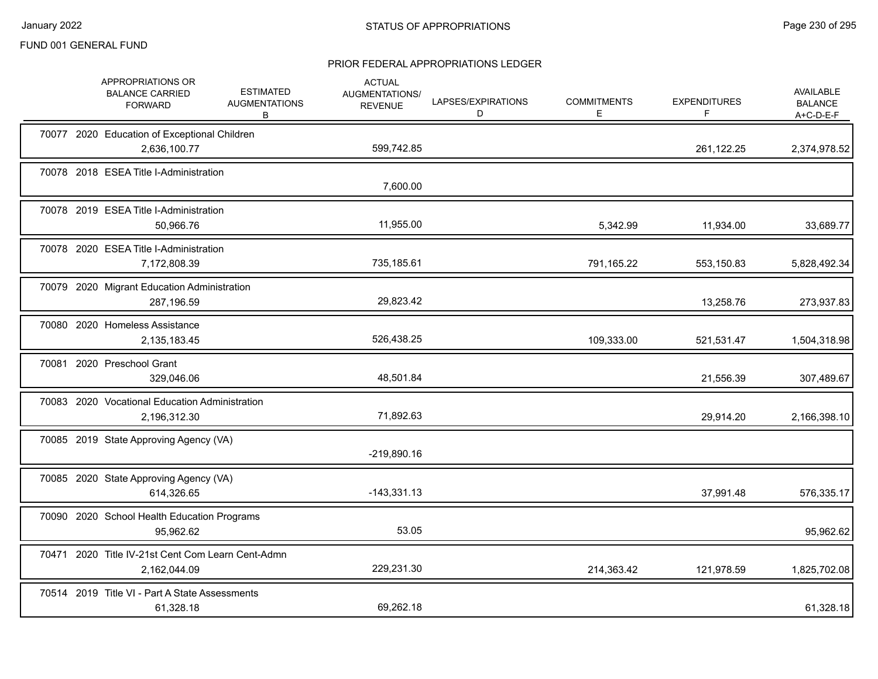|       | APPROPRIATIONS OR<br><b>BALANCE CARRIED</b><br><b>FORWARD</b>     | <b>ESTIMATED</b><br><b>AUGMENTATIONS</b><br>B | <b>ACTUAL</b><br>AUGMENTATIONS/<br><b>REVENUE</b> | LAPSES/EXPIRATIONS<br>D | <b>COMMITMENTS</b><br>E | <b>EXPENDITURES</b><br>F | <b>AVAILABLE</b><br><b>BALANCE</b><br>$A+C-D-E-F$ |
|-------|-------------------------------------------------------------------|-----------------------------------------------|---------------------------------------------------|-------------------------|-------------------------|--------------------------|---------------------------------------------------|
|       | 70077 2020 Education of Exceptional Children<br>2,636,100.77      |                                               | 599,742.85                                        |                         |                         | 261,122.25               | 2,374,978.52                                      |
|       | 70078 2018 ESEA Title I-Administration                            |                                               | 7,600.00                                          |                         |                         |                          |                                                   |
|       | 70078 2019 ESEA Title I-Administration<br>50,966.76               |                                               | 11,955.00                                         |                         | 5,342.99                | 11,934.00                | 33,689.77                                         |
|       | 70078 2020 ESEA Title I-Administration<br>7,172,808.39            |                                               | 735,185.61                                        |                         | 791,165.22              | 553,150.83               | 5,828,492.34                                      |
|       | 70079 2020 Migrant Education Administration<br>287,196.59         |                                               | 29,823.42                                         |                         |                         | 13,258.76                | 273,937.83                                        |
|       | 70080 2020 Homeless Assistance<br>2,135,183.45                    |                                               | 526,438.25                                        |                         | 109,333.00              | 521,531.47               | 1,504,318.98                                      |
| 70081 | 2020 Preschool Grant<br>329,046.06                                |                                               | 48,501.84                                         |                         |                         | 21,556.39                | 307,489.67                                        |
|       | 70083 2020 Vocational Education Administration<br>2,196,312.30    |                                               | 71,892.63                                         |                         |                         | 29,914.20                | 2,166,398.10                                      |
|       | 70085 2019 State Approving Agency (VA)                            |                                               | $-219,890.16$                                     |                         |                         |                          |                                                   |
|       | 70085 2020 State Approving Agency (VA)<br>614,326.65              |                                               | $-143,331.13$                                     |                         |                         | 37,991.48                | 576,335.17                                        |
|       | 70090 2020 School Health Education Programs<br>95,962.62          |                                               | 53.05                                             |                         |                         |                          | 95,962.62                                         |
|       | 70471 2020 Title IV-21st Cent Com Learn Cent-Admn<br>2,162,044.09 |                                               | 229,231.30                                        |                         | 214,363.42              | 121,978.59               | 1,825,702.08                                      |
|       | 70514 2019 Title VI - Part A State Assessments<br>61,328.18       |                                               | 69,262.18                                         |                         |                         |                          | 61,328.18                                         |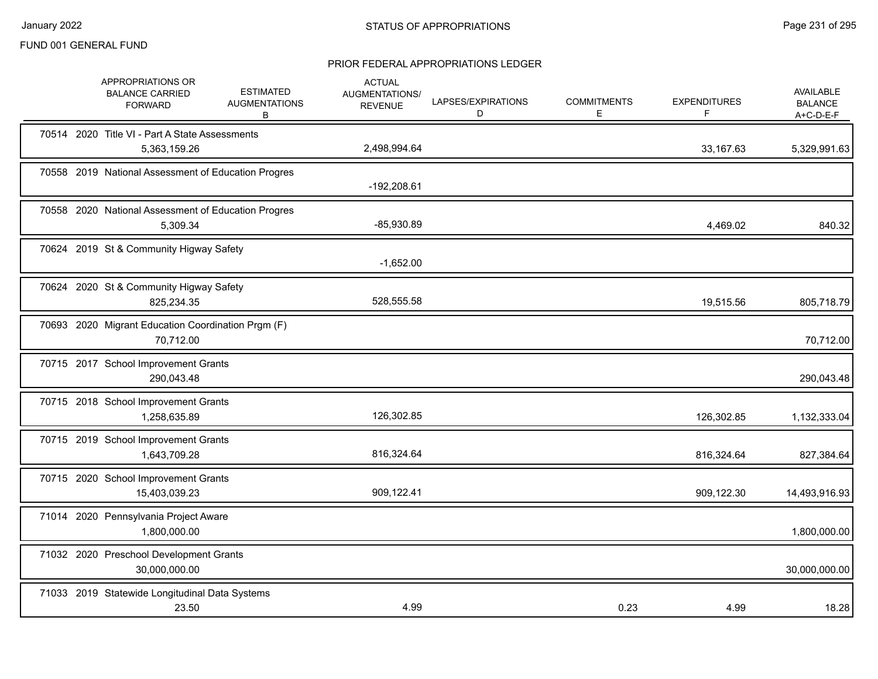|  | APPROPRIATIONS OR<br><b>BALANCE CARRIED</b><br><b>FORWARD</b>   | <b>ESTIMATED</b><br><b>AUGMENTATIONS</b><br>В | <b>ACTUAL</b><br>AUGMENTATIONS/<br><b>REVENUE</b> | LAPSES/EXPIRATIONS<br>D | <b>COMMITMENTS</b><br>E. | <b>EXPENDITURES</b><br>F | <b>AVAILABLE</b><br><b>BALANCE</b><br>$A+C-D-E-F$ |
|--|-----------------------------------------------------------------|-----------------------------------------------|---------------------------------------------------|-------------------------|--------------------------|--------------------------|---------------------------------------------------|
|  | 70514 2020 Title VI - Part A State Assessments<br>5,363,159.26  |                                               | 2,498,994.64                                      |                         |                          | 33,167.63                | 5,329,991.63                                      |
|  | 70558 2019 National Assessment of Education Progres             |                                               | -192,208.61                                       |                         |                          |                          |                                                   |
|  | 70558 2020 National Assessment of Education Progres<br>5,309.34 |                                               | $-85,930.89$                                      |                         |                          | 4,469.02                 | 840.32                                            |
|  | 70624 2019 St & Community Higway Safety                         |                                               | $-1,652.00$                                       |                         |                          |                          |                                                   |
|  | 70624 2020 St & Community Higway Safety<br>825,234.35           |                                               | 528,555.58                                        |                         |                          | 19,515.56                | 805,718.79                                        |
|  | 70693 2020 Migrant Education Coordination Prgm (F)<br>70,712.00 |                                               |                                                   |                         |                          |                          | 70,712.00                                         |
|  | 70715 2017 School Improvement Grants<br>290,043.48              |                                               |                                                   |                         |                          |                          | 290,043.48                                        |
|  | 70715 2018 School Improvement Grants<br>1,258,635.89            |                                               | 126,302.85                                        |                         |                          | 126,302.85               | 1,132,333.04                                      |
|  | 70715 2019 School Improvement Grants<br>1,643,709.28            |                                               | 816,324.64                                        |                         |                          | 816,324.64               | 827,384.64                                        |
|  | 70715 2020 School Improvement Grants<br>15,403,039.23           |                                               | 909,122.41                                        |                         |                          | 909,122.30               | 14,493,916.93                                     |
|  | 71014 2020 Pennsylvania Project Aware<br>1,800,000.00           |                                               |                                                   |                         |                          |                          | 1,800,000.00                                      |
|  | 71032 2020 Preschool Development Grants<br>30,000,000.00        |                                               |                                                   |                         |                          |                          | 30,000,000.00                                     |
|  | 71033 2019 Statewide Longitudinal Data Systems<br>23.50         |                                               | 4.99                                              |                         | 0.23                     | 4.99                     | 18.28                                             |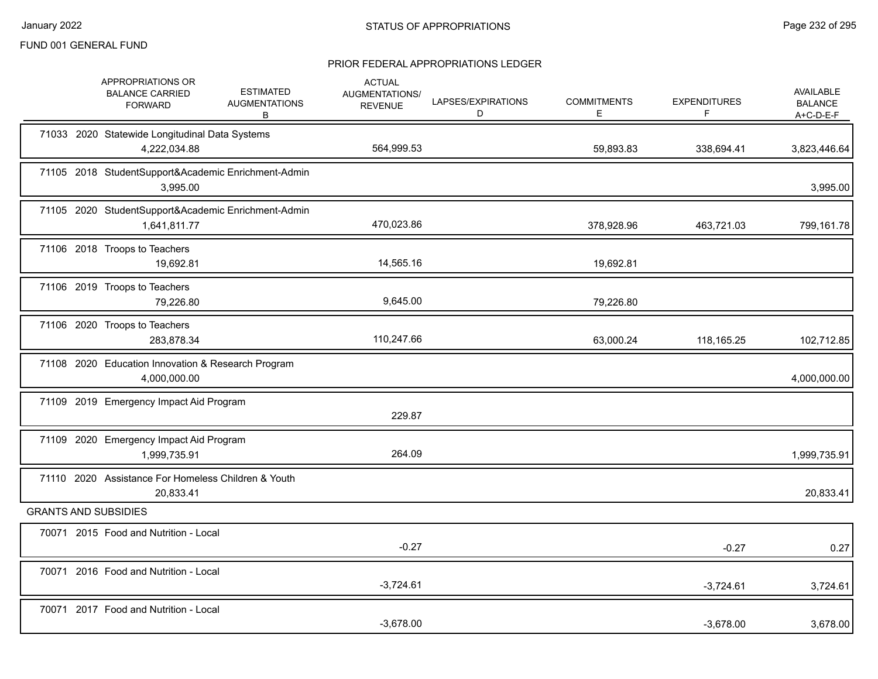|  | APPROPRIATIONS OR<br><b>BALANCE CARRIED</b><br><b>FORWARD</b>       | <b>ESTIMATED</b><br><b>AUGMENTATIONS</b><br>В | <b>ACTUAL</b><br><b>AUGMENTATIONS/</b><br><b>REVENUE</b> | LAPSES/EXPIRATIONS<br>D | <b>COMMITMENTS</b><br>E. | <b>EXPENDITURES</b><br>F | <b>AVAILABLE</b><br><b>BALANCE</b><br>$A+C-D-E-F$ |
|--|---------------------------------------------------------------------|-----------------------------------------------|----------------------------------------------------------|-------------------------|--------------------------|--------------------------|---------------------------------------------------|
|  | 71033 2020 Statewide Longitudinal Data Systems<br>4,222,034.88      |                                               | 564,999.53                                               |                         | 59,893.83                | 338,694.41               | 3,823,446.64                                      |
|  | 71105 2018 StudentSupport&Academic Enrichment-Admin<br>3,995.00     |                                               |                                                          |                         |                          |                          | 3,995.00                                          |
|  | 71105 2020 StudentSupport&Academic Enrichment-Admin<br>1,641,811.77 |                                               | 470,023.86                                               |                         | 378,928.96               | 463,721.03               | 799,161.78                                        |
|  | 71106 2018 Troops to Teachers<br>19,692.81                          |                                               | 14,565.16                                                |                         | 19,692.81                |                          |                                                   |
|  | 71106 2019 Troops to Teachers<br>79,226.80                          |                                               | 9,645.00                                                 |                         | 79,226.80                |                          |                                                   |
|  | 71106 2020 Troops to Teachers<br>283,878.34                         |                                               | 110,247.66                                               |                         | 63,000.24                | 118,165.25               | 102,712.85                                        |
|  | 71108 2020 Education Innovation & Research Program<br>4,000,000.00  |                                               |                                                          |                         |                          |                          | 4,000,000.00                                      |
|  | 71109 2019 Emergency Impact Aid Program                             |                                               | 229.87                                                   |                         |                          |                          |                                                   |
|  | 71109 2020 Emergency Impact Aid Program<br>1,999,735.91             |                                               | 264.09                                                   |                         |                          |                          | 1,999,735.91                                      |
|  | 71110 2020 Assistance For Homeless Children & Youth<br>20,833.41    |                                               |                                                          |                         |                          |                          | 20,833.41                                         |
|  | <b>GRANTS AND SUBSIDIES</b>                                         |                                               |                                                          |                         |                          |                          |                                                   |
|  | 70071 2015 Food and Nutrition - Local                               |                                               | $-0.27$                                                  |                         |                          | $-0.27$                  | 0.27                                              |
|  | 70071 2016 Food and Nutrition - Local                               |                                               | $-3,724.61$                                              |                         |                          | $-3,724.61$              | 3,724.61                                          |
|  | 70071 2017 Food and Nutrition - Local                               |                                               | $-3.678.00$                                              |                         |                          | $-3,678.00$              | 3,678.00                                          |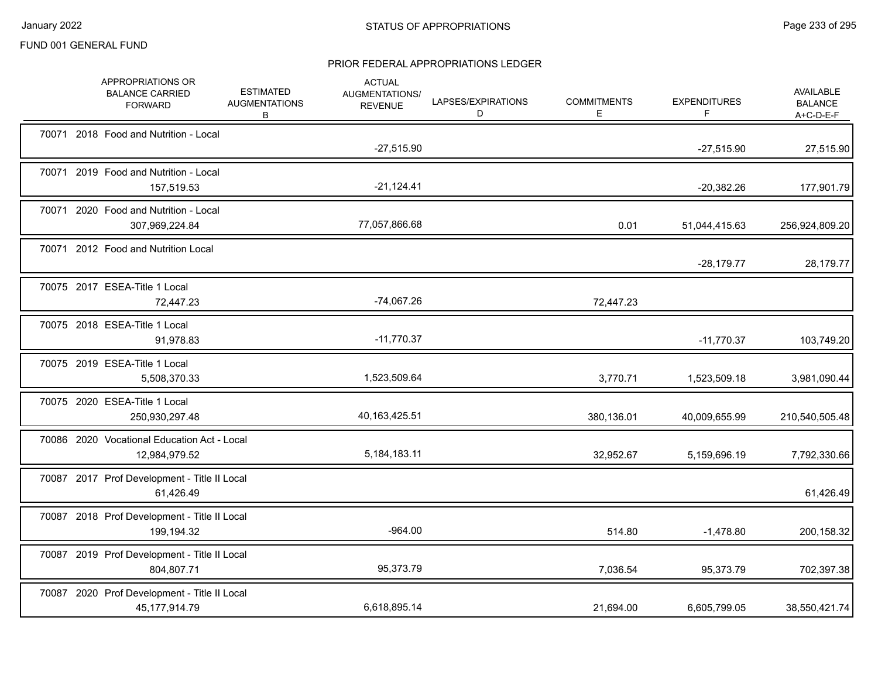|  | APPROPRIATIONS OR<br><b>BALANCE CARRIED</b><br><b>FORWARD</b> | <b>ESTIMATED</b><br><b>AUGMENTATIONS</b><br>В | <b>ACTUAL</b><br>AUGMENTATIONS/<br><b>REVENUE</b> | LAPSES/EXPIRATIONS<br>D | <b>COMMITMENTS</b><br>E | <b>EXPENDITURES</b><br>F | <b>AVAILABLE</b><br><b>BALANCE</b><br>$A+C-D-E-F$ |
|--|---------------------------------------------------------------|-----------------------------------------------|---------------------------------------------------|-------------------------|-------------------------|--------------------------|---------------------------------------------------|
|  | 70071 2018 Food and Nutrition - Local                         |                                               | $-27,515.90$                                      |                         |                         | $-27,515.90$             | 27,515.90                                         |
|  | 70071 2019 Food and Nutrition - Local<br>157,519.53           |                                               | $-21,124.41$                                      |                         |                         | $-20,382.26$             | 177,901.79                                        |
|  | 70071 2020 Food and Nutrition - Local<br>307,969,224.84       |                                               | 77,057,866.68                                     |                         | 0.01                    | 51,044,415.63            | 256,924,809.20                                    |
|  | 70071 2012 Food and Nutrition Local                           |                                               |                                                   |                         |                         | $-28,179.77$             | 28,179.77                                         |
|  | 70075 2017 ESEA-Title 1 Local<br>72,447.23                    |                                               | $-74,067.26$                                      |                         | 72,447.23               |                          |                                                   |
|  | 70075 2018 ESEA-Title 1 Local<br>91,978.83                    |                                               | $-11,770.37$                                      |                         |                         | $-11,770.37$             | 103,749.20                                        |
|  | 70075 2019 ESEA-Title 1 Local<br>5,508,370.33                 |                                               | 1,523,509.64                                      |                         | 3,770.71                | 1,523,509.18             | 3,981,090.44                                      |
|  | 70075 2020 ESEA-Title 1 Local<br>250,930,297.48               |                                               | 40,163,425.51                                     |                         | 380,136.01              | 40,009,655.99            | 210,540,505.48                                    |
|  | 70086 2020 Vocational Education Act - Local<br>12,984,979.52  |                                               | 5,184,183.11                                      |                         | 32,952.67               | 5,159,696.19             | 7,792,330.66                                      |
|  | 70087 2017 Prof Development - Title II Local<br>61,426.49     |                                               |                                                   |                         |                         |                          | 61,426.49                                         |
|  | 70087 2018 Prof Development - Title II Local<br>199,194.32    |                                               | $-964.00$                                         |                         | 514.80                  | $-1,478.80$              | 200,158.32                                        |
|  | 70087 2019 Prof Development - Title II Local<br>804,807.71    |                                               | 95,373.79                                         |                         | 7,036.54                | 95,373.79                | 702,397.38                                        |
|  | 70087 2020 Prof Development - Title II Local<br>45,177,914.79 |                                               | 6,618,895.14                                      |                         | 21,694.00               | 6,605,799.05             | 38,550,421.74                                     |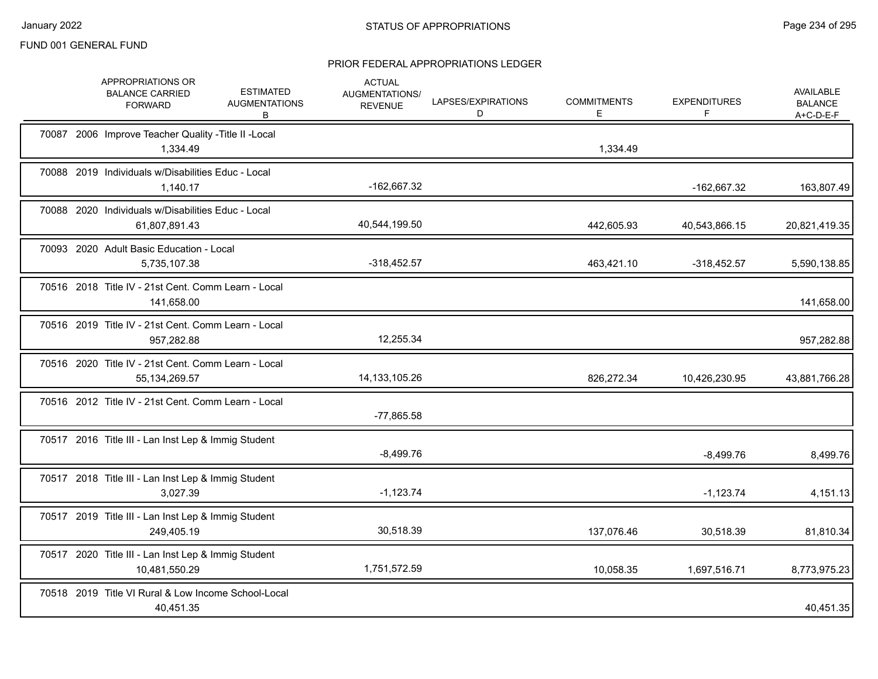|  | APPROPRIATIONS OR<br><b>BALANCE CARRIED</b><br><b>FORWARD</b>           | <b>ESTIMATED</b><br><b>AUGMENTATIONS</b><br>В | <b>ACTUAL</b><br>AUGMENTATIONS/<br><b>REVENUE</b> | LAPSES/EXPIRATIONS<br>D | <b>COMMITMENTS</b><br>E. | <b>EXPENDITURES</b><br>F | <b>AVAILABLE</b><br><b>BALANCE</b><br>$A+C-D-E-F$ |
|--|-------------------------------------------------------------------------|-----------------------------------------------|---------------------------------------------------|-------------------------|--------------------------|--------------------------|---------------------------------------------------|
|  | 70087 2006 Improve Teacher Quality - Title II - Local<br>1,334.49       |                                               |                                                   |                         | 1,334.49                 |                          |                                                   |
|  | 70088 2019 Individuals w/Disabilities Educ - Local<br>1,140.17          |                                               | -162,667.32                                       |                         |                          | -162,667.32              | 163,807.49                                        |
|  | 70088 2020 Individuals w/Disabilities Educ - Local<br>61,807,891.43     |                                               | 40,544,199.50                                     |                         | 442,605.93               | 40,543,866.15            | 20,821,419.35                                     |
|  | 70093 2020 Adult Basic Education - Local<br>5,735,107.38                |                                               | $-318,452.57$                                     |                         | 463,421.10               | $-318,452.57$            | 5,590,138.85                                      |
|  | 70516 2018 Title IV - 21st Cent. Comm Learn - Local<br>141,658.00       |                                               |                                                   |                         |                          |                          | 141,658.00                                        |
|  | 70516 2019 Title IV - 21st Cent. Comm Learn - Local<br>957,282.88       |                                               | 12,255.34                                         |                         |                          |                          | 957,282.88                                        |
|  | 70516 2020 Title IV - 21st Cent. Comm Learn - Local<br>55, 134, 269. 57 |                                               | 14, 133, 105. 26                                  |                         | 826,272.34               | 10,426,230.95            | 43,881,766.28                                     |
|  | 70516 2012 Title IV - 21st Cent. Comm Learn - Local                     |                                               | $-77,865.58$                                      |                         |                          |                          |                                                   |
|  | 70517 2016 Title III - Lan Inst Lep & Immig Student                     |                                               | $-8,499.76$                                       |                         |                          | $-8,499.76$              | 8,499.76                                          |
|  | 70517 2018 Title III - Lan Inst Lep & Immig Student<br>3,027.39         |                                               | $-1,123.74$                                       |                         |                          | $-1,123.74$              | 4,151.13                                          |
|  | 70517 2019 Title III - Lan Inst Lep & Immig Student<br>249,405.19       |                                               | 30,518.39                                         |                         | 137,076.46               | 30,518.39                | 81,810.34                                         |
|  | 70517 2020 Title III - Lan Inst Lep & Immig Student<br>10,481,550.29    |                                               | 1,751,572.59                                      |                         | 10,058.35                | 1,697,516.71             | 8,773,975.23                                      |
|  | 70518 2019 Title VI Rural & Low Income School-Local<br>40,451.35        |                                               |                                                   |                         |                          |                          | 40,451.35                                         |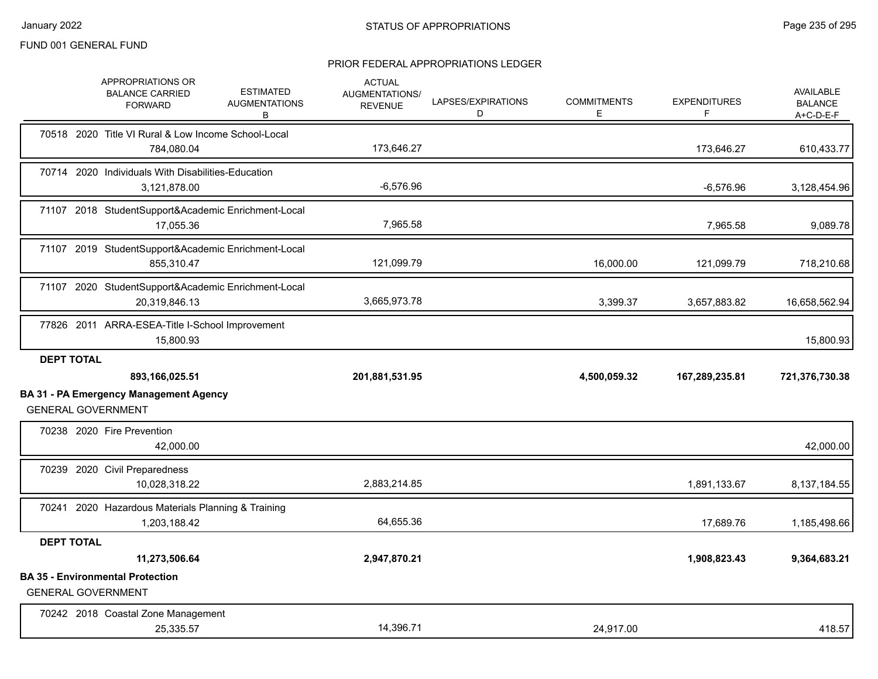|                   | APPROPRIATIONS OR<br><b>BALANCE CARRIED</b><br><b>FORWARD</b>                                | <b>ESTIMATED</b><br><b>AUGMENTATIONS</b><br>B | <b>ACTUAL</b><br><b>AUGMENTATIONS/</b><br><b>REVENUE</b> | LAPSES/EXPIRATIONS<br>D | <b>COMMITMENTS</b><br>E | <b>EXPENDITURES</b><br>F | AVAILABLE<br><b>BALANCE</b><br>$A+C-D-E-F$ |
|-------------------|----------------------------------------------------------------------------------------------|-----------------------------------------------|----------------------------------------------------------|-------------------------|-------------------------|--------------------------|--------------------------------------------|
|                   | 70518 2020 Title VI Rural & Low Income School-Local<br>784,080.04                            |                                               | 173,646.27                                               |                         |                         | 173,646.27               | 610,433.77                                 |
|                   | 70714 2020 Individuals With Disabilities-Education<br>3,121,878.00                           |                                               | $-6,576.96$                                              |                         |                         | $-6,576.96$              | 3,128,454.96                               |
|                   | 71107 2018 StudentSupport&Academic Enrichment-Local<br>17,055.36                             |                                               | 7,965.58                                                 |                         |                         | 7,965.58                 | 9,089.78                                   |
|                   | 71107 2019 StudentSupport&Academic Enrichment-Local<br>855,310.47                            |                                               | 121,099.79                                               |                         | 16,000.00               | 121,099.79               | 718,210.68                                 |
|                   | 71107 2020 StudentSupport&Academic Enrichment-Local<br>20,319,846.13                         |                                               | 3,665,973.78                                             |                         | 3,399.37                | 3,657,883.82             | 16,658,562.94                              |
|                   | 77826 2011 ARRA-ESEA-Title I-School Improvement<br>15,800.93                                 |                                               |                                                          |                         |                         |                          | 15,800.93                                  |
| <b>DEPT TOTAL</b> | 893,166,025.51<br><b>BA 31 - PA Emergency Management Agency</b><br><b>GENERAL GOVERNMENT</b> |                                               | 201,881,531.95                                           |                         | 4,500,059.32            | 167,289,235.81           | 721,376,730.38                             |
|                   | 70238 2020 Fire Prevention<br>42,000.00                                                      |                                               |                                                          |                         |                         |                          | 42,000.00                                  |
|                   | 70239 2020 Civil Preparedness<br>10,028,318.22                                               |                                               | 2,883,214.85                                             |                         |                         | 1,891,133.67             | 8,137,184.55                               |
|                   | 70241 2020 Hazardous Materials Planning & Training<br>1,203,188.42                           |                                               | 64,655.36                                                |                         |                         | 17,689.76                | 1,185,498.66                               |
| <b>DEPT TOTAL</b> | 11,273,506.64<br><b>BA 35 - Environmental Protection</b><br><b>GENERAL GOVERNMENT</b>        |                                               | 2,947,870.21                                             |                         |                         | 1,908,823.43             | 9,364,683.21                               |
|                   |                                                                                              |                                               |                                                          |                         |                         |                          |                                            |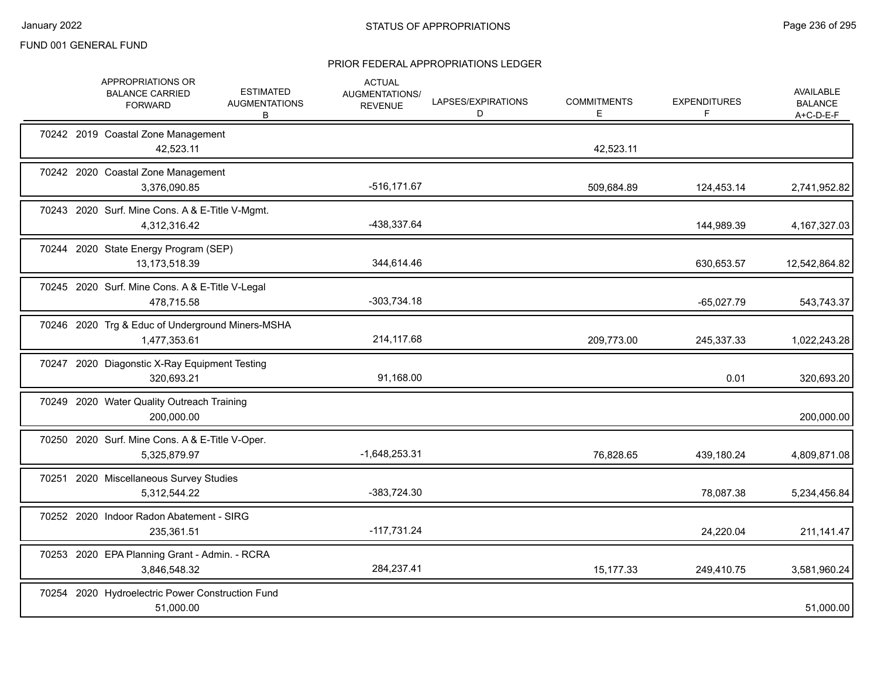|       | APPROPRIATIONS OR<br><b>BALANCE CARRIED</b><br><b>FORWARD</b>    | <b>ESTIMATED</b><br><b>AUGMENTATIONS</b><br>B | <b>ACTUAL</b><br>AUGMENTATIONS/<br><b>REVENUE</b> | LAPSES/EXPIRATIONS<br>D | <b>COMMITMENTS</b><br>Е | <b>EXPENDITURES</b><br>F. | <b>AVAILABLE</b><br><b>BALANCE</b><br>$A+C-D-E-F$ |
|-------|------------------------------------------------------------------|-----------------------------------------------|---------------------------------------------------|-------------------------|-------------------------|---------------------------|---------------------------------------------------|
|       | 70242 2019 Coastal Zone Management<br>42,523.11                  |                                               |                                                   |                         | 42,523.11               |                           |                                                   |
|       | 70242 2020 Coastal Zone Management<br>3,376,090.85               |                                               | $-516, 171.67$                                    |                         | 509,684.89              | 124,453.14                | 2,741,952.82                                      |
|       | 70243 2020 Surf. Mine Cons. A & E-Title V-Mgmt.<br>4,312,316.42  |                                               | -438,337.64                                       |                         |                         | 144,989.39                | 4, 167, 327.03                                    |
|       | 70244 2020 State Energy Program (SEP)<br>13,173,518.39           |                                               | 344,614.46                                        |                         |                         | 630,653.57                | 12,542,864.82                                     |
|       | 70245 2020 Surf. Mine Cons. A & E-Title V-Legal<br>478,715.58    |                                               | $-303,734.18$                                     |                         |                         | $-65,027.79$              | 543,743.37                                        |
|       | 70246 2020 Trg & Educ of Underground Miners-MSHA<br>1,477,353.61 |                                               | 214,117.68                                        |                         | 209,773.00              | 245,337.33                | 1,022,243.28                                      |
|       | 70247 2020 Diagonstic X-Ray Equipment Testing<br>320,693.21      |                                               | 91,168.00                                         |                         |                         | 0.01                      | 320,693.20                                        |
|       | 70249 2020 Water Quality Outreach Training<br>200,000.00         |                                               |                                                   |                         |                         |                           | 200,000.00                                        |
|       | 70250 2020 Surf. Mine Cons. A & E-Title V-Oper.<br>5,325,879.97  |                                               | $-1,648,253.31$                                   |                         | 76,828.65               | 439,180.24                | 4,809,871.08                                      |
| 70251 | 2020 Miscellaneous Survey Studies<br>5,312,544.22                |                                               | -383,724.30                                       |                         |                         | 78,087.38                 | 5,234,456.84                                      |
|       | 70252 2020 Indoor Radon Abatement - SIRG<br>235,361.51           |                                               | $-117,731.24$                                     |                         |                         | 24,220.04                 | 211, 141. 47                                      |
|       | 70253 2020 EPA Planning Grant - Admin. - RCRA<br>3,846,548.32    |                                               | 284,237.41                                        |                         | 15,177.33               | 249,410.75                | 3,581,960.24                                      |
|       | 70254 2020 Hydroelectric Power Construction Fund<br>51,000.00    |                                               |                                                   |                         |                         |                           | 51,000.00                                         |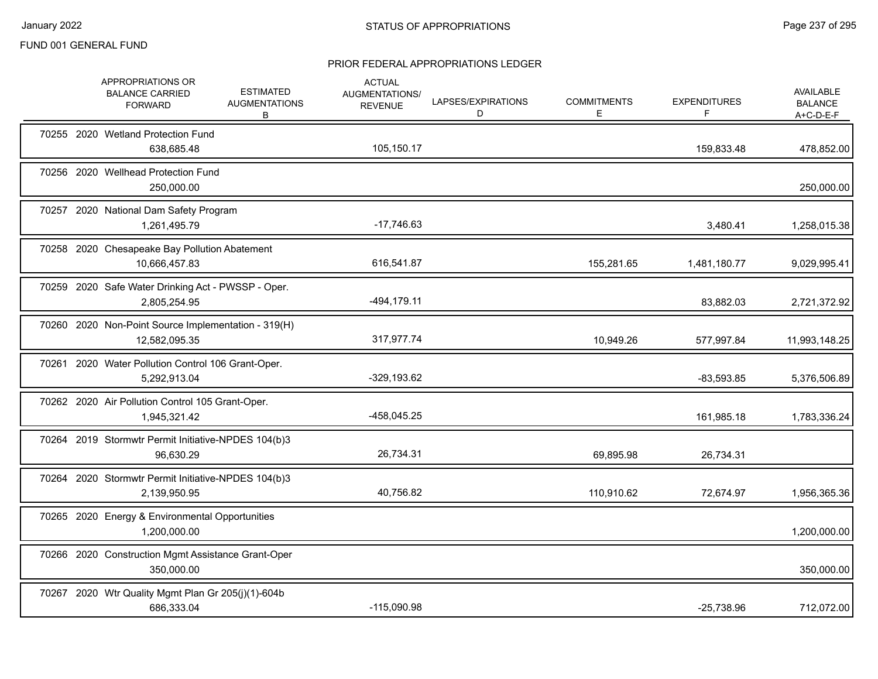|  | APPROPRIATIONS OR<br><b>BALANCE CARRIED</b><br><b>FORWARD</b>        | <b>ESTIMATED</b><br><b>AUGMENTATIONS</b><br>B | <b>ACTUAL</b><br>AUGMENTATIONS/<br><b>REVENUE</b> | LAPSES/EXPIRATIONS<br>D | <b>COMMITMENTS</b><br>Е | <b>EXPENDITURES</b><br>F | <b>AVAILABLE</b><br><b>BALANCE</b><br>A+C-D-E-F |
|--|----------------------------------------------------------------------|-----------------------------------------------|---------------------------------------------------|-------------------------|-------------------------|--------------------------|-------------------------------------------------|
|  | 70255 2020 Wetland Protection Fund<br>638,685.48                     |                                               | 105,150.17                                        |                         |                         | 159,833.48               | 478,852.00                                      |
|  | 70256 2020 Wellhead Protection Fund<br>250,000.00                    |                                               |                                                   |                         |                         |                          | 250,000.00                                      |
|  | 70257 2020 National Dam Safety Program<br>1,261,495.79               |                                               | $-17,746.63$                                      |                         |                         | 3,480.41                 | 1,258,015.38                                    |
|  | 70258 2020 Chesapeake Bay Pollution Abatement<br>10,666,457.83       |                                               | 616,541.87                                        |                         | 155,281.65              | 1,481,180.77             | 9,029,995.41                                    |
|  | 70259 2020 Safe Water Drinking Act - PWSSP - Oper.<br>2,805,254.95   |                                               | $-494, 179.11$                                    |                         |                         | 83,882.03                | 2,721,372.92                                    |
|  | 70260 2020 Non-Point Source Implementation - 319(H)<br>12,582,095.35 |                                               | 317,977.74                                        |                         | 10,949.26               | 577,997.84               | 11,993,148.25                                   |
|  | 70261 2020 Water Pollution Control 106 Grant-Oper.<br>5,292,913.04   |                                               | $-329,193.62$                                     |                         |                         | $-83,593.85$             | 5,376,506.89                                    |
|  | 70262 2020 Air Pollution Control 105 Grant-Oper.<br>1,945,321.42     |                                               | -458,045.25                                       |                         |                         | 161,985.18               | 1,783,336.24                                    |
|  | 70264 2019 Stormwtr Permit Initiative-NPDES 104(b)3<br>96,630.29     |                                               | 26,734.31                                         |                         | 69,895.98               | 26,734.31                |                                                 |
|  | 70264 2020 Stormwtr Permit Initiative-NPDES 104(b)3<br>2,139,950.95  |                                               | 40,756.82                                         |                         | 110,910.62              | 72,674.97                | 1,956,365.36                                    |
|  | 70265 2020 Energy & Environmental Opportunities<br>1,200,000.00      |                                               |                                                   |                         |                         |                          | 1,200,000.00                                    |
|  | 70266 2020 Construction Mgmt Assistance Grant-Oper<br>350,000.00     |                                               |                                                   |                         |                         |                          | 350,000.00                                      |
|  | 70267 2020 Wtr Quality Mgmt Plan Gr 205(j)(1)-604b<br>686,333.04     |                                               | $-115,090.98$                                     |                         |                         | $-25,738.96$             | 712,072.00                                      |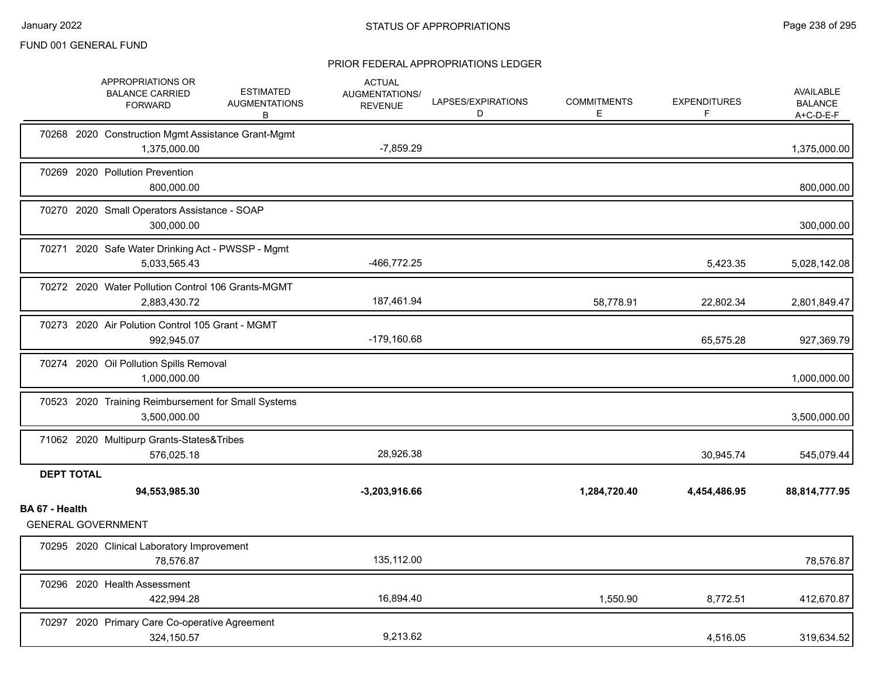|                   | APPROPRIATIONS OR<br><b>BALANCE CARRIED</b><br><b>FORWARD</b>       | <b>ESTIMATED</b><br><b>AUGMENTATIONS</b><br>В | <b>ACTUAL</b><br>AUGMENTATIONS/<br><b>REVENUE</b> | LAPSES/EXPIRATIONS<br>D | <b>COMMITMENTS</b><br>Е | <b>EXPENDITURES</b><br>F | AVAILABLE<br><b>BALANCE</b><br>A+C-D-E-F |
|-------------------|---------------------------------------------------------------------|-----------------------------------------------|---------------------------------------------------|-------------------------|-------------------------|--------------------------|------------------------------------------|
|                   | 70268 2020 Construction Mgmt Assistance Grant-Mgmt<br>1,375,000.00  |                                               | $-7,859.29$                                       |                         |                         |                          | 1,375,000.00                             |
|                   | 70269 2020 Pollution Prevention<br>800,000.00                       |                                               |                                                   |                         |                         |                          | 800,000.00                               |
|                   | 70270 2020 Small Operators Assistance - SOAP<br>300,000.00          |                                               |                                                   |                         |                         |                          | 300,000.00                               |
|                   | 70271 2020 Safe Water Drinking Act - PWSSP - Mgmt<br>5,033,565.43   |                                               | -466,772.25                                       |                         |                         | 5,423.35                 | 5,028,142.08                             |
|                   | 70272 2020 Water Pollution Control 106 Grants-MGMT<br>2,883,430.72  |                                               | 187,461.94                                        |                         | 58,778.91               | 22,802.34                | 2,801,849.47                             |
|                   | 70273 2020 Air Polution Control 105 Grant - MGMT<br>992,945.07      |                                               | $-179,160.68$                                     |                         |                         | 65,575.28                | 927,369.79                               |
|                   | 70274 2020 Oil Pollution Spills Removal<br>1.000.000.00             |                                               |                                                   |                         |                         |                          | 1,000,000.00                             |
|                   | 70523 2020 Training Reimbursement for Small Systems<br>3,500,000.00 |                                               |                                                   |                         |                         |                          | 3,500,000.00                             |
|                   | 71062 2020 Multipurp Grants-States&Tribes<br>576,025.18             |                                               | 28,926.38                                         |                         |                         | 30,945.74                | 545,079.44                               |
| <b>DEPT TOTAL</b> |                                                                     |                                               |                                                   |                         |                         |                          |                                          |
|                   | 94,553,985.30                                                       |                                               | $-3,203,916.66$                                   |                         | 1,284,720.40            | 4,454,486.95             | 88,814,777.95                            |
| BA 67 - Health    | <b>GENERAL GOVERNMENT</b>                                           |                                               |                                                   |                         |                         |                          |                                          |
|                   | 70295 2020 Clinical Laboratory Improvement<br>78,576.87             |                                               | 135,112.00                                        |                         |                         |                          | 78,576.87                                |
|                   | 70296 2020 Health Assessment<br>422,994.28                          |                                               | 16,894.40                                         |                         | 1,550.90                | 8,772.51                 | 412,670.87                               |
|                   | 70297 2020 Primary Care Co-operative Agreement<br>324,150.57        |                                               | 9,213.62                                          |                         |                         | 4,516.05                 | 319,634.52                               |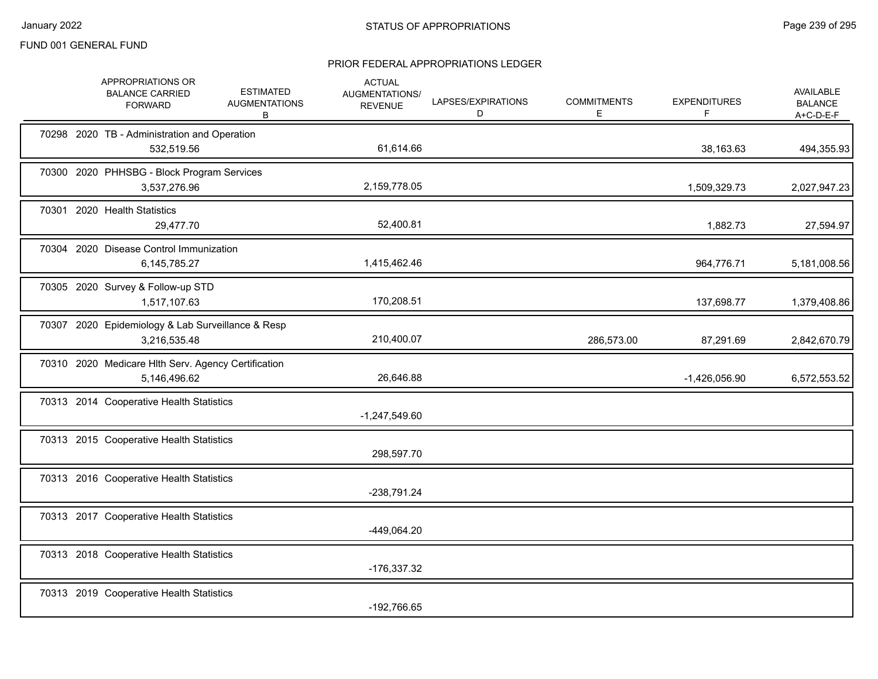|  | APPROPRIATIONS OR<br><b>BALANCE CARRIED</b><br><b>FORWARD</b>       | <b>ESTIMATED</b><br><b>AUGMENTATIONS</b><br>B | <b>ACTUAL</b><br>AUGMENTATIONS/<br><b>REVENUE</b> | LAPSES/EXPIRATIONS<br>D | <b>COMMITMENTS</b><br>E. | <b>EXPENDITURES</b><br>F | AVAILABLE<br><b>BALANCE</b><br>$A+C-D-E-F$ |
|--|---------------------------------------------------------------------|-----------------------------------------------|---------------------------------------------------|-------------------------|--------------------------|--------------------------|--------------------------------------------|
|  | 70298 2020 TB - Administration and Operation<br>532,519.56          |                                               | 61,614.66                                         |                         |                          | 38,163.63                | 494,355.93                                 |
|  | 70300 2020 PHHSBG - Block Program Services<br>3,537,276.96          |                                               | 2,159,778.05                                      |                         |                          | 1,509,329.73             | 2,027,947.23                               |
|  | 70301 2020 Health Statistics<br>29,477.70                           |                                               | 52,400.81                                         |                         |                          | 1,882.73                 | 27,594.97                                  |
|  | 70304 2020 Disease Control Immunization<br>6,145,785.27             |                                               | 1,415,462.46                                      |                         |                          | 964,776.71               | 5,181,008.56                               |
|  | 70305 2020 Survey & Follow-up STD<br>1,517,107.63                   |                                               | 170,208.51                                        |                         |                          | 137,698.77               | 1,379,408.86                               |
|  | 70307 2020 Epidemiology & Lab Surveillance & Resp<br>3,216,535.48   |                                               | 210,400.07                                        |                         | 286,573.00               | 87,291.69                | 2,842,670.79                               |
|  | 70310 2020 Medicare Hlth Serv. Agency Certification<br>5,146,496.62 |                                               | 26,646.88                                         |                         |                          | $-1,426,056.90$          | 6,572,553.52                               |
|  | 70313 2014 Cooperative Health Statistics                            |                                               | $-1,247,549.60$                                   |                         |                          |                          |                                            |
|  | 70313 2015 Cooperative Health Statistics                            |                                               | 298,597.70                                        |                         |                          |                          |                                            |
|  | 70313 2016 Cooperative Health Statistics                            |                                               | -238,791.24                                       |                         |                          |                          |                                            |
|  | 70313 2017 Cooperative Health Statistics                            |                                               | -449,064.20                                       |                         |                          |                          |                                            |
|  | 70313 2018 Cooperative Health Statistics                            |                                               | -176,337.32                                       |                         |                          |                          |                                            |
|  | 70313 2019 Cooperative Health Statistics                            |                                               | -192,766.65                                       |                         |                          |                          |                                            |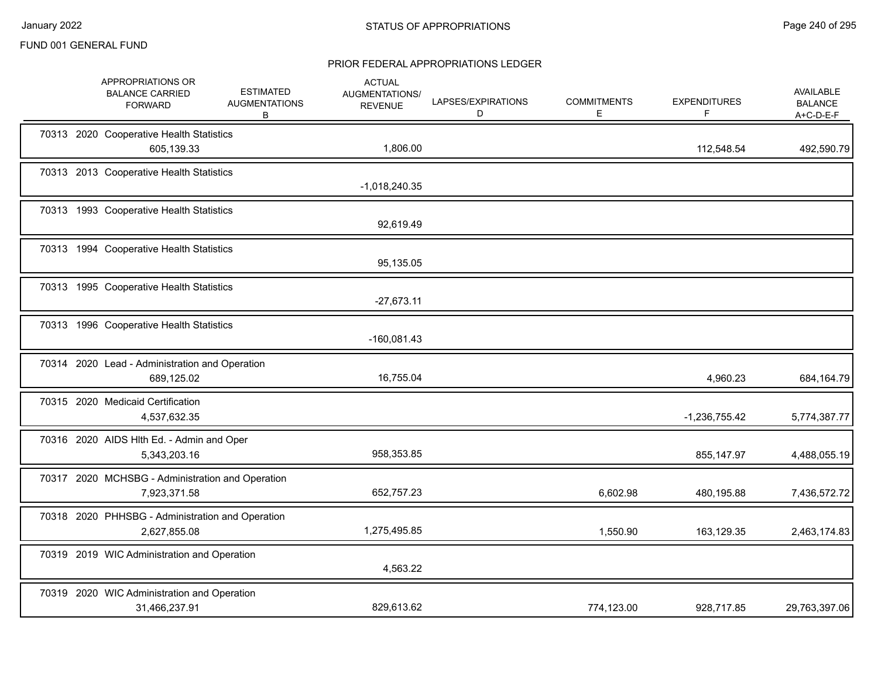|  | APPROPRIATIONS OR<br><b>BALANCE CARRIED</b><br><b>FORWARD</b>    | <b>ESTIMATED</b><br><b>AUGMENTATIONS</b><br>B | <b>ACTUAL</b><br>AUGMENTATIONS/<br><b>REVENUE</b> | LAPSES/EXPIRATIONS<br>D | <b>COMMITMENTS</b><br>E. | <b>EXPENDITURES</b><br>F | AVAILABLE<br><b>BALANCE</b><br>$A+C-D-E-F$ |
|--|------------------------------------------------------------------|-----------------------------------------------|---------------------------------------------------|-------------------------|--------------------------|--------------------------|--------------------------------------------|
|  | 70313 2020 Cooperative Health Statistics<br>605,139.33           |                                               | 1,806.00                                          |                         |                          | 112,548.54               | 492,590.79                                 |
|  | 70313 2013 Cooperative Health Statistics                         |                                               | $-1,018,240.35$                                   |                         |                          |                          |                                            |
|  | 70313 1993 Cooperative Health Statistics                         |                                               | 92,619.49                                         |                         |                          |                          |                                            |
|  | 70313 1994 Cooperative Health Statistics                         |                                               | 95,135.05                                         |                         |                          |                          |                                            |
|  | 70313 1995 Cooperative Health Statistics                         |                                               | $-27,673.11$                                      |                         |                          |                          |                                            |
|  | 70313 1996 Cooperative Health Statistics                         |                                               | $-160,081.43$                                     |                         |                          |                          |                                            |
|  | 70314 2020 Lead - Administration and Operation<br>689,125.02     |                                               | 16,755.04                                         |                         |                          | 4,960.23                 | 684,164.79                                 |
|  | 70315 2020 Medicaid Certification<br>4,537,632.35                |                                               |                                                   |                         |                          | $-1,236,755.42$          | 5,774,387.77                               |
|  | 70316 2020 AIDS Hith Ed. - Admin and Oper<br>5,343,203.16        |                                               | 958,353.85                                        |                         |                          | 855,147.97               | 4,488,055.19                               |
|  | 70317 2020 MCHSBG - Administration and Operation<br>7,923,371.58 |                                               | 652,757.23                                        |                         | 6,602.98                 | 480,195.88               | 7,436,572.72                               |
|  | 70318 2020 PHHSBG - Administration and Operation<br>2,627,855.08 |                                               | 1,275,495.85                                      |                         | 1,550.90                 | 163,129.35               | 2,463,174.83                               |
|  | 70319 2019 WIC Administration and Operation                      |                                               | 4,563.22                                          |                         |                          |                          |                                            |
|  | 70319 2020 WIC Administration and Operation<br>31,466,237.91     |                                               | 829,613.62                                        |                         | 774,123.00               | 928,717.85               | 29,763,397.06                              |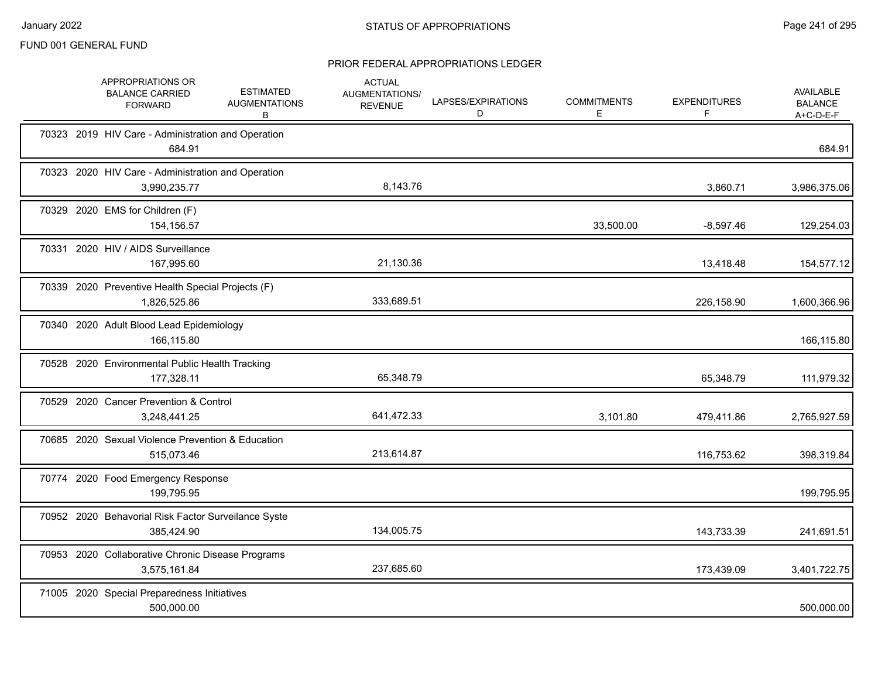|  | APPROPRIATIONS OR<br><b>BALANCE CARRIED</b><br><b>FORWARD</b>      | <b>ESTIMATED</b><br><b>AUGMENTATIONS</b><br>В | <b>ACTUAL</b><br>AUGMENTATIONS/<br><b>REVENUE</b> | LAPSES/EXPIRATIONS<br>D | <b>COMMITMENTS</b><br>E. | <b>EXPENDITURES</b><br>F | <b>AVAILABLE</b><br><b>BALANCE</b><br>$A+C-D-E-F$ |
|--|--------------------------------------------------------------------|-----------------------------------------------|---------------------------------------------------|-------------------------|--------------------------|--------------------------|---------------------------------------------------|
|  | 70323 2019 HIV Care - Administration and Operation<br>684.91       |                                               |                                                   |                         |                          |                          | 684.91                                            |
|  | 70323 2020 HIV Care - Administration and Operation<br>3,990,235.77 |                                               | 8,143.76                                          |                         |                          | 3,860.71                 | 3,986,375.06                                      |
|  | 70329 2020 EMS for Children (F)<br>154,156.57                      |                                               |                                                   |                         | 33,500.00                | $-8,597.46$              | 129,254.03                                        |
|  | 70331 2020 HIV / AIDS Surveillance<br>167,995.60                   |                                               | 21,130.36                                         |                         |                          | 13,418.48                | 154,577.12                                        |
|  | 70339 2020 Preventive Health Special Projects (F)<br>1,826,525.86  |                                               | 333,689.51                                        |                         |                          | 226,158.90               | 1,600,366.96                                      |
|  | 70340 2020 Adult Blood Lead Epidemiology<br>166,115.80             |                                               |                                                   |                         |                          |                          | 166,115.80                                        |
|  | 70528 2020 Environmental Public Health Tracking<br>177,328.11      |                                               | 65,348.79                                         |                         |                          | 65,348.79                | 111,979.32                                        |
|  | 70529 2020 Cancer Prevention & Control<br>3,248,441.25             |                                               | 641,472.33                                        |                         | 3,101.80                 | 479,411.86               | 2,765,927.59                                      |
|  | 70685 2020 Sexual Violence Prevention & Education<br>515,073.46    |                                               | 213,614.87                                        |                         |                          | 116,753.62               | 398,319.84                                        |
|  | 70774 2020 Food Emergency Response<br>199,795.95                   |                                               |                                                   |                         |                          |                          | 199,795.95                                        |
|  | 70952 2020 Behavorial Risk Factor Surveilance Syste<br>385,424.90  |                                               | 134,005.75                                        |                         |                          | 143,733.39               | 241,691.51                                        |
|  | 70953 2020 Collaborative Chronic Disease Programs<br>3,575,161.84  |                                               | 237,685.60                                        |                         |                          | 173,439.09               | 3,401,722.75                                      |
|  | 71005 2020 Special Preparedness Initiatives<br>500,000.00          |                                               |                                                   |                         |                          |                          | 500,000.00                                        |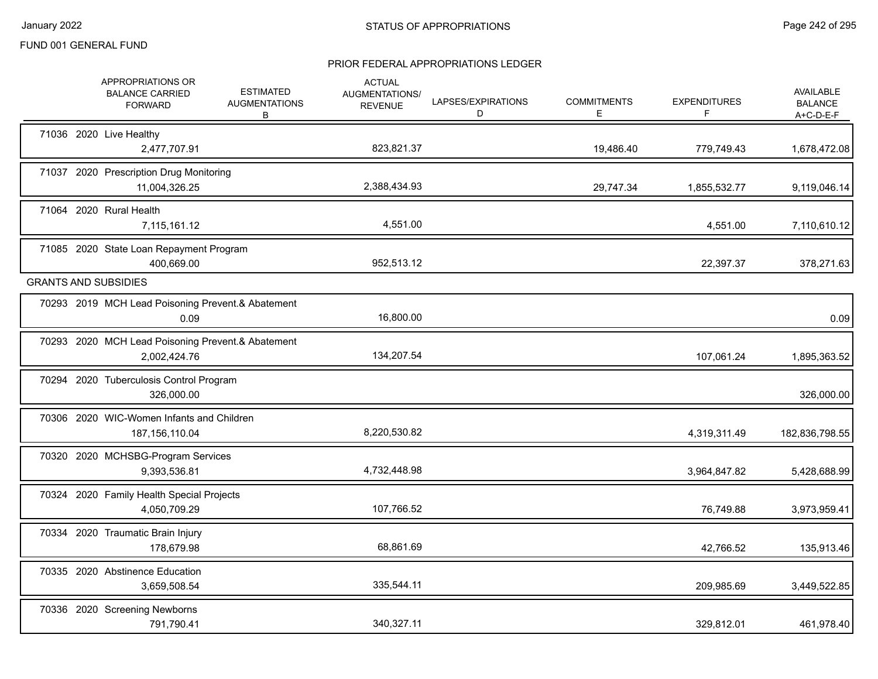|  | APPROPRIATIONS OR<br><b>BALANCE CARRIED</b><br><b>FORWARD</b>     | <b>ESTIMATED</b><br><b>AUGMENTATIONS</b><br>B | <b>ACTUAL</b><br>AUGMENTATIONS/<br><b>REVENUE</b> | LAPSES/EXPIRATIONS<br>D | <b>COMMITMENTS</b><br>E. | <b>EXPENDITURES</b><br>F | AVAILABLE<br><b>BALANCE</b><br>A+C-D-E-F |
|--|-------------------------------------------------------------------|-----------------------------------------------|---------------------------------------------------|-------------------------|--------------------------|--------------------------|------------------------------------------|
|  | 71036 2020 Live Healthy<br>2,477,707.91                           |                                               | 823,821.37                                        |                         | 19,486.40                | 779,749.43               | 1,678,472.08                             |
|  | 71037 2020 Prescription Drug Monitoring<br>11,004,326.25          |                                               | 2,388,434.93                                      |                         | 29,747.34                | 1,855,532.77             | 9,119,046.14                             |
|  | 71064 2020 Rural Health<br>7,115,161.12                           |                                               | 4,551.00                                          |                         |                          | 4,551.00                 | 7,110,610.12                             |
|  | 71085 2020 State Loan Repayment Program<br>400,669.00             |                                               | 952,513.12                                        |                         |                          | 22,397.37                | 378,271.63                               |
|  | <b>GRANTS AND SUBSIDIES</b>                                       |                                               |                                                   |                         |                          |                          |                                          |
|  | 70293 2019 MCH Lead Poisoning Prevent.& Abatement<br>0.09         |                                               | 16,800.00                                         |                         |                          |                          | 0.09                                     |
|  | 70293 2020 MCH Lead Poisoning Prevent.& Abatement<br>2,002,424.76 |                                               | 134,207.54                                        |                         |                          | 107,061.24               | 1,895,363.52                             |
|  | 70294 2020 Tuberculosis Control Program<br>326,000.00             |                                               |                                                   |                         |                          |                          | 326,000.00                               |
|  | 70306 2020 WIC-Women Infants and Children<br>187, 156, 110.04     |                                               | 8,220,530.82                                      |                         |                          | 4,319,311.49             | 182,836,798.55                           |
|  | 70320 2020 MCHSBG-Program Services<br>9,393,536.81                |                                               | 4,732,448.98                                      |                         |                          | 3,964,847.82             | 5,428,688.99                             |
|  | 70324 2020 Family Health Special Projects<br>4,050,709.29         |                                               | 107,766.52                                        |                         |                          | 76,749.88                | 3,973,959.41                             |
|  | 70334 2020 Traumatic Brain Injury<br>178,679.98                   |                                               | 68,861.69                                         |                         |                          | 42,766.52                | 135,913.46                               |
|  | 70335 2020 Abstinence Education<br>3,659,508.54                   |                                               | 335,544.11                                        |                         |                          | 209,985.69               | 3,449,522.85                             |
|  | 70336 2020 Screening Newborns<br>791,790.41                       |                                               | 340.327.11                                        |                         |                          | 329,812.01               | 461,978.40                               |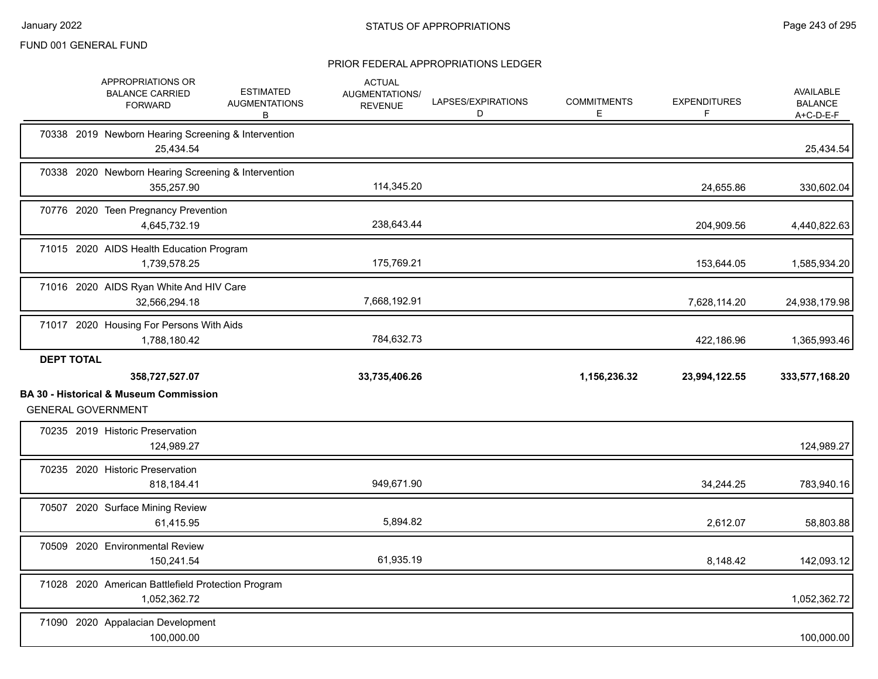|                   | APPROPRIATIONS OR<br><b>BALANCE CARRIED</b><br><b>FORWARD</b>                  | <b>ESTIMATED</b><br><b>AUGMENTATIONS</b><br>В | <b>ACTUAL</b><br>AUGMENTATIONS/<br><b>REVENUE</b> | LAPSES/EXPIRATIONS<br>D | <b>COMMITMENTS</b><br>Е | <b>EXPENDITURES</b><br>F | <b>AVAILABLE</b><br><b>BALANCE</b><br>A+C-D-E-F |
|-------------------|--------------------------------------------------------------------------------|-----------------------------------------------|---------------------------------------------------|-------------------------|-------------------------|--------------------------|-------------------------------------------------|
|                   | 70338 2019 Newborn Hearing Screening & Intervention<br>25,434.54               |                                               |                                                   |                         |                         |                          | 25,434.54                                       |
|                   | 70338 2020 Newborn Hearing Screening & Intervention<br>355,257.90              |                                               | 114,345.20                                        |                         |                         | 24,655.86                | 330,602.04                                      |
|                   | 70776 2020 Teen Pregnancy Prevention<br>4,645,732.19                           |                                               | 238,643.44                                        |                         |                         | 204,909.56               | 4,440,822.63                                    |
|                   | 71015 2020 AIDS Health Education Program<br>1,739,578.25                       |                                               | 175,769.21                                        |                         |                         | 153,644.05               | 1,585,934.20                                    |
|                   | 71016 2020 AIDS Ryan White And HIV Care<br>32,566,294.18                       |                                               | 7,668,192.91                                      |                         |                         | 7,628,114.20             | 24,938,179.98                                   |
|                   | 71017 2020 Housing For Persons With Aids<br>1,788,180.42                       |                                               | 784,632.73                                        |                         |                         | 422,186.96               | 1,365,993.46                                    |
| <b>DEPT TOTAL</b> |                                                                                |                                               |                                                   |                         |                         |                          |                                                 |
|                   | 358,727,527.07                                                                 |                                               | 33,735,406.26                                     |                         | 1,156,236.32            | 23,994,122.55            | 333,577,168.20                                  |
|                   | <b>BA 30 - Historical &amp; Museum Commission</b><br><b>GENERAL GOVERNMENT</b> |                                               |                                                   |                         |                         |                          |                                                 |
|                   | 70235 2019 Historic Preservation<br>124,989.27                                 |                                               |                                                   |                         |                         |                          | 124,989.27                                      |
|                   | 70235 2020 Historic Preservation<br>818,184.41                                 |                                               | 949,671.90                                        |                         |                         | 34,244.25                | 783,940.16                                      |
|                   | 70507 2020 Surface Mining Review<br>61,415.95                                  |                                               | 5,894.82                                          |                         |                         | 2,612.07                 | 58,803.88                                       |
|                   | 70509 2020 Environmental Review<br>150,241.54                                  |                                               | 61,935.19                                         |                         |                         | 8,148.42                 | 142,093.12                                      |
|                   | 71028 2020 American Battlefield Protection Program<br>1,052,362.72             |                                               |                                                   |                         |                         |                          | 1,052,362.72                                    |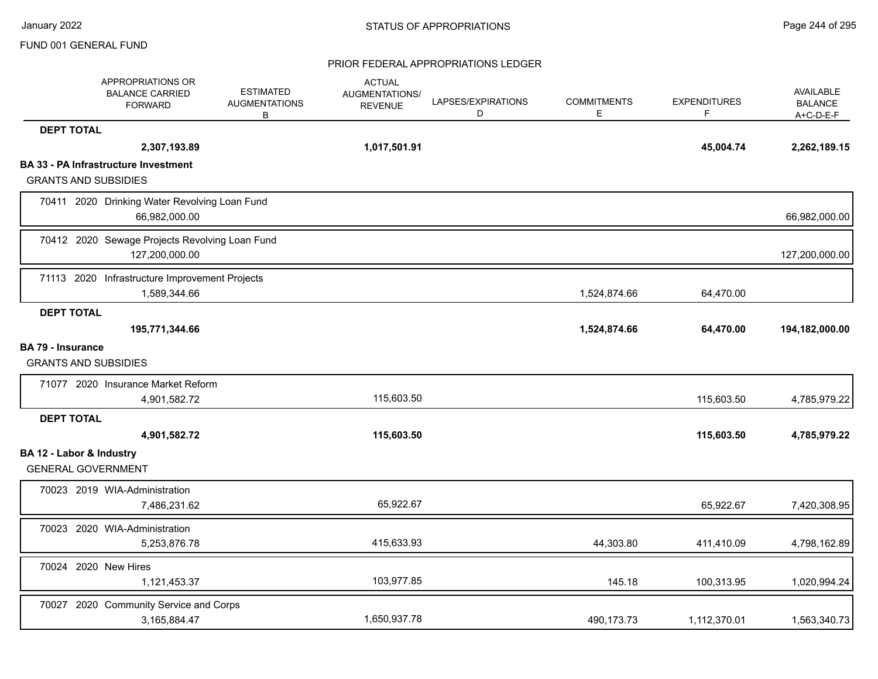|                                                         | APPROPRIATIONS OR<br><b>BALANCE CARRIED</b><br><b>FORWARD</b>    | <b>ESTIMATED</b><br><b>AUGMENTATIONS</b><br>B | <b>ACTUAL</b><br>AUGMENTATIONS/<br><b>REVENUE</b> | LAPSES/EXPIRATIONS<br>D | <b>COMMITMENTS</b><br>E | <b>EXPENDITURES</b><br>F. | <b>AVAILABLE</b><br><b>BALANCE</b><br>$A+C-D-E-F$ |
|---------------------------------------------------------|------------------------------------------------------------------|-----------------------------------------------|---------------------------------------------------|-------------------------|-------------------------|---------------------------|---------------------------------------------------|
| <b>DEPT TOTAL</b>                                       |                                                                  |                                               |                                                   |                         |                         |                           |                                                   |
|                                                         | 2,307,193.89                                                     |                                               | 1,017,501.91                                      |                         |                         | 45,004.74                 | 2,262,189.15                                      |
| <b>GRANTS AND SUBSIDIES</b>                             | <b>BA 33 - PA Infrastructure Investment</b>                      |                                               |                                                   |                         |                         |                           |                                                   |
|                                                         | 70411 2020 Drinking Water Revolving Loan Fund<br>66,982,000.00   |                                               |                                                   |                         |                         |                           | 66,982,000.00                                     |
|                                                         | 70412 2020 Sewage Projects Revolving Loan Fund<br>127,200,000.00 |                                               |                                                   |                         |                         |                           | 127,200,000.00                                    |
|                                                         | 71113 2020 Infrastructure Improvement Projects<br>1,589,344.66   |                                               |                                                   |                         | 1,524,874.66            | 64,470.00                 |                                                   |
| <b>DEPT TOTAL</b>                                       | 195,771,344.66                                                   |                                               |                                                   |                         | 1,524,874.66            | 64,470.00                 | 194,182,000.00                                    |
| <b>BA 79 - Insurance</b><br><b>GRANTS AND SUBSIDIES</b> |                                                                  |                                               |                                                   |                         |                         |                           |                                                   |
|                                                         | 71077 2020 Insurance Market Reform<br>4,901,582.72               |                                               | 115,603.50                                        |                         |                         | 115,603.50                | 4,785,979.22                                      |
| <b>DEPT TOTAL</b>                                       |                                                                  |                                               |                                                   |                         |                         |                           |                                                   |
|                                                         | 4,901,582.72                                                     |                                               | 115,603.50                                        |                         |                         | 115,603.50                | 4,785,979.22                                      |
| BA 12 - Labor & Industry<br><b>GENERAL GOVERNMENT</b>   |                                                                  |                                               |                                                   |                         |                         |                           |                                                   |
|                                                         | 70023 2019 WIA-Administration<br>7,486,231.62                    |                                               | 65,922.67                                         |                         |                         | 65,922.67                 | 7,420,308.95                                      |
|                                                         | 70023 2020 WIA-Administration<br>5,253,876.78                    |                                               | 415,633.93                                        |                         | 44,303.80               | 411,410.09                | 4,798,162.89                                      |
|                                                         | 70024 2020 New Hires<br>1,121,453.37                             |                                               | 103,977.85                                        |                         | 145.18                  | 100,313.95                | 1,020,994.24                                      |
|                                                         | 70027 2020 Community Service and Corps<br>3,165,884.47           |                                               | 1,650,937.78                                      |                         | 490,173.73              | 1,112,370.01              | 1,563,340.73                                      |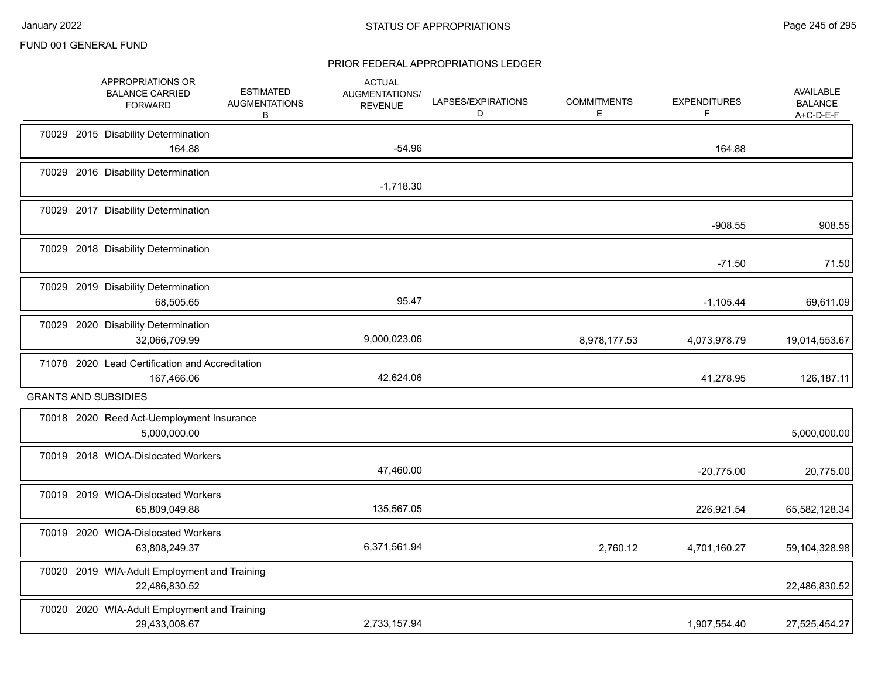|  | APPROPRIATIONS OR<br><b>BALANCE CARRIED</b><br><b>FORWARD</b> | <b>ESTIMATED</b><br><b>AUGMENTATIONS</b><br>B | <b>ACTUAL</b><br>AUGMENTATIONS/<br><b>REVENUE</b> | LAPSES/EXPIRATIONS<br>D | <b>COMMITMENTS</b><br>E. | <b>EXPENDITURES</b><br>F | <b>AVAILABLE</b><br><b>BALANCE</b><br>$A+C-D-E-F$ |
|--|---------------------------------------------------------------|-----------------------------------------------|---------------------------------------------------|-------------------------|--------------------------|--------------------------|---------------------------------------------------|
|  | 70029 2015 Disability Determination<br>164.88                 |                                               | $-54.96$                                          |                         |                          | 164.88                   |                                                   |
|  | 70029 2016 Disability Determination                           |                                               | $-1,718.30$                                       |                         |                          |                          |                                                   |
|  | 70029 2017 Disability Determination                           |                                               |                                                   |                         |                          | $-908.55$                | 908.55                                            |
|  | 70029 2018 Disability Determination                           |                                               |                                                   |                         |                          | $-71.50$                 | 71.50                                             |
|  | 70029 2019 Disability Determination<br>68,505.65              |                                               | 95.47                                             |                         |                          | $-1,105.44$              | 69,611.09                                         |
|  | 70029 2020 Disability Determination<br>32,066,709.99          |                                               | 9,000,023.06                                      |                         | 8,978,177.53             | 4,073,978.79             | 19,014,553.67                                     |
|  | 71078 2020 Lead Certification and Accreditation<br>167,466.06 |                                               | 42,624.06                                         |                         |                          | 41,278.95                | 126,187.11                                        |
|  | <b>GRANTS AND SUBSIDIES</b>                                   |                                               |                                                   |                         |                          |                          |                                                   |
|  | 70018 2020 Reed Act-Uemployment Insurance<br>5,000,000.00     |                                               |                                                   |                         |                          |                          | 5,000,000.00                                      |
|  | 70019 2018 WIOA-Dislocated Workers                            |                                               | 47,460.00                                         |                         |                          | $-20,775.00$             | 20,775.00                                         |
|  | 70019 2019 WIOA-Dislocated Workers<br>65,809,049.88           |                                               | 135,567.05                                        |                         |                          | 226,921.54               | 65,582,128.34                                     |
|  | 70019 2020 WIOA-Dislocated Workers<br>63,808,249.37           |                                               | 6,371,561.94                                      |                         | 2,760.12                 | 4,701,160.27             | 59,104,328.98                                     |
|  | 70020 2019 WIA-Adult Employment and Training<br>22,486,830.52 |                                               |                                                   |                         |                          |                          | 22,486,830.52                                     |
|  | 70020 2020 WIA-Adult Employment and Training<br>29,433,008.67 |                                               | 2,733,157.94                                      |                         |                          | 1,907,554.40             | 27,525,454.27                                     |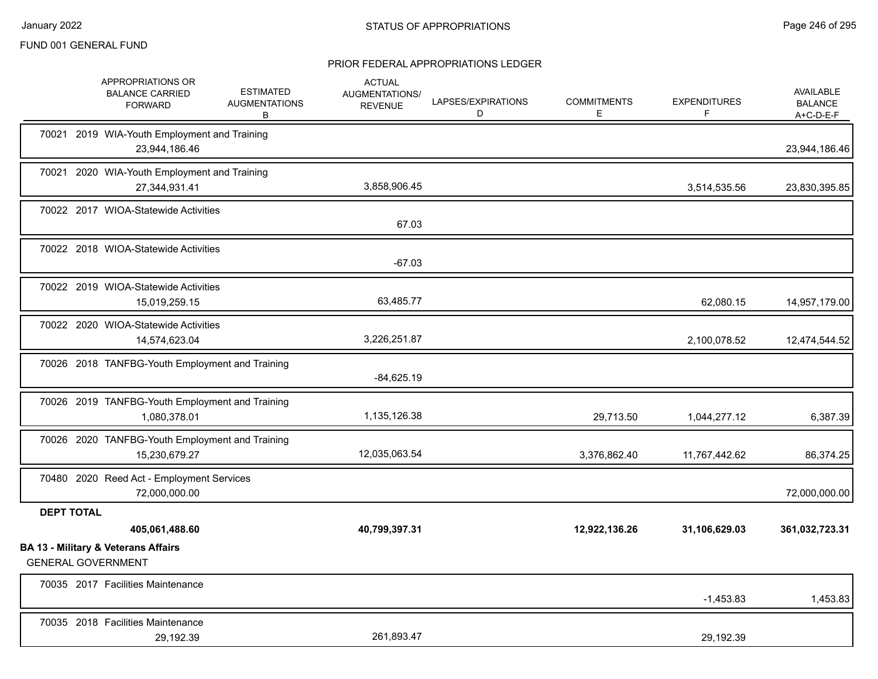|                   | APPROPRIATIONS OR<br><b>BALANCE CARRIED</b><br><b>FORWARD</b>    | <b>ESTIMATED</b><br><b>AUGMENTATIONS</b><br>В | <b>ACTUAL</b><br><b>AUGMENTATIONS/</b><br><b>REVENUE</b> | LAPSES/EXPIRATIONS<br>D | <b>COMMITMENTS</b><br>Е. | <b>EXPENDITURES</b><br>F | <b>AVAILABLE</b><br><b>BALANCE</b><br>A+C-D-E-F |
|-------------------|------------------------------------------------------------------|-----------------------------------------------|----------------------------------------------------------|-------------------------|--------------------------|--------------------------|-------------------------------------------------|
|                   | 70021 2019 WIA-Youth Employment and Training<br>23,944,186.46    |                                               |                                                          |                         |                          |                          | 23,944,186.46                                   |
|                   | 70021 2020 WIA-Youth Employment and Training<br>27,344,931.41    |                                               | 3,858,906.45                                             |                         |                          | 3,514,535.56             | 23,830,395.85                                   |
|                   | 70022 2017 WIOA-Statewide Activities                             |                                               | 67.03                                                    |                         |                          |                          |                                                 |
|                   | 70022 2018 WIOA-Statewide Activities                             |                                               | $-67.03$                                                 |                         |                          |                          |                                                 |
|                   | 70022 2019 WIOA-Statewide Activities<br>15,019,259.15            |                                               | 63,485.77                                                |                         |                          | 62,080.15                | 14,957,179.00                                   |
|                   | 70022 2020 WIOA-Statewide Activities<br>14,574,623.04            |                                               | 3,226,251.87                                             |                         |                          | 2,100,078.52             | 12,474,544.52                                   |
|                   | 70026 2018 TANFBG-Youth Employment and Training                  |                                               | $-84,625.19$                                             |                         |                          |                          |                                                 |
|                   | 70026 2019 TANFBG-Youth Employment and Training<br>1,080,378.01  |                                               | 1,135,126.38                                             |                         | 29,713.50                | 1,044,277.12             | 6,387.39                                        |
|                   | 70026 2020 TANFBG-Youth Employment and Training<br>15,230,679.27 |                                               | 12,035,063.54                                            |                         | 3,376,862.40             | 11,767,442.62            | 86,374.25                                       |
|                   | 70480 2020 Reed Act - Employment Services<br>72,000,000.00       |                                               |                                                          |                         |                          |                          | 72,000,000.00                                   |
| <b>DEPT TOTAL</b> |                                                                  |                                               |                                                          |                         |                          |                          |                                                 |
|                   | 405,061,488.60<br><b>BA 13 - Military &amp; Veterans Affairs</b> |                                               | 40,799,397.31                                            |                         | 12,922,136.26            | 31,106,629.03            | 361,032,723.31                                  |
|                   | <b>GENERAL GOVERNMENT</b>                                        |                                               |                                                          |                         |                          |                          |                                                 |
|                   | 70035 2017 Facilities Maintenance                                |                                               |                                                          |                         |                          | $-1,453.83$              | 1,453.83                                        |
|                   | 70035 2018 Facilities Maintenance<br>29,192.39                   |                                               | 261,893.47                                               |                         |                          | 29.192.39                |                                                 |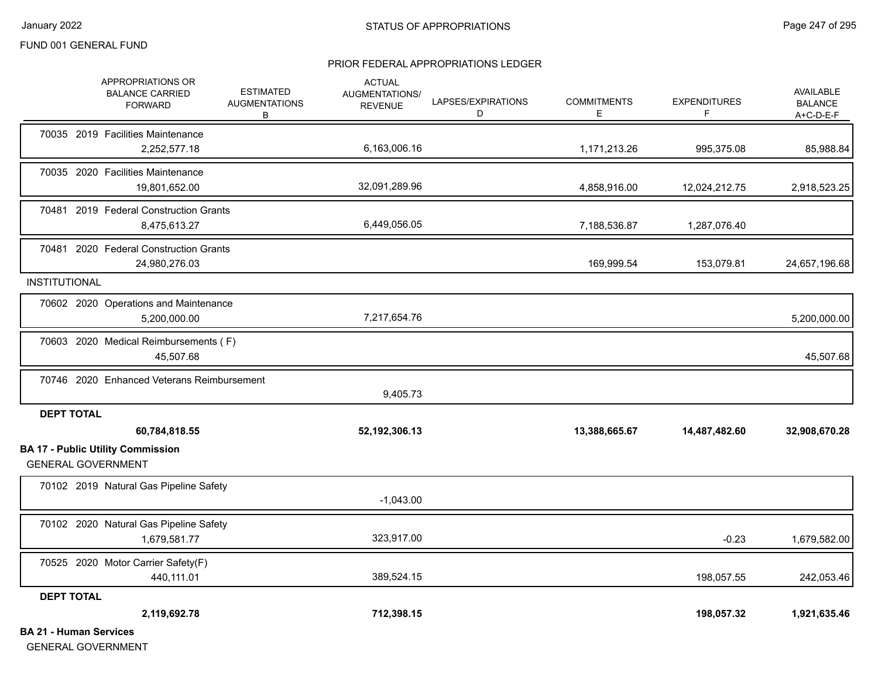#### PRIOR FEDERAL APPROPRIATIONS LEDGER

|                               | APPROPRIATIONS OR<br><b>BALANCE CARRIED</b><br><b>FORWARD</b>         | <b>ESTIMATED</b><br><b>AUGMENTATIONS</b><br>В | <b>ACTUAL</b><br>AUGMENTATIONS/<br><b>REVENUE</b> | LAPSES/EXPIRATIONS<br>D | <b>COMMITMENTS</b><br>E. | <b>EXPENDITURES</b><br>F | <b>AVAILABLE</b><br><b>BALANCE</b><br>A+C-D-E-F |
|-------------------------------|-----------------------------------------------------------------------|-----------------------------------------------|---------------------------------------------------|-------------------------|--------------------------|--------------------------|-------------------------------------------------|
|                               | 70035 2019 Facilities Maintenance<br>2,252,577.18                     |                                               | 6,163,006.16                                      |                         | 1,171,213.26             | 995,375.08               | 85,988.84                                       |
|                               | 70035 2020 Facilities Maintenance<br>19,801,652.00                    |                                               | 32,091,289.96                                     |                         | 4,858,916.00             | 12,024,212.75            | 2,918,523.25                                    |
|                               | 70481 2019 Federal Construction Grants<br>8,475,613.27                |                                               | 6,449,056.05                                      |                         | 7,188,536.87             | 1,287,076.40             |                                                 |
|                               | 70481 2020 Federal Construction Grants<br>24,980,276.03               |                                               |                                                   |                         | 169,999.54               | 153,079.81               | 24,657,196.68                                   |
| INSTITUTIONAL                 |                                                                       |                                               |                                                   |                         |                          |                          |                                                 |
|                               | 70602 2020 Operations and Maintenance<br>5,200,000.00                 |                                               | 7,217,654.76                                      |                         |                          |                          | 5,200,000.00                                    |
|                               | 70603 2020 Medical Reimbursements (F)<br>45,507.68                    |                                               |                                                   |                         |                          |                          | 45,507.68                                       |
|                               | 70746 2020 Enhanced Veterans Reimbursement                            |                                               | 9,405.73                                          |                         |                          |                          |                                                 |
| <b>DEPT TOTAL</b>             |                                                                       |                                               |                                                   |                         |                          |                          |                                                 |
|                               | 60,784,818.55                                                         |                                               | 52,192,306.13                                     |                         | 13,388,665.67            | 14,487,482.60            | 32,908,670.28                                   |
|                               | <b>BA 17 - Public Utility Commission</b><br><b>GENERAL GOVERNMENT</b> |                                               |                                                   |                         |                          |                          |                                                 |
|                               | 70102 2019 Natural Gas Pipeline Safety                                |                                               | $-1,043.00$                                       |                         |                          |                          |                                                 |
|                               | 70102 2020 Natural Gas Pipeline Safety<br>1,679,581.77                |                                               | 323,917.00                                        |                         |                          | $-0.23$                  | 1,679,582.00                                    |
|                               | 70525 2020 Motor Carrier Safety(F)<br>440,111.01                      |                                               | 389,524.15                                        |                         |                          | 198,057.55               | 242,053.46                                      |
| <b>DEPT TOTAL</b>             |                                                                       |                                               |                                                   |                         |                          |                          |                                                 |
|                               | 2,119,692.78                                                          |                                               | 712,398.15                                        |                         |                          | 198,057.32               | 1,921,635.46                                    |
| <b>BA 21 - Human Services</b> |                                                                       |                                               |                                                   |                         |                          |                          |                                                 |

GENERAL GOVERNMENT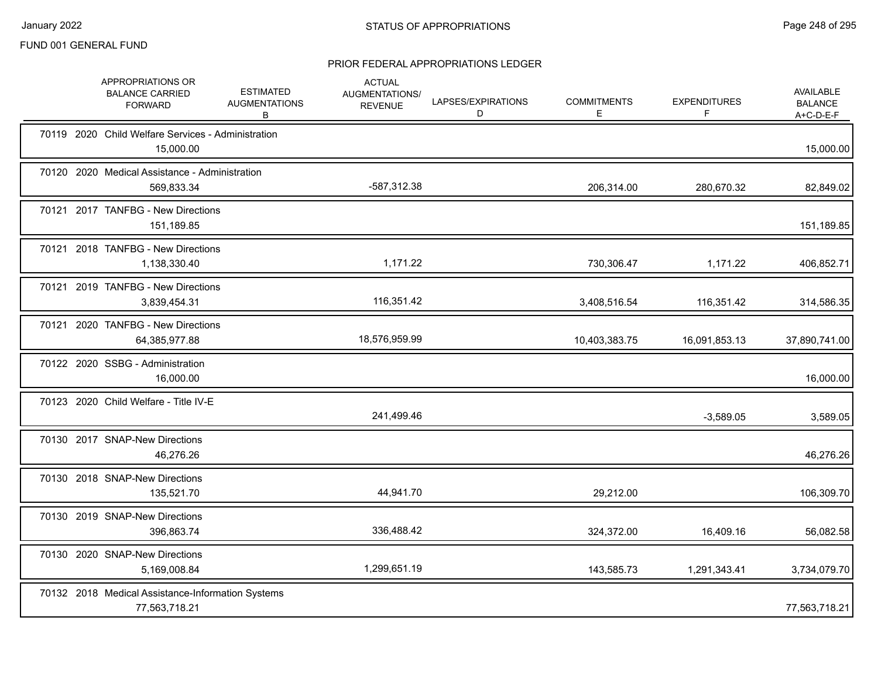| APPROPRIATIONS OR<br><b>BALANCE CARRIED</b><br><b>FORWARD</b>      | <b>ESTIMATED</b><br><b>AUGMENTATIONS</b><br>B | <b>ACTUAL</b><br>AUGMENTATIONS/<br><b>REVENUE</b> | LAPSES/EXPIRATIONS<br>D | <b>COMMITMENTS</b><br>E | <b>EXPENDITURES</b><br>F | AVAILABLE<br><b>BALANCE</b><br>$A+C-D-E-F$ |
|--------------------------------------------------------------------|-----------------------------------------------|---------------------------------------------------|-------------------------|-------------------------|--------------------------|--------------------------------------------|
| 70119 2020 Child Welfare Services - Administration<br>15,000.00    |                                               |                                                   |                         |                         |                          | 15,000.00                                  |
| 70120 2020 Medical Assistance - Administration<br>569,833.34       |                                               | -587,312.38                                       |                         | 206,314.00              | 280,670.32               | 82,849.02                                  |
| 70121 2017 TANFBG - New Directions<br>151,189.85                   |                                               |                                                   |                         |                         |                          | 151,189.85                                 |
| 70121 2018 TANFBG - New Directions<br>1,138,330.40                 |                                               | 1,171.22                                          |                         | 730,306.47              | 1,171.22                 | 406,852.71                                 |
| 70121 2019 TANFBG - New Directions<br>3,839,454.31                 |                                               | 116,351.42                                        |                         | 3,408,516.54            | 116,351.42               | 314,586.35                                 |
| 70121 2020 TANFBG - New Directions<br>64,385,977.88                |                                               | 18,576,959.99                                     |                         | 10,403,383.75           | 16,091,853.13            | 37,890,741.00                              |
| 70122 2020 SSBG - Administration<br>16,000.00                      |                                               |                                                   |                         |                         |                          | 16,000.00                                  |
| 70123 2020 Child Welfare - Title IV-E                              |                                               | 241,499.46                                        |                         |                         | $-3,589.05$              | 3,589.05                                   |
| 70130 2017 SNAP-New Directions<br>46,276.26                        |                                               |                                                   |                         |                         |                          | 46,276.26                                  |
| 70130 2018 SNAP-New Directions<br>135,521.70                       |                                               | 44,941.70                                         |                         | 29,212.00               |                          | 106,309.70                                 |
| 70130 2019 SNAP-New Directions<br>396,863.74                       |                                               | 336,488.42                                        |                         | 324,372.00              | 16,409.16                | 56,082.58                                  |
| 70130 2020 SNAP-New Directions<br>5,169,008.84                     |                                               | 1,299,651.19                                      |                         | 143,585.73              | 1,291,343.41             | 3,734,079.70                               |
| 70132 2018 Medical Assistance-Information Systems<br>77,563,718.21 |                                               |                                                   |                         |                         |                          | 77,563,718.21                              |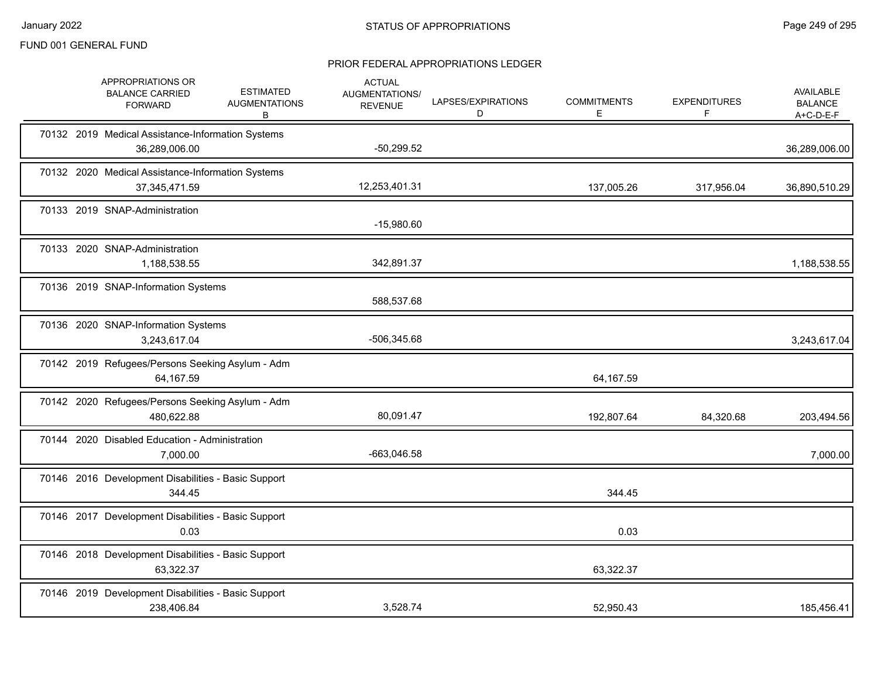|  | APPROPRIATIONS OR<br><b>BALANCE CARRIED</b><br><b>FORWARD</b>        | <b>ESTIMATED</b><br><b>AUGMENTATIONS</b><br>В | <b>ACTUAL</b><br>AUGMENTATIONS/<br><b>REVENUE</b> | LAPSES/EXPIRATIONS<br>D | <b>COMMITMENTS</b><br>Е | <b>EXPENDITURES</b><br>F. | <b>AVAILABLE</b><br><b>BALANCE</b><br>$A+C-D-E-F$ |
|--|----------------------------------------------------------------------|-----------------------------------------------|---------------------------------------------------|-------------------------|-------------------------|---------------------------|---------------------------------------------------|
|  | 70132 2019 Medical Assistance-Information Systems<br>36,289,006.00   |                                               | $-50,299.52$                                      |                         |                         |                           | 36,289,006.00                                     |
|  | 70132 2020 Medical Assistance-Information Systems<br>37, 345, 471.59 |                                               | 12,253,401.31                                     |                         | 137,005.26              | 317,956.04                | 36,890,510.29                                     |
|  | 70133 2019 SNAP-Administration                                       |                                               | $-15,980.60$                                      |                         |                         |                           |                                                   |
|  | 70133 2020 SNAP-Administration<br>1,188,538.55                       |                                               | 342,891.37                                        |                         |                         |                           | 1,188,538.55                                      |
|  | 70136 2019 SNAP-Information Systems                                  |                                               | 588,537.68                                        |                         |                         |                           |                                                   |
|  | 70136 2020 SNAP-Information Systems<br>3,243,617.04                  |                                               | -506,345.68                                       |                         |                         |                           | 3,243,617.04                                      |
|  | 70142 2019 Refugees/Persons Seeking Asylum - Adm<br>64,167.59        |                                               |                                                   |                         | 64,167.59               |                           |                                                   |
|  | 70142 2020 Refugees/Persons Seeking Asylum - Adm<br>480,622.88       |                                               | 80,091.47                                         |                         | 192,807.64              | 84,320.68                 | 203,494.56                                        |
|  | 70144 2020 Disabled Education - Administration<br>7,000.00           |                                               | -663,046.58                                       |                         |                         |                           | 7,000.00                                          |
|  | 70146 2016 Development Disabilities - Basic Support<br>344.45        |                                               |                                                   |                         | 344.45                  |                           |                                                   |
|  | 70146 2017 Development Disabilities - Basic Support<br>0.03          |                                               |                                                   |                         | 0.03                    |                           |                                                   |
|  | 70146 2018 Development Disabilities - Basic Support<br>63,322.37     |                                               |                                                   |                         | 63,322.37               |                           |                                                   |
|  | 70146 2019 Development Disabilities - Basic Support<br>238,406.84    |                                               | 3,528.74                                          |                         | 52,950.43               |                           | 185,456.41                                        |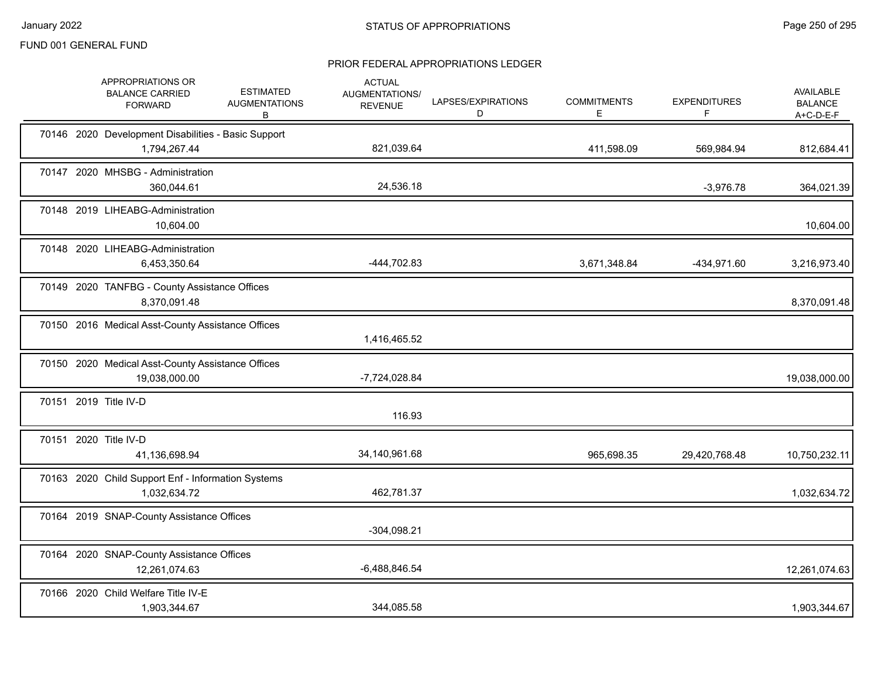|  | APPROPRIATIONS OR<br><b>BALANCE CARRIED</b><br><b>FORWARD</b>       | <b>ESTIMATED</b><br><b>AUGMENTATIONS</b><br>В | <b>ACTUAL</b><br>AUGMENTATIONS/<br><b>REVENUE</b> | LAPSES/EXPIRATIONS<br>D | <b>COMMITMENTS</b><br>E | <b>EXPENDITURES</b><br>F. | AVAILABLE<br><b>BALANCE</b><br>$A+C-D-E-F$ |
|--|---------------------------------------------------------------------|-----------------------------------------------|---------------------------------------------------|-------------------------|-------------------------|---------------------------|--------------------------------------------|
|  | 70146 2020 Development Disabilities - Basic Support<br>1,794,267.44 |                                               | 821,039.64                                        |                         | 411,598.09              | 569,984.94                | 812,684.41                                 |
|  | 70147 2020 MHSBG - Administration<br>360,044.61                     |                                               | 24,536.18                                         |                         |                         | $-3,976.78$               | 364,021.39                                 |
|  | 70148 2019 LIHEABG-Administration<br>10,604.00                      |                                               |                                                   |                         |                         |                           | 10,604.00                                  |
|  | 70148 2020 LIHEABG-Administration<br>6,453,350.64                   |                                               | -444,702.83                                       |                         | 3,671,348.84            | -434,971.60               | 3,216,973.40                               |
|  | 70149 2020 TANFBG - County Assistance Offices<br>8,370,091.48       |                                               |                                                   |                         |                         |                           | 8,370,091.48                               |
|  | 70150 2016 Medical Asst-County Assistance Offices                   |                                               | 1,416,465.52                                      |                         |                         |                           |                                            |
|  | 70150 2020 Medical Asst-County Assistance Offices<br>19,038,000.00  |                                               | -7,724,028.84                                     |                         |                         |                           | 19,038,000.00                              |
|  | 70151 2019 Title IV-D                                               |                                               | 116.93                                            |                         |                         |                           |                                            |
|  | 70151 2020 Title IV-D<br>41,136,698.94                              |                                               | 34,140,961.68                                     |                         | 965,698.35              | 29,420,768.48             | 10,750,232.11                              |
|  | 70163 2020 Child Support Enf - Information Systems<br>1,032,634.72  |                                               | 462,781.37                                        |                         |                         |                           | 1,032,634.72                               |
|  | 70164 2019 SNAP-County Assistance Offices                           |                                               | $-304,098.21$                                     |                         |                         |                           |                                            |
|  | 70164 2020 SNAP-County Assistance Offices<br>12,261,074.63          |                                               | $-6,488,846.54$                                   |                         |                         |                           | 12,261,074.63                              |
|  | 70166 2020 Child Welfare Title IV-E<br>1,903,344.67                 |                                               | 344,085.58                                        |                         |                         |                           | 1,903,344.67                               |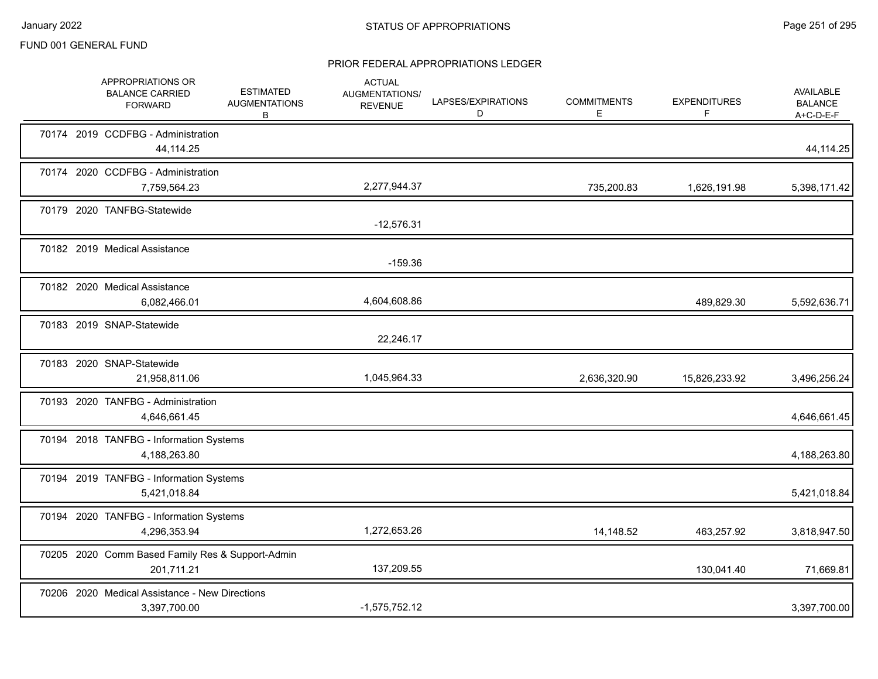|  | APPROPRIATIONS OR<br><b>BALANCE CARRIED</b><br><b>FORWARD</b>  | <b>ESTIMATED</b><br><b>AUGMENTATIONS</b><br>B | <b>ACTUAL</b><br>AUGMENTATIONS/<br><b>REVENUE</b> | LAPSES/EXPIRATIONS<br>D | <b>COMMITMENTS</b><br>Е | <b>EXPENDITURES</b><br>F | AVAILABLE<br><b>BALANCE</b><br>$A+C-D-E-F$ |
|--|----------------------------------------------------------------|-----------------------------------------------|---------------------------------------------------|-------------------------|-------------------------|--------------------------|--------------------------------------------|
|  | 70174 2019 CCDFBG - Administration<br>44,114.25                |                                               |                                                   |                         |                         |                          | 44,114.25                                  |
|  | 70174 2020 CCDFBG - Administration<br>7,759,564.23             |                                               | 2,277,944.37                                      |                         | 735,200.83              | 1,626,191.98             | 5,398,171.42                               |
|  | 70179 2020 TANFBG-Statewide                                    |                                               | $-12,576.31$                                      |                         |                         |                          |                                            |
|  | 70182 2019 Medical Assistance                                  |                                               | $-159.36$                                         |                         |                         |                          |                                            |
|  | 70182 2020 Medical Assistance<br>6,082,466.01                  |                                               | 4,604,608.86                                      |                         |                         | 489,829.30               | 5,592,636.71                               |
|  | 70183 2019 SNAP-Statewide                                      |                                               | 22,246.17                                         |                         |                         |                          |                                            |
|  | 70183 2020 SNAP-Statewide<br>21,958,811.06                     |                                               | 1,045,964.33                                      |                         | 2,636,320.90            | 15,826,233.92            | 3,496,256.24                               |
|  | 70193 2020 TANFBG - Administration<br>4,646,661.45             |                                               |                                                   |                         |                         |                          | 4,646,661.45                               |
|  | 70194 2018 TANFBG - Information Systems<br>4,188,263.80        |                                               |                                                   |                         |                         |                          | 4,188,263.80                               |
|  | 70194 2019 TANFBG - Information Systems<br>5,421,018.84        |                                               |                                                   |                         |                         |                          | 5,421,018.84                               |
|  | 70194 2020 TANFBG - Information Systems<br>4,296,353.94        |                                               | 1,272,653.26                                      |                         | 14,148.52               | 463,257.92               | 3,818,947.50                               |
|  | 70205 2020 Comm Based Family Res & Support-Admin<br>201,711.21 |                                               | 137,209.55                                        |                         |                         | 130,041.40               | 71,669.81                                  |
|  | 70206 2020 Medical Assistance - New Directions<br>3,397,700.00 |                                               | $-1,575,752.12$                                   |                         |                         |                          | 3,397,700.00                               |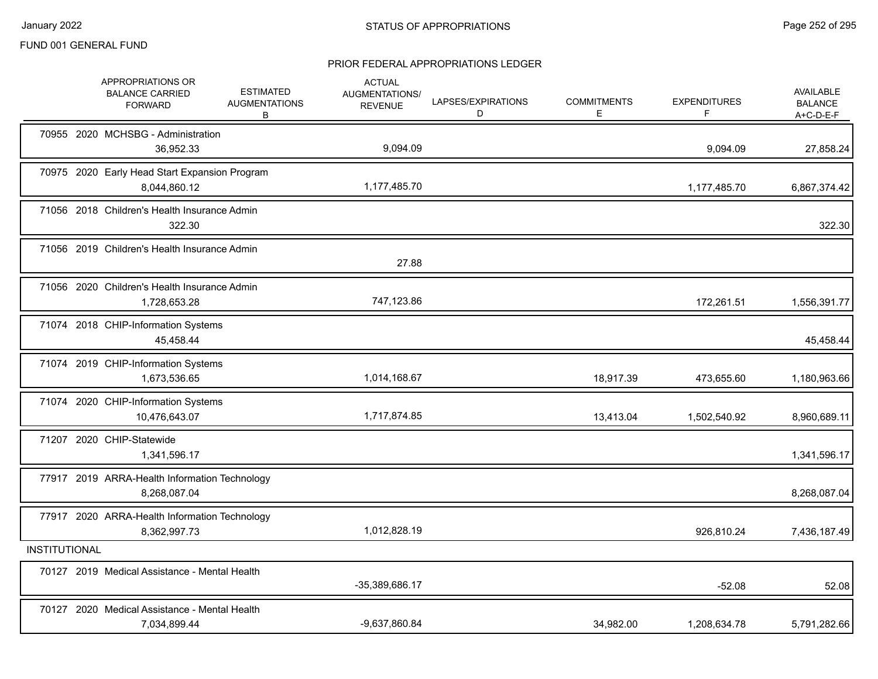|                      | APPROPRIATIONS OR<br><b>BALANCE CARRIED</b><br><b>FORWARD</b> | <b>ESTIMATED</b><br><b>AUGMENTATIONS</b><br>B | <b>ACTUAL</b><br><b>AUGMENTATIONS/</b><br><b>REVENUE</b> | LAPSES/EXPIRATIONS<br>D | <b>COMMITMENTS</b><br>Е | <b>EXPENDITURES</b><br>F | AVAILABLE<br><b>BALANCE</b><br>$A+C-D-E-F$ |
|----------------------|---------------------------------------------------------------|-----------------------------------------------|----------------------------------------------------------|-------------------------|-------------------------|--------------------------|--------------------------------------------|
|                      | 70955 2020 MCHSBG - Administration<br>36,952.33               |                                               | 9,094.09                                                 |                         |                         | 9,094.09                 | 27,858.24                                  |
|                      | 70975 2020 Early Head Start Expansion Program<br>8,044,860.12 |                                               | 1,177,485.70                                             |                         |                         | 1,177,485.70             | 6,867,374.42                               |
|                      | 71056 2018 Children's Health Insurance Admin<br>322.30        |                                               |                                                          |                         |                         |                          | 322.30                                     |
|                      | 71056 2019 Children's Health Insurance Admin                  |                                               | 27.88                                                    |                         |                         |                          |                                            |
|                      | 71056 2020 Children's Health Insurance Admin<br>1,728,653.28  |                                               | 747,123.86                                               |                         |                         | 172,261.51               | 1,556,391.77                               |
|                      | 71074 2018 CHIP-Information Systems<br>45,458.44              |                                               |                                                          |                         |                         |                          | 45,458.44                                  |
|                      | 71074 2019 CHIP-Information Systems<br>1,673,536.65           |                                               | 1,014,168.67                                             |                         | 18,917.39               | 473,655.60               | 1,180,963.66                               |
|                      | 71074 2020 CHIP-Information Systems<br>10,476,643.07          |                                               | 1,717,874.85                                             |                         | 13,413.04               | 1,502,540.92             | 8,960,689.11                               |
|                      | 71207 2020 CHIP-Statewide<br>1,341,596.17                     |                                               |                                                          |                         |                         |                          | 1,341,596.17                               |
|                      | 77917 2019 ARRA-Health Information Technology<br>8,268,087.04 |                                               |                                                          |                         |                         |                          | 8,268,087.04                               |
|                      | 77917 2020 ARRA-Health Information Technology<br>8,362,997.73 |                                               | 1,012,828.19                                             |                         |                         | 926,810.24               | 7,436,187.49                               |
| <b>INSTITUTIONAL</b> |                                                               |                                               |                                                          |                         |                         |                          |                                            |
|                      | 70127 2019 Medical Assistance - Mental Health                 |                                               | -35,389,686.17                                           |                         |                         | $-52.08$                 | 52.08                                      |
|                      | 70127 2020 Medical Assistance - Mental Health<br>7,034,899.44 |                                               | -9.637.860.84                                            |                         | 34,982.00               | 1,208,634.78             | 5,791,282.66                               |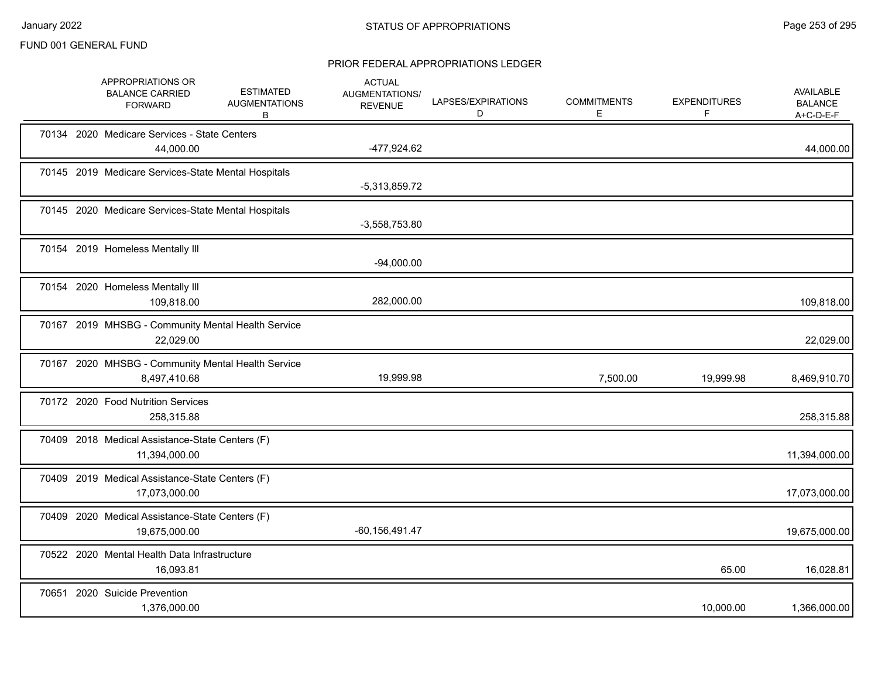|  | APPROPRIATIONS OR<br><b>BALANCE CARRIED</b><br><b>FORWARD</b>      | <b>ESTIMATED</b><br><b>AUGMENTATIONS</b><br>B | <b>ACTUAL</b><br><b>AUGMENTATIONS/</b><br><b>REVENUE</b> | LAPSES/EXPIRATIONS<br>D | <b>COMMITMENTS</b><br>E | <b>EXPENDITURES</b><br>F | AVAILABLE<br><b>BALANCE</b><br>$A+C-D-E-F$ |
|--|--------------------------------------------------------------------|-----------------------------------------------|----------------------------------------------------------|-------------------------|-------------------------|--------------------------|--------------------------------------------|
|  | 70134 2020 Medicare Services - State Centers<br>44,000.00          |                                               | -477,924.62                                              |                         |                         |                          | 44,000.00                                  |
|  | 70145 2019 Medicare Services-State Mental Hospitals                |                                               | -5,313,859.72                                            |                         |                         |                          |                                            |
|  | 70145 2020 Medicare Services-State Mental Hospitals                |                                               | $-3,558,753.80$                                          |                         |                         |                          |                                            |
|  | 70154 2019 Homeless Mentally III                                   |                                               | $-94,000.00$                                             |                         |                         |                          |                                            |
|  | 70154 2020 Homeless Mentally III<br>109,818.00                     |                                               | 282,000.00                                               |                         |                         |                          | 109,818.00                                 |
|  | 70167 2019 MHSBG - Community Mental Health Service<br>22,029.00    |                                               |                                                          |                         |                         |                          | 22,029.00                                  |
|  | 70167 2020 MHSBG - Community Mental Health Service<br>8,497,410.68 |                                               | 19,999.98                                                |                         | 7,500.00                | 19,999.98                | 8,469,910.70                               |
|  | 70172 2020 Food Nutrition Services<br>258,315.88                   |                                               |                                                          |                         |                         |                          | 258,315.88                                 |
|  | 70409 2018 Medical Assistance-State Centers (F)<br>11,394,000.00   |                                               |                                                          |                         |                         |                          | 11,394,000.00                              |
|  | 70409 2019 Medical Assistance-State Centers (F)<br>17,073,000.00   |                                               |                                                          |                         |                         |                          | 17,073,000.00                              |
|  | 70409 2020 Medical Assistance-State Centers (F)<br>19,675,000.00   |                                               | $-60, 156, 491.47$                                       |                         |                         |                          | 19,675,000.00                              |
|  | 70522 2020 Mental Health Data Infrastructure<br>16,093.81          |                                               |                                                          |                         |                         | 65.00                    | 16,028.81                                  |
|  | 70651 2020 Suicide Prevention<br>1,376,000.00                      |                                               |                                                          |                         |                         | 10,000.00                | 1,366,000.00                               |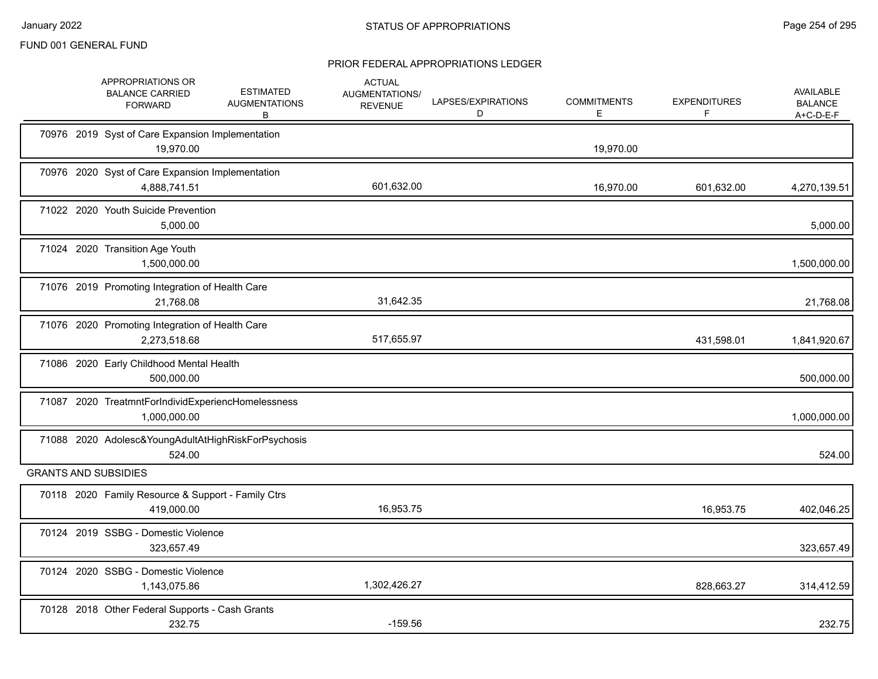|  | APPROPRIATIONS OR<br><b>BALANCE CARRIED</b><br><b>FORWARD</b>        | <b>ESTIMATED</b><br><b>AUGMENTATIONS</b><br>В | <b>ACTUAL</b><br><b>AUGMENTATIONS/</b><br><b>REVENUE</b> | LAPSES/EXPIRATIONS<br>D | <b>COMMITMENTS</b><br>E. | <b>EXPENDITURES</b><br>F | <b>AVAILABLE</b><br><b>BALANCE</b><br>$A+C-D-E-F$ |
|--|----------------------------------------------------------------------|-----------------------------------------------|----------------------------------------------------------|-------------------------|--------------------------|--------------------------|---------------------------------------------------|
|  | 70976 2019 Syst of Care Expansion Implementation<br>19,970.00        |                                               |                                                          |                         | 19,970.00                |                          |                                                   |
|  | 70976 2020 Syst of Care Expansion Implementation<br>4,888,741.51     |                                               | 601,632.00                                               |                         | 16,970.00                | 601,632.00               | 4,270,139.51                                      |
|  | 71022 2020 Youth Suicide Prevention<br>5,000.00                      |                                               |                                                          |                         |                          |                          | 5,000.00                                          |
|  | 71024 2020 Transition Age Youth<br>1,500,000.00                      |                                               |                                                          |                         |                          |                          | 1,500,000.00                                      |
|  | 71076 2019 Promoting Integration of Health Care<br>21,768.08         |                                               | 31,642.35                                                |                         |                          |                          | 21,768.08                                         |
|  | 71076 2020 Promoting Integration of Health Care<br>2,273,518.68      |                                               | 517,655.97                                               |                         |                          | 431,598.01               | 1,841,920.67                                      |
|  | 71086 2020 Early Childhood Mental Health<br>500,000.00               |                                               |                                                          |                         |                          |                          | 500,000.00                                        |
|  | 71087 2020 TreatmntForIndividExperiencHomelessness<br>1,000,000.00   |                                               |                                                          |                         |                          |                          | 1,000,000.00                                      |
|  | 71088 2020 Adolesc& Young Adult At High Risk For Psychosis<br>524.00 |                                               |                                                          |                         |                          |                          | 524.00                                            |
|  | <b>GRANTS AND SUBSIDIES</b>                                          |                                               |                                                          |                         |                          |                          |                                                   |
|  | 70118 2020 Family Resource & Support - Family Ctrs<br>419,000.00     |                                               | 16,953.75                                                |                         |                          | 16,953.75                | 402,046.25                                        |
|  | 70124 2019 SSBG - Domestic Violence<br>323,657.49                    |                                               |                                                          |                         |                          |                          | 323,657.49                                        |
|  | 70124 2020 SSBG - Domestic Violence<br>1,143,075.86                  |                                               | 1,302,426.27                                             |                         |                          | 828,663.27               | 314,412.59                                        |
|  | 70128 2018 Other Federal Supports - Cash Grants<br>232.75            |                                               | $-159.56$                                                |                         |                          |                          | 232.75                                            |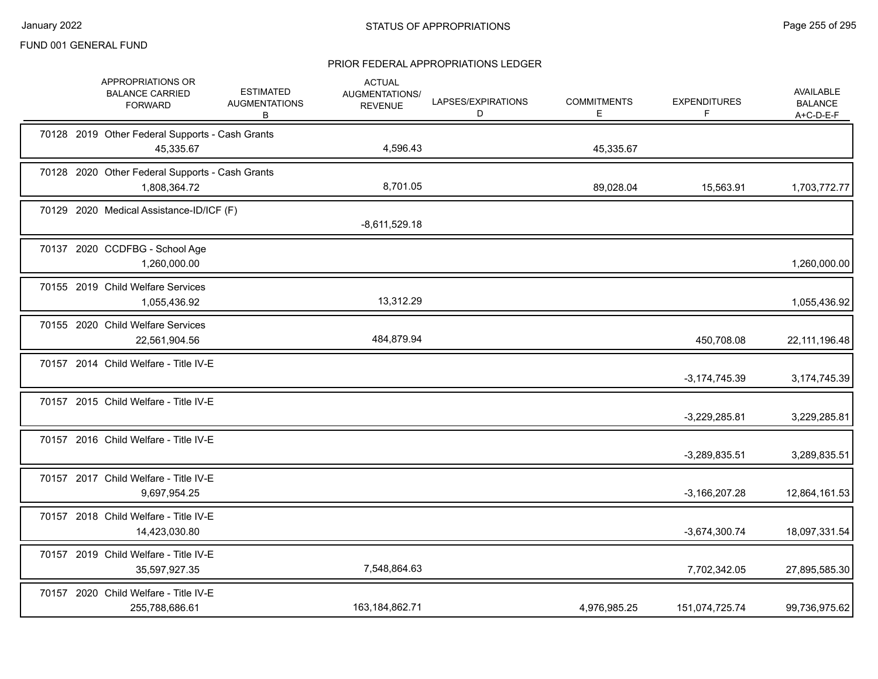|  | APPROPRIATIONS OR<br><b>BALANCE CARRIED</b><br><b>FORWARD</b>   | <b>ESTIMATED</b><br><b>AUGMENTATIONS</b><br>B | <b>ACTUAL</b><br>AUGMENTATIONS/<br><b>REVENUE</b> | LAPSES/EXPIRATIONS<br>D | <b>COMMITMENTS</b><br>Е | <b>EXPENDITURES</b><br>F | <b>AVAILABLE</b><br><b>BALANCE</b><br>A+C-D-E-F |
|--|-----------------------------------------------------------------|-----------------------------------------------|---------------------------------------------------|-------------------------|-------------------------|--------------------------|-------------------------------------------------|
|  | 70128 2019 Other Federal Supports - Cash Grants<br>45,335.67    |                                               | 4,596.43                                          |                         | 45,335.67               |                          |                                                 |
|  | 70128 2020 Other Federal Supports - Cash Grants<br>1,808,364.72 |                                               | 8,701.05                                          |                         | 89,028.04               | 15,563.91                | 1,703,772.77                                    |
|  | 70129 2020 Medical Assistance-ID/ICF (F)                        |                                               | $-8,611,529.18$                                   |                         |                         |                          |                                                 |
|  | 70137 2020 CCDFBG - School Age<br>1,260,000.00                  |                                               |                                                   |                         |                         |                          | 1,260,000.00                                    |
|  | 70155 2019 Child Welfare Services<br>1,055,436.92               |                                               | 13,312.29                                         |                         |                         |                          | 1,055,436.92                                    |
|  | 70155 2020 Child Welfare Services<br>22,561,904.56              |                                               | 484,879.94                                        |                         |                         | 450,708.08               | 22, 111, 196. 48                                |
|  | 70157 2014 Child Welfare - Title IV-E                           |                                               |                                                   |                         |                         | $-3,174,745.39$          | 3,174,745.39                                    |
|  | 70157 2015 Child Welfare - Title IV-E                           |                                               |                                                   |                         |                         | $-3,229,285.81$          | 3,229,285.81                                    |
|  | 70157 2016 Child Welfare - Title IV-E                           |                                               |                                                   |                         |                         | $-3,289,835.51$          | 3,289,835.51                                    |
|  | 70157 2017 Child Welfare - Title IV-E<br>9,697,954.25           |                                               |                                                   |                         |                         | $-3,166,207.28$          | 12,864,161.53                                   |
|  | 70157 2018 Child Welfare - Title IV-E<br>14,423,030.80          |                                               |                                                   |                         |                         | $-3,674,300.74$          | 18,097,331.54                                   |
|  | 70157 2019 Child Welfare - Title IV-E<br>35,597,927.35          |                                               | 7,548,864.63                                      |                         |                         | 7,702,342.05             | 27,895,585.30                                   |
|  | 70157 2020 Child Welfare - Title IV-E<br>255,788,686.61         |                                               | 163,184,862.71                                    |                         | 4,976,985.25            | 151,074,725.74           | 99,736,975.62                                   |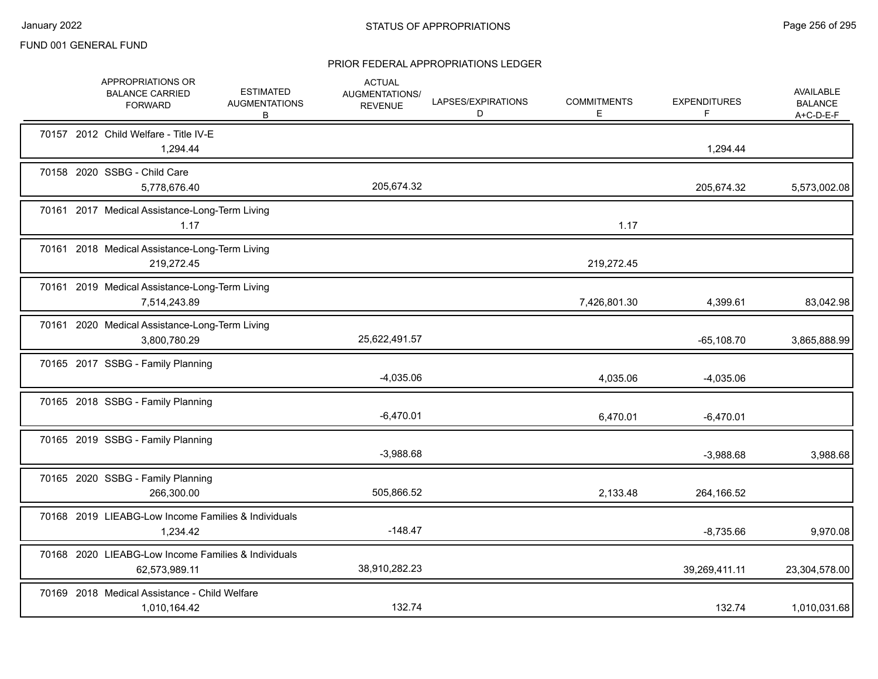|  | APPROPRIATIONS OR<br><b>BALANCE CARRIED</b><br><b>FORWARD</b>        | <b>ESTIMATED</b><br><b>AUGMENTATIONS</b><br>B | <b>ACTUAL</b><br>AUGMENTATIONS/<br><b>REVENUE</b> | LAPSES/EXPIRATIONS<br>D | <b>COMMITMENTS</b><br>Е | <b>EXPENDITURES</b><br>F. | AVAILABLE<br><b>BALANCE</b><br>A+C-D-E-F |
|--|----------------------------------------------------------------------|-----------------------------------------------|---------------------------------------------------|-------------------------|-------------------------|---------------------------|------------------------------------------|
|  | 70157 2012 Child Welfare - Title IV-E<br>1,294.44                    |                                               |                                                   |                         |                         | 1,294.44                  |                                          |
|  | 70158 2020 SSBG - Child Care<br>5,778,676.40                         |                                               | 205,674.32                                        |                         |                         | 205,674.32                | 5,573,002.08                             |
|  | 70161 2017 Medical Assistance-Long-Term Living<br>1.17               |                                               |                                                   |                         | 1.17                    |                           |                                          |
|  | 70161 2018 Medical Assistance-Long-Term Living<br>219,272.45         |                                               |                                                   |                         | 219,272.45              |                           |                                          |
|  | 70161 2019 Medical Assistance-Long-Term Living<br>7,514,243.89       |                                               |                                                   |                         | 7,426,801.30            | 4,399.61                  | 83,042.98                                |
|  | 70161 2020 Medical Assistance-Long-Term Living<br>3,800,780.29       |                                               | 25,622,491.57                                     |                         |                         | $-65,108.70$              | 3,865,888.99                             |
|  | 70165 2017 SSBG - Family Planning                                    |                                               | $-4,035.06$                                       |                         | 4,035.06                | $-4,035.06$               |                                          |
|  | 70165 2018 SSBG - Family Planning                                    |                                               | $-6,470.01$                                       |                         | 6,470.01                | $-6,470.01$               |                                          |
|  | 70165 2019 SSBG - Family Planning                                    |                                               | $-3,988.68$                                       |                         |                         | $-3,988.68$               | 3,988.68                                 |
|  | 70165 2020 SSBG - Family Planning<br>266,300.00                      |                                               | 505,866.52                                        |                         | 2,133.48                | 264,166.52                |                                          |
|  | 70168 2019 LIEABG-Low Income Families & Individuals<br>1,234.42      |                                               | $-148.47$                                         |                         |                         | $-8,735.66$               | 9,970.08                                 |
|  | 70168 2020 LIEABG-Low Income Families & Individuals<br>62,573,989.11 |                                               | 38,910,282.23                                     |                         |                         | 39,269,411.11             | 23,304,578.00                            |
|  | 70169 2018 Medical Assistance - Child Welfare<br>1,010,164.42        |                                               | 132.74                                            |                         |                         | 132.74                    | 1,010,031.68                             |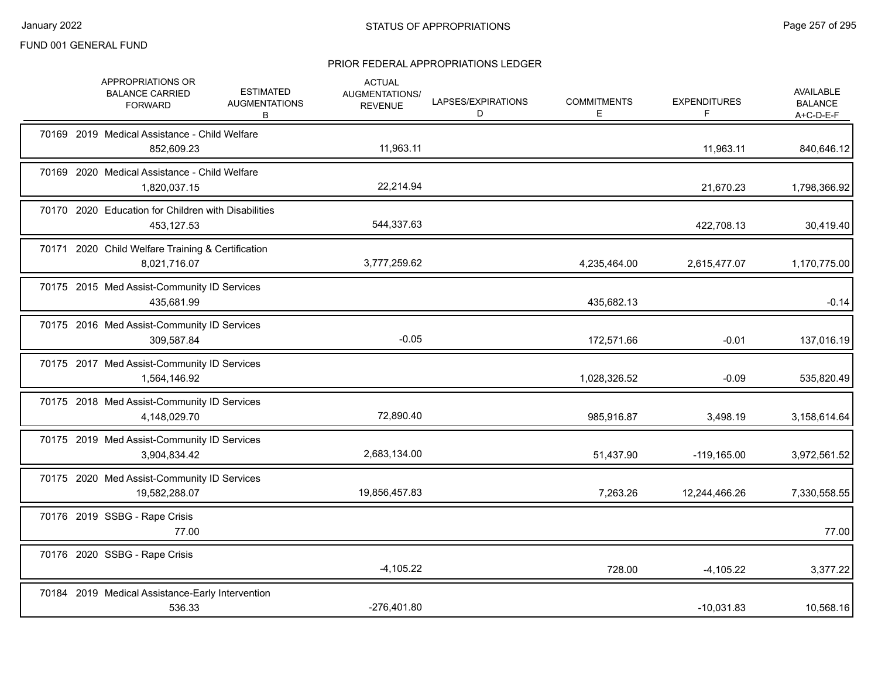|  | APPROPRIATIONS OR<br><b>BALANCE CARRIED</b><br><b>FORWARD</b>     | <b>ESTIMATED</b><br><b>AUGMENTATIONS</b><br>В | <b>ACTUAL</b><br>AUGMENTATIONS/<br><b>REVENUE</b> | LAPSES/EXPIRATIONS<br>D | <b>COMMITMENTS</b><br>E. | <b>EXPENDITURES</b><br>F | AVAILABLE<br><b>BALANCE</b><br>$A+C-D-E-F$ |
|--|-------------------------------------------------------------------|-----------------------------------------------|---------------------------------------------------|-------------------------|--------------------------|--------------------------|--------------------------------------------|
|  | 70169 2019 Medical Assistance - Child Welfare<br>852,609.23       |                                               | 11,963.11                                         |                         |                          | 11,963.11                | 840,646.12                                 |
|  | 70169 2020 Medical Assistance - Child Welfare<br>1,820,037.15     |                                               | 22,214.94                                         |                         |                          | 21,670.23                | 1,798,366.92                               |
|  | 70170 2020 Education for Children with Disabilities<br>453,127.53 |                                               | 544,337.63                                        |                         |                          | 422,708.13               | 30,419.40                                  |
|  | 70171 2020 Child Welfare Training & Certification<br>8,021,716.07 |                                               | 3,777,259.62                                      |                         | 4,235,464.00             | 2,615,477.07             | 1,170,775.00                               |
|  | 70175 2015 Med Assist-Community ID Services<br>435,681.99         |                                               |                                                   |                         | 435,682.13               |                          | $-0.14$                                    |
|  | 70175 2016 Med Assist-Community ID Services<br>309,587.84         |                                               | $-0.05$                                           |                         | 172,571.66               | $-0.01$                  | 137,016.19                                 |
|  | 70175 2017 Med Assist-Community ID Services<br>1,564,146.92       |                                               |                                                   |                         | 1,028,326.52             | $-0.09$                  | 535,820.49                                 |
|  | 70175 2018 Med Assist-Community ID Services<br>4,148,029.70       |                                               | 72,890.40                                         |                         | 985,916.87               | 3,498.19                 | 3,158,614.64                               |
|  | 70175 2019 Med Assist-Community ID Services<br>3,904,834.42       |                                               | 2,683,134.00                                      |                         | 51,437.90                | $-119, 165.00$           | 3,972,561.52                               |
|  | 70175 2020 Med Assist-Community ID Services<br>19,582,288.07      |                                               | 19,856,457.83                                     |                         | 7,263.26                 | 12,244,466.26            | 7,330,558.55                               |
|  | 70176 2019 SSBG - Rape Crisis<br>77.00                            |                                               |                                                   |                         |                          |                          | 77.00                                      |
|  | 70176 2020 SSBG - Rape Crisis                                     |                                               | $-4,105.22$                                       |                         | 728.00                   | $-4,105.22$              | 3,377.22                                   |
|  | 70184 2019 Medical Assistance-Early Intervention<br>536.33        |                                               | $-276,401.80$                                     |                         |                          | $-10,031.83$             | 10,568.16                                  |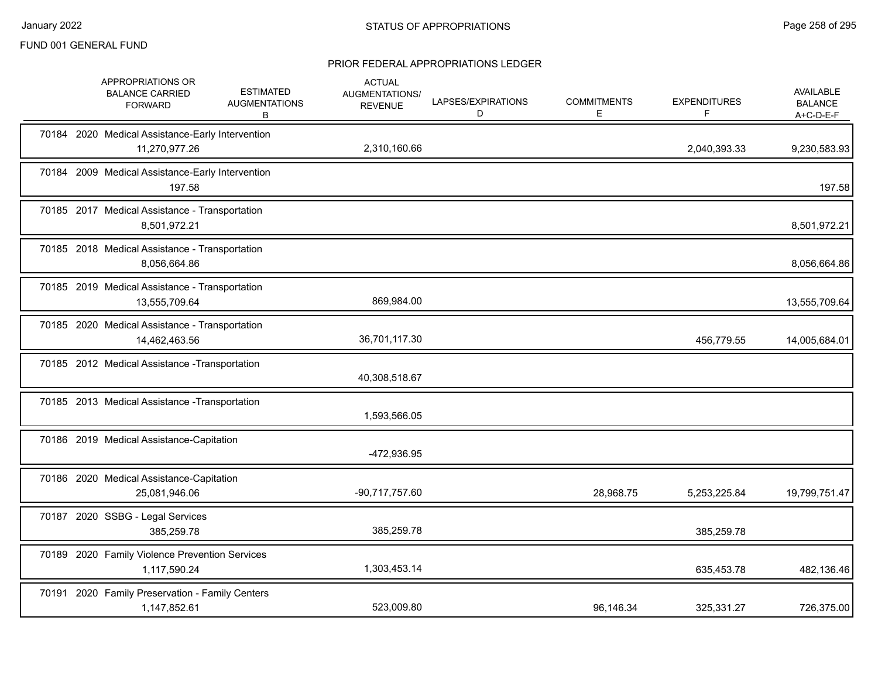|  | APPROPRIATIONS OR<br><b>BALANCE CARRIED</b><br><b>FORWARD</b>     | <b>ESTIMATED</b><br><b>AUGMENTATIONS</b><br>В | <b>ACTUAL</b><br>AUGMENTATIONS/<br><b>REVENUE</b> | LAPSES/EXPIRATIONS<br>D | <b>COMMITMENTS</b><br>E | <b>EXPENDITURES</b><br>F | <b>AVAILABLE</b><br><b>BALANCE</b><br>$A+C-D-E-F$ |
|--|-------------------------------------------------------------------|-----------------------------------------------|---------------------------------------------------|-------------------------|-------------------------|--------------------------|---------------------------------------------------|
|  | 70184 2020 Medical Assistance-Early Intervention<br>11,270,977.26 |                                               | 2,310,160.66                                      |                         |                         | 2,040,393.33             | 9,230,583.93                                      |
|  | 70184 2009 Medical Assistance-Early Intervention<br>197.58        |                                               |                                                   |                         |                         |                          | 197.58                                            |
|  | 70185 2017 Medical Assistance - Transportation<br>8,501,972.21    |                                               |                                                   |                         |                         |                          | 8,501,972.21                                      |
|  | 70185 2018 Medical Assistance - Transportation<br>8,056,664.86    |                                               |                                                   |                         |                         |                          | 8,056,664.86                                      |
|  | 70185 2019 Medical Assistance - Transportation<br>13,555,709.64   |                                               | 869,984.00                                        |                         |                         |                          | 13,555,709.64                                     |
|  | 70185 2020 Medical Assistance - Transportation<br>14,462,463.56   |                                               | 36,701,117.30                                     |                         |                         | 456,779.55               | 14,005,684.01                                     |
|  | 70185 2012 Medical Assistance - Transportation                    |                                               | 40,308,518.67                                     |                         |                         |                          |                                                   |
|  | 70185 2013 Medical Assistance - Transportation                    |                                               | 1,593,566.05                                      |                         |                         |                          |                                                   |
|  | 70186 2019 Medical Assistance-Capitation                          |                                               | -472,936.95                                       |                         |                         |                          |                                                   |
|  | 70186 2020 Medical Assistance-Capitation<br>25,081,946.06         |                                               | -90,717,757.60                                    |                         | 28,968.75               | 5,253,225.84             | 19,799,751.47                                     |
|  | 70187 2020 SSBG - Legal Services<br>385,259.78                    |                                               | 385,259.78                                        |                         |                         | 385,259.78               |                                                   |
|  | 70189 2020 Family Violence Prevention Services<br>1,117,590.24    |                                               | 1,303,453.14                                      |                         |                         | 635,453.78               | 482,136.46                                        |
|  | 70191 2020 Family Preservation - Family Centers<br>1,147,852.61   |                                               | 523,009.80                                        |                         | 96,146.34               | 325,331.27               | 726,375.00                                        |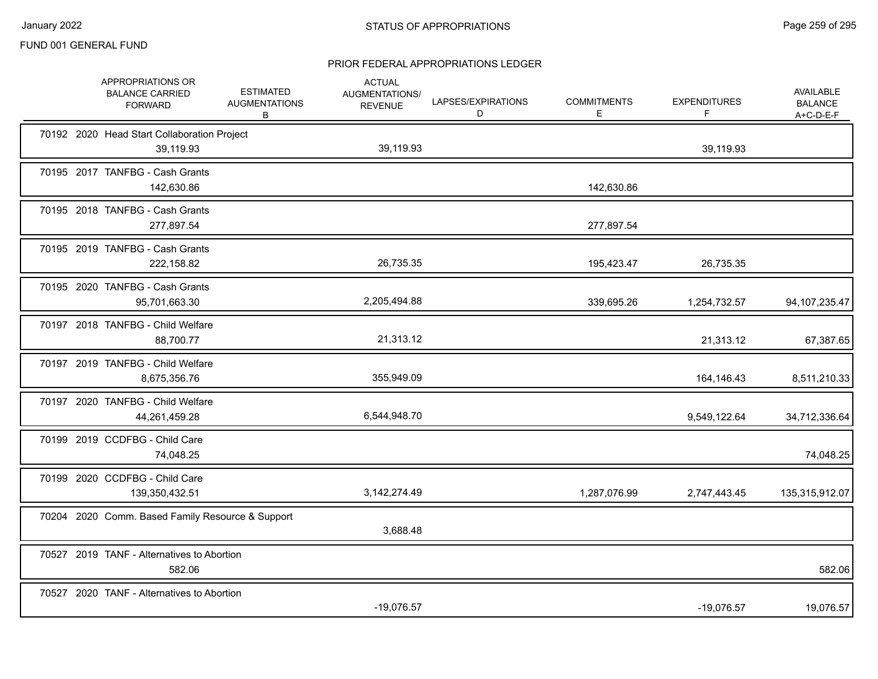|  | APPROPRIATIONS OR<br><b>BALANCE CARRIED</b><br><b>FORWARD</b> | <b>ESTIMATED</b><br><b>AUGMENTATIONS</b><br>B | <b>ACTUAL</b><br>AUGMENTATIONS/<br><b>REVENUE</b> | LAPSES/EXPIRATIONS<br>D | <b>COMMITMENTS</b><br>Е | <b>EXPENDITURES</b><br>F. | AVAILABLE<br><b>BALANCE</b><br>$A+C-D-E-F$ |
|--|---------------------------------------------------------------|-----------------------------------------------|---------------------------------------------------|-------------------------|-------------------------|---------------------------|--------------------------------------------|
|  | 70192 2020 Head Start Collaboration Project<br>39,119.93      |                                               | 39,119.93                                         |                         |                         | 39,119.93                 |                                            |
|  | 70195 2017 TANFBG - Cash Grants<br>142,630.86                 |                                               |                                                   |                         | 142,630.86              |                           |                                            |
|  | 70195 2018 TANFBG - Cash Grants<br>277,897.54                 |                                               |                                                   |                         | 277,897.54              |                           |                                            |
|  | 70195 2019 TANFBG - Cash Grants<br>222,158.82                 |                                               | 26,735.35                                         |                         | 195,423.47              | 26,735.35                 |                                            |
|  | 70195 2020 TANFBG - Cash Grants<br>95,701,663.30              |                                               | 2,205,494.88                                      |                         | 339,695.26              | 1,254,732.57              | 94, 107, 235. 47                           |
|  | 70197 2018 TANFBG - Child Welfare<br>88,700.77                |                                               | 21,313.12                                         |                         |                         | 21,313.12                 | 67,387.65                                  |
|  | 70197 2019 TANFBG - Child Welfare<br>8,675,356.76             |                                               | 355,949.09                                        |                         |                         | 164,146.43                | 8,511,210.33                               |
|  | 70197 2020 TANFBG - Child Welfare<br>44,261,459.28            |                                               | 6,544,948.70                                      |                         |                         | 9,549,122.64              | 34,712,336.64                              |
|  | 70199 2019 CCDFBG - Child Care<br>74,048.25                   |                                               |                                                   |                         |                         |                           | 74,048.25                                  |
|  | 70199 2020 CCDFBG - Child Care<br>139,350,432.51              |                                               | 3,142,274.49                                      |                         | 1,287,076.99            | 2,747,443.45              | 135,315,912.07                             |
|  | 70204 2020 Comm. Based Family Resource & Support              |                                               | 3,688.48                                          |                         |                         |                           |                                            |
|  | 70527 2019 TANF - Alternatives to Abortion<br>582.06          |                                               |                                                   |                         |                         |                           | 582.06                                     |
|  | 70527 2020 TANF - Alternatives to Abortion                    |                                               | $-19,076.57$                                      |                         |                         | $-19,076.57$              | 19,076.57                                  |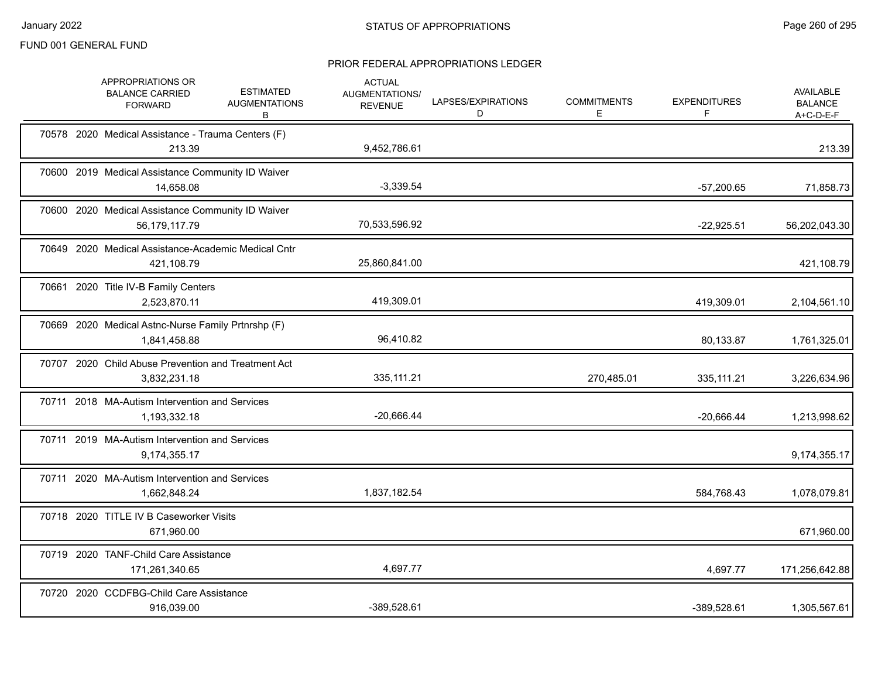|  | APPROPRIATIONS OR<br><b>BALANCE CARRIED</b><br><b>FORWARD</b>       | <b>ESTIMATED</b><br><b>AUGMENTATIONS</b><br>B | <b>ACTUAL</b><br>AUGMENTATIONS/<br><b>REVENUE</b> | LAPSES/EXPIRATIONS<br>D | <b>COMMITMENTS</b><br>Е | <b>EXPENDITURES</b><br>F. | AVAILABLE<br><b>BALANCE</b><br>$A+C-D-E-F$ |
|--|---------------------------------------------------------------------|-----------------------------------------------|---------------------------------------------------|-------------------------|-------------------------|---------------------------|--------------------------------------------|
|  | 70578 2020 Medical Assistance - Trauma Centers (F)<br>213.39        |                                               | 9,452,786.61                                      |                         |                         |                           | 213.39                                     |
|  | 70600 2019 Medical Assistance Community ID Waiver<br>14,658.08      |                                               | $-3,339.54$                                       |                         |                         | $-57,200.65$              | 71,858.73                                  |
|  | 70600 2020 Medical Assistance Community ID Waiver<br>56,179,117.79  |                                               | 70,533,596.92                                     |                         |                         | $-22,925.51$              | 56,202,043.30                              |
|  | 70649 2020 Medical Assistance-Academic Medical Cntr<br>421,108.79   |                                               | 25,860,841.00                                     |                         |                         |                           | 421,108.79                                 |
|  | 70661 2020 Title IV-B Family Centers<br>2,523,870.11                |                                               | 419.309.01                                        |                         |                         | 419,309.01                | 2,104,561.10                               |
|  | 70669 2020 Medical Astnc-Nurse Family Prtnrshp (F)<br>1,841,458.88  |                                               | 96,410.82                                         |                         |                         | 80,133.87                 | 1,761,325.01                               |
|  | 70707 2020 Child Abuse Prevention and Treatment Act<br>3,832,231.18 |                                               | 335,111.21                                        |                         | 270,485.01              | 335, 111.21               | 3,226,634.96                               |
|  | 70711 2018 MA-Autism Intervention and Services<br>1,193,332.18      |                                               | $-20,666.44$                                      |                         |                         | $-20,666.44$              | 1,213,998.62                               |
|  | 70711 2019 MA-Autism Intervention and Services<br>9,174,355.17      |                                               |                                                   |                         |                         |                           | 9,174,355.17                               |
|  | 70711 2020 MA-Autism Intervention and Services<br>1,662,848.24      |                                               | 1,837,182.54                                      |                         |                         | 584,768.43                | 1,078,079.81                               |
|  | 70718 2020 TITLE IV B Caseworker Visits<br>671,960.00               |                                               |                                                   |                         |                         |                           | 671,960.00                                 |
|  | 70719 2020 TANF-Child Care Assistance<br>171,261,340.65             |                                               | 4,697.77                                          |                         |                         | 4,697.77                  | 171,256,642.88                             |
|  | 70720 2020 CCDFBG-Child Care Assistance<br>916,039.00               |                                               | -389,528.61                                       |                         |                         | -389,528.61               | 1,305,567.61                               |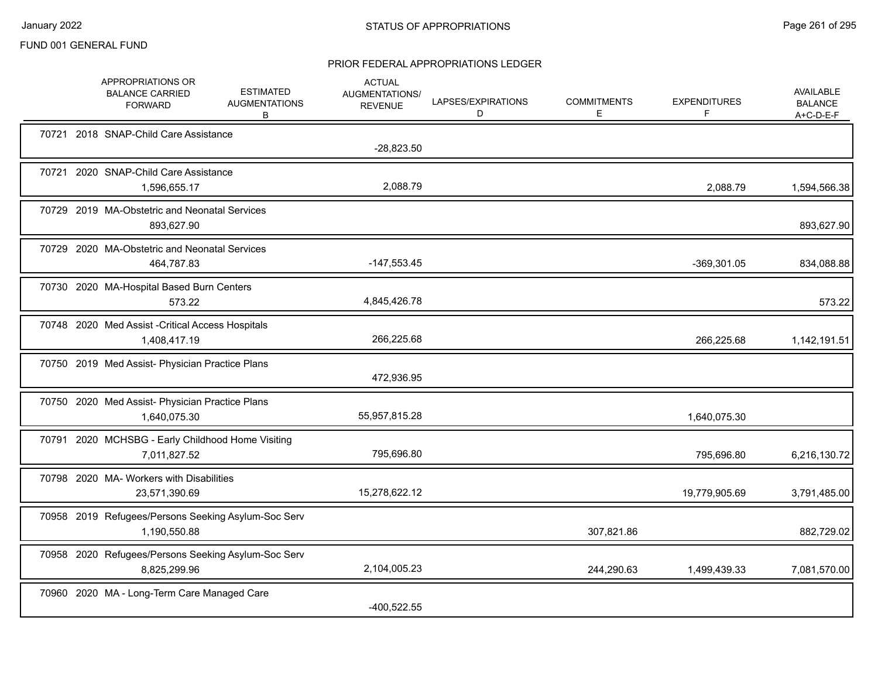|  | APPROPRIATIONS OR<br><b>BALANCE CARRIED</b><br><b>FORWARD</b>       | <b>ESTIMATED</b><br><b>AUGMENTATIONS</b><br>В | <b>ACTUAL</b><br>AUGMENTATIONS/<br><b>REVENUE</b> | LAPSES/EXPIRATIONS<br>D | <b>COMMITMENTS</b><br>E. | <b>EXPENDITURES</b><br>F | <b>AVAILABLE</b><br><b>BALANCE</b><br>$A+C-D-E-F$ |
|--|---------------------------------------------------------------------|-----------------------------------------------|---------------------------------------------------|-------------------------|--------------------------|--------------------------|---------------------------------------------------|
|  | 70721 2018 SNAP-Child Care Assistance                               |                                               | $-28,823.50$                                      |                         |                          |                          |                                                   |
|  | 70721 2020 SNAP-Child Care Assistance<br>1,596,655.17               |                                               | 2,088.79                                          |                         |                          | 2,088.79                 | 1,594,566.38                                      |
|  | 70729 2019 MA-Obstetric and Neonatal Services<br>893,627.90         |                                               |                                                   |                         |                          |                          | 893,627.90                                        |
|  | 70729 2020 MA-Obstetric and Neonatal Services<br>464,787.83         |                                               | $-147,553.45$                                     |                         |                          | -369,301.05              | 834,088.88                                        |
|  | 70730 2020 MA-Hospital Based Burn Centers<br>573.22                 |                                               | 4,845,426.78                                      |                         |                          |                          | 573.22                                            |
|  | 70748 2020 Med Assist - Critical Access Hospitals<br>1,408,417.19   |                                               | 266,225.68                                        |                         |                          | 266,225.68               | 1,142,191.51                                      |
|  | 70750 2019 Med Assist- Physician Practice Plans                     |                                               | 472,936.95                                        |                         |                          |                          |                                                   |
|  | 70750 2020 Med Assist- Physician Practice Plans<br>1,640,075.30     |                                               | 55,957,815.28                                     |                         |                          | 1,640,075.30             |                                                   |
|  | 70791 2020 MCHSBG - Early Childhood Home Visiting<br>7,011,827.52   |                                               | 795,696.80                                        |                         |                          | 795,696.80               | 6,216,130.72                                      |
|  | 70798 2020 MA- Workers with Disabilities<br>23,571,390.69           |                                               | 15,278,622.12                                     |                         |                          | 19,779,905.69            | 3,791,485.00                                      |
|  | 70958 2019 Refugees/Persons Seeking Asylum-Soc Serv<br>1,190,550.88 |                                               |                                                   |                         | 307,821.86               |                          | 882,729.02                                        |
|  | 70958 2020 Refugees/Persons Seeking Asylum-Soc Serv<br>8,825,299.96 |                                               | 2,104,005.23                                      |                         | 244,290.63               | 1,499,439.33             | 7,081,570.00                                      |
|  | 70960 2020 MA - Long-Term Care Managed Care                         |                                               | $-400,522.55$                                     |                         |                          |                          |                                                   |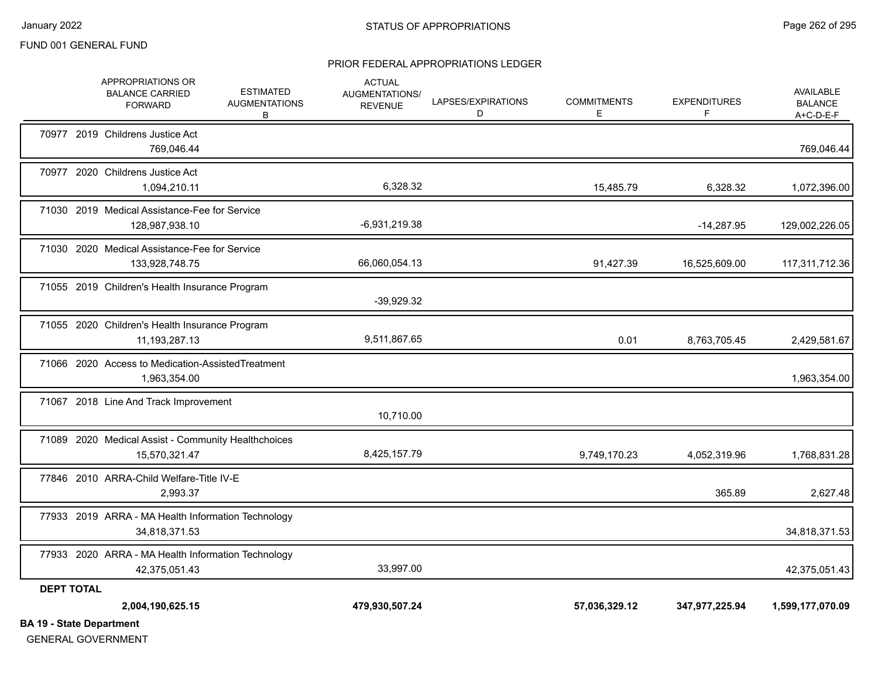#### PRIOR FEDERAL APPROPRIATIONS LEDGER

|                                 | APPROPRIATIONS OR<br><b>BALANCE CARRIED</b><br><b>FORWARD</b>        | <b>ESTIMATED</b><br><b>AUGMENTATIONS</b><br>B | <b>ACTUAL</b><br><b>AUGMENTATIONS/</b><br><b>REVENUE</b> | LAPSES/EXPIRATIONS<br>D | <b>COMMITMENTS</b><br>Е | <b>EXPENDITURES</b><br>F | AVAILABLE<br><b>BALANCE</b><br>$A+C-D-E-F$ |
|---------------------------------|----------------------------------------------------------------------|-----------------------------------------------|----------------------------------------------------------|-------------------------|-------------------------|--------------------------|--------------------------------------------|
|                                 | 70977 2019 Childrens Justice Act<br>769,046.44                       |                                               |                                                          |                         |                         |                          | 769,046.44                                 |
|                                 | 70977 2020 Childrens Justice Act<br>1,094,210.11                     |                                               | 6,328.32                                                 |                         | 15,485.79               | 6,328.32                 | 1,072,396.00                               |
|                                 | 71030 2019 Medical Assistance-Fee for Service<br>128,987,938.10      |                                               | $-6,931,219.38$                                          |                         |                         | $-14,287.95$             | 129,002,226.05                             |
|                                 | 71030 2020 Medical Assistance-Fee for Service<br>133,928,748.75      |                                               | 66,060,054.13                                            |                         | 91,427.39               | 16,525,609.00            | 117,311,712.36                             |
|                                 | 71055 2019 Children's Health Insurance Program                       |                                               | $-39,929.32$                                             |                         |                         |                          |                                            |
|                                 | 71055 2020 Children's Health Insurance Program<br>11, 193, 287. 13   |                                               | 9,511,867.65                                             |                         | 0.01                    | 8,763,705.45             | 2,429,581.67                               |
|                                 | 71066 2020 Access to Medication-AssistedTreatment<br>1,963,354.00    |                                               |                                                          |                         |                         |                          | 1,963,354.00                               |
|                                 | 71067 2018 Line And Track Improvement                                |                                               | 10,710.00                                                |                         |                         |                          |                                            |
|                                 | 71089 2020 Medical Assist - Community Healthchoices<br>15,570,321.47 |                                               | 8,425,157.79                                             |                         | 9,749,170.23            | 4,052,319.96             | 1,768,831.28                               |
|                                 | 77846 2010 ARRA-Child Welfare-Title IV-E<br>2,993.37                 |                                               |                                                          |                         |                         | 365.89                   | 2,627.48                                   |
|                                 | 77933 2019 ARRA - MA Health Information Technology<br>34,818,371.53  |                                               |                                                          |                         |                         |                          | 34,818,371.53                              |
|                                 | 77933 2020 ARRA - MA Health Information Technology<br>42,375,051.43  |                                               | 33,997.00                                                |                         |                         |                          | 42,375,051.43                              |
| <b>DEPT TOTAL</b>               |                                                                      |                                               |                                                          |                         |                         |                          |                                            |
|                                 | 2,004,190,625.15                                                     |                                               | 479,930,507.24                                           |                         | 57,036,329.12           | 347,977,225.94           | 1,599,177,070.09                           |
| <b>BA 19 - State Department</b> |                                                                      |                                               |                                                          |                         |                         |                          |                                            |

GENERAL GOVERNMENT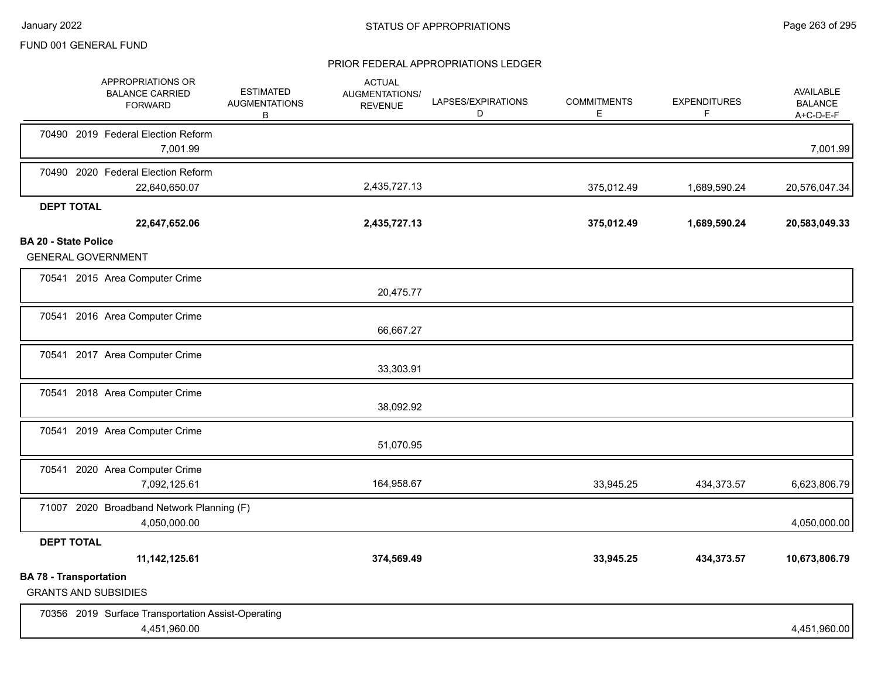|                             | APPROPRIATIONS OR<br><b>BALANCE CARRIED</b><br><b>FORWARD</b>      | <b>ESTIMATED</b><br><b>AUGMENTATIONS</b><br>B | <b>ACTUAL</b><br>AUGMENTATIONS/<br><b>REVENUE</b> | LAPSES/EXPIRATIONS<br>D | <b>COMMITMENTS</b><br>Е | <b>EXPENDITURES</b><br>F | <b>AVAILABLE</b><br><b>BALANCE</b><br>A+C-D-E-F |
|-----------------------------|--------------------------------------------------------------------|-----------------------------------------------|---------------------------------------------------|-------------------------|-------------------------|--------------------------|-------------------------------------------------|
|                             | 70490 2019 Federal Election Reform<br>7,001.99                     |                                               |                                                   |                         |                         |                          | 7,001.99                                        |
|                             | 70490 2020 Federal Election Reform<br>22,640,650.07                |                                               | 2,435,727.13                                      |                         | 375,012.49              | 1,689,590.24             | 20,576,047.34                                   |
|                             | <b>DEPT TOTAL</b><br>22,647,652.06                                 |                                               | 2,435,727.13                                      |                         | 375,012.49              | 1,689,590.24             | 20,583,049.33                                   |
| <b>BA 20 - State Police</b> | <b>GENERAL GOVERNMENT</b>                                          |                                               |                                                   |                         |                         |                          |                                                 |
|                             | 70541 2015 Area Computer Crime                                     |                                               | 20,475.77                                         |                         |                         |                          |                                                 |
|                             | 70541 2016 Area Computer Crime                                     |                                               | 66,667.27                                         |                         |                         |                          |                                                 |
|                             | 70541 2017 Area Computer Crime                                     |                                               | 33,303.91                                         |                         |                         |                          |                                                 |
|                             | 70541 2018 Area Computer Crime                                     |                                               | 38,092.92                                         |                         |                         |                          |                                                 |
|                             | 70541 2019 Area Computer Crime                                     |                                               | 51,070.95                                         |                         |                         |                          |                                                 |
|                             | 70541 2020 Area Computer Crime<br>7,092,125.61                     |                                               | 164,958.67                                        |                         | 33,945.25               | 434,373.57               | 6,623,806.79                                    |
|                             | 71007 2020 Broadband Network Planning (F)<br>4,050,000.00          |                                               |                                                   |                         |                         |                          | 4,050,000.00                                    |
|                             | <b>DEPT TOTAL</b><br>11, 142, 125.61                               |                                               | 374,569.49                                        |                         | 33,945.25               | 434,373.57               | 10,673,806.79                                   |
|                             | <b>BA 78 - Transportation</b><br><b>GRANTS AND SUBSIDIES</b>       |                                               |                                                   |                         |                         |                          |                                                 |
|                             | 70356 2019 Surface Transportation Assist-Operating<br>4,451,960.00 |                                               |                                                   |                         |                         |                          | 4,451,960.00                                    |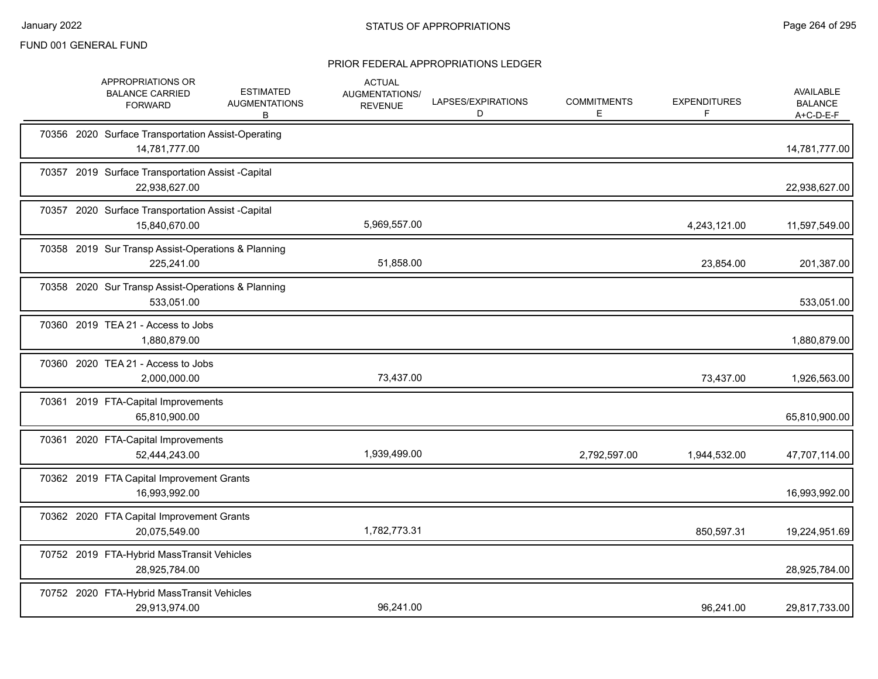|  | APPROPRIATIONS OR<br><b>BALANCE CARRIED</b><br><b>FORWARD</b>       | <b>ESTIMATED</b><br><b>AUGMENTATIONS</b><br>В | <b>ACTUAL</b><br>AUGMENTATIONS/<br><b>REVENUE</b> | LAPSES/EXPIRATIONS<br>D | <b>COMMITMENTS</b><br>Е | <b>EXPENDITURES</b><br>F | <b>AVAILABLE</b><br><b>BALANCE</b><br>A+C-D-E-F |
|--|---------------------------------------------------------------------|-----------------------------------------------|---------------------------------------------------|-------------------------|-------------------------|--------------------------|-------------------------------------------------|
|  | 70356 2020 Surface Transportation Assist-Operating<br>14,781,777.00 |                                               |                                                   |                         |                         |                          | 14,781,777.00                                   |
|  | 70357 2019 Surface Transportation Assist -Capital<br>22,938,627.00  |                                               |                                                   |                         |                         |                          | 22,938,627.00                                   |
|  | 70357 2020 Surface Transportation Assist -Capital<br>15,840,670.00  |                                               | 5,969,557.00                                      |                         |                         | 4,243,121.00             | 11,597,549.00                                   |
|  | 70358 2019 Sur Transp Assist-Operations & Planning<br>225,241.00    |                                               | 51,858.00                                         |                         |                         | 23,854.00                | 201,387.00                                      |
|  | 70358 2020 Sur Transp Assist-Operations & Planning<br>533,051.00    |                                               |                                                   |                         |                         |                          | 533,051.00                                      |
|  | 70360 2019 TEA 21 - Access to Jobs<br>1,880,879.00                  |                                               |                                                   |                         |                         |                          | 1,880,879.00                                    |
|  | 70360 2020 TEA 21 - Access to Jobs<br>2,000,000.00                  |                                               | 73,437.00                                         |                         |                         | 73,437.00                | 1,926,563.00                                    |
|  | 70361 2019 FTA-Capital Improvements<br>65,810,900.00                |                                               |                                                   |                         |                         |                          | 65,810,900.00                                   |
|  | 70361 2020 FTA-Capital Improvements<br>52,444,243.00                |                                               | 1,939,499.00                                      |                         | 2,792,597.00            | 1,944,532.00             | 47,707,114.00                                   |
|  | 70362 2019 FTA Capital Improvement Grants<br>16,993,992.00          |                                               |                                                   |                         |                         |                          | 16,993,992.00                                   |
|  | 70362 2020 FTA Capital Improvement Grants<br>20,075,549.00          |                                               | 1,782,773.31                                      |                         |                         | 850,597.31               | 19,224,951.69                                   |
|  | 70752 2019 FTA-Hybrid MassTransit Vehicles<br>28,925,784.00         |                                               |                                                   |                         |                         |                          | 28,925,784.00                                   |
|  | 70752 2020 FTA-Hybrid MassTransit Vehicles<br>29,913,974.00         |                                               | 96,241.00                                         |                         |                         | 96,241.00                | 29,817,733.00                                   |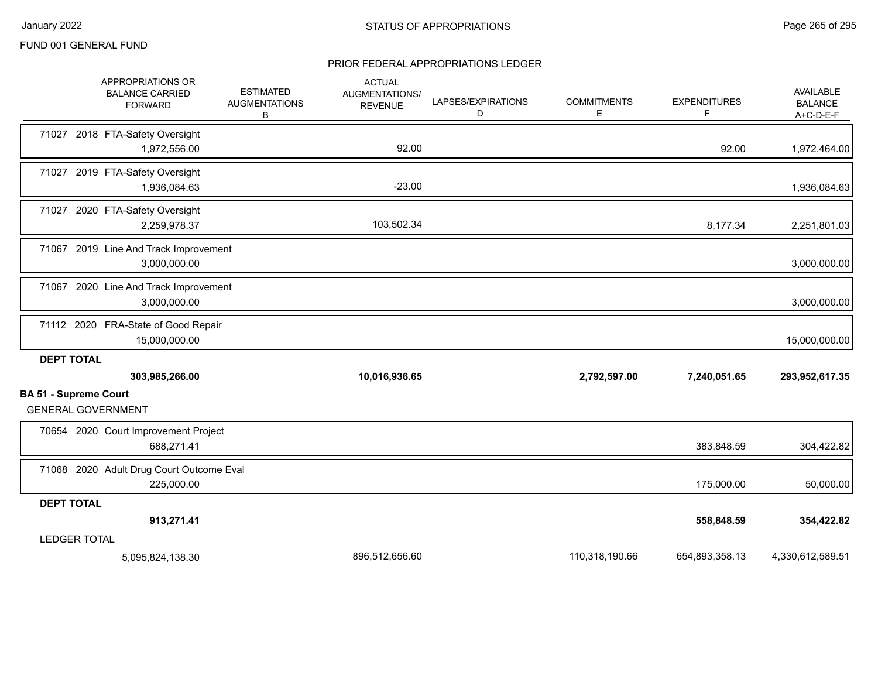|                                                           |                     | APPROPRIATIONS OR<br><b>BALANCE CARRIED</b><br><b>FORWARD</b> | <b>ESTIMATED</b><br><b>AUGMENTATIONS</b><br>В | <b>ACTUAL</b><br>AUGMENTATIONS/<br><b>REVENUE</b> | LAPSES/EXPIRATIONS<br>D | <b>COMMITMENTS</b><br>Е | <b>EXPENDITURES</b><br>F | <b>AVAILABLE</b><br><b>BALANCE</b><br>A+C-D-E-F |
|-----------------------------------------------------------|---------------------|---------------------------------------------------------------|-----------------------------------------------|---------------------------------------------------|-------------------------|-------------------------|--------------------------|-------------------------------------------------|
|                                                           |                     | 71027 2018 FTA-Safety Oversight<br>1,972,556.00               |                                               | 92.00                                             |                         |                         | 92.00                    | 1,972,464.00                                    |
| 71027                                                     |                     | 2019 FTA-Safety Oversight<br>1,936,084.63                     |                                               | $-23.00$                                          |                         |                         |                          | 1,936,084.63                                    |
|                                                           |                     | 71027 2020 FTA-Safety Oversight<br>2,259,978.37               |                                               | 103,502.34                                        |                         |                         | 8,177.34                 | 2,251,801.03                                    |
|                                                           |                     | 71067 2019 Line And Track Improvement<br>3,000,000.00         |                                               |                                                   |                         |                         |                          | 3,000,000.00                                    |
|                                                           |                     | 71067 2020 Line And Track Improvement<br>3,000,000.00         |                                               |                                                   |                         |                         |                          | 3,000,000.00                                    |
|                                                           |                     | 71112 2020 FRA-State of Good Repair<br>15,000,000.00          |                                               |                                                   |                         |                         |                          | 15,000,000.00                                   |
|                                                           | <b>DEPT TOTAL</b>   | 303,985,266.00                                                |                                               | 10,016,936.65                                     |                         | 2,792,597.00            | 7,240,051.65             | 293,952,617.35                                  |
| <b>BA 51 - Supreme Court</b><br><b>GENERAL GOVERNMENT</b> |                     |                                                               |                                               |                                                   |                         |                         |                          |                                                 |
|                                                           |                     | 70654 2020 Court Improvement Project<br>688,271.41            |                                               |                                                   |                         |                         | 383,848.59               | 304,422.82                                      |
|                                                           |                     | 71068 2020 Adult Drug Court Outcome Eval<br>225,000.00        |                                               |                                                   |                         |                         | 175,000.00               | 50,000.00                                       |
| <b>DEPT TOTAL</b>                                         |                     |                                                               |                                               |                                                   |                         |                         |                          |                                                 |
|                                                           |                     | 913,271.41                                                    |                                               |                                                   |                         |                         | 558,848.59               | 354,422.82                                      |
|                                                           | <b>LEDGER TOTAL</b> |                                                               |                                               |                                                   |                         |                         |                          |                                                 |
|                                                           |                     | 5,095,824,138.30                                              |                                               | 896,512,656.60                                    |                         | 110,318,190.66          | 654,893,358.13           | 4,330,612,589.51                                |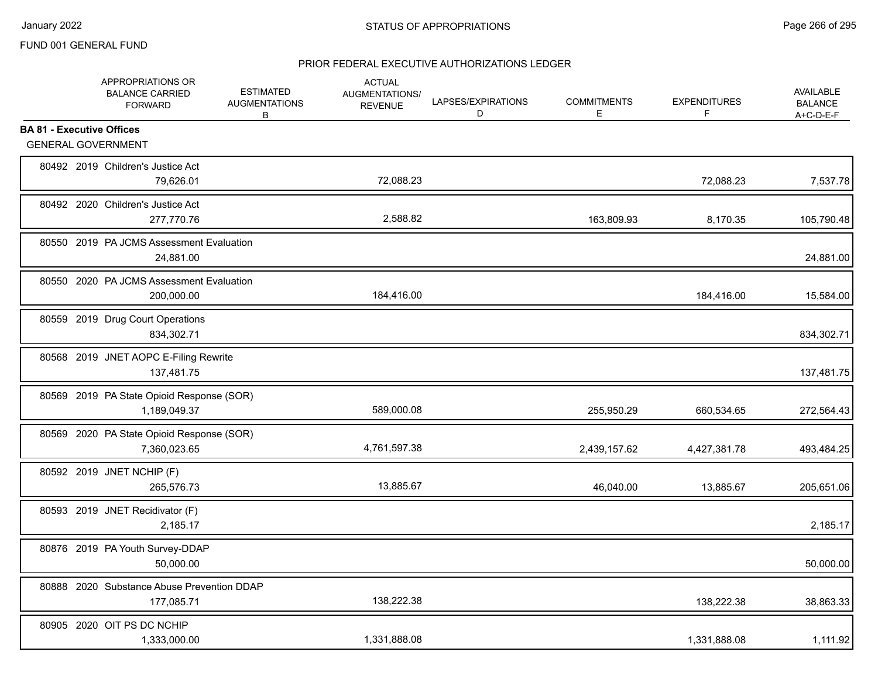|                                  | APPROPRIATIONS OR<br><b>BALANCE CARRIED</b><br><b>FORWARD</b> | <b>ESTIMATED</b><br><b>AUGMENTATIONS</b><br>B | <b>ACTUAL</b><br>AUGMENTATIONS/<br><b>REVENUE</b> | LAPSES/EXPIRATIONS<br>D | <b>COMMITMENTS</b><br>Е | <b>EXPENDITURES</b><br>F | AVAILABLE<br><b>BALANCE</b><br>A+C-D-E-F |
|----------------------------------|---------------------------------------------------------------|-----------------------------------------------|---------------------------------------------------|-------------------------|-------------------------|--------------------------|------------------------------------------|
| <b>BA 81 - Executive Offices</b> |                                                               |                                               |                                                   |                         |                         |                          |                                          |
|                                  | <b>GENERAL GOVERNMENT</b>                                     |                                               |                                                   |                         |                         |                          |                                          |
|                                  | 80492 2019 Children's Justice Act<br>79,626.01                |                                               | 72,088.23                                         |                         |                         | 72,088.23                | 7,537.78                                 |
|                                  | 80492 2020 Children's Justice Act<br>277,770.76               |                                               | 2,588.82                                          |                         | 163,809.93              | 8,170.35                 | 105,790.48                               |
|                                  | 80550 2019 PA JCMS Assessment Evaluation<br>24,881.00         |                                               |                                                   |                         |                         |                          | 24,881.00                                |
|                                  | 80550 2020 PA JCMS Assessment Evaluation<br>200,000.00        |                                               | 184,416.00                                        |                         |                         | 184,416.00               | 15,584.00                                |
|                                  | 80559 2019 Drug Court Operations<br>834,302.71                |                                               |                                                   |                         |                         |                          | 834,302.71                               |
|                                  | 80568 2019 JNET AOPC E-Filing Rewrite<br>137,481.75           |                                               |                                                   |                         |                         |                          | 137,481.75                               |
|                                  | 80569 2019 PA State Opioid Response (SOR)<br>1,189,049.37     |                                               | 589,000.08                                        |                         | 255,950.29              | 660,534.65               | 272,564.43                               |
|                                  | 80569 2020 PA State Opioid Response (SOR)<br>7,360,023.65     |                                               | 4,761,597.38                                      |                         | 2,439,157.62            | 4,427,381.78             | 493,484.25                               |
|                                  | 80592 2019 JNET NCHIP (F)<br>265,576.73                       |                                               | 13,885.67                                         |                         | 46,040.00               | 13,885.67                | 205,651.06                               |
|                                  | 80593 2019 JNET Recidivator (F)<br>2,185.17                   |                                               |                                                   |                         |                         |                          | 2,185.17                                 |
|                                  | 80876 2019 PA Youth Survey-DDAP<br>50,000.00                  |                                               |                                                   |                         |                         |                          | 50,000.00                                |
|                                  | 80888 2020 Substance Abuse Prevention DDAP<br>177,085.71      |                                               | 138,222.38                                        |                         |                         | 138,222.38               | 38,863.33                                |
|                                  | 80905 2020 OIT PS DC NCHIP<br>1,333,000.00                    |                                               | 1,331,888.08                                      |                         |                         | 1,331,888.08             | 1,111.92                                 |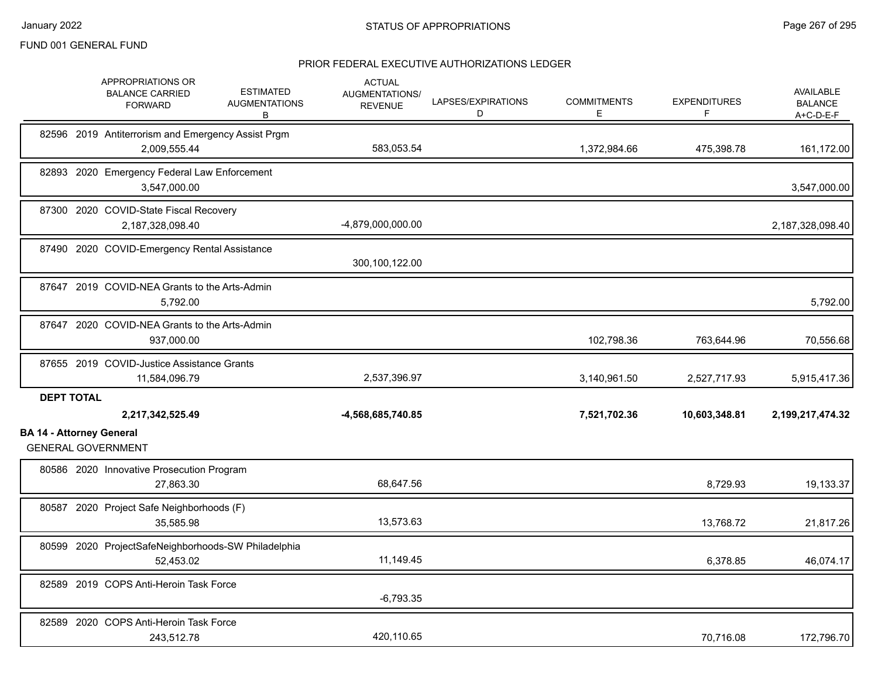|                                 | APPROPRIATIONS OR<br><b>BALANCE CARRIED</b><br><b>FORWARD</b>      | <b>ESTIMATED</b><br><b>AUGMENTATIONS</b><br>B | <b>ACTUAL</b><br><b>AUGMENTATIONS/</b><br><b>REVENUE</b> | LAPSES/EXPIRATIONS<br>D | <b>COMMITMENTS</b><br>Е | <b>EXPENDITURES</b><br>F | <b>AVAILABLE</b><br><b>BALANCE</b><br>A+C-D-E-F |
|---------------------------------|--------------------------------------------------------------------|-----------------------------------------------|----------------------------------------------------------|-------------------------|-------------------------|--------------------------|-------------------------------------------------|
|                                 | 82596 2019 Antiterrorism and Emergency Assist Prgm<br>2,009,555.44 |                                               | 583,053.54                                               |                         | 1,372,984.66            | 475,398.78               | 161,172.00                                      |
|                                 | 82893 2020 Emergency Federal Law Enforcement<br>3.547.000.00       |                                               |                                                          |                         |                         |                          | 3,547,000.00                                    |
|                                 | 87300 2020 COVID-State Fiscal Recovery<br>2,187,328,098.40         |                                               | -4,879,000,000.00                                        |                         |                         |                          | 2,187,328,098.40                                |
|                                 | 87490 2020 COVID-Emergency Rental Assistance                       |                                               | 300,100,122.00                                           |                         |                         |                          |                                                 |
|                                 | 87647 2019 COVID-NEA Grants to the Arts-Admin<br>5,792.00          |                                               |                                                          |                         |                         |                          | 5,792.00                                        |
|                                 | 87647 2020 COVID-NEA Grants to the Arts-Admin<br>937,000.00        |                                               |                                                          |                         | 102,798.36              | 763,644.96               | 70,556.68                                       |
|                                 | 87655 2019 COVID-Justice Assistance Grants<br>11,584,096.79        |                                               | 2,537,396.97                                             |                         | 3,140,961.50            | 2,527,717.93             | 5,915,417.36                                    |
| <b>DEPT TOTAL</b>               | 2,217,342,525.49                                                   |                                               | -4,568,685,740.85                                        |                         | 7,521,702.36            | 10,603,348.81            | 2,199,217,474.32                                |
| <b>BA 14 - Attorney General</b> | <b>GENERAL GOVERNMENT</b>                                          |                                               |                                                          |                         |                         |                          |                                                 |
|                                 | 80586 2020 Innovative Prosecution Program<br>27,863.30             |                                               | 68,647.56                                                |                         |                         | 8,729.93                 | 19,133.37                                       |
|                                 | 80587 2020 Project Safe Neighborhoods (F)<br>35.585.98             |                                               | 13,573.63                                                |                         |                         | 13,768.72                | 21,817.26                                       |
|                                 | 80599 2020 ProjectSafeNeighborhoods-SW Philadelphia<br>52,453.02   |                                               | 11,149.45                                                |                         |                         | 6,378.85                 | 46,074.17                                       |
|                                 | 82589 2019 COPS Anti-Heroin Task Force                             |                                               | $-6,793.35$                                              |                         |                         |                          |                                                 |
|                                 | 82589 2020 COPS Anti-Heroin Task Force<br>243,512.78               |                                               | 420,110.65                                               |                         |                         | 70,716.08                | 172,796.70                                      |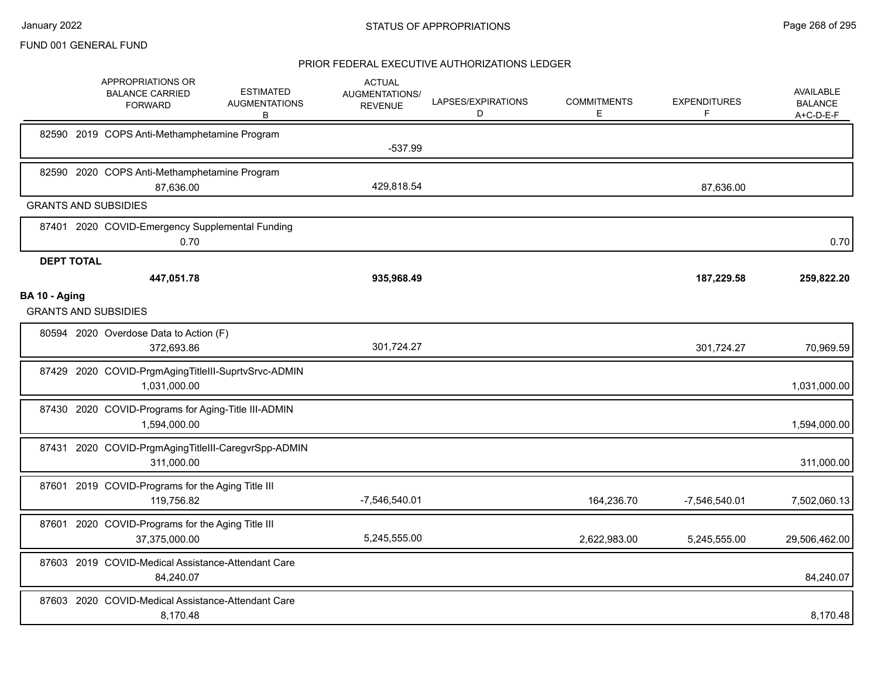|                   | APPROPRIATIONS OR<br><b>BALANCE CARRIED</b><br><b>FORWARD</b>       | <b>ESTIMATED</b><br><b>AUGMENTATIONS</b><br>B | <b>ACTUAL</b><br>AUGMENTATIONS/<br><b>REVENUE</b> | LAPSES/EXPIRATIONS<br>D | <b>COMMITMENTS</b><br>E | <b>EXPENDITURES</b><br>F | <b>AVAILABLE</b><br><b>BALANCE</b><br>A+C-D-E-F |
|-------------------|---------------------------------------------------------------------|-----------------------------------------------|---------------------------------------------------|-------------------------|-------------------------|--------------------------|-------------------------------------------------|
|                   | 82590 2019 COPS Anti-Methamphetamine Program                        |                                               | $-537.99$                                         |                         |                         |                          |                                                 |
|                   | 82590 2020 COPS Anti-Methamphetamine Program<br>87,636.00           |                                               | 429,818.54                                        |                         |                         | 87.636.00                |                                                 |
|                   | <b>GRANTS AND SUBSIDIES</b>                                         |                                               |                                                   |                         |                         |                          |                                                 |
|                   | 87401 2020 COVID-Emergency Supplemental Funding<br>0.70             |                                               |                                                   |                         |                         |                          | 0.70                                            |
| <b>DEPT TOTAL</b> |                                                                     |                                               |                                                   |                         |                         |                          |                                                 |
|                   | 447,051.78                                                          |                                               | 935,968.49                                        |                         |                         | 187,229.58               | 259,822.20                                      |
| BA 10 - Aging     | <b>GRANTS AND SUBSIDIES</b>                                         |                                               |                                                   |                         |                         |                          |                                                 |
|                   | 80594 2020 Overdose Data to Action (F)<br>372,693.86                |                                               | 301,724.27                                        |                         |                         | 301,724.27               | 70,969.59                                       |
|                   | 87429 2020 COVID-PrgmAgingTitleIII-SuprtvSrvc-ADMIN<br>1,031,000.00 |                                               |                                                   |                         |                         |                          | 1,031,000.00                                    |
|                   | 87430 2020 COVID-Programs for Aging-Title III-ADMIN<br>1,594,000.00 |                                               |                                                   |                         |                         |                          | 1,594,000.00                                    |
|                   | 87431 2020 COVID-PrgmAgingTitleIII-CaregvrSpp-ADMIN<br>311,000.00   |                                               |                                                   |                         |                         |                          | 311,000.00                                      |
|                   | 87601 2019 COVID-Programs for the Aging Title III<br>119,756.82     |                                               | -7,546,540.01                                     |                         | 164,236.70              | $-7,546,540.01$          | 7,502,060.13                                    |
|                   | 87601 2020 COVID-Programs for the Aging Title III<br>37,375,000.00  |                                               | 5,245,555.00                                      |                         | 2,622,983.00            | 5,245,555.00             | 29,506,462.00                                   |
|                   | 87603 2019 COVID-Medical Assistance-Attendant Care<br>84,240.07     |                                               |                                                   |                         |                         |                          | 84,240.07                                       |
|                   | 87603 2020 COVID-Medical Assistance-Attendant Care<br>8,170.48      |                                               |                                                   |                         |                         |                          | 8,170.48                                        |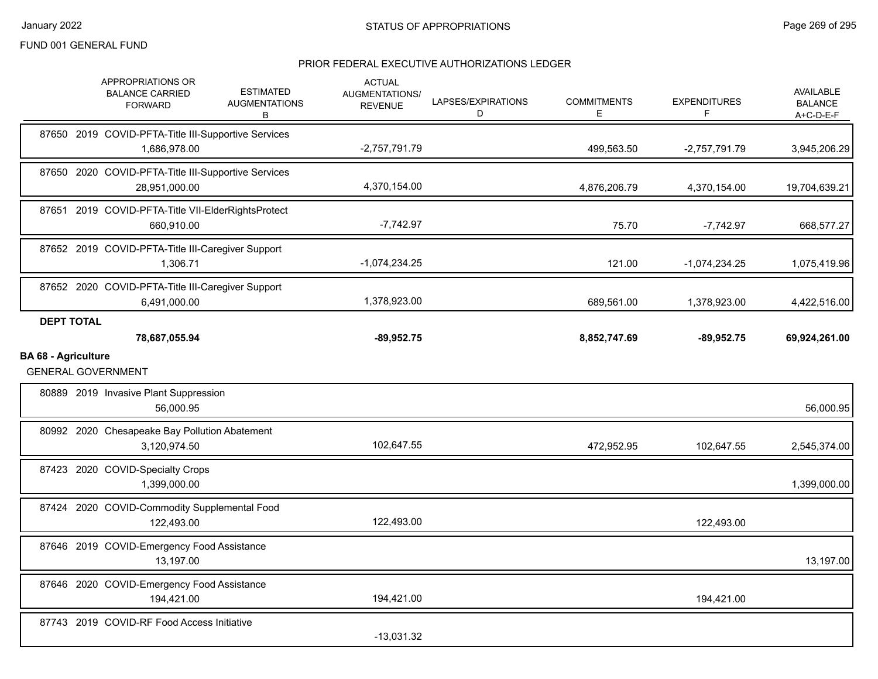|                            | APPROPRIATIONS OR<br><b>BALANCE CARRIED</b><br><b>FORWARD</b>        | <b>ESTIMATED</b><br><b>AUGMENTATIONS</b><br>В | <b>ACTUAL</b><br><b>AUGMENTATIONS/</b><br><b>REVENUE</b> | LAPSES/EXPIRATIONS<br>D | <b>COMMITMENTS</b><br>Е | <b>EXPENDITURES</b><br>F | <b>AVAILABLE</b><br><b>BALANCE</b><br>A+C-D-E-F |
|----------------------------|----------------------------------------------------------------------|-----------------------------------------------|----------------------------------------------------------|-------------------------|-------------------------|--------------------------|-------------------------------------------------|
|                            | 87650 2019 COVID-PFTA-Title III-Supportive Services<br>1,686,978.00  |                                               | $-2,757,791.79$                                          |                         | 499,563.50              | $-2,757,791.79$          | 3,945,206.29                                    |
|                            | 87650 2020 COVID-PFTA-Title III-Supportive Services<br>28,951,000.00 |                                               | 4,370,154.00                                             |                         | 4,876,206.79            | 4,370,154.00             | 19,704,639.21                                   |
|                            | 87651 2019 COVID-PFTA-Title VII-ElderRightsProtect<br>660,910.00     |                                               | $-7,742.97$                                              |                         | 75.70                   | $-7,742.97$              | 668,577.27                                      |
|                            | 87652 2019 COVID-PFTA-Title III-Caregiver Support<br>1,306.71        |                                               | $-1,074,234.25$                                          |                         | 121.00                  | $-1,074,234.25$          | 1,075,419.96                                    |
|                            | 87652 2020 COVID-PFTA-Title III-Caregiver Support<br>6,491,000.00    |                                               | 1,378,923.00                                             |                         | 689,561.00              | 1,378,923.00             | 4,422,516.00                                    |
| <b>DEPT TOTAL</b>          | 78,687,055.94                                                        |                                               | $-89,952.75$                                             |                         | 8,852,747.69            | $-89,952.75$             | 69,924,261.00                                   |
| <b>BA 68 - Agriculture</b> |                                                                      |                                               |                                                          |                         |                         |                          |                                                 |
|                            | <b>GENERAL GOVERNMENT</b>                                            |                                               |                                                          |                         |                         |                          |                                                 |
|                            | 80889 2019 Invasive Plant Suppression<br>56,000.95                   |                                               |                                                          |                         |                         |                          | 56,000.95                                       |
|                            | 80992 2020 Chesapeake Bay Pollution Abatement<br>3,120,974.50        |                                               | 102,647.55                                               |                         | 472,952.95              | 102,647.55               | 2,545,374.00                                    |
|                            | 87423 2020 COVID-Specialty Crops<br>1,399,000.00                     |                                               |                                                          |                         |                         |                          | 1,399,000.00                                    |
|                            | 87424 2020 COVID-Commodity Supplemental Food<br>122,493.00           |                                               | 122,493.00                                               |                         |                         | 122,493.00               |                                                 |
|                            | 87646 2019 COVID-Emergency Food Assistance<br>13,197.00              |                                               |                                                          |                         |                         |                          | 13,197.00                                       |
|                            | 87646 2020 COVID-Emergency Food Assistance<br>194,421.00             |                                               | 194,421.00                                               |                         |                         | 194,421.00               |                                                 |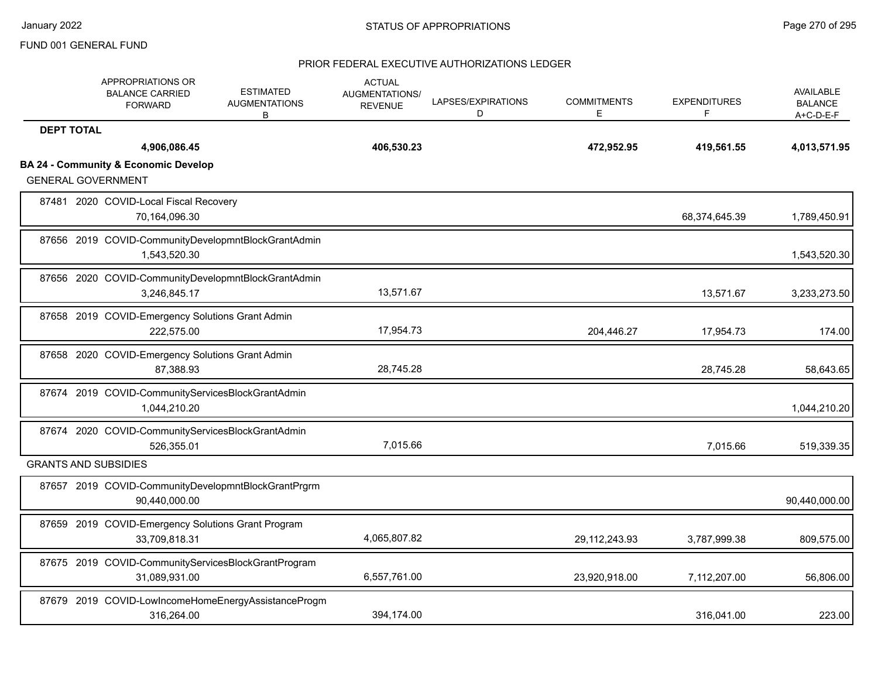| <b>APPROPRIATIONS OR</b><br><b>BALANCE CARRIED</b><br><b>FORWARD</b>         | <b>ESTIMATED</b><br><b>AUGMENTATIONS</b><br>В       | <b>ACTUAL</b><br><b>AUGMENTATIONS/</b><br><b>REVENUE</b> | LAPSES/EXPIRATIONS<br>D | <b>COMMITMENTS</b><br>E | <b>EXPENDITURES</b><br>F | <b>AVAILABLE</b><br><b>BALANCE</b><br>$A+C-D-E-F$ |
|------------------------------------------------------------------------------|-----------------------------------------------------|----------------------------------------------------------|-------------------------|-------------------------|--------------------------|---------------------------------------------------|
| <b>DEPT TOTAL</b>                                                            |                                                     |                                                          |                         |                         |                          |                                                   |
| 4,906,086.45                                                                 |                                                     | 406,530.23                                               |                         | 472,952.95              | 419,561.55               | 4,013,571.95                                      |
| <b>BA 24 - Community &amp; Economic Develop</b><br><b>GENERAL GOVERNMENT</b> |                                                     |                                                          |                         |                         |                          |                                                   |
| 87481 2020 COVID-Local Fiscal Recovery<br>70,164,096.30                      |                                                     |                                                          |                         |                         | 68,374,645.39            | 1,789,450.91                                      |
| 87656 2019 COVID-CommunityDevelopmntBlockGrantAdmin<br>1,543,520.30          |                                                     |                                                          |                         |                         |                          | 1,543,520.30                                      |
| 87656 2020 COVID-CommunityDevelopmntBlockGrantAdmin<br>3,246,845.17          |                                                     | 13,571.67                                                |                         |                         | 13,571.67                | 3,233,273.50                                      |
| 87658 2019 COVID-Emergency Solutions Grant Admin<br>222,575.00               |                                                     | 17,954.73                                                |                         | 204,446.27              | 17,954.73                | 174.00                                            |
| 87658 2020 COVID-Emergency Solutions Grant Admin<br>87,388.93                |                                                     | 28,745.28                                                |                         |                         | 28,745.28                | 58,643.65                                         |
| 87674 2019 COVID-CommunityServicesBlockGrantAdmin<br>1,044,210.20            |                                                     |                                                          |                         |                         |                          | 1,044,210.20                                      |
| 87674 2020 COVID-CommunityServicesBlockGrantAdmin<br>526,355.01              |                                                     | 7,015.66                                                 |                         |                         | 7,015.66                 | 519,339.35                                        |
| <b>GRANTS AND SUBSIDIES</b>                                                  |                                                     |                                                          |                         |                         |                          |                                                   |
| 87657 2019 COVID-CommunityDevelopmntBlockGrantPrgrm<br>90,440,000.00         |                                                     |                                                          |                         |                         |                          | 90,440,000.00                                     |
| 87659 2019 COVID-Emergency Solutions Grant Program<br>33,709,818.31          |                                                     | 4,065,807.82                                             |                         | 29, 112, 243. 93        | 3,787,999.38             | 809,575.00                                        |
| 87675 2019 COVID-CommunityServicesBlockGrantProgram<br>31,089,931.00         |                                                     | 6,557,761.00                                             |                         | 23,920,918.00           | 7,112,207.00             | 56,806.00                                         |
| 316,264.00                                                                   | 87679 2019 COVID-LowIncomeHomeEnergyAssistanceProgm | 394,174.00                                               |                         |                         | 316.041.00               | 223.00                                            |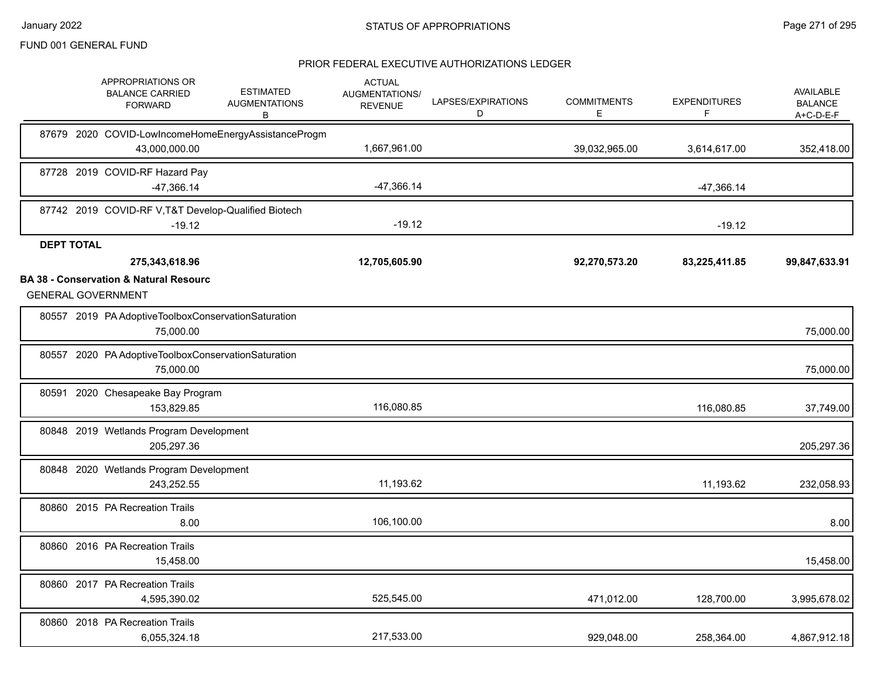|                   | APPROPRIATIONS OR<br><b>BALANCE CARRIED</b><br><b>FORWARD</b>                  | <b>ESTIMATED</b><br><b>AUGMENTATIONS</b><br>B       | <b>ACTUAL</b><br><b>AUGMENTATIONS/</b><br><b>REVENUE</b> | LAPSES/EXPIRATIONS<br>D | <b>COMMITMENTS</b><br>E. | <b>EXPENDITURES</b><br>F | <b>AVAILABLE</b><br><b>BALANCE</b><br>A+C-D-E-F |
|-------------------|--------------------------------------------------------------------------------|-----------------------------------------------------|----------------------------------------------------------|-------------------------|--------------------------|--------------------------|-------------------------------------------------|
|                   | 43,000,000.00                                                                  | 87679 2020 COVID-LowIncomeHomeEnergyAssistanceProgm | 1,667,961.00                                             |                         | 39,032,965.00            | 3,614,617.00             | 352,418.00                                      |
|                   | 87728 2019 COVID-RF Hazard Pay<br>-47,366.14                                   |                                                     | $-47,366.14$                                             |                         |                          | $-47,366.14$             |                                                 |
|                   | 87742 2019 COVID-RF V, T&T Develop-Qualified Biotech<br>$-19.12$               |                                                     | $-19.12$                                                 |                         |                          | $-19.12$                 |                                                 |
| <b>DEPT TOTAL</b> |                                                                                |                                                     |                                                          |                         |                          |                          |                                                 |
|                   | 275,343,618.96                                                                 |                                                     | 12,705,605.90                                            |                         | 92,270,573.20            | 83,225,411.85            | 99,847,633.91                                   |
|                   | <b>BA 38 - Conservation &amp; Natural Resourc</b><br><b>GENERAL GOVERNMENT</b> |                                                     |                                                          |                         |                          |                          |                                                 |
|                   | 80557 2019 PA Adoptive Toolbox Conservation Saturation<br>75,000.00            |                                                     |                                                          |                         |                          |                          | 75,000.00                                       |
|                   | 80557 2020 PA Adoptive Toolbox Conservation Saturation<br>75,000.00            |                                                     |                                                          |                         |                          |                          | 75,000.00                                       |
|                   | 80591 2020 Chesapeake Bay Program<br>153,829.85                                |                                                     | 116,080.85                                               |                         |                          | 116,080.85               | 37,749.00                                       |
|                   | 80848 2019 Wetlands Program Development<br>205,297.36                          |                                                     |                                                          |                         |                          |                          | 205,297.36                                      |
|                   | 80848 2020 Wetlands Program Development<br>243.252.55                          |                                                     | 11,193.62                                                |                         |                          | 11,193.62                | 232,058.93                                      |
|                   | 80860 2015 PA Recreation Trails<br>8.00                                        |                                                     | 106,100.00                                               |                         |                          |                          | 8.00                                            |
|                   | 80860 2016 PA Recreation Trails<br>15,458.00                                   |                                                     |                                                          |                         |                          |                          | 15,458.00                                       |
|                   | 80860 2017 PA Recreation Trails<br>4,595,390.02                                |                                                     | 525,545.00                                               |                         | 471,012.00               | 128,700.00               | 3,995,678.02                                    |
|                   | 80860 2018 PA Recreation Trails<br>6,055,324.18                                |                                                     | 217,533.00                                               |                         | 929,048.00               | 258,364.00               | 4,867,912.18                                    |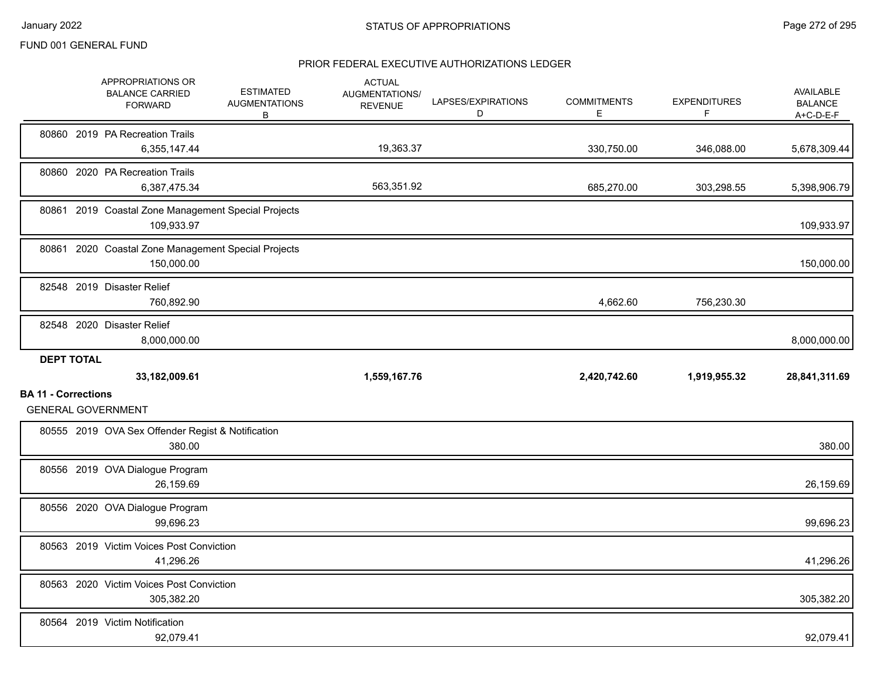|                            |                   | APPROPRIATIONS OR<br><b>BALANCE CARRIED</b><br><b>FORWARD</b>     | <b>ESTIMATED</b><br><b>AUGMENTATIONS</b><br>В | <b>ACTUAL</b><br>AUGMENTATIONS/<br><b>REVENUE</b> | LAPSES/EXPIRATIONS<br>D | <b>COMMITMENTS</b><br>E | <b>EXPENDITURES</b><br>F | <b>AVAILABLE</b><br><b>BALANCE</b><br>A+C-D-E-F |
|----------------------------|-------------------|-------------------------------------------------------------------|-----------------------------------------------|---------------------------------------------------|-------------------------|-------------------------|--------------------------|-------------------------------------------------|
|                            |                   | 80860 2019 PA Recreation Trails<br>6,355,147.44                   |                                               | 19,363.37                                         |                         | 330,750.00              | 346,088.00               | 5,678,309.44                                    |
|                            |                   | 80860 2020 PA Recreation Trails<br>6,387,475.34                   |                                               | 563,351.92                                        |                         | 685,270.00              | 303,298.55               | 5,398,906.79                                    |
|                            |                   | 80861 2019 Coastal Zone Management Special Projects<br>109,933.97 |                                               |                                                   |                         |                         |                          | 109,933.97                                      |
|                            |                   | 80861 2020 Coastal Zone Management Special Projects<br>150,000.00 |                                               |                                                   |                         |                         |                          | 150,000.00                                      |
|                            |                   | 82548 2019 Disaster Relief<br>760,892.90                          |                                               |                                                   |                         | 4,662.60                | 756,230.30               |                                                 |
|                            |                   | 82548 2020 Disaster Relief<br>8,000,000.00                        |                                               |                                                   |                         |                         |                          | 8,000,000.00                                    |
|                            | <b>DEPT TOTAL</b> |                                                                   |                                               |                                                   |                         |                         |                          |                                                 |
|                            |                   | 33,182,009.61                                                     |                                               | 1,559,167.76                                      |                         | 2,420,742.60            | 1,919,955.32             | 28,841,311.69                                   |
| <b>BA 11 - Corrections</b> |                   | <b>GENERAL GOVERNMENT</b>                                         |                                               |                                                   |                         |                         |                          |                                                 |
|                            |                   | 80555 2019 OVA Sex Offender Regist & Notification<br>380.00       |                                               |                                                   |                         |                         |                          | 380.00                                          |
|                            |                   | 80556 2019 OVA Dialogue Program<br>26,159.69                      |                                               |                                                   |                         |                         |                          | 26,159.69                                       |
|                            |                   | 80556 2020 OVA Dialogue Program<br>99,696.23                      |                                               |                                                   |                         |                         |                          | 99,696.23                                       |
|                            |                   | 80563 2019 Victim Voices Post Conviction<br>41,296.26             |                                               |                                                   |                         |                         |                          | 41,296.26                                       |
|                            |                   | 80563 2020 Victim Voices Post Conviction<br>305,382.20            |                                               |                                                   |                         |                         |                          | 305,382.20                                      |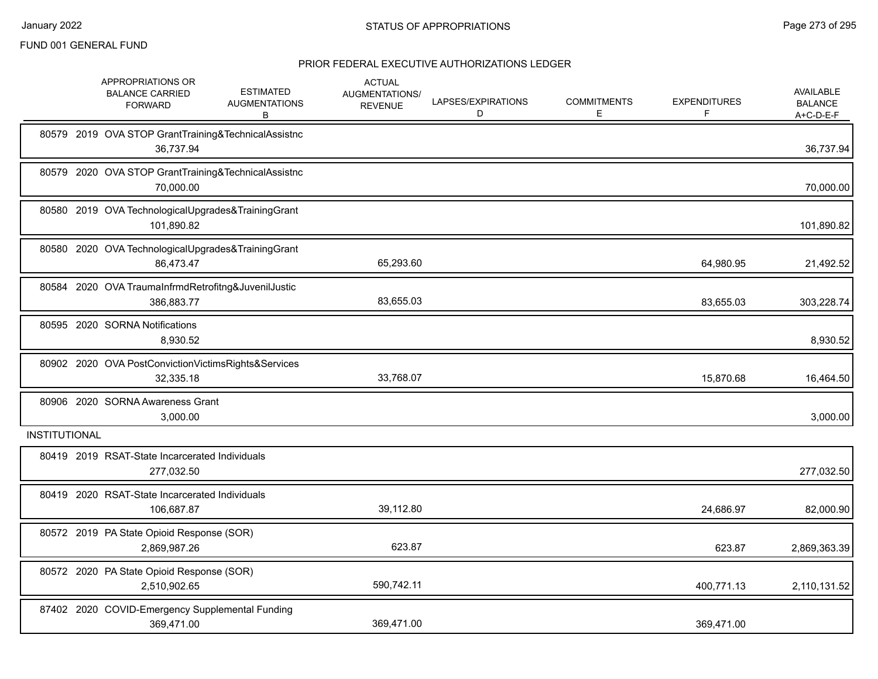|               | APPROPRIATIONS OR<br><b>BALANCE CARRIED</b><br><b>FORWARD</b> | <b>ESTIMATED</b><br><b>AUGMENTATIONS</b><br>В       | <b>ACTUAL</b><br>AUGMENTATIONS/<br><b>REVENUE</b> | LAPSES/EXPIRATIONS<br>D | <b>COMMITMENTS</b><br>E. | <b>EXPENDITURES</b><br>F | AVAILABLE<br><b>BALANCE</b><br>$A+C-D-E-F$ |
|---------------|---------------------------------------------------------------|-----------------------------------------------------|---------------------------------------------------|-------------------------|--------------------------|--------------------------|--------------------------------------------|
|               | 36,737.94                                                     | 80579 2019 OVA STOP GrantTraining&TechnicalAssistnc |                                                   |                         |                          |                          | 36,737.94                                  |
|               | 70.000.00                                                     | 80579 2020 OVA STOP GrantTraining&TechnicalAssistnc |                                                   |                         |                          |                          | 70,000.00                                  |
|               | 101,890.82                                                    | 80580 2019 OVA TechnologicalUpgrades&TrainingGrant  |                                                   |                         |                          |                          | 101,890.82                                 |
|               | 86,473.47                                                     | 80580 2020 OVA TechnologicalUpgrades&TrainingGrant  | 65,293.60                                         |                         |                          | 64,980.95                | 21,492.52                                  |
|               | 386,883.77                                                    | 80584 2020 OVA TraumaInfrmdRetrofitng&JuvenilJustic | 83,655.03                                         |                         |                          | 83,655.03                | 303,228.74                                 |
|               | 80595 2020 SORNA Notifications<br>8,930.52                    |                                                     |                                                   |                         |                          |                          | 8,930.52                                   |
|               | 32,335.18                                                     | 80902 2020 OVA PostConvictionVictimsRights&Services | 33,768.07                                         |                         |                          | 15,870.68                | 16,464.50                                  |
|               | 80906 2020 SORNA Awareness Grant<br>3,000.00                  |                                                     |                                                   |                         |                          |                          | 3,000.00                                   |
| INSTITUTIONAL |                                                               |                                                     |                                                   |                         |                          |                          |                                            |
|               | 80419 2019 RSAT-State Incarcerated Individuals<br>277,032.50  |                                                     |                                                   |                         |                          |                          | 277,032.50                                 |
|               | 80419 2020 RSAT-State Incarcerated Individuals<br>106,687.87  |                                                     | 39,112.80                                         |                         |                          | 24,686.97                | 82,000.90                                  |
|               | 80572 2019 PA State Opioid Response (SOR)<br>2,869,987.26     |                                                     | 623.87                                            |                         |                          | 623.87                   | 2,869,363.39                               |
|               | 80572 2020 PA State Opioid Response (SOR)<br>2,510,902.65     |                                                     | 590,742.11                                        |                         |                          | 400,771.13               | 2,110,131.52                               |
|               | 369,471.00                                                    | 87402 2020 COVID-Emergency Supplemental Funding     | 369.471.00                                        |                         |                          | 369,471.00               |                                            |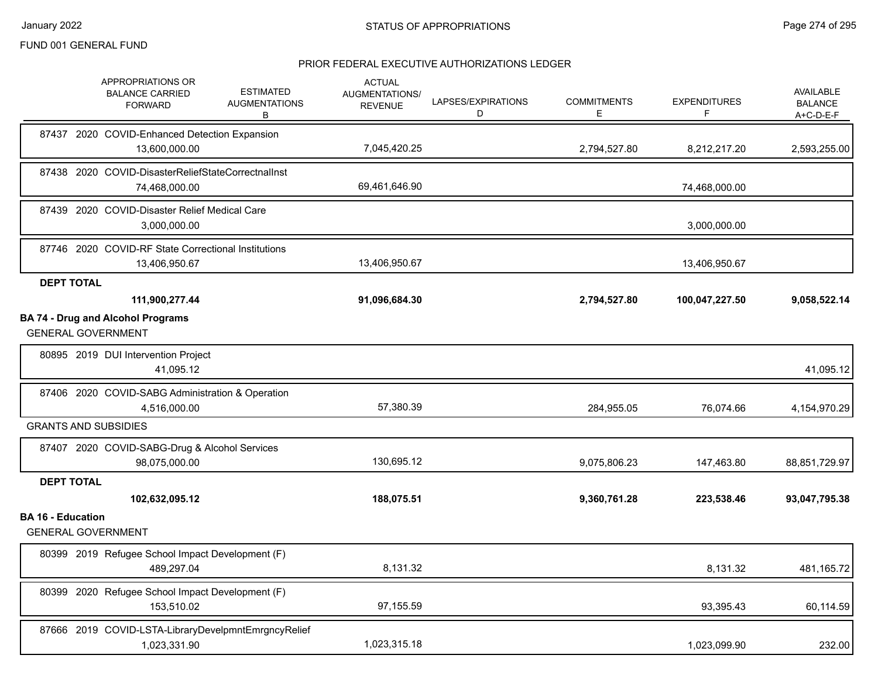|                          | APPROPRIATIONS OR<br><b>ESTIMATED</b><br><b>BALANCE CARRIED</b><br><b>AUGMENTATIONS</b><br><b>FORWARD</b><br>В | <b>ACTUAL</b><br>AUGMENTATIONS/<br><b>REVENUE</b> | LAPSES/EXPIRATIONS<br>D | <b>COMMITMENTS</b><br>E. | <b>EXPENDITURES</b><br>F | <b>AVAILABLE</b><br><b>BALANCE</b><br>A+C-D-E-F |
|--------------------------|----------------------------------------------------------------------------------------------------------------|---------------------------------------------------|-------------------------|--------------------------|--------------------------|-------------------------------------------------|
|                          | 87437 2020 COVID-Enhanced Detection Expansion<br>13,600,000.00                                                 | 7,045,420.25                                      |                         | 2,794,527.80             | 8,212,217.20             | 2,593,255.00                                    |
|                          | 87438 2020 COVID-DisasterReliefStateCorrectnalInst<br>74,468,000.00                                            | 69,461,646.90                                     |                         |                          | 74,468,000.00            |                                                 |
|                          | 87439 2020 COVID-Disaster Relief Medical Care<br>3,000,000.00                                                  |                                                   |                         |                          | 3,000,000.00             |                                                 |
|                          | 87746 2020 COVID-RF State Correctional Institutions<br>13,406,950.67                                           | 13,406,950.67                                     |                         |                          | 13,406,950.67            |                                                 |
|                          | <b>DEPT TOTAL</b><br>111,900,277.44                                                                            | 91,096,684.30                                     |                         | 2,794,527.80             | 100,047,227.50           | 9,058,522.14                                    |
|                          | <b>BA 74 - Drug and Alcohol Programs</b><br><b>GENERAL GOVERNMENT</b>                                          |                                                   |                         |                          |                          |                                                 |
|                          | 80895 2019 DUI Intervention Project<br>41,095.12                                                               |                                                   |                         |                          |                          | 41,095.12                                       |
|                          | 87406 2020 COVID-SABG Administration & Operation<br>4,516,000.00                                               | 57,380.39                                         |                         | 284,955.05               | 76,074.66                | 4,154,970.29                                    |
|                          | <b>GRANTS AND SUBSIDIES</b>                                                                                    |                                                   |                         |                          |                          |                                                 |
|                          | 87407 2020 COVID-SABG-Drug & Alcohol Services<br>98,075,000.00                                                 | 130,695.12                                        |                         | 9,075,806.23             | 147,463.80               | 88,851,729.97                                   |
|                          | <b>DEPT TOTAL</b>                                                                                              |                                                   |                         |                          |                          |                                                 |
|                          | 102,632,095.12                                                                                                 | 188,075.51                                        |                         | 9,360,761.28             | 223,538.46               | 93,047,795.38                                   |
| <b>BA 16 - Education</b> | <b>GENERAL GOVERNMENT</b>                                                                                      |                                                   |                         |                          |                          |                                                 |
|                          | 80399 2019 Refugee School Impact Development (F)<br>489,297.04                                                 | 8,131.32                                          |                         |                          | 8,131.32                 | 481,165.72                                      |
|                          | 80399 2020 Refugee School Impact Development (F)<br>153,510.02                                                 | 97,155.59                                         |                         |                          | 93,395.43                | 60,114.59                                       |
|                          | 87666 2019 COVID-LSTA-LibraryDevelpmntEmrgncyRelief<br>1,023,331.90                                            | 1,023,315.18                                      |                         |                          | 1,023,099.90             | 232.00                                          |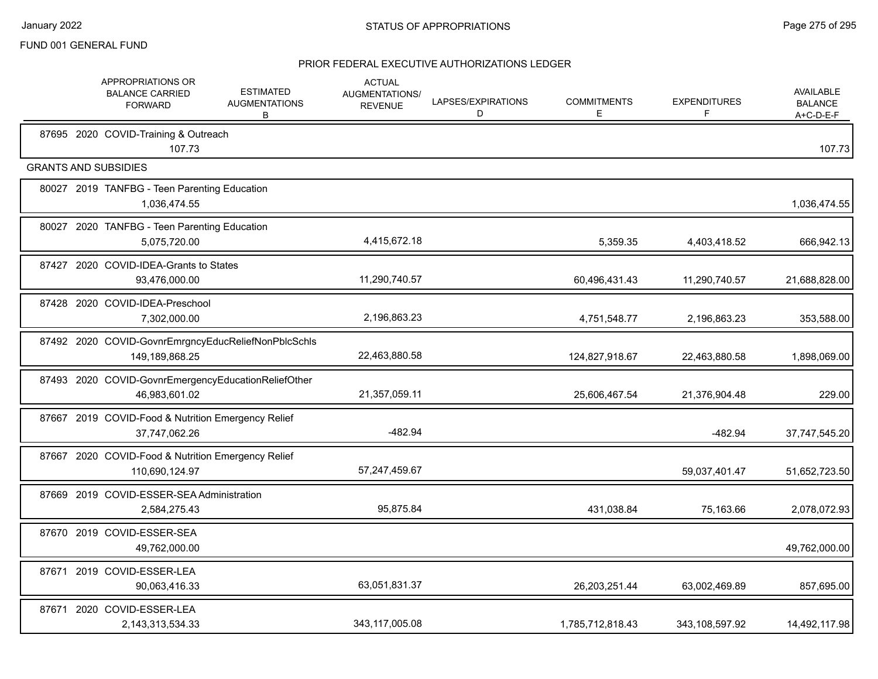|  | APPROPRIATIONS OR<br><b>BALANCE CARRIED</b><br><b>FORWARD</b>         | <b>ESTIMATED</b><br><b>AUGMENTATIONS</b><br>В | <b>ACTUAL</b><br>AUGMENTATIONS/<br><b>REVENUE</b> | LAPSES/EXPIRATIONS<br>D | <b>COMMITMENTS</b><br>Е | <b>EXPENDITURES</b><br>F | <b>AVAILABLE</b><br><b>BALANCE</b><br>$A+C-D-E-F$ |
|--|-----------------------------------------------------------------------|-----------------------------------------------|---------------------------------------------------|-------------------------|-------------------------|--------------------------|---------------------------------------------------|
|  | 87695 2020 COVID-Training & Outreach<br>107.73                        |                                               |                                                   |                         |                         |                          | 107.73                                            |
|  | <b>GRANTS AND SUBSIDIES</b>                                           |                                               |                                                   |                         |                         |                          |                                                   |
|  | 80027 2019 TANFBG - Teen Parenting Education<br>1,036,474.55          |                                               |                                                   |                         |                         |                          | 1,036,474.55                                      |
|  | 80027 2020 TANFBG - Teen Parenting Education<br>5,075,720.00          |                                               | 4,415,672.18                                      |                         | 5,359.35                | 4,403,418.52             | 666,942.13                                        |
|  | 87427 2020 COVID-IDEA-Grants to States<br>93,476,000.00               |                                               | 11,290,740.57                                     |                         | 60,496,431.43           | 11,290,740.57            | 21,688,828.00                                     |
|  | 87428 2020 COVID-IDEA-Preschool<br>7,302,000.00                       |                                               | 2,196,863.23                                      |                         | 4,751,548.77            | 2,196,863.23             | 353,588.00                                        |
|  | 87492 2020 COVID-GovnrEmrgncyEducReliefNonPblcSchls<br>149,189,868.25 |                                               | 22,463,880.58                                     |                         | 124,827,918.67          | 22,463,880.58            | 1,898,069.00                                      |
|  | 87493 2020 COVID-GovnrEmergencyEducationReliefOther<br>46,983,601.02  |                                               | 21,357,059.11                                     |                         | 25,606,467.54           | 21,376,904.48            | 229.00                                            |
|  | 87667 2019 COVID-Food & Nutrition Emergency Relief<br>37,747,062.26   |                                               | $-482.94$                                         |                         |                         | $-482.94$                | 37,747,545.20                                     |
|  | 87667 2020 COVID-Food & Nutrition Emergency Relief<br>110,690,124.97  |                                               | 57,247,459.67                                     |                         |                         | 59,037,401.47            | 51,652,723.50                                     |
|  | 87669 2019 COVID-ESSER-SEA Administration<br>2,584,275.43             |                                               | 95,875.84                                         |                         | 431,038.84              | 75,163.66                | 2,078,072.93                                      |
|  | 87670 2019 COVID-ESSER-SEA<br>49,762,000.00                           |                                               |                                                   |                         |                         |                          | 49,762,000.00                                     |
|  | 87671 2019 COVID-ESSER-LEA<br>90,063,416.33                           |                                               | 63,051,831.37                                     |                         | 26,203,251.44           | 63,002,469.89            | 857,695.00                                        |
|  | 87671 2020 COVID-ESSER-LEA<br>2,143,313,534.33                        |                                               | 343,117,005.08                                    |                         | 1,785,712,818.43        | 343,108,597.92           | 14,492,117.98                                     |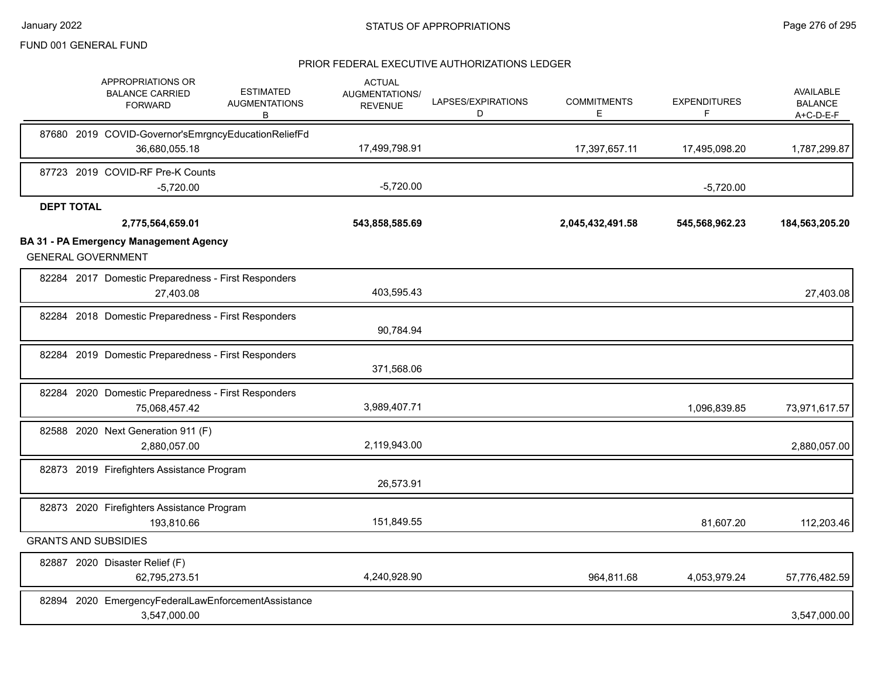|                                | APPROPRIATIONS OR<br><b>BALANCE CARRIED</b><br><b>FORWARD</b> | <b>ESTIMATED</b><br><b>AUGMENTATIONS</b><br>В       | <b>ACTUAL</b><br>AUGMENTATIONS/<br><b>REVENUE</b> | LAPSES/EXPIRATIONS<br>D | <b>COMMITMENTS</b><br>E. | <b>EXPENDITURES</b><br>$\mathsf F$ | AVAILABLE<br><b>BALANCE</b><br>$A+C-D-E-F$ |
|--------------------------------|---------------------------------------------------------------|-----------------------------------------------------|---------------------------------------------------|-------------------------|--------------------------|------------------------------------|--------------------------------------------|
|                                |                                                               | 87680 2019 COVID-Governor'sEmrgncyEducationReliefFd |                                                   |                         |                          |                                    |                                            |
|                                | 36,680,055.18                                                 |                                                     | 17,499,798.91                                     |                         | 17,397,657.11            | 17,495,098.20                      | 1,787,299.87                               |
|                                | 87723 2019 COVID-RF Pre-K Counts                              |                                                     |                                                   |                         |                          |                                    |                                            |
|                                | $-5,720.00$                                                   |                                                     | $-5,720.00$                                       |                         |                          | $-5,720.00$                        |                                            |
| <b>DEPT TOTAL</b>              |                                                               |                                                     |                                                   |                         |                          |                                    |                                            |
|                                | 2,775,564,659.01                                              |                                                     | 543,858,585.69                                    |                         | 2,045,432,491.58         | 545,568,962.23                     | 184,563,205.20                             |
| <b>GENERAL GOVERNMENT</b>      | <b>BA 31 - PA Emergency Management Agency</b>                 |                                                     |                                                   |                         |                          |                                    |                                            |
|                                | 27,403.08                                                     | 82284 2017 Domestic Preparedness - First Responders | 403,595.43                                        |                         |                          |                                    | 27,403.08                                  |
|                                |                                                               | 82284 2018 Domestic Preparedness - First Responders | 90,784.94                                         |                         |                          |                                    |                                            |
|                                |                                                               | 82284 2019 Domestic Preparedness - First Responders | 371,568.06                                        |                         |                          |                                    |                                            |
|                                | 75,068,457.42                                                 | 82284 2020 Domestic Preparedness - First Responders | 3,989,407.71                                      |                         |                          | 1,096,839.85                       | 73,971,617.57                              |
|                                | 82588 2020 Next Generation 911 (F)<br>2,880,057.00            |                                                     | 2,119,943.00                                      |                         |                          |                                    | 2,880,057.00                               |
|                                | 82873 2019 Firefighters Assistance Program                    |                                                     | 26,573.91                                         |                         |                          |                                    |                                            |
|                                | 82873 2020 Firefighters Assistance Program<br>193,810.66      |                                                     | 151,849.55                                        |                         |                          | 81,607.20                          | 112,203.46                                 |
| <b>GRANTS AND SUBSIDIES</b>    |                                                               |                                                     |                                                   |                         |                          |                                    |                                            |
| 82887 2020 Disaster Relief (F) | 62,795,273.51                                                 |                                                     | 4,240,928.90                                      |                         | 964,811.68               | 4,053,979.24                       | 57,776,482.59                              |
|                                | 3,547,000.00                                                  | 82894 2020 EmergencyFederalLawEnforcementAssistance |                                                   |                         |                          |                                    | 3,547,000.00                               |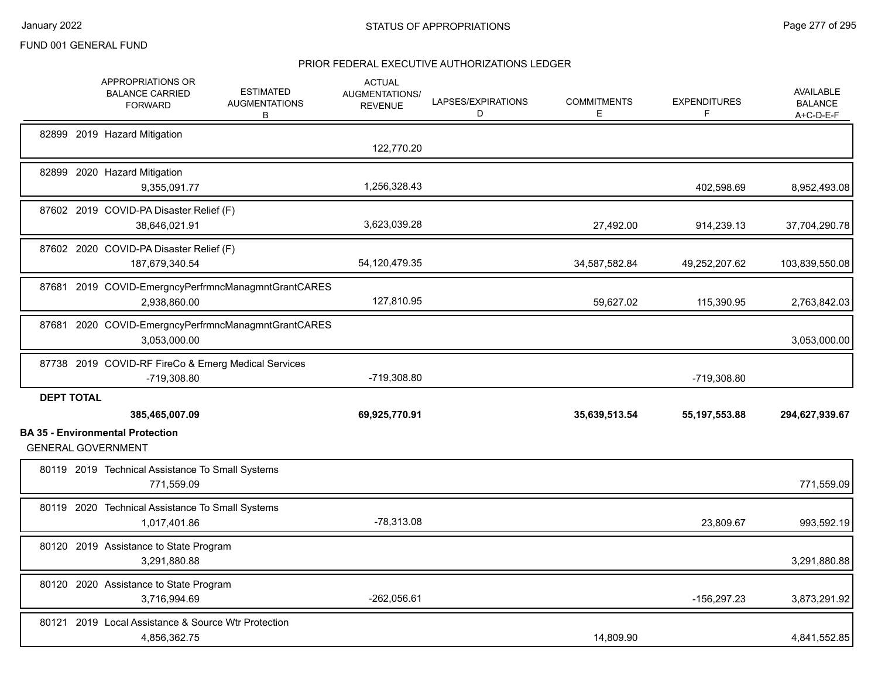|                   | APPROPRIATIONS OR<br><b>BALANCE CARRIED</b><br><b>FORWARD</b>       | <b>ESTIMATED</b><br><b>AUGMENTATIONS</b><br>В | <b>ACTUAL</b><br>AUGMENTATIONS/<br><b>REVENUE</b> | LAPSES/EXPIRATIONS<br>D | <b>COMMITMENTS</b><br>E. | <b>EXPENDITURES</b><br>F | <b>AVAILABLE</b><br><b>BALANCE</b><br>$A+C-D-E-F$ |
|-------------------|---------------------------------------------------------------------|-----------------------------------------------|---------------------------------------------------|-------------------------|--------------------------|--------------------------|---------------------------------------------------|
|                   | 82899 2019 Hazard Mitigation                                        |                                               | 122,770.20                                        |                         |                          |                          |                                                   |
|                   | 82899 2020 Hazard Mitigation<br>9,355,091.77                        |                                               | 1,256,328.43                                      |                         |                          | 402,598.69               | 8,952,493.08                                      |
|                   | 87602 2019 COVID-PA Disaster Relief (F)<br>38,646,021.91            |                                               | 3,623,039.28                                      |                         | 27,492.00                | 914,239.13               | 37,704,290.78                                     |
|                   | 87602 2020 COVID-PA Disaster Relief (F)<br>187,679,340.54           |                                               | 54,120,479.35                                     |                         | 34,587,582.84            | 49,252,207.62            | 103,839,550.08                                    |
|                   | 87681 2019 COVID-EmergncyPerfrmncManagmntGrantCARES<br>2,938,860.00 |                                               | 127,810.95                                        |                         | 59,627.02                | 115,390.95               | 2,763,842.03                                      |
|                   | 87681 2020 COVID-EmergncyPerfrmncManagmntGrantCARES<br>3,053,000.00 |                                               |                                                   |                         |                          |                          | 3,053,000.00                                      |
|                   | 87738 2019 COVID-RF FireCo & Emerg Medical Services<br>-719,308.80  |                                               | -719,308.80                                       |                         |                          | -719,308.80              |                                                   |
| <b>DEPT TOTAL</b> | 385,465,007.09<br><b>BA 35 - Environmental Protection</b>           |                                               | 69,925,770.91                                     |                         | 35,639,513.54            | 55, 197, 553.88          | 294,627,939.67                                    |
|                   | <b>GENERAL GOVERNMENT</b>                                           |                                               |                                                   |                         |                          |                          |                                                   |
|                   | 80119 2019 Technical Assistance To Small Systems<br>771.559.09      |                                               |                                                   |                         |                          |                          | 771,559.09                                        |
|                   | 80119 2020 Technical Assistance To Small Systems<br>1,017,401.86    |                                               | $-78,313.08$                                      |                         |                          | 23,809.67                | 993,592.19                                        |
|                   | 80120 2019 Assistance to State Program<br>3,291,880.88              |                                               |                                                   |                         |                          |                          | 3,291,880.88                                      |
|                   | 80120 2020 Assistance to State Program<br>3,716,994.69              |                                               | $-262,056.61$                                     |                         |                          | -156,297.23              | 3,873,291.92                                      |
|                   | 80121 2019 Local Assistance & Source Wtr Protection<br>4,856,362.75 |                                               |                                                   |                         | 14,809.90                |                          | 4,841,552.85                                      |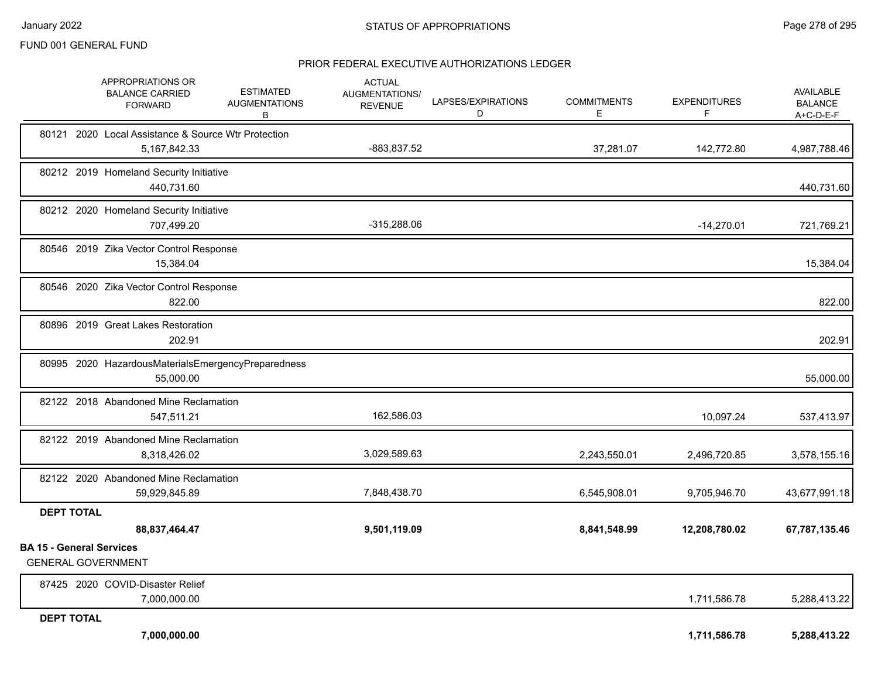|                                 | APPROPRIATIONS OR<br><b>BALANCE CARRIED</b><br><b>FORWARD</b>          | <b>ESTIMATED</b><br><b>AUGMENTATIONS</b><br>В | <b>ACTUAL</b><br>AUGMENTATIONS/<br><b>REVENUE</b> | LAPSES/EXPIRATIONS<br>D | <b>COMMITMENTS</b><br>E | <b>EXPENDITURES</b><br>F | AVAILABLE<br><b>BALANCE</b><br>A+C-D-E-F |
|---------------------------------|------------------------------------------------------------------------|-----------------------------------------------|---------------------------------------------------|-------------------------|-------------------------|--------------------------|------------------------------------------|
|                                 | 80121 2020 Local Assistance & Source Wtr Protection<br>5, 167, 842. 33 |                                               | -883,837.52                                       |                         | 37,281.07               | 142,772.80               | 4,987,788.46                             |
|                                 | 80212 2019 Homeland Security Initiative<br>440,731.60                  |                                               |                                                   |                         |                         |                          | 440,731.60                               |
|                                 | 80212 2020 Homeland Security Initiative<br>707,499.20                  |                                               | $-315,288.06$                                     |                         |                         | $-14,270.01$             | 721,769.21                               |
|                                 | 80546 2019 Zika Vector Control Response<br>15,384.04                   |                                               |                                                   |                         |                         |                          | 15,384.04                                |
|                                 | 80546 2020 Zika Vector Control Response<br>822.00                      |                                               |                                                   |                         |                         |                          | 822.00                                   |
|                                 | 80896 2019 Great Lakes Restoration<br>202.91                           |                                               |                                                   |                         |                         |                          | 202.91                                   |
|                                 | 80995 2020 HazardousMaterialsEmergencyPreparedness<br>55,000.00        |                                               |                                                   |                         |                         |                          | 55,000.00                                |
|                                 | 82122 2018 Abandoned Mine Reclamation<br>547,511.21                    |                                               | 162,586.03                                        |                         |                         | 10,097.24                | 537,413.97                               |
|                                 | 82122 2019 Abandoned Mine Reclamation<br>8,318,426.02                  |                                               | 3,029,589.63                                      |                         | 2,243,550.01            | 2,496,720.85             | 3,578,155.16                             |
|                                 | 82122 2020 Abandoned Mine Reclamation<br>59,929,845.89                 |                                               | 7,848,438.70                                      |                         | 6,545,908.01            | 9,705,946.70             | 43,677,991.18                            |
| <b>DEPT TOTAL</b>               |                                                                        |                                               |                                                   |                         |                         |                          |                                          |
| <b>BA 15 - General Services</b> | 88,837,464.47                                                          |                                               | 9,501,119.09                                      |                         | 8,841,548.99            | 12,208,780.02            | 67,787,135.46                            |
|                                 | <b>GENERAL GOVERNMENT</b>                                              |                                               |                                                   |                         |                         |                          |                                          |
|                                 | 87425 2020 COVID-Disaster Relief<br>7,000,000.00                       |                                               |                                                   |                         |                         | 1,711,586.78             | 5,288,413.22                             |
| <b>DEPT TOTAL</b>               | 7,000,000.00                                                           |                                               |                                                   |                         |                         | 1,711,586.78             | 5,288,413.22                             |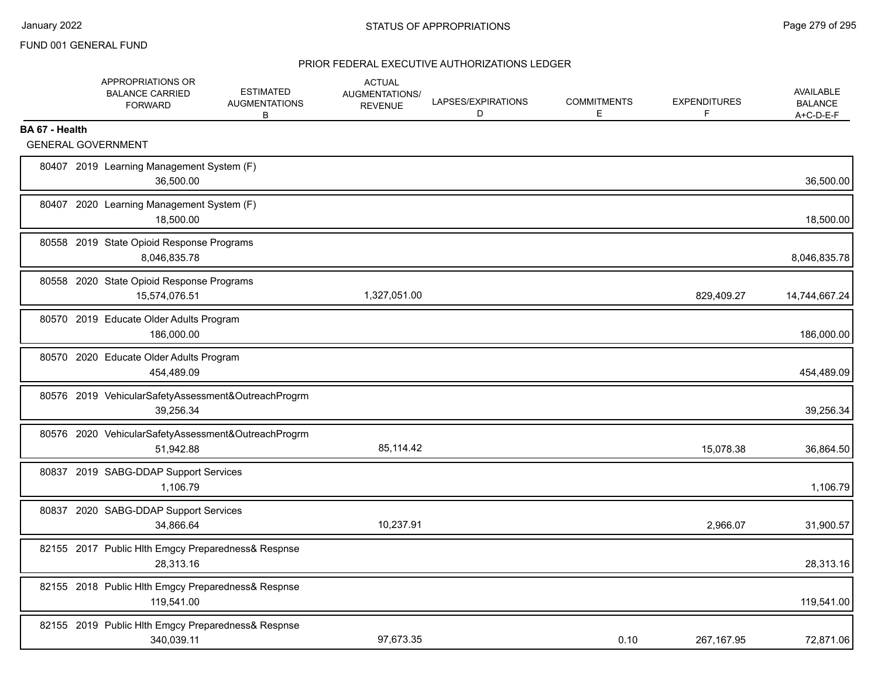|                | APPROPRIATIONS OR<br><b>BALANCE CARRIED</b><br><b>FORWARD</b>    | <b>ESTIMATED</b><br><b>AUGMENTATIONS</b><br>В | <b>ACTUAL</b><br><b>AUGMENTATIONS/</b><br><b>REVENUE</b> | LAPSES/EXPIRATIONS<br>D | <b>COMMITMENTS</b><br>Е | <b>EXPENDITURES</b><br>F | <b>AVAILABLE</b><br><b>BALANCE</b><br>$A+C-D-E-F$ |
|----------------|------------------------------------------------------------------|-----------------------------------------------|----------------------------------------------------------|-------------------------|-------------------------|--------------------------|---------------------------------------------------|
| BA 67 - Health |                                                                  |                                               |                                                          |                         |                         |                          |                                                   |
|                | <b>GENERAL GOVERNMENT</b>                                        |                                               |                                                          |                         |                         |                          |                                                   |
|                | 80407 2019 Learning Management System (F)<br>36,500.00           |                                               |                                                          |                         |                         |                          | 36,500.00                                         |
|                | 80407 2020 Learning Management System (F)<br>18,500.00           |                                               |                                                          |                         |                         |                          | 18,500.00                                         |
|                | 80558 2019 State Opioid Response Programs<br>8,046,835.78        |                                               |                                                          |                         |                         |                          | 8,046,835.78                                      |
|                | 80558 2020 State Opioid Response Programs<br>15,574,076.51       |                                               | 1,327,051.00                                             |                         |                         | 829,409.27               | 14,744,667.24                                     |
|                | 80570 2019 Educate Older Adults Program<br>186,000.00            |                                               |                                                          |                         |                         |                          | 186,000.00                                        |
|                | 80570 2020 Educate Older Adults Program<br>454,489.09            |                                               |                                                          |                         |                         |                          | 454,489.09                                        |
|                | 80576 2019 VehicularSafetyAssessment&OutreachProgrm<br>39,256.34 |                                               |                                                          |                         |                         |                          | 39,256.34                                         |
|                | 80576 2020 VehicularSafetyAssessment&OutreachProgrm<br>51,942.88 |                                               | 85,114.42                                                |                         |                         | 15,078.38                | 36,864.50                                         |
|                | 80837 2019 SABG-DDAP Support Services<br>1,106.79                |                                               |                                                          |                         |                         |                          | 1,106.79                                          |
|                | 80837 2020 SABG-DDAP Support Services<br>34,866.64               |                                               | 10,237.91                                                |                         |                         | 2,966.07                 | 31,900.57                                         |
|                | 82155 2017 Public Hlth Emgcy Preparedness& Respnse<br>28.313.16  |                                               |                                                          |                         |                         |                          | 28,313.16                                         |
|                | 82155 2018 Public Hlth Emgcy Preparedness& Respnse<br>119,541.00 |                                               |                                                          |                         |                         |                          | 119,541.00                                        |
|                | 82155 2019 Public Hlth Emgcy Preparedness& Respnse<br>340,039.11 |                                               | 97,673.35                                                |                         | 0.10                    | 267, 167.95              | 72,871.06                                         |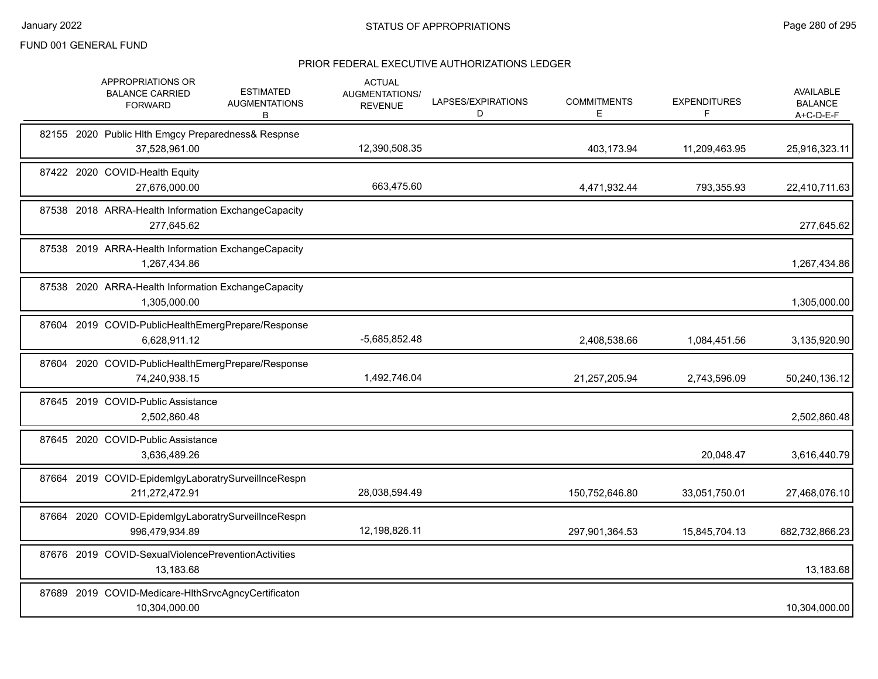|  | APPROPRIATIONS OR<br><b>BALANCE CARRIED</b><br><b>FORWARD</b>         | <b>ESTIMATED</b><br><b>AUGMENTATIONS</b><br>В | <b>ACTUAL</b><br>AUGMENTATIONS/<br><b>REVENUE</b> | LAPSES/EXPIRATIONS<br>D | <b>COMMITMENTS</b><br>E. | <b>EXPENDITURES</b><br>F. | <b>AVAILABLE</b><br><b>BALANCE</b><br>A+C-D-E-F |
|--|-----------------------------------------------------------------------|-----------------------------------------------|---------------------------------------------------|-------------------------|--------------------------|---------------------------|-------------------------------------------------|
|  | 82155 2020 Public Hlth Emgcy Preparedness& Respnse<br>37,528,961.00   |                                               | 12,390,508.35                                     |                         | 403,173.94               | 11,209,463.95             | 25,916,323.11                                   |
|  | 87422 2020 COVID-Health Equity<br>27,676,000.00                       |                                               | 663,475.60                                        |                         | 4,471,932.44             | 793,355.93                | 22,410,711.63                                   |
|  | 87538 2018 ARRA-Health Information ExchangeCapacity<br>277,645.62     |                                               |                                                   |                         |                          |                           | 277,645.62                                      |
|  | 87538 2019 ARRA-Health Information ExchangeCapacity<br>1,267,434.86   |                                               |                                                   |                         |                          |                           | 1,267,434.86                                    |
|  | 87538 2020 ARRA-Health Information ExchangeCapacity<br>1,305,000.00   |                                               |                                                   |                         |                          |                           | 1,305,000.00                                    |
|  | 87604 2019 COVID-PublicHealthEmergPrepare/Response<br>6,628,911.12    |                                               | $-5,685,852.48$                                   |                         | 2,408,538.66             | 1,084,451.56              | 3,135,920.90                                    |
|  | 87604 2020 COVID-PublicHealthEmergPrepare/Response<br>74,240,938.15   |                                               | 1,492,746.04                                      |                         | 21,257,205.94            | 2,743,596.09              | 50,240,136.12                                   |
|  | 87645 2019 COVID-Public Assistance<br>2,502,860.48                    |                                               |                                                   |                         |                          |                           | 2,502,860.48                                    |
|  | 87645 2020 COVID-Public Assistance<br>3,636,489.26                    |                                               |                                                   |                         |                          | 20,048.47                 | 3,616,440.79                                    |
|  | 87664 2019 COVID-EpidemIgyLaboratrySurveilInceRespn<br>211,272,472.91 |                                               | 28,038,594.49                                     |                         | 150,752,646.80           | 33,051,750.01             | 27,468,076.10                                   |
|  | 87664 2020 COVID-EpidemIgyLaboratrySurveilInceRespn<br>996,479,934.89 |                                               | 12,198,826.11                                     |                         | 297,901,364.53           | 15,845,704.13             | 682,732,866.23                                  |
|  | 87676 2019 COVID-SexualViolencePreventionActivities<br>13,183.68      |                                               |                                                   |                         |                          |                           | 13,183.68                                       |
|  | 87689 2019 COVID-Medicare-HIthSrvcAgncyCertificaton<br>10,304,000.00  |                                               |                                                   |                         |                          |                           | 10,304,000.00                                   |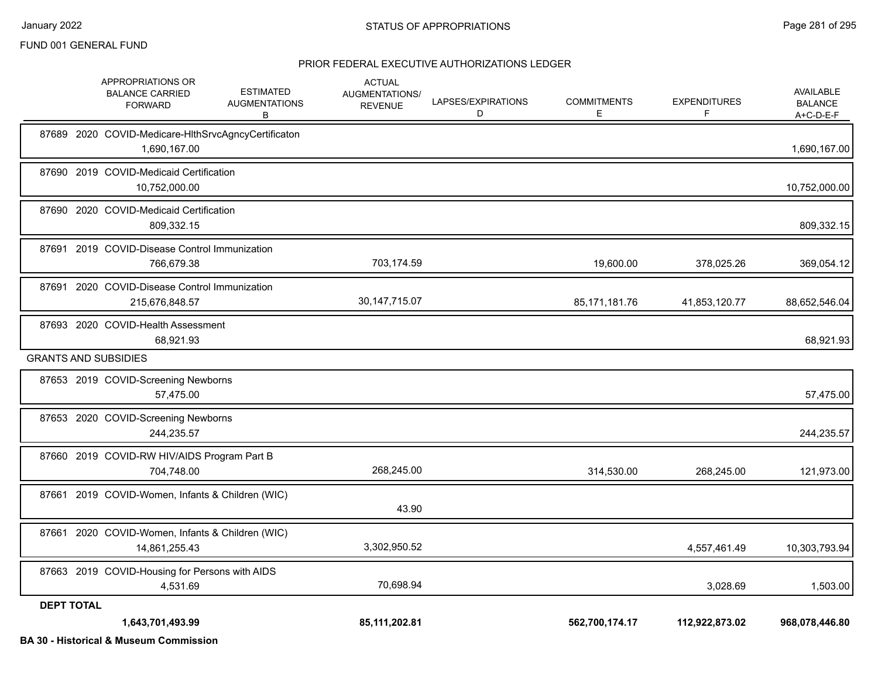#### PRIOR FEDERAL EXECUTIVE AUTHORIZATIONS LEDGER

|                   | <b>APPROPRIATIONS OR</b><br><b>BALANCE CARRIED</b><br><b>FORWARD</b> | <b>ESTIMATED</b><br><b>AUGMENTATIONS</b><br>В | <b>ACTUAL</b><br>AUGMENTATIONS/<br><b>REVENUE</b> | LAPSES/EXPIRATIONS<br>D | <b>COMMITMENTS</b><br>E. | <b>EXPENDITURES</b><br>F. | AVAILABLE<br><b>BALANCE</b><br>$A+C-D-E-F$ |
|-------------------|----------------------------------------------------------------------|-----------------------------------------------|---------------------------------------------------|-------------------------|--------------------------|---------------------------|--------------------------------------------|
|                   | 87689 2020 COVID-Medicare-HIthSrvcAgncyCertificaton<br>1,690,167.00  |                                               |                                                   |                         |                          |                           | 1,690,167.00                               |
|                   | 87690 2019 COVID-Medicaid Certification<br>10,752,000.00             |                                               |                                                   |                         |                          |                           | 10,752,000.00                              |
|                   | 87690 2020 COVID-Medicaid Certification<br>809,332.15                |                                               |                                                   |                         |                          |                           | 809,332.15                                 |
|                   | 87691 2019 COVID-Disease Control Immunization<br>766,679.38          |                                               | 703,174.59                                        |                         | 19,600.00                | 378,025.26                | 369,054.12                                 |
| 87691             | 2020 COVID-Disease Control Immunization<br>215,676,848.57            |                                               | 30, 147, 715.07                                   |                         | 85, 171, 181. 76         | 41,853,120.77             | 88,652,546.04                              |
|                   | 87693 2020 COVID-Health Assessment<br>68,921.93                      |                                               |                                                   |                         |                          |                           | 68,921.93                                  |
|                   | <b>GRANTS AND SUBSIDIES</b>                                          |                                               |                                                   |                         |                          |                           |                                            |
|                   | 87653 2019 COVID-Screening Newborns<br>57.475.00                     |                                               |                                                   |                         |                          |                           | 57,475.00                                  |
|                   | 87653 2020 COVID-Screening Newborns<br>244,235.57                    |                                               |                                                   |                         |                          |                           | 244,235.57                                 |
|                   | 87660 2019 COVID-RW HIV/AIDS Program Part B<br>704,748.00            |                                               | 268,245.00                                        |                         | 314,530.00               | 268,245.00                | 121,973.00                                 |
|                   | 87661 2019 COVID-Women, Infants & Children (WIC)                     |                                               | 43.90                                             |                         |                          |                           |                                            |
|                   | 87661 2020 COVID-Women, Infants & Children (WIC)<br>14,861,255.43    |                                               | 3,302,950.52                                      |                         |                          | 4,557,461.49              | 10,303,793.94                              |
|                   | 87663 2019 COVID-Housing for Persons with AIDS<br>4,531.69           |                                               | 70,698.94                                         |                         |                          | 3,028.69                  | 1,503.00                                   |
| <b>DEPT TOTAL</b> | 1,643,701,493.99                                                     |                                               | 85,111,202.81                                     |                         | 562,700,174.17           | 112,922,873.02            | 968,078,446.80                             |

**BA 30 - Historical & Museum Commission**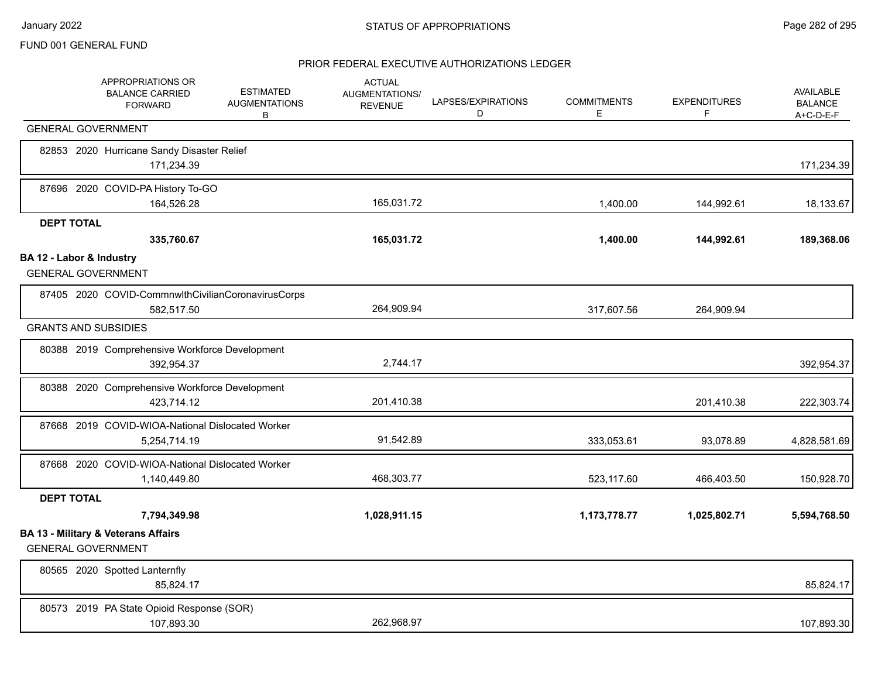|                   | APPROPRIATIONS OR<br><b>BALANCE CARRIED</b><br><b>FORWARD</b>               | <b>ESTIMATED</b><br><b>AUGMENTATIONS</b><br>B | <b>ACTUAL</b><br><b>AUGMENTATIONS/</b><br><b>REVENUE</b> | LAPSES/EXPIRATIONS<br>D | <b>COMMITMENTS</b><br>E. | <b>EXPENDITURES</b><br>F | <b>AVAILABLE</b><br><b>BALANCE</b><br>A+C-D-E-F |
|-------------------|-----------------------------------------------------------------------------|-----------------------------------------------|----------------------------------------------------------|-------------------------|--------------------------|--------------------------|-------------------------------------------------|
|                   | <b>GENERAL GOVERNMENT</b>                                                   |                                               |                                                          |                         |                          |                          |                                                 |
|                   | 82853 2020 Hurricane Sandy Disaster Relief<br>171,234.39                    |                                               |                                                          |                         |                          |                          | 171,234.39                                      |
|                   | 87696 2020 COVID-PA History To-GO<br>164,526.28                             |                                               | 165,031.72                                               |                         | 1,400.00                 | 144,992.61               | 18,133.67                                       |
| <b>DEPT TOTAL</b> | 335,760.67                                                                  |                                               | 165,031.72                                               |                         | 1,400.00                 | 144,992.61               | 189,368.06                                      |
|                   | BA 12 - Labor & Industry<br><b>GENERAL GOVERNMENT</b>                       |                                               |                                                          |                         |                          |                          |                                                 |
|                   | 87405 2020 COVID-CommnwlthCivilianCoronavirusCorps<br>582,517.50            |                                               | 264,909.94                                               |                         | 317,607.56               | 264,909.94               |                                                 |
|                   | <b>GRANTS AND SUBSIDIES</b>                                                 |                                               |                                                          |                         |                          |                          |                                                 |
|                   | 80388 2019 Comprehensive Workforce Development<br>392,954.37                |                                               | 2,744.17                                                 |                         |                          |                          | 392,954.37                                      |
|                   | 80388 2020 Comprehensive Workforce Development<br>423,714.12                |                                               | 201,410.38                                               |                         |                          | 201,410.38               | 222,303.74                                      |
|                   | 87668 2019 COVID-WIOA-National Dislocated Worker<br>5,254,714.19            |                                               | 91,542.89                                                |                         | 333,053.61               | 93,078.89                | 4,828,581.69                                    |
|                   | 87668 2020 COVID-WIOA-National Dislocated Worker<br>1,140,449.80            |                                               | 468,303.77                                               |                         | 523,117.60               | 466,403.50               | 150,928.70                                      |
| <b>DEPT TOTAL</b> |                                                                             |                                               |                                                          |                         |                          |                          |                                                 |
|                   | 7,794,349.98                                                                |                                               | 1,028,911.15                                             |                         | 1,173,778.77             | 1,025,802.71             | 5,594,768.50                                    |
|                   | <b>BA 13 - Military &amp; Veterans Affairs</b><br><b>GENERAL GOVERNMENT</b> |                                               |                                                          |                         |                          |                          |                                                 |
|                   | 80565 2020 Spotted Lanternfly<br>85,824.17                                  |                                               |                                                          |                         |                          |                          | 85,824.17                                       |
|                   | 80573 2019 PA State Opioid Response (SOR)<br>107,893.30                     |                                               | 262,968.97                                               |                         |                          |                          | 107,893.30                                      |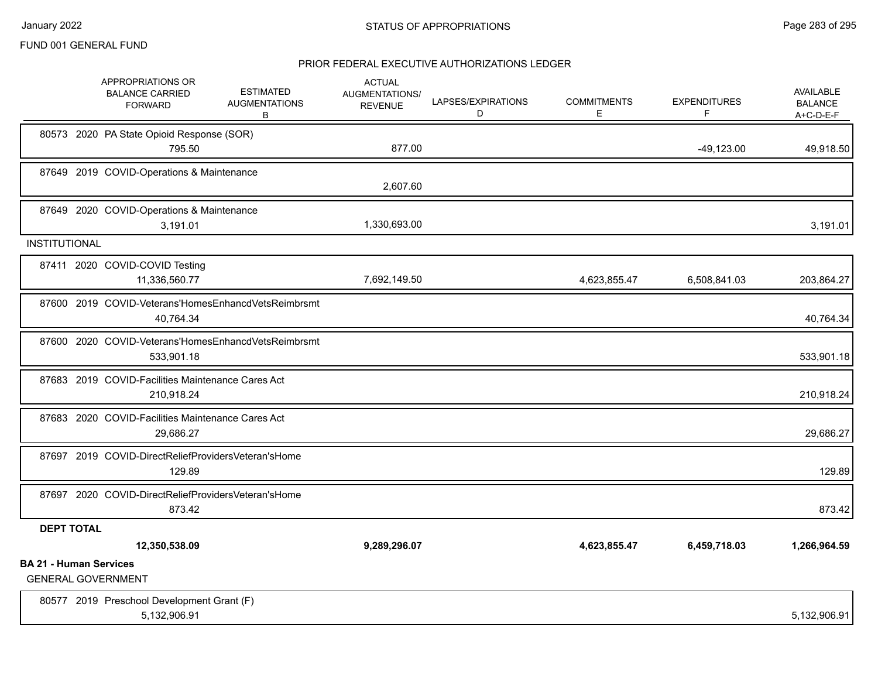|                               | APPROPRIATIONS OR<br><b>BALANCE CARRIED</b><br><b>FORWARD</b>   | <b>ESTIMATED</b><br><b>AUGMENTATIONS</b><br>В       | <b>ACTUAL</b><br>AUGMENTATIONS/<br><b>REVENUE</b> | LAPSES/EXPIRATIONS<br>D | <b>COMMITMENTS</b><br>Е | <b>EXPENDITURES</b><br>F | AVAILABLE<br><b>BALANCE</b><br>$A+C-D-E-F$ |
|-------------------------------|-----------------------------------------------------------------|-----------------------------------------------------|---------------------------------------------------|-------------------------|-------------------------|--------------------------|--------------------------------------------|
|                               | 80573 2020 PA State Opioid Response (SOR)<br>795.50             |                                                     | 877.00                                            |                         |                         | $-49,123.00$             | 49,918.50                                  |
|                               | 87649 2019 COVID-Operations & Maintenance                       |                                                     | 2,607.60                                          |                         |                         |                          |                                            |
|                               | 87649 2020 COVID-Operations & Maintenance<br>3,191.01           |                                                     | 1,330,693.00                                      |                         |                         |                          | 3,191.01                                   |
| <b>INSTITUTIONAL</b>          |                                                                 |                                                     |                                                   |                         |                         |                          |                                            |
|                               | 87411 2020 COVID-COVID Testing<br>11,336,560.77                 |                                                     | 7,692,149.50                                      |                         | 4,623,855.47            | 6,508,841.03             | 203,864.27                                 |
|                               | 40,764.34                                                       | 87600 2019 COVID-Veterans'HomesEnhancdVetsReimbrsmt |                                                   |                         |                         |                          | 40,764.34                                  |
|                               | 533,901.18                                                      | 87600 2020 COVID-Veterans'HomesEnhancdVetsReimbrsmt |                                                   |                         |                         |                          | 533,901.18                                 |
|                               | 87683 2019 COVID-Facilities Maintenance Cares Act<br>210,918.24 |                                                     |                                                   |                         |                         |                          | 210,918.24                                 |
|                               | 87683 2020 COVID-Facilities Maintenance Cares Act<br>29,686.27  |                                                     |                                                   |                         |                         |                          | 29,686.27                                  |
|                               | 87697 2019 COVID-DirectReliefProvidersVeteran'sHome<br>129.89   |                                                     |                                                   |                         |                         |                          | 129.89                                     |
|                               | 87697 2020 COVID-DirectReliefProvidersVeteran'sHome<br>873.42   |                                                     |                                                   |                         |                         |                          | 873.42                                     |
| <b>DEPT TOTAL</b>             |                                                                 |                                                     |                                                   |                         |                         |                          |                                            |
|                               | 12,350,538.09                                                   |                                                     | 9,289,296.07                                      |                         | 4,623,855.47            | 6,459,718.03             | 1,266,964.59                               |
| <b>BA 21 - Human Services</b> | <b>GENERAL GOVERNMENT</b>                                       |                                                     |                                                   |                         |                         |                          |                                            |
|                               | 80577 2019 Preschool Development Grant (F)<br>5,132,906.91      |                                                     |                                                   |                         |                         |                          | 5,132,906.91                               |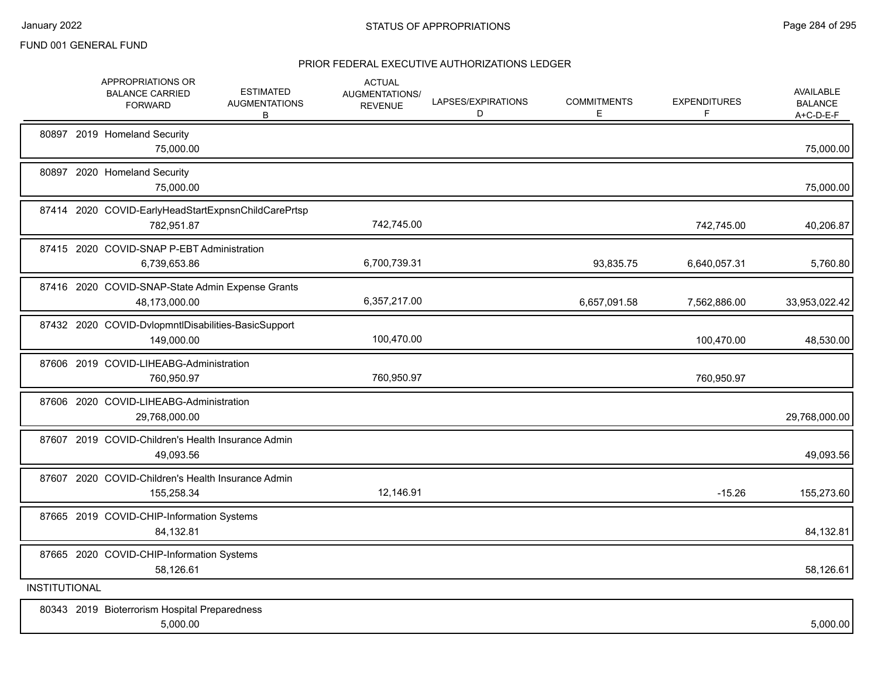|                      | APPROPRIATIONS OR<br><b>BALANCE CARRIED</b><br><b>FORWARD</b>     | <b>ESTIMATED</b><br><b>AUGMENTATIONS</b><br>B | <b>ACTUAL</b><br>AUGMENTATIONS/<br><b>REVENUE</b> | LAPSES/EXPIRATIONS<br>D | <b>COMMITMENTS</b><br>E | <b>EXPENDITURES</b><br>F | AVAILABLE<br><b>BALANCE</b><br>A+C-D-E-F |
|----------------------|-------------------------------------------------------------------|-----------------------------------------------|---------------------------------------------------|-------------------------|-------------------------|--------------------------|------------------------------------------|
|                      | 80897 2019 Homeland Security<br>75,000.00                         |                                               |                                                   |                         |                         |                          | 75,000.00                                |
|                      | 80897 2020 Homeland Security<br>75,000.00                         |                                               |                                                   |                         |                         |                          | 75,000.00                                |
|                      | 87414 2020 COVID-EarlyHeadStartExpnsnChildCarePrtsp<br>782,951.87 |                                               | 742,745.00                                        |                         |                         | 742,745.00               | 40,206.87                                |
|                      | 87415 2020 COVID-SNAP P-EBT Administration<br>6,739,653.86        |                                               | 6,700,739.31                                      |                         | 93,835.75               | 6,640,057.31             | 5,760.80                                 |
|                      | 87416 2020 COVID-SNAP-State Admin Expense Grants<br>48,173,000.00 |                                               | 6,357,217.00                                      |                         | 6,657,091.58            | 7,562,886.00             | 33,953,022.42                            |
|                      | 87432 2020 COVID-DvlopmntIDisabilities-BasicSupport<br>149,000.00 |                                               | 100,470.00                                        |                         |                         | 100,470.00               | 48,530.00                                |
|                      | 87606 2019 COVID-LIHEABG-Administration<br>760,950.97             |                                               | 760,950.97                                        |                         |                         | 760,950.97               |                                          |
|                      | 87606 2020 COVID-LIHEABG-Administration<br>29,768,000.00          |                                               |                                                   |                         |                         |                          | 29,768,000.00                            |
|                      | 87607 2019 COVID-Children's Health Insurance Admin<br>49,093.56   |                                               |                                                   |                         |                         |                          | 49,093.56                                |
|                      | 87607 2020 COVID-Children's Health Insurance Admin<br>155,258.34  |                                               | 12,146.91                                         |                         |                         | $-15.26$                 | 155,273.60                               |
|                      | 87665 2019 COVID-CHIP-Information Systems<br>84,132.81            |                                               |                                                   |                         |                         |                          | 84,132.81                                |
|                      | 87665 2020 COVID-CHIP-Information Systems<br>58,126.61            |                                               |                                                   |                         |                         |                          | 58,126.61                                |
| <b>INSTITUTIONAL</b> |                                                                   |                                               |                                                   |                         |                         |                          |                                          |
|                      | 80343 2019 Bioterrorism Hospital Preparedness<br>5,000.00         |                                               |                                                   |                         |                         |                          | 5,000.00                                 |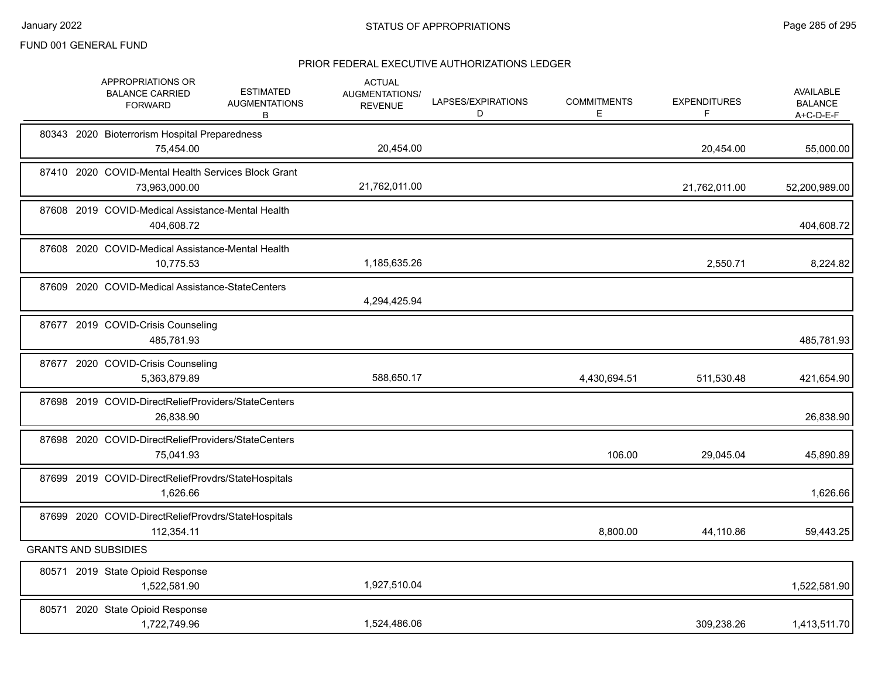|  | APPROPRIATIONS OR<br><b>BALANCE CARRIED</b><br><b>FORWARD</b>        | <b>ESTIMATED</b><br><b>AUGMENTATIONS</b><br>B | <b>ACTUAL</b><br>AUGMENTATIONS/<br><b>REVENUE</b> | LAPSES/EXPIRATIONS<br>D | <b>COMMITMENTS</b><br>E | <b>EXPENDITURES</b><br>F | <b>AVAILABLE</b><br><b>BALANCE</b><br>$A+C-D-E-F$ |
|--|----------------------------------------------------------------------|-----------------------------------------------|---------------------------------------------------|-------------------------|-------------------------|--------------------------|---------------------------------------------------|
|  | 80343 2020 Bioterrorism Hospital Preparedness<br>75.454.00           |                                               | 20,454.00                                         |                         |                         | 20,454.00                | 55,000.00                                         |
|  | 87410 2020 COVID-Mental Health Services Block Grant<br>73,963,000.00 |                                               | 21,762,011.00                                     |                         |                         | 21,762,011.00            | 52,200,989.00                                     |
|  | 87608 2019 COVID-Medical Assistance-Mental Health<br>404,608.72      |                                               |                                                   |                         |                         |                          | 404,608.72                                        |
|  | 87608 2020 COVID-Medical Assistance-Mental Health<br>10.775.53       |                                               | 1,185,635.26                                      |                         |                         | 2,550.71                 | 8,224.82                                          |
|  | 87609 2020 COVID-Medical Assistance-StateCenters                     |                                               | 4,294,425.94                                      |                         |                         |                          |                                                   |
|  | 87677 2019 COVID-Crisis Counseling<br>485,781.93                     |                                               |                                                   |                         |                         |                          | 485,781.93                                        |
|  | 87677 2020 COVID-Crisis Counseling<br>5,363,879.89                   |                                               | 588,650.17                                        |                         | 4,430,694.51            | 511,530.48               | 421,654.90                                        |
|  | 87698 2019 COVID-DirectReliefProviders/StateCenters<br>26,838.90     |                                               |                                                   |                         |                         |                          | 26,838.90                                         |
|  | 87698 2020 COVID-DirectReliefProviders/StateCenters<br>75,041.93     |                                               |                                                   |                         | 106.00                  | 29,045.04                | 45,890.89                                         |
|  | 87699 2019 COVID-DirectReliefProvdrs/StateHospitals<br>1,626.66      |                                               |                                                   |                         |                         |                          | 1,626.66                                          |
|  | 87699 2020 COVID-DirectReliefProvdrs/StateHospitals<br>112.354.11    |                                               |                                                   |                         | 8,800.00                | 44,110.86                | 59,443.25                                         |
|  | <b>GRANTS AND SUBSIDIES</b>                                          |                                               |                                                   |                         |                         |                          |                                                   |
|  | 80571 2019 State Opioid Response<br>1,522,581.90                     |                                               | 1,927,510.04                                      |                         |                         |                          | 1,522,581.90                                      |
|  | 80571 2020 State Opioid Response<br>1,722,749.96                     |                                               | 1,524,486.06                                      |                         |                         | 309,238.26               | 1,413,511.70                                      |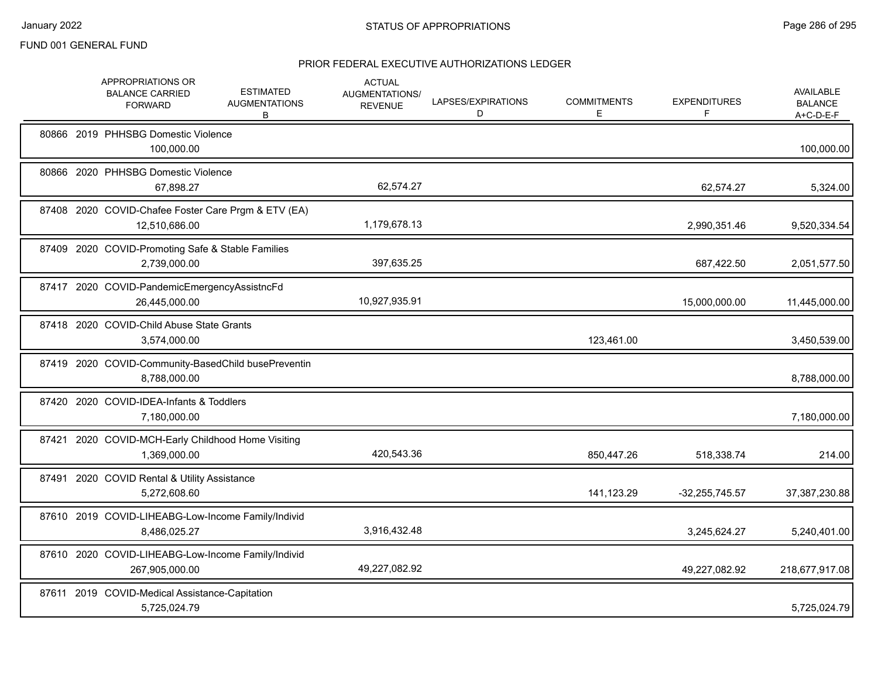|  | APPROPRIATIONS OR<br><b>BALANCE CARRIED</b><br><b>FORWARD</b>        | <b>ESTIMATED</b><br><b>AUGMENTATIONS</b><br>В | <b>ACTUAL</b><br>AUGMENTATIONS/<br><b>REVENUE</b> | LAPSES/EXPIRATIONS<br>D | <b>COMMITMENTS</b><br>Е | <b>EXPENDITURES</b><br>F. | <b>AVAILABLE</b><br><b>BALANCE</b><br>$A+C-D-E-F$ |
|--|----------------------------------------------------------------------|-----------------------------------------------|---------------------------------------------------|-------------------------|-------------------------|---------------------------|---------------------------------------------------|
|  | 80866 2019 PHHSBG Domestic Violence<br>100,000.00                    |                                               |                                                   |                         |                         |                           | 100,000.00                                        |
|  | 80866 2020 PHHSBG Domestic Violence<br>67,898.27                     |                                               | 62,574.27                                         |                         |                         | 62,574.27                 | 5,324.00                                          |
|  | 87408 2020 COVID-Chafee Foster Care Prgm & ETV (EA)<br>12,510,686.00 |                                               | 1,179,678.13                                      |                         |                         | 2,990,351.46              | 9,520,334.54                                      |
|  | 87409 2020 COVID-Promoting Safe & Stable Families<br>2,739,000.00    |                                               | 397,635.25                                        |                         |                         | 687,422.50                | 2,051,577.50                                      |
|  | 87417 2020 COVID-PandemicEmergencyAssistncFd<br>26,445,000.00        |                                               | 10,927,935.91                                     |                         |                         | 15,000,000.00             | 11,445,000.00                                     |
|  | 87418 2020 COVID-Child Abuse State Grants<br>3,574,000.00            |                                               |                                                   |                         | 123,461.00              |                           | 3,450,539.00                                      |
|  | 87419 2020 COVID-Community-BasedChild busePreventin<br>8,788,000.00  |                                               |                                                   |                         |                         |                           | 8,788,000.00                                      |
|  | 87420 2020 COVID-IDEA-Infants & Toddlers<br>7,180,000.00             |                                               |                                                   |                         |                         |                           | 7,180,000.00                                      |
|  | 87421 2020 COVID-MCH-Early Childhood Home Visiting<br>1,369,000.00   |                                               | 420,543.36                                        |                         | 850,447.26              | 518,338.74                | 214.00                                            |
|  | 87491 2020 COVID Rental & Utility Assistance<br>5,272,608.60         |                                               |                                                   |                         | 141,123.29              | $-32,255,745.57$          | 37,387,230.88                                     |
|  | 87610 2019 COVID-LIHEABG-Low-Income Family/Individ<br>8,486,025.27   |                                               | 3,916,432.48                                      |                         |                         | 3,245,624.27              | 5,240,401.00                                      |
|  | 87610 2020 COVID-LIHEABG-Low-Income Family/Individ<br>267,905,000.00 |                                               | 49,227,082.92                                     |                         |                         | 49,227,082.92             | 218,677,917.08                                    |
|  | 87611 2019 COVID-Medical Assistance-Capitation<br>5,725,024.79       |                                               |                                                   |                         |                         |                           | 5,725,024.79                                      |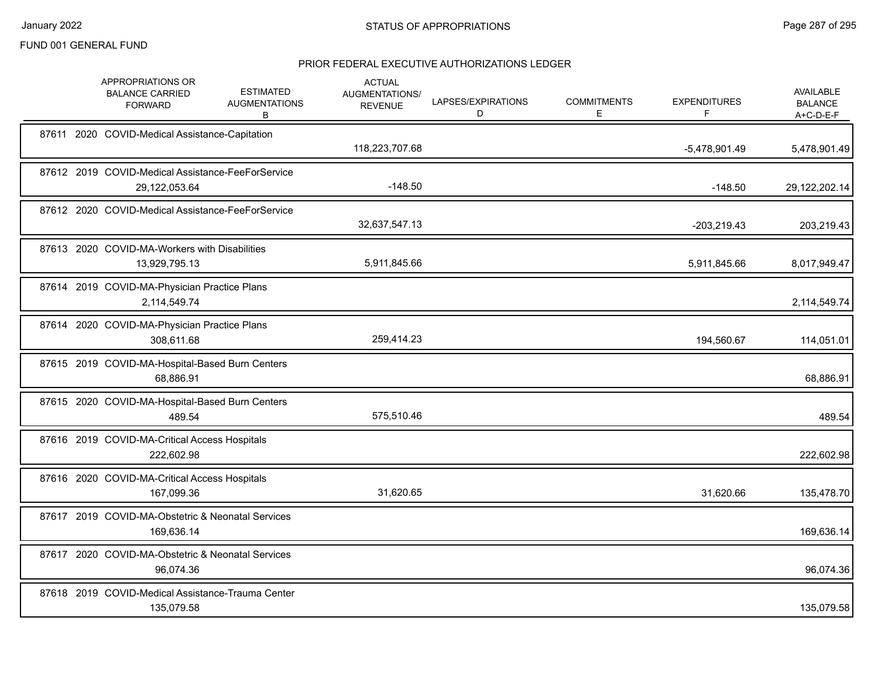|  | APPROPRIATIONS OR<br><b>BALANCE CARRIED</b><br><b>FORWARD</b>      | <b>ESTIMATED</b><br><b>AUGMENTATIONS</b><br>B | <b>ACTUAL</b><br>AUGMENTATIONS/<br><b>REVENUE</b> | LAPSES/EXPIRATIONS<br>D | <b>COMMITMENTS</b><br>Е | <b>EXPENDITURES</b><br>F. | <b>AVAILABLE</b><br><b>BALANCE</b><br>A+C-D-E-F |
|--|--------------------------------------------------------------------|-----------------------------------------------|---------------------------------------------------|-------------------------|-------------------------|---------------------------|-------------------------------------------------|
|  | 87611 2020 COVID-Medical Assistance-Capitation                     |                                               | 118,223,707.68                                    |                         |                         | -5,478,901.49             | 5,478,901.49                                    |
|  | 87612 2019 COVID-Medical Assistance-FeeForService<br>29,122,053.64 |                                               | $-148.50$                                         |                         |                         | $-148.50$                 | 29,122,202.14                                   |
|  | 87612 2020 COVID-Medical Assistance-FeeForService                  |                                               | 32,637,547.13                                     |                         |                         | $-203,219.43$             | 203,219.43                                      |
|  | 87613 2020 COVID-MA-Workers with Disabilities<br>13,929,795.13     |                                               | 5,911,845.66                                      |                         |                         | 5,911,845.66              | 8,017,949.47                                    |
|  | 87614 2019 COVID-MA-Physician Practice Plans<br>2,114,549.74       |                                               |                                                   |                         |                         |                           | 2,114,549.74                                    |
|  | 87614 2020 COVID-MA-Physician Practice Plans<br>308,611.68         |                                               | 259,414.23                                        |                         |                         | 194,560.67                | 114,051.01                                      |
|  | 87615 2019 COVID-MA-Hospital-Based Burn Centers<br>68,886.91       |                                               |                                                   |                         |                         |                           | 68,886.91                                       |
|  | 87615 2020 COVID-MA-Hospital-Based Burn Centers<br>489.54          |                                               | 575,510.46                                        |                         |                         |                           | 489.54                                          |
|  | 87616 2019 COVID-MA-Critical Access Hospitals<br>222,602.98        |                                               |                                                   |                         |                         |                           | 222,602.98                                      |
|  | 87616 2020 COVID-MA-Critical Access Hospitals<br>167,099.36        |                                               | 31,620.65                                         |                         |                         | 31,620.66                 | 135,478.70                                      |
|  | 87617 2019 COVID-MA-Obstetric & Neonatal Services<br>169,636.14    |                                               |                                                   |                         |                         |                           | 169,636.14                                      |
|  | 87617 2020 COVID-MA-Obstetric & Neonatal Services<br>96,074.36     |                                               |                                                   |                         |                         |                           | 96,074.36                                       |
|  | 87618 2019 COVID-Medical Assistance-Trauma Center<br>135,079.58    |                                               |                                                   |                         |                         |                           | 135,079.58                                      |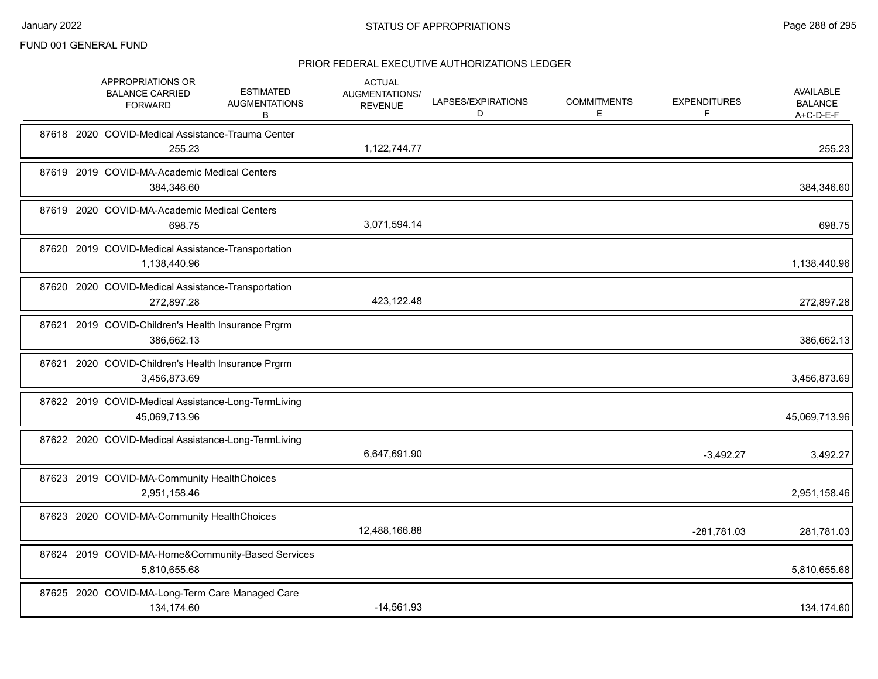| APPROPRIATIONS OR<br><b>BALANCE CARRIED</b><br><b>FORWARD</b> | <b>ESTIMATED</b><br><b>AUGMENTATIONS</b><br>В               | <b>ACTUAL</b><br><b>AUGMENTATIONS/</b><br><b>REVENUE</b> | LAPSES/EXPIRATIONS<br>D | <b>COMMITMENTS</b><br>Е | <b>EXPENDITURES</b><br>F | AVAILABLE<br><b>BALANCE</b><br>A+C-D-E-F |
|---------------------------------------------------------------|-------------------------------------------------------------|----------------------------------------------------------|-------------------------|-------------------------|--------------------------|------------------------------------------|
|                                                               | 87618 2020 COVID-Medical Assistance-Trauma Center<br>255.23 | 1,122,744.77                                             |                         |                         |                          | 255.23                                   |
| 87619 2019 COVID-MA-Academic Medical Centers<br>384,346.60    |                                                             |                                                          |                         |                         |                          | 384,346.60                               |
| 87619 2020 COVID-MA-Academic Medical Centers                  | 698.75                                                      | 3,071,594.14                                             |                         |                         |                          | 698.75                                   |
| 1,138,440.96                                                  | 87620 2019 COVID-Medical Assistance-Transportation          |                                                          |                         |                         |                          | 1,138,440.96                             |
| 272,897.28                                                    | 87620 2020 COVID-Medical Assistance-Transportation          | 423,122.48                                               |                         |                         |                          | 272,897.28                               |
| 386,662.13                                                    | 87621 2019 COVID-Children's Health Insurance Prgrm          |                                                          |                         |                         |                          | 386,662.13                               |
| 3,456,873.69                                                  | 87621 2020 COVID-Children's Health Insurance Prgrm          |                                                          |                         |                         |                          | 3,456,873.69                             |
| 45,069,713.96                                                 | 87622 2019 COVID-Medical Assistance-Long-TermLiving         |                                                          |                         |                         |                          | 45,069,713.96                            |
|                                                               | 87622 2020 COVID-Medical Assistance-Long-TermLiving         | 6,647,691.90                                             |                         |                         | $-3,492.27$              | 3,492.27                                 |
| 87623 2019 COVID-MA-Community HealthChoices<br>2,951,158.46   |                                                             |                                                          |                         |                         |                          | 2,951,158.46                             |
| 87623 2020 COVID-MA-Community HealthChoices                   |                                                             | 12,488,166.88                                            |                         |                         | -281,781.03              | 281,781.03                               |
| 5,810,655.68                                                  | 87624 2019 COVID-MA-Home&Community-Based Services           |                                                          |                         |                         |                          | 5,810,655.68                             |
| 134,174.60                                                    | 87625 2020 COVID-MA-Long-Term Care Managed Care             | $-14,561.93$                                             |                         |                         |                          | 134,174.60                               |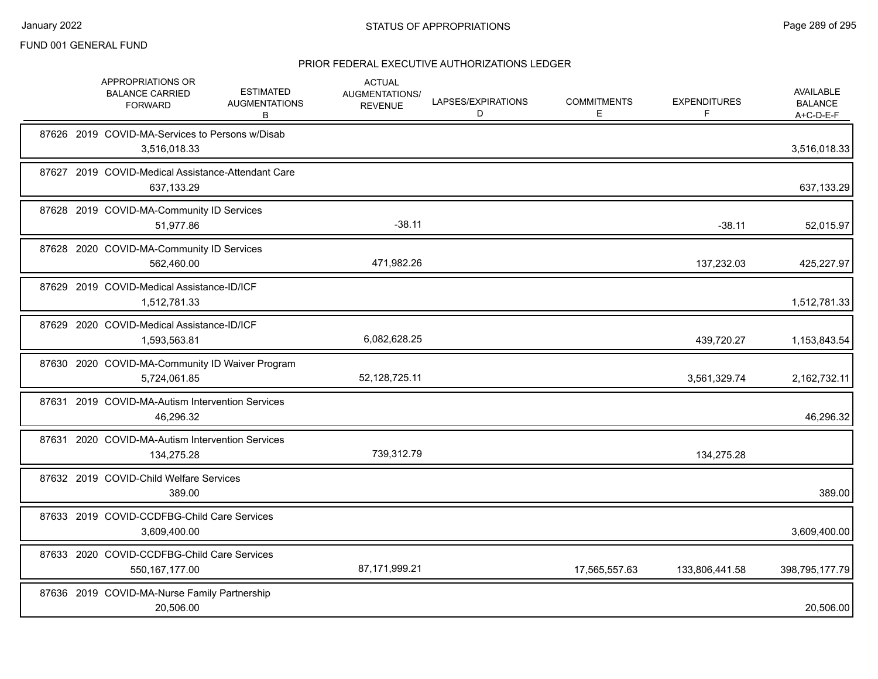|  | APPROPRIATIONS OR<br><b>BALANCE CARRIED</b><br><b>FORWARD</b>    | <b>ESTIMATED</b><br><b>AUGMENTATIONS</b><br>В | <b>ACTUAL</b><br>AUGMENTATIONS/<br><b>REVENUE</b> | LAPSES/EXPIRATIONS<br>D | <b>COMMITMENTS</b><br>Е | <b>EXPENDITURES</b><br>F | <b>AVAILABLE</b><br><b>BALANCE</b><br>A+C-D-E-F |
|--|------------------------------------------------------------------|-----------------------------------------------|---------------------------------------------------|-------------------------|-------------------------|--------------------------|-------------------------------------------------|
|  | 87626 2019 COVID-MA-Services to Persons w/Disab<br>3,516,018.33  |                                               |                                                   |                         |                         |                          | 3,516,018.33                                    |
|  | 87627 2019 COVID-Medical Assistance-Attendant Care<br>637,133.29 |                                               |                                                   |                         |                         |                          | 637,133.29                                      |
|  | 87628 2019 COVID-MA-Community ID Services<br>51,977.86           |                                               | $-38.11$                                          |                         |                         | $-38.11$                 | 52,015.97                                       |
|  | 87628 2020 COVID-MA-Community ID Services<br>562,460.00          |                                               | 471,982.26                                        |                         |                         | 137,232.03               | 425,227.97                                      |
|  | 87629 2019 COVID-Medical Assistance-ID/ICF<br>1,512,781.33       |                                               |                                                   |                         |                         |                          | 1,512,781.33                                    |
|  | 87629 2020 COVID-Medical Assistance-ID/ICF<br>1,593,563.81       |                                               | 6,082,628.25                                      |                         |                         | 439,720.27               | 1,153,843.54                                    |
|  | 87630 2020 COVID-MA-Community ID Waiver Program<br>5,724,061.85  |                                               | 52, 128, 725. 11                                  |                         |                         | 3,561,329.74             | 2,162,732.11                                    |
|  | 87631 2019 COVID-MA-Autism Intervention Services<br>46,296.32    |                                               |                                                   |                         |                         |                          | 46,296.32                                       |
|  | 87631 2020 COVID-MA-Autism Intervention Services<br>134,275.28   |                                               | 739,312.79                                        |                         |                         | 134,275.28               |                                                 |
|  | 87632 2019 COVID-Child Welfare Services<br>389.00                |                                               |                                                   |                         |                         |                          | 389.00                                          |
|  | 87633 2019 COVID-CCDFBG-Child Care Services<br>3,609,400.00      |                                               |                                                   |                         |                         |                          | 3,609,400.00                                    |
|  | 87633 2020 COVID-CCDFBG-Child Care Services<br>550, 167, 177.00  |                                               | 87,171,999.21                                     |                         | 17,565,557.63           | 133,806,441.58           | 398,795,177.79                                  |
|  | 87636 2019 COVID-MA-Nurse Family Partnership<br>20,506.00        |                                               |                                                   |                         |                         |                          | 20,506.00                                       |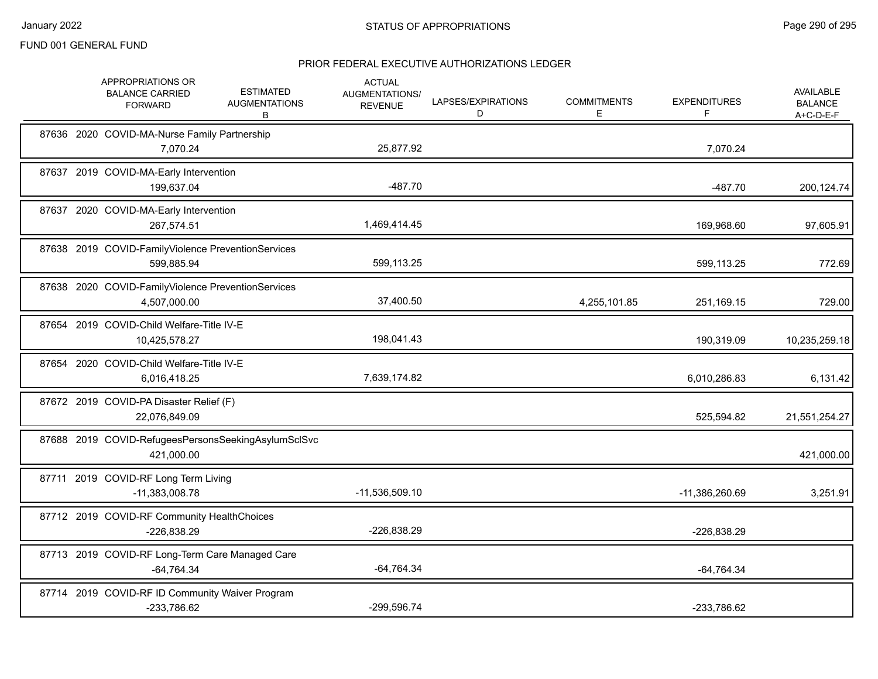|  | APPROPRIATIONS OR<br><b>BALANCE CARRIED</b><br><b>FORWARD</b>      | <b>ESTIMATED</b><br><b>AUGMENTATIONS</b><br>B | <b>ACTUAL</b><br><b>AUGMENTATIONS/</b><br><b>REVENUE</b> | LAPSES/EXPIRATIONS<br>D | <b>COMMITMENTS</b><br>E. | <b>EXPENDITURES</b><br>F | <b>AVAILABLE</b><br><b>BALANCE</b><br>A+C-D-E-F |
|--|--------------------------------------------------------------------|-----------------------------------------------|----------------------------------------------------------|-------------------------|--------------------------|--------------------------|-------------------------------------------------|
|  | 87636 2020 COVID-MA-Nurse Family Partnership<br>7,070.24           |                                               | 25,877.92                                                |                         |                          | 7,070.24                 |                                                 |
|  | 87637 2019 COVID-MA-Early Intervention<br>199,637.04               |                                               | $-487.70$                                                |                         |                          | $-487.70$                | 200,124.74                                      |
|  | 87637 2020 COVID-MA-Early Intervention<br>267,574.51               |                                               | 1,469,414.45                                             |                         |                          | 169,968.60               | 97,605.91                                       |
|  | 87638 2019 COVID-FamilyViolence PreventionServices<br>599.885.94   |                                               | 599,113.25                                               |                         |                          | 599,113.25               | 772.69                                          |
|  | 87638 2020 COVID-FamilyViolence PreventionServices<br>4,507,000.00 |                                               | 37,400.50                                                |                         | 4,255,101.85             | 251,169.15               | 729.00                                          |
|  | 87654 2019 COVID-Child Welfare-Title IV-E<br>10,425,578.27         |                                               | 198,041.43                                               |                         |                          | 190,319.09               | 10,235,259.18                                   |
|  | 87654 2020 COVID-Child Welfare-Title IV-E<br>6,016,418.25          |                                               | 7,639,174.82                                             |                         |                          | 6,010,286.83             | 6,131.42                                        |
|  | 87672 2019 COVID-PA Disaster Relief (F)<br>22,076,849.09           |                                               |                                                          |                         |                          | 525,594.82               | 21,551,254.27                                   |
|  | 87688 2019 COVID-RefugeesPersonsSeekingAsylumSclSvc<br>421.000.00  |                                               |                                                          |                         |                          |                          | 421,000.00                                      |
|  | 87711 2019 COVID-RF Long Term Living<br>-11,383,008.78             |                                               | -11,536,509.10                                           |                         |                          | -11,386,260.69           | 3,251.91                                        |
|  | 87712 2019 COVID-RF Community HealthChoices<br>-226,838.29         |                                               | -226,838.29                                              |                         |                          | -226,838.29              |                                                 |
|  | 87713 2019 COVID-RF Long-Term Care Managed Care<br>$-64,764.34$    |                                               | $-64,764.34$                                             |                         |                          | $-64,764.34$             |                                                 |
|  | 87714 2019 COVID-RF ID Community Waiver Program<br>-233,786.62     |                                               | -299,596.74                                              |                         |                          | -233,786.62              |                                                 |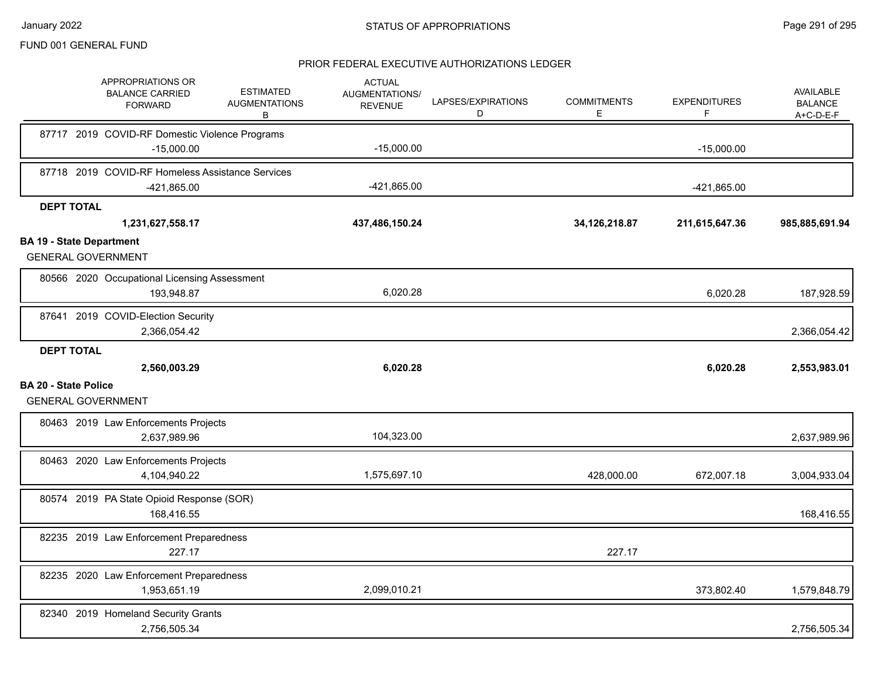|                             | APPROPRIATIONS OR<br><b>BALANCE CARRIED</b><br><b>FORWARD</b> | <b>ESTIMATED</b><br><b>AUGMENTATIONS</b><br>В | <b>ACTUAL</b><br>AUGMENTATIONS/<br><b>REVENUE</b> | LAPSES/EXPIRATIONS<br>D | <b>COMMITMENTS</b><br>E. | <b>EXPENDITURES</b><br>F | AVAILABLE<br><b>BALANCE</b><br>$A+C-D-E-F$ |
|-----------------------------|---------------------------------------------------------------|-----------------------------------------------|---------------------------------------------------|-------------------------|--------------------------|--------------------------|--------------------------------------------|
|                             | 87717 2019 COVID-RF Domestic Violence Programs                |                                               |                                                   |                         |                          |                          |                                            |
|                             | $-15,000.00$                                                  |                                               | $-15,000.00$                                      |                         |                          | $-15,000.00$             |                                            |
|                             | 87718 2019 COVID-RF Homeless Assistance Services              |                                               |                                                   |                         |                          |                          |                                            |
|                             | -421,865.00                                                   |                                               | -421,865.00                                       |                         |                          | -421,865.00              |                                            |
| <b>DEPT TOTAL</b>           |                                                               |                                               |                                                   |                         |                          |                          |                                            |
|                             | 1,231,627,558.17                                              |                                               | 437,486,150.24                                    |                         | 34, 126, 218.87          | 211,615,647.36           | 985,885,691.94                             |
|                             | <b>BA 19 - State Department</b><br><b>GENERAL GOVERNMENT</b>  |                                               |                                                   |                         |                          |                          |                                            |
|                             | 80566 2020 Occupational Licensing Assessment<br>193,948.87    |                                               | 6,020.28                                          |                         |                          | 6,020.28                 | 187,928.59                                 |
|                             | 87641 2019 COVID-Election Security<br>2,366,054.42            |                                               |                                                   |                         |                          |                          | 2,366,054.42                               |
| <b>DEPT TOTAL</b>           |                                                               |                                               |                                                   |                         |                          |                          |                                            |
|                             | 2,560,003.29                                                  |                                               | 6,020.28                                          |                         |                          | 6,020.28                 | 2,553,983.01                               |
| <b>BA 20 - State Police</b> | <b>GENERAL GOVERNMENT</b>                                     |                                               |                                                   |                         |                          |                          |                                            |
|                             | 80463 2019 Law Enforcements Projects<br>2,637,989.96          |                                               | 104,323.00                                        |                         |                          |                          | 2,637,989.96                               |
|                             | 80463 2020 Law Enforcements Projects<br>4,104,940.22          |                                               | 1,575,697.10                                      |                         | 428,000.00               | 672,007.18               | 3,004,933.04                               |
|                             | 80574 2019 PA State Opioid Response (SOR)<br>168,416.55       |                                               |                                                   |                         |                          |                          | 168,416.55                                 |
|                             | 82235 2019 Law Enforcement Preparedness<br>227.17             |                                               |                                                   |                         | 227.17                   |                          |                                            |
|                             | 82235 2020 Law Enforcement Preparedness<br>1,953,651.19       |                                               | 2,099,010.21                                      |                         |                          | 373,802.40               | 1,579,848.79                               |
|                             | 82340 2019 Homeland Security Grants<br>2,756,505.34           |                                               |                                                   |                         |                          |                          | 2,756,505.34                               |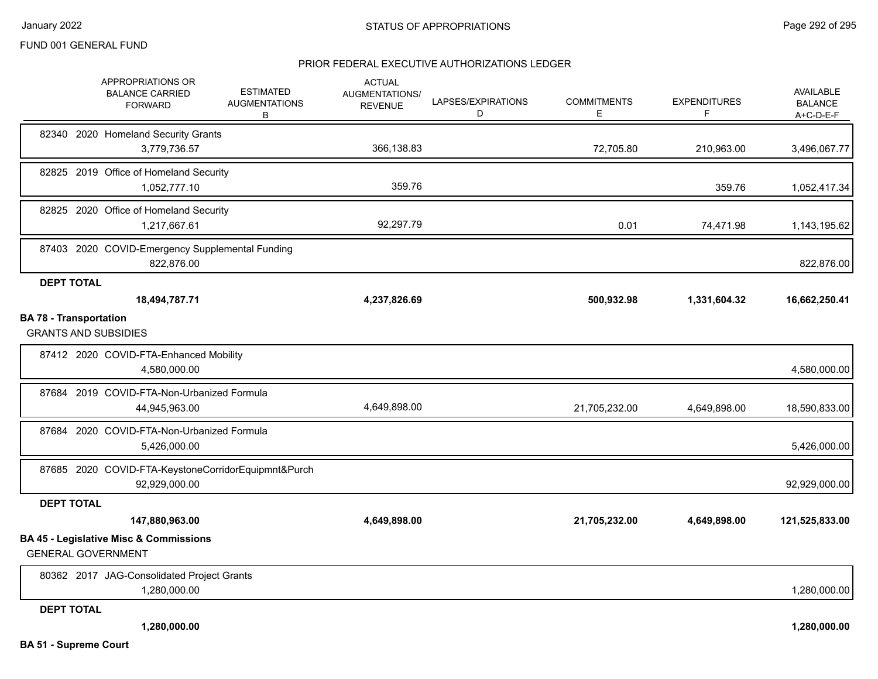|                                                              | APPROPRIATIONS OR<br><b>BALANCE CARRIED</b><br><b>FORWARD</b>        | <b>ESTIMATED</b><br><b>AUGMENTATIONS</b><br>В | <b>ACTUAL</b><br><b>AUGMENTATIONS/</b><br><b>REVENUE</b> | LAPSES/EXPIRATIONS<br>D | <b>COMMITMENTS</b><br>Ε | <b>EXPENDITURES</b><br>F. | AVAILABLE<br><b>BALANCE</b><br>A+C-D-E-F |
|--------------------------------------------------------------|----------------------------------------------------------------------|-----------------------------------------------|----------------------------------------------------------|-------------------------|-------------------------|---------------------------|------------------------------------------|
|                                                              | 82340 2020 Homeland Security Grants<br>3,779,736.57                  |                                               | 366,138.83                                               |                         | 72,705.80               | 210,963.00                | 3,496,067.77                             |
|                                                              | 82825 2019 Office of Homeland Security<br>1,052,777.10               |                                               | 359.76                                                   |                         |                         | 359.76                    | 1,052,417.34                             |
|                                                              | 82825 2020 Office of Homeland Security<br>1,217,667.61               |                                               | 92,297.79                                                |                         | 0.01                    | 74,471.98                 | 1,143,195.62                             |
|                                                              | 87403 2020 COVID-Emergency Supplemental Funding<br>822,876.00        |                                               |                                                          |                         |                         |                           | 822,876.00                               |
| <b>DEPT TOTAL</b>                                            | 18,494,787.71                                                        |                                               | 4,237,826.69                                             |                         | 500,932.98              | 1,331,604.32              | 16,662,250.41                            |
| <b>BA 78 - Transportation</b><br><b>GRANTS AND SUBSIDIES</b> |                                                                      |                                               |                                                          |                         |                         |                           |                                          |
|                                                              | 87412 2020 COVID-FTA-Enhanced Mobility<br>4,580,000.00               |                                               |                                                          |                         |                         |                           | 4,580,000.00                             |
|                                                              | 87684 2019 COVID-FTA-Non-Urbanized Formula<br>44,945,963.00          |                                               | 4,649,898.00                                             |                         | 21,705,232.00           | 4,649,898.00              | 18,590,833.00                            |
|                                                              | 87684 2020 COVID-FTA-Non-Urbanized Formula<br>5,426,000.00           |                                               |                                                          |                         |                         |                           | 5,426,000.00                             |
|                                                              | 87685 2020 COVID-FTA-KeystoneCorridorEquipmnt&Purch<br>92,929,000.00 |                                               |                                                          |                         |                         |                           | 92,929,000.00                            |
| <b>DEPT TOTAL</b>                                            |                                                                      |                                               |                                                          |                         |                         |                           |                                          |
|                                                              | 147,880,963.00<br><b>BA 45 - Legislative Misc &amp; Commissions</b>  |                                               | 4,649,898.00                                             |                         | 21,705,232.00           | 4,649,898.00              | 121,525,833.00                           |
| <b>GENERAL GOVERNMENT</b>                                    |                                                                      |                                               |                                                          |                         |                         |                           |                                          |
|                                                              | 80362 2017 JAG-Consolidated Project Grants<br>1,280,000.00           |                                               |                                                          |                         |                         |                           | 1,280,000.00                             |
| <b>DEPT TOTAL</b>                                            | 1,280,000.00                                                         |                                               |                                                          |                         |                         |                           | 1.280.000.00                             |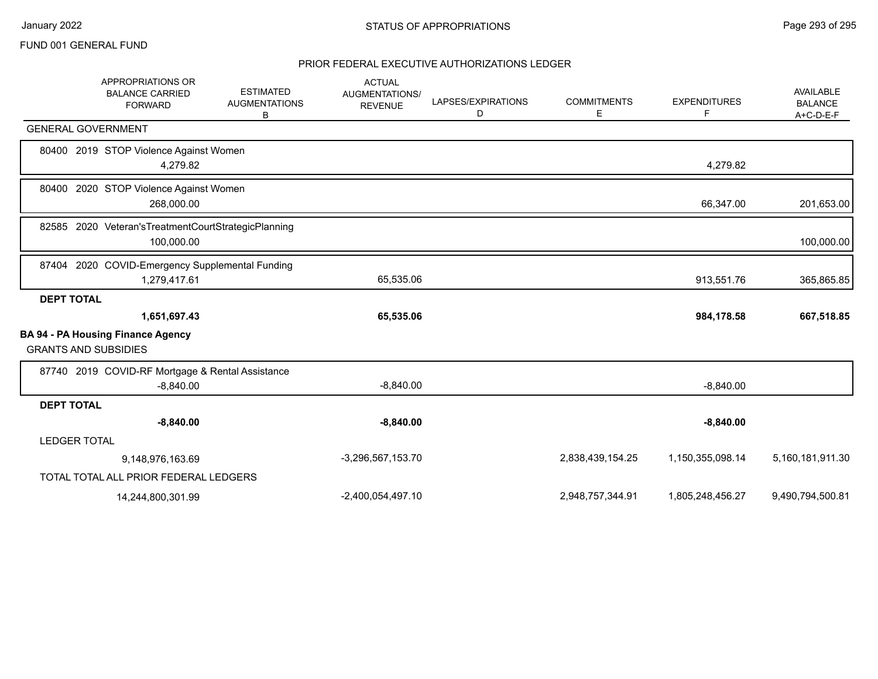|                   | <b>APPROPRIATIONS OR</b><br><b>BALANCE CARRIED</b><br><b>FORWARD</b>    | <b>ESTIMATED</b><br><b>AUGMENTATIONS</b><br>В | <b>ACTUAL</b><br><b>AUGMENTATIONS/</b><br><b>REVENUE</b> | LAPSES/EXPIRATIONS<br>D | <b>COMMITMENTS</b><br>Е | <b>EXPENDITURES</b><br>E | <b>AVAILABLE</b><br><b>BALANCE</b><br>$A+C-D-E-F$ |
|-------------------|-------------------------------------------------------------------------|-----------------------------------------------|----------------------------------------------------------|-------------------------|-------------------------|--------------------------|---------------------------------------------------|
|                   | <b>GENERAL GOVERNMENT</b>                                               |                                               |                                                          |                         |                         |                          |                                                   |
|                   | 80400 2019 STOP Violence Against Women<br>4,279.82                      |                                               |                                                          |                         |                         | 4,279.82                 |                                                   |
|                   | 80400 2020 STOP Violence Against Women<br>268,000.00                    |                                               |                                                          |                         |                         | 66,347.00                | 201,653.00                                        |
|                   | 82585 2020 Veteran's Treatment Court Strategic Planning<br>100,000.00   |                                               |                                                          |                         |                         |                          | 100,000.00                                        |
|                   | 87404 2020 COVID-Emergency Supplemental Funding<br>1,279,417.61         |                                               | 65,535.06                                                |                         |                         | 913,551.76               | 365,865.85                                        |
| <b>DEPT TOTAL</b> |                                                                         |                                               |                                                          |                         |                         |                          |                                                   |
|                   | 1,651,697.43                                                            |                                               | 65,535.06                                                |                         |                         | 984,178.58               | 667,518.85                                        |
|                   | <b>BA 94 - PA Housing Finance Agency</b><br><b>GRANTS AND SUBSIDIES</b> |                                               |                                                          |                         |                         |                          |                                                   |
|                   | 87740 2019 COVID-RF Mortgage & Rental Assistance                        |                                               |                                                          |                         |                         |                          |                                                   |
|                   | $-8,840.00$                                                             |                                               | $-8,840.00$                                              |                         |                         | $-8,840.00$              |                                                   |
| <b>DEPT TOTAL</b> |                                                                         |                                               |                                                          |                         |                         |                          |                                                   |
|                   | $-8,840.00$                                                             |                                               | $-8,840.00$                                              |                         |                         | $-8,840.00$              |                                                   |
|                   | <b>LEDGER TOTAL</b>                                                     |                                               |                                                          |                         |                         |                          |                                                   |
|                   | 9,148,976,163.69                                                        |                                               | -3,296,567,153.70                                        |                         | 2,838,439,154.25        | 1,150,355,098.14         | 5,160,181,911.30                                  |
|                   | TOTAL TOTAL ALL PRIOR FEDERAL LEDGERS                                   |                                               |                                                          |                         |                         |                          |                                                   |
|                   | 14,244,800,301.99                                                       |                                               | -2,400,054,497.10                                        |                         | 2,948,757,344.91        | 1,805,248,456.27         | 9,490,794,500.81                                  |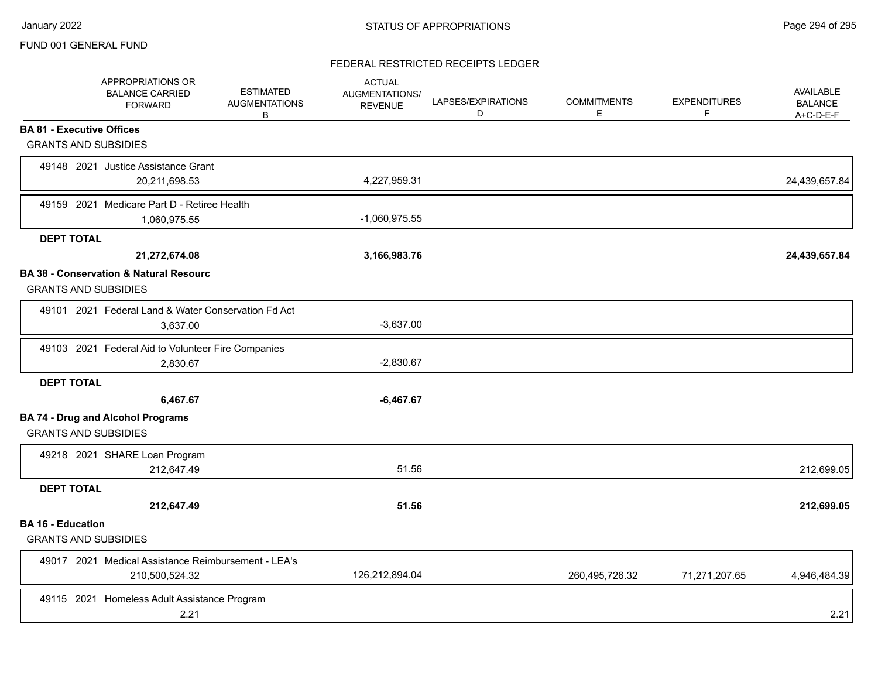# FEDERAL RESTRICTED RECEIPTS LEDGER

|                          | APPROPRIATIONS OR<br><b>BALANCE CARRIED</b><br><b>FORWARD</b> | <b>ESTIMATED</b><br><b>AUGMENTATIONS</b><br>B | <b>ACTUAL</b><br><b>AUGMENTATIONS/</b><br><b>REVENUE</b> | LAPSES/EXPIRATIONS<br>D | <b>COMMITMENTS</b><br>Е | <b>EXPENDITURES</b><br>F. | <b>AVAILABLE</b><br><b>BALANCE</b><br>$A+C-D-E-F$ |
|--------------------------|---------------------------------------------------------------|-----------------------------------------------|----------------------------------------------------------|-------------------------|-------------------------|---------------------------|---------------------------------------------------|
|                          | <b>BA 81 - Executive Offices</b>                              |                                               |                                                          |                         |                         |                           |                                                   |
|                          | <b>GRANTS AND SUBSIDIES</b>                                   |                                               |                                                          |                         |                         |                           |                                                   |
|                          | 49148 2021 Justice Assistance Grant                           |                                               |                                                          |                         |                         |                           |                                                   |
|                          | 20,211,698.53                                                 |                                               | 4,227,959.31                                             |                         |                         |                           | 24,439,657.84                                     |
|                          | 49159 2021 Medicare Part D - Retiree Health                   |                                               |                                                          |                         |                         |                           |                                                   |
|                          | 1,060,975.55                                                  |                                               | $-1,060,975.55$                                          |                         |                         |                           |                                                   |
| <b>DEPT TOTAL</b>        |                                                               |                                               |                                                          |                         |                         |                           |                                                   |
|                          | 21,272,674.08                                                 |                                               | 3,166,983.76                                             |                         |                         |                           | 24,439,657.84                                     |
|                          | <b>BA 38 - Conservation &amp; Natural Resourc</b>             |                                               |                                                          |                         |                         |                           |                                                   |
|                          | <b>GRANTS AND SUBSIDIES</b>                                   |                                               |                                                          |                         |                         |                           |                                                   |
|                          | 49101 2021 Federal Land & Water Conservation Fd Act           |                                               |                                                          |                         |                         |                           |                                                   |
|                          | 3,637.00                                                      |                                               | $-3,637.00$                                              |                         |                         |                           |                                                   |
|                          | 49103 2021 Federal Aid to Volunteer Fire Companies            |                                               |                                                          |                         |                         |                           |                                                   |
|                          | 2,830.67                                                      |                                               | $-2,830.67$                                              |                         |                         |                           |                                                   |
| <b>DEPT TOTAL</b>        |                                                               |                                               |                                                          |                         |                         |                           |                                                   |
|                          | 6,467.67                                                      |                                               | $-6,467.67$                                              |                         |                         |                           |                                                   |
|                          | <b>BA 74 - Drug and Alcohol Programs</b>                      |                                               |                                                          |                         |                         |                           |                                                   |
|                          | <b>GRANTS AND SUBSIDIES</b>                                   |                                               |                                                          |                         |                         |                           |                                                   |
|                          | 49218 2021 SHARE Loan Program                                 |                                               |                                                          |                         |                         |                           |                                                   |
|                          | 212,647.49                                                    |                                               | 51.56                                                    |                         |                         |                           | 212,699.05                                        |
| <b>DEPT TOTAL</b>        |                                                               |                                               |                                                          |                         |                         |                           |                                                   |
|                          | 212,647.49                                                    |                                               | 51.56                                                    |                         |                         |                           | 212,699.05                                        |
| <b>BA 16 - Education</b> |                                                               |                                               |                                                          |                         |                         |                           |                                                   |
|                          | <b>GRANTS AND SUBSIDIES</b>                                   |                                               |                                                          |                         |                         |                           |                                                   |
|                          | 49017 2021 Medical Assistance Reimbursement - LEA's           |                                               |                                                          |                         |                         |                           |                                                   |
|                          | 210,500,524.32                                                |                                               | 126,212,894.04                                           |                         | 260,495,726.32          | 71,271,207.65             | 4,946,484.39                                      |
|                          | 49115 2021 Homeless Adult Assistance Program                  |                                               |                                                          |                         |                         |                           |                                                   |
|                          | 2.21                                                          |                                               |                                                          |                         |                         |                           | 2.21                                              |